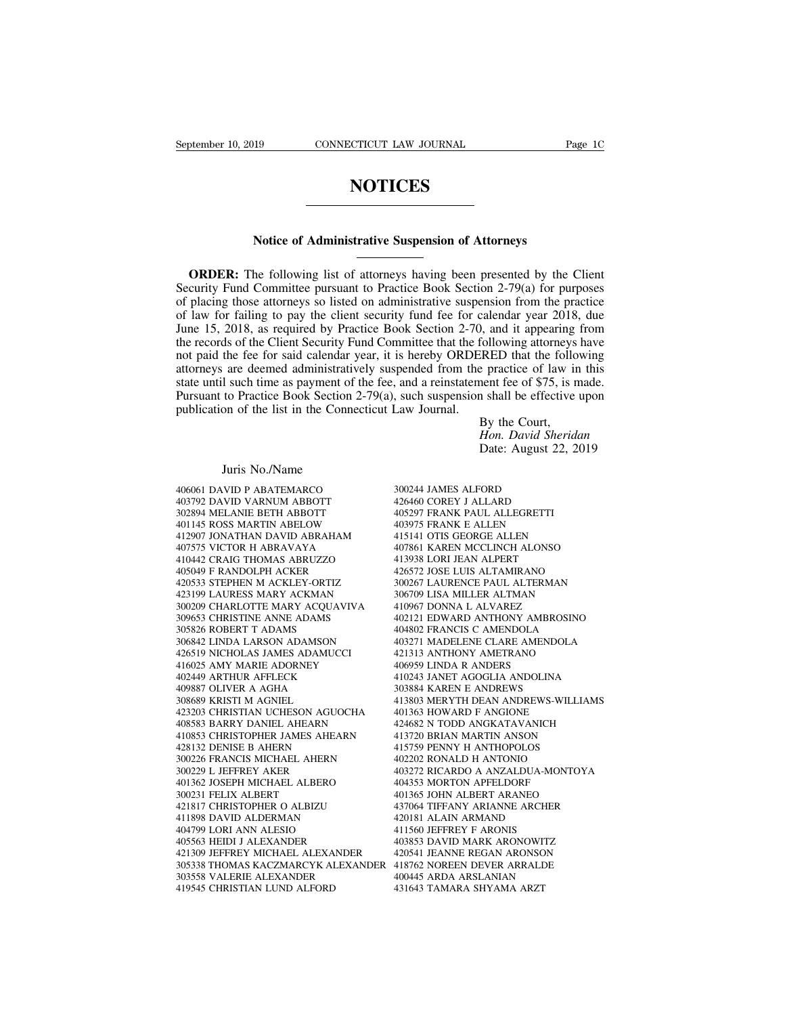## **NOTICES**

## **NOTICES**<br>
Notice of Administrative Suspension of Attorneys<br>
he following list of attorneys having here greented by the

**NOTICES**<br>
Notice of Administrative Suspension of Attorneys<br>
ORDER: The following list of attorneys having been presented by the Client<br>
curity Fund Committee pursuant to Practice Book Section 2-79(a) for purposes<br>
placing Notice of Administrative Suspension of Attorneys<br>
ORDER: The following list of attorneys having been presented by the Client<br>
Security Fund Committee pursuant to Practice Book Section 2-79(a) for purposes<br>
of placing those **ORDER:** The following list of attorneys having been presented by the Client Security Fund Committee pursuant to Practice Book Section 2-79(a) for purposes of placing those attorneys so listed on administrative suspension **ORDER:** The following list of attorneys having been presented by the Client Security Fund Committee pursuant to Practice Book Section 2-79(a) for purposes of placing those attorneys so listed on administrative suspension Notice of Administrative Suspension of Attorneys<br>
The following list of attorneys having been presented by the Client<br>
Security Fund Committee pursuant to Practice Book Section 2-79(a) for purposes<br>
of placing those attorn **ORDER:** The following list of attorneys having been presented by the Client Security Fund Committee pursuant to Practice Book Section 2-79(a) for purposes of placing those attorneys so listed on administrative suspension **ORDER:** The following list of attorneys having been presented by the Client Security Fund Committee pursuant to Practice Book Section 2-79(a) for purposes of placing those attorneys so listed on administrative suspension **EXECUTE:** The following list of addinity's having occh presented by the Chent Security Fund Committee pursuant to Practice Book Section 2-79(a) for purposes of placing those attorneys so listed on administrative suspensi stearity Fund Committee parsuant to Fractice Book Section  $2-79(a)$  for parposes of placing those attorneys so listed on administrative suspension from the practice of law for failing to pay the client security fund fee fo or placing those attorneys so isted on administrative suspension from the practice<br>of law for failing to pay the client security fund fee for calendar year 2018, due<br>June 15, 2018, as required by Practice Book Section 2-70 bind it all the list in the Connecticut Law Journal.<br>
June 15, 2018, as required by Practice Book Section 2-70,<br>
the records of the Client Security Fund Committee that the form<br>
not paid the fee for said calendar year, it by the Court,<br>following attorneys<br>iRED that the follo<br>e practice of law in<br>ent fee of \$75, is n<br>a shall be effective<br>By the Court,<br>Hon. David Sherida<br>Date: August 22, 2 Freed to the following<br> *H*eridan Sheridan Sheridan<br> *Hon.* David Sheridan<br> *Hon. David Sheridan*<br>
Date: August 22, 2019 EXELD that the following<br>
Exercice of law in this<br>
nent fee of \$75, is made.<br>
1 shall be effective upon<br>
By the Court,<br>
Hon. David Sheridan<br>
Date: August 22, 2019 I such time as payment of<br>to Practice Book Section<br>on of the list in the Conn<br>Juris No./Name<br>VID P ABATEMARCO<br>VID VARNUM ABBOTT

Juris No./Name<br>406061 DAVID P ABATEMARCO<br>403792 DAVID VARNUM ABBOTT<br>302894 MELANIE BETH ABBOTT Juris No./Name<br>406061 DAVID P ABATEMARCO<br>403792 DAVID VARNUM ABBOTT<br>302894 MELANIE BETH ABBOTT<br>401145 ROSS MARTIN ABELOW Juris No./Name<br>406061 DAVID P ABATEMARCO<br>403792 DAVID VARNUM ABBOTT<br>302894 MELANIE BETH ABBOTT<br>401145 ROSS MARTIN ABELOW<br>412907 JONATHAN DAVID ABRAHAM  $\begin{tabular}{llllll} \textsc{Juris No./Name} \\ 406061 \textsc{DAVID P ABATEMARCO} & 300 \\ 403792 \textsc{DAVID VARNUM ABBOTT} & 426 \\ 302894 \textsc{MELANIE BETH ABBOTT} & 405 \\ 401145 \textsc{ROS MARTIN ABELOW} & 403 \\ 412907 \textsc{JONATHAN DAVID ABRAHAM} & 415 \\ 407575 \textsc{VICTOR H ABRAVAYA} & 407 \\ \end{tabular}$  $\begin{tabular}{l l l l} \multicolumn{1}{l}{} & \multicolumn{1}{l}{} & \multicolumn{1}{l}{} & \multicolumn{1}{l}{} & \multicolumn{1}{l}{} & \multicolumn{1}{l}{} & \multicolumn{1}{l}{} & \multicolumn{1}{l}{} & \multicolumn{1}{l}{} & \multicolumn{1}{l}{} & \multicolumn{1}{l}{} & \multicolumn{1}{l}{} & \multicolumn{1}{l}{} & \multicolumn{1}{l}{} & \multicolumn{1}{l}{} & \multicolumn{1}{l}{} & \multicolumn{1}{l}{} & \multicolumn{1}{l}{} & \multicolumn{1}{l}{} & \$ 406061 DAVID P ABATEMARCO<br>403792 DAVID VARNUM ABBOTT<br>302894 MELANIE BETH ABBOTT<br>401145 ROSS MARTIN ABELOW<br>412907 JONATHAN DAVID ABRAHAM<br>407575 VICTOR H ABRAVAYA<br>410442 CRAIG THOMAS ABRUZZO<br>405049 F RANDOLPH ACKER 406061 DAVID P ABATEMARCO<br>
403792 DAVID VARNUM ABBOTT 44<br>
302894 MELANIE BETH ABBOTT 44<br>
401145 ROSS MARTIN ABELOW 44<br>
412907 JONATHAN DAVID ABRAYAYA<br>
410442 CRAIG THOMAS ABRUZZO 44<br>
405049 F RANDOLPH ACKER 42<br>
420533 STEP 403792 DAVID VARNUM ABBOTT<br>302894 MELANIE BETH ABBOTT<br>401145 ROSS MARTIN ABELOW<br>412907 JONATHAN DAVID ABRAHAM<br>407575 VICTOR H ABRAVAYA<br>410442 CRAIG THOMAS ABRUZZO<br>405049 F RANDOLPH ACKER<br>420533 STEPHEN M ACKLEY-ORTIZ<br>42319 302894 MELANIE BETH ABBOTT<br>401145 ROSS MARTIN ABELOW<br>412907 JONATHAN DAVID ABRAHAM<br>407575 VICTOR H ABRAVAYA<br>410442 CRAIG THOMAS ABRUZZO<br>405049 F RANDOLPH ACKER<br>420533 STEPHEN M ACKLEY-ORTIZ<br>423199 LAURESS MARY ACKMAN<br>30020 423199 LAURESS MARY ACKMAN 412907 JONATHAN DAVID ABRAHAM 407575 VICTOR H ABRAVAYA 407861 1<br>410442 CRAIG THOMAS ABRUZZO 413938 1<br>405049 F RANDOLPH ACKER 426572 J<br>420533 STEPHEN MACKLEY-ORTIZ 402067 1<br>423199 LAURESS MARY ACQUAVIVA 306709 1<br>300209 CHAR 40/5/5 VICTOR H ABRAVAYA<br>410442 CRAIG THOMAS ABRUZZO<br>405049 F RANDOLPH ACKER<br>420533 STEPHEN M ACKLEY-ORTIZ<br>423199 LAIURESS MARY ACKMAN<br>300209 CHARLOTTE MARY ACQUAVIVA<br>309653 CHRISTINE ANNE ADAMS<br>305826 ROBERT T ADAMS<br>30684 410442 CRAIG THOMAS ABRUZZO<br>405049 F RANDOLPH ACKER<br>420533 STEPHEN M ACKLEY-ORTIZ<br>423199 LAURESS MARY ACKMAN<br>300209 CHARLOTTE MARY ACQUAVIVA<br>309653 CHRISTINE ANNE ADAMS<br>305826 ROBERT T ADAMS<br>306842 LINDA LARSON ADAMSON 408049 F KANDOLPH ACKER<br>
420533 STEPHEN M ACKLEY-ORTIZ 30<br>
423199 LAURESS MARY ACKMAN 30<br>
300209 CHARLOTTE MARY ACQUAVIVA 44<br>
309653 CHRISTINE ANNE ADAMS 40<br>
305826 ROBERT T ADAMS 42<br>
306842 LINDA LARSON ADAMSON 426519 NIC 420533 STEPHEN M ACKLEY-ORTIZ<br>423199 LAURESS MARY ACKMAN<br>300209 CHARLOTTE MARY ACQUAVIVA<br>309653 CHRISTINE ANNE ADAMS<br>305826 ROBERT T ADAMS<br>306842 LINDA LARSON ADAMSON<br>426519 NICHOLAS JAMES ADAMUCCI<br>416025 AMY MARIE ADORNEY 423199 LAURESS MARY ACKMAN<br>300209 CHARLOTTE MARY ACQUAVIVA<br>309653 CHRISTINE ANNE ADAMS<br>305826 ROBERT T ADAMS<br>306842 LINDA LARSON ADAMSON<br>426519 NICHOLAS JAMES ADAMUCCI<br>416025 AMY MARIE ADORNEY<br>402449 ARTHUR AFFLECK<br>409887 300209 CHARLOTTE MARY ACQUAVIVA<br>309653 CHRISTINE ANNE ADAMS<br>305826 ROBERT T ADAMS<br>306842 LINDA LARSON ADAMSON<br>426519 NICHOLAS JAMES ADAMUCCI<br>416025 AMY MARIE ADORNEY<br>409887 OLIVER A AGHA<br>409887 OLIVER A AGHA<br>308689 KRISTI 309653 CHRISTINE ANNE ADAMS<br>305826 ROBERT T ADAMS<br>306842 LINDA LARSON ADAMSON<br>426519 NICHOLAS JAMES ADAMUCCI<br>416025 AMY MARIE ADORNEY<br>402449 ARTHUR AFFLECK<br>402487 OLIVER A AGHA<br>308689 KRISTI M AGNIEL<br>308689 KRISTI M AGNIEL 308826 ROBERT T ADAMS<br>306842 LINDA LARSON ADAMSON<br>426519 NICHOLAS JAMES ADAMUCC<br>416025 AMY MARIE ADORNEY<br>402449 ARTHUR AFFLECK<br>409887 OLIVER A AGHA<br>308689 KRISTI M AGNIEL<br>423203 CHRISTIAN UCHESON AGUOC<br>408583 BARRY DANIEL 403271 M<br>426519 NICHOLAS JAMES ADAMUCCI 421313<br>416025 AMY MARIE ADORNEY 406959 I<br>402449 ARTHUR AFFLECK 410243 J<br>409887 OLIVER A AGHA 303884 1308884 RISTIAN UCHESON AGUOCHA 401363 H<br>423203 CHRISTIAN UCHESON AGUOCHA 401363 I 426519 NICHOLAS JAMES ADAMUCCI<br>416025 AMY MARIE ADORNEY<br>402449 ARTHUR AFFLECK<br>308689 KRISTI M AGNIEL<br>308689 KRISTI M AGNIEL<br>423203 CHRISTIAN UCHESON AGUOCHA<br>408583 BARRY DANIEL AHEARN<br>410853 CHRISTOPHER JAMES AHEARN<br>428132 416025 AMY MARIE ADORNEY<br>
402449 ARTHUR AFFLECK 410243<br>
409887 OLIVER A AGHA 303884<br>
308689 KRISTI M AGNIEL 413803<br>
423203 CHRISTIAN UCHESON AGUOCHA 401362<br>
40853 BARRY DANIEL AHEARN 424682<br>
410853 CHRISTOPHER JAMES AHEARN 402449 ARTHUR AFFLECK<br>409887 OLIVER A AGHA<br>423203 CHRISTI M AGNIEL<br>423203 CHRISTIAN UCHESON AGUOCH<br>408583 BARRY DANIEL AHEARN<br>410853 CHRISTOPHER JAMES AHEARN<br>428132 DENISE B AHERN<br>300226 FRANCIS MICHAEL AHERN<br>300226 FRANCI 300226 FRANCIS MICHAEL AHERN 308689 KRISTI M AGNIEL<br>423203 CHRISTIAN UCHESON AGUOC<br>408583 BARRY DANIEL AHEARN<br>410853 CHRISTOPHER JAMES AHEAR<br>428132 DENISE B AHERN<br>300226 FRANCIS MICHAEL AHERN<br>300229 L JEFFREY AKER<br>401362 JOSEPH MICHAEL ALBERO<br>300231 F 401362 JOSEPH MICHAEL ALBERO 408583 BARRY DANIEL AHEARN<br>410853 CHRISTOPHER JAMES AHE<br>428132 DENISE B AHERN<br>300226 FRANCIS MICHAEL AHERN<br>300229 L JEFFREY AKER<br>401362 JOSEPH MICHAEL ALBERC<br>300231 FELIX ALBERT<br>421817 CHRISTOPHER O ALBIZU<br>411898 DAVID ALD 410853 CHRISTOPHER JAMES AHEARN<br>428132 DENISE B AHERN<br>300226 FRANCIS MICHAEL AHERN<br>401362 JOSEPH MICHAEL ALBERO<br>401362 JOSEPH MICHAEL ALBERO<br>300231 FELIX ALBERT<br>421817 CHRISTOPHER O ALBIZU<br>411898 DAVID ALDERMAN<br>404799 LORI 428132 DENISE B AHERN<br>300226 FRANCIS MICHAEL AHERN<br>300229 L JEFFREY AKER<br>401362 JOSEPH MICHAEL ALBERO<br>300231 FELIX ALBERT<br>421817 CHRISTOPHER O ALBIZU<br>411898 DAVID ALDERMAN<br>404799 LORI ANN ALESIO<br>405563 HEIDI J ALEXANDER 300226 FRANCIS MICHAEL AHERN<br>300229 L JEFFREY AKER<br>401362 JOSEPH MICHAEL ALBERO<br>300231 FELIX ALBERT<br>421817 CHRISTOPHER O ALBIZU<br>411898 DAVID ALDERMAN<br>404799 LORI ANN ALESIO<br>405563 HEIDI J ALEXANDER<br>421309 JEFFREY MICHAEL A 300229 L JEFFREY AKER<br>401362 JOSEPH MICHAEL ALBERO<br>300231 FELIX ALBERT<br>421817 CHRISTOPHER O ALBIZU<br>411898 DAVID ALDERMAN<br>404799 LORI ANN ALESIO<br>405563 HEIDI J ALEXANDER<br>421309 JEFFREY MICHAEL ALEXANDER<br>305338 THOMAS KACZMA 401362 JOSEPH MICHAEL ALBERO 404353<br>
300231 FELIX ALBERT 401365<br>
421817 CHRISTOPHER O ALBIZU 437064<br>
411898 DAVID ALDERMAN 420181<br>
40799 LORI ANN ALESIO 405563 HEIDI J ALEXANDER 403853<br>
421309 JEFFREY MICHAEL ALEXANDER 420 300231 FELIX ALBERT 401365 JOH<br>421817 CHRISTOPHER O ALBIZU 437064 TIFF<br>411898 DAVID ALDERMAN 420181 ALA<br>404799 LORI ANN ALESIO 411560 JEFF<br>420563 HEIDI J ALEXANDER 420541 JEA<br>421309 JEFFREY MICHAEL ALEXANDER 420541 JEA<br>303 421817 CHRISTOPHER O ALBIZU<br>411898 DAVID ALDERMAN<br>404799 LORI ANN ALESIO<br>405563 HEIDI J ALEXANDER<br>421309 JEFFREY MICHAEL ALEXANDER<br>303538 THOMAS KACZMARCYK ALEXANDI<br>303558 VALERIE ALEXANDER<br>419545 CHRISTIAN LUND ALFORD 411898 DAVID ALDERMAN<br>
404799 LORI ANN ALESIO 44<br>
405563 HEIDI J ALEXANDER 44<br>
421309 JEFFREY MICHAEL ALEXANDER 44<br>
303538 THOMAS KACZMARCYK ALEXANDER 4<br>
303558 VALERIE ALEXANDER 44<br>
419545 CHRISTIAN LUND ALFORD 43

By the Court,<br>*Hon. David Sher*<br>Date: August 22,<br>300244 JAMES ALFORD<br>426460 COREY J ALLARD<br>405297 FRANK PAUL ALLEGRETTI Hon. David Sherid<br>Date: August 22, 2<br>300244 JAMES ALFORD<br>426460 COREY J ALLARD<br>405297 FRANK PAUL ALLEGRETTI<br>403975 FRANK E ALLEN Date: August 22, 20<br>300244 JAMES ALFORD<br>405440 COREY J ALLARD<br>405297 FRANK PAUL ALLEGRETTI<br>403975 FRANK E ALLEN<br>415141 OTIS GEORGE ALLEN Mater Tragast 22,<br>190244 JAMES ALFORD<br>426460 COREY J ALLARD<br>405297 FRANK PAUL ALLEGRETTI<br>403975 FRANK E ALLEN<br>415141 OTIS GEORGE ALLEN<br>407861 KAREN MCCLINCH ALONSO 300244 JAMES ALFORD<br>426460 COREY J ALLARD<br>405297 FRANK PAUL ALLEGRETTI<br>403975 FRANK E ALLEN<br>415141 OTIS GEORGE ALLEN<br>407861 KAREN MCCLINCH ALONSO<br>413938 LORI JEAN ALPERT 300244 JAMES ALFORD<br>426460 COREY J ALLARD<br>405297 FRANK PAUL ALLEGRETTI<br>403975 FRANK E ALLEN<br>415141 OTIS GEORGE ALLEN<br>407861 KAREN MCCLINCH ALONSO<br>413938 LORI JEAN ALPERT<br>426572 JOSE LUIS ALTAMIRANO 300244 JAMES ALFORD<br>426460 COREY J ALLARD<br>405297 FRANK PAUL ALLEGRETTI<br>403975 FRANK E ALLEN<br>415141 OTIS GEORGE ALLEN<br>407861 KAREN MCCLINCH ALONSO<br>413938 LORI JEAN ALPERT<br>426572 JOSE LUIS ALTAMIRANO<br>300267 LAURENCE PAUL ALT 426460 COREY J ALLARD<br>405297 FRANK PAUL ALLEGRETTI<br>403975 FRANK E ALLEN<br>415141 OTIS GEORGE ALLEN<br>407861 KAREN MCCLINCH ALONSO<br>413938 LORI JEAN ALPERT<br>426572 JOSE LUIS ALTAMIRANO<br>300267 LAURENCE PAUL ALTERMAN<br>306709 LISA MI 405297 FRANK PAUL ALLEGRETTI<br>403975 FRANK E ALLEN<br>415141 OTIS GEORGE ALLEN<br>407861 KAREN MCCLINCH ALONSO<br>413938 LORI JEAN ALPERT<br>426572 JOSE LUIS ALTAMIRANO<br>300267 LAURENCE PAUL ALTERMAN<br>306709 LISA MILLER ALTMAN<br>410967 DON 403975 FRANK E ALLEN<br>415141 OTIS GEORGE ALLEN<br>407861 KAREN MCCLINCH ALONSO<br>413938 LORI JEAN ALPERT<br>426572 JOSE LUIS ALTAMIRANO<br>300267 LAURENCE PAUL ALTERMAN<br>306709 LISA MILLER ALTMAN<br>410967 DONNA L ALVAREZ<br>402121 EDWARD AN 415141 OTIS GEORGE ALLEN<br>407861 KAREN MCCLINCH ALONSO<br>413938 LORI JEAN ALPERT<br>426572 JOSE LUIS ALTAMIRANO<br>300267 LAURENCE PAUL ALTERMAN<br>306709 LISA MILLER ALTMAN<br>410967 DONNA L ALVAREZ<br>402121 EDWARD ANTHONY AMBROSIN<br>404802 407861 KAREN MCCLINCH ALONSO<br>413938 LORI JEAN ALPERT<br>426572 JOSE LUIS ALTAMIRANO<br>300267 LAURENCE PAUL ALTERMAN<br>410967 DONNA L ALVAREZ<br>402121 EDWARD ANTHONY AMBROSINO<br>404802 FRANCIS C AMENDOLA<br>403271 MADELENE CLARE AMENDOLA 413938 LORI JEAN ALPERT<br>426572 JOSE LUIS ALTAMIRANO<br>300267 LAURENCE PAUL ALTERMAN<br>306709 LISA MILLER ALTMAN<br>410967 DONNA L ALVAREZ<br>402121 EDWARD ANTHONY AMBROSINO<br>404802 FRANCIS C AMENDOLA<br>403271 MADELENE CLARE AMENDOLA<br>42 426572 JOSE LUIS ALTAMIRANO<br>300267 LAURENCE PAUL ALTERMAN<br>410967 DONNA L ALVAREZ<br>402121 EDWARD ANTHONY AMBROSINO<br>404202 FRANCIS C AMENDOLA<br>403271 MADELENE CLARE AMENDOLA<br>421313 ANTHONY AMETRANO<br>406959 LINDA R ANDERS 30026/ LAURENCE PAUL ALTERMAN<br>306709 LISA MILLER ALTMAN<br>410967 DONNA L ALVAREZ<br>402121 EDWARD ANTHONY AMBROSINO<br>404802 FRANCIS C AMENDOLA<br>403271 MADELENE CLARE AMENDOLA<br>421313 ANTHONY AMETRANO<br>406959 LINDA R ANDERS<br>4106959 306709 LISA MILLER ALTMAN<br>410967 DONNA L ALVAREZ<br>402121 EDWARD ANTHONY AMBRC<br>404802 FRANCIS C AMENDOLA<br>403271 MADELENE CLARE AMENDO<br>421313 ANTHONY AMETRANO<br>406959 LINDA R ANDERS<br>410243 JANET AGOGLIA ANDOLINA<br>303884 KAREN E 410967 DONNA L'ALVAREZ<br>402121 EDWARD ANTHONY AMBROSINO<br>404802 FRANCIS C AMENDOLA<br>403271 MADELENE CLARE AMENDOLA<br>421313 ANTHONY AMETRANO<br>4106959 LINDA R ANDERS<br>410243 JANET AGOGLIA ANDOLINA<br>303884 KAREN E ANDREWS<br>413803 MER 404802 FRANCIS C AMENDOLA<br>403271 MADELENE CLARE AMENDOLA<br>421313 ANTHONY AMETRANO<br>406959 LINDA R ANDERS<br>410243 JANET AGOGLIA ANDOLINA<br>403884 KAREN E ANDREWS<br>41363 MERYTH DEAN ANDREWS-WILL<br>401363 MERYTH DEAN ANDREWS-WILL 404802 FRANCIS C AMENDOLA<br>403271 MADELENE CLARE AMENDOLA<br>421313 ANTHONY AMETRANO<br>406959 LINDA R ANDERS<br>303884 KARET AGOGLIA ANDOLINA<br>303884 KARET B ANDREWS-WILLIAMS<br>413803 MERYTH DEAN ANDREWS-WILLIAMS<br>401363 HOWARD F ANGIO 403271 MADELENE CLARE AMENDOLA<br>421313 ANTHONY AMETRANO<br>406959 LINDA R ANDERS<br>410243 JANET AGOGLIA ANDOLINA<br>401343 MERYTH DEAN ANDREWS-WILLI.<br>413803 MERYTH DEAN ANDREWS-WILLI.<br>401363 HOWARD F ANGIONE<br>424682 N TODD ANGKATAVA 421313 ANTHONY AMETRANO<br>406959 LINDA R ANDERS<br>410243 JANET AGOGLIA ANDOLINA<br>303884 KAREN E ANDREWS<br>413803 MENYTH DEAN ANDREWS-WILLIAMS<br>401363 HOWARD F ANGIONE<br>424682 N TODD ANGKATAVANICH<br>413720 BRIAN MARTIN ANSON<br>415759 PE 406959 LINDA R ANDERS<br>410243 JANET AGOGLIA ANDOLINA<br>303884 KAREN E ANDREWS<br>413803 MERYTH DEAN ANDREWS-WILLIAMS<br>401363 HOWARD F ANGIONE<br>424682 N TODD ANGKATAVANICH<br>413720 BRIAN MARTIN ANSON<br>415759 PENNY H ANTHOPOLOS<br>402202 410243 JANET AGOGLIA ANDOLINA<br>303884 KAREN E ANDREWS<br>413803 MERYTH DEAN ANDREWS-WILLIA<br>401363 HOWARD F ANGIONE<br>424682 N TODD ANGKATAVANICH<br>413720 BRIAN MARTIN ANSON<br>415759 PENNY H ANTHOPOLOS<br>402202 RONALD H ANTONIO<br>403272 303884 KAREN E ANDREWS<br>413803 MERYTH DEAN ANDREWS-WILLIAP<br>401363 HOWARD F ANGIONE<br>424682 N TODD ANGKATAVANICH<br>413720 BRIAN MARTIN ANSON<br>415759 PENNY H ANTHOPOLOS<br>402202 RONALD H ANTONIO<br>403272 RICARDO A ANZALDUA-MONTOYA<br>40 413803 MERYTH DEAN ANDREWS-WILLIAMS<br>401363 HOWARD F ANGIONE<br>424682 N TODD ANGKATAVANICH<br>413720 BRIAN MARTIN ANSON<br>403202 RONALD H ANTHOPOLOS<br>403272 RICARDO A ANZALDUA-MONTOYA<br>404353 MORTON APFELDORF<br>401353 MORTON APFELDORF 401363 HOWARD F ANGIONE<br>424682 N TODD ANGKATAVANICH<br>413720 BRIAN MARTIN ANSON<br>415759 PENNY H ANTHOPOLOS<br>402202 RICARDO A ANTONIO<br>404353 MORTON APFELDORF<br>401365 JOHN ALBERT ARANEO<br>437064 TIFFANY ARIANNE ARCHER 424682 N TODD ANGKATAVANICH<br>413720 BRIAN MARTIN ANSON<br>415759 PENNY H ANTHOPOLOS<br>402202 RONALD H ANTONIO<br>403272 RICARDO A ANZALDUIA-MONTOYA<br>404353 MORTON APFELDORF<br>401365 JOHN ALBERT ARANEO<br>437064 TIFFANY ARIANNE ARCHER<br>420 413/20 BRIAN MARTIN ANSON<br>415759 PENNY H ANTHOPOLOS<br>402202 RONALD H ANTONIO<br>403272 RICARDO A ANZALDUA-MONTOYA<br>404353 MORTON APFELDORF<br>4137064 TIFFANY ARIANNE ARCHER<br>420181 ALAIN ARMAND<br>411560 JEFFREY F ARONIS 415759 PENNY H ANTHOPOLOS<br>402202 RONALD H ANTONIO<br>403272 RICARDO A ANZALDUA-MONTOYA<br>404353 MORTON APFELDORF<br>401365 JOHN ALBERT ARANEO<br>437064 TIFFANY ARIANNE ARCHER<br>420181 ALAIN ARMAND<br>411560 JEFFREY F ARONIS 402202 RONALD H ANTONIO<br>403272 RICARDO A ANZALDUA-MON<br>404353 MORTON APFELDORF<br>401365 JOHN ALBERT ARANEO<br>437064 TIFFANY ARIANDE ARCHER<br>420181 ALAIN ARMAND<br>411560 JEFFREY F ARONIS<br>403853 DAVID MARK ARONOWITZ<br>420541 JEANNE RE 403272 RICARDO A ANZALDUA-MONTOYA<br>404353 MORTON APFELDORF<br>401365 JOHN ALBERT ARANEO<br>437064 TIFFANY ARIANNE ARCHER<br>420181 ALAIN ARMAND<br>403853 DAVID MARK ARONOWITZ<br>420541 JEANNE REGAN ARONSON<br>413762 NOREEN DEVER ARRALDE 404353 MORTON APFELDORF<br>401365 JOHN ALBERT ARANEO<br>437064 TIFFANY ARIANNE ARCHER<br>420181 ALAIN ARMAND<br>403853 DAVID MARK ARONOWITZ<br>420541 JEANNE REGAN ARONSON<br>418762 NOREEN DEVER ARRALDE<br>400445 ARDA ARSLANIAN 401365 JOHN ALBERT ARANEO<br>437064 TIFFANY ARIANNE ARCHER<br>420181 ALAIN ARMAND<br>411560 JEFFREY F ARONIS<br>403853 DAVID MARK ARONOWITZ<br>420541 JEANNE REGAN ARONSON<br>418762 NOREEN DEVER ARRALDE<br>400445 ARDA ARSLANIAN<br>431643 TAMARA SH 43/064 TIFFANY ARIANNE ARCHER<br>420181 ALAIN ARMAND<br>411560 JEFFREY F ARONIS<br>403853 DAVID MARK ARONOWITZ<br>420541 JEANNE REGAN ARONSON<br>418762 NOREEN DEVER ARRALDE<br>400445 ARDA ARSLANIAN<br>431643 TAMARA SHYAMA ARZT 420181 ALAIN ARMAND<br>411560 JEFFREY F ARONIS<br>403853 DAVID MARK ARONOWI<br>420541 JEANNE REGAN ARONSO<br>418762 NOREEN DEVER ARRALL<br>400445 ARDA ARSLANIAN<br>431643 TAMARA SHYAMA ARZT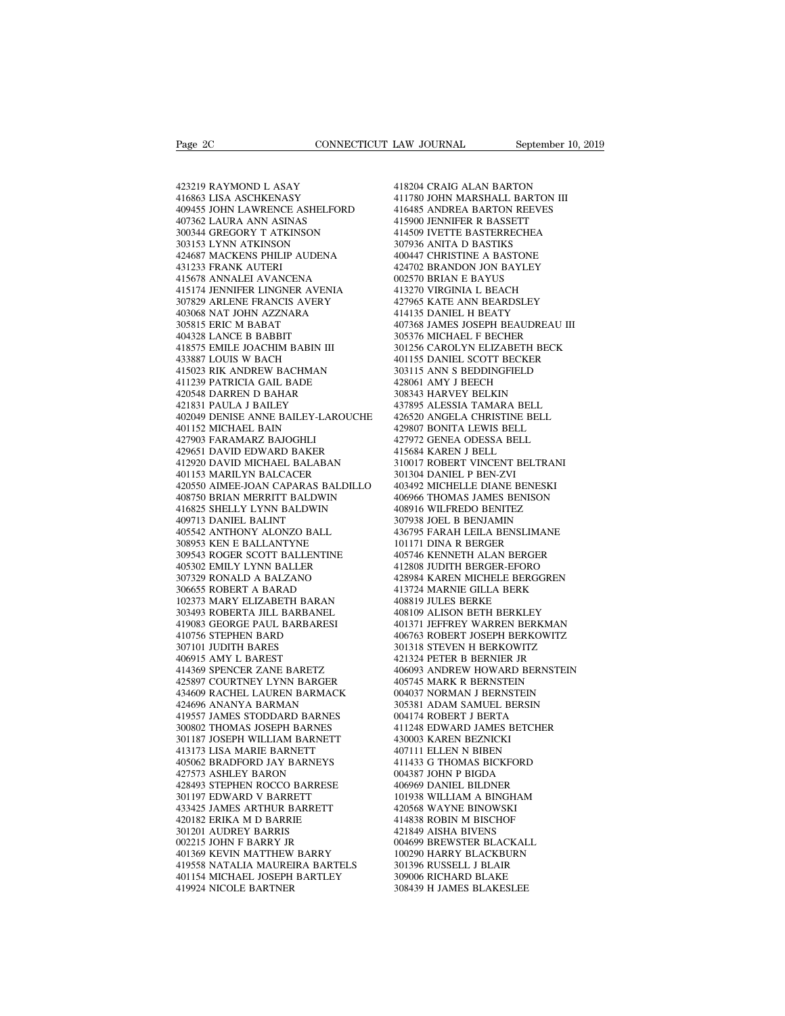Page 2C<br>
423219 RAYMOND L ASAY<br>
416863 LISA ASCHKENASY<br>
409455 JOHN LAWRENCE ASHELFORD Page 2C<br>
423219 RAYMOND L ASAY<br>
416863 LISA ASCHKENASY<br>
409455 JOHN LAWRENCE ASHELFORD<br>
407362 LAURA ANN ASINAS 409455 JOHN LAWRENCE ASHELFORD 423219 RAYMOND L ASAY<br>416863 LISA ASCHKENASY<br>416863 LISA ASCHKENASY<br>409455 JOHN LAWRENCE ASHELFORD<br>407362 LAURA ANN ASINAS<br>300344 GREGORY T ATKINSON<br>303153 LYNN ATKINSON 423219 RAYMOND L ASAY<br>416863 LISA ASCHKENASY<br>409455 JOHN LAWRENCE ASHELFORD<br>407362 LAURA ANN ASINAS<br>300344 GREGORY T ATKINSON<br>303153 LYNN ATKINSON<br>424687 MACKENS PHILIP AUDENA 423219 RAYMOND L ASAY<br>416863 LISA ASCHKENASY<br>409455 JOHN LAWRENCE ASHELFORD<br>407362 LAURA ANN ASINAS<br>303144 GREGORY T ATKINSON<br>303153 LYNN ATKINSON<br>424687 MACKENS PHILIP AUDENA<br>431233 FRANK AUTERI 423219 RAYMOND LASAY 41<br>
416863 LISA ASCHKENASY 41<br>
409455 JOHN LAWRENCE ASHELFORD 41<br>
407362 LAURA ANN ASINAS 41<br>
407362 LAURA ANN ASINAS<br>
303144 GREGORY TATKINSON 41<br>
424687 MACKENS PHILIP AUDENA 44<br>
424687 MACKENS PHILI 416863 LISA ASCHKENASY<br>409455 JOHN LAWRENCE ASHELF<br>407362 LAURA ANN ASINAS<br>300344 GREGORY T ATKINSON<br>303153 LYNN ATKINSON<br>424687 MACKENS PHILIP AUDENA<br>431233 FRANK AUTERI<br>415678 ANNALEI AVANCENA 409455 JOHN LAWRENCE ASHELFORD<br>407362 LAURA ANN ASINAS<br>300344 GREGORY T ATKINSON<br>303153 LYNN ATKINSON<br>424687 MACKENS PHILIP AUDENA<br>415173 FRANK AUTERI<br>415578 ANNALEI AVANCENA<br>415174 JENNIFER LINGNER AVENIA<br>307829 ARLENE FR 415174 JENNIFER LINGNER AVENIA 300344 GREGORY T ATKINSON<br>
303153 LYNN ATKINSON<br>
424687 MACKENS PHILIP AUDENA<br>
431233 FRANK AUTERI<br>
415678 ANNALEI AVANCENA<br>
415174 JENNIFER LINGNER AVENIA<br>
307829 ARLENE FRANCIS AVERY<br>
403068 NAT JOHN AZZNARA<br>
403068 NAT 303153 LYNN ATKINSON<br>424687 MACKENS PHILIP AUDENA<br>431233 FRANK AUTERI<br>415678 ANNALEI AVANCENA<br>415174 JENNIFER LINGNER AVENIA<br>307829 ARLENE FRANCIS AVERY<br>403068 NAT JOHN AZZNARA<br>305815 ERIC M BABAT<br>404328 LANCE B BABBIT 424687 MACKENS PHILIP AUDENA<br>431233 FRANK AUTERI<br>415678 ANNALEI AVANCENA<br>415174 JENNIFER LINGNER AVENI<br>307829 ARLENE FRANCIS AVERY<br>403068 NAT JOHN AZZNARA<br>305815 ERIC M BABAT<br>404328 LANCE B BABBIT<br>418375 EMILE JOACHIM BABI 431233 FRANK AUTERI<br>415678 ANNALEI AVANCENA<br>415174 JENNIFER LINGNER AVENIA<br>307829 ARLENE FRANCIS AVERY<br>403068 NAT JOHN AZZNARA<br>3036815 ERIC M BABAT<br>404328 LANCE B BABBIT<br>418575 EMILE JOACHIM BABIN III<br>433887 LOUIS W BACH 415678 ANNALEI AVANCENA<br>415174 JENNIFER LINGNER AVENIA<br>307829 ARLENE FRANCIS AVERY<br>403068 NAT JOHN AZZNARA<br>4036815 ERIC M BABAT<br>418438 LANCE B BABBIT<br>418575 EMILE JOACHIM BABIN III<br>433887 LOUIS W BACH<br>415023 RIK ANDREW BAC 415174 JENNIFER LINGNER AVENIA<br>307829 ARLENE FRANCIS AVERY<br>403068 NAT JOHN AZZNARA<br>305815 ERIC M BABAT<br>443388 LANCE B BABBIT<br>418575 EMILE JOACHIM BABIN III<br>433887 LOUIS W BACH<br>415023 RIK ANDREW BACHMAN<br>411023 RIK ANDREW BA 307829 ARLENE FRANCIS AVERY<br>403068 NAT JOHN AZZNARA<br>305815 ERIC M BABAT<br>404328 LANCE B BABBIT<br>418575 EMILE JOACHIM BABIN III<br>433887 LOUIS W BACH<br>415023 RIK ANDREW BACHMAN<br>411239 PATRICIA GAIL BADE<br>420548 DARREN D BAHAR 403068 NAT JOHN AZZNARA<br>305815 ERIC M BABAT<br>404328 LANCE B BABBIT<br>418575 EMILE JOACHIM BABIN III<br>433887 LOUIS W BACH<br>415023 RIK ANDREW BACHMAN<br>411239 PATRICIA GAIL BADE<br>420548 DARREN D BAHAR<br>421831 PAULA J BAILEY 305815 ERIC M BABAT<br>404328 LANCE B BABBIT<br>418575 EMILE JOACHIM BABIN III<br>433887 LOUIS W BACH<br>415023 RIK ANDREW BACHMAN<br>411239 PATRICIA GAIL BADE<br>420548 DARREN D BAHAR<br>421831 PAULA J BAILEY<br>402049 DENISE ANNE BAILEY-LAROUC 404328 LANCE B BABBIT<br>418575 EMILE JOACHIM BABIN III<br>433887 LOUIS W BACH<br>415023 RIK ANDREW BACHMAN<br>411239 PATRICIA GAIL BADE<br>420548 DARREN D BAHAR<br>421831 PAULA J BAILEY<br>402049 DENISE ANNE BAILEY-LAROU(<br>401152 MICHAEL BAIN 402049 DENISE ANNE BAILEY-LAROUCHE 433887 LOUIS W BACH<br>415023 RIK ANDREW BACHMAN<br>411239 PATRICIA GAIL BADE<br>420548 DARREN D BAHAR<br>421831 PAULA J BAILEY<br>402049 DENISE ANNE BAILEY-LARO!<br>401152 MICHAEL BAIN<br>427903 FARAMARZ BAJOGHLI<br>429651 DAVID EDWARD BAKER 415023 RIK ANDREW BACHMAN<br>411239 PATRICIA GAIL BADE<br>420548 DARREN D BAHAR<br>421831 PAULA J BAILEY<br>402049 DENISE ANNE BAILEY-LARO<br>401152 MICHAEL BAIN<br>427903 FARAMARZ BAJOGHLI<br>429651 DAVID EDWARD BAKER<br>4129631 DAVID EDWARD BAK 411239 PATRICIA GAIL BADE<br>420548 DARREN D BAHAR<br>421831 PAULA J BAILEY<br>402049 DENISE ANNE BAILEY-LAROUCHE<br>401152 MICHAEL BAIN<br>427903 FARAMARZ BAJOGHLI<br>429651 DAVID EDWARD BAKER<br>412920 DAVID MICHAEL BALABAN<br>401153 MARILYN BA 412920 DAVID MICHAEL BALABAN 421831 PAULA J BAILEY<br>402049 DENISE ANNE BAILEY-LAROUCHE<br>401152 MICHAEL BAIN<br>427903 FARAMARZ BAJOGHLI<br>429631 DAVID MICHAEL BALABAN<br>412920 DAVID MICHAEL BALABAN<br>401153 MARILYN BALCACER<br>420550 AIMEE-JOAN CAPARAS BALDILLO<br>408 420550 AIMEE-JOAN CAPARAS BALDILLO 401152 MICHAEL BAIN 42<br>
427903 FARAMARZ BAJOGHLI 42<br>
429651 DAVID EDWARD BAKER 41<br>
412920 DAVID MICHAEL BALABAN 31<br>
401153 MARILYN BALCACER 30<br>
408750 BRIAN MERRITT BALDWIN 44<br>
408750 BRIAN MERRITT BALDWIN 44<br>
408750 BRIAN 427903 FARAMARZ BAJOGHLI<br>429651 DAVID EDWARD BAKER<br>412920 DAVID MICHAEL BALABAN<br>401153 MARILYN BALCACER<br>420550 AIMEE-JOAN CAPARAS BALDILLO<br>408750 BRIAN MERRITT BALDWIN<br>416825 SHELLY LYNN BALDWIN<br>409713 DANIEL BALINT<br>405542 429651 DAVID EDWARD BAKER<br>412920 DAVID MICHAEL BALABAN<br>401153 MARILYN BALCACER<br>420550 AIMEE-JOAN CAPARAS BALL<br>408750 BRIAN MERRITT BALDWIN<br>416825 SHELLY LYNN BALDWIN<br>409713 DANIEL BALINT<br>405542 ANTHONY ALONZO BALL<br>308953 K 412920 DAVID MICHAEL BALABAN<br>401153 MARILYN BALCACER<br>420550 AIMEE-JOAN CAPARAS BALDILLO<br>408750 BRIAN MERRITT BALDWIN<br>416825 SHELLY LYNN BALDWIN<br>409713 DANIEL BALINT<br>405542 ANTHONY ALONZO BALL<br>308953 KEN E BALLANTYNE<br>309543 401153 MARILYN BALCACER<br>420550 AIMEE-JOAN CAPARAS BALDILL<br>408750 BRIAN MERRITT BALDWIN<br>416825 SHELLY LYNN BALDWIN<br>409713 DANIEL BALIANT<br>405542 ANTHONY ALONZO BALL<br>308953 KEN E BALLANTYNE<br>309543 ROGER SCOTT BALLENTINE<br>40530 420550 AIMEE-JOAN CAPARAS BALDILLO<br>408750 BRIAN MERRITT BALDWIN<br>416825 SHELLY LYNN BALDWIN<br>409713 DANIEL BALINT<br>409713 DANIEL BALINT<br>308953 KEN E BALLANTYNE<br>309543 ROGER SCOTT BALLENTINE<br>405302 EMILY LYNN BALLER<br>307329 RON 408750 BRIAN MERRITT BALDWIN<br>416825 SHELLY LYNN BALDWIN<br>409713 DANIEL BALINT<br>405542 ANTHONY ALONZO BALL<br>308953 KEN E BALLANTYNE<br>309543 ROGER SCOTT BALLENTINE<br>405302 EMILY LYNN BALLER<br>307329 RONALD A BALZANO<br>306655 ROBERT A 416825 SHELLY LYNN BALDWIN<br>409713 DANIEL BALINT<br>405542 ANTHONY ALONZO BALL<br>308953 KEN E BALLANTYNE<br>309543 ROGER SCOTT BALLENTINE<br>405302 EMILY LYNN BALLER<br>307329 RONALD A BALZANO<br>306655 ROBERT A BARAD<br>102373 MARY ELIZABETH 409713 DANIEL BALINT<br>405542 ANTHONY ALONZO BALL<br>308953 KEN E BALLANTYNE<br>309543 ROGER SCOTT BALLENTINE<br>405302 EMILY LYNN BALLER<br>307329 RONALD A BALZANO<br>306655 ROBERT A BARAD<br>102373 MARY ELIZABETH BARAN<br>303493 ROBERTA JILL B 405542 ANTHONY ALONZO BALL<br>
308953 KEN E BALLANTYNE<br>
309543 ROGER SCOTT BALLENTINE<br>
405302 EMILY LYNN BALLER<br>
403302 EMILY LYNN BALLER<br>
307329 ROBERT A BARAD<br>
102373 MARY ELIZABETH BARAN<br>
4033493 ROBERTA JILL BARBANEL<br>
419 308953 KEN E BALLANTYNE<br>309543 ROGER SCOTT BALLENTINE<br>405302 EMILY LYNN BALLER<br>307329 RONALD A BALZANO<br>306655 ROBERTA BARAD<br>102373 MARY ELIZABETH BARAN<br>303493 ROBERTA JILL BARBANEL<br>419083 GEORGE PAUL BARBARESI<br>410756 STEPH 309543 ROGER SCOTT BALLENTINE<br>405302 EMILY LYNN BALLER<br>307329 RONALD A BALZANO<br>306655 ROBERT A BARAD<br>102373 MARY ELIZABETH BARAN<br>303493 ROBERTA JILL BARBANEL<br>419083 GEORGE PAUL BARBARESI<br>40756 STEPHEN BARD<br>307101 JUDITH BA 405302 EMILY LYNN BALLER<br>307329 RONALD A BALZANO<br>306655 ROBERT A BARAD<br>102373 MARY ELIZABETH BARAN<br>403493 ROBERTA JILL BARBANEL<br>419083 GEORGE PAUL BARBARESI<br>40756 STEPHEN BARD<br>307101 JUDITH BARES<br>406915 AMY L BAREST 307329 RONALD A BALZANO<br>306655 ROBERT A BARAD<br>102373 MARY ELIZABETH BARAI<br>303493 ROBERTA JILL BARBANE<br>419083 GEORGE PAUL BARBARE<br>410756 STEPHEN BARD<br>307101 JUDITH BARES<br>406915 AMY L BAREST<br>414369 SPENCER ZANE BARETZ 306655 ROBERT A BARAD<br>102373 MARY ELIZABETH BARAN<br>303493 ROBERTA JILL BARBANEL<br>419083 GEORGE PAUL BARBARESI<br>410756 STEPHEN BARD<br>307101 JUDITH BARES<br>406915 AMY L BAREST<br>414369 SPENCER ZANE BARETZ<br>425897 COURTNEY LYNN BARGER 102373 MARY ELIZABETH BARAN<br>303493 ROBERTA JILL BARBANEL<br>419083 GEORGE PAUL BARBARESI<br>410756 STEPHEN BARD<br>307101 JUDITH BARES<br>406915 AMY L BAREST<br>414369 SPENCER ZANE BARETZ<br>425897 COURTNEY LYNN BARGER<br>434609 RACHEL LAUREN 303493 ROBERTA JILL BARBANEL<br>419083 GEORGE PAUL BARBARESI 4<br>410756 STEPHEN BARD 4<br>307101 JUDITH BARES 3<br>406915 AMY L BAREST 441436 SPENCER ZANE BARETZ 425897 COURTNEY LYNN BARGER 4<br>434609 RACHEL LAUREN BARMACK 424696 ANANY 419083 GEORGE PAUL BARBARESI 4013<br>
410756 STEPHEN BARD 406<br>
307101 JUDITH BARES 3013<br>
406915 AMY L BAREST 4213<br>
414369 RENCER ZANE BARETZ 406<br>
428897 COURTNEY LYNN BARGER 4053<br>
434609 RACHEL LAUREN BARMACK 0044<br>
424696 ANA 410756 STEPHEN BARD<br>307101 JUDITH BARES<br>406915 AMY L BAREST<br>414369 SPENCER ZANE BARETZ<br>425897 COURTNEY LYNN BARGER<br>434609 RACHEL LAUREN BARMACK<br>424696 ANANYA BARMAN<br>419557 JAMES STODDARD BARNES<br>300802 THOMAS JOSEPH BARNES 307101 JUDITH BARES<br>406915 AMY L BAREST<br>414369 SPENCER ZANE BARETZ<br>425897 COURTNEY LYNN BARGER<br>434609 RACHEL LAUREN BARMACK<br>414696 ANANYA BARMAN<br>419557 JAMES STODDARD BARNES<br>300802 THOMAS JOSEPH BARNES<br>30187 JOSEPH WILLIAM 406915 AMY L BAREST<br>414369 SPENCER ZANE BARETZ<br>425897 COURTNEY LYNN BARGER<br>434609 RACHEL LAUREN BARMACK<br>424696 ANANYA BARMAN<br>419557 JAMES STODDARD BARNES<br>300802 THOMAS JOSEPH BARNES<br>30187 JOSEPH WILLIAM BARNETT<br>413173 LISA 414369 SPENCER ZANE BARETZ<br>425897 COURTNEY LYNN BARGER<br>434609 RACHEL LAUREN BARMACK (424696 ANANYA BARMAN (424696 ANANYA BARMAN (4357 JAMES 300802 THOMAS JOSEPH BARNES<br>301187 JOSEPH WILLIAM BARNETT (413173 LISA MARIE BARNE 425897 COURTNEY LYNN BARGER<br>434609 RACHEL LAUREN BARMACK<br>424696 ANANYA BARMAN<br>419557 JAMES STODDARD BARNES<br>300802 THOMAS JOSEPH BARNET<br>300802 THOMAS JOSEPH WILLAM BARNETT<br>413173 LISA MARIE BARNETT<br>405062 BRADFORD JAY BARNE 434609 RACHEL LAUREN BARMACK<br>424696 ANANYA BARMAN<br>419557 JAMES STODDARD BARNES<br>300802 THOMAS JOSEPH BARNES<br>301187 JOSEPH WILLIAM BARNETT<br>413173 LISA MARIE BARNETT<br>405062 BRADFORD JAY BARNEYS<br>427573 ASHLEY BARON<br>428493 STEP 424696 ANANYA BARMAN<br>419557 JAMES STODDARD BARNES<br>300802 THOMAS JOSEPH BARNES<br>301187 JOSEPH WILLIAM BARNETT<br>413173 LISA MARIE BARNETT<br>405062 BRADFORD JAY BARNEYS<br>427573 ASHLEY BARON<br>428493 STEPHEN ROCCO BARRESE<br>301197 EDWA 419557 JAMES STODDARD BARNES<br>300802 THOMAS JOSEPH BARNES<br>301187 JOSEPH WILLIAM BARNETT<br>413173 LISA MARIE BARNETT<br>405062 BRADFORD JAY BARNEYS<br>427573 ASHLEY BARON<br>428493 STEPHEN ROCCO BARRESE<br>301197 EDWARD V BARRETT<br>433425 J 300802 THOMAS JOSEPH BARNES<br>301187 JOSEPH WILLIAM BARNETT<br>413173 LISA MARIE BARNETT<br>405062 BRADFORD JAY BARNEYS<br>427573 ASHLEY BARON<br>428493 STEPHEN ROCCO BARRESE<br>301197 EDWARD V BARRETT<br>433425 JAMES ARTHUR BARRETT<br>420182 ER 301187 JOSEPH WILLIAM BARNETT<br>413173 LISA MARIE BARNETT<br>405062 BRADFORD JAY BARNEYS<br>427573 ASHLEY BARON<br>428493 STEPHEN ROCCO BARRESE<br>301197 EDWARD V BARRETT<br>433425 JAMES ARTHUR BARRETT<br>420182 ERIKA M D BARRE<br>301201 AUDREY 413173 LISA MARIE BARNETT<br>405062 BRADFORD JAY BARNEYS<br>427573 ASHLEY BARON<br>428493 STEPHEN ROCCO BARRESE<br>301197 EDWARD V BARRETT<br>433425 JAMES ARTHUR BARRETT<br>40182 ERIKA M D BARRIE<br>301201 AUDREY BARRIS<br>002215 JOHN F BARRY JR 428493 STEPHEN ROCCO BARRESE<br>301197 EDWARD V BARRETT<br>433425 JAMES ARTHUR BARRETT<br>40182 ERIKA M D BARRIE<br>301201 AUDREY BARRIS<br>002215 JOHN F BARRY JR<br>401369 KEVIN MATTHEW BARRY 427573 ASHLEY BARON<br>428493 STEPHEN ROCCO BARRESE<br>301197 EDWARD V BARRETT<br>433425 JAMES ARTHUR BARRETT<br>420182 ERIKA M D BARRIE<br>301201 AUDREY BARRIS<br>002215 JOHN F BARRY JR<br>401369 KEVIN MATTHEW BARRY<br>419558 NATALIA MAUREIRA BA 428493 STEPHEN ROCCO BARRESE<br>
301197 EDWARD V BARRETT<br>
433425 JAMES ARTHUR BARRETT<br>
420182 ERIKA M D BARRIE<br>
420182 ERIKA M D BARRIE<br>
6002215 JOHN F BARRY JR<br>
401369 KEVIN MATTHEW BARRY (1419558 NATALIA MAUREIRA BARTELS 14 10197 EDWARD V BARRETT 101<br>
433425 JAMES ARTHUR BARRETT 420<br>
42182 ERIKA M D BARRIE 114<br>
41201201 AUDREY BARRIS 1002215<br>
602215 JOHN F BARRY 110<br>
401159 KEVIN MATTHEW BARRY 100<br>
419558 NATALIA MAUREIRA BARTELS 301<br>
401154 433425 JAMES ARTHUR BARRETT 420<br>
420182 ERIKA M D BARRIE 414<br>
301201 AUDREY BARRIS 421<br>
002215 JOHN F BARRY JR 6004<br>
401369 KEVIN MATTHEW BARRY 100<br>
419558 NATALIA MAUREIRA BARTELS 309<br>
401154 MICHAEL JOSEPH BARTLEY 309<br>
4 420182 ERIKA M D BARRIE<br>301201 AUDREY BARRIS<br>002215 JOHN F BARRY JR<br>401369 KEVIN MATTHEW BARRY<br>419558 NATALIA MAUREIRA BARTELS<br>401154 MICHAEL JOSEPH BARTLEY<br>419924 NICOLE BARTNER

LAW JOURNAL September 10, 201<br>418204 CRAIG ALAN BARTON<br>411780 JOHN MARSHALL BARTON III<br>416485 ANDREA BARTON REEVES LAW JOURNAL<br>418204 CRAIG ALAN BARTON<br>411780 JOHN MARSHALL BARTON III<br>416485 ANDREA BARTON REEVES<br>415900 JENNIFER R BASSETT LAW JOURNAL September 10, 2019<br>418204 CRAIG ALAN BARTON<br>411780 JOHN MARSHALL BARTON III<br>416485 ANDREA BARTON REEVES<br>415900 JENNIFER R BASSETT<br>414509 IVETTE BASTERRECHEA 418204 CRAIG ALAN BARTON<br>411780 JOHN MARSHALL BARTON III<br>416485 ANDREA BARTON REEVES<br>415900 JENNIFER R BASSETT<br>414509 IVETTE BASTERRECHEA<br>307936 ANITA D BASTIKS 418204 CRAIG ALAN BARTON<br>411780 JOHN MARSHALL BARTON III<br>416485 ANDREA BARTON REEVES<br>415900 IENNIFER R BASSETT<br>414509 IVETTE BASTERRECHEA<br>307936 ANITA D BASTIKS<br>400447 CHRISTINE A BASTONE 418204 CRAIG ALAN BARTON<br>411780 JOHN MARSHALL BARTON III<br>416485 ANDREA BARTON REEVES<br>415900 JENNIFER R BASSETT<br>414509 IVETTE BASTERRECHEA<br>307936 ANITA D BASTIKS<br>400447 CHRISTINE A BASTONE<br>424702 BRANDON JON BAYLEY 418204 CRAIG ALAN BARTON<br>411780 JOHN MARSHALL BARTON III<br>416485 ANDREA BARTON REEVES<br>415900 JENNIFER R BASSETT<br>414509 IVEITE BASTERRECHEA<br>307936 ANITA D BASTIKS<br>400447 CHRISTINE A BASTONE<br>424702 BRANDON JON BAYLEY<br>002570 B 411780 JOHN MARSHALL BARTON III<br>416485 ANDREA BARTON REEVES<br>415900 JENNIFER R BASSETT<br>414509 IVETTE BASTERRECHEA<br>307936 ANITA D BASTIKS<br>400447 CHRISTINE A BASTONE<br>424702 BRANDON JON BAYLEY<br>002570 BRIAN E BAYUS<br>413270 VIRGI 416485 ANDREA BARTON REEVES<br>415900 JENNIFER R BASSETT<br>414509 IVETTE BASTERRECHEA<br>307936 ANITA D BASTIKS<br>400447 CHRISTINE A BASTONE<br>424702 BRANDON JON BAYLEY<br>002570 BRIAN E BAYUS<br>413270 VIRGINIA L BEACH<br>427965 KATE ANN BEAR 415900 JENNIFER R BASSETT<br>414509 IVETTE BASTERRECHEA<br>307936 ANITA D BASTIKS<br>400447 CHRISTINE A BASTONE<br>424702 BRANDON JON BAYLEY<br>002570 BRIAN E BAYUS<br>413270 VIRGINIA L BEACH<br>427965 KATE ANN BEARDSLEY<br>414135 DANIEL H BEATY 414509 IVETTE BASTERRECHEA<br>307936 ANITA D BASTIKS<br>400447 CHRISTINE A BASTONE<br>424702 BRANDON JON BAYLEY<br>002570 BRIAN E BAYUS<br>413270 VIRGINIA L BEACH<br>427965 KATE ANN BEARDSLEY<br>414135 DANIEL H BEATY<br>407368 JAMES JOSEPH BEAUDR 307936 ANITA D BASTIKS<br>400447 CHRISTINE A BASTONE<br>424702 BRANDON JON BAYLEY<br>002570 BRIAN E BAYUS<br>413270 VIRGINIA L BEACH<br>427965 KATE ANN BEARDSLEY<br>414135 DANIEL H BEATY<br>407368 JAMES JOSEPH BEAUDREAU III<br>305376 MICHAEL F BE 400447 CHRISTINE A BASTONE<br>424702 BRANDON JON BAYLEY<br>002570 BRIAN E BAYUS<br>413270 VIRGINIA L BEACH<br>427965 KATE ANN BEARDSLEY<br>407368 JAMES JOSEPH BEAUDREAU III<br>305376 MICHAEL F BECHER<br>301256 CAROLYN ELIZABETH BECK 424702 BRANDON JON BAYLEY<br>002570 BRIAN E BAYUS<br>413270 VIRGINIA L BEACH<br>427965 KATE ANN BEARDSLEY<br>414135 DANIEL H BEATY<br>407368 JAMES JOSEPH BEAUDREAU III<br>305376 MICHAEL F BECHER<br>301256 CAROLYN ELIZABETH BECK<br>401155 DANIEL S 002570 BRIAN E BAYUS<br>413270 VIRGINIA L BEACH<br>427965 KATE ANN BEARDSLEY<br>414135 DANIEL H BEATY<br>407368 JAMES JOSEPH BEAUDREAU III<br>303576 MICHAEL F BECHER<br>301256 CAROLYN ELIZABETH BECK<br>401155 DANIEL SCOTT BECKER<br>303115 ANN S B 413270 VIRGINIA L BEACH<br>427965 KATE ANN BEARDSLEY<br>414135 DANIEL H BEATY<br>407368 JAMES JOSEPH BEAUDREAU III<br>305376 MICHAEL F BECHER<br>301256 CAROLYN ELIZABETH BECK<br>401155 DANIEL SCOTT BECKER<br>303115 ANN S BEDDINGFIELD<br>428061 AM 427965 KATE ANN BEARDSLEY<br>414135 DANIEL H BEATY<br>407368 JAMES JOSEPH BEAUDREAU III<br>305376 MICHAEL F BECHER<br>301256 CAROLYN ELIZABETH BECK<br>401155 DANIEL SCOTT BECKER<br>303115 ANN S BEDDINGFIELD<br>428061 AMY J BEECH<br>308343 HARVEY 414135 DANIEL H BEATY<br>407368 JAMES JOSEPH BEAUDREAU<br>305376 MICHAEL F BECHER<br>301256 CAROLYN ELIZABETH BECI<br>401155 DANIEL SCOTT BECKER<br>303115 ANN S BEDDINGFIELD<br>428061 AMY J BEECH<br>308343 HARVEY BELKIN<br>437895 ALESSIA TAMARA B 407368 JAMES JOSEPH BEAUDREAU II<br>305376 MICHAEL F BECHER<br>301256 CAROLYN ELIZABETH BECK<br>401155 DANIEL SCOTT BECKER<br>403115 ANN S BEDDINGFIELD<br>428061 AMY J BEECH<br>308343 HARVEY BELKIN<br>437895 ALESSIA TAMARA BELL<br>426520 ANGELA C 305376 MICHAEL F BECHER<br>301256 CAROLYN ELIZABETH BECK<br>401155 DANIEL SCOTT BECKER<br>303115 ANN S BEDDINGFIELD<br>428061 AMY J BEECH<br>308343 HARVEY BELKIN<br>437895 ALESSIA TAMARA BELL<br>426520 ANGELA CHRISTINE BELL<br>429807 BONITA LEWIS 301256 CAROLYN ELIZABETH BECK<br>401155 DANIEL SCOTT BECKER<br>303115 ANN S BEDDINGFIELD<br>428061 AMY J BEECH<br>308343 HARVEY BELKIN<br>437895 ALESSIA TAMARA BELL<br>426520 ANGELA CHRISTINE BELL<br>429807 BONITA LEWIS BELL<br>427972 GENEA ODESS 401155 DANIEL SCOTT BECKER<br>303115 ANN S BEDDINGFIELD<br>428061 AMY J BEECH<br>308343 HARVEY BELKIN<br>437895 ALESSIA TAMARA BELL<br>426520 ANGELA CHRISTINE BELL<br>4429807 BONITA LEWIS BELL<br>427972 GENEA ODESSA BELL<br>415684 KAREN J BELL 303115 ANN S BEDDINGFIELD<br>428061 AMY J BEECH<br>308343 HARVEY BELKIN<br>437895 ALESSIA TAMARA BELL<br>426520 ANGELA CHRISTINE BELL<br>429877 BONITA LEWIS BELL<br>417972 GENEA ODESSA BELL<br>415684 KAREN J BELL<br>310017 ROBERT VINCENT BELTRANI 428061 AMY J BEECH<br>308343 HARVEY BELKIN<br>437895 ALESSIA TAMARA BELL<br>426520 ANGELA CHRISTINE BELL<br>429807 BONITA LEWIS BELL<br>415684 KAREN J BELL<br>415684 KAREN J BELL<br>310017 ROBERT VINCENT BELTR/<br>301304 DANIEL P BEN-ZVI 308343 HARVEY BELKIN<br>437895 ALESSIA TAMARA BELL<br>426520 ANGELA CHRISTINE BELL<br>429807 BONITA LEWIS BELL<br>427972 GENEA ODESSA BELL<br>415684 KAREN J BELL<br>310017 ROBERT VINCENT BELTRANI<br>301304 DANIEL P BEN-ZVI<br>403492 MICHELLE DIAN 437895 ALESSIA TAMARA BELL<br>426520 ANGELA CHRISTINE BEL<br>429807 BONITA LEWIS BELL<br>427972 GENEA ODESSA BELL<br>415684 KAREN J BELL<br>310117 ROBERT VINCENT BELTR<br>301304 DANIEL P BEN-ZVI<br>403492 MICHELLE DIANE BENES<br>406966 THOMAS JAM 426520 ANGELA CHRISTINE BELL<br>429807 BONITA LEWIS BELL<br>427972 GENEA ODESSA BELL<br>415684 KAREN J BELL<br>310017 ROBERT VINCENT BELTRANI<br>301304 DANIEL P BEN-ZVI<br>403492 MICHELLE DIANE BENESKI<br>406966 THOMAS JAMES BENISON<br>408916 WIL 429807 BONITA LEWIS BELL<br>427972 GENEA ODESSA BELL<br>415684 KAREN J BELL<br>310017 ROBERT VINCENT BELTRANI<br>301304 DANIEL P BEN-ZVI<br>403492 MICHELLE DIANE BENESKI<br>406966 THOMAS JAMES BENISON<br>408916 WILFREDO BENITEZ<br>307938 JOEL B B 427972 GENEA ODESSA BELL<br>415684 KAREN J BELL<br>310017 ROBERT VINCENT BELTRANI<br>301304 DANIEL P BEN-ZVI<br>403492 MICHELLE DIANE BENESKI<br>408916 THOMAS JAMES BENISON<br>408916 WILFREDO BENITEZ<br>307938 JOEL B BENJAMIN<br>436795 FARAH LEIL 415684 KAREN J BELL<br>310017 ROBERT VINCENT BELTRANI<br>301304 DANIEL P BEN-ZVI<br>403492 MICHELLE DIANE BENESKI<br>40696 THOMAS JAMES BENISON<br>408916 WILFREDO BENITEZ<br>307938 JOEL B BENJAMIN<br>436795 FARAH LEILA BENSLIMANE<br>101171 DINA R 310017 ROBERT VINCENT BELTRANI<br>301304 DANIEL P BEN-ZVI<br>403492 MICHELLE DIANE BENESKI<br>406966 THOMAS JAMES BENISON<br>408916 WILFREDO BENITEZ<br>307938 JOEL B BENJAMIN<br>436795 FARAH LEILA BENSLIMANE<br>101171 DINA R BERGER<br>405746 KENN 301304 DANIEL P BEN-ZVI<br>403492 MICHELLE DIANE BENESKI<br>406966 THOMAS JAMES BENISON<br>408916 WILFREDO BENITEZ<br>307938 JOEL B BENJAMIN<br>436795 FARAH LEILA BENSLIMANE<br>101171 DINA R BERGER<br>405746 KENNETH ALAN BERGER<br>412808 JUDITH B 403492 MICHELLE DIANE BENESKI<br>406966 THOMAS JAMES BENISON<br>408916 WILFREDO BENITEZ<br>307938 JOEL B BENJAMIN<br>436795 FARAH LEILA BENSLIMANE<br>101171 DINA R BERGER<br>405746 KENNETH ALAN BERGER<br>412808 JUDITH BERGER-EFORO<br>428984 KAREN 406966 THOMAS JAMES BENISON<br>408916 WILFREDO BENITEZ<br>307938 JOEL B BENJAMIN<br>436795 FARAH LEILA BENSLIMANE<br>101171 DINA R BERGER<br>405746 KENNETH ALAN BERGER<br>412808 JUDITH BERGER-EFORO<br>428984 KAREN MICHELE BERGGREN<br>413724 MARNI 408916 WILFREDO BENITEZ<br>307938 JOEL B BENJAMIN<br>436795 FARAH LEILA BENSLIMANE<br>101171 DINA R BERGER<br>405746 KENNETH ALAN BERGER<br>412808 JUDITH BERGER-EFORO<br>428984 KAREN MICHELE BERGGREN<br>413724 MARNIE GILLA BERK<br>408819 JULES BE 307938 JOEL B BENJAMIN<br>436795 FARAH LEILA BENSLIMANE<br>101171 DINA R BERGER<br>405746 KENNETH ALAN BERGER<br>412808 JUDITH BERGER-EFORO<br>428984 KAREN MICHELE BERGGREN<br>413724 MARNIE GILLA BERK<br>408819 JULES BERKE<br>408819 JULES BERKE<br>4 436795 FARAH LEILA BENSLIMA<br>101171 DINA R BERGER<br>405746 KENNETH ALAN BERGER<br>412808 JUDITH BERGER-EFORO<br>42894 KARRIN MICHELE BERGG<br>413724 MARNIE GILLA BERK<br>40819 JULES BERKE<br>408109 ALISON BETH BERKLEY<br>401371 JEFFREY WARREN 101171 DINA R BERGER<br>405746 KENNETH ALAN BERGER<br>412808 JUDITH BERGER-EFORO<br>428984 KAREN MICHELE BERGGREN<br>413724 MARNIE GILLA BERK<br>40819 JULES BERKE<br>408109 ALISON BETH BERKLEY<br>401371 JEFFREY WARREN BERKMAN<br>406763 ROBERT JOS 405746 KENNETH ALAN BERGER<br>412808 JUDITH BERGER-EFORO<br>428984 KAREN MICHELE BERGGREN<br>413724 MARNIE GILLA BERK<br>408819 JULES BERKE<br>408109 ALISON BETH BERKLEY<br>401371 JEFFREY WARREN BERKMAN<br>406763 ROBERT JOSEPH BERKOWITZ<br>301318 412808 JUDITH BERGER-EFORO<br>428984 KAREN MICHELE BERGGREN<br>413724 MARNIE GILLA BERK<br>40819 JULES BERKE<br>408109 ALISON BETH BERKLEY<br>401371 JEFFREY WARREN BERKMAN<br>406763 ROBERT JOSEPH BERKOWITZ<br>301318 STEVEN H BERKOWITZ<br>421324 P 428984 KAREN MICHELE BERGGREN<br>413724 MARNIE GILLA BERK<br>408819 JULES BERKE<br>408109 ALISON BETH BERKLEY<br>401371 JEFFREY WARREN BERKOWITZ<br>401673 ROBERT JOSEPH BERKOWITZ<br>301318 STEVEN H BERKOWITZ<br>421324 PETER B BERNER JR<br>406093 413724 MARNIE GILLA BERK<br>408819 JULES BERKE<br>408109 ALISON BETH BERKLEY<br>401371 JEFFREY WARREN BERKMAN<br>406763 ROBERT JOSEPH BERKOWITZ<br>301318 STEVEN H BERKOWITZ<br>421324 PETER B BERNIER JR<br>406093 ANDREW HOWARD BERNSTEIN<br>405745 408819 JULES BERKE<br>408109 ALISON BETH BERKLEY<br>401371 JEFFREY WARREN BERKMAN<br>406763 ROBERT JOSEPH BERKOWITZ<br>301318 STEVEN H BERKOWITZ<br>421324 PETER B BERNER JR<br>406093 ANDREW HOWARD BERNSTEIN<br>405745 MARK R BERNSTEIN<br>004037 NO 408109 ALISON BETH BERKLEY<br>401371 JEFFREY WARREN BERKMAN<br>406763 ROBERT JOSEPH BERKOWITZ<br>301318 STEVEN H BERKOWITZ<br>421324 PETER B BERNER JR<br>406093 ANDREW HOWARD BERNSTEIN<br>405745 MARK R BERNSTEIN<br>004037 NORMAN J BERNSTEIN<br>30 401371 JEFFREY WARREN BERKMAN<br>406763 ROBERT JOSEPH BERKOWITZ<br>301318 STEVEN H BERKOWITZ<br>421324 PETER B BERNIER JR<br>406093 ANDREW HOWARD BERNSTEIN<br>004037 NORMAN J BERNSTEIN<br>305381 ADAM SAMUEL BERSIN<br>004037 NORMAN J BERNSTEIN<br> 406763 ROBERT JOSEPH BERKOWITZ<br>301318 STEVEN H BERKOWITZ<br>421324 PETER B BERNER JR<br>406093 ANDREW HOWARD BERNSTEIN<br>004037 NORMAN J BERNSTEIN<br>004137 NORMAN J BERNSTEIN<br>305381 ADAM SAMUEL BERSIN<br>004174 ROBERT J BERTA<br>411248 ED 301318 STEVEN H BERKOWITZ<br>421324 PETER B BERNIER JR<br>406093 ANDREW HOWARD BERNSTEIN<br>405745 MARK R BERNSTEIN<br>004037 NORMAN J BERNSTEIN<br>305381 ADAM SAMUEL BERSIN<br>004174 ROBERT J BERTA<br>411248 EDWARD JAMES BETCHER<br>430003 KAREN 421324 PETER B BERNIER JR<br>406093 ANDREW HOWARD BERNSTEIN<br>405745 MARK R BERNSTEIN<br>004037 NORMAN J BERNSTEIN<br>305381 ADAM SAMUEL BERSIN<br>004174 ROBERT J BERTA<br>411248 EDWARD JAMES BETCHER<br>430003 KAREN BEZNICKI<br>407111 ELLEN N BI 406093 ANDREW HOWARD BER<br>405745 MARK R BERNSTEIN<br>004037 NORMAN J BERNSTEIN<br>305381 ADAM SAMUEL BERSIN<br>004174 ROBERT J BERTA<br>411248 EDWARD JAMES BETCH<br>430003 KAREN BEZNICKI<br>407111 ELLEN N BIBEN<br>411433 G THOMAS BICKFORD 405745 MARK R BERNSTEIN<br>004037 NORMAN J BERNSTEIN<br>305381 ADAM SAMUEL BERSIN<br>004174 ROBERT J BERTA<br>411248 EDWARD JAMES BETCHER<br>4130003 KAREN BEZNICKI<br>407111 ELLEN N BIBEN<br>411433 G THOMAS BICKFORD<br>004387 JOHN P BIGDA 004037 NORMAN J BERNSTEIN<br>305381 ADAM SAMUEL BERSIN<br>004174 ROBERT J BERTA<br>411248 EDWARD JAMES BETCHER<br>430003 KAREN BEZNICKI<br>407111 ELLEN N BIBEN<br>411433 G THOMAS BICKFORD<br>004387 JOHN P BIGDA<br>406969 DANIEL BILDNER 305381 ADAM SAMUEL BERSIN<br>004174 ROBERT J BERTA<br>411248 EDWARD JAMES BETCHER<br>430003 KAREN BEZNICKI<br>407111 ELLEN N BIBEN<br>411433 G THOMAS BICKFORD<br>004387 JOHN P BIGDA<br>406969 DANIEL BILDNER<br>101938 WILLIAM A BINGHAM 004174 ROBERT J BERTA<br>411248 EDWARD JAMES BETCHER<br>430003 KAREN BEZNICKI<br>407111 ELLEN N BIBEN<br>411433 G THOMAS BICKFORD<br>004387 JOHN P BIGDA<br>406969 DANIEL BILDNER<br>101938 WILLIAM A BINGHAM<br>420568 WAYNE BINOWSKI 411248 EDWARD JAMES BETCHER<br>430003 KAREN BEZNICKI<br>407111 ELLEN N BIBEN<br>411433 G THOMAS BICKFORD<br>004387 JOHN P BIGDA<br>406969 DANIEL BILDNER<br>101938 WILLIAM A BINGHAM<br>420568 WAYNE BINOWSKI<br>414838 ROBIN M BISCHOF 430003 KAREN BEZNICKI<br>407111 ELLEN N BIBEN<br>411433 G THOMAS BICKFORD<br>004387 JOHN P BIGDA<br>406969 DANIEL BILDNER<br>101938 WILLIAM A BINGHAM<br>420568 WAYNE BINOWSKI<br>414838 ROBIN M BISCHOF<br>421849 AISHA BIVENS 407111 ELLEN N BIBEN<br>411433 G THOMAS BICKFORD<br>004387 JOHN P BIGDA<br>406969 DANIEL BILDNER<br>101938 WILLIAM A BINGHAM<br>419568 WAYNE BINOWSKI<br>414838 ROBIN M BISCHOF<br>421849 AISHA BIVENS<br>004699 BREWSTER BLACKALL 411433 G THOMAS BICKFORD<br>004387 JOHN P BIGDA<br>406969 DANIEL BILDNER<br>101938 WILLIAM A BINGHAM<br>420568 WAYNE BINOWSKI<br>414838 ROBIN M BISCHOF<br>421849 AISHA BIVENS<br>004699 BREWSTER BLACKALL<br>100290 HARRY BLACKBURN 004387 JOHN P BIGDA<br>406969 DANIEL BILDNER<br>101938 WILLIAM A BINGHAM<br>420568 WAYNE BINOWSKI<br>414838 ROBIN M BISCHOF<br>004699 BREWSTER BLACKALL<br>100290 HARRY BLACKBURN<br>301396 RUSSELL J BLAIR 406969 DANIEL BILDNER<br>101938 WILLIAM A BINGHAM<br>420568 WAYNE BINOWSKI<br>414838 ROBIN M BISCHOF<br>004699 BREWSTER BLACKALL<br>004699 BREWSTER BLACKBURN<br>301396 RUSSELL J BLAIR<br>309006 RICHARD BLAKE 101938 WILLIAM A BINGHAM<br>420568 WAYNE BINOWSKI<br>414838 ROBIN M BISCHOF<br>421849 AISHA BIVENS<br>004699 BREWSTER BLACKALL<br>100290 HARRY BLACKBURN<br>301396 RUSSELL J BLAIR<br>309006 RICHARD BLAKE<br>308036 RUSSELL J BLAKE<br>308039 H JAMES BL 420568 WAYNE BINOWSKI<br>414838 ROBIN M BISCHOF<br>421849 AISHA BIVENS<br>004699 BREWSTER BLACKALL<br>100290 HARRY BLACKBURN<br>301396 RUSSELL J BLAKE<br>309006 RICHARD BLAKE<br>309006 RICHARD BLAKE<br>308439 H JAMES BLAKESLEE 414838 ROBIN M BISCHOF<br>421849 AISHA BIVENS<br>004699 BREWSTER BLACKALL<br>100290 HARRY BLACKBURN<br>300396 RUSSELL J BLAKE<br>308439 H JAMES BLAKESLEE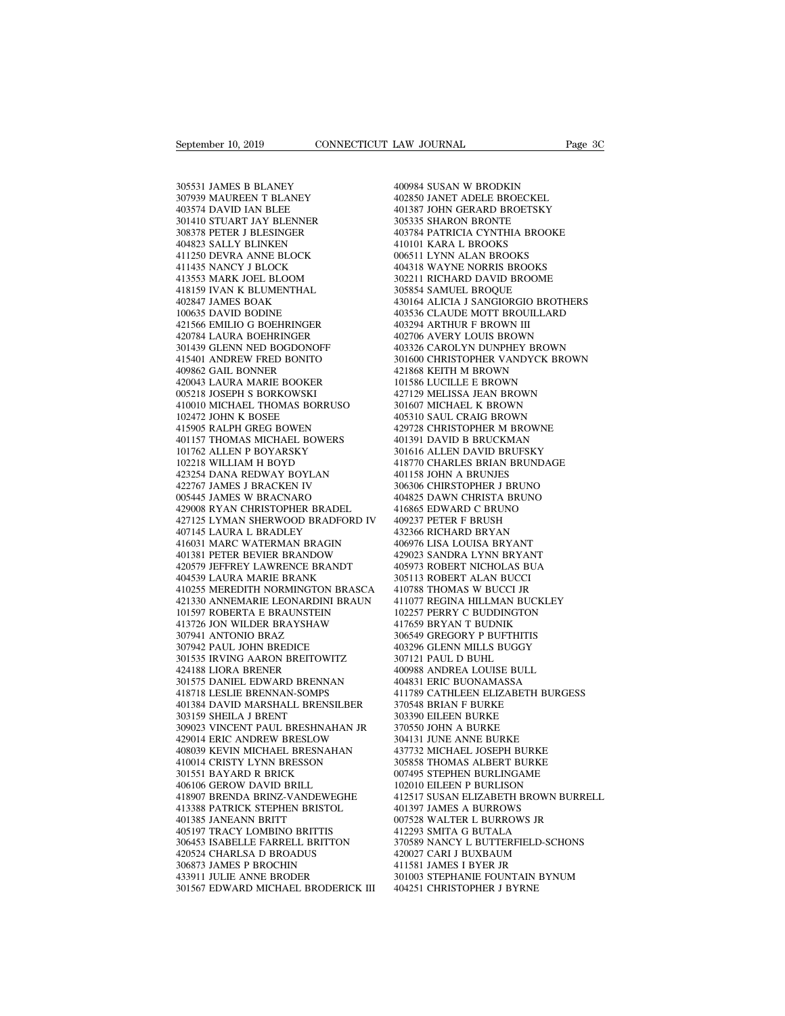September 10, 2019<br>305531 JAMES B BLANEY<br>307939 MAUREEN T BLANEY<br>403574 DAVID IAN BLEE September 10, 2019<br>
305531 JAMES B BLANEY<br>
307939 MAUREEN T BLANEY<br>
403574 DAVID IAN BLEE<br>
301410 STUART JAY BLENNER September 10, 2019<br>
305531 JAMES B BLANEY<br>
305531 JAMES B BLANEY<br>
307939 MAUREEN T BLANEY<br>
403574 DAVID IAN BLEE<br>
301410 STUART JAY BLENNER<br>
308378 PETER J BLESINGER 305531 JAMES B BLANEY<br>307939 MAUREEN T BLANEY<br>403574 DAVID IAN BLEE<br>301410 STUART JAY BLENNER<br>308378 PETER J BLESINGER<br>404823 SALLY BLINKEN 305531 JAMES B BLANEY<br>307939 MAUREEN T BLANEY<br>403574 DAVID IAN BLEE<br>301410 STUART JAY BLENNER<br>308378 PETER J BLESINGER<br>404823 SALLY BLINKEN<br>411250 DEVRA ANNE BLOCK 305531 JAMES B BLANEY<br>307939 MAUREEN T BLANEY<br>403574 DAVID IAN BLEE<br>301410 STUART JAY BLENNER<br>308378 PETER J BLESINGER<br>404823 SALLY BLINKEN<br>411250 DEVRA ANNE BLOCK<br>411435 NANCY J BLOCK 305531 JAMES B BLANEY<br>307939 MAUREEN T BLANEY<br>403574 DAVID IAN BLEE<br>301410 STUART JAY BLENNER<br>308378 PETER J BLESINGER<br>414823 SALLY BLINKEN<br>411250 DEVRA ANNE BLOCK<br>411435 NANCY J BLOCK<br>413553 MARK JOEL BLOOM 307939 MAUREEN T BLANEY<br>403574 DAVID IAN BLEE<br>301410 STUART JAY BLENNER<br>308378 PETER J BLESINGER<br>404823 SALLY BLINKEN<br>411250 DEVRA ANNE BLOCK<br>411435 NANCY J BLOCK<br>413553 MARK JOEL BLOOM<br>418159 IVAN K BLUMENTHAL 403574 DAVID IAN BLEE<br>301410 STUART JAY BLENNER<br>308378 PETER J BLESINGER<br>404823 SALLY BLINKEN<br>411250 DEVRA ANNE BLOCK<br>411435 NARK JOEL BLOOM<br>418159 IVAN K BLUMENTHAL<br>402847 JAMES BOAK 301410 STUART JAY BLENNER<br>308378 PETER J BLESINGER<br>404823 SALLY BLINKEN<br>411250 DEVRA ANNE BLOCK<br>411353 MARK JOEL BLOOM<br>418159 IVAN K BLUMENTHAL<br>402847 JAMES BOAK<br>100635 DAVID BODINE 308378 PETER J BLESINGER<br>404823 SALLY BLINKEN<br>411250 DEVRA ANNE BLOCK<br>411435 NANCY J BLOCK<br>413533 MARK JOEL BLOOM<br>418159 IVAN K BLUMENTHAL<br>402847 JAMES BOAK<br>100635 DAVID BODINE<br>421566 EMILIO G BOEHRINGER 404823 SALLY BLINKEN<br>411250 DEVRA ANNE BLOCK<br>411435 NANCY J BLOCK<br>413553 MARK JOEL BLOOM<br>418159 IVAN K BLUMENTHAL<br>402847 JAMES BOAK<br>100635 DAVID BODINE<br>421566 EMILIO G BOEHRINGER<br>420784 LAURA BOEHRINGER 411250 DEVRA ANNE BLOCK<br>411435 NANCY J BLOCK<br>413553 MARK JOEL BLOOM<br>418159 IVAN K BLUMENTHAL<br>402847 JAMES BOAK<br>100635 DAVID BODINE<br>421566 EMILIO G BOEHRINGER<br>420784 LAURA BOEHRINGER<br>301439 GLENN NED BOGDONOFF 411435 NANCY J BLOCK<br>413553 MARK JOEL BLOOM<br>418159 IVAN K BLUMENTHAL<br>402847 JAMES BOAK<br>100635 DAVID BODINE<br>421566 EMILIO G BOEHRINGER<br>420784 LAURA BOEHRINGER<br>301439 GLENN NED BOGDONOFF<br>415401 ANDREW FRED BONITO 413553 MARK JOEL BLOOM<br>418159 IVAN K BLUMENTHAL<br>402847 JAMES BOAK<br>100635 DAVID BODINE<br>421566 EMILIO G BOEHRINGER<br>420784 LAURA BOEHRINGER<br>301439 GLENN NED BOGDONOFF<br>415401 ANDREW FRED BONITO<br>409862 GAIL BONNER 418159 IVAN K BLUMENTHAL<br>402847 JAMES BOAK<br>100635 DAVID BODINE<br>421566 EMILIO G BOEHRINGER<br>420784 LAURA BOEHRINGER<br>301439 GLENN NED BOGDONOFF<br>415401 ANDREW FRED BONITO<br>409862 GAIL BONNER<br>420043 LAURA MARIE BOOKER 402847 JAMES BOAK<br>100635 DAVID BODINE<br>421566 EMILIO G BOEHRINGER<br>420784 LAURA BOEHRINGER<br>301439 GLENN NED BOGDONOFF<br>415401 ANDREW FRED BONITO<br>409862 GAIL BONNER<br>420043 LAURA MARIE BOOKER<br>005218 JOSEPH S BORKOWSKI 100635 DAVID BODINE<br>421566 EMILIO G BOEHRINGER<br>420784 LAURA BOEHRINGER<br>301439 GLENN NED BOGDONOFF<br>415401 ANDREW FRED BONITO<br>409862 GAIL BONNER<br>420043 LAURA MARIE BOOKER<br>005218 JOSEPH S BORKOWSKI<br>410010 MICHAEL THOMAS BORRU 421566 EMILIO G BOEHRINGER<br>420784 LAURA BOEHRINGER<br>301439 GLENN NED BOGDONOFF<br>415401 ANDREW FRED BONITO<br>409862 GAIL BONNER<br>420043 LAURA MARIE BOOKER<br>005218 JOSEPH S BORKOWSKI<br>410010 MICHAEL THOMAS BORRUSC<br>102472 JOHN K BOS 420784 LAURA BOEHRINGER<br>
301439 GLENN NED BOGDONOFF<br>
415401 ANDREW FRED BONITO 3016<br>
409862 GAIL BONNER 421043 LAURA MARIE BOOKER<br>
400218 JOSEPH S BORKOWSKI 4200431<br>
410010 MICHAEL THOMAS BORRUSO 3016<br>
102472 JOHN K BOSEE 301439 GLENN NED BOGDONOFF<br>415401 ANDREW FRED BONITO<br>409862 GAIL BONNER<br>420043 LAURA MARIE BOOKER<br>62043 LOSEPH S BORKOWSKI<br>410010 MICHAEL THOMAS BORRUSO<br>102472 JOHN K BOSEE<br>415905 RALPH GREG BOWEN<br>401157 THOMAS MICHAEL BOW 415401 ANDREW FRED BONITO<br>409862 GAIL BONNER<br>420043 LAURA MARIE BOOKER<br>005218 JOSEPH S BORKOWSKI<br>10010 MICHAEL THOMAS BORRUSO<br>102472 JOHN K BOSEE<br>415905 RALPH GREG BOWEN<br>401157 THOMAS MICHAEL BOWERS<br>101762 ALLEN P BOYARSKY 409862 GAIL BONNER<br>420043 LAURA MARIE BOOKER<br>005218 JOSEPH S BORKOWSKI<br>410010 MICHAEL THOMAS BORRUSO<br>102472 JOHN K BOSEE<br>4115905 RALPH GREG BOWEN<br>401157 THOMAS MICHAEL BOWERS<br>101762 ALLEN P BOYARSKY<br>102218 WILLIAM H BOYD 420043 LAURA MARIE BOOKER<br>005218 JOSEPH S BORKOWSKI<br>410010 MICHAEL THOMAS BORRUSO<br>102472 JOHN K BOSEE<br>415905 RALPH GREG BOWEN<br>401157 THOMAS MICHAEL BOWERS<br>101762 ALLEN P BOYARSKY<br>102218 WILLIAM H BOYD<br>423254 DANA REDWAY BO 005218 JOSEPH S BORKOWSKI<br>410010 MICHAEL THOMAS BORRUSO<br>102472 JOHN K BOSEE<br>415905 RALPH GREG BOWEN<br>401157 THOMAS MICHAEL BOWERS<br>101762 ALLEN P BOYARSKY<br>102218 WILLIAM H BOYD<br>423254 DANA REDWAY BOYLAN<br>422767 JAMES J BRACKE 410010 MICHAEL THOMAS BORRUSO<br>102472 JOHN K BOSEE<br>415905 RALPH GREG BOWEN<br>401157 THOMAS MICHAEL BOWERS<br>101762 ALLEN P BOYARSKY<br>102218 WILLIAM H BOYD<br>423254 DANA REDWAY BOYLAN<br>422767 JAMES J BRACKEN IV<br>005445 JAMES W BRACKA 102472 JOHN K BOSEE<br>415905 RALPH GREG BOWEN<br>401157 THOMAS MICHAEL BOWERS<br>101762 ALLEN P BOYARSKY<br>102218 WILLIAM H BOYD<br>422254 DANA REDWAY BOYLAN<br>422767 JAMES J BRACKEN IV<br>005445 JAMES W BRACNARO<br>429008 RYAN CHRISTOPHER BRA 415905 RALPH GREG BOWEN<br>401157 THOMAS MICHAEL BOWERS<br>101762 ALLEN P BOYARSKY<br>102218 WILLIAM H BOYD<br>422254 DANA REDWAY BOYLAN<br>422767 JAMES J BRACKEN IV<br>005445 JAMES W BRACNARO<br>429008 RYAN CHRISTOPHER BRADEL<br>427125 LYMAN SHE 401157 THOMAS MICHAEL BOWERS<br>
101762 ALLEN P BOYARSKY 301<br>
102218 WILLIAM H BOYD 418<br>
423254 DANA REDWAY BOYLAN 401<br>
422767 JAMES J BRACKEN IV 30005445 JAMES W BRACKARO 404<br>
429008 RYAN CHRISTOPHER BRADEL 416<br>
427125 LYMAN 101762 ALLEN P BOYARSKY 201616 AL<br>
102218 WILLIAM H BOYD 418770 CH<br>
423254 DANA REDWAY BOYLAN 401158 JOB<br>
422767 JAMES J BRACKEN IV 306306 CH<br>
429008 NYAN CHRISTOPHER BRADEL 404825 DA<br>
429008 NYAN CHRISTOPHER BRADEL 416865 102218 WILLIAM H BOYD<br>423254 DANA REDWAY BOYLAN<br>422767 JAMES J BRACKEN IV<br>005445 JAMES W BRACNARO<br>429008 RYAN CHRISTOPHER BRADEL<br>427125 LYMAN SHERWOOD BRADFORD<br>407145 LAURA L BRADLEY<br>416031 MARC WATERMAN BRAGIN<br>401381 PETE 423254 DANA REDWAY BOYLAN 422767 JAMES J BRACKEN IV 300<br>005445 JAMES W BRACNARO 404<br>429008 RYAN CHRISTOPHER BRADEL 416<br>427103 LYMAN SHERWOOD BRADFORD IV 405<br>407145 LAURA L BRADLEY 404<br>416031 MARC WATERMAN BRAGIN 406<br>401381 422767 JAMES J BRACKEN IV 30630<br>
005445 JAMES W BRACNARO 40482<br>
429008 RYAN CHRISTOPHER BRADEL 41686<br>
427125 LYMAN SHERWOOD BRADFORD IV 40923<br>
407145 LAURA L BRADLEY 43236<br>
4014031 MARC WATERMAN BRAGIN 40697<br>
401381 PETER 005445 JAMES W BRACNARO 429008 RYAN CHRISTOPHER BRADEL 416<br>427125 LYMAN SHERWOOD BRADFORD IV 409<br>407145 LAURA L BRADLEY 432<br>416031 MARC WATERMAN BRAGIN 4001381 PETER BEVIER BRANDOW<br>4201381 PETER BEVIER BRANDOW<br>420579 JEFFR 429008 RYAN CHRISTOPHER BRADEL<br>427125 LYMAN SHERWOOD BRADFORD IV<br>407145 LAURA L BRADLEY<br>416031 MARC WATERMAN BRAGIN<br>401381 PETER BEVIER BRANDOW<br>420579 JEFFREY LAWRENCE BRANDT<br>404539 LAURA MARIE BRANK<br>410255 MEREDITH NORMIN 410255 MEREDITH NORMINGTON BRASCA 407145 LAURA L BRADLEY 432366 RI<br>
416031 MARC WATERMAN BRAGIN 406976 LL<br>
401381 PETER BEVIER BRANDOW 429023 SA<br>
420579 JEFFREY LAWRENCE BRANDT 405973 RC<br>
404539 LAURA MARIE BRANK<br>
410255 MEREDITH NORMINGTON BRASCA 410788 T 416031 MARC WATERMAN BRAGIN<br>401381 PETER BEVIER BRANDOW<br>420579 JEFFREY LAWRENCE BRANDT<br>404539 LAURA MARIE BRANK<br>410255 MEREDITH NORMINGTON BRASCA<br>421330 ANNEMARIE LEONARDINI BRAUN<br>101597 ROBERTA E BRAUNSTEIN<br>413726 JON WIL 401381 PETER BEVIER BRANDOW 4200<br>
420579 JEFFREY LAWRENCE BRANDT 4059<br>
404539 LAURA MARIE BRANK 3051<br>
410255 MEREDITH NORMINGTON BRASCA 4107<br>
4113730 ANNEMARIE LEONARDINI BRAUN 4110<br>
4115726 JON WILDER BRAYSHAW 4176<br>
4021<br> 420579 JEFFREY LAWRENCE BRAN<br>404539 LAURA MARIE BRANK<br>410255 MEREDITH NORMINGTON E<br>421330 ANNEMARIE LEONARDINI 1<br>101597 ROBERTA E BRAVSHAW<br>413726 JON WILDER BRAYSHAW<br>307941 ANTONIO BRAZ<br>307942 PAUL JOHN BREDICE<br>301535 IRVI 404539 LAURA MARIE BRANK<br>410255 MEREDITH NORMINGTON BRASC<br>421330 ANNEMARIE LEONARDINI BRAU<br>101597 ROBERTA E BRAUNSTEIN<br>413726 JON WILDER BRAYSHAW<br>307941 ANTONIO BRAZ<br>307942 PAUL JOHN BREDICE<br>301535 IRVING AARON BREITOWITZ<br> 410255 MEREDITH NORMINGTON BRASCA<br>
421330 ANNEMARIE LEONARDINI BRAUN<br>
101597 ROBERTA E BRAUNSTEIN 14<br>
413726 JON WILDER BRAYSHAW 41<br>
413726 JON WILDER BRAYSHAW 41<br>
307942 PAUL JOHN BREDICE 44<br>
301535 IRVING AARON BREITOWIT 421330 ANNEMARIE LEONARDINI B<br>101597 ROBERTA E BRAUNSTEIN<br>413726 JON WILDER BRAYSHAW<br>307941 ANTONIO BRAZ<br>307942 PAUL JOHN BREDICE<br>301535 IRVING AARON BREITOWIT.<br>424188 LIORA BRENER<br>301575 DANIEL EDWARD BRENNAN<br>418718 LESLI 301575 DANIEL EDWARD BRENNAN 413726 JON WILDER BRAYSHAW<br>307941 ANTONIO BRAZ<br>307942 PAUL JOHN BREDICE<br>301535 IRVING AARON BREITOWITZ<br>424188 LIORA BRENRA<br>301575 DANIEL EDWARD BRENNAN<br>418718 LESLIE BRENNAN-SOMPS<br>401384 DAVID MARSHALL BRENSILBER<br>303159 SH 307941 ANTONIO BRAZ<br>
307942 PAUL JOHN BREDICE 403296<br>
301535 IRVING AARON BREITOWITZ 424188 LIORA BRENER 400988<br>
301575 DANIEL EDWARD BRENNAN 404831<br>
418718 LESLIE BRENNAN-SOMPS 411789<br>
401384 DAVID MARSHALL BRENSILBER 470 307942 PAUL JOHN BREDICE<br>301535 IRVING AARON BREITOWIT.<br>424188 LIORA BRENER<br>301575 DANIEL EDWARD BRENNAN<br>418718 LESLIE BRENNAN-SOMPS<br>401384 DAVID MARSHALL BRENSIL<br>303159 SHEILA J BRENT<br>309023 VINCENT PAUL BRESHNAH.<br>429014 301535 IRVING AARON BREITOWITZ 424188 LIORA BRENER 400988<br>
301575 DANIEL EDWARD BRENNAN 404831<br>
418718 LESLIE BRENNAN-SOMPS 411789<br>
40384 DAVID MARSHALL BRENSILBER 370548<br>
303159 SHEILA J BRENT 408039 SOMPS 303390<br>
309023 429014 ERIC ANDREW BRESLOW 408039 KEVIN MICHAEL BRESNAHAN 418718 LESLIE BRENNAN-SOMPS<br>401384 DAVID MARSHALL BRENSILBER<br>303159 SHEILA J BRENT<br>309023 VINCENT PAUL BRESHNAHAN JR<br>429014 ERIC ANDREW BRESLOW<br>408039 KEVIN MICHAEL BRESNAHAN<br>410014 CRISTY LYNN BRESSON<br>301551 BAYARD R BRIC 401384 DAVID MARSHALL BRENSILBEF<br>303159 SHEILA J BRENT<br>309023 VINCENT PAUL BRESHNAHAN J<br>429014 ERIC ANDREW BRESLOW<br>408039 KEVIN MICHAEL BRESNAHAN<br>410014 CRISTY LYNN BRESSON<br>301551 BAYARD R BRICK<br>406106 GEROW DAVID BRILL<br>41 303159 SHEILA J BRENT<br>309023 VINCENT PAUL BRESHNAHAN JR<br>429014 ERIC ANDREW BRESLOW<br>408039 KEVIN MICHAEL BRESNAHAN<br>410014 CRISTY LYNN BRESSON<br>301551 BAYARD R BRICK<br>406106 GEROW DAVID BRILL<br>418907 BRENDA BRINZ-VANDEWEGHE<br>413 429014 ERIC ANDREW BRESHNAHAN JR<br>429014 ERIC ANDREW BRESLOW a08039 KEVIN MICHAEL BRESNAHAN 4377<br>410014 CRISTY LYNN BRESSON 3058<br>301551 BAYARD R BRICK bRICK 00774<br>406106 GEROW DAVID BRILL 4012388 PATRICK STEPHEN BRISTOL 401 413388 PATRICK STEPHEN BRISTOL 408039 KEVIN MICHAEL BRESNAH/<br>410014 CRISTY LYNN BRESSON<br>301551 BAYARD R BRICK<br>406106 GEROW DAVID BRILL<br>413388 PATRICK STEPHEN BRISTOL<br>401385 JANEANN BRITT<br>405197 TRACY LOMBINO BRITTIS<br>306453 ISABELLE FARRELL BRITTO 410014 CRISTY LYNN BRESSON<br>301551 BAYARD R BRICK<br>406106 GEROW DAVID BRILL<br>418907 BRENDA BRINZ-VANDEWEGHE<br>413388 PATRICK STEPHEN BRISTOL<br>401385 JANEANN BRITT<br>405197 TRACY LOMBINO BRITTIS<br>306453 ISABELLE FARRELL BRITTON<br>4205 301551 BAYARD R BRICK 0074:<br>
406106 GEROW DAVID BRILL 1020<br>
418907 BRENDA BRINZ-VANDEWEGHE 4125<br>
413388 PATRICK STEPHEN BRISTOL 4013<br>
401385 JANEANN BRITTON 0775:<br>
405197 TRACY LOMBINO BRITTIS 306453 ISABELLE FARRELL BRITT 406106 GEROW DAVID BRILL<br>418907 BRENDA BRINZ-VANDEWEGHE<br>413388 PATRICK STEPHEN BRISTOL<br>401385 JANEANN BRITT<br>40517 TRACY LOMBINO BRITTIS<br>306453 ISABELLE FARRELL BRITTON<br>420524 CHARLSA D BROADUS<br>306873 JAMES P BROCHIN<br>433911 418907 BRENDA BRINZ-VANDEWEGHE<br>413388 PATRICK STEPHEN BRISTOL<br>401385 JANEANN BRITT<br>405197 TRACY LOMBINO BRITTIS<br>306453 ISABELLE FARRELL BRITTON<br>420524 CHARLSA D BROADUS<br>306873 JAMES P BROCHIN<br>433911 JULIE ANNE BRODER<br>30156 413388 PATRICK STEPHEN BRISTOL<br>401385 JANEANN BRITT<br>405197 TRACY LOMBINO BRITTIS<br>306453 ISABELLE FARRELL BRITTON<br>420524 CHARLSA D BROADUS<br>306873 JAMES P BROCHIN<br>433911 JULIE ANNE BRODER<br>301567 EDWARD MICHAEL BRODERICK II<br>3 401385 JANEANN BRITT<br>405197 TRACY LOMBINO BRITTIS 412<br>306453 ISABELLE FARRELL BRITTON 37047524 CHARLSA D BROADUS 420<br>403673 JAMES P BROCHIN 4133911 JULIE ANNE BRODER<br>301567 EDWARD MICHAEL BRODERICK III 400

EAW JOURNAL<br>400984 SUSAN W BRODKIN<br>402850 JANET ADELE BROECKEL<br>401387 JOHN GERARD BROETSKY 402850 JANET ADELE BROECKEL EXAW JOURNAL Page 3C<br>
400984 SUSAN W BRODKIN<br>
402850 JANET ADELE BROECKEL<br>
401387 JOHN GERARD BROETSKY<br>
305335 SHARON BRONTE<br>
403784 PATRICIA CYNTHIA BROOKE 400984 SUSAN W BRODKIN<br>402850 JANET ADELE BROECKEL<br>401387 JOHN GERARD BROETSKY<br>305335 SHARON BRONTE<br>403784 PATRICIA CYNTHIA BROOKE<br>410101 KARA L BROOKS 400984 SUSAN W BRODKIN<br>402850 JANET ADELE BROECKEL<br>401387 JOHN GERARD BROETSKY<br>305335 SHARON BRONTE<br>403784 PATRICIA CYNTHIA BROOKE<br>410101 KARA L BROOKS<br>006511 LYNN ALAN BROOKS 400984 SUSAN W BRODKIN<br>402850 JANET ADELE BROECKEL<br>401387 JOHN GERARD BROETSKY<br>3053353 SHARON BRONTE<br>410101 KARA L BROOKS<br>006511 LYNN ALAN BROOKS<br>404318 WAYNE NORRIS BROOKS 400984 SUSAN W BRODKIN<br>402850 JANET ADELE BROECKEL<br>401387 JOHN GERARD BROETSKY<br>305335 SHARON BRONTE<br>413784 PATRICIA CYNTHIA BROOKE<br>410101 KARA L BROOKS<br>006511 LYNN ALAN BROOKS<br>404318 WAYNE NORRIS BROOKS<br>302211 RICHARD DAVI 402850 JANET ADELE BROECKEL<br>401387 JOHN GERARD BROETSKY<br>305335 SHARON BRONTE<br>403784 PATRICIA CYNTHIA BROOKE<br>410101 KARA L BROOKS<br>006511 LYNN ALAN BROOKS<br>404318 WAYNE NORRIS BROOKS<br>302211 RICHARD DAVID BROOME<br>305854 SAMUEL 401387 JOHN GERARD BROETSKY<br>305335 SHARON BRONTE<br>403784 PATRICIA CYNTHIA BROOKE<br>410101 KARA L BROOKS<br>006511 LYNN ALAN BROOKS<br>404318 WAYNE NORRIS BROOKS<br>302211 RICHARD DAVID BROOME<br>305854 SAMUEL BROQUE<br>430164 ALICIA J SANGI 305335 SHARON BRONTE<br>403784 PATRICIA CYNTHIA BROOKE<br>410101 KARA L BROOKS<br>006511 LYNN ALAN BROOKS<br>404318 WAYNE NORRIS BROOKS<br>302211 RICHARD DAVID BROOME<br>305854 SAMUEL BROQUE<br>430164 ALICIA J SANGIORGIO BROTH<br>403536 CLAUDE MO 403784 PATRICIA CYNTHIA BROOKE<br>410101 KARA L BROOKS<br>006511 LYNN ALAN BROOKS<br>404318 WAYNE NORRIS BROOKS<br>302211 RICHARD DAVID BROOME<br>305854 SAMUEL BROQUE<br>430164 ALICIA J SANGIORGIO BROTHERS<br>403536 CLAUDE MOTT BROUILLARD<br>4032 410101 KARA L BROOKS<br>006511 LYNN ALAN BROOKS<br>404318 WAYNE NORRIS BROOKS<br>302211 RICHARD DAVID BROOME<br>305854 SAMUEL BROQUE<br>430164 ALICIA J SANGIORGIO BROTHERS<br>403536 CLAUDE MOTT BROUILLARD<br>403294 ARTHUR F BROWN III<br>402706 AV 006511 LYNN ALAN BROOKS<br>404318 WAYNE NORRIS BROOKS<br>302211 RICHARD DAVID BROOME<br>305854 SAMUEL BROQUE<br>430164 ALICIA J SANGIORGIO BROT<br>403336 CLAUDE MOTT BROUILLAR<br>403294 ARTHUR F BROWN III<br>402706 AVERY LOUIS BROWN<br>403326 CAR 404318 WAYNE NORRIS BROOKS<br>302211 RICHARD DAVID BROOME<br>305854 SAMUEL BROQUE<br>430164 ALICIA J SANGIORGIO BROTHERS<br>403536 CLAUDE MOTT BROWN III<br>403294 ARTHUR F BROWN III<br>402706 AVERY LOUIS BROWN<br>403326 CAROLYN DUNPHEY BROWN<br>3 302211 RICHARD DAVID BROOME<br>305854 SAMUEL BROQUE<br>430164 ALICIA J SANGIORGIO BROTHERS<br>403536 CLAUDE MOTT BROUILLARD<br>403294 ARTHUR F BROWN III<br>402706 AVERY LOUIS BROWN<br>403326 CAROLYN DUNPHEY BROWN<br>301600 CHRISTOPHER VANDYCK 305854 SAMUEL BROQUE<br>430164 ALICIA J SANGIORGIO BROTHERS<br>403536 CLAUDE MOTT BROUILLARD<br>403294 ARTHUR F BROWN III<br>402706 AVERY LOUIS BROWN<br>401336 CAROLYN DUNPHEY BROWN<br>301600 CHRISTOPHER VANDYCK BROWN<br>421868 KEITH M BROWN<br>1 430164 ALICIA J SANGIORGIO BROTHE<br>403536 CLAUDE MOTT BROUILLARD<br>403294 ARTHUR F BROWN III<br>402706 AVERY LOUIS BROWN<br>403326 CAROLYN DUNPHEY BROWN<br>301600 CHRISTOPHER VANDYCK BROV<br>421868 KEITH M BROWN<br>101586 LUCILLE E BROWN<br>42 403536 CLAUDE MOTT BROUILLARD<br>403294 ARTHUR F BROWN III<br>402706 AVERY LOUIS BROWN<br>403326 CAROLYN DUNPHEY BROWN<br>301600 CHRISTOPHER VANDYCK BROWI<br>421868 KEITH M BROWN<br>101586 LUCILLE E BROWN<br>427129 MELISSA JEAN BROWN<br>301607 MI 403294 ARTHUR F BROWN III<br>402706 AVERY LOUIS BROWN<br>403326 CAROLYN DUNPHEY BROWN<br>301600 CHRISTOPHER VANDYCK BROWN<br>421868 KEITH M BROWN<br>101586 LUCILLE E BROWN<br>407129 MELISSA JEAN BROWN<br>301607 MICHAEL K BROWN<br>405310 SAUL CRAI 402706 AVERY LOUIS BROWN<br>403326 CAROLYN DUNPHEY BROWN<br>301600 CHRISTOPHER VANDYCK BROWN<br>421868 KEITH M BROWN<br>101586 LUCILLE E BROWN<br>427129 MELISSA JEAN BROWN<br>301607 MICHAEL K BROWN<br>405310 SAUL CRAIG BROWN<br>429728 CHRISTOPHER 403326 CAROLYN DUNPHEY BROWN<br>301600 CHRISTOPHER VANDYCK BROWN<br>421868 KEITH M BROWN<br>101586 LUCILLE E BROWN<br>427129 MELISSA JEAN BROWN<br>301607 MICHAEL K BROWN<br>429728 CHRISTOPHER M BROWN<br>429728 CHRISTOPHER M BROWNE<br>401391 DAVID 301600 CHRISTOPHER VANDYCK BROWN<br>421868 KEITH M BROWN<br>101586 LUCILLE E BROWN<br>427129 MELISSA JEAN BROWN<br>405310 SAUL CRAIG BROWN<br>405310 SAUL CRAIG BROWN<br>429728 CHRISTOPHER M BROWNE<br>401391 DAVID B BRUCKMAN<br>301616 ALLEN DAVID 421868 KEITH M BROWN<br>101586 LUCILLE E BROWN<br>427129 MELISSA JEAN BROWN<br>301607 MICHAEL K BROWN<br>405310 SAUL CRAIG BROWN<br>429728 CHRISTOPHER M BROWNE<br>401391 DAVID B BRUCKMAN<br>301616 ALLEN DAVID BRUFSKY<br>418770 CHARLES BRIAN BRUND 101586 LUCILLE E BROWN<br>427129 MELISSA JEAN BROWN<br>301607 MICHAEL K BROWN<br>405310 SAUL CRAIG BROWN<br>429728 CHRISTOPHER M BROWNE<br>401391 DAVID B BRUCKMAN<br>301616 ALLEN DAVID BRUFSKY<br>418770 CHARLES BRIAN BRUNDAGE<br>401158 JOHN A BRU 427129 MELISSA JEAN BROWN<br>301607 MICHAEL K BROWN<br>405310 SAUL CRAIG BROWN<br>429728 CHRISTOPHER M BROWNE<br>401391 DAVID B BRUCKMAN<br>301616 ALLEN DAVID BRUFSKY<br>418770 CHARLES BRIAN BRUNDAGE<br>401158 JOHN A BRUNJES<br>306306 CHIRSTOPHER 301607 MICHAEL K BROWN<br>405310 SAUL CRAIG BROWN<br>429728 CHRISTOPHER M BROWNE<br>401391 DAVID B BRUCKMAN<br>401391 DAVID B BRUCKMAN<br>418770 CHARLES BRIAN BRUNDAG<br>401158 JOHN A BRUNJES<br>306306 CHIRSTOPHER J BRUNO<br>404825 DAWN CHRISTA B 405310 SAUL CRAIG BROWN<br>429728 CHRISTOPHER M BROWNE<br>401391 DAVID B BRUCKMAN<br>301616 ALLEN DAVID BRUFSKY<br>418770 CHARLES BRIAN BRUNDAGE<br>401158 JOHN A BRUNDES<br>306306 CHIRSTOPHER J BRUNO<br>404825 DAWN CHRISTA BRUNO<br>416865 EDWARD 429728 CHRISTOPHER M BROWNE<br>401391 DAVID B BRUCKMAN<br>301616 ALLEN DAVID BRUFSKY<br>418770 CHARLES BRIAN BRUNDAGE<br>401158 JOHN A BRUNDS<br>306306 CHIRSTOPHER J BRUNO<br>404825 DAWN CHRISTA BRUNO<br>416865 EDWARD C BRUNO<br>409237 PETER F BR 401391 DAVID B BRUCKMAN<br>301616 ALLEN DAVID BRUFSKY<br>418770 CHARLES BRIAN BRUNDAGE<br>401158 JOHN A BRUNJES<br>306306 CHIRSTOPHER J BRUNO<br>404825 DAWN CHRISTA BRUNO<br>416865 EDWARD C BRUNO<br>409237 PETER F BRUSH<br>432366 RICHARD BRYAN 301616 ALLEN DAVID BRUFSKY<br>418770 CHARLES BRIAN BRUNDAGE<br>401158 JOHN A BRUNJES<br>306306 CHIRSTOPHER J BRUNO<br>404825 DAWN CHRISTA BRUNO<br>416865 EDWARD C BRUNO<br>409237 PETER F BRUSH<br>432366 RICHARD BRYAN<br>406976 LISA LOUISA BRYANT 418770 CHARLES BRIAN BRUNDAGE<br>401158 JOHN A BRUNJES<br>306306 CHIRSTOPHER J BRUNO<br>404825 DAWN CHRISTA BRUNO<br>416865 EDWARD C BRUNO<br>409237 PETER F BRUSH<br>432366 RICHARD BRYAN<br>406976 LISA LOUISA BRYANT<br>429023 SANDRA LYNN BRYANT 401158 JOHN A BRUNJES<br>306306 CHIRSTOPHER J BRUNO<br>404825 DAWN CHRISTA BRUNO<br>416865 EDWARD C BRUNO<br>409237 PETER F BRUSH<br>432366 RICHARD BRYAN<br>406976 LISA LOUISA BRYANT<br>429023 SANDRA LYNN BRYANT<br>405973 ROBERT NICHOLAS BUA 306306 CHIRSTOPHER J BRUNO<br>404825 DAWN CHRISTA BRUNO<br>416865 EDWARD C BRUNO<br>409237 PETER F BRUSH<br>432366 RICHARD BRYAN<br>406976 LISA LOUISA BRYANT<br>405973 ROBERT NICHOLAS BUA<br>305113 ROBERT ALAN BUCCI 404825 DAWN CHRISTA BRUNO<br>416865 EDWARD C BRUNO<br>409237 PETER F BRUSH<br>432366 RICHARD BRYAN<br>40976 LISA LOUISA BRYANT<br>409023 SANDRA LYNN BRYANT<br>405973 ROBERT NICHOLAS BUA<br>305113 ROBERT ALAN BUCCI<br>410788 THOMAS W BUCCI JR 416865 EDWARD C BRUNO<br>409237 PETER F BRUSH<br>432366 RICHARD BRYAN<br>406976 LISA LOUISA BRYANT<br>429023 SANDRA LYNN BRYANT<br>405973 ROBERT NICHOLAS BUA<br>305113 ROBERT ALAN BUCCI<br>410788 THOMAS W BUCCI JR<br>411078 THOMAS W BUCCI JR<br>4110 409237 PETER F BRUSH<br>432366 RICHARD BRYAN<br>406976 LISA LOUISA BRYANT<br>429023 SANDRA LYNN BRYANT<br>405973 ROBERT NICHOLAS BUA<br>305113 ROBERT ALAN BUCCI<br>410788 THOMAS W BUCCI IR<br>411077 REGINA HILLMAN BUCKLEY<br>102257 PERRY C BUDDIN 432366 RICHARD BRYAN<br>406976 LISA LOUISA BRYANT<br>429023 SANDRA LYNN BRYANT<br>405973 ROBERT NICHOLAS BUA<br>305113 ROBERT ALAN BUCCI<br>410788 THOMAS W BUCCI JR<br>411077 REGINA HILLMAN BUCKLEY<br>102257 PERRY C BUDDINGTON<br>417659 BRYAN T B 406976 LISA LOUISA BRYANT<br>429023 SANDRA LYNN BRYANT<br>405973 ROBERT NICHOLAS BUA<br>305113 ROBERT ALAN BUCCI<br>410788 THOMAS W BUCCI IR<br>411077 REGINA HILLMAN BUCKLEY<br>102257 PERRY C BUDDINGTON<br>417659 BRYAN T BUDNIK<br>306549 GREGORY 429023 SANDRA LYNN BRYANT<br>405973 ROBERT NICHOLAS BUA<br>305113 ROBERT ALAN BUCCI<br>410788 THOMAS W BUCCI JR<br>411077 REGINA HILLMAN BUCKLEY<br>102257 PERRY C BUDDINGTON<br>417659 BRYAN T BUDNIK<br>306549 GREGORY P BUFTHITIS<br>403296 GLENN M 405973 ROBERT NICHOLAS BUA<br>305113 ROBERT ALAN BUCCI JR<br>410788 THOMAS W BUCCI JR<br>411077 REGINA HILLMAN BUCKLEY<br>102257 PERRY C BUDDINGTON<br>407659 BRYAN T BUDNIK<br>306549 GREGORY P BUFTHITIS<br>403296 GLENN MILLS BUGGY<br>307121 PAUL 305113 ROBERT ALAN BUCCI<br>410788 THOMAS W BUCCI JR<br>411077 REGINA HILLMAN BUCKLEY<br>102257 PERRY C BUDDINGTON<br>417659 BRYAN T BUDNIK<br>306549 GREGORY P BUFTHITIS<br>403296 GLENN MILLS BUGGY<br>307121 PAUL D BUHL<br>400988 ANDREA LOUISE BU 410788 THOMAS W BUCCI JR<br>411077 REGINA HILLMAN BUCKI<br>102257 PERRY C BUDDINGTON<br>417659 BRYAN T BUDNIK<br>306549 GREGORY P BUFTHITIS<br>403296 GLENN MILLS BUGGY<br>307121 PAUL D BUHL<br>400988 ANDREA LOUISE BULL<br>404831 ERIC BUONAMASSA 411077 REGINA HILLMAN BUCKLEY<br>102257 PERRY C BUDDINGTON<br>417659 BRYAN T BUDNIK<br>306549 GREGORY P BUFTHITIS<br>40326 GLENN MILLS BUGGY<br>307121 PAUL D BUHL<br>404831 ERIC BUONAMASSA<br>411789 CATHLEEN ELIZABETH BURGESS 102257 PERRY C BUDDINGTON<br>417659 BRYAN T BUDNIK<br>306549 GREGORY P BUFTHITIS<br>403296 GLENN MILLS BUGGY<br>40121 PAUL D BUHL<br>404831 ERIC BUONAMASSA<br>411789 CATHLEEN ELIZABETH BURGESS<br>370548 BRIAN F BURKE 417659 BRYAN T BUDNIK<br>306549 GREGORY P BUFTHITIS<br>403296 GLENN MILLS BUGGY<br>307121 PAUL D BUHL<br>400988 ANDREA LOUISE BULL<br>404831 ERIC BUONAMASSA<br>411789 CATHLEEN ELIZABETH BURGESS<br>370548 BRIAN F BURKE<br>303390 EILEEN BURKE 306549 GREGORY P BUFTHITIS<br>403296 GLENN MILLS BUGGY<br>307121 PAUL D BUHL<br>400988 ANDREA LOUISE BULL<br>404831 ERIC BUONAMASSA<br>411789 CATHLEEN ELIZABETH BUF<br>370548 BRIAN F BURKE<br>303390 EILEEN BURKE<br>370550 JOHN A BURKE 403296 GLENN MILLS BUGGY<br>307121 PAUL D BUHL<br>400988 ANDREA LOUISE BULL<br>404831 ERIC BUONAMASSA<br>411789 CATHLEEN ELIZABETH BU<br>370548 BRIAN F BURKE<br>370550 JOHN A BURKE<br>370550 JOHN A BURKE<br>304131 JUNE ANNE BURKE 307121 PAUL D BUHL<br>400988 ANDREA LOUISE BULL<br>404831 ERIC BUONAMASSA<br>411789 CATHLEEN ELIZABETH BU<br>370548 BRIAN F BURKE<br>303390 EILEN BURKE<br>370550 JOHN A BURKE<br>304131 JUNE ANNE BURKE<br>437732 MICHAEL JOSEPH BURKE 400988 ANDREA LOUISE BULL<br>404831 ERIC BUONAMASSA<br>411789 CATHLEEN ELIZABETH BURGE<br>370548 BRIAN F BURKE<br>303390 EILEEN BURKE<br>370550 JOHN A BURKE<br>304131 JUNE ANNE BURKE<br>437732 MICHAEL JOSEPH BURKE<br>305858 THOMAS ALBERT BURKE<br>30 404831 ERIC BUONAMASSA<br>411789 CATHLEEN ELIZABETH BURGESS<br>370548 BRIAN F BURKE<br>303390 EILEEN BURKE<br>303390 IOHN A BURKE<br>304131 JUNE ANNE BURKE<br>437732 MICHAEL JOSEPH BURKE<br>305858 THOMAS ALBERT BURKE<br>007495 STEPHEN BURLINGAME 411789 CATHLEEN ELIZABETH BURGESS<br>370548 BRIAN F BURKE<br>303390 EILEEN BURKE<br>370550 JOHN A BURKE<br>370550 JOHN A BURKE<br>4477132 MICHAEL JOSEPH BURKE<br>305858 THOMAS ALBERT BURKE<br>007495 STEPHEN BURLINGAME<br>102010 EILEEN P BURLISON 370548 BRIAN F BURKE<br>303390 EILEEN BURKE<br>370550 JOHN A BURKE<br>304131 JUNE ANNE BURKE<br>437732 MICHAEL JOSEPH BURKE<br>3075858 THOMAS ALBERT BURKE<br>007495 STEPHEN BURLINGAME<br>102010 EILEEN P BURLISON<br>412517 SUSAN ELIZABETH BROWN BU 303390 EILEEN BURKE<br>370550 JOHN A BURKE<br>304131 JUNE ANNE BURKE<br>437732 MICHAEL JOSEPH BURKE<br>305838 THOMAS ALBERT BURKE<br>007495 STEPHEN BURLISON<br>102010 EILEEN P BURLISON<br>412517 SUSAN ELIZABETH BROWN BURRI<br>401397 JAMES A BURRO 370550 JOHN A BURKE<br>304131 JUNE ANNE BURKE<br>437732 MICHAEL JOSEPH BURKE<br>305858 THOMAS ALBERT BURKE<br>007495 STEPHEN BURLINGAME<br>102010 ELLEEN P BURLISON<br>412517 SUSAN ELIZABETH BROWN BURRELL<br>401397 JAMES A BURROWS<br>007528 WALTER 304131 JUNE ANNE BURKE<br>437732 MICHAEL JOSEPH BURKE<br>305858 THOMAS ALBERT BURKE<br>007495 STEPHEN BURLINGAME<br>102010 EILEEN P BURLISON<br>412517 SUSAN ELIZABETH BROWN BU<br>401397 JAMES A BURROWS<br>007528 WALTER L BURROWS JR<br>412293 SMIT 437732 MICHAEL JOSEPH BURKE<br>305858 THOMAS ALBERT BURKE<br>007495 STEPHEN BURLINGAME<br>102010 EILEEN P BURLISON<br>412517 SUSAN ELIZABETH BROWN BURRELL<br>401397 JAMES A BURROWS<br>007528 WALTER L BURROWS JR<br>412293 SMITA G BUTALA<br>370589 305858 THOMAS ALBERT BURKE<br>007495 STEPHEN BURLINGAME<br>102010 EILEEN P BURLISON<br>412517 SUSAN ELIZABETH BROWN BUR<br>401397 JAMES A BURROWS<br>007528 WALTER L BURROWS JR<br>412293 SMITA G BUTALA<br>370589 NANCY L BUTTERFIELD-SCHON<br>420027 007495 STEPHEN BURLINGAME<br>102010 EILEEN P BURLISON<br>412517 SUSAN ELIZABETH BROWN BURRELL<br>401397 JAMES A BURROWS<br>007528 WALTER L BURROWS JR<br>412293 SMITA G BUTTALA<br>370589 NANCY L BUTTERFIELD-SCHONS<br>420027 CARI J BUXBAUM<br>41158 102010 EILEEN P BURLISON<br>412517 SUSAN ELIZABETH BROWN BURRE<br>401397 JAMES A BURROWS<br>007528 WALTER L BURROWS JR<br>412293 SMITA G BUTALA<br>370589 NANCY L BUTTERFIELD-SCHONS<br>420027 CARI J BUXBAUM<br>411581 JAMES I BYER JR<br>301003 STEP 412517 SUSAN ELIZABETH BROWN BU<br>401397 JAMES A BURROWS<br>007528 WALTER L BURROWS JR<br>412293 SMITA G BUTALA<br>370589 NANCY L BUTERFIELD-SCHC<br>420027 CARI J BUXBAUM<br>411581 JAMES I BYER JR<br>301003 STEPHANIE FOUNTAIN BYNU!<br>404251 CHR 401397 JAMES A BURROWS<br>007528 WALTER L BURROWS JR<br>412293 SMITA G BUTALA<br>370589 NANCY L BUTTERFIELD-SCHONS<br>420027 CARI J BUXBAUM<br>411581 JAMES I BYER JR<br>301003 STEPHANIE FOUNTAIN BYNUM<br>404251 CHRISTOPHER J BYRNE 007528 WALTER L BURROWS J<br>412293 SMITA G BUTALA<br>370589 NANCY L BUTTERFIELL<br>420027 CARI J BUXBAUM<br>411581 JAMES I BYER JR<br>301003 STEPHANIE FOUNTAIN<br>404251 CHRISTOPHER J BYRNE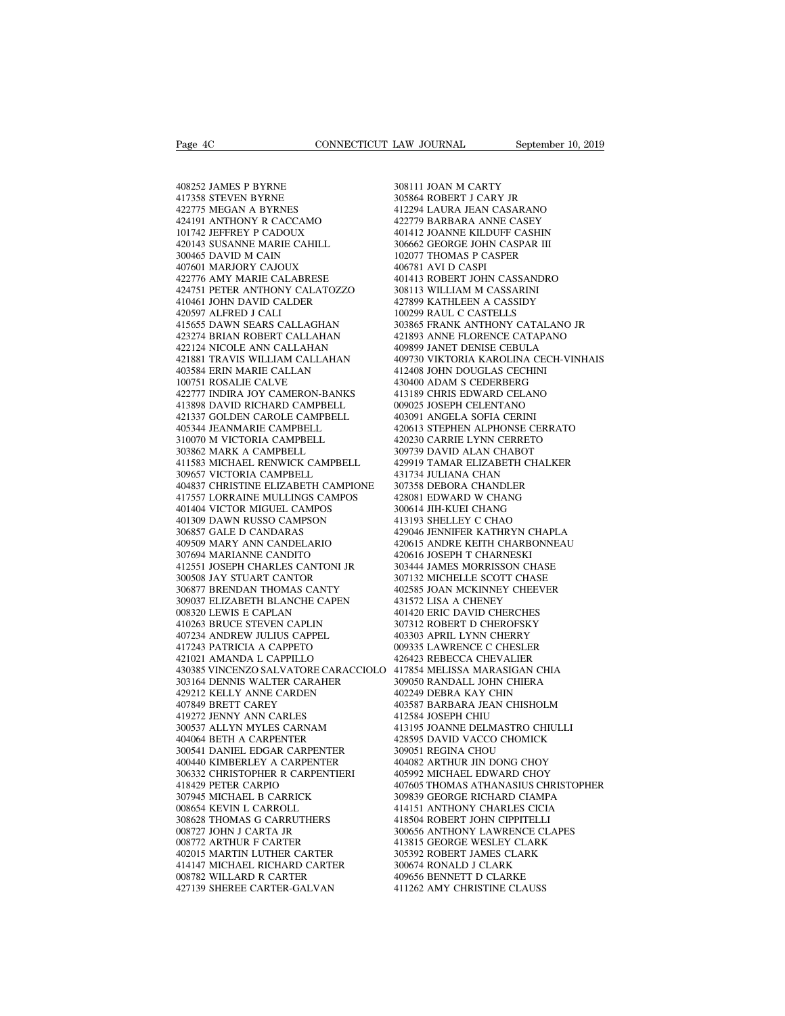Page 4C<br>408252 JAMES P BYRNE<br>417358 STEVEN BYRNE<br>422775 MEGAN A BYRNES Page 4C<br>408252 JAMES P BYRNE<br>417358 STEVEN BYRNE<br>422775 MEGAN A BYRNES<br>424191 ANTHONY R CACCAMO Page 4C<br>408252 JAMES P BYRNE<br>417358 STEVEN BYRNE<br>422775 MEGAN A BYRNES<br>424191 ANTHONY R CACCAMO<br>101742 JEFFREY P CADOUX 408252 JAMES P BYRNE<br>417358 STEVEN BYRNE<br>417358 STEVEN BYRNE<br>422775 MEGAN A BYRNES<br>424191 ANTHONY R CACCAMO<br>101742 JEFFREY P CADOUX<br>420143 SUSANNE MARIE CAHILL 408252 JAMES P BYRNE<br>417358 STEVEN BYRNE<br>422775 MEGAN A BYRNES<br>424191 ANTHONY R CACCAMO<br>101742 JEFFREY P CADOUX<br>420143 SUSANNE MARIE CAHILL<br>300465 DAVID M CAIN 408252 JAMES P BYRNE<br>417358 STEVEN BYRNE<br>422775 MEGAN A BYRNES<br>424191 ANTHONY R CACCAMO<br>101742 JEFFREY P CADOUX<br>420143 SUSANNE MARIE CAHILL<br>300465 DAVID M CAIN<br>407601 MARJORY CAJOUX 408252 JAMES P BYRNE<br>417358 STEVEN BYRNE<br>422775 MEGAN A BYRNES<br>424191 ANTHONY R CACCAMO<br>101742 JEFFREY P CADOUX<br>420143 SUSANNE MARIE CAHILL<br>300465 DAVID M CAIN<br>407601 MARIORY CAJOUX<br>422776 AMY MARIE CALABRESE 417358 STEVEN BYRNE<br>422775 MEGAN A BYRNES<br>424191 ANTHONY R CACCAMO<br>101742 JEFFREY P CADOUX<br>420143 SUSANNE MARIE CAHILL<br>300465 DAVID M CAIN<br>407601 MARJORY CAJOUX<br>422776 AMY MARIE CALABRESE<br>424751 PETER ANTHONY CALATOZZO 422775 MEGAN A BYRNES<br>424191 ANTHONY R CACCAMO<br>101742 JEFFREY P CADOUX<br>420143 SUSANNE MARIE CAHILL<br>300465 DAVID M CAIN<br>407601 MARJORY CAJOUX<br>422776 AMY MARIE CALABRESE<br>424751 PETER ANTHONY CALATOZZO<br>410461 JOHN DAVID CALDE 424751 PETER ANTHONY CALATOZZO 101742 JEFFREY P CADOUX<br>420143 SUSANNE MARIE CAHILL<br>300465 DAVID M CAIN<br>407601 MARJORY CAJOUX<br>422776 AMY MARIE CALABRESE<br>424751 PETER ANTHONY CALATOZZO<br>410461 JOHN DAVID CALDER<br>420597 ALFRED J CALI<br>415655 DAWN SEARS CALLAG 420143 SUSANNE MARIE CAHILL<br>300465 DAVID M CAIN<br>407601 MARJORY CAJOUX<br>422776 AMY MARIE CALABRESE<br>424751 PETER ANTHONY CALATOZZO<br>410461 JOHN DAVID CALDER<br>420597 ALFRED J CALI<br>415655 DAWN SEARS CALLAGHAN<br>423274 BRIAN ROBERT 407601 MARJORY CAJOUX 407601 MARJORY CAJOUX 40<br>422776 AMY MARIE CALABRESE 40<br>424751 PETER ANTHONY CALATOZZO 30<br>410461 JOHN DAVID CALDER 42<br>426597 ALFRED J CALI<br>415655 DAWN SEARS CALLAGHAN 40<br>423274 BRIAN ROBERT CALLAHAN 42 407601 MARJORY CAJOUX 400<br>422776 AMY MARIE CALABRESE 40<br>424751 PETER ANTHONY CALATOZZO 30:<br>410461 JOHN DAVID CALDER 42<br>423579 ALFRED J CALI<br>415655 DAWN SEARS CALLAGHAN 30:<br>423274 BRIAN ROBERT CALLAHAN 42<br>422124 NICOLE ANN 422776 AMY MARIE CALABRESE<br>424751 PETER ANTHONY CALATOZZO<br>410461 JOHN DAVID CALDER<br>420597 ALFRED J CALI<br>415655 DAWN SEARS CALLAGHAN<br>423274 BRIAN ROBERT CALLAHAN<br>422124 NICOLE ANN CALLAHAN<br>421881 TRAVIS WILLIAM CALLAHAN<br>403 424751 PETER ANTHONY CALATOZZO 3081<br>410461 JOHN DAVID CALDER 42789<br>420597 ALFRED J CALI 10029<br>415655 DAWN SEARS CALLAGHAN 30386<br>422124 NICOLE ANN CALLAHAN 421881 TRAVIS WILLIAM CALLAHAN 40989<br>421881 TRAVIS WILLIAM CALLAHAN 410461 JOHN DAVID CALDER<br>420597 ALFRED J CALI<br>415655 DAWN SEARS CALLAGHAN<br>423274 BRIAN ROBERT CALLAHAN<br>422124 NICOLE ANN CALLAHAN<br>421881 TRAVIS WILLIAM CALLAHAN<br>403584 ERIN MARIE CALLAN<br>100751 ROSALIE CALVE<br>422777 INDIRA J 422124 NICOLE ANN CALLAHAN<br>421881 TRAVIS WILLIAM CALLAHAN<br>403584 ERIN MARIE CALLAN<br>100751 ROSALIE CALVE<br>422777 INDIRA JOY CAMERON-BANKS<br>413898 DAVID RICHARD CAMPBELL 415655 DAWN SEARS CALLAGHAN 422<br>
423274 BRIAN ROBERT CALLAHAN 42<br>
422124 NICOLE ANN CALLAHAN 400<br>
421881 TRAVIS WILLIAM CALLAHAN 400<br>
403584 ERIN MARIE CALLAN 41<br>
40751 ROSALIE CALVE 43<br>
422777 INDIRA JOY CAMERON-BANKS 41<br> 423274 BRIAN ROBERT CALLAHAN 42124 NICOLE ANN CALLAHAN 421881 TRAVIS WILLIAM CALLAHAN 44<br>403584 ERIN MARIE CALLAN 44<br>403584 ERIN MARIE CALLAN 44<br>100751 ROSALIE CALVE<br>422777 INDIRA JOY CAMERON-BANKS 44<br>413898 DAVID RICHARD 421337 GOLDEN CAROLE CAMPBELL 421881 TRAVIS WILLIAM CALLAHAN<br>403584 ERIN MARIE CALLAN<br>100751 ROSALIE CALVE<br>422777 INDIRA JOY CAMERON-BANKS<br>413898 DAVID RICHARD CAMPBELL<br>405344 JEANMARIE CAMPBELL<br>310070 M VICTORIA CAMPBELL<br>303862 MARK A CAMPBELL 403584 ERIN MARIE CALLAN<br>100751 ROSALIE CALVE<br>422777 INDIRA JOY CAMERON-BANKS<br>413898 DAVID RICHARD CAMPBELL<br>421337 GOLDEN CAROLE CAMPBELL<br>405344 JEANMARIE CAMPBELL<br>30070 M VICTORIA CAMPBELL<br>303862 MARK A CAMPBELL<br>411583 MI 421337 GOLDEN CAROLE CAMPBELL<br>405344 JEANMARIE CAMPBELL<br>310070 M VICTORIA CAMPBELL<br>303862 MARK A CAMPBELL<br>411583 MICHAEL RENWICK CAMPBELL<br>309657 VICTORIA CAMPBELL 422777 INDIRA JOY CAMERON-BANKS 41313<br>413898 DAVID RICHARD CAMPBELL 40309<br>421337 GOLDEN CAROLE CAMPBELL 40309<br>405344 JEANMARIE CAMPBELL 4206<br>310070 M VICTORIA CAMPBELL 4209<br>403862 MARK A CAMPBELL 43097<br>411583 MICHAEL RENWI 413898 DAVID RICHARD CAMPBELL<br>421337 GOLDEN CAROLE CAMPBELL<br>405344 JEANMARIE CAMPBELL<br>310070 M VICTORIA CAMPBELL<br>313862 MARK A CAMPBELL<br>411583 MICHAEL RENWICK CAMPBELL<br>309657 VICTORIA CAMPBELL<br>404837 CHRISTINE ELIZABETH CA 403091 / 405344 JEANMARIE CAMPBELL 403091 / 405344 JEANMARIE CAMPBELL 420613 / 510070 M VICTORIA CAMPBELL 420230 (303862 MARK A CAMPBELL 309739 ]<br>405344 JEANMARIE CAMPBELL 420230 (4293019 / 404837 MICHAEL RENWICK CAMPBELL 405344 JEANMARIE CAMPBELL 420<br>
310070 M VICTORIA CAMPBELL 420<br>
403862 MARK A CAMPBELL 420<br>
411583 MICHAEL RENWICK CAMPBELL 429<br>
404837 VICTORIA CAMPBELL 43<br>
404837 CHRISTINE ELIZABETH CAMPIONE 307<br>
417557 LORRAINE MULLINGS 310070 M VICTORIA CAMPBELL<br>303862 MARK A CAMPBELL<br>411583 MICHAEL RENWICK CAMPBELL<br>309657 VICTORIA CAMPBELL<br>404837 CHRISTINE ELIZABETH CAMPIONE<br>417557 LORRAINE MULLINGS CAMPOS<br>401404 VICTOR MIGUEL CAMPOS<br>401309 DAWN RUSSO C 303862 MARK A CAMPBELL<br>411583 MICHAEL RENWICK CAMPBELL<br>309657 VICTORIA CAMPBELL<br>404837 CHRISTINE ELIZABETH CAMPIONE<br>417557 LORRAINE MULLINGS CAMPOS<br>401404 VICTOR MIGUEL CAMPOS<br>401309 DAWN RUSSO CAMPSON<br>306857 GALE D CANDAR 411583 MICHAEL RENWICK CAMPBEL<br>309657 VICTORIA CAMPBELL<br>404837 CHRISTINE ELIZABETH CAMPI<br>417557 LORRAINE MULLINGS CAMPO:<br>401404 VICTOR MIGUEL CAMPOS<br>401309 DAWN RUSSO CAMPSON<br>306857 GALE D CANDARAS<br>409509 MARY ANN CANDELAR 309657 VICTORIA CAMPBELL<br>404837 CHRISTINE ELIZABETH CAMPIONE - 2<br>417557 LORRAINE MULLINGS CAMPOS - 2<br>401404 VICTOR MIGUEL CAMPOS - 2<br>401309 DAWN RUSSO CAMPSON - 2<br>306857 GALE D CANDARAS - 2<br>409509 MARY ANN CANDELARIO - 2<br>3 404837 CHRISTINE ELIZABETH CAMPIONE<br>417557 LORRAINE MULLINGS CAMPOS<br>401404 VICTOR MIGUEL CAMPOS<br>401309 DAWN RUSSO CAMPSON<br>306837 GALE D CANDARAS<br>405509 MARY ANN CANDELARIO<br>307694 MARIANNE CANDITO<br>412551 JOSEPH CHARLES CANT  $\begin{tabular}{llllllll} 417557 & LORRANE MULLINGS CAMPOS & 4280: & \\ 401404 & VICTOR MIGUEL CAMPOS & 3006 & \\ 401309 & DAWN RUSSO CAMPSON & 4131: & \\ 306857 & GALE D CANDARAS & 4290: & \\ 409509 & MARY ANN CANBELARIO & 4206 & \\ 407694 & MARIANNE CANIDED & 4206 & \\ 412551 & OSEPH CHARLES CANTONI JR & 3034 & \\ 300508 & JAY STUDART CANTONI & 3071: & \\ 306877 BRENDAN TH$ 401404 VICTOR MIGUEL CAMPOS<br>401309 DAWN RUSSO CAMPSON<br>306857 GALE D CANDARAS<br>409509 MARY ANN CANDELARIO<br>307694 MARIANNE CANDITO<br>412551 JOSEPH CHARLES CANTONI JR<br>300508 JAY STUART CANTOR<br>306877 BRENDAN THOMAS CANTY<br>309037 E 401309 DAWN RUSSO CAMPSON and the state of the state of the state of the state of the state of the state of the state of the state of the state of the state of the state of the state of the state of the state of the state 309037 ELIZABETH BLANCHE CAPEN 409509 MARY ANN CANDELARIO<br>307694 MARIANNE CANDITO<br>412551 JOSEPH CHARLES CANTONI JR<br>300508 JAY STUART CANTOR<br>306877 BRENDAN THOMAS CANTY<br>306877 ELIZABETH BLANCHE CAPEN<br>008320 LEWIS E CAPLAN<br>410263 BRUCE STEVEN CAPLIN<br>40723 307694 MARIANNE CANDITO<br>412551 JOSEPH CHARLES CANTONI JR<br>300508 JAY STUART CANTOR<br>306877 BRENDAN THOMAS CANTY<br>309037 ELIZABETH BLANCHE CAPEN<br>008320 LEWIS E CAPLAN<br>410263 BRUCE STEVEN CAPLIN<br>407234 ANDREW JULIUS CAPPEL<br>4172 412551 JOSEPH CHARLES CANTONI JR<br>300508 JAY STUART CANTOR<br>306877 BRENDAN THOMAS CANTY<br>309037 ELIZABETH BLANCHE CAPEN<br>008320 LEWIS E CAPLAN<br>410263 BRUCE STEVEN CAPLIN<br>407234 ANDREW JULIUS CAPPEL<br>417243 PATRICIA A CAPPETO<br>42 300508 JAY STUART CANTOR<br>306877 BRENDAN THOMAS CANTY<br>309037 ELIZABETH BLANCHE CAPEN<br>008320 LEWIS E CAPLAN<br>410263 BRUCE STEVEN CAPLIN<br>407234 ANDREW JULIUS CAPPEL<br>4217243 PATRICIA A CAPPETO<br>421021 AMANDA L CAPPILLO<br>430385 VI 306877 BRENDAN THOMAS CANTY<br>309037 ELIZABETH BLANCHE CAPEN<br>008320 LEWIS E CAPLAN<br>410263 BRUCE STEVEN CAPLIN<br>407234 ANDREW JULIUS CAPPEL<br>4217243 PATRICIA A CAPPILLO<br>430385 VINCENZO SALVATORE CARACCIOL<br>303164 DENNIS WALTER C 309037 ELIZABETH BLANCHE CAPEN 431572 LISA<br>
008320 LEWIS E CAPLAN 401420 ERIC<br>
401420 ERIC<br>
407234 ANDREW JULIUS CAPPEL 403303 APRII<br>
407234 ANDREW JULIUS CAPPEL 403303 LAWI<br>
420413 PATRICIA A CAPPETO 426423 REBE<br>
426423 R 008320 LEWIS E CAPLAN<br>
410263 BRUCE STEVEN CAPLIN<br>
407234 ANDREW JULIUS CAPPEL<br>
417243 PATRICIA A CAPPETO 00<br>
421021 AMANDA L CAPPETO 04<br>
420385 VINCENZO SALVATORE CARACCIOLO 4<br>
430385 VINCENZO SALVATORE CARACCIOLO 4<br>
3031 410263 BRUCE STEVEN CAPLIN<br>407234 ANDREW JULIUS CAPPEL<br>417243 PATRICIA A CAPPETO<br>421021 AMANDA L CAPPILLO<br>430385 VINCENZO SALVATORE CARACCIOLO<br>303164 DENNIS WALTER CARAHER<br>429212 KELLY ANNE CARDEN<br>407849 BRETT CAREY<br>419722 407234 ANDREW JULIUS CAPPEL<br>417243 PATRICIA A CAPPETO<br>421021 AMANDA L CAPPILLO<br>430385 VINCENZO SALVATORE CAR<br>303164 DENNIS WALTER CARAHER<br>429212 KELLY ANNE CARDEN<br>419272 JENNY ANN CARLES<br>300537 ALLYN MYLES CARNAM 417243 PATRICIA A CAPPETO<br>421021 AMANDA L CAPPILLO<br>430385 VINCENZO SALVATORE CARAC<br>303164 DENNIS WALTER CARAHER<br>429212 KELLY ANNE CARDEN<br>407849 BRETT CAREY<br>419272 JENNY ANN CARLES<br>300537 ALLYN MYLES CARNAM<br>404064 BETH A CA 421021 AMANDA L CAPPILLO 420<br>430385 VINCENZO SALVATORE CARACCIOLO 417<br>503164 DENNIS WALTER CARAHER 309<br>429212 KELLY ANNE CARDEN 407849 BRETT CAREY<br>417872 JENNY ANN CARLES 412<br>300537 ALLYN MYLES CARNAM 413<br>404064 BETH A CAR 430385 VINCENZO SALVATORE CARACCI<br>303164 DENNIS WALTER CARAHER<br>429212 KELLY ANNE CARDEN<br>407849 BRETT CAREY<br>419272 JENNY ANN CARLES<br>300537 ALLYN MYLES CARNAM<br>404064 BETH A CARPENTER<br>300541 DANIEL EDGAR CARPENTER<br>400440 KIMB 300164 DENNIS WALTER CARAHER 429212 KELLY ANNE CARDEN 4007849 BRETT CAREY 400<br>407849 BRETT CAREY 400<br>40272 JENNY ANN CARLES 41<br>402657 ALLYN MYLES CARNAM 41<br>404064 BETH A CARPENTER 42<br>300541 DANIEL EDGAR CARPENTER 40<br>400440 429212 KELLY ANNE CARDEN<br>
407849 BRETT CAREY<br>
419272 JENNY ANN CARLES<br>
404064 BETH A CARPENTER<br>
300537 ALLYN MYLES CARNAM<br>
4040641 DANIEL EDGAR CARPENTER<br>
400440 KIMBERLEY A CARPENTER<br>
406332 CHRISTOPHER R CARPENTER<br>
41842 407849 BRETT CAREY<br>419272 JENNY ANN CARLES<br>300537 ALLYN MYLES CARNAM<br>404064 BETH A CARPENTER<br>300541 DANIEL EDGAR CARPENTER<br>400440 KIMBERLEY A CARPENTER<br>306332 CHRISTOPHER R CARPENTIERI<br>418429 PETER CARPIO<br>307945 MICHAEL B 419272 JENNY ANN CARLES<br>
300537 ALLYN MYLES CARNAM<br>
404064 BETH A CARPENTER<br>
300541 DANIEL EDGAR CARPENTER<br>
400440 KIMBERLEY A CARPENTER<br>
40440 KIMBERLEY A CARPENTER<br>
418429 PETER CARPIO<br>
418429 PETER CARPIO<br>
307945 MICHAE 300537 ALLYN MYLES CARNAM<br>404064 BETH A CARPENTER<br>300541 DANIEL EDGAR CARPENTER<br>400440 KIMBERLEY A CARPENTER<br>306332 CHRISTOPHER R CARPENTIERI<br>418429 PETER CARPIO<br>307945 MICHAEL B CARRICK<br>008654 KEVIN L CARROLL<br>308628 THOMA 404064 BETH A CARPENTER<br>300541 DANIEL EDGAR CARPENTER<br>400440 KIMBERLEY A CARPENTER<br>306332 CHRISTOPHER R CARPENTIERI<br>418429 PETER CARPIO<br>307945 MICHAEL B CARRICK<br>008654 KEVIN L CARROLL<br>308628 THOMAS G CARRUTHERS<br>008727 JOHN 300541 DANIEL EDGAR CARPENTER<br>400440 KIMBERLEY A CARPENTER<br>306332 CHRISTOPHER R CARPENTIERI<br>418429 PETER CARPIO<br>307945 MICHAEL B CARRICK<br>008654 KEVIN L CARROLL<br>308628 THOMAS G CARRUTHERS<br>008727 JOHN J CARTA JR<br>008727 JOHN 400440 KIMBERLEY A CARPENTER<br>306332 CHRISTOPHER R CARPENTIER<br>418429 PETER CARPIO<br>307945 MICHAEL B CARRICK<br>008654 KEVIN L CAROLL<br>308628 THOMAS G CARRUTHERS<br>008727 JOHN J CARTA JR<br>008772 ARTHUR F CARTER<br>402015 MARTIN LUTHER 306332 CHRISTOPHER R CARPENTIERI<br>418429 PETER CARPIO<br>307945 MICHAEL B CARRICK<br>008654 KEVIN L CARROLL<br>308623 THOMAS G CARRUTHERS<br>008772 JOHN J CARTA JR<br>008772 ARTHUR F CARTER<br>402015 MARTIN LUTHER CARTER<br>412015 MARTIN LUTHER 418429 PETER CARPIO<br>307945 MICHAEL B CARRICK<br>008654 KEVIN L CARROLL<br>308628 THOMAS G CARRUTHERS<br>008772 JOHN J CARTA JR<br>008772 ARTHUR F CARTER<br>402015 MARTIN LUTHER CARTER<br>414147 MICHAEL RICHARD CARTER<br>008782 WILLARD R CARTER 107945 MICHAEL B CARRICK 0008654 KEVIN L CARROLL 41-308628 THOMAS G CARRUTHERS 008727 JOHN J CARTA JR (1978)<br>108727 JOHN J CARTA JR (1978)<br>108772 ARTHUR F CARTER 41-412015 MARTIN LUTHER CARTER 4002015 MARTIN LUTHER CARTER 008654 KEVIN L CARROLL<br>308628 THOMAS G CARRUTHERS<br>008727 JOHN J CARTA JR<br>008772 ARTHUR F CARTER<br>402015 MARTIN LUTHER CARTER<br>414147 MICHAEL RICHARD CARTER<br>008782 WILLARD R CARTER<br>427139 SHEREE CARTER-GALVAN 308628 THOMAS G CARRUTHERS<br>
008727 JOHN J CARTA JR<br>
008772 ARTHUR F CARTER<br>
402015 MARTIN LUTHER CARTER<br>
414147 MICHAEL RICHARD CARTER<br>
33<br>
008782 WILLARD R CARTER<br>
427139 SHEREE CARTER-GALVAN<br>
4

LAW JOURNAL September<br>308111 JOAN M CARTY<br>305864 ROBERT J CARY JR<br>412294 LAURA JEAN CASARANO LAW JOURNAL<br>308111 JOAN M CARTY<br>305864 ROBERT J CARY JR<br>412294 LAURA JEAN CASARANO<br>422779 BARBARA ANNE CASEY LAW JOURNAL September 10, 2019<br>1981 11 JOAN M CARTY<br>108564 ROBERT J CARY JR<br>412294 LAURA JEAN CASARANO<br>422779 BARBARA ANNE CASEY<br>401412 JOANNE KILDUFF CASHIN 4228111 JOAN M CARTY<br>308111 JOAN M CARTY<br>412294 LAURA JEAN CASARANO<br>422779 BARBARA ANNE CASEY<br>401412 JOANNE KILDUFF CASHIN<br>306662 GEORGE JOHN CASPAR III 308111 JOAN M CARTY<br>305864 ROBERT J CARY JR<br>412294 LAURA JEAN CASARANO<br>422779 BARBARA ANNE CASEY<br>401412 JOANNE KILDUFF CASHIN<br>306662 GEORGE JOHN CASPAR III<br>102077 THOMAS P CASPER 308111 JOAN M CARTY<br>305864 ROBERT J CARY JR<br>412294 LAURA JEAN CASARANO<br>422779 BARBARA ANNE CASEY<br>401412 JOANNE KILDUFF CASHIN<br>306662 GEORGE JOHN CASPAR III<br>102077 THOMAS P CASPER<br>406781 AVI D CASPI 308111 JOAN M CARTY<br>305864 ROBERT J CARY JR<br>412294 LAURA JEAN CASARANO<br>422779 BARBARA ANNE CASEY<br>401412 JOANNE KILDUFF CASHIN<br>306662 GEORGE JOHN CASPAR III<br>102077 THOMAS P CASPER<br>406781 AVI D CASPI<br>401781 AVI D CASPI 305864 ROBERT J CARY JR<br>412294 LAURA JEAN CASARANO<br>422779 BARBARA ANNE CASEY<br>401412 JOANNE KILDUFF CASHIN<br>306662 GEORGE JOHN CASPAR III<br>102077 THOMAS P CASPER<br>406781 AVI D CASPI<br>401413 ROBERT JOHN CASSANDRO<br>308113 WILLIAM 412294 LAURA JEAN CASARANO<br>422779 BARBARA ANNE CASEY<br>401412 JOANNE KILDUFF CASHIN<br>306662 GEORGE JOHN CASPAR III<br>102077 THOMAS P CASPER<br>406781 AVI D CASPI<br>401413 ROBERT JOHN CASSANDRO<br>308113 WILLIAM M CASSARINI<br>427899 KATHL 422779 BARBARA ANNE CASEY<br>401412 JOANNE KILDUFF CASHIN<br>306662 GEORGE JOHN CASPAR III<br>102077 THOMAS P CASPER<br>406781 AVI D CASPI<br>401413 ROBERT JOHN CASSANDRO<br>308113 WILLIAM M CASSARINI<br>427899 KATHLEEN A CASSIDY<br>100299 RAUL C 401412 JOANNE KILDUFF CASHIN<br>306662 GEORGE JOHN CASPAR III<br>102077 THOMAS P CASPER<br>406781 AVI D CASPI<br>401413 WILLIAM M CASSANDRO<br>308113 WILLIAM M CASSARINI<br>427899 KATHLEEN A CASSIDY<br>100299 RAUL C CASTELLS<br>303865 FRANK ANTHO 306662 GEORGE JOHN CASPAR III<br>102077 THOMAS P CASPER<br>406781 AVI D CASPI<br>401413 ROBERT JOHN CASSANDRO<br>308113 WILLIAM M CASSANN<br>427899 KATHLEEN A CASSIDY<br>100299 RAUL C CASTELLS<br>303865 FRANK ANTHONY CATALAN<br>421893 ANNE FLOREN 102077 THOMAS P CASPER<br>406781 AVI D CASPI<br>401413 ROBERT JOHN CASSANDRO<br>308113 WILLIAM M CASSARINI<br>427899 KATHLEEN A CASSIDY<br>100299 RAUL C CASTELLS<br>303865 FRANK ANTHONY CATALANO JR<br>421893 ANNE FLORENCE CATAPANO<br>409899 JANET 406781 AVI D CASPI<br>401413 ROBERT JOHN CASSANDRO<br>308113 WILLIAM M CASSARINI<br>427899 KATHLEEN A CASSIDY<br>100299 RAUL C CASTELLS<br>303865 FRANK ANTHONY CATALANO JR<br>421893 ANNE FLORENCE CATAPANO<br>409899 JANET DENISE CEBULA<br>409730 V 401413 ROBERT JOHN CASSANDRO<br>308113 WILLIAM M CASSARINI<br>427899 KATHLEEN A CASSIDY<br>100299 RAUL C CASTELLS<br>303865 FRANK ANTHONY CATALANO JR<br>421893 ANNE FLORENCE CATAPANO<br>409899 JANET DENISE CEBULA<br>409730 VIKTORIA KAROLINA CE 308113 WILLIAM M CASSARINI<br>427899 KATHLEEN A CASSIDY<br>100299 RAUL C CASTELLS<br>303865 FRANK ANTHONY CATALANO JR<br>421893 ANNE FLORENCE CATAPANO<br>409899 JANET DENISE CEBULA<br>409730 VIKTORIA KAROLINA CECH-VINHAIS<br>412408 JOHN DOUGLA 427899 KATHLEEN A CASSIDY<br>100299 RAUL C CASTELLS<br>303865 FRANK ANTHONY CATALANO J<br>421893 ANNE FLORENCE CATAPANO<br>409899 JANET DENISE CEBIULA<br>409730 VIKTORIA KAROLINA CECH-VII<br>412408 JOHN DOUGLAS CECHINI<br>430400 ADAM S CEDERBE 100299 RAUL C CASTELLS<br>303865 FRANK ANTHONY CATALANO JR<br>421893 ANNE FLORENCE CATAPANO<br>409899 JANET DENISE CEBULA<br>409730 VIKTORIA KAROLINA CECHI-VINHA<br>412408 JOHN DOUGLAS CECHINI<br>430400 ADAM S CEDERBERG<br>413189 CHRIS EDWARD 303865 FRANK ANTHONY CATALANO JR<br>421893 ANNE FLORENCE CATAPANO<br>409899 JANET DENISE CEBULA<br>409730 VIKTORIA KAROLINA CECH-VINHAIS<br>412408 JOHN DOUGLAS CECHINI<br>4130400 ADAM S CEDERBERG<br>413189 CHRIS EDWARD CELANO<br>009025 JOSEPH 421893 ANNE FLORENCE CATAPANO<br>409899 JANET DENISE CEBULA<br>409730 VIKTORIA KAROLINA CECH-VINH.<br>412408 JOHN DOUGLAS CECHINI<br>430400 ADAM S CEDERBERG<br>413189 CHRIS EDWARD CELANO<br>009025 JOSEPH CELENTANO<br>403091 ANGELA SOFIA CERINI 409899 JANET DENISE CEBULA<br>409730 VIKTORIA KAROLINA CECH-V<br>412408 JOHN DOUGLAS CECHINI<br>430400 ADAM S CEDERBERG<br>413189 CHRIS EDWARD CELANO<br>00925 JOSEPH CELENTANO<br>403091 ANGELA SOFIA CERINI<br>420613 STEPHEN ALPHONSE CERRAT<br>420 409730 VIKTORIA KAROLINA CECH-VINHAIS<br>412408 JOHN DOUGLAS CECHINI<br>430400 ADAM S CEDERBERG<br>413189 CHRIS EDWARD CELANO<br>009025 JOSEPH CELENTANO<br>403091 ANGELA SOFIA CERRI<br>420613 STEPHEN ALPHONSE CERRATO<br>420230 CARRIE LYNN CERR 412408 JOHN DOUGLAS CECHINI<br>430400 ADAM S CEDERBERG<br>413189 CHRIS EDWARD CELANO<br>009025 JOSEPH CELENTANO<br>403091 ANGELA SOFIA CERINI<br>420613 STEPHEN ALPHONSE CERRATO<br>420230 CARRIE LYNN CERRETO<br>309739 DAVID ALAN CHABOT<br>429919 T 430400 ADAM S CEDERBERG<br>413189 CHRIS EDWARD CELANO<br>009025 JOSEPH CELENTANO<br>403091 ANGELA SOFIA CERINI<br>420613 STEPHEN ALPHONSE CERRATO<br>420230 CARRIE LYNN CERRETO<br>309739 DAVID ALAN CHABOT<br>429919 TAMAR ELIZABETH CHALKER<br>43173 413189 CHRIS EDWARD CELANO<br>009025 JOSEPH CELENTANO<br>403091 ANGELA SOFIA CERINI<br>420613 STEPHEN ALPHONSE CERRATO<br>420230 CARRIE LYNN CERRETO<br>309739 DAVID ALAN CHANOT<br>429919 TAMAR ELIZABETH CHALKER<br>431734 JULIANA CHAN<br>307358 DE 009025 JOSEPH CELENTANO<br>403091 ANGELA SOFIA CERINI<br>420613 STEPHEN ALPHONSE CERRAT<br>420230 CARRIE LYNN CERRETO<br>309739 DAVID ALAN CHABOT<br>429919 TAMAR ELIZABETH CHALKE<br>431734 JULIANA CHAN<br>307358 DEBORA CHANDLER<br>428081 EDWARD W 403091 ANGELA SOFIA CERINI<br>420613 STEPHEN ALPHONSE CERRATO<br>420230 CARRIE LYNN CERRETO<br>309739 DAVID ALAN CHABOT<br>429919 TAMAR ELIZABETH CHALKER<br>431734 JULIANA CHAND<br>307358 DEBORA CHANDLER<br>428081 EDWARD W CHANG<br>300614 JIH-KUE 420613 STEPHEN ALPHONSE CERRATO<br>420230 CARRIE LYNN CERRETO<br>309739 DAVID ALAN CHABOT<br>429919 TAMAR ELIZABETH CHALKER<br>431734 JULIANA CHAN<br>307358 DEBORA CHANDLER<br>428081 EDWARD W CHANG<br>300614 JIH-KUEI CHANG<br>413193 SHELLEY C CHA 420230 CARRIE LYNN CERRETO<br>309739 DAVID ALAN CHABOT<br>429919 TAMAR ELIZABETH CHALKER<br>431734 JULIANA CHAN<br>307358 DEBORA CHANDLER<br>428081 EDWARD W CHANG<br>300614 JIH-KUEI CHANG<br>413193 SHELLEY C CHAO<br>429046 JENNIFER KATHRYN CHAPLA 309739 DAVID ALAN CHABOT<br>429919 TAMAR ELIZABETH CHALKER<br>431734 JULIANA CHAN<br>307358 DEBORA CHANDLER<br>428081 EDWARD W CHANG<br>300614 JIH-KUEI CHANG<br>413193 SHELLEY C CHAO<br>429046 JENNIFER KATHRYN CHAPLA<br>420615 ANDRE KEITH CHARBON 429919 TAMAR ELIZABETH CHALKER<br>431734 JULIANA CHAN<br>507358 DEBORA CHANDLER<br>428081 EDWARD W CHANG<br>400614 JIH-KUEI CHANG<br>413193 SHELLEY C CHAO<br>429046 JENNIFER KATHRYN CHAPLA<br>420615 ANDRE KEITH CHARBONNEAU<br>420615 ANDRE KEITH C 431734 JULIANA CHAN<br>307358 DEBORA CHANDLER<br>428081 EDWARD W CHANG<br>300614 JIH-KUEI CHANG<br>413193 SHELLEY C CHAO<br>429046 JENNIFER KATHRYN CHAPLA<br>420615 ANDRE KEITH CHARBONNEAU<br>420616 JOSEPH T CHARNESKI<br>303444 JAMES MORRISSON CH 307358 DEBORA CHANDLER<br>428081 EDWARD W CHANG<br>300614 JIH-KUEI CHANG<br>413193 SHELLEY C CHAO<br>429046 JENNIFER KATHRYN CHAPL.<br>420615 ANDRE KEITH CHARBONNE.<br>420616 JOSEPH T CHARNESKI<br>303444 JAMES MORRISSON CHASE<br>307132 MICHELLE S 428081 EDWARD W CHANG<br>300614 JIH-KUEI CHANG<br>413193 SHELLEY C CHAO<br>429046 JENNIFER KATHRYN CHAPLA<br>420615 ANDRE KEITH CHARBONNEAU<br>420616 JOSEPH T CHARNESKI<br>303444 JAMES MORRISSON CHASE<br>307132 MICHELLE SCOTT CHASE<br>402585 JOAN 300614 JIH-KUEI CHANG<br>413193 SHELLEY C CHAO<br>429046 JENNIFER KATHRYN CHAPLA<br>420615 ANDRE KEITH CHARBONNEAU<br>420615 ANDRE KEITH CHARNESKI<br>303444 JAMES MORRISSON CHASE<br>307132 MICHELLE SCOTT CHASE<br>402585 JOAN MCKINNEY CHEEVER<br>4 413193 SHELLEY C CHAO<br>429046 JENNIFER KATHRYN CHAPLA<br>420615 ANDRE KEITH CHARBONNEAU<br>420616 JOSEPH T CHARNESKI<br>303444 JAMES MORRISSON CHASE<br>307132 MICHELLE SCOTT CHASE<br>402585 JOAN MCKINNEY CHEEVER<br>431572 LISA A CHENEY<br>40142 429046 JENNIFER KATHRYN CHAPLA<br>420615 ANDRE KEITH CHARBONNEA!<br>420616 JOSEPH T CHARNESKI<br>303444 JAMES MORRISSON CHASE<br>307132 MICHELLE SCOTT CHASE<br>402585 JOAN MCKINNEY CHEEVER<br>431572 LISA A CHENEY<br>401420 ERIC DAVID CHERCHES<br> 420615 ANDRE KEITH CHARBONNEAU<br>420616 JOSEPH T CHARNESKI<br>303444 JAMES MORRISSON CHASE<br>307132 MICHELLE SCOTT CHASE<br>402585 JOAN MCKINNEY CHEEVER<br>431572 LISA A CHENEY<br>401420 ERIC DAVID CHERCHES<br>307312 ROBERT D CHEROFSKY<br>40330 420616 JOSEPH T CHARNESKI<br>303444 JAMES MORRISSON CHASE<br>307132 MICHELLE SCOTT CHASE<br>402585 JOAN MCKINNEY CHEEVER<br>431572 LISA A CHENEY<br>401420 ERIC DAVID CHERCHES<br>307312 ROBERT D CHEROFSKY<br>403303 APRIL LYNN CHERRY<br>009335 LAWR 303444 JAMES MORRISSON CHASE<br>307132 MICHELLE SCOTT CHASE<br>402585 JOAN MCKINNEY CHEEVER<br>431572 LISA A CHENEY<br>301420 ERIC DAVID CHERCHES<br>307312 ROBERT D CHEROFSKY<br>403303 APRIL LYNN CHERRY<br>009335 LAWRENCE C CHESLER<br>426423 REBE 307132 MICHELLE SCOTT CHASE<br>402585 JOAN MCKINNEY CHEEVER<br>431572 LISA A CHENEY<br>401420 ERIC DAVID CHERCHES<br>307312 ROBERT D CHEROFSKY<br>403303 APRIL LYNN CHERRY<br>009335 LAWRENCE C CHESLER<br>426423 REBECCA CHEVALIER<br>417854 MELISSA 402585 JOAN MCKINNEY CHEEVER<br>431572 LISA A CHENEY<br>401420 ERIC DAVID CHERCHES<br>307312 ROBERT D CHEROFSKY<br>403303 APRIL LYNN CHERRY<br>009335 LAWRENCE C CHESLER<br>426423 REBECCA CHEVALIER<br>417854 MELISSA MARASIGAN CHIA<br>309050 RANDAL 431572 LISA A CHENEY<br>401420 ERIC DAVID CHERCHES<br>307312 ROBERT D CHEROFSKY<br>403303 APRIL LYNN CHERRY<br>009335 LAWRENCE C CHESLER<br>426423 REBECCA CHEVALIER<br>417854 MELISSA MARASIGAN CHIA<br>309050 RANDALL JOHN CHIERA<br>402249 DEBRA KA 401420 ERIC DAVID CHERCHES<br>307312 ROBERT D CHEROFSKY<br>403303 APRIL LYNN CHERRY<br>009335 LAWRENCE C CHESLER<br>417854 MELISSA MARASIGAN CHIA<br>309050 RANDALL JOHN CHIERA<br>402249 DEBRA KAY CHIN<br>403587 BARBARA JEAN CHISHOLM 307312 ROBERT D CHEROFSKY<br>403303 APRIL LYNN CHERRY<br>009335 LAWRENCE C CHESLER<br>426423 REBECCA CHEVALIER<br>417854 MELISSA MARASIGAN CHIA<br>309050 RANDALL JOHN CHIERA<br>402249 DEBRA KAY CHIN<br>402587 BARBARA JEAN CHISHOLM<br>412584 JOSEP 403303 APRIL LYNN CHERRY<br>009335 LAWRENCE C CHESLER<br>426423 REBECCA CHEVALIER<br>417854 MELISSA MARASIGAN CHIA<br>309050 RANDALL JOHN CHIERA<br>402249 DEBRA KAY CHIN<br>402387 BARBARA JEAN CHISHOLM<br>412584 JOSEPH CHIU<br>413195 JOANNE DELMA 009335 LAWRENCE C CHESLER<br>426423 REBECCA CHEVALIER<br>417854 MELISSA MARASIGAN CHI.<br>309050 RANDALL JOHN CHIERA<br>402249 DEBRA KAY CHIN<br>403587 BARBARA JEAN CHISHOLM<br>412584 JOSEPH CHIU<br>413195 JOANNE DELMASTRO CHIL<br>428595 DAVID VA 426423 REBECCA CHEVALIER<br>417854 MELISSA MARASIGAN CHIA<br>309050 RANDALL JOHN CHIERA<br>402249 DEBRA KAY CHIN<br>403587 BARBARA JEM<br>412584 JOSEPH CHIU<br>413195 JOANNE DELMASTRO CHIULLI<br>428595 DAVID VACCO CHOMICK<br>309051 REGINA CHOU 417854 MELISSA MARASIGAN CHIA<br>309050 RANDALL JOHN CHIERA<br>402249 DEBRA KAY CHIN<br>403587 BARBARA JEAN CHISHOLM<br>412584 JOSEPH CHIU<br>413195 JOANNE DELMASTRO CHIULLI<br>428595 DAVID VACCO CHOMICK<br>309051 REGINA CHOU<br>404082 ARTHUR JIN 309050 RANDALL JOHN CHIERA<br>402249 DEBRA KAY CHIN<br>403587 BARBARA JEAN CHISHOLM<br>412584 JOSEPH CHIU<br>413195 JOANNE DELMASTRO CHIULLI<br>428595 DAVID VACCO CHOMICK<br>309051 REGINA CHOU<br>404082 ARTHUR JIN DONG CHOY<br>405992 MICHAEL EDWA 402249 DEBRA KAY CHIN<br>403587 BARBARA JEAN CHISHOLM<br>412584 JOSEPH CHIU<br>413195 JOANNE DELMASTRO CHIULLI<br>428595 DAVID VACCO CHOMICK<br>309051 REGINA CHOU<br>404082 ARTHUR JIN DONG CHOY<br>405992 MICHAEL EDWARD CHOY<br>405992 MICHAEL EDWA 403587 BARBARA JEAN CHISHOLM<br>412584 JOSEPH CHIU<br>413195 JOANNE DELMASTRO CHIULLI<br>428595 DAVID VACCO CHOMICK<br>309051 REGINA CHOU<br>404082 ARTHUR JIN DONG CHOY<br>405992 MICHAEL EDWARD CHOY<br>407605 THOMAS ATHANASIUS CHRISTOPHER<br>3098 412584 JOSEPH CHIU<br>413195 JOANNE DELMASTRO CHIULLI<br>428595 DAVID VACCO CHOMICK<br>309051 REGINA CHOU<br>404082 ARTHUR JIN DONG CHOY<br>405992 MICHAEL EDWARD CHOY<br>407605 THOMAS ATHANASIUS CHRISTOPHER<br>309839 GEORGE RICHARD CIAMPA<br>4141 413195 JOANNE DELMASTRO CHIULLI<br>428595 DAVID VACCO CHOMICK<br>309051 REGINA CHOU<br>404082 ARTHUR JIN DONG CHOY<br>405992 MICHAEL EDWARD CHOY<br>405903 THOMAS ATHANASIUS CHRISTOPHER<br>309839 GEORGE RICHARD CIAMPA<br>414151 ANTHONY CHARLES 428595 DAVID VACCO CHOMICK<br>309051 REGINA CHOU<br>404082 ARTHUR JIN DONG CHOY<br>405992 MICHAEL EDWARD CHOY<br>407605 THOMAS ATHANASIUS CHRISTOPHER<br>309839 GEORGE RICHARD CIAMPA<br>414151 ANTHONY CHARLES CICIA<br>418504 ROBERT JOHN CIPPITE 309051 REGINA CHOU<br>404082 ARTHUR JIN DONG CHOY<br>405992 MICHAEL EDWARD CHOY<br>407605 THOMAS ATHANASIUS CHRISTOI<br>309839 GEORGE RICHARLES CICIA<br>414151 ANTHONY CHARLES CICIA<br>418504 ROBERT JOHN CIPPITELLI<br>300656 ANTHONY LAWRENCE C 404082 ARTHUR JIN DONG CHOY<br>405992 MICHAEL EDWARD CHOY<br>407605 THOMAS ATHANASIUS CHRISTOPHER<br>309839 GEORGE RICHARD CIAMPA<br>414151 ANTHONY CHARLES CICIA<br>418504 ROBERT JOHN CIPPITELLI<br>300656 ANTHONY LAWRENCE CLAPES<br>413815 GEOR 405992 MICHAEL EDWARD CHOY<br>407605 THOMAS ATHANASIUS CHRISTOPHER<br>309839 GEORGE RICHARD CIAMPA<br>414151 ANTHONY CHARLES CICIA<br>418504 ROBERT JOHN CIPPITELLI<br>300656 ANTHONY LAWRENCE CLAPES<br>413815 GEORGE WESLEY CLARK<br>305392 ROBER 407605 THOMAS ATHANASIUS CHRISTOPHER<br>309839 GEORGE RICHARD CIAMPA<br>414151 ANTHONY CHARLES CICIA<br>418504 ROBERT JOHN CIPPITELLI<br>300656 ANTHONY LAWRENCE CLAPES<br>413815 GEORGE WESLEY CLARK<br>306392 ROBERT JAMES CLARK<br>300674 RONALD 309839 GEORGE RICHARD CIAMPA<br>414151 ANTHONY CHARLES CICIA<br>418504 ROBERT JOHN CIPPITELLI<br>300656 ANTHONY LAWRENCE CLAPES<br>413815 GEORGE WESLEY CLARK<br>300574 RONALD J CLARK<br>409656 BENNETT D CLARKE<br>409656 BENNETT D CLARKE<br>411262 414151 ANTHONY CHARLES CICIA<br>418504 ROBERT JOHN CIPPITELLI<br>300656 ANTHONY LAWRENCE CLAPES<br>413815 GEORGE WESLEY CLARK<br>305392 ROBERT JAMES CLARK<br>300674 RONALD J CLARK<br>409656 BENNETT D CLARKE<br>411262 AMY CHRISTINE CLAUSS 418504 ROBERT JOHN CIPPITELLI<br>300656 ANTHONY LAWRENCE CLAPES<br>413815 GEORGE WESLEY CLARK<br>305392 ROBERT JAMES CLARK<br>300674 RONALD J CLARK<br>409656 BENNETT D CLARKE<br>411262 AMY CHRISTINE CLAUSS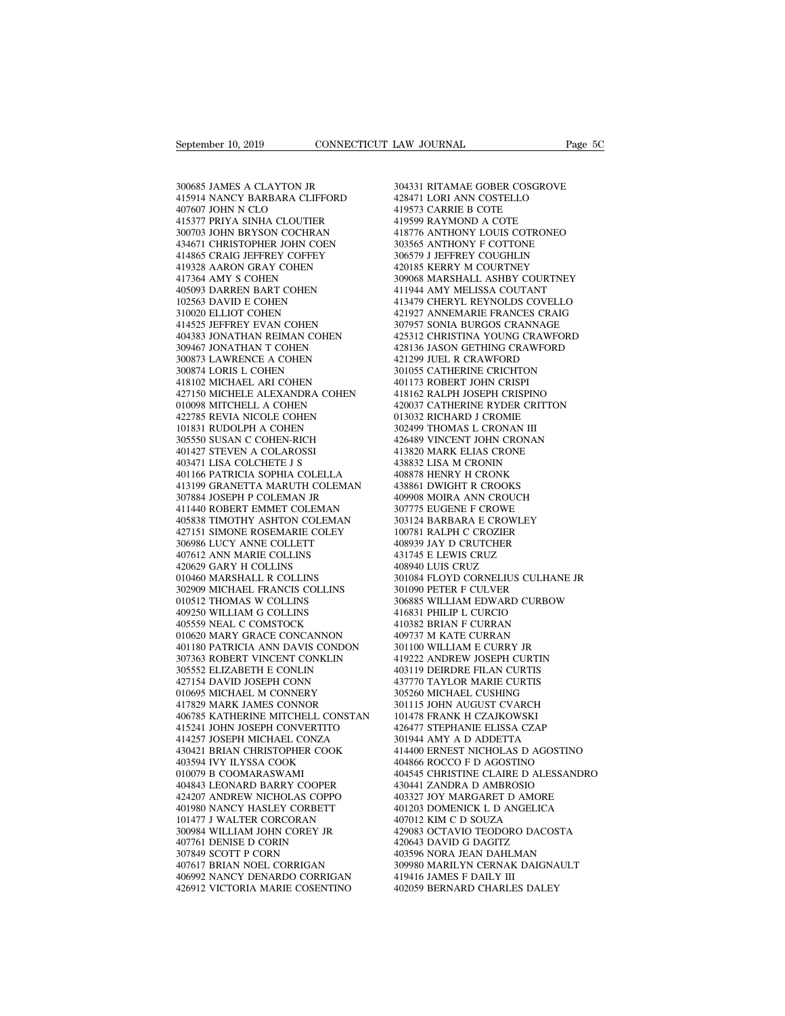September 10, 2019<br>300685 JAMES A CLAYTON JR<br>415914 NANCY BARBARA CLIFFORD<br>407607 JOHN N CLO 415914 NANCY BARBARA CLIFFORD  $\begin{tabular}{ll} \textbf{September 10, 2019} & \textbf{CONNECTICUT LAW JOURNAL} \\ \hline 300685 JAMES A CLAYTON JR & 304331 RITAMAI \\ 415914 NANCY BARBARA CLIFFORD & 428471 LORI ANN \\ 407607 JOHN N CLO & 419573 CARRE I \\ 415377 PRIYA SINHA CLOUTIER & 419599 RAYMON \\ 300703 JOHN BRYSON COCHRAN & 418776 ANTHON \end{tabular}$ 415914 NANES A CLAYTON JR<br>415914 NANCY BARBARA CLIFFORD<br>407607 JOHN N CLO<br>415377 PRIYA SINHA CLOUTIER<br>300703 JOHN BRYSON COCHRAN<br>434671 CHRISTOPHER JOHN COEN 300685 JAMES A CLAYTON JR<br>415914 NANCY BARBARA CLIFFORD<br>407607 JOHN N CLO<br>415377 PRIYA SINHA CLOUTIER<br>300703 JOHN BRYSON COCHRAN<br>434671 CHRISTOPHER JOHN COEN<br>414865 CRAIG JEFFREY COFFEY 300685 JAMES A CLAYTON JR<br>
415914 NANCY BARBARA CLIFFORD<br>
407607 JOHN N CLO<br>
415377 PRIYA SINHA CLOUTIER<br>
415377 PRIYA SINHA COCHRAN<br>
434671 CHRISTOPHER JOHN COEN<br>
414865 CRAIG JEFFREY COFFEY<br>
419328 AARON GRAY COHEN<br>
4193 300685 JAMES A CLAYTON JR<br>415914 NANCY BARBARA CLIFFORD<br>407607 JOHN N CLO<br>415377 PRIYA SINHA CLOUTIER<br>300703 JOHN BRYSON COCHRAN<br>434671 CHRISTOPHER JOHN COEN<br>414865 CRAIG JEFFREY COFFEY<br>419328 AARON GRAY COHEN<br>417364 AMY S 415914 NANCY BARBARA CLIFFORD<br>407607 JOHN N CLO<br>415377 PRIYA SINHA CLOUTIER<br>300703 JOHN BRYSON COCHRAN<br>434671 CHRISTOPHER JOHN COEN<br>414865 CRAIG JEFFREY COFFEY<br>419328 AARON GRAY COHEN<br>417364 AMY S COHEN<br>405093 DARREN BART 407607 JOHN N CLO<br>415377 PRIYA SINHA CLOUTIER<br>300703 JOHN BRYSON COCHRAN<br>434671 CHRISTOPHER JOHN COEN<br>414865 CRAIG JEFFREY COFFEY<br>419328 AARON GRAY COHEN<br>405093 DARREN BART COHEN<br>102563 DAVID E COHEN 415377 PRIYA SINHA CLOUTIER<br>300703 JOHN BRYSON COCHRAN<br>434671 CHRISTOPHER JOHN COEN<br>414865 CRAIG JEFFREY COFFEY<br>419328 AARON GRAY COHEN<br>405093 DARREN BART COHEN<br>102563 DAVID E COHEN<br>310020 ELLIOT COHEN 300703 JOHN BRYSON COCHRAN<br>434671 CHRISTOPHER JOHN COEN<br>414865 CRAIG JEFFREY COFFEY<br>419328 AARON GRAY COHEN<br>417364 AMY S COHEN<br>405093 DAREN BART COHEN<br>102563 DAVID E COHEN<br>310020 ELLIOT COHEN<br>414525 JEFFREY EVAN COHEN 434671 CHRISTOPHER JOHN COEN<br>414865 CRAIG JEFFREY COFFEY<br>419328 AARON GRAY COHEN<br>417364 AMY S COHEN<br>405093 DARREN BART COHEN<br>102563 DAVID E COHEN<br>310020 ELLIOT COHEN<br>414525 JEFFREY EVAN COHEN<br>404383 JONATHAN REIMAN COHEN 414865 CRAIG JEFFREY COFFEY<br>419328 AARON GRAY COHEN<br>417364 AMY S COHEN<br>405093 DARREN BART COHEN<br>102563 DAVID E COHEN<br>310020 ELLIOT COHEN<br>414525 JEFFREY EVAN COHEN<br>404383 JONATHAN REIMAN COHEN<br>309467 JONATHAN T COHEN 404383 JONATHAN REIMAN COHEN 417364 AMY S COHEN<br>405093 DARREN BART COHEN<br>102563 DAVID E COHEN<br>310020 ELLIOT COHEN<br>414525 JEFFREY EVAN COHEN<br>404383 JONATHAN REMAN COHEN<br>309467 JONATHAN T COHEN<br>300873 LAWRENCE A COHEN<br>300873 LAWRENCE A COHEN<br>300874 LORI 405093 DARREN BART COHEN<br>102563 DAVID E COHEN<br>310020 ELLIOT COHEN<br>414525 JEFFREY EVAN COHEN<br>404383 JONATHAN REIMAN COHEN<br>309467 JONATHAN T COHEN<br>300873 LAWRENCE A COHEN<br>300874 LORIS L COHEN<br>418102 MICHAEL ARI COHEN 102563 DAVID E COHEN<br>310020 ELLIOT COHEN<br>414525 JEFFREY EVAN COHEN<br>404383 JONATHAN REIMAN COHEN<br>309467 JONATHAN T COHEN<br>300873 LAWRENCE A COHEN<br>300873 LORIS L COHEN<br>418102 MICHAEL ARI COHEN<br>427150 MICHELE ALEXANDRA COHE 310020 ELLIOT COHEN<br>414525 JEFFREY EVAN COHEN<br>404383 JONATHAN REIMAN COHEN<br>309467 JONATHAN T COHEN<br>300873 LAWRENCE A COHEN<br>300874 LORIS L COHEN<br>418102 MICHELE ARI COHEN<br>427150 MICHELE ALEXANDRA COHEN<br>010098 MITCHELL A COHE  $\begin{tabular}{llllllllll} 414525\t\t\t\t 70957\t\t\t\t 404383\t\t\t 10NATHAN REIMAN COHEN & 425312\t\t\t\t 309467\t\t\t 10NATHAN T COHEN & 428136\t\t\t\t\t 300873 \t\t\t 10NATHAN T COHEN & 421299\t\t\t\t\t\t\t 421299\t\t\t\t\t\t\t 300874\t\t\t 10RIS L COHEN & 401051\t\t\t\t\t\t\t\t 401177\t\t\t\t\t\t\t\t\t\t\t\t\t\t\t\t\t\t\t\t\t\t\t\t\t\t\t\t\t\t\t\t$ 404383 JONATHAN REIMAN COHEN<br>309467 JONATHAN T COHEN<br>300873 LAWRENCE A COHEN<br>418102 MICHAEL ARI COHEN<br>427150 MICHELE ALEXANDRA COHEN<br>010098 MITCHELL A COHEN<br>422785 REVIA NICOLE COHEN<br>101831 RUDOLPH A COHEN 309467 JONATHAN T COHEN<br>300873 LAWRENCE A COHEN<br>300874 LORIS L COHEN<br>418102 MICHAEL ARI COHEN<br>427150 MICHELE ALEXANDRA COHEN<br>010098 MITCHELL A COHEN<br>422785 REVIA NICOLE COHEN<br>101831 RUDOLPH A COHEN<br>305550 SUSAN C COHEN-RIC 300873 LAWRENCE A COHEN<br>300874 LORIS L COHEN<br>418102 MICHAEL ARI COHEN<br>427150 MICHELE ALEXANDRA COHEN<br>010098 MITCHELL A COHEN<br>402785 REVIA NICOLE COHEN<br>101831 RUDOLPH A COHEN<br>305550 SUSAN C COHEN-RICH<br>401427 STEVEN A COLARO 300874 LORIS L COHEN<br>418102 MICHAEL ARI COHEN<br>427150 MICHELE ALEXANDRA COHEN<br>010098 MITCHELL A COHEN<br>422785 REVIA NICOLE COHEN<br>101831 RUDOLPH A COHEN<br>305550 SUSAN C COHEN-RICH<br>401427 STEVEN A COLAROSSI<br>403471 LISA COLCHETE 418102 MICHAEL ARI COHEN<br>427150 MICHELE ALEXANDRA COHE<br>010098 MITCHELL A COHEN<br>422785 REVIA NICOLE COHEN<br>101831 RUDOLPH A COHEN-RICH<br>305550 SUSAN C COHEN-RICH<br>401427 STEVEN A COLAROSSI<br>403471 LISA COLCHETE J S<br>401471 TISA 010098 MITCHELL A COHEN<br>422785 REVIA NICOLE COHEN<br>101831 RUDOLPH A COHEN<br>305550 SUSAN C COHEN-RICH<br>401473 STEVEN A COLAROSI<br>403471 LISA COLCHETE J S<br>401166 PATRICIA SOPHIA COLELLA 010098 MITCHELL A COHEN 422<br>
422785 REVIA NICOLE COHEN 013<br>
101831 RUDOLPH A COHEN<br>
302<br>
305550 SUSAN C COHEN-RICH 42<br>
401471 LISA COLCHETE J S<br>
403471 LISA COLCHETE J S<br>
401166 PATRICIA SOPHIA COLELLA 408<br>
413199 GRANETTA  $\begin{tabular}{llllllll} 422785 & \text{REVIA NICOLE COHEN} & 013032 \\ 101831 & \text{RUDOLPH A COHEN} & 302499 \\ 305550 & \text{SUSAN C COHEN-RICH} & 426489 \\ 401427 & \text{STEVEN A COLAROSSI} & 413820 \\ 403471 & \text{LISA COLCHEF B} & 438832 \\ 401166 & \text{PATRICIA SOPHIA COLELLA} & 408878 \\ 411199 & \text{GRANETTA MARUTH COLEMAN} & 438861$ 101831 RUDOLPH A COHEN<br>305550 SUSAN C COHEN-RICH<br>401427 STEVEN A COLAROSSI<br>403471 LISA COLCHETE J S<br>401166 PATRICIA SOPHIA COLELLA<br>4113199 GRANETTA MARUTH COLEMAN<br>307884 JOSEPH P COLEMAN JR<br>411440 ROBERT EMMET COLEMAN<br>4058 411440 ROBERT EMMET COLEMAN 401427 STEVEN A COLAROSSI 403471 LISA COLCHETE J S<br>403471 LISA COLCHETE J S<br>401166 PATRICIA SOPHIA COLELLA 4088'<br>413199 GRANETTA MARUTH COLEMAN 43886<br>407884 JOSEPH P COLEMAN 407977<br>405838 TIMOTHY ASHTON COLEMAN 30311<br>42715 403471 LISA COLCHETE J S<br>
401166 PATRICIA SOPHIA COLELLA 408<br>
413199 GRANETTA MARUTH COLEMAN 438<br>
307884 JOSEPH P COLEMAN JR<br>
411440 ROBERT EMMET COLEMAN 307<br>
405838 TIMOTHY ASHTON COLEMAN 303<br>
427151 SIMONE ROSEMARIE COLE 413199 GRANETTA MARUTH COLEMAN<br>307884 JOSEPH P COLEMAN JR<br>411440 ROBERT EMMET COLEMAN<br>405838 TIMOTHY ASHTON COLEMAN<br>427151 SIMONE ROSEMARIE COLETT<br>306986 LUCY ANNE COLLETT<br>407612 ANN MARIE COLLINS<br>420629 GARY H COLLINS 413199 GRANETTA MARUTH COLEMAN<br>307884 JOSEPH P COLEMAN JR<br>411440 ROBERT EMMET COLEMAN<br>405838 TIMOTHY ASHTON COLEMAN<br>427151 SIMONE ROSEMARIE COLET<br>306986 LUCY ANNE COLLINS<br>420629 GARY H COLLINS<br>420629 GARY H COLLINS<br>010460 411440 ROBERT EMMET COLEMAN 405838 TIMOTHY ASHTON COLEMAI 427151 SIMONE ROSEMARIE COLEY 306986 LUCY ANNE COLLETT 407612 ANN MARIE COLLINS 010460 MARSHALL R COLLINS 302909 MICHAEL FRANCIS COLLINS 02909 MICHAEL FRANCIS COLL 411440 ROBERT EMMET COLEMAN<br>405838 TIMOTHY ASHTON COLEMAN<br>427151 SIMONE ROSEMARIE COLEY<br>306986 LUCY ANNE COLLETT<br>407612 ANN MARIE COLLINS<br>420629 GARY H COLLINS<br>010460 MARSHALL R COLLINS<br>302909 MICHAEL FRANCIS COLLINS<br>01051 405838 TIMOTHY ASHTON COLEMAN<br>427151 SIMONE ROSEMARIE COLEY<br>306986 LUCY ANNE COLLETT<br>407612 ANN MARIE COLLINS<br>420629 GARY H COLLINS<br>010460 MARSHALL R COLLINS<br>302909 MICHAEL FRANCIS COLLINS<br>010512 THOMAS W COLLINS<br>409250 WI 427151 SIMONE ROSEMARIE COLEY<br>306986 LUCY ANNE COLLETT<br>407612 ANN MARIE COLLINS<br>420629 GARY H COLLINS<br>010460 MARSHALL R COLLINS<br>302909 MICHAEL FRANCIS COLLINS<br>010512 THOMAS W COLLINS<br>409250 WILLIAM G COLLINS<br>405559 NEAL C 306986 LUCY ANNE COLLETT<br>407612 ANN MARIE COLLINS<br>420629 GARY H COLLINS<br>010460 MARSHALL R COLLINS<br>302909 MICHAEL FRANCIS COLLINS<br>010512 THOMAS W COLLINS<br>409250 WILLIAM G COLLINS<br>405559 NEAL C COMSTOCK<br>010620 MARY GRACE CON 010512 THOMAS W COLLINS<br>409250 WILLIAM G COLLINS<br>405559 NEAL C COMSTOCK<br>010620 MARY GRACE CONCANNON<br>401180 PATRICIA ANN DAVIS CONDON 420629 GARY H COLLINS 408<br>
010460 MARSHALL R COLLINS 302<br>
302909 MICHAEL FRANCIS COLLINS 301<br>
010512 THOMAS W COLLINS 306<br>
4092550 WILLIAM G COLLINS 41<br>
405559 NEAL C COMSTOCK 410<br>
010620 MARY GRACE CONCANNON 409<br>
401180 P 010460 MARSHALL R COLLINS 302909 MICHAEL FRANCIS COLLINS 301090<br>010512 THOMAS W COLLINS 306885<br>409250 WILLIAM G COLLINS 416831<br>405559 NEAL C COMSTOCK 400382<br>0110620 MARY GRACE CONCANNON 409737<br>401180 PATRICIA ANN DAVIS CON 302909 MICHAEL FRANCIS COLLINS<br>
010512 THOMAS W COLLINS<br>
409250 WILLIAM G COLLINS<br>
405559 NEAL C COMSTOCK<br>
010620 MARY GRACE CONCANNON<br>
4010620 MARY GRACE CONCANNON<br>
3017663 ROBERT VINCENT CONKLIN 010512 THOMAS W COLLINS<br>409250 WILLIAM G COLLINS<br>405559 NEAL C COMSTOCK<br>010620 MARY GRACE CONCANNON<br>401180 PATRICIA ANN DAVIS CONDON<br>307363 ROBERT VINCENT CONKLIN<br>305552 ELIZABETH E CONLIN<br>427154 DAVID JOSEPH CONN<br>010695 M 409250 WILLIAM G COLLINS<br>405559 NEAL C COMSTOCK<br>010620 MARY GRACE CONCANNON<br>401180 PATRICIA ANN DAVIS CONDON<br>307363 ROBERT VINCENT CONKLIN<br>303552 ELIZABETH E CONLIN<br>427154 DAVID JOSEPH CONN<br>010695 MICHAEL M CONNERY<br>417829 405559 NEAL C COMSTOCK<br>010620 MARY GRACE CONCANNON<br>401180 PATRICIA ANN DAVIS CONDON<br>307363 ROBERT VINCENT CONKLIN<br>427154 DAVID JOSEPH CONLIN<br>010695 MICHAEL M CONNERY<br>417829 MARK JAMES CONNOR<br>406785 KATHERINE MITCHELL CONST 010620 MARY GRACE CONCANNON<br>401180 PATRICIA ANN DAVIS CONDON<br>307363 ROBERT VINCENT CONKLIN<br>305552 ELIZABETH E CONLIN<br>427154 DAVID JOSEPH CONN<br>010695 MICHAEL M CONNERY<br>417829 MARK JAMES CONNOR<br>406785 KATHERINE MITCHELL CONS 406785 KATHERINE MITCHELL CONSTAN 41/305552 ELIZABETH E CONLIN 41/305552 ELIZABETH E CONLIN 40<br>427154 DAVID JOSEPH CONN 43<br>610695 MICHAEL M CONNERY 30<br>417829 MARK JAMES CONNOR 47<br>4106785 KATHERINE MITCHELL CONSTAN 10<br>4165241 JOHN JOSEPH MICHAEL CONZA 43042 305552 ELIZABETH E CONLIN<br>427154 DAVID JOSEPH CONN<br>010695 MICHAEL M CONNERY<br>417829 MARK JAMES CONNOR<br>406785 KATHERINE MITCHELL CONSTAN<br>416241 JOHN JOSEPH MICHAEL CONZA<br>430421 BRIAN CHRISTOPHER COOK<br>403594 IVY ILYSSA COOK 427154 DAVID JOSEPH CONN 437<br>
010695 MICHAEL M CONNERY 305<br>
417829 MARK JAMES CONNOR<br>
406785 KATHERINE MITCHELL CONSTAN 101<br>
41621 JOHN JOSEPH MICHAEL CONZA 301<br>
414257 JOSEPH MICHAEL CONZA 301<br>
430421 BRIAN CHRISTOPHER CO 010695 MICHAEL M CONNERY<br>417829 MARK JAMES CONNOR<br>406785 KATHERINE MITCHELL CONSTA<br>415241 JOHN JOSEPH CONVERTITO<br>414257 JOSEPH MICHAEL CONZA<br>430421 BRIAN CHRISTOPHER COOK<br>403594 IVY ILYSSA COOK<br>010079 B COOMARASWAMI<br>404843 417829 MARK JAMES CONNOR<br>406785 KATHERINE MITCHELL CC<br>415241 JOHN JOSEPH CONVERTIT<br>414257 JOSEPH MICHAEL CONZA<br>430421 BRIAN CHRISTOPHER COC<br>403594 IVY LYSSA COOK<br>010079 B COOMARASWAMI<br>404843 LEONARD BARRY COOPEF<br>424207 AND 406785 KATHERINE MITCHELL CONSTAN<br>415241 JOHN JOSEPH CONVERTITO<br>414257 JOSEPH MICHAEL CONZA<br>430421 BRIAN CHRISTOPHER COOK<br>403594 IVY ILYSSA COOK<br>010079 B COOMARASWAMI<br>404843 LEONARD BARRY COOPER<br>424207 ANDREW NICHOLAS COPP 416241 JOHN JOSEPH CONVERTITO 426<br>414257 JOSEPH MICHAEL CONZA 301<br>430421 BRIAN CHRISTOPHER COOK 414<br>403594 IVY ILYSSA COOK 40<br>010079 B COOMARASWAMI 4404444431 LEONARASWAMI 440444207 ANDREW NICHOLAS COPPO 403<br>401980 NANCY H 414257 JOSEPH MICHAEL CONZA<br>430421 BRIAN CHRISTOPHER COOK<br>403594 IVY ILYSSA COOK<br>010079 B COOMARASWAMI<br>404843 LEONARD BARRY COOPER<br>424207 ANDREW NICHOLAS COPPO<br>401980 NANCY HASLEY CORBETT<br>101477 J WALTER CORCORAN<br>300984 WI 430421 BRIAN CHRISTOPHER COOK<br>403594 IVY ILYSSA COOK<br>010079 B COOMARASWAMI<br>404843 LEONARD BARRY COOPER<br>424207 ANDREW NICHOLAS COPPO<br>401980 NANCY HASLEY CORBETT<br>101477 J WALTER CORCORAN<br>300984 WILLIAM JOHN COREY JR<br>407761 D 403594 IVY ILYSSA COOK<br>010079 B COOMARASWAMI<br>404843 LEONARD BARRY COOPER<br>424207 ANDREW NICHOLAS COPPO<br>401980 NANCY HASLEY CORBETT<br>101477 J WALTER CORCORAN<br>300984 WILLIAM JOHN COREY JR<br>407761 DENISE D CORIN<br>307849 SCOTT P C 010079 B COOMARASWAMI<br>404843 LEONARD BARRY COOPER<br>424207 ANDREW NICHOLAS COPPO<br>401980 NANCY HASLEY CORBETT<br>101477 J WALTER CORCORAN<br>300984 WILLIAM JOHN COREY JR<br>407761 DENISE D CORN<br>307849 SCOTT P CORN<br>407617 BRIAN NOEL CO 404843 LEONARD BARRY COOPER<br>424207 ANDREW NICHOLAS COPPO<br>401980 NANCY HASLEY CORBETT<br>101477 J WALTER CORCORAN<br>300984 WILLIAM JOHN COREY JR<br>407561 DENISE D CORIN<br>307849 SCOTT P CORN<br>407617 BRIAN NOEL CORRIGAN<br>406992 NANCY D 424207 ANDREW NICHOLAS COPPO<br>401980 NANCY HASLEY CORBETT<br>101477 J WALTER CORCORAN<br>300984 WILLIAM JOHN COREY JR<br>407761 DENISE D CORN<br>307849 SCOTT P CORN<br>407617 BRIAN NOEL CORRIGAN<br>406992 NANCY DENARDO CORRIGAN<br>426912 VICTOR 406992 NANCY DENARDO CORRIGAN 101477 J WALTER CORCORAN 40701<br>
300984 WILLIAM JOHN COREY JR 42908<br>
407761 DENISE D CORIN 4206-<br>
307849 SCOTT P CORN 40359<br>
407617 BRIAN NOEL CORRIGAN 406992 NANCY DENARDO CORRIGAN 41941<br>
426912 VICTORIA MARIE COSENTINO 40

LAW JOURNAL Page 5C<br>304331 RITAMAE GOBER COSGROVE<br>428471 LORI ANN COSTELLO<br>419573 CARRIE B COTE LAW JOURNAL<br>
2003 - DARIA COBER COSGROVE<br>
428471 LORI ANN COSTELLO<br>
419573 CARRIE B COTE<br>
419599 RAYMOND A COTE LAW JOURNAL<br>304331 RITAMAE GOBER COSGROV<br>428471 LORI ANN COSTELLO<br>419573 CARRIE B COTE<br>419599 RAYMOND A COTE<br>418776 ANTHONY LOUIS COTRONE 304331 RITAMAE GOBER COSGROVE<br>428471 LORI ANN COSTELLO<br>419573 CARRIE B COTE<br>419599 RAYMOND A COTE<br>418776 ANTHONY LOUIS COTRONEO<br>303565 ANTHONY F COTTONE 304331 RITAMAE GOBER COSGROVE<br>428471 LORI ANN COSTELLO<br>419573 CARRIE B COTE<br>418776 ANTHONY LOUIS COTRONEO<br>303565 ANTHONY F COTTONE<br>306579 J JEFFREY COUGHLIN 304331 RITAMAE GOBER COSGROVE<br>428471 LORI ANN COSTELLO<br>419573 CARRIE B COTE<br>419599 RAYMOND A COTE<br>418776 ANTHONY LOUIS COTRONEO<br>303565 ANTHONY F COTTONE<br>306579 J JEFFREY COUGHLIN<br>420185 KERRY M COURTNEY 304331 RITAMAE GOBER COSGROVE<br>428471 LORI ANN COSTELLO<br>419573 CARRIE B COTE<br>419599 RAYMOND A COTE<br>418776 ANTHONY LOUIS COTRONEO<br>303565 ANTHONY F COTTONE<br>306579 J JEFFREY COUGHLIN<br>420185 KERRY M COURTNEY<br>309068 MARSHALL ASH 428471 LORI ANN COSTELLO<br>419573 CARRIE B COTE<br>419599 RAYMOND A COTE<br>418776 ANTHONY LOUIS COTRONEO<br>303565 ANTHONY F COTTONE<br>306579 J JEFFREY COUGHLIN<br>420185 KERRY M COURTNEY<br>309068 MARSHALL ASHBY COURTNEY<br>411944 AMY MELISSA 419573 CARRIE B COTE<br>419599 RAYMOND A COTE<br>418776 ANTHONY LOUIS COTRONEO<br>303565 ANTHONY F COTTONE<br>406579 J JEFFREY COUGHLIN<br>420185 KERRY M COURTNEY<br>309068 MARSHALL ASHBY COURTNEY<br>411944 AMY MELISSA COUTANT<br>413479 CHERYL RE 419599 RAYMOND A COTE<br>418776 ANTHONY LOUIS COTRONEO<br>303565 ANTHONY F COTTONE<br>306579 J JEFFREY COUGHLIN<br>420185 KERRY M COURTNEY<br>309068 MARSHALL ASHBY COURTNEY<br>411944 AMY MELISSA COUTANT<br>413479 CHERYL REYNOLDS COVELLO<br>421927 418776 ANTHONY LOUIS COTRONEO<br>303565 ANTHONY F COTTONE<br>306579 J JEFFREY COUGHLIN<br>420185 KERRY M COURTNEY<br>309068 MARSHALL ASHBY COURTNEY<br>411944 AMY MELISSA COUTANT<br>413479 CHERYL REYNOLDS COVELLO<br>421927 ANNEMARIE FRANCES CRA 303565 ANTHONY F COTTONE<br>306579 J JEFFREY COUGHLIN<br>420185 KERRY M COURTNEY<br>309068 MARSHALL ASHBY COURTNEY<br>411944 AMY MELISSA COUTANT<br>413479 CHERYL REYNOLDS COVELLO<br>421927 ANNEMARIE FRANCES CRAIG<br>307957 SONIA BURGOS CRANNAG 306579 J JEFFREY COUGHLIN<br>420185 KERRY M COURTNEY<br>309068 MARSHALL ASHBY COURTNEY<br>411944 AMY MELISSA COUTANT<br>413479 CHERYL REYNOLDS COVELLO<br>421927 ANNEMARIE FRANCES CRAIG<br>307957 SONIA BURGOS CRANNAGE<br>425312 CHRISTINA YOUNG 420185 KERRY M COURTNEY<br>309068 MARSHALL ASHBY COURTNEY<br>411944 AMY MELISSA COUTANT<br>413479 CHERYL REYNOLDS COVELLO<br>421927 ANNEMARIE FRANCES CRAW<br>307957 SONIA BURGOS CRAWNAGE<br>425312 CHRISTINA YOUNG CRAWFORD<br>428136 JASON GETHI 309068 MARSHALL ASHBY COURTNEY<br>411944 AMY MELISSA COUTANT<br>413479 CHERYL REYNOLDS COVELLO<br>421927 ANNEMARIE FRANCES CRAIG<br>307957 SONIA BURGOS CRAWFORD<br>425312 CHRISTINA YOUNG CRAWFORD<br>428136 JASON GETHING CRAWFORD<br>421299 JUEL 411944 AMY MELISSA COUTANT<br>413479 CHERYL REYNOLDS COVELLO<br>421927 ANNEMARIE FRANCES CRAIG<br>307957 SONIA BURGOS CRANNAGE<br>425312 CHRISTINA YOUNG CRAWFORD<br>421299 JUEL R CRAWFORD<br>301055 CATHERINE CRICHTON<br>401173 ROBERT JOHN CRIS 413479 CHERYL REYNOLDS COVELLO<br>421927 ANNEMARIE FRANCES CRAIG<br>307957 SONIA BURGOS CRANNAGE<br>425312 CHRISTINA YOUNG CRAWFORD<br>428136 JASON GETHING CRAWFORD<br>401299 JUEL R CRAWFORD<br>301055 CATHERINE CRICHTON<br>401173 ROBERT JOHN C 307957 SONIA BURGOS CRANNAGE<br>425312 CHRISTINA YOUNG CRAWFOR<br>428136 JASON GETHING CRAWFORD<br>421299 JUEL R CRAWFORD<br>301055 CATHERINE CRICHTON<br>401173 ROBERT JOHN CRISPI<br>418162 RALPH JOSEPH CRISPINO<br>420037 CATHERINE RYDER CRITT 307957 SONIA BURGOS CRANNAGE<br>425312 CHRISTINA YOUNG CRAWFORD<br>428136 JASON GETHING CRAWFORD<br>421299 JUEL R CRAWFORD<br>301055 CATHERINE CRICHTON<br>401173 ROBERT JOHN CRISPI<br>418162 RALPH JOSEPH CRISPINO<br>420037 CATHERINE RYDER CRIT 425312 CHRISTINA YOUNG CRAWFORD<br>428136 JASON GETHING CRAWFORD<br>421299 JUEL R CRAWFORD<br>301055 CATHERINE CRICHTON<br>401173 ROBERT JOHN CRISPI<br>418162 RALPH JOSEPH CRISPINO<br>420037 CATHERINE RYDER CRITTON<br>013032 RICHARD J CROMIE<br>3 428136 JASON GETHING CRAWFORD<br>421299 JUEL R CRAWFORD<br>301055 CATHERINE CRICHTON<br>401173 ROBERT JOHN CRISPI<br>418162 RALPH JOSEPH CRISPINO<br>420037 CATHERINE RYDER CRITTON<br>013032 RICHARD J CROMIE<br>302499 THOMAS L CRONAN III<br>426489 421299 JUEL R CRAWFORD<br>301055 CATHERINE CRICHTON<br>401173 ROBERT JOHN CRISPI<br>418162 RALPH JOSEPH CRISPINO<br>013032 RICHARD J CROME<br>6101332 RICHARD J CRONAN III<br>302499 THOMAS L CRONAN III<br>426489 VINCENT JOHN CRONAN<br>413820 MARK 301055 CATHERINE CRICHTON<br>401173 ROBERT JOHN CRISPI<br>418162 RALPH JOSEPH CRISPINO<br>420037 CATHERINE RYDER CRITTON<br>013032 RICHARD J CROME<br>302499 TINOENT JOHN CRONAN<br>413820 MARK ELIAS CRONAN<br>413820 MARK ELIAS CRONE<br>438832 LISA 401173 ROBERT JOHN CRISPI<br>418162 RALPH JOSEPH CRISPINO<br>420037 CATHERINE RYDER CRITTON<br>013032 RICHARD J CROMIE<br>302499 THOMAS L CRONAN III<br>426489 VINCENT JOHN CRONAN<br>413820 MARK ELIAS CRONE<br>438832 LISA M CRONIN<br>408878 HENRY 418162 RALPH JOSEPH CRISPINO<br>420037 CATHERINE RYDER CRITTON<br>013032 RICHARD J CROMIE<br>302499 THOMAS L CRONAN III<br>426489 VINCENT JOHN CRONAN<br>413820 MARK ELIAS CRONE<br>438832 LISA M CRONIN<br>408878 HENRY H CRONK<br>438861 DWIGHT R CR 420037 CATHERINE RYDER CRITTON<br>013032 RICHARD J CROMIE<br>302499 THOMAS L CRONAN III<br>426489 VINCENT JOHN CRONAN<br>413820 MARK ELIAS CRONE<br>438832 LISA M CRONIN<br>408878 HENRY H CRONK<br>438861 DWIGHT R CROOKS<br>409908 MOIRA ANN CROUCH 013032 RICHARD J CROMIE<br>302499 THOMAS L CRONAN III<br>426489 VINCENT JOHN CRONAN<br>413820 MARK ELIAS CRONE<br>438832 LISA M CRONK<br>408878 HENRY H CRONK<br>4438861 DWIGHT R CROOKS<br>409908 MOIRA ANN CROUCH<br>307775 EUGENE F CROWE 302499 THOMAS L CRONAN III<br>426489 VINCENT JOHN CRONAN<br>413820 MARK ELIAS CRONE<br>438832 LISA M CRONIN<br>408878 HENRY H CRONK<br>443861 DWIGHT R CROOKS<br>409908 MOIRA ANN CROUCH<br>307775 EUGENE F CROWE<br>303124 BARBARA E CROWLEY 426489 VINCENT JOHN CRONAN<br>413820 MARK ELIAS CRONE<br>438832 LISA M CRONIN<br>408878 HENRY H CRONK<br>438861 DWIGHT R CROOKS<br>409908 MOIRA ANN CROUCH<br>307775 EUGENE F CROWE<br>303124 BARBARA E CROWLEY<br>100781 RALPH C CROZIER 413820 MARK ELIAS CRONE<br>438832 LISA M CRONIN<br>408878 HENRY H CRONK<br>438861 DWIGHT R CROOKS<br>30908 MOIRA ANN CROUCH<br>307775 EUGENE F CROWLEY<br>303124 BARBARA E CROWLEY<br>100781 RALPH C CROZIER<br>408939 JAY D CRUTCHER 438832 LISA M CRONIN<br>408878 HENRY H CRONK<br>438861 DWIGHT R CROOKS<br>409908 MOIRA ANN CROUCH<br>307775 EUGENE F CROWE<br>303124 BARBARA E CROWLEY<br>100781 RALPH C CROZIER<br>408939 JAY D CRUTCHER<br>431745 E LEWIS CRUZ 408878 HENRY H CRONK<br>438861 DWIGHT R CROOKS<br>409908 MOIRA ANN CROUCH<br>307775 EUGENE F CROWE<br>303124 BARBARA E CROWLEY<br>100781 RALPH C CROZIER<br>408939 JAY D CRUTCHER<br>431745 E LEWIS CRUZ<br>408940 LUIS CRUZ 438861 DWIGHT R CROOKS<br>409908 MOIRA ANN CROUCH<br>307775 EUGENE F CROWE<br>303124 BARBARA E CROWLEY<br>100781 RALPH C CROZIER<br>408939 JAY D CRUTCHER<br>431745 E LEWIS CRUZ<br>408940 LUIS CRUZ<br>301084 FLOYD CORNELIUS CULH. 409908 MOIRA ANN CROUCH<br>307775 EUGENE F CROWE<br>303124 BARBARA E CROWLEY<br>100781 RALPH C CROZIER<br>408939 JAY D CRUTCHER<br>418745 E LEWIS CRUZ<br>408940 LUIS CRUZ<br>301084 FLOYD CORNELIUS CU<br>301084 FLOYD CORNELIUS CU<br>301084 FLOYD CORN 307775 EUGENE F CROWE<br>303124 BARBARA E CROWLEY<br>100781 RALPH C CROZIER<br>408939 JAY D CRUTCHER<br>431745 E LEWIS CRUZ<br>408940 LUIS CRUZ<br>301084 FLOYD CORNELIUS CULHANE JR<br>301084 FLOYD CORNELIUS CULHANE JR<br>301090 PETER F CULVER<br>306 303124 BARBARA E CROWLEY<br>100781 RALPH C CROZIER<br>408939 JAY D CRUTCHER<br>431745 E LEWIS CRUZ<br>408940 LUIS CRUZ<br>301084 FLOYD CORNELIUS CULHANE<br>301084 FLOYD CORNELIUS CULHANE<br>301090 PETER F CULVER<br>306885 WILLIAM EDWARD CURBOW<br>41 100781 RALPH C CROZIER<br>408939 JAY D CRUTCHER<br>431745 E LEWIS CRUZ<br>408940 LUIS CRUZ<br>301084 FLOYD CORNELIUS CULHANE JR<br>301090 PETER F CULVER<br>306885 WILLIAM EDWARD CURBOW<br>416831 PHILIP L CURCIO<br>410382 BRIAN F CURRAN 408939 JAY D CRUTCHER<br>431745 E LEWIS CRUZ<br>408940 LUIS CRUZ<br>301084 FLOYD CORNELIUS CULHANE<br>301090 PETER F CULVER<br>306885 WILLIAM EDWARD CURBOW<br>416831 PHILIP L CURCIO<br>410382 BRIAN F CURRAN<br>409737 M KATE CURRAN 431745 E LEWIS CRUZ<br>408940 LUIS CRUZ<br>301084 FLOYD CORNELIUS CULHANE J<br>301090 PETER F CULVER<br>406885 WILLIAM EDWARD CURBOW<br>416831 PHILIP L CURCIO<br>410382 BRIAN F CURRAN<br>409737 M KATE CURRAN<br>301100 WILLIAM E CURRY JR 408940 LUIS CRUZ<br>301084 FLOYD CORNELIUS CULHANE 1<br>301090 PETER F CULVER<br>306885 WILLIAM EDWARD CURBOW<br>416831 PHILIP L CURCIO<br>410332 BRIAN F CURRAN<br>409737 M KATE CURRAN<br>301100 WILLIAM E CURRY JR<br>419222 ANDREW JOSEPH CURTIN 301084 FLOYD CORNELIUS CULHANE JR<br>301090 PETER F CULVER<br>306885 WILLIAM EDWARD CURBOW<br>416831 PHILIP L CURCIO<br>410382 BRIAN F CURRAN<br>409737 M KATE CURRAN<br>301100 WILLIAM E CURRY JR<br>419222 ANDREW JOSEPH CURTIN<br>403119 DEIRDRE FI 301090 PETER F CULVER<br>306885 WILLIAM EDWARD CURBOW<br>416831 PHILIP L CURCIO<br>410382 BRIAN F CURRAN<br>409737 M KATE CURRAN<br>301100 WILLIAM E CURRY JR<br>443119 DEIRDRE FILAN CURTIS<br>437170 TAYLOR MARIE CURTIS 306885 WILLIAM EDWARD CURBOW<br>416831 PHILIP L CURCIO<br>410382 BRIAN F CURRAN<br>409737 M KATE CURRAN<br>301100 WILLIAM E CURRY JR<br>419222 ANDREW JOSEPH CURTIN<br>403119 DEIRDRE FILAN CURTIS<br>437770 TAYLOR MARIE CURTIS<br>305260 MICHAEL CUS 416831 PHILIP L CURCIO<br>410382 BRIAN F CURRAN<br>409737 M KATE CURRAN<br>301100 WILLIAM E CURRY JR<br>419222 ANDREW JOSEPH CURTIN<br>403119 DEIRDRE FILAN CURTIS<br>305260 MICHAEL CUSHING<br>301215 JOHN AUGUST CVARCH 410382 BRIAN F CURRAN<br>409737 M KATE CURRAN<br>301100 WILLIAM E CURRY JR<br>419222 ANDREW JOSEPH CURTIN<br>403119 DEIRDRE FILAN CURTIS<br>437770 TAYLOR MARIE CUSHING<br>305260 MICHAEL CUSHING<br>301115 JOHN AUGUST CVARCH<br>101478 FRANK H CZAJK 409737 M KATE CURRAN<br>301100 WILLIAM E CURRY JR<br>419222 ANDREW JOSEPH CURTIN<br>403119 DEIRDRE FILAN CURTIS<br>337770 TAYLOR MARIE CUSHING<br>301115 JOHN AUGUST CVARCH<br>101478 FRANK H CZAJKOWSKI<br>426477 STEPHANIE ELISSA CZAP 301100 WILLIAM E CURRY JR<br>419222 ANDREW JOSEPH CURTIN<br>403119 DEIRDRE FILAN CURTIS<br>437770 TAYLOR MARIE CURTIS<br>305260 MICHAEL CUSHING<br>301115 JOHN AUGUST CVARCH<br>101478 FRANK H CZAJKOWSKI<br>426477 STEPHANIE ELISSA CZAP<br>301944 A 419222 ANDREW JOSEPH CURTIN<br>403119 DEIRDRE FILAN CURTIS<br>437770 TAYLOR MARIE CURTIS<br>305260 MICHAEL CUSHING<br>301115 JOHN AUGUST CVARCH<br>101478 FRANK H CZAJKOWSKI<br>426477 STEPHANIE ELISSA CZAP<br>301944 AMY A D ADDETTA<br>414400 ERNES 403119 DEIRDRE FILAN CURTIS<br>437770 TAYLOR MARIE CURTIS<br>305260 MICHAEL CUSHING<br>301115 JOHN AUGUST CVARCH<br>101478 FRANK H CZAJKOWSKI<br>426477 STEPHANIE ELISSA CZAP<br>301944 AMY A D ADDETTA<br>414400 ERNEST NICHOLAS D AGOSTINO<br>404866 437770 TAYLOR MARIE CURTIS<br>305260 MICHAEL CUSHING<br>301115 JOHN AUGUST CVARCH<br>101478 FRANK H CZAJKOWSKI<br>426477 STEPHANIE ELISSA CZAP<br>301944 AMY A D ADDETTA<br>414400 ERNEST NICHOLAS D AGOSTINO<br>404866 ROCCO F D AGOSTINO<br>404866 R 305260 MICHAEL CUSHING<br>301115 JOHN AUGUST CVARCH<br>101478 FRANK H CZAJKOWSKI<br>426477 STEPHANIE ELISSA CZAP<br>301944 AMY A D ADDETTA<br>414400 ERNEST NICHOLAS D AGOSTINO<br>404866 ROCCO F D AGOSTINO<br>404545 CHRISTINE CLAIRE D ALESSANDR 301115 JOHN AUGUST CVARCH<br>101478 FRANK H CZAJKOWSKI<br>426477 STEPHANIE ELISSA CZAP<br>301944 AMY A D ADDETTA<br>414400 ERNEST NICHOLAS D AGOSTINO<br>404866 ROCCO F D AGOSTINO<br>404545 CHRISTINE CLAIRE D ALESSANDRO<br>430441 ZANDRA D AMBRO 101478 FRANK H CZAJKOWSKI<br>426477 STEPHANIE ELISSA CZAP<br>301944 AMY A D ADDETTA<br>414400 ERNEST NICHOLAS D AGOSTINO<br>404866 ROCCO F D AGOSTINO<br>404866 ROCCO F D AGOSTINO<br>430441 ZANDRA D AMBROSIO<br>403327 JOY MARGARET D AMORE<br>40120 426477 STEPHANIE ELISSA CZAP<br>301944 AMY A D ADDETTA<br>414400 ERNEST NICHOLAS D AGOSTINO<br>404566 ROCCO F D AGOSTINO<br>404545 CHRISTINE CLAIRE D ALESSANDRO<br>430441 ZANDRA D AMBROSIO<br>403327 JOY MARGARET D AMORE<br>401203 DOMENICK L D 301944 AMY A D ADDETTA<br>414400 ERNEST NICHOLAS D AGOSTINO<br>404866 ROCCO F D AGOSTINO<br>404545 CHRISTINE CLAIRE D ALESSANDRO<br>430441 ZANDRA D AMBROSIO<br>403327 JOY MARGARET D AMORE<br>401203 DOMENICK L D ANGELICA<br>407012 KIM C D SOUZA 414400 ERNEST NICHOLAS D AGOSTI<br>404866 ROCCO F D AGOSTINO<br>404545 CHRISTINE CLAIRE D ALESSA<br>430441 ZANDRA D AMBROSIO<br>403327 JOY MARGARET D AMORE<br>401203 DOMENICK L D ANGELICA<br>407012 KIM C D SOUZA<br>429083 OCTAVIO TEODORO DACOS 404866 ROCCO F D AGOSTINO<br>404545 CHRISTINE CLAIRE D ALESSANDRO<br>430441 ZANDRA D AMBROSIO<br>403327 JOY MARGARET D AMORE<br>401203 DOMENICK L D ANGELICA<br>407012 KIM C D SOUZA<br>429083 OCTAVIO TEODORO DACOSTA<br>420643 DAVID G DAGITZ<br>403 404545 CHRISTINE CLAIRE D ALESS,<br>430441 ZANDRA D AMBROSIO<br>403327 JOY MARGARET D AMORE<br>401203 DOMENICK L D ANGELICA<br>407012 KIM C D SOUZA<br>429083 OCTAVIO TEODORO DACOST<br>420643 DAVID G DAGITZ<br>403596 NORA JEAN DAHLMAN<br>309980 MA 430441 ZANDRA D AMBROSIO<br>403327 JOY MARGARET D AMORE<br>401203 DOMENICK L D ANGELICA<br>407012 KIM C D SOUZA<br>429083 OCTAVIG DEODORO DACOSTA<br>420643 DAVID G DAGITZ<br>403596 NORA JEAN DAHLMAN<br>309980 MARILYN CERNAK DAIGNAULT<br>419416 JA 403327 JOY MARGARET D AMORE<br>401203 DOMENICK L D ANGELICA<br>407012 KIM C D SOUZA<br>429083 OCTAVIO TEODORO DACOSTA<br>420643 DAVID G DAGITZ<br>403596 NORA JEAN DAHLMAN<br>309980 MARILYN CERNAK DAIGNAULT<br>419416 JAMES F DAILY III<br>402059 BE 401203 DOMENICK L D ANGELIC<br>407012 KIM C D SOUZA<br>429083 OCTAVIO TEODORO DAC<br>420643 DAVID G DAGITZ<br>403596 NORA JEAN DAHLMAN<br>309980 MARILYN CERNAK DAIG<br>419416 JAMES F DAILY III<br>402059 BERNARD CHARLES DAI 407012 KIM C D SOUZA<br>429083 OCTAVIO TEODORO DACOS<br>420643 DAVID G DAGITZ<br>403596 NORA JEAN DAHLMAN<br>309980 MARILYN CERNAK DAIGNA<br>419416 JAMES F DAILY III<br>402059 BERNARD CHARLES DALEY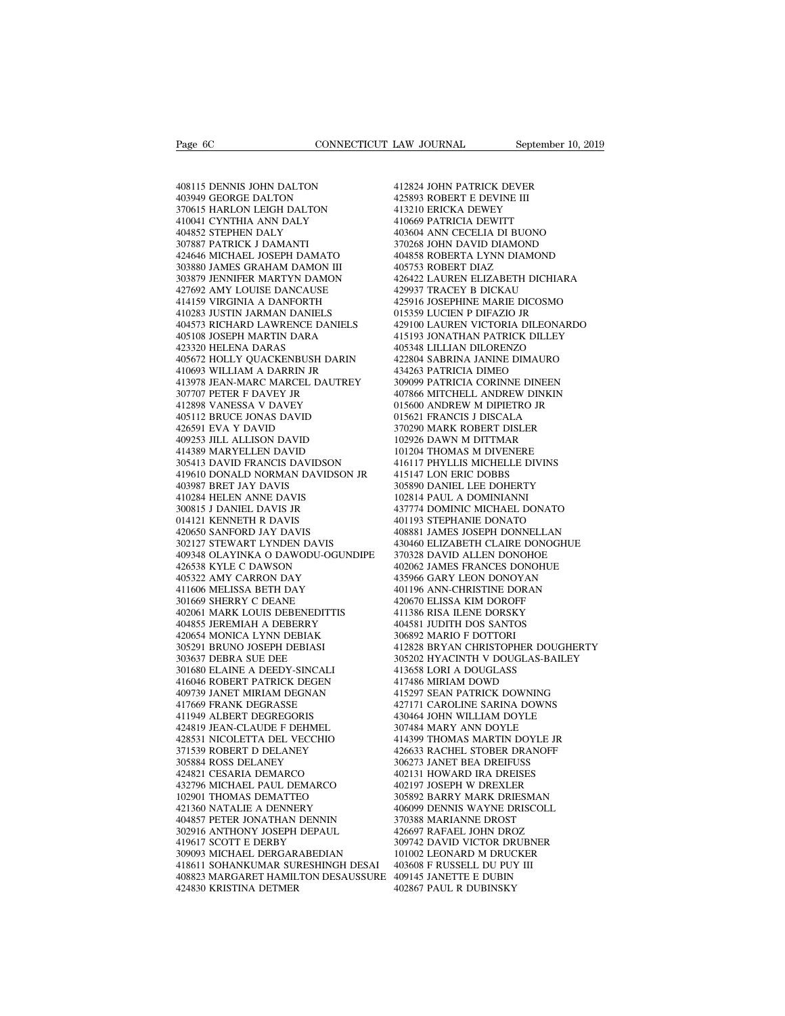Page 6C<br>408115 DENNIS JOHN DALTON<br>403949 GEORGE DALTON<br>370615 HARLON LEIGH DALTON Page 6C<br>408115 DENNIS JOHN DALTON<br>403949 GEORGE DALTON<br>370615 HARLON LEIGH DALTON<br>410041 CYNTHIA ANN DALY Page 6C<br>
408115 DENNIS JOHN DALTON<br>
403149 GEORGE DALTON<br>
370615 HARLON LEIGH DALTON<br>
410041 CYNTHIA ANN DALY<br>
404852 STEPHEN DALY 408115 DENNIS JOHN DALTON<br>403949 GEORGE DALTON<br>370615 HARLON LEIGH DALTON<br>410041 CYNTHIA ANN DALY<br>404852 STEPHEN DALY<br>307887 PATRICK J DAMANTI 408115 DENNIS JOHN DALTON<br>403949 GEORGE DALTON<br>370615 HARLON LEIGH DALTON<br>410041 CYNTHIA ANN DALY<br>404852 STEPHEN DALY<br>307887 PATRICK J DAMANTI<br>424646 MICHAEL JOSEPH DAMATO 408115 DENNIS JOHN DALTON<br>403949 GEORGE DALTON<br>370615 HARLON LEIGH DALTON<br>410041 CYNTHIA ANN DALY<br>404852 STEPHEN DALY<br>307887 PATRICK J DAMANTI<br>424646 MICHAEL JOSEPH DAMATO<br>303880 JAMES GRAHAM DAMON II 408115 DENNIS JOHN DALTON 41:<br>
403949 GEORGE DALTON 42:<br>
370615 HARLON LEIGH DALTON 41:<br>
410041 CYNTHIA ANN DALY 41:<br>
404825 STEPHEN DAMANTI 4007887 PATRICK J DAMANTI 37:<br>
307887 PATRICK J DAMANTI 40:<br>
303880 JAMES GRAHAM 403949 GEORGE DALTON<br>370615 HARLON LEIGH DALTON<br>410041 CYNTHIA ANN DALY<br>404852 STEPHEN DALY<br>307887 PATRICK J DAMANTI<br>424646 MICHAEL JOSEPH DAMATO<br>303880 JAMES GRAHAM DAMON III<br>303879 JENNIFER MARTYN DAMON<br>427692 AMY LOUISE 370615 HARLON LEIGH DALTON 412<br>
410041 CYNTHIA ANN DALY 404852<br>
404852 STEPHEN DALY 403<br>
307887 PATRICK J DAMANTI 377<br>
424646 MICHAEL JOSEPH DAMON III 405<br>
303879 JENNIFER MARTYN DAMON 42<br>
427692 AMY LOUISE DANCAUSE 425<br>
4 410041 CYNTHIA ANN DALY<br>404852 STEPHEN DALY<br>307887 PATRICK J DAMANTI<br>424646 MICHAEL JOSEPH DAMATO<br>303880 JAMES GRAHAM DAMON III<br>303879 JENNIFER MARTYN DAMON<br>427692 AMY LOUISE DANCAUSE<br>414159 VIRGINIA A DANFORTH<br>410283 JUST 404852 STEPHEN DALY<br>307887 PATRICK J DAMANTI<br>424646 MICHAEL JOSEPH DAMATO<br>303880 JAMES GRAHAM DAMON III<br>303879 JENNIFER MARTYN DAMON<br>427692 AMY LOUISE DANCAUSE<br>414159 VIRGINIA A DANFORTH<br>410283 JUSTIN JARMAN DANIELS<br>404573 307887 PATRICK J DAMANTI<br>424646 MICHAEL JOSEPH DAMATO<br>303880 JAMES GRAHAM DAMON III<br>303879 JENNIFER MARTYN DAMON<br>427692 AMY LOUISE DANCAUSE<br>414159 VIRGINIA A DANFORTH<br>410283 JUSTIN JARMAN DANIELS<br>404573 RICHARD LAWRENCE DA 424646 MICHAEL JOSEPH DAMATO 404<br>
303880 JAMES GRAHAM DAMON III 405<br>
303879 JENNIFER MARTYN DAMON 426<br>
427692 AMY LOUISE DANCAUSE 429<br>
4141579 VIRGINIA A DANFORTH 425<br>
410283 JUSTIN JARMAN DANELS 429<br>
405108 JOSEPH MARTIN 303880 JAMES GRAHAM DAMON III<br>303879 JENNIFER MARTYN DAMON<br>427692 AMY LOUISE DANCAUSE<br>414159 VIRGINIA A DANFORTH<br>410283 JUSTIN JARMAN DANIELS<br>404573 RICHARD LAWRENCE DANIELS<br>405108 JOSEPH MARTIN DARA<br>423320 HELENA DARAS<br>40 303879 JENNIFER MARTYN DAMON<br>427692 AMY LOUISE DANCAUSE<br>414159 VIRGINIA A DANFORTH<br>410283 JUSTIN JARMAN DANIELS<br>404573 RICHARD LAWRENCE DANIELS<br>405108 JOSEPH MARTIN DARA<br>425320 HELENA DARAS<br>405672 HOLLY QUACKENBUSH DARIN<br>4 427692 AMY LOUISE DANCAUSE 429937<br>414159 VIRGINIA A DANFORTH 410283 JUSTIN JARMAN DANIELS 015359<br>404573 RICHARD LAWRENCE DANIELS 429100<br>405108 JOSEPH MARTIN DARA 415192<br>423320 HELENA DARAS 405672<br>406672 HOLLY QUACKENBUSH D 414159 VIRGINIA A DANFORTH<br>410283 JUSTIN JARMAN DANIELS<br>404573 RICHARD LAWRENCE DANIELS<br>405108 JOSEPH MARTIN DARA<br>423320 HELENA DARAS<br>405672 HOLLY QUACKENBUSH DARIN<br>410693 WILLIAM A DARRIN JR<br>413978 JEAN-MARC MARCEL DAUTRE 410283 JUSTIN JARMAN DANIELS (15359)<br>404573 RICHARD LAWRENCE DANIELS (429100)<br>405108 JOSEPH MARTIN DARA (415193)<br>423320 HELENA DARAS (4056472 HOLLY QUACKENBUSH DARIN (422804)<br>410693 WILLIAM A DARRIN JR (434263)<br>4110693 WIL 404573 RICHARD LAWRENCE DANIELS<br>405108 JOSEPH MARTIN DARA<br>423320 HELENA DARAS<br>405672 HOLLY QUACKENBUSH DARIN<br>410693 WILLIAM A DARRIN JR<br>413978 JEAN-MARC MARCEL DAUTREY<br>307707 PETER F DAVEY JR<br>412898 VANESSA V DAVEY<br>405112 405108 JOSEPH MARTIN DARA<br>423320 HELENA DARAS<br>405672 HOLLY QUACKENBUSH DARIN<br>410693 WILLIAM A DARRIN JR<br>413978 IEAN-MARC MARCEL DAUTREY<br>307707 PETER F DAVEY JR<br>412898 VANESSA V DAVEY<br>405112 BRUCE JONAS DAVID<br>426591 EVA Y D 423320 HELENA DARAS<br>405672 HOLLY QUACKENBUSH DARIN<br>410693 WILLIAM A DARRIN JR<br>413978 JEAN-MARC MARCEL DAUTREY<br>307707 PETER F DAVEY JR<br>412898 VANESSA V DAVEY<br>405112 BRUCE JONAS DAVED<br>426591 EVA Y DAVID<br>409253 JILL ALLISON D 405672 HOLLY QUACKENBUSH DAI<br>410693 WILLIAM A DARRIN JR<br>413978 JEAN-MARC MARCEL DAUT<br>307707 PETER F DAVEY JR<br>412898 VANESSA V DAVEY<br>405112 BRUCE JONAS DAVID<br>426591 EVA Y DAVID<br>409253 JILL ALLISON DAVID<br>414389 MARYELLEN DAV 410693 WILLIAM A DARRIN JR<br>413978 JEAN-MARC MARCEL DAUTREY<br>307707 PETER F DAVEY JR<br>412898 VANESSA V DAVEY<br>405112 BRUCE JONAS DAVID<br>426591 EVA Y DAVID<br>409253 JILL ALLISON DAVID<br>414389 MARYELLEN DAVID<br>305413 DAVID FRANCIS DA 413978 JEAN-MARC MARCEL DAUTREY<br>307707 PETER F DAVEY JR<br>412898 VANESSA V DAVEY<br>405112 BRUCE JONAS DAVID<br>426591 EVA Y DAVID<br>409253 JILL ALLISON DAVID<br>414389 MARYELLEN DAVID<br>305413 DAVID FRANCIS DAVIDSON<br>419610 DONALD NORMAN 307707 PETER F DAVEY JR<br>
412898 VANESSA V DAVEY 01:<br>
405112 BRUCE JONAS DAVID 01:<br>
426591 EVA Y DAVID 37(<br>
409253 JILL ALLISON DAVID 102<br>
409439 MARYELLEN DAVID 10<br>
305413 DAVID FRANCIS DAVIDSON 416<br>
419610 DONALD NORMAN D 412898 VANESSA V DAVEY<br>
405112 BRUCE JONAS DAVID 015621<br>
426591 EVA Y DAVID 015621<br>
409253 JILL ALLISON DAVID 102926<br>
409253 JILL ALLISON DAVID 102926<br>
414389 MARYELLEN DAVIDSON 416117<br>
419610 DONALD NORMAN DAVIDSON JR 415 405112 BRUCE JONAS DAVID<br>426591 EVA Y DAVID<br>409253 JILL ALLISON DAVID<br>414389 MARYELLEN DAVID<br>305413 DAVID FRANCIS DAVIDSON<br>419610 DONALD NORMAN DAVIDS<br>403987 BRET JAY DAVIS<br>410284 HELEN ANNE DAVIS<br>300815 J DANIEL DAVIS JR 426591 EVA Y DAVID<br>409253 JILL ALLISON DAVID<br>414389 MARYELLEN DAVID<br>305413 DAVID FRANCIS DAVIDSON<br>419610 DONALD NORMAN DAVIDSON<br>403987 BRET JAY DAVIS<br>410284 HELEN ANNE DAVIS<br>300815 J DANIEL DAVIS JR<br>014121 KENNETH R DAVIS 409253 JILL ALLISON DAVID<br>414389 MARYELLEN DAVID<br>305413 DAVID FRANCIS DAVIDSON<br>419610 DONALD NORMAN DAVIDSON J<br>403987 BRET JAY DAVIS<br>410284 HELEN ANNE DAVIS<br>300815 J DANIEL DAVIS JR<br>014121 KENNETH R DAVIS<br>420650 SANFORD JA 414389 MARYELLEN DAVID<br>305413 DAVID FRANCIS DAVIDSON<br>419610 DONALD NORMAN DAVIDSON<br>403987 BRET JAY DAVIS<br>401984 HELEN ANNE DAVIS<br>300815 J DANIEL DAVIS JR<br>014121 KENNETH R DAVIS<br>420650 SANFORD JAY DAVIS<br>302127 STEWART LYNDE 305413 DAVID FRANCIS DAVIDSON<br>419610 DONALD NORMAN DAVIDSON J<br>403987 BRET JAY DAVIS<br>410284 HELEN ANNE DAVIS<br>300815 J DANIEL DAVIS JR<br>014121 KENNETH R DAVIS<br>420650 SANFORD JAY DAVIS<br>302127 STEWART LYNDEN DAVIS<br>409348 OLAYIN 419610 DONALD NORMAN DAVIDSON JR<br>403987 BRET JAY DAVIS<br>410284 HELEN ANNE DAVIS<br>300815 J DANIEL DAVIS JR<br>014121 KENNETH R DAVIS<br>420650 SANFORD JAY DAVIS<br>302127 STEWART LYNDEN DAVIS<br>409348 OLAYINKA O DAWODU-OGUNDIPE<br>426538 K 403987 BRET JAY DAVIS<br>
410284 HELEN ANNE DAVIS<br>
300815 J DANIEL DAVIS JR<br>
014121 KENNETH R DAVIS<br>
401193 5<br>
402063 SANFORD JAY DAVIS<br>
40888 J<br>
408348 OLAYINKA O DAWODU-OGUNDIPE<br>
409348 OLAYINKA O DAWODU-OGUNDIPE<br>
402062 J<br> 410284 HELEN ANNE DAVIS<br>300815 J DANIEL DAVIS JR<br>014121 KENNETH R DAVIS<br>420650 SANFORD JAY DAVIS<br>302127 STEWART LYNDEN DAVIS<br>409348 OLAYINKA O DAWODU-OGUNE<br>426538 KYLE C DAWSON<br>405322 AMY CARRON DAY<br>411606 MELISSA BETH DAY 300815 J DANIEL DAVIS JR<br>014121 KENNETH R DAVIS<br>420650 SANFORD JAY DAVIS<br>302127 STEWART LYNDEN DAVIS<br>409348 OLAYINKA O DAWODU-OGUNDIF<br>426538 KYLE C DAWSON<br>405322 AMY CARRON DAY<br>411606 MELISSA BETH DAY<br>301669 SHERRY C DEANE 014121 KENNETH R DAVIS<br>420650 SANFORD JAY DAVIS<br>302127 STEWART LYNDEN DAVIS<br>409348 OLAYINKA O DAWODU-OGUNDIPI<br>426538 KYLE C DAWSON<br>405322 AMY CARRON DAY<br>411606 MELISSA BETH DAY<br>301669 SHERRY C DEANE<br>402061 MARK LOUIS DEBEN 420650 SANFORD JAY DAVIS<br>302127 STEWART LYNDEN DAVIS<br>409348 OLAYINKA O DAWODU-OGUN<br>426538 KYLE C DAWSON<br>405322 AMY CARRON DAY<br>411606 MELISSA BETH DAY<br>301669 SHERRY C DEANE<br>402061 MARK LOUIS DEBENEDITTIS<br>404855 JEREMIAH A D 302127 STEWART LYNDEN DAVIS<br>409348 OLAYINKA O DAWODU-OGUNDIPE - 2<br>426538 KYLE C DAWSON<br>405322 AMY CARRON DAY - 2<br>411606 MELISSA BETH DAY<br>301669 SHERRY C DEANE - 2<br>402061 MARK LOUIS DEBENEDITTIS<br>404855 JEREMIAH A DEBERRY - 409348 OLAYINKA O DAWODU-OGUNDIPE<br>426538 KYLE C DAWSON<br>405322 AMY CARRON DAY<br>411606 MELISSA BETH DAY<br>301669 SHERRY C DEANE<br>402661 MARK LOUIS DEBENEDITTIS<br>402651 MARK LOUIS DEBENRY<br>420654 MONICA LYNN DEBIAK<br>305291 BRUNO JOS 426538 KYLE C DAWSON<br>405322 AMY CARRON DAY<br>411606 MELISSA BETH DAY<br>301669 SHERRY C DEANE<br>402061 MARK LOUIS DEBENEDITTIS<br>404855 JEREMIAH A DEBERRY<br>420654 MONICA LYNN DEBIAK<br>305291 BRUNO JOSEPH DEBIASI<br>303637 DEBRA SUE DEE 405322 AMY CARRON DAY<br>411606 MELISSA BETH DAY<br>301669 SHERRY C DEANE<br>402061 MARK LOUIS DEBENEDITTIS<br>404855 IEREMIAH A DEBERRY<br>420654 MONICA LYNN DEBIAK<br>305291 BRUNO JOSEPH DEBIASI<br>303637 DEBRA SUE DEE<br>301680 ELAINE A DEEDY-411606 MELISSA BETH DAY<br>301669 SHERRY C DEANE<br>402061 MARK LOUIS DEBENEDITTIS<br>404855 JEREMIAH A DEBERRY<br>402654 MONICA LYNN DEBIAK<br>305291 BRUNO JOSEPH DEBIASI<br>303637 DEBRA SUE DEE<br>301680 ELAINE A DEEDY-SINCALI<br>416046 ROBERT 301669 SHERRY C DEANE<br>402061 MARK LOUIS DEBENEDITTIS<br>404855 JEREMIAH A DEBERRY<br>420654 MONICA LYNN DEBIAK<br>305291 BRUNO JOSEPH DEBIASI<br>303637 DEBRA SUE DEE<br>301680 ELAINE A DEEDY-SINCALI<br>416046 ROBERT PATRICK DEGEN<br>409739 JAN 402061 MARK LOUIS DEBENEDITTIS<br>404855 JEREMIAH A DEBERRY<br>420654 MONICA LYNN DEBIAK<br>305291 BRUNO JOSEPH DEBIASI<br>303637 DEBRA SUE DEE<br>301680 ELAINE A DEEDY-SINCALI<br>416046 ROBERT PATRICK DEGEN<br>409739 JANET MIRIAM DEGNAN<br>41766 404855 JEREMIAH A DEBERRY<br>420654 MONICA LYNN DEBIAK<br>305291 BRUNO JOSEPH DEBIASI<br>303637 DEBRA SUE DEE<br>301680 ELAINE A DEEDY-SINCALI<br>416046 ROBERT PATRICK DEGEN<br>409739 JANET MIRIAM DEGNAN<br>417669 FRANK DEGRASSE<br>411949 ALBERT 420654 MONICA LYNN DEBIAK<br>305291 BRUNO JOSEPH DEBIASI<br>303637 DEBRA SUE DEE<br>301680 ELAINE A DEEDY-SINCALI<br>416046 ROBERT PATRICK DEGRAN<br>409739 JANET MIRIAM DEGNAN<br>417669 FRANK DEGRASSE<br>411949 ALBERT DEGREGORIS<br>424819 JEAN-CL 305291 BRUNO JOSEPH DEBIASI<br>303637 DEBRA SUE DEE<br>301680 ELAINE A DEEDY-SINCALI<br>416046 ROBERT PATRICK DEGEN<br>409739 JANET MIRIAM DEGNAN<br>417669 FRANK DEGRASSE<br>411949 ALBERT DEGREGORIS<br>424819 JEAN-CLAUDE F DEHMEL<br>428531 NICOLE 303637 DEBRA SUE DEE<br>301680 ELAINE A DEEDY-SINCALI<br>416046 ROBERT PATRICK DEGEN<br>409739 JANET MIRIAM DEGNAN<br>417669 FRANK DEGRASSE<br>411949 ALBERT DEGREGORIS<br>424819 JEAN-CLAUDE F DEHMEL<br>428531 NICOLETTA DEL VECCHIO<br>371539 ROBER 428531 NICOLETTA DEL VECCHIO 416046 ROBERT PATRICK DEGEN<br>409739 JANET MIRIAM DEGNAN<br>417669 FRANK DEGRASSE<br>411949 ALBERT DEGREGORIS<br>424819 IEAN-CLAUDE F DEHMEL<br>428531 NICOLETTA DEL VECCHIO<br>371539 ROBERT D DELANEY<br>305884 ROSS DELANEY<br>424821 CESARIA DEMA 409739 JANET MIRIAM DEGNAN<br>417669 FRANK DEGRASSE<br>411949 ALBERT DEGREGORIS<br>424819 JEAN-CLAUDE F DEHMEL<br>428531 NICOLETTA DEL VECCHIO<br>371539 ROBERT D DELANEY<br>305884 ROSS DELANEY<br>424821 CESARIA DEMARCO<br>432796 MICHAEL PAUL DEMA 417669 FRANK DEGRASSE<br>411949 ALBERT DEGREGORIS<br>424819 JEAN-CLAUDE F DEHMEL<br>428531 NICOLETTA DEL VECCHIO<br>371539 ROBERT D DELANEY<br>305884 ROSS DELANEY<br>424821 CESARIA DEMARCO<br>432796 MICHAEL PAUL DEMARCO<br>102901 THOMAS DEMATTEO 432796 MICHAEL PAUL DEMARCO 424819 JEAN-CLAUDE F DEHMEL<br>428531 NICOLETTA DEL VECCHIO<br>371539 ROBERT D DELANEY<br>305884 ROSS DELANEY<br>424821 CESARIA DEMARCO<br>432796 MICHAEL PAUL DEMARCO<br>102901 THOMAS DEMATTEO<br>421360 NATALIE A DENNERY<br>404857 PETER JONATHAN 428531 NICOLETTA DEL VECCHIO<br>371539 ROBERT D DELANEY<br>305884 ROSS DELANEY<br>424821 CESARIA DEMARCO<br>432796 MICHAEL PAUL DEMARCO<br>102901 THOMAS DEMATTEO<br>421360 NATALIE A DENNERY<br>404857 PETER JONATHAN DENNIN<br>302916 ANTHONY JOSEPH 404857 PETER JONATHAN DENNIN 305884 ROSS DELANEY<br>424821 CESARIA DEMARCO<br>432796 MICHAEL PAUL DEMARCO<br>102901 THOMAS DEMATTEO<br>421360 NATALIE A DENNERY<br>404857 PETER JONATHAN DENNIN<br>302916 ANTHONY JOSEPH DEPAUL<br>419617 SCOTT E DERBY<br>309093 MICHAEL DERGARABE 424821 CESARIA DEMARCO<br>432796 MICHAEL PAUL DEMARCO<br>102901 THOMAS DEMATTEO<br>421360 NATALIE A DENNERY<br>404857 PETER JONATHAN DENNIN<br>302916 ANTHONY JOSEPH DEPAUL<br>419617 SCOTT E DERBY<br>309093 MICHAEL DERGARABEDIAN<br>418611 SOHANKUM 432796 MICHAEL PAUL DEMARCO<br>102901 THOMAS DEMATTEO 305<br>421360 NATALIE A DENNERY 404657<br>404857 PETER JONATHAN DENNIN 370<br>302916 ANTHONY JOSEPH DEPAUL 426<br>419617 SCOTT E DERGY 309093 MICHAEL DERGARABEDIAN 101<br>418611 SOHANKUM 102901 THOMAS DEMATTEO 305<br>
421360 NATALIE A DENNERY 404857 PETER JONATHAN DENNIN 370<br>
302916 ANTHONY JOSEPH DEPAUL 426<br>
419617 SCOTT E DERBY 309093<br>
418611 SOHANKUMAR SURESHINGH DESAI 403<br>
408823 MARGARET HAMILTON DESAUSS 40887 PETER JONATHAN DENNIN 406099 DE<br>404857 PETER JONATHAN DENNIN 370388 MA<br>302916 ANTHONY JOSEPH DEPAUL 426697 RA<br>419617 SCOTT E DERBY 309742 DA<br>418611 SOHANKUMAR SURESHINGH DESAI 403608 F R<br>408823 MARGARET HAMILTON DESA 404857 PETER JONATHAN DENNIN<br>302916 ANTHONY JOSEPH DEPAUL<br>419617 SCOTT E DERBY<br>309093 MICHAEL DERGARABEDIAN<br>418611 SOHANKUMAR SURESHINGH DI<br>408823 MARGARET HAMILTON DESAUS<br>424830 KRISTINA DETMER

LAW JOURNAL September 10, 20<br>412824 JOHN PATRICK DEVER<br>425893 ROBERT E DEVINE III<br>413210 ERICKA DEWEY LAW JOURNAL<br>412824 JOHN PATRICK DEVER<br>425893 ROBERT E DEVINE III<br>413210 ERICKA DEWEY<br>410669 PATRICIA DEWITT LAW JOURNAL<br>412824 JOHN PATRICK DEVER<br>425893 ROBERT E DEVINE III<br>413210 ERICKA DEWEY<br>410669 PATRICIA DEWITT<br>403604 ANN CECELIA DI BUONO 412824 JOHN PATRICK DEVER<br>425893 ROBERT E DEVINE III<br>413210 ERICKA DEWEY<br>410669 PATRICIA DEWITT<br>403604 ANN CECELIA DI BUONO<br>370268 JOHN DAVID DIAMOND 412824 JOHN PATRICK DEVER<br>425893 ROBERT E DEVINE III<br>413210 ERICKA DEWEY<br>410669 PATRICIA DEWITT<br>403604 ANN CECELIA DI BUONO<br>370268 JOHN DAVID DIAMOND<br>404858 ROBERTA LYNN DIAMOND 412824 JOHN PATRICK DEVER<br>425893 ROBERT E DEVINE III<br>413210 ERICKA DEWEY<br>410669 PATRICIA DEWITT<br>403604 ANN CECELIA DI BUONO<br>370268 JOHN DAVID DIAMOND<br>404858 ROBERTA LYNN DIAMOND<br>405753 ROBERT DIAZ 412824 JOHN PATRICK DEVER<br>425893 ROBERT E DEVINE III<br>413210 ERICKA DEWEY<br>410669 PATRICIA DEWITT<br>370268 JOHN DAVID DIAMOND<br>370268 JOHN DAVID DIAMOND<br>405753 ROBERTA LYNN DIAMOND<br>405753 ROBERT DIAZ<br>426422 LAUREN ELIZABETH DIC 425893 ROBERT E DEVINE III<br>413210 ERICKA DEWEY<br>40669 PATRICIA DEWITT<br>403604 ANN CECELIA DI BUONO<br>370268 JOHN DAVID DIAMOND<br>404858 ROBERTA LYNN DIAMOND<br>405753 ROBERT DIAZ<br>426422 LAUREN ELIZABETH DICHIARA<br>429937 TRACEY B DIC 413210 ERICKA DEWEY<br>410669 PATRICIA DEWITT<br>403604 ANN CECELIA DI BUONO<br>370268 JOHN DAVID DIAMOND<br>404838 ROBERTA LYNN DIAMOND<br>405753 ROBERT DIAZ<br>426422 LAUREN ELIZABETH DICHIARA<br>429937 TRACEY B DICKAU<br>425916 JOSEPHINE MARIE 410669 PATRICIA DEWITT<br>403604 ANN CECELIA DI BUONO<br>370268 JOHN DAVID DIAMOND<br>404858 ROBERTA LYNN DIAMOND<br>405753 ROBERT DIAZ<br>426422 LAUREN ELIZABETH DICHIARA<br>429937 TRACEY B DICKAU<br>425916 JOSEPHINE MARIE DICOSMO<br>015359 LUCI 403604 ANN CECELIA DI BUONO<br>370268 JOHN DAVID DIAMOND<br>404858 ROBERTA LYNN DIAMOND<br>405753 ROBERT DIAZ<br>426422 LAUREN ELIZABETH DICHIARA<br>429937 TRACEY B DICKAU<br>42916 IOSEPHINE MARIE DICOSMO<br>015359 LUCIEN P DIFAZIO JR<br>429100 L 370268 JOHN DAVID DIAMOND<br>404858 ROBERTA LYNN DIAMOND<br>405753 ROBERT DIAZ<br>426422 LAUREN ELIZABETH DICHIARA<br>429937 TRACEY B DICKAU<br>015359 LUCIEN P DIFAZIO JR<br>429100 LAUREN VICTORIA DILEONARDO<br>415193 JONATHAN PATRICK DILLEY 404858 ROBERTA LYNN DIAMOND<br>405753 ROBERT DIAZ<br>426422 LAUREN ELIZABETH DICHIARA<br>429937 TRACEY B DICKAU<br>015359 LUCIEN P DIFAZIO JR<br>015359 LUCIEN P DIFAZIO JR<br>429100 LAUREN VICTORIA DILEONARDO<br>415193 JONATHAN PATRICK DILLEY<br> 405753 ROBERT DIAZ<br>426422 LAUREN ELIZABETH DICHIARA<br>429937 TRACEY B DICKAU<br>425916 JOSEPHINE MARIE DICOSMO<br>015359 LUCIEN P DIFAZIO JR<br>415190 LAUREN VICTORIA DILEONARDO<br>415193 JONATHAN PATRICK DILLEY<br>405348 LILLIAN DILORENZO 426422 LAUREN ELIZABETH DICHIARA<br>429937 TRACEY B DICKAU<br>425916 JOSEPHINE MARIE DICOSMO<br>015359 LUCIEN P DIFAZIO JR<br>429100 LAUREN VICTORIA DILEONARDO<br>415193 JONATHAN PATRICK DILLEY<br>405348 LILLIAN DILORENZO<br>422804 SABRINA JAN 429937 TRACEY B DICKAU<br>425916 JOSEPHINE MARIE DICOSMO<br>015359 LUCIEN P DIFAZIO JR<br>429100 LAUREN VICTORIA DILEONARDO<br>415193 JONATHAN PATRICK DILLEY<br>405348 LILLIAN DILORENZO<br>422804 SABRINA JANINE DIMAURO<br>434263 PATRICIA DIMEO 425916 JOSEPHINE MARIE DICOSMO<br>015359 LUCIEN P DIFAZIO JR<br>429100 LAUREN VICTORIA DILEONARI<br>415193 JONATHAN PATRICK DILLEY<br>405348 LILLIAN DILORENZO<br>422804 SABRINA JANINE DIMAURO<br>434263 PATRICIA DIMEO<br>309099 PATRICIA CORINNE 015359 LUCIEN P DIFAZIO JR<br>429100 LAUREN VICTORIA DILEONARDO<br>415193 JONATHAN PATRICK DILLEY<br>405348 LILLIAN DILORENZO<br>422804 SABRINA JANINE DIMAURO<br>434263 PATRICIA DIMEO<br>309099 PATRICIA CORINNE DINEEN<br>407866 MITCHELL ANDREW 429100 LAUREN VICTORIA DILEONARDO<br>415193 JONATHAN PATRICK DILLEY<br>405348 LILLIAN DILORENZO<br>422804 SABRINA JANINE DIMAURO<br>434263 PATRICIA DIMEO<br>30909 PATRICIA CORINNE DINEEN<br>407866 MITCHELL ANDREW DINKIN<br>015600 ANDREW M DIPI 415193 JONATHAN PATRICK DILLEY<br>405348 LILLIAN DILORENZO<br>422804 SABRINA JANINE DIMAURO<br>434263 PATRICIA DIMEO<br>30909 PATRICIA CORINNE DINEEN<br>407866 MITCHELL ANDREW DINKIN<br>015600 ANDREW M DIPIETRO JR<br>015621 FRANCIS J DISCALA<br>3 405348 LILLIAN DILORENZO<br>422804 SABRINA JANINE DIMAURO<br>434263 PATRICIA DIMEO<br>309099 PATRICIA CORINNE DINEEN<br>407866 MITCHELL ANDREW DINKIN<br>015600 ANDREW M DIPIETRO JR<br>015621 FRANCIS J DISCALA<br>370290 MARK ROBERT DISLER<br>10292 422804 SABRINA JANINE DIMAURO<br>434263 PATRICIA DIMEO<br>309099 PATRICIA CORINNE DINEEN<br>407866 MITCHELL ANDREW DINKIN<br>015600 ANDREW M DIPIETRO JR<br>016621 FRANCIS J DISCALA<br>370290 MARK ROBERT DISLER<br>102926 DAWN M DITTMAR<br>101204 T 434263 PATRICIA DIMEO<br>309099 PATRICIA CORINNE DINEEN<br>407866 MITCHELL ANDREW DINKIN<br>015600 ANDREW M DIPIETRO JR<br>015621 FRANCIS J DISCALA<br>370290 MARK ROBERT DISLER<br>102926 DAWN M DITTMAR<br>101204 THOMAS M DIVENERE<br>416117 PHYLLI 309099 PATRICIA CORINNE DINEEN<br>407866 MITCHELL ANDREW DINKIN<br>015600 ANDREW M DIPIETRO JR<br>015621 FRANCIS J DISCALA<br>170290 MARK ROBERT DISLER<br>102926 DAWN M DITTMAR<br>101204 THOMAS M DIVENERE<br>416117 PHYLLIS MICHELLE DIVINS<br>4151 407866 MITCHELL ANDREW DINKIN<br>015600 ANDREW M DIPIETRO JR<br>015621 FRANCIS J DISCALA<br>370290 MARK ROBERT DISLER<br>102926 DAWM M DITTMAR<br>101204 THOMAS M DIVENERE<br>416117 PHYLLIS MICHELLE DIVINS<br>415147 LON ERIC DOBBS<br>305890 DANIEL 015600 ANDREW M DIPIETRO JR<br>015621 FRANCIS J DISCALA<br>370290 MARK ROBERT DISLER<br>102926 DAWN M DITTMAR<br>101204 THOMAS M DIVENERE<br>415147 PHYLLIS MICHELLE DIVINS<br>415147 LON ERIC DOBBS<br>305890 DANIEL LEE DOHERTY<br>102814 PAUL A DOM 015621 FRANCIS J DISCALA<br>370290 MARK ROBERT DISLER<br>102926 DAWN M DITTMAR<br>101204 THOMAS M DIVENERE<br>415117 PHYLLIS MICHELLE DIVINS<br>415147 LON ERIC DOBBS<br>305890 DANIEL LEE DOHERTY<br>102814 PAUL A DOMINIANNI<br>437774 DOMINIC MICHA 370290 MARK ROBERT DISLER<br>102926 DAWN M DITTMAR<br>101204 THOMAS M DIVENERE<br>416117 PHYLLIS MICHELLE DIVINS<br>415147 LON ERIC DOBBS<br>305890 DANIEL LEE DOHERTY<br>102814 PAUL A DOMINIANNI<br>437774 DOMINIC MICHAEL DONAT\<br>401193 STEPHANI 102926 DAWN M DITTMAR<br>101204 THOMAS M DIVENERE<br>416117 PHYLLIS MICHELLE DIVINS<br>415147 LON ERIC DOBBS<br>305890 DANIEL LEE DOHERTY<br>102814 PAUL A DOMINIANNI<br>437774 DOMINIC MICHAEL DONATO<br>401193 STEPHANIE DONATO<br>408881 JAMES JOSE 101204 THOMAS M DIVENERE<br>416117 PHYLLIS MICHELLE DIVINS<br>415147 LON ERIC DOBBS<br>305890 DANIEL LEE DOHERTY<br>102814 PAUL A DOMINIANNI<br>437774 DOMINIC MICHAEL DONATO<br>401193 STEPHANIE DONATO<br>408881 JAMES JOSEPH DONNELLAN<br>430460 EL 416117 PHYLLIS MICHELLE DIVINS<br>415147 LON ERIC DOBBS<br>305890 DANIEL LEE DOHERTY<br>102814 PAUL A DOMINIANNI<br>437774 DOMINIC MICHAEL DONATO<br>401193 STEPHANIE DONATO<br>408881 JAMES JOSEPH DONNELLAN<br>430460 ELIZABETH CLAIRE DONOGHUE<br>3 415147 LON ERIC DOBBS<br>305890 DANIEL LEE DOHERTY<br>102814 PAUL A DOMINIANNI<br>437774 DOMINIC MICHAEL DONATO<br>401193 STEPHANIE DONATO<br>408881 JAMES JOSEPH DONNELLAN<br>430460 ELIZABETH CLAIRE DONOGHUE<br>370328 DAVID ALLEN DONOHOE<br>40206 305890 DANIEL LEE DOHERTY<br>102814 PAUL A DOMINIANNI<br>437774 DOMINIC MICHAEL DONATO<br>401193 STEPHANIE DONATO<br>408881 JAMES JOSEPH DONNELLAN<br>430460 ELIZABETH CLAIRE DONOGHUE<br>370328 DAVID ALLEN DONOHOE<br>402062 JAMES FRANCES DONOHU 102814 PAUL A DOMINIANNI<br>437774 DOMINIC MICHAEL DONATO<br>401193 STEPHANIE DONATO<br>408881 JAMES JOSEPH DONNELLAN<br>430460 ELIZABETH CLAIRE DONOGHUE<br>370328 DAVID ALLEN DONOHOE<br>402062 JAMES FRANCES DONOHOE<br>435966 GARY LEON DONOYAN 437774 DOMINIC MICHAEL DONATO<br>401193 STEPHANIE DONATO<br>408881 JAMES JOSEPH DONNELLAN<br>430460 ELIZABETH CLAIRE DONOGHUE<br>370328 DAVID ALLEN DONOHOE<br>402062 JAMES FRANCES DONOHOE<br>435966 GARY LEON DONOYAN<br>401196 ANN-CHRISTINE DOR 401193 STEPHANIE DONATO<br>408881 JAMES JOSEPH DONNELLAN<br>430460 ELIZABETH CLAIRE DONOGHUE<br>370328 DAVID ALLEN DONOHOE<br>402062 JAMES FRANCES DONOHUE<br>435966 GARY LEON DONOYAN<br>401196 ANN-CHRISTINE DORAN<br>420670 ELISSA KIM DOROFF<br>41 408881 JAMES JOSEPH DONNELLAN<br>430460 ELIZABETH CLAIRE DONOGHU!<br>370328 DAVID ALLEN DONOHOE<br>402062 JAMES FRANCES DONOHUE<br>435966 GARY LEON DONOYAN<br>401196 ANN-CHRISTINE DORAN<br>420670 ELISSA KIM DOROFF<br>411386 RISA ILENE DORSKY<br>4 430460 ELIZABETH CLAIRE DONOGHUE<br>370328 DAVID ALLEN DONOHOE<br>402062 JAMES FRANCES DONOHUE<br>435966 GARY LEON DONOYAN<br>401196 ANN-CHRISTINE DORAN<br>420670 ELISSA KIM DOROFF<br>411386 RISA ILENE DORSKY<br>404581 JUDITH DOS SANTOS<br>306892 370328 DAVID ALLEN DONOHOE<br>402062 JAMES FRANCES DONOHUE<br>435966 GARY LEON DONOYAN<br>401196 ANN-CHRISTINE DORAN<br>420670 ELISSA KIM DOROFF<br>411386 RISA ILENE DORSKY<br>404581 JUDITH DOS SANTOS<br>306892 MARIO F DOTTORI<br>412828 BRYAN CHR 402062 JAMES FRANCES DONOH<br>435966 GARY LEON DONOYAN<br>401196 ANN-CHRISTINE DORAN<br>420670 ELISSA KIM DOROFF<br>411386 RISA ILENE DORSKY<br>404581 JUDITH DOS SANTOS<br>306892 MARIO F DOTTORI<br>412828 BRYAN CHRISTOPHER DO<br>305202 HYACINTH V 435966 GARY LEON DONOYAN<br>401196 ANN-CHRISTINE DORAN<br>420670 ELISSA KIM DOROFF<br>411386 RISA ILENE DORSKY<br>404581 JUDITH DOS SANTOS<br>306892 MARIO F DOTTORI<br>412828 BRYAN CHRISTOPHER DOUGHERTY<br>305202 HYACINTH V DOUGLAS-BAILEY<br>4136 401196 ANN-CHRISTINE DORAN<br>420670 ELISSA KIM DOROFF<br>411386 RISA ILENE DORSKY<br>404581 JUDITH DOS SANTOS<br>306892 MARIO F DOTTORI<br>412828 BRYAN CHRISTOPHER DOUGHERTY<br>305202 HYACINTH V DOUGLAS-BAILEY<br>413658 LORI A DOUGLASS<br>417486 420670 ELISSA KIM DOROFF<br>411386 RISA ILENE DORSKY<br>404581 JUDITH DOS SANTOS<br>306892 MARIO F DOTTORI<br>412828 BRYAN CHRISTOPHER DOUGI<br>305202 HYACINTH V DOUGLAS-BAIL<br>413658 LORI A DOUGLASS<br>413658 LORI A DOUGLASS<br>417486 MIRIAM DO 411386 RISA ILENE DORSKY<br>404581 JUDITH DOS SANTOS<br>306892 MARIO F DOTTORI<br>412828 BRYAN CHRISTOPHER DOUG<br>305202 HYACINTH V DOUGLAS-BAII<br>413658 LORI A DOUGLASS<br>417486 MIRIAM DOWD<br>415297 SEAN PATRICK DOWNING<br>427171 CAROLINE SA 404581 JUDITH DOS SANTOS<br>306892 MARIO F DOTTORI<br>412828 BRYAN CHRISTOPHER DOUGHERTY<br>305202 HYACINTH V DOUGLAS-BAILEY<br>413638 LORI A DOUGLASS<br>417486 MIRIAM DOWD<br>415297 SEAN PATRICK DOWNING<br>427171 CAROLINE SARINA DOWNS<br>430464 306892 MARIO F DOTTORI<br>412828 BRYAN CHRISTOPHER DOUGHERTY<br>305202 HYACINTH V DOUGLAS-BAILEY<br>413658 LORI A DOUGLASS<br>417486 MIRIAM DOWD<br>415297 SEAN PATRICK DOWNING<br>427171 CAROLINE SARINA DOWNS<br>430464 JOHN WILLIAM DOYLE<br>307484 412828 BRYAN CHRISTOPHER DOUGHERT<br>305202 HYACINTH V DOUGLAS-BAILEY<br>413658 LORI A DOUGLASS<br>417486 MIRIAM DOWD<br>415297 SEAN PATRICK DOWNING<br>427171 CAROLINE SARINA DOWNS<br>430464 JOHN WILLIAM DOYLE<br>307484 MARY ANN DOYLE<br>414399 T 413658 LORI A DOUGLASS<br>417486 MIRIAM DOWD<br>415297 SEAN PATRICK DOWNING<br>427171 CAROLINE SARINA DOWNS<br>430464 JOHN WILLIAM DOYLE<br>307484 MARY ANN DOYLE<br>414399 THOMAS MARTIN DOYLE JR<br>426633 RACHEL STOBER DRANOFF 413658 LORI A DOUGLASS<br>417486 MIRIAM DOWD<br>415297 SEAN PATRICK DOWNING<br>427171 CAROLINE SARINA DOWNS<br>430464 JOHN WILLIAM DOYLE<br>307484 MARY ANN DOYLE<br>414399 THOMAS MARTIN DOYLE JR<br>426633 RACHEL STOBER DRANOFF<br>306273 JANET BEA 417486 MIRIAM DOWD<br>415297 SEAN PATRICK DOWNING<br>427171 CAROLINE SARINA DOWNS<br>430464 JOHN WILLIAM DOYLE<br>407484 MARY ANN DOYLE<br>414399 THOMAS MARTIN DOYLE JR<br>426633 RACHEL STOBER DRANOFF<br>306273 JANET BEA DREIFUSS<br>402131 HOWARD 415297 SEAN PATRICK DOWNING<br>427171 CAROLINE SARINA DOWNS<br>430464 JOHN WILLIAM DOYLE<br>307484 MARY ANN DOYLE<br>414399 THOMAS MARTIN DOYLE JR<br>426633 RACHEL STOBER DRANOFF<br>306273 JANET BEA DREIFUSS<br>402131 HOWARD IRA DREISES<br>402131 427171 CAROLINE SARINA DOWNS<br>430464 JOHN WILLIAM DOYLE<br>307484 MARY ANN DOYLE<br>414399 THOMAS MARTIN DOYLE JR<br>426633 RACHEL STOBER DRANOFF<br>306273 JANET BEA DREIFUSS<br>402131 HOWARD IRA DREISES<br>402131 HOWARD IRA DREISES<br>402197 J 430464 JOHN WILLIAM DOYLE<br>307484 MARY ANN DOYLE<br>414399 THOMAS MARTIN DOYLE JR<br>426633 RACHEL STOBER DRANOFF<br>306273 JANET BEA DREJSES<br>402131 HOWARD IRA DREISES<br>402197 JOSEPH W DREXLER<br>305892 BARRY MARK DRIESMAN<br>406099 DENNIS 307484 MARY ANN DOYLE<br>414399 THOMAS MARTIN DOYLE JR<br>426633 RACHEL STOBER DRANOFF<br>306273 JANET BEA DREIFUSS<br>402131 HOWARD IRA DREISES<br>402197 JOSEPH W DREXLER<br>305892 BARRY MARK DRIESMAN<br>406099 DENNIS WAYNE DRISCOLL<br>370388 MA 414399 THOMAS MARTIN DOYLE JR<br>426633 RACHEL STOBER DRANOFF<br>306273 JANET BEA DREIFUSS<br>402131 HOWARD IRA DREISES<br>402197 JOSEPH W DREXLER<br>305892 BARRY MARK DRESMAN<br>406099 DENNIS WAYNE DRISCOLL<br>370388 MARIANNE DROST<br>426697 RAF 426633 RACHEL STOBER DRANOFF<br>306273 JANET BEA DREIFUSS<br>402131 HOWARD IRA DREISES<br>402197 JOSEPH W DREXLER<br>305892 BARRY MARK DRISCOLL<br>406099 DENNIS WAYNE DRISCOLL<br>370388 MARIANNE DROST<br>426697 RAFAEL JOHN DROZ<br>309742 DAVID VI 306273 JANET BEA DREIFUSS<br>402131 HOWARD IRA DREISES<br>402197 JOSEPH W DREXLER<br>305892 BARRY MARK DRIESMAN<br>406099 DENNIS WAYNE DRISCOLL<br>370388 MARIANNE DROST<br>426697 RAFAEL JOHN DROZ<br>309742 DAVID VICTOR DRUBNER<br>101002 LEONARD M 402131 HOWARD IRA DREISES<br>402197 JOSEPH W DREXLER<br>305892 BARRY MARK DRIESMAN<br>406099 DENNIS WAYNE DRISCOLL<br>370388 MARIANNE DROST<br>426697 RAFAEL JOHN DROZ<br>309742 DAVID VICTOR DRUBNER<br>101002 LEONARD M DRUCKER<br>403608 F RUSSELL 402197 JOSEPH W DREXLER<br>305892 BARRY MARK DRIESMAN<br>406099 DENNIS WAYNE DRISCOLL<br>370388 MARIANNE DROST<br>426697 RAFAEL JOHN DROZ<br>309742 DAVID VICTOR DRUBNER<br>101002 LEONARD M DRUCKER<br>403608 F RUSSELL DU PUY III<br>409145 JANETTE 305892 BARRY MARK DRIESMAN<br>406099 DENNIS WAYNE DRISCOLL<br>370388 MARIANNE DROST<br>426697 RAFAEL JOHN DROZ<br>309742 DAVID VICTOR DRUGER<br>101002 LEONARD M DRUCKER<br>403608 F RUSSELL DU PUY III<br>409145 JANETTE E DUBIN<br>402867 PAUL R DUB 406099 DENNIS WAYNE DRISCOLL<br>370388 MARIANNE DROST<br>426697 RAFAEL JOHN DROZ<br>309742 DAVID VICTOR DRUBNER<br>101002 LEONARD M DRUCKER<br>403608 F RUSSELL DU PUY III<br>409145 JANETTE E DUBIN<br>1409145 JANETTE E DUBIN 370388 MARIANNE DROST<br>426697 RAFAEL JOHN DROZ<br>309742 DAVID VICTOR DRUBNER<br>101002 LEONARD M DRUCKER<br>403688 FRUSSELL DU PUY III<br>409145 JANETTE E DUBIN<br>402867 PAUL R DUBINSKY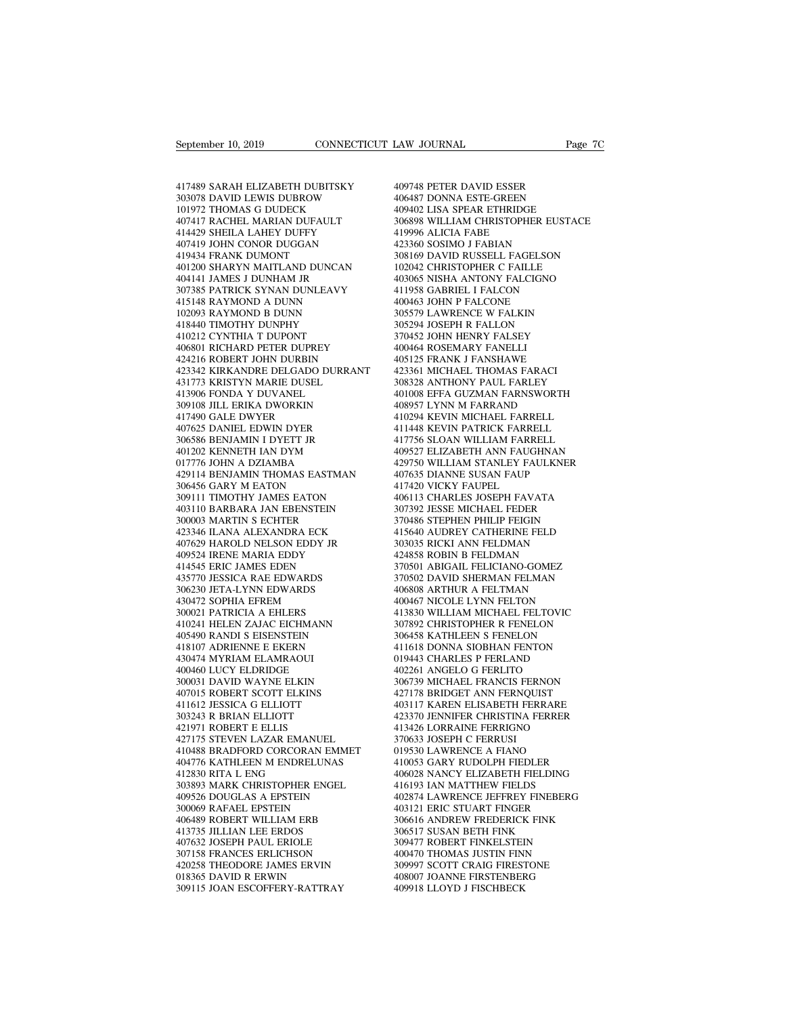Eeptember 10, 2019<br>
417489 SARAH ELIZABETH DUBITSKY<br>
40974 303078 DAVID LEWIS DUBROW<br>
40648 101972 THOMAS G DUDECK<br>
40940 303078 DAVID LEWIS DUBROW September 10, 2019<br>
17489 SARAH ELIZABETH DUBITSKY<br>
17489 SARAH ELIZABETH DUBITSKY<br>
303078 DAVID LEWIS DUBROW<br>
101972 THOMAS G DUDECK<br>
407417 RACHEL MARIAN DUFAULT<br>
414429 SHEILA LAHEY DUFFY 417489 SARAH ELIZABETH DUBITSKY<br>303078 DAVID LEWIS DUBROW 4<br>101972 THOMAS G DUDECK 407417 RACHEL MARIAN DUFAULT 31<br>414429 SHEILA LAHEY DUFFY 407419 JOHN CONOR DUGGAN 417489 SARAH ELIZABETH DUBITSKY<br>303078 DAVID LEWIS DUBROW<br>101972 THOMAS G DUDECK<br>407417 RACHEL MARIAN DUFAULT<br>414429 SHEILA LAHEY DUFFY<br>407419 JOHN CONOR DUGGAN<br>419434 FRANK DUMONT 417489 SARAH ELIZABETH DUBITSKY<br>303078 DAVID LEWIS DUBROW<br>101972 THOMAS G DUDECK<br>407417 RACHEL MARIAN DUFAULT<br>414429 SHEILA LAHEY DUFY<br>407419 JOHN CONOR DUGGAN<br>419434 FRANK DUMONT<br>401200 SHARYN MAITLAND DUNCAN 417489 SARAH ELIZABETH DUBITSKY<br>303078 DAVID LEWIS DUBROW<br>101972 THOMAS G DUDECK<br>407417 RACHEL MARIAN DUFAULT<br>414429 SHEILA LAHEY DUFFY<br>407419 JOHN CONOR DUGGAN<br>419434 FRANK DUMONT<br>401200 SHARYN MAITLAND DUNCAN<br>404141 JAME %303078 DAVID LEWIS DUBROW 40648<br>
101972 THOMAS G DUDECK 4094(<br>
407417 RACHEL MARIAN DUFAULT 30689<br>
414429 SHEILA LAHEY DUFFY 41999<br>
407419 JOHN CONOR DUGGAN 4233814<br>
419434 FRANK DUMONT 30814<br>
401200 SHARYN MAITLAND DUNCA 101972 THOMAS G DUDECK<br>407417 RACHEL MARIAN DUFAULT<br>414429 SHEILA LAHEY DUFFY<br>407419 JOHN CONOR DUGGAN<br>419434 FRANK DUMONT<br>401200 SHARYN MAITLAND DUNCAN<br>404141 JAMES J DUNHAM JR<br>307385 PATRICK SYNAN DUNLEAVY<br>415148 RAYMOND 407417 RACHEL MARIAN DUFAULT 3068<br>414429 SHEILA LAHEY DUFFY 4199<br>407419 JOHN CONOR DUGGAN 4233<br>419434 FRANK DUMONT 3081<br>401200 SHARYN MAITLAND DUNCAN 4030<br>307385 PATRICK SYNAN JRUEAVY 4119<br>415148 RAYMOND A DUNN 4004<br>102093 414429 SHEILA LAHEY DUFFY<br>407419 JOHN CONOR DUGGAN<br>419434 FRANK DUMONT<br>401200 SHARYN MAITLAND DUNCAN<br>404141 JAMES J DUNHAM JR<br>307385 PATRICK SYNAN DUNLEAVY<br>415148 RAYMOND A DUNN<br>102093 RAYMOND B DUNN<br>418440 TIMOTHY DUNPHY 407419 JOHN CONOR DUGGAN<br>419434 FRANK DUMONT<br>401200 SHARYN MAITLAND DUNCAN<br>404141 JAMES J DUNHAM JR<br>307385 PATRICK SYNAN DUNLEAVY<br>415148 RAYMOND A DUNN<br>102093 RAYMOND B DUNN<br>418440 TIMOTHY DUNPHY<br>410212 CYNTHIA T DUPONT 419434 FRANK DUMONT<br>401200 SHARYN MAITLAND DUNCAN<br>404141 JAMES J DUNHAM JR<br>307385 PATRICK SYNAN DUNLEAVY<br>115148 RAYMOND A DUNN<br>102093 RAYMOND B DUNN<br>418440 TIMOTHY DUNPHY<br>410212 CYNTHIA T DUPONT<br>406801 RICHARD PETER DUPREY 401200 SHARYN MAITLAND DUNCAN<br>404141 JAMES J DUNHAM JR<br>307385 PATRICK SYNAN DUNLEAVY<br>415148 RAYMOND A DUNN<br>102093 RAYMOND B DUNN<br>418440 TIMOTHY DUNPHY<br>410212 CYNTHIA T DUPONT<br>406801 RICHARD PETER DUPREY<br>424216 ROBERT JOHN 404141 JAMES J DUNHAM JR<br>307385 PATRICK SYNAN DUNLEAVY<br>415148 RAYMOND A DUNN<br>102093 RAYMOND B DUNN<br>418440 TIMOTHY DUNNHY<br>410212 CYNTHIA T DUPONT<br>406801 RICHARD PETER DUPREY<br>424216 ROBERT JOHN DURBIN<br>423342 KIRKANDRE DELGAD 307385 PATRICK SYNAN DUNLEAVY<br>415148 RAYMOND A DUNN<br>102093 RAYMOND B DUNN<br>418440 TIMOTHY DUNPHY<br>410212 CYNTHIA T DUPONT<br>406801 RICHARD PETER DUPREY<br>424216 ROBERT JOHN DURBIN<br>423342 KIRKANDRE DELGADO DURRANT<br>431773 KRISTYN 423342 KIRKANDRE DELGADO DURRANT 102093 RAYMOND B DUNN<br>418440 TIMOTHY DUNPHY<br>410212 CYNTHIA T DUPONT<br>406801 RICHARD PETER DUPREY<br>424216 ROBERT JOHN DURBIN<br>423342 KIRKANDRE DELGADO DURRANT<br>431773 KRISTYN MARIE DUSEL<br>413906 FONDA Y DUVANEL<br>309108 JILL ERIKA 418440 TIMOTHY DUNPHY<br>410212 CYNTHIA T DUPONT<br>406801 RICHARD PETER DUPREY<br>424216 ROBERT JOHN DURBIN<br>423342 KIRKANDRE DELGADO DURRAI<br>431773 KRISTYN MARIE DUSEL<br>413906 FONDA Y DUVANEL<br>309108 JILL ERIKA DWORKIN<br>417490 GALE DW 410212 CYNTHIA T DUPONT<br>406801 RICHARD PETER DUPREY<br>424216 ROBERT JOHN DURBIN<br>423342 KIRKANDRE DELGADO DURRANT<br>41373 KRISTYN MARIE DUSEL<br>413906 FONDA Y DUVANEL<br>309108 JILL ERIKA DWORKIN<br>417490 GALE DWYER<br>407625 DANIEL EDWI 406801 RICHARD PETER DUPREY<br>424216 ROBERT JOHN DURBIN<br>423342 KIRKANDRE DELGADO DU<br>431773 KRISTYN MARIE DUSEL<br>413906 FONDA Y DUVANEL<br>309108 JILL ERIKA DWORKIN<br>417490 GALE DWYER<br>407625 DANIEL EDWIN DYER<br>306586 BENJAMIN I DYE 424216 ROBERT JOHN DURBIN<br>423342 KIRKANDRE DELGADO DURRANT<br>431773 KRISTYN MARIE DUSEL<br>413906 FONDA Y DUVANEL<br>309108 JILL ERIKA DWORKIN<br>407625 DANIEL EDWIN DYER<br>306586 BENJAMIN I DYETT JR<br>401202 KENNETH IAN DYM 423342 KIRKANDRE DELGADO DURRANT<br>431773 KRISTYN MARIE DUSEL<br>413906 FONDA Y DUVANEL<br>309108 JILL ERIKA DWORKIN<br>417490 GALE DWYER<br>407625 DANIEL EDWN DYER<br>306586 BENJAMIN I DYETT JR<br>401202 KENNETH IAN DYM<br>017776 JOHN A DZIAMBA 431773 KRISTYN MARIE DUSEL<br>413906 FONDA Y DUVANEL<br>309108 JILL ERIKA DWORKIN<br>417490 GALE DWYER<br>407625 DANIEL EDWIN DYER<br>306586 BENJAMIN I DYETT JR<br>401202 KENNETH IAN DYM<br>017776 JOHN A DZIAMBA<br>429114 BENJAMIN THOMAS EASTMAN 413906 FONDA Y DUVANEL<br>309108 JILL ERIKA DWORKIN<br>417490 GALE DWYER<br>407625 DANIEL EDWIN DYER<br>306586 BENJAMIN I DYETT JR<br>401202 KENNETH IAN DYM<br>017776 JOHN A DZIAMBA<br>429114 BENJAMIN THOMAS EASTMAN<br>306456 GARY M EATON 309108 JILL ERIKA DWORKIN 408957<br>
417490 GALE DWYER 410294<br>
407625 DANIEL EDWIN DYER 411448<br>
306586 BENJAMIN I DYETT JR 417756<br>
401202 KENNETH IAN DYM<br>
017776 JOHN A DZIAMBA 429751<br>
429114 BENJAMIN THOMAS EASTMAN 407633<br>
3 417490 GALE DWYER<br>407625 DANIEL EDWIN DYER<br>306586 BENJAMIN I DYETT JR<br>401202 KENNETH IAN DYM<br>427114 BENJAMIN THOMAS EASTMAI<br>306456 GARY M EATON<br>309111 TIMOTHY JAMES EATON<br>403110 BARBARA JAN EBENSTEIN 407625 DANIEL EDWIN DYER<br>306586 BENJAMIN I DYETT JR<br>401202 KENNETH IAN DYM<br>017776 JOHN A DZIAMBA<br>429114 BENJAMIN THOMAS EASTMAN<br>306456 GARY M EATON<br>309111 TIMOTHY JAMES EATON<br>403110 BARBARA JAN EBENSTEIN<br>300003 MARTIN S EC 403110 BARBARA JAN EBENSTEIN 401202 KENNETH IAN DYM<br>017776 JOHN A DZIAMBA<br>429114 BENJAMIN THOMAS EASTMAN<br>306456 GARY M EATON<br>309111 TIMOTHY JAMES EATON<br>403110 BARBARA JAN EBENSTEIN<br>300003 MARTIN S ECHTER<br>423346 ILANA ALEXANDRA ECK<br>407629 HAROLD NELSON 017776 JOHN A DZIAMBA<br>429114 BENJAMIN THOMAS EASTMAN<br>306456 GARY M EATON<br>309111 TIMOTHY JAMES EATON<br>403110 BARBARA JAN EBENSTEIN<br>300003 MARTIN S ECHTER<br>423346 ILANA ALEXANDRA ECK<br>407629 HAROLD NELSON EDDY JR<br>409524 IRENE M 429114 BENJAMIN THOMAS EASTMAN<br>
306456 GARY M EATON<br>
309111 TIMOTHY JAMES EATON<br>
403110 BARBARA JAN EBENSTEIN<br>
300003 MARTIN S ECHTER<br>
423346 ILANA ALEXANDRA ECK<br>
407629 HAROLD NELSON EDDY JR<br>
409524 IRENE MARIA EDDY<br>
4145 306456 GARY M EATON<br>309111 TIMOTHY JAMES EATON<br>403110 BARBARA JAN EBENSTEIN<br>300003 MARTIN S ECHTER<br>423346 ILANA ALEXANDRA ECK<br>407629 HAROLD NELSON EDDY JR<br>409524 IRENE MARIA EDDY<br>414545 ERIC JAMES EDEN<br>435770 JESSICA RAE E 309111 TIMOTHY JAMES EATON<br>403110 BARBARA JAN EBENSTEIN<br>300003 MARTIN S ECHTER<br>423346 ILANA ALEXANDRA ECK<br>407629 HAROLD NELSON EDDY JR<br>409524 IRENE MARIA EDDY<br>414545 ERIC JAMES EDEN<br>435770 JESSICA RAE EDWARDS<br>306230 JETA-L 403110 BARBARA JAN EBENSTEIN<br>300003 MARTIN S ECHTER<br>423346 ILANA ALEXANDRA ECK<br>407629 HAROLD NELSON EDDY JR<br>409524 RENE MARIA EDDY<br>414545 ERIC JAMES EDEN<br>435770 JESSICA RAE EDWARDS<br>306230 JETA-LYNN EDWARDS<br>430472 SOPHIA EF 300003 MARTIN S ECHTER<br>423346 ILANA ALEXANDRA ECK<br>407629 HAROLD NELSON EDDY JR<br>409524 IRENE MARIA EDDY<br>414545 ERIC JAMES EDEN<br>435770 JESSICA RAE EDWARDS<br>306230 JETA-LYNN EDWARDS<br>430472 SOPHIA EFREM<br>300021 PATRICIA A EHLERS 423346 ILANA ALEXANDRA ECK<br>407629 HAROLD NELSON EDDY JR<br>409524 IRENE MARIA EDDY<br>414545 ERIC JAMES EDEN<br>435770 JESICA RAE EDWARDS<br>306230 JETA-LYNN EDWARDS<br>430472 SOPHIA EFREM<br>300021 PATRICIA A EHLERS<br>410021 PATRICIA A EHLER 407629 HAROLD NELSON EDDY JR<br>409524 IRENE MARIA EDDY<br>414545 ERIC JAMES EDEN<br>435770 JESSICA RAE EDWARDS<br>306230 JETA-LYNN EDWARDS<br>430472 SOPHIA EFREM<br>300021 PATRICIA A EHLERS<br>410241 HELEN ZAJAC EICHMANN<br>405490 RANDI S EISENS 409524 IRENE MARIA EDDY<br>
414545 ERIC JAMES EDEN 3<br>
435770 JESSICA RAE EDWARDS 3<br>
306230 JETA-LYNN EDWARDS 4<br>
430472 SOPHIA EFREM 4<br>
400021 PATRICIA A EHLERS 3<br>
405490 RANDI S EISENSTEIN 3<br>
405490 RANDI S EISENSTEIN 3<br>
4181 414545 ERIC JAMES EDEN<br>435770 JESSICA RAE EDWARDS<br>306230 JETA-LYNN EDWARDS<br>430472 SOPHIA EFREM<br>300021 PATRICIA A EHLERS<br>40021 HELEN ZAJAC EICHMANN<br>405490 RANDI S EISENSTEIN<br>418107 ADRIENNE E EKERN<br>430474 MYRIAM ELAMRAOUI 435770 JESSICA RAE EDWARDS<br>306230 JETA-LYNN EDWARDS<br>430472 SOPHIA EFREM<br>300021 PATRICIA A EHLERS<br>410241 HELEN ZAJAC EICHMANN<br>405490 RANDI S EISENSTEIN<br>418107 ADRIENNE E EKERN<br>430474 MYRIAM ELAMRAOUI<br>400460 LUCY ELDRIDGE 306230 JETA-LYNN EDWARDS<br>430472 SOPHIA EFREM<br>500021 PATRICIA A EHLERS<br>410241 HELEN ZAJAC EICHMANN<br>405490 RANDI S EISENSTEIN<br>418107 ADRIENNE E EKERN<br>430474 MYRIAM ELAMRAOUI<br>400460 LUCY ELDRIDGE<br>300031 DAVID WAYNE ELKIN 430472 SOPHIA EFREM<br>300021 PATRICIA A EHLERS<br>410241 HELEN ZAJAC EICHMANN<br>405490 RANDI S EISENSTEIN<br>418107 ADRIENNE E EKERN<br>430474 MYRIAM ELAMRAOUI<br>400460 LUCY ELDRIDGE<br>300031 DAVID WAYNE ELKIN<br>407015 ROBERT SCOTT ELKINS 300021 PATRICIA A EHLERS<br>410241 HELEN ZAJAC EICHMANN<br>405490 RANDI S EISENSTEIN<br>418107 ADRIENNE E EKERN<br>430474 MYRIAM ELAMRAOUI<br>400460 LUCY ELDRIDGE<br>300031 DAVID WAYNE ELKIN<br>407015 ROBERT SCOTT ELKINS<br>411612 JESSICA G ELLIO 410241 HELEN ZAJAC EICHMANN<br>405490 RANDI S EISENSTEIN<br>418107 ADRIENNE E EKERN<br>430474 MYRIAM ELAMRAOUI<br>400460 LUCY ELDRIDGE<br>500031 DAVID WAYNE ELKIN<br>417015 ROBERT SCOTT ELKINS<br>411612 JESSICA G ELLIOTT<br>303243 R BRIAN ELLIOTT 405490 RANDI S EISENSTEIN<br>418107 ADRIENNE E EKERN<br>430474 MYRIAM ELAMRAOUI<br>400460 LUCY ELDRIDGE<br>300031 DAVID WAYNE ELKIN<br>407015 ROBERT SCOTT ELKINS<br>411612 JESSICA G ELLIOTT<br>303243 R BRIAN ELLIOTT<br>421971 ROBERT E ELLIS 418107 ADRIENNE E EKERN<br>430474 MYRIAM ELAMRAOUI<br>400460 LUCY ELDRIDGE<br>300031 DAVID WAYNE ELKIN<br>407015 ROBERT SCOTT ELKINS<br>411612 JESSICA G ELLIOTT<br>303243 R BRIAN ELLIOTT<br>421971 ROBERT E ELLIS<br>427175 STEVEN LAZAR EMANUEL 430474 MYRIAM ELAMRAOUI<br>400460 LUCY ELDRIDGE<br>300031 DAVID WAYNE ELKIN<br>407015 ROBERT SCOTT ELKINS<br>411612 JESSICA G ELLIOTT<br>303243 R BRIAN ELLIOTT<br>421971 ROBERT E ELLIS<br>427175 STEVEN LAZAR EMANUEL<br>410488 BRADFORD CORCORAN EM 400460 LUCY ELDRIDGE<br>300031 DAVID WAYNE ELKIN<br>407015 ROBERT SCOTT ELKINS<br>411612 JESSICA G ELLIOTT<br>303243 R BRIAN ELLIOTT<br>421971 ROBERT E ELLIS<br>427175 STEVEN LAZAR EMANUEL<br>410488 BRADFORD CORCORAN EMMET<br>404776 KATHLEEN M EN %100031 DAVID WAYNE ELKIN 3067.<br>407015 ROBERT SCOTT ELKINS 42717<br>411612 JESSICA G ELLIOTT 4031<br>503243 R BRIAN ELLIOTT 42337<br>421971 ROBERT E ELLIS 41342<br>427175 STEVEN LAZAR EMANUEL 413706.<br>410488 BRADFORD CORCORAN EMMET 019 407015 ROBERT SCOTT ELKINS<br>411612 JESSICA G ELLIOTT<br>303243 R BRIAN ELLIOTT<br>421971 ROBERT E ELLIS<br>427175 STEVEN LAZAR EMANUEL<br>410488 BRADFORD CORCORAN EMMET<br>404776 KATHLEEN M ENDRELUNAS<br>412830 RITA L ENG<br>303893 MARK CHRISTO 411612 JESSICA G ELLIOTT<br>303243 R BRIAN ELLIOTT<br>421971 ROBERT E ELLIS<br>427175 STEVEN LAZAR EMANUE<br>410488 BRADFORD CORCORAN E<br>404776 KATHLEEN M ENDRELUN<br>412830 RITA L ENG<br>303893 MARK CHRISTOPHER ENC<br>409526 DOUGLAS A EPSTEIN 303243 R BRIAN ELLIOTT 42<br>
421971 ROBERT E ELLIS 42<br>
427175 STEVEN LAZAR EMANUEL 40488 BRADFORD CORCORAN EMMET 40<br>
40476 KATHLEEN M ENDRELUNAS 42<br>
412830 RITA L ENG<br>
303893 MARK CHRISTOPHER ENGEL 42<br>
409526 DOUGLAS A EPSTE 421971 ROBERT E ELLIS<br>427175 STEVEN LAZAR EMANUEL<br>410488 BRADFORD CORCORAN EMMET<br>404776 KATHLEEN M ENDRELUNAS<br>412830 RITA L ENG<br>303893 MARK CHRISTOPHER ENGEL<br>409526 DOUGLAS A EPSTEIN<br>300069 RAFAEL EPSTEIN<br>406489 ROBERT WIL 427175 STEVEN LAZAR EMANUEL<br>410488 BRADFORD CORCORAN EMME<br>404776 KATHLEEN M ENDRELUNAS<br>412830 RITA L ENG<br>303893 MARK CHRISTOPHER ENGEL<br>409526 DOUGLAS A EPSTEIN<br>300069 RAFAEL EPSTEIN<br>406489 ROBERT WILLIAM ERB<br>413735 JILLIAN 410488 BRADFORD CORCORAN EMMET<br>404776 KATHLEEN M ENDRELUNAS<br>412830 RITA L ENG<br>303893 MARK CHRISTOPHER ENGEL<br>409526 DOUGLAS A EPSTEIN<br>300069 RAFAEL EPSTEIN<br>406489 ROBERT WILLIAM ERB<br>413735 JILLIAN LEE ERDOS<br>407632 JOSEPH PA 404776 KATHLEEN M ENDRELUNAS<br>412830 RITA L ENG<br>303893 MARK CHRISTOPHER ENGEL<br>409526 DOUGLAS A EPSTEIN<br>406489 ROBERT WILLIAM ERB<br>406489 ROBERT WILLIAN LEE<br>41735 JILLIAN LEE ERDOS<br>407632 JOSEPH PAUL ERIOLE<br>307158 FRANCES ERL 412830 RITA L ENG<br>303893 MARK CHRISTOPHER ENGEL<br>409526 DOUGLAS A EPSTEIN<br>300069 RAFAEL EPSTEIN<br>406489 ROBERT WILLIAM ERB<br>413735 JILLIAN LEE ERDOS<br>407632 JOSEPH PAUL ERIOLE<br>307158 FRANCES ERLICHSON<br>420258 THEODORE JAMES ERV 303893 MARK CHRISTOPHER ENGEL<br>409526 DOUGLAS A EPSTEIN<br>300069 RAFAEL EPSTEIN<br>406489 ROBERT WILLIAM ERB<br>413735 JILLIAN LEE ERDOS<br>407632 JOSEPH PAUL ERIOLE<br>307158 FRANCES ERLICHSON<br>420258 THEODORE JAMES ERVIN<br>018365 DAVID R 409526 DOUGLAS A EPSTEIN<br>
300069 RAFAEL EPSTEIN<br>
406489 ROBERT WILLIAM ERB<br>
413735 JILLIAN LEE ERDOS<br>
407632 JOSEPH PAUL ERIOLE<br>
407158 FRANCES ERLICHSON<br>
420258 THEODORE JAMES ERVIN<br>
018365 DAVID R ERWIN<br>
309115 JOAN ESCO 300069 RAFAEL EPSTEIN<br>406489 ROBERT WILLIAM ERB<br>413735 JILLIAN LEE ERDOS<br>407632 JOSEPH PAUL ERIOLE<br>307158 FRANCES ERLICHSON<br>420258 THEODORE JAMES ERVIN<br>018365 DAVID R ERWIN<br>309115 JOAN ESCOFFERY-RATTRAY 406489 ROBERT WILLIAM ERB<br>
413735 JILLIAN LEE ERDOS 306<br>
407632 JOSEPH PAUL ERIOLE 309<br>
307158 FRANCES ERLICHSON 400<br>
420258 THEODORE JAMES ERVIN 309<br>
018365 DAVID R ERWIN 408<br>
309115 JOAN ESCOFFERY-RATTRAY 409

LAW JOURNAL<br>409748 PETER DAVID ESSER<br>406487 DONNA ESTE-GREEN<br>409402 LISA SPEAR ETHRIDGE LAW JOURNAL<br>409748 PETER DAVID ESSER<br>406487 DONNA ESTE-GREEN<br>409402 LISA SPEAR ETHRIDGE<br>306898 WILLIAM CHRISTOPHER EUSTACE EXAM JOURNAL Page<br>
199748 PETER DAVID ESSER<br>
196487 DONNA ESTE-GREEN<br>
199402 LISA SPEAR ETHRIDGE<br>
306898 WILLIAM CHRISTOPHER EUSTACE<br>
19996 ALICIA FABE 309748 PETER DAVID ESSER<br>406487 DONNA ESTE-GREEN<br>406487 DONNA ESTE-GREEN<br>306898 WILLIAM CHRISTOPHER EUSTACE<br>419996 ALICIA FABE<br>423360 SOSIMO J FABIAN 409748 PETER DAVID ESSER<br>406487 DONNA ESTE-GREEN<br>409402 LISA SPEAR ETHRIDGE<br>306898 WILLIAM CHRISTOPHER EUSTACE<br>419996 ALICIA FABE<br>423360 SOSIMO J FABIAN<br>308169 DAVID RUSSELL FAGELSON 409748 PETER DAVID ESSER<br>406487 DONNA ESTE-GREEN<br>409402 LISA SPEAR ETHRIDGE<br>306898 WILLIAM CHRISTOPHER EUSTA<br>419996 ALICIA FABE<br>423360 SOSIMO J FABIAN<br>308169 DAVID RUSSELL FAGELSON<br>102042 CHRISTOPHER C FAILLE 409748 PETER DAVID ESSER<br>406487 DONNA ESTE-GREEN<br>409402 LISA SPEAR ETHRIDGE<br>306898 WILLIAM CHRISTOPHER EUSTACE<br>41996 ALICIA FABE<br>423360 SOSIMO J FABIAN<br>308169 DAVID RUSSELL FAGELSON<br>102042 CHRISTOPHER C FAILLE<br>403065 NISHA 406487 DONNA ESTE-GREEN<br>409402 LISA SPEAR ETHRIDGE<br>306898 WILLIAM CHRISTOPHER EUSTACE<br>419996 ALICIA FABE<br>423360 SOSIMO J FABIAN<br>308169 DAVID RUSSELL FAGELSON<br>102042 CHRISTOPHER C FAILLE<br>403065 NISHA ANTONY FALCIGNO<br>411958 409402 LISA SPEAR ETHRIDGE<br>306898 WILLIAM CHRISTOPHER EUSTACE<br>419996 ALICIA FABE<br>423360 SOSIMO J FABIAN<br>308169 DAVID RUSSELL FAGELSON<br>102042 CHRISTOPHER C FAILLE<br>403065 NISHA ANTONY FALCIGNO<br>411958 GABRIEL I FALCON<br>400463 306898 WILLIAM CHRISTOPHER EUSTAC<br>419996 ALICIA FABE<br>423360 SOSIMO J FABIAN<br>308169 DAVID RUSSELL FAGELSON<br>102042 CHRISTOPHER C FAILLE<br>403065 NISHA ANTONY FALCON<br>411958 GABRIEL I FALCON<br>400463 JOHN P FALCONE<br>305579 LAWRENCE 419996 ALICIA FABE<br>423360 SOSIMO J FABIAN<br>308169 DAVID RUSSELL FAGELSON<br>102042 CHRISTOPHER C FAILLE<br>403065 NISHA ANTONY FALCIGNO<br>411958 GABRIEL I FALCONE<br>400463 JOHN P FALCONE<br>305579 LAWRENCE W FALKIN<br>305579 LAWRENCE W FAL 423360 SOSIMO J FABIAN<br>308169 DAVID RUSSELL FAGELSON<br>102042 CHRISTOPHER C FAILLE<br>403065 NISHA ANTONY FALCIGNO<br>411958 GABRIEL I FALCONE<br>400463 JOHN P FALCONE<br>305579 LAWRENCE W FALKIN<br>305294 JOSEPH R FALLON<br>370452 JOHN HENRY 308169 DAVID RUSSELL FAGELSON<br>102042 CHRISTOPHER C FAILLE<br>403065 NISHA ANTONY FALCIGNO<br>411958 GABRIEL I FALCON<br>400463 JOHN P FALCONE<br>305579 LAWRENCE W FALKIN<br>305294 JOSEPH R FALLON<br>370452 JOHN HENRY FALSEY<br>400464 ROSEMARY 102042 CHRISTOPHER C FAILLE<br>403065 NISHA ANTONY FALCIGNO<br>411958 GABRIEL I FALCON<br>400463 JOHN P FALCONE<br>305579 LAWRENCE W FALKIN<br>305294 JOSEPH R FALLON<br>370452 JOHN HENRY FALSEY<br>400464 ROSEMARY FANELLI<br>405125 FRANK J FANSHAW 403065 NISHA ANTONY FALCIGNO<br>411958 GABRIEL I FALCON<br>400463 JOHN P FALCONE<br>305579 LAWRENCE W FALKIN<br>305294 JOSEPH R FALLON<br>370452 JOHN HENRY FALSEY<br>400464 ROSEMARY FANELLI<br>405125 FRANK J FANSHAWE<br>423361 MICHAEL THOMAS FARA 411958 GABRIEL I FALCON<br>400463 JOHN P FALCONE<br>305579 LAWRENCE W FALKIN<br>305294 JOSEPH R FALLON<br>370452 JOHN HENRY FANELI<br>406125 FRANK J FANSHAWE<br>423361 MICHAEL THOMAS FARACI<br>308328 ANTHONY PAUL FARLEY 400463 JOHN P FALCONE<br>305579 LAWRENCE W FALKIN<br>305294 JOSEPH R FALLON<br>370452 JOHN HENRY FALSEY<br>400464 ROSEMARY FANELI<br>403125 FRANK J FANSHAWE<br>423361 MICHAEL THOMAS FARACI<br>308328 ANTHONY PAUL FARLEY<br>401008 EFFA GUZMAN FARNS 305579 LAWRENCE W FALKIN<br>305294 JOSEPH R FALLON<br>370452 JOHN HENRY FALSEY<br>400464 ROSEMARY FANELLI<br>403125 FRANK J FANSHAWE<br>423361 MICHAEL THOMAS FARACI<br>308328 ANTHONY PAUL FARLEY<br>401008 EFFA GUZMAN FARNSWORTH<br>408957 LYNN M F 305294 JOSEPH R FALLON<br>370452 JOHN HENRY FALSEY<br>400464 ROSEMARY FANELLI<br>405125 FRANK J FANSHAWE<br>423361 MICHAEL THOMAS FARACI<br>308328 ANTHONY PAUL FARLEY<br>401008 EFFA GUZMAN FARNSWORTH<br>408957 LYNN M FARRAND<br>410294 KEVIN MICHA 370452 JOHN HENRY FALSEY<br>400464 ROSEMARY FANELLI<br>405125 FRANK J FANSHAWE<br>423361 MICHAEL THOMAS FARACI<br>308328 ANTHONY PAUL FARLEY<br>401008 EFFA GUZMAN FARNSWORTH<br>408957 LYNN M FARRAND<br>410294 KEVIN MICHAEL FARRELL<br>411448 KEVIN 400464 ROSEMARY FANELLI<br>405125 FRANK J FANSHAWE<br>423361 MICHAEL THOMAS FARACI<br>308328 ANTHONY PAUL FARLEY<br>401008 EFFA GUZMAN FARNSWORTH<br>408957 LYNN M FARRAND<br>410294 KEVIN MICHAEL FARRELL<br>411448 KEVIN PATRICK FARRELL<br>41756 SL 405125 FRANK J FANSHAWE<br>423361 MICHAEL THOMAS FARACI<br>308328 ANTHONY PAUL FARLEY<br>401008 EFFA GUZMAN FARNSWORTH<br>408957 LYNN M FARRAND<br>410294 KEVIN MICHAEL FARRELL<br>411448 KEVIN PATRICK FARRELL<br>41756 SLOAN WILLIAM FARRELL<br>4095 423361 MICHAEL THOMAS FARACI<br>308328 ANTHONY PAUL FARLEY<br>401008 EFFA GUZMAN FARNSWORTH<br>408957 LYNN M FARRAND<br>410294 KEVIN MICHAEL FARRELL<br>41148 KEVIN PATRICK FARRELL<br>417756 SLOAN WILLIAM FARRELL<br>409527 ELIZABETH ANN FAUGHNA 308328 ANTHONY PAUL FARLEY<br>401008 EFFA GUZMAN FARNSWORTH<br>408957 LYNN M FARRAND<br>410294 KEVIN MICHAEL FARRELL<br>411448 KEVIN PATRICK FARRELL<br>417756 SLOAN WILLIAM FARRELL<br>409527 ELIZABETH ANN FAUGHNAN<br>429750 WILLIAM STANLEY FAU 401008 EFFA GUZMAN FARNSWORTH<br>408957 LYNN M FARRAND<br>410294 KEVIN MICHAEL FARRELL<br>411448 KEVIN PATRICK FARRELL<br>417756 SLOAN WILLIAM FARRELL<br>409527 ELIZABETH ANN FAUGHNAN<br>429750 WILLIAM STANLEY FAULKNER<br>407635 DIANNE SUSAN F 408957 LYNN M FARRAND<br>410294 KEVIN MICHAEL FARRELL<br>411448 KEVIN PATRICK FARRELL<br>417756 SLOAN WILLIAM FARRELL<br>409527 ELIZABETH ANN FAUGHNAN<br>429750 WILLIAM STANLEY FAULKNER<br>407635 DIANNE SUSAN FAUP<br>417420 VICKY FAUPEL<br>406113 410294 KEVIN MICHAEL FARRELL<br>411448 KEVIN PATRICK FARRELL<br>417756 SLOAN WILLIAM FARRELL<br>409527 ELIZABETH ANN FAUGHN4<br>429750 WILLIAM STANLEY FAULK<br>407635 DIANNE SUSAN FAUP<br>417420 VICKY FAUPEL<br>406113 CHARLES JOSEPH FAVATA<br>307 411448 KEVIN PATRICK FARRELL<br>417756 SLOAN WILLIAM FARRELL<br>409527 ELIZABETH ANN FAUGHNAN<br>429750 WILLIAM STANLEY FAULKNER<br>407635 DIANNE SUSAN FAUP<br>417420 VICKY FAUPEL<br>406113 CHARLES JOSEPH FAVATA<br>307392 JESSE MICHAEL FEDER<br>3 417756 SLOAN WILLIAM FARRELL<br>409527 ELIZABETH ANN FAUGHNAN<br>429750 WILLIAM STANLEY FAULKNER<br>407635 DIANNE SUSAN FAUP<br>417420 VICKY FAUPEL<br>406113 CHARLES JOSEPH FAVATA<br>307392 JESSE MICHAEL FEDER<br>370486 STEPHEN PHILIP FEIGIN<br>4 409527 ELIZABETH ANN FAUGHNAN<br>429750 WILLIAM STANLEY FAULKNER<br>407635 DIANNE SUSAN FAUP<br>417420 VICKY FAUPEL<br>306113 CHARLES JOSEPH FAVATA<br>307392 JESSE MICHAEL FEDER<br>370486 STEPHEN PHILIP FEIGIN<br>415640 AUDREY CATHERINE FELD<br>3 429750 WILLIAM STANLEY FAULKNER<br>407635 DIANNE SUSAN FAUP<br>417420 VICKY FAUPEL<br>406113 CHARLES JOSEPH FAVATA<br>307392 IESSE MICHAEL FEDER<br>370486 STEPHEN PHILIP FEIGIN<br>415640 AUDREY CATHERINE FELD<br>303035 RICKI ANN FELDMAN<br>424858 407635 DIANNE SUSAN FAUP<br>417420 VICKY FAUPEL<br>406113 CHARLES JOSEPH FAVATA<br>307392 JESSE MICHAEL FEDER<br>317486 STEPHEN PHILIP FEIGIN<br>415640 AUDREY CATHERINE FELD<br>303035 RICKI ANN FELDMAN<br>424858 ROBIN B FELDMAN<br>370501 ABIGAIL 417420 VICKY FAUPEL<br>406113 CHARLES JOSEPH FAVATA<br>307392 JESSE MICHAEL FEDER<br>370486 STEPHEN PHILIP FEIGIN<br>415640 AUDREY CATHERINE FELD<br>303035 RICKI ANN FELDMAN<br>424858 ROBIN B FELDMAN<br>370501 ABIGAIL FELICIANO-GOMEZ<br>370501 AB 406113 CHARLES JOSEPH FAVATA<br>307392 JESSE MICHAEL FEDER<br>370486 STEPHEN PHILIP FEIGIN<br>415640 AUDREY CATHERINE FELD<br>303035 RICKI ANN FELDMAN<br>424858 ROBIN B FELDMAN<br>370501 ABIGAIL FELDMAN<br>370501 ABIGAIL FELMAN FELMAN<br>406808 A 307392 JESSE MICHAEL FEDER<br>370486 STEPHEN PHILIP FEIGIN<br>415640 AUDREY CATHERINE FELD<br>303035 RICKI ANN FELDMAN<br>424838 ROBIN B FELDMAN<br>370501 ABIGAIL FELICIANO-GOMEZ<br>370502 DAVID SHERMAN FELMAN<br>406808 ARTHUR A FELTMAN<br>400467 370486 STEPHEN PHILIP FEIGIN<br>415640 AUDREY CATHERINE FELD<br>303035 RICKI ANN FELDMAN<br>424858 ROBIN B FELDMAN<br>370501 ABIGAIL FELICIANO-GOMEZ<br>370502 DAVID SHERMAN FELMAN<br>406808 ARTHUR A FELTMAN<br>400467 NICOLE LYNN FELTON<br>413830 415640 AUDREY CATHERINE FELD<br>303035 RICKI ANN FELDMAN<br>424858 ROBIN B FELDMAN<br>370501 ABIGAIL FELICIANO-GOMEZ<br>370502 DAVID SHERMAN FELMAN<br>406808 ARTHUR A FELTMAN<br>406467 NICOLE LYNN FELTON<br>413830 WILLIAM MICHAEL FELTOVIC<br>3078 303035 RICKI ANN FELDMAN<br>424858 ROBIN B FELDMAN<br>370501 ABIGAIL FELICIANO-GOMEZ<br>370502 DAVID SHERMAN FELMAN<br>406808 ARTHUR A FELTMAN<br>406803 ATHULE LYNN FELTON<br>413830 WILLIAM MICHAEL FELTOVIC<br>307892 CHRISTOPHER R FENELON<br>3064 424858 ROBIN B FELDMAN<br>370501 ABIGAIL FELICIANO-GOMEZ<br>370502 DAVID SHERMAN FELMAN<br>406808 ARTHUR A FELTMAN<br>400467 NICOLE LYNN FELTON<br>413830 WILLIAM MICHAEL FELTOVIC<br>307892 CHRISTOPHER R FENELON<br>306458 KATHLEEN S FENELON<br>411 370501 ABIGAIL FELICIANO-GOMEZ<br>370502 DAVID SHERMAN FELMAN<br>406808 ARTHUR A FELTMAN<br>400467 NICOLE LYNN FELTON<br>413830 WILLIAM MICHAEL FELTOVIC<br>306458 KATHLEEN S FENELON<br>306458 KATHLEEN S FENELON<br>411618 DONNA SIOBHAN FENTON<br>0 370502 DAVID SHERMAN FELMAN<br>406808 ARTHUR A FELTMAN<br>400467 NICOLE LYNN FELTON<br>413830 WILLIAM MICHAEL FELTOVIC<br>307892 CHRISTOPHER R FENELON<br>306458 KATHLEEN S FENELON<br>411618 DONNA SIOBHAN FENTON<br>019443 CHARLES P FERLAND<br>4022 406808 ARTHUR A FELTMAN<br>400467 NICOLE LYNN FELTON<br>413830 WILLIAM MICHAEL FELTOVIC<br>307892 CHRISTOPHER R FENELON<br>40458 KATHLEEN 8 FENELON<br>411618 DONNA SIOBHAN FENTON<br>019443 CHARLES P FERLAND<br>402261 ANGELO G FERLITO<br>306739 MI 400467 NICOLE LYNN FELTON<br>413830 WILLIAM MICHAEL FELTOVIC<br>307892 CHRISTOPHER R FENELON<br>306458 KATHLEEN S FENELON<br>411618 DONNA SIOBHAN FENTON<br>019443 CHARLES P FERLAND<br>402261 ANGELO G FERLITO<br>306739 MICHAEL FRANCIS FERNON<br>42 413830 WILLIAM MICHAEL FELTOVIC<br>307892 CHRISTOPHER R FENELON<br>306458 KATHLEEN S FENELON<br>411618 DONNA SIOBHAN FENTON<br>019443 CHARLES P FERLAND<br>402261 ANGELO G FERLITO<br>306739 MICHAEL FRANCIS FERNON<br>427178 BRIDGET ANN FERNQUIST 307892 CHRISTOPHER R FENELON<br>306458 KATHLEEN S FENELON<br>411618 DONNA SIOBHAN FENTON<br>019443 CHARLES P FERLAND<br>402261 ANGELO G FERLITO<br>306739 MICHAEL FRANCIS FERNON<br>427178 BRIDGET ANN FERNQUIST<br>403117 KAREN ELISABETH FERRARE<br> 306458 KATHLEEN S FENELON<br>411618 DONNA SIOBHAN FENTON<br>019443 CHARLES P FERLAND<br>402261 ANGELO G FERLITO<br>306739 MICHAEL FRANCIS FERNON<br>427178 BRIDGET ANN FERNQUIST<br>403117 KAREN ELISABETH FERRARE<br>423370 JENNIFER CHRISTINA FER 411618 DONNA SIOBHAN FENTON<br>019443 CHARLES P FERLAND<br>402261 ANGELO G FERLITO<br>306739 MICHAEL FRANCIS FERNON<br>427178 BRIDGET ANN FERNQUIST<br>403117 KAREN ELISABETH FERRARE<br>423370 JENNIFER CHRISTINA FERRER<br>413426 LORRAINE FERRIG 019443 CHARLES P FERLAND<br>402261 ANGELO G FERLITO<br>306739 MICHAEL FRANCIS FERNON<br>427178 BRIDGET ANN FERNQUIST<br>403117 KAREN ELISABETH FERRARE<br>423370 IENNIFER CHRISTINA FERRER<br>413426 LORRAINE FERRIGNO<br>370633 JOSEPH C FERRUSI<br>0 402261 ANGELO G FERLITO 306739 MICHAEL FRANCIS FERNON 427178 BRIDGET ANN FERNQUIST 403117 KAREN ELISABETH FERRARE 423370 JENNIFER CHRISTINA FERRER 473633 JOSEPH C FERRUSI 019530 LAWRENCE A FIANO 410053 GARY RUDOLPH FIEDLE 306739 MICHAEL FRANCIS FERNON<br>427178 BRIDGET ANN FERNQUIST<br>403117 KAREN ELISABETH FERRARE<br>423370 JENNIFER CHRISTINA FERRER<br>413426 LORRAINE FERRIGNO<br>370633 JOSEPH C FERRIGNO<br>019530 LAWRENCE A FIANO<br>410053 GARY RUDOLPH FIEDL 427178 BRIDGET ANN FERNQUIST<br>403117 KAREN ELISABETH FERRARE<br>423370 JENNIFER CHRISTINA FERRER<br>413426 LORRAINE FERRIGNO<br>570633 JOSEPH C FERRISI<br>019530 LAWRENCE A FIANO<br>410053 GARY RUDOLPH FIEDLER<br>406028 NANCY ELIZABETH FIELD 403117 KAREN ELISABETH FERRARE<br>423370 JENNIFER CHRISTINA FERRER<br>413426 LORRAINE FERRIGNO<br>670633 IOSEPH C FERRUSI<br>019530 LAWRENCE A FIANO<br>410053 GARY RUDOLPH FIEDLER<br>406028 NANCY ELIZABETH FIELDING<br>416193 IAN MATTHEW FIELDS 423370 JENNIFER CHRISTINA FERRER<br>413426 LORRAINE FERRIGNO<br>370633 JOSEPH C FERRUSI<br>019530 LAWRENCE A FIANO<br>410053 GARY RUDOLPH FIEDDLER<br>406028 NANCY ELIZABETH FIELDING<br>416193 IAN MATTHEW FIELDS<br>402874 LAWRENCE JEFFREY FINEB 413426 LORRAINE FERRIGNO<br>370633 JOSEPH C FERRUSI<br>019530 LAWRENCE A FIANO<br>410053 GARY RUDOLPH FIEDLER<br>406028 NANCY ELIZABETH FIELDING<br>416193 IAN MATTHEW FIELDS<br>402874 LAWRENCE JEFFREY FINEBERG<br>403121 ERIC STUART FINGER<br>3066 370633 JOSEPH C FERRUSI<br>019530 LAWRENCE A FIANO<br>410053 GARY RUDOLPH FIEDLER<br>406028 NANCY ELIZABETH FIELDING<br>416193 IAN MATTHEW FIELDS<br>402874 LAWRENCE JEFFREY FINEBERG<br>403121 ERIC STUART FINGER<br>306616 ANDREW FREDERICK FINK<br> 019530 LAWRENCE A FIANO<br>410053 GARY RUDOLPH FIEDLER<br>406028 NANCY ELIZABETH FIELDING<br>416193 IAN MATTHEW FIELDS<br>402874 LAWRENCE JEFFREY FINEBERG<br>403121 ERIC STUART FINGER<br>306616 ANDREW FREDERICK FINK<br>306517 SUSAN BETH FINK<br>3 410053 GARY RUDOLPH FIEDLER<br>406028 NANCY ELIZABETH FIELDING<br>416193 IAN MATTHEW FIELDS<br>402874 LAWRENCE JEFFREY FINEBERG<br>403121 ERIC STUART FINGER<br>306616 ANDREW FREDERICK FINK<br>306617 SUSAN BETH FINK<br>309477 ROBERT FINKELSTEIN 406028 NANCY ELIZABETH FIELDING<br>416193 IAN MATTHEW FIELDS<br>402874 LAWRENCE JEFFREY FINEBERG<br>403121 ERIC STUART FINGER<br>306616 ANDREW FREDERICK FINK<br>306517 SUSAN BETH FINK<br>309477 ROBERT FINKELSTEIN<br>400470 THOMAS JUSTIN FINN<br>3 416193 IAN MATTHEW FIELDS<br>402874 LAWRENCE JEFFREY FINEBERG<br>403121 ERIC STUART FINGER<br>306616 ANDREW FREDERICK FINK<br>306517 SUSAN BETH FINK<br>509477 ROBERT FINKELSTEIN<br>400470 THOMAS JUSTIN FINN<br>309997 SCOTT CRAIG FIRESTONE<br>4080 402874 LAWRENCE JEFFREY FINEBERG<br>403121 ERIC STUART FINGER<br>306616 ANDREW FREDERICK FINK<br>306517 SUSAN BETH FINK<br>400470 THOMAS JUSTIN FINN<br>400470 THOMAS JUSTIN FINN<br>309997 SCOTT CRAIG FIRESTONE<br>408007 JOANNE FIRSTENBERG<br>4090 403121 ERIC STUART FINGER<br>306616 ANDREW FREDERICK FINK<br>306517 SUSAN BETH FINK<br>309477 ROBERT FINKELSTEIN<br>400470 THOMAS JUSTIN FINN<br>309997 SCOTT CRAIG FIRESTONE<br>408007 JOANNE FIRSTENBERG<br>409918 LLOYD J FISCHBECK 306616 ANDREW FREDERICK FINK<br>306517 SUSAN BETH FINK<br>309477 ROBERT FINKELSTEIN<br>400470 THOMAS JUSTIN FINN<br>309997 SCOTT CRAIG FIRESTONE<br>408007 JOANNE FIRSTENBERG<br>409918 LLOYD J FISCHBECK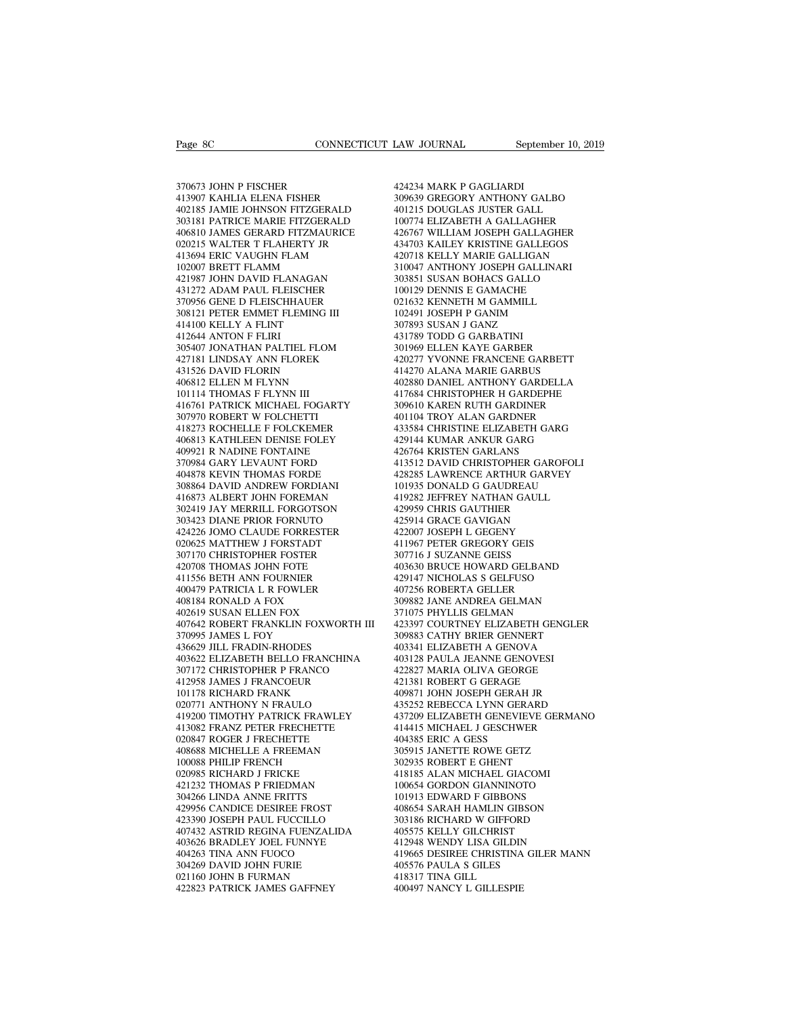$\begin{tabular}{lllllllllllllllllllll} \textbf{Page} & \textbf{COMNECTICUT} & \textbf{Law} & \textbf{JOURNAL} \\\\ 370673 & \textbf{JOHN P FISCHER} & & & & & & & & \\ 413907 & \textbf{KAHLIA} & \textbf{ELENA FISHER} & & & & & & 309639 & \textbf{GREGOR} \\\ 402185 & \textbf{IAMIE JOHNSON FITZGERALD} & & & & & & & & \\ \end{tabular}$ Page 8C<br>370673 JOHN P FISCHER<br>413907 KAHLIA ELENA FISHER<br>402185 JAMIE JOHNSON FITZGERALD<br>303181 PATRICE MARIE FITZGERALD 402185 JAMIE JOHNSON FITZGERALD 370673 JOHN P FISCHER<br>
4242:<br>
413907 KAHLIA ELENA FISHER 30966:<br>
402185 JAMIE JOHNSON FITZGERALD 4012<br>
303181 PATRICE MARIE FITZGERALD 10077<br>
406810 JAMES GERARD FITZMAURICE 42670<br>
020215 WALTER T FLAHERTY JR 43470 370673 JOHN P FISCHER 413907 KAHLIA ELENA FISHER 402185 JAMIE JOHNSON FITZGERALD 4011<br>402185 JAMIE JOHNSON FITZGERALD 4011<br>303181 PATRICE MARIE FITZGERALD 100<br>406810 JAMES GERARD FITZMAURICE 426<br>020215 WALTER T FLAHERTY JR 370673 JOHN P FISCHER<br>413907 KAHLIA ELENA FISHER<br>402185 JAMIE JOHNSON FITZGERALD<br>303181 PATRICE MARIE FITZGERALD<br>406810 JAMES GERARD FITZMAURICE<br>020215 WALTER T FLAHERTY JR<br>413694 ERIC VAUGHN FLAM<br>102007 BRETT FLAMM 370673 JOHN P FISCHER<br>413907 KAHLIA ELENA FISHER<br>402185 JAMIE JOHNSON FITZGERALD<br>303181 PATRICE MARIE FITZGERALD<br>406810 JAMES GERARD FITZMAURICE<br>020215 WALTER T FLAHERTY JR<br>413694 ERIC VAUGHN FLAM<br>102007 BRETT FLAMM<br>102007 303181 PATRICE MARIE FITZGERALD<br>406810 JAMES GERARD FITZMAURICE<br>020215 WALTER T FLAHERTY JR<br>413694 ERIC VAUGHN FLAM<br>102007 BRETT FLAMM<br>421987 JOHN DAVID FLANAGAN<br>431272 ADAM PAUL FLEISCHER 402185 JAMIE JOHNSON FITZGERALD<br>303181 PATRICE MARIE FITZGERALD<br>406810 JAMES GERARD FITZMAURICE<br>020215 WALTER T FLAHERTY JR<br>113694 ERIC VAUGHN FLAM<br>102007 BRETT FLAMM<br>421987 JOHN DAVID FLANAGAN<br>431272 ADAM PAUL FLEISCHER<br>3 303181 PATRICE MARIE FITZGERALD<br>406810 JAMES GERARD FITZMAURICE<br>020215 WALTER T FLAHERTY JR<br>413694 ERIC VAUGHN FLAM<br>102007 BRETT FLAMM<br>421977 JOHN DAVID FLANAGAN<br>431272 ADAM PAUL FLEISCHER<br>370956 GENE D FLEISCHHAUER<br>308121 406810 JAMES GERARD FITZMAURICE<br>020215 WALTER T FLAHERTY JR<br>413694 ERIC VAUGHN FLAM<br>102007 BRETT FLAMM<br>421987 JOHN DAVID FLANAGAN<br>431272 ADAM PAUL FLEISCHER<br>370956 GENE D FLEISCHHAUER<br>308121 PETER EMMET FLEMING III<br>414100 020215 WALTER T FLAHERTY JR<br>413694 ERIC VAUGHN FLAM<br>102007 BRETT FLAMM<br>421987 JOHN DAVID FLANAGAN<br>431272 ADAM PAUL FLEISCHER<br>370956 GENE D FLEISCHHAUER<br>308121 PETER EMMET FLEMING III<br>414100 KELLY A FLINT<br>412644 ANTON F FLI 413694 ERIC VAUGHN FLAM<br>102007 BRETT FLAMM<br>421987 JOHN DAVID FLANAGAN<br>431272 ADAM PAUL FLEISCHER<br>370956 GENE D FLEISCHHAUER<br>308121 PETER EMMET FLEMING III<br>414100 KELLY A FLINT<br>412644 ANTON F FLIRI<br>305407 JONATHAN PALTIEL F 102007 BRETT FLAMM<br>421987 JOHN DAVID FLANAC<br>431272 ADAM PAUL FLEISCH<br>370956 GENE D FLEISCHHAU<br>308121 PETER EMMET FLEMI<br>414100 KELLY A FLINT<br>412644 ANTON F FLIRI<br>305407 JONATHAN PALTIEL 1<br>427181 LINDSAY ANN FLORE 305407 JONATHAN PALTIEL FLOM 431272 ADAM PAUL FLEISCHER<br>370956 GENE D FLEISCHHAUER<br>308121 PETER EMMET FLEMING III<br>414100 KELLY A FLINT<br>305407 JONATHAN PALTIEL FLOM<br>305407 JONATHAN PALTIEL FLOM<br>427181 LINDSAY ANN FLOREK<br>431526 DAVID FLORIN<br>406812 ELLEN 370956 GENE D FLEISCHHAUER<br>308121 PETER EMMET FLEMING III<br>414100 KELLY A FLINT<br>412644 ANTON F FLIRI<br>305407 JONATHAN PALTIEL FLOM<br>427181 LINDSAY ANN FLOREK<br>431526 DAVID FLORIN<br>406812 ELLEN M FLYNN<br>101114 THOMAS F FLYNN III 308121 PETER EMMET FLEMING III<br>414100 KELLY A FLINT<br>412644 ANTON F FLIRI<br>305407 JONATHAN PALTIEL FLOM<br>427181 LINDSAY ANN FLOREK<br>431526 DAVID FLORIN<br>406812 ELLEN M FLYNN<br>101114 THOMAS F FLYNN III<br>416761 PATRICK MICHAEL FOGA 414100 KELLY A FLINT<br>412644 ANTON F FLIRI<br>305407 JONATHAN PALTIEL FLOM<br>427181 LINDSAY ANN FLOREK<br>431526 DAVID FLORIN<br>406812 ELLEN M FLYNN<br>101114 THOMAS F FLYNN III<br>416761 PATRICK MICHAEL FOGAR<br>307970 ROBERT W FOLCHETTI  $\begin{tabular}{llllll} 412644 &\text{ANTON F FLIRI} & & & & 43173 \\ 305407 &\text{JONATHAN PALTIEL FLOM} & & & 3019 \\ 427181 &\text{LINDSAY ANN FLOREK} & & & 4202 \\ 431526 &\text{DAVID FLORIN} & & & 4142 \\ 406812 &\text{ELEN M FLYNN} & & & 4028 \\ 10114 &\text{HOMAS F EYNN III} & & & 4036 \\ 416761 &\text{PATHCK MICHAEL FOGARTY} & & & 3096 \\ 307970 &\$ 305407 JONATHAN PALTIEL FLOM<br>427181 LINDSAY ANN FLOREK<br>431526 DAVID FLORIN<br>406812 ELLEN M FLYNN<br>101114 THOMAS F FLYNN III<br>10114 THOMAS F FLYNN III<br>307970 ROBERT W FOLCHETTI<br>418273 ROCHELLE F FOLCKEMER<br>406813 KATHLEEN DENIS 427181 LINDSAY ANN FLOREK<br>431526 DAVID FLORIN<br>406812 ELLEN M FLYNN<br>101114 THOMAS F FLYNN III<br>416761 PATRICK MICHAEL FOGARTY<br>307970 ROBERT W FOLCHETTI<br>418273 ROCHELLE F FOLCKEMER<br>406813 KATHLEEN DENISE FOLEY<br>409921 R NADINE 431526 DAVID FLORIN 44<br>
406812 ELLEN M FLYNN III 44<br>
101114 THOMAS F FLYNN III 44<br>
416761 PATRICK MICHAEL FOGARTY 30<br>
307970 ROBERT W FOLCHETTI 44<br>
418273 ROCHELLE F FOLCKEMER 42<br>
409921 R NADINE FONTAINE 42<br>
409921 R NADI 406812 ELLEN M FLYNN<br>101114 THOMAS F FLYNN III<br>416761 PATRICK MICHAEL FOGARTY<br>307970 ROBERT W FOLCHETTI<br>418273 ROCHELLE F FOLCKEMER<br>400813 KATHLEEN DENISE FOLEY<br>409921 R NADINE FONTAINE<br>370984 GARY LEVAUNT FORD<br>404878 KEVI 101114 THOMAS F FLYNN III<br>416761 PATRICK MICHAEL FOGARTY<br>307970 ROBERT W FOLCHETTI<br>418273 ROCHELLE F FOLCKEMER<br>406813 KATHLEEN DENISE FOLEY<br>409921 R NADINE FONTAINE<br>370984 GARY LEVAUNT FORD<br>404878 KEVIN THOMAS FORDE<br>308864 416761 PATRICK MICHAEL FOGARTY<br>307970 ROBERT W FOLCHETTI<br>418273 ROCHELLE F FOLCKEMER<br>406813 KATHLEEN DENISE FOLEY<br>409921 R NADINE FONTAINE<br>370984 GARY LEVAUNT FORD<br>404878 KEVIN THOMAS FORDE<br>308864 DAVID ANDREW FORDIANI<br>416 307970 ROBERT W FOLCHETTI<br>418273 ROCHELLE F FOLCKEMER<br>406813 KATHLEEN DENISE FOLEY<br>409921 R NADINE FONTAINE<br>370984 GARY LEVAUNT FORD<br>404878 KEVIN THOMAS FORDE<br>308864 DAVID ANDREW FORDIANI<br>416873 ALBERT JOHN FOREMAN<br>302419 418273 ROCHELLE F FOLCKEMER<br>406813 KATHLEEN DENISE FOLEY<br>409921 R NADINE FONTAINE<br>370984 GARY LEVAUNT FORD<br>404878 KEVIN THOMAS FORDE<br>308864 DAVID ANDREW FORDIANI<br>416873 ALBERT JOHN FOREMAN<br>302419 JAY MERRILL FORGOTSON<br>3034 302419 JAY MERRILL FORGOTSON 409921 R NADINE FONTAINE<br>370984 GARY LEVAUNT FORD<br>404878 KEVIN THOMAS FORDE<br>308864 DAVID ANDREW FORDIANI<br>416873 ALBERT JOHN FOREMAN<br>302419 JAY MERRILL FORGOTSON<br>303423 DIANE PRIOR FORNUTO<br>424226 JOMO CLAUDE FORRESTER<br>02062 424226 JOMO CLAUDE FORRESTER 404878 KEVIN THOMAS FORDE<br>308864 DAVID ANDREW FORDIANI<br>416873 ALBERT JOHN FOREMAN<br>302419 JAY MERRILL FORGOTSON<br>303423 DIANE PRIOR FORNUTO<br>424226 JOMO CLAUDE FORRESTER<br>020625 MATTHEW J FORSTADT<br>307170 CHRISTOPHER FOSTER<br>420 308864 DAVID ANDREW FORDIANI<br>416873 ALBERT JOHN FOREMAN<br>302419 JAY MERRILL FORGOTSON<br>303423 DIANE PRIOR FORNUTO<br>424226 JOMO CLAUDE FORRESTER<br>020625 MATTHEW J FORSTADT<br>307170 CHRISTOPHER FOSTER<br>420708 THOMAS JOHN FOTE<br>41155 416873 ALBERT JOHN FOREMAN<br>302419 JAY MERRILL FORGOTSON<br>303423 DIANE PRIOR FORNUTO<br>424226 JOMO CLAUDE FORRESTER<br>200625 MATTHEW J FORSTADT<br>307170 CHRISTOPHER FOSTER<br>420708 THOMAS JOHN FOTE<br>411556 BETH ANN FOURNIER<br>400479 PA 302419 JAY MERRILL FORGOTSON<br>303423 DIANE PRIOR FORNUTO<br>424226 JOMO CLAUDE FORRESTER<br>020625 MATTHEW J FORSTADT<br>307170 CHRISTOPHER FOSTER<br>410708 THOMAS JOHN FOTE<br>411556 BETH ANN FOURNIER<br>400479 PATRICIA L R FOWLER<br>408184 RO 303423 DIANE PRIOR FORNUTO<br>424226 JOMO CLAUDE FORRESTER<br>020625 MATTHEW J FORSTADT<br>307170 CHRISTOPHER FOSTER<br>420708 THOMAS JOHN FOTE<br>411556 BETH ANN FOURNIER<br>400479 PATRICIA L R FOWLER<br>408184 RONALD A FOX<br>402619 SUSAN ELLEN 424226 JOMO CLAUDE FORRESTER<br>020625 MATTHEW J FORSTADT<br>307170 CHRISTOPHER FOSTER<br>420708 THOMAS JOHN FOTE<br>411556 BETH ANN FOURNIER<br>400479 PATRICIA L R FOWLER<br>408184 RONALD A FOX<br>402619 SUSAN ELLEN FOX<br>407642 ROBERT FRANKLIN 020625 MATTHEW J FORSTADT<br>307170 CHRISTOPHER FOSTER<br>420708 THOMAS JOHN FOTE<br>411556 BETH ANN FOURNIER<br>400479 PATRICIA L R FOWLER<br>408184 RONALD A FOX<br>407642 ROBERT FRANKLIN FOXWORTH<br>407642 ROBERT FRANKLIN FOXWORTH<br>370995 JAM 107170 CHRISTOPHER FOSTER 30<br>
420708 THOMAS JOHN FOTE 40<br>
411556 BETH ANN FOURNIER 42<br>
400479 PATRICIA L R FOWLER 400479 PATRICIA L R FOWLER 40<br>
408184 RONALD A FOX 30<br>
402619 SUSAN ELLEN FOX 37<br>
407642 ROBERT FRANKLIN FOX 420708 THOMAS JOHN FOTE<br>411556 BETH ANN FOURNIER<br>400479 PATRICIA L R FOWLER<br>408184 RONALD A FOX<br>402619 SUSAN ELLEN FOX<br>407642 ROBERT FRANKLIN FOXW<br>370995 JAMES L FOY<br>436629 JILL FRADIN-RHODES<br>403622 ELIZABETH BELLO FRANCI 411556 BETH ANN FOURNIER<br>400479 PATRICIA L R FOWLER<br>408184 RONALD A FOX<br>402619 SUSAN ELLEN FOX<br>407642 ROBERT FRANKLIN FOXWORTH<br>370995 JAMES L FOY<br>436629 JILL FRADIN-RHODES<br>403622 ELIZABETH BELLO FRANCHINA<br>307172 CHRISTOPHE  $\begin{tabular}{llllllll} 400479 \text{ PATRICIA L R FOWLER} & 407256 \cr 408184 \text{ RONALD A FOX} & 309882 \cr 402619 \text{ SUSAN ELLEN FOX} & 371075 \cr 407642 \text{ ROBERT FRANKLIN FOXWORTH III} & 423397 \cr 3709983 \text{ JAMBAS L FRADIN-RHODES} & 309883 \cr 436629 \text{ JLL FRADIN-RHODES} & 403341 \cr 403622 \text{ ELIZABETH BELLO FRANCHINA} & 40312$ 408184 RONALD A FOX<br>402619 SUSAN ELLEN FOX<br>407642 ROBERT FRANKLIN FOXWORTH III<br>370995 JAMES L FOY<br>436629 IILL FRADIN-RHODES<br>403622 ELIZABETH BELLO FRANCHINA<br>307172 CHRISTOPHER P FRANCO<br>412958 JAMES J FRANCOEUR<br>101178 RICHA 402619 SUSAN ELLEN FOX<br>407642 ROBERT FRANKLIN FOXWORTH II<br>370995 JAMES L FOY<br>436629 JILL FRADIN-RHODES<br>403622 ELIZABETH BELLO FRANCHINA<br>307172 CHRISTOPHER P FRANCO<br>101178 RICHARD FRANK<br>020771 ANTHONY N FRAULO 407642 ROBERT FRANKLIN FOXWORT!<br>370995 JAMES L FOY<br>436629 JILL FRADIN-RHODES<br>403622 ELIZABETH BELLO FRANCHIN<sub>4</sub><br>307172 CHRISTOPHER P FRANCO<br>412958 JAMES J FRANK<br>101178 RICHARD FRANK<br>020771 ANTHONY N FRAULO<br>419200 TIMOTHY P 370995 JAMES L FOY<br>436629 JILL FRADIN-RHODES<br>403622 ELIZABETH BELLO FRANCHINA<br>307172 CHRISTOPHER P FRANCO<br>412958 JAMES J FRANCOEUR<br>101178 RICHARD FRANK<br>020771 ANTHONY N FRAULO<br>419200 TIMOTHY PATRICK FRAWLEY<br>413082 FRANZ PE 419200 TIMOTHY PATRICK FRAWLEY 403622 ELIZABETH BELLO FRANCHINA<br>307172 CHRISTOPHER P FRANCO<br>412958 JAMES J FRANCOEUR<br>101178 RICHARD FRANK<br>020771 ANTHONY N FRAULO<br>419200 TIMOTHY PATRICK FRAWLEY<br>413082 FRANZ PETER FRECHETTE<br>020847 ROGER J FRECHETTE<br>408688 307172 CHRISTOPHER P FRANCO<br>412958 JAMES J FRANCOEUR<br>101178 RICHARD FRANK<br>020771 ANTHONY N FRAULO<br>419200 TIMOTHY PATRICK FRAWLEY<br>413082 FRANZ PETER FRECHETTE<br>020847 ROGER J FRECHETTE<br>408688 MICHELLE A FREEMAN<br>100088 PHILIP 412958 JAMES J FRANCOEUR<br>101178 RICHARD FRANK<br>020771 ANTHONY N FRAULO<br>419200 TIMOTHY PATRICK FRAWLEY<br>413082 FRANZ PETER FRECHETTE<br>020847 ROGER J FRECHETTE<br>408688 MICHELLE A FREEMAN<br>100088 PHILIP FRENCH<br>020985 RICHARD J FRI 101178 RICHARD FRANK<br>020771 ANTHONY N FRAULO<br>419200 TIMOTHY PATRICK FRAWLEY<br>413082 FRANZ PETER FRECHETTE<br>020847 ROGER J FRECHETTE<br>408688 MICHELLE A FREEMAN<br>100088 PHILIP FRENCH<br>020985 RICHARD J FRICKE<br>421232 THOMAS P FRIED 020771 ANTHONY N FRAULO<br>419200 TIMOTHY PATRICK FRAWLEY<br>413082 FRANZ PETER FRECHETTE<br>020847 ROGER J FRECHETTE<br>408688 MICHELLE A FREMAN<br>100088 PHILIP FRENCH<br>020085 RICHARD J FRICKE<br>421232 THOMAS P FRIEDMAN<br>304266 LINDA ANNE 419200 TIMOTHY PATRICK FRAWLEY<br>413082 FRANZ PETER FRECHETTE<br>020847 ROGER J FRECHETTE<br>408688 MICHELLE A FREEMAN<br>100088 PHILIP FRENCH<br>020985 RICHARD J FRICKE<br>421232 THOMAS P FRIEDMAN<br>304266 LINDA ANNE FRITTS<br>429956 CANDICE D 413082 FRANZ PETER FRECHETTE<br>020847 ROGER J FRECHETTE<br>408688 MICHELLE A FREEMAN<br>100088 PHILIP FRENCH<br>020985 RICHARD J FRICKE<br>421232 THOMAS P FRIEDMAN<br>304266 LINDA ANNE FRITTS<br>429956 CANDICE DESIREE FROST<br>423390 JOSEPH PAUL 020847 ROGER J FRECHETTE<br>408688 MICHELLE A FREEMAN<br>100088 PHILIP FRENCH<br>020985 RICHARD J FRICKE<br>421232 THOMAS P FRIEDMAN<br>304266 LINDA ANNE FRITTS<br>429956 CANDICE DESIREE FROST<br>423390 JOSEPH PAUL FUCCILLO<br>407432 ASTRID REGIN 408688 MICHELLE A FREEMAN<br>100088 PHILIP FRENCH<br>020985 RICHARD J FRICKE<br>421232 THOMAS P FRIEDMAN<br>304266 LINDA ANNE FRITTS<br>429956 CANDICE DESIREE FROST<br>423390 JOSEPH PAUL FUCCILLO<br>407432 ASTRID REGINA FUENZALIDA<br>403626 BRADL 100088 PHILIP FRENCH<br>
020985 RICHARD J FRICKE<br>
421232 THOMAS P FRIEDMAN<br>
421232 THOMAS P FRIEDMAN<br>
40866 LINDA ANNE FRITTS<br>
429956 CANDICE DESIREE FROST<br>
408626 ASTRID REGINA FUENZALIDA<br>
403181<br>
403626 BRADLEY JOEL FUNNYE<br> 020985 RICHARD J FRICKE<br>421232 THOMAS P FRIEDMAN<br>304266 LINDA ANNE FRITTS<br>429956 CANDICE DESIREE FROST<br>423390 JOSEPH PAUL FUCCILLO<br>407432 ASTRID REGINA FUENZALIDA<br>403626 BRADLEY JOEL FUNNYE<br>404263 TINA ANN FUOCO<br>304269 DAV 421232 THOMAS P FRIEDMAN<br>304266 LINDA ANNE FRITTS<br>429956 CANDICE DESIREE FROST<br>423390 JOSEPH PAUL FUCCILLO<br>407432 ASTRID REGINA FUENZALIDA<br>403626 BRADLEY JOEL FUNNYE<br>404263 TINA ANN FUOCO<br>304269 DAVID JOHN FURIE<br>021160 JOH 304266 LINDA ANNE FRITTS<br>429956 CANDICE DESIREE FROST<br>423390 JOSEPH PAUL FUCCILLO<br>407432 ASTRID REGINA FUENZALIDA<br>403626 BRADLEY JOEL FUNNYE<br>404263 TINA ANN FUOCO<br>304269 DAVID JOHN FURIE<br>021160 JOHN B FURMAN<br>422823 PATRICK 429956 CANDICE DESIREE FROST<br>423390 JOSEPH PAUL FUCCILLO<br>407432 ASTRID REGINA FUENZALIDA<br>403626 BRADLEY JOEL FUNNYE<br>404269 TINA ANN FUOCO<br>304269 DAVID JOHN FURIE<br>021160 JOHN B FURMAN<br>422823 PATRICK JAMES GAFFNEY 423390 JOSEPH PAUL FUCCILLO<br>407432 ASTRID REGINA FUENZALIDA<br>403626 BRADLEY JOEL FUNNYE<br>404263 TINA ANN FUOCO<br>304269 DAVID JOHN FURIE<br>021160 JOHN B FURMAN<br>422823 PATRICK JAMES GAFFNEY<br>44

EXAM JOURNAL September 10, 2019<br>424234 MARK P GAGLIARDI<br>309639 GREGORY ANTHONY GALBO<br>401215 DOUGLAS JUSTER GALL 309639 GREGORY ANTHONY GALBO LAW JOURNAL September 10, 201<br>424234 MARK P GAGLIARDI<br>309639 GREGORY ANTHONY GALBO<br>401215 DOUGLAS JUSTER GALL<br>100774 ELIZABETH A GALLAGHER<br>426767 WILLIAM JOSEPH GALLAGHER 100734<br>100639 GREGORY ANTHONY GALBO<br>100639 GREGORY ANTHONY GALBO<br>100774 ELIZABETH A GALLAGHER<br>100774 ELIZABETH A GALLAGHER<br>134703 KAILEY KRISTINE GALLEGOS 424234 MARK P GAGLIARDI<br>309639 GREGORY ANTHONY GALBO<br>401215 DOUGLAS JUSTER GALL<br>100774 ELIZABETH A GALLAGHER<br>426767 WILLIAM JOSEPH GALLAGHER<br>434703 KAILEY KRISTINE GALLEGOS<br>420718 KELLY MARIE GALLIGAN 424234 MARK P GAGLIARDI<br>309639 GREGORY ANTHONY GALBO<br>401215 DOUGLAS JUSTER GALL<br>100774 ELIZABETH A GALLAGHER<br>426767 WILLIAM JOSEPH GALLAGHER<br>434703 KAILEY KRISTINE GALLEGOS<br>420718 KELLY MARIE GALLIGAN<br>310047 ANTHONY JOSEPH 424234 MARK P GAGLIARDI<br>309639 GREGORY ANTHONY GALBO<br>401215 DOUGLAS JUSTER GALL<br>100774 ELIZABETH A GALLAGHER<br>426767 WILLIAM JOSEPH GALLAGHER<br>434703 KALLY KRISTINE GALLAGGOS<br>420718 KELLY MARIE GALLIGAN<br>310047 ANTHONY JOSEPH 309639 GREGORY ANTHONY GALBO<br>401215 DOUGLAS JUSTER GALL<br>100774 ELIZABETH A GALLAGHER<br>426767 WILLIAM JOSEPH GALLAGHER<br>434703 KALEY KRISTINE GALLEGOS<br>420718 KELLY MARIE GALIGAN<br>310047 ANTHONY JOSEPH GALLINARI<br>303851 SUSAN BO 401215 DOUGLAS JUSTER GALL<br>100774 ELIZABETH A GALLAGHER<br>426767 WILLIAM JOSEPH GALLAGHER<br>434703 KAILEY KRISTINE GALLEGOS<br>420718 KELLY MARIE GALLIGAN<br>310447 ANTHONY JOSEPH GALLINARI<br>303851 SUSAN BOHACS GALLO<br>100129 DENNIS E 100774 ELIZABETH A GALLAGHER<br>426767 WILLIAM JOSEPH GALLAGHER<br>434703 KAILEY KRISTINE GALLEGOS<br>420718 KELLY MARIE GALLIGAN<br>310047 ANTHONY JOSEPH GALLINARI<br>303851 SUSAN BOHACS GALLO<br>100129 DENNIS E GAMACHE<br>021632 KENNETH M GA 426767 WILLIAM JOSEPH GALLAGHER<br>434703 KAILEY KRISTINE GALLEGOS<br>420718 KELLY MARIE GALLIGAN<br>310047 ANTHONY JOSEPH GALLINARI<br>303851 SUSAN BOHACS GALLO<br>100129 DENNIS E GAMACHE<br>021632 KENNETH M GAMMILL<br>102491 JOSEPH P GANIM<br>3 434703 KAILEY KRISTINE GALLEGOS<br>420718 KELLY MARIE GALLIGAN<br>310047 ANTHONY JOSEPH GALLINARI<br>303851 SUSAN BOHACS GALLO<br>100129 DENNIS E GAMACHE<br>021632 KENNETH M GAMMILL<br>102491 JOSEPH P GANIM<br>307893 SUSAN J GANZ<br>431789 TODD G 420718 KELLY MARIE GALLIGAN<br>310047 ANTHONY JOSEPH GALLINARI<br>303851 SUSAN BOHACS GALLO<br>100129 DENNIS E GAMACHE<br>021632 KENNETH M GAMMILL<br>102491 JOSEPH P GANIM<br>307893 SUSAN J GANZ<br>431789 TODD G GARBATINI<br>301969 ELLEN KAYE GAR 420277 YVONNE FRANCENE GARBETT 303851 SUSAN BOHACS GALLO<br>100129 DENNIS E GAMACHE<br>021632 KENNETH M GAMMILL<br>102491 JOSEPH P GANIM<br>307893 SUSAN J GANZ<br>431789 TODD G GARBATINI<br>301969 ELLEN KAYE GARBER<br>420277 YVONNE FRANCENE GARBETT<br>414270 ALANA MARIE GARBUS 100129 DENNIS E GAMACHE<br>021632 KENNETH M GAMMILL<br>102491 JOSEPH P GANIM<br>307893 SUSAN J GANZ<br>431789 TODD G GARBATINI<br>301969 ELLEN KAYE GARBER<br>420277 YVONNE FRANCENE GARBETT<br>414270 ALANA MARIE GARBUS<br>402880 DANIEL ANTHONY GAR 021632 KENNETH M GAMMILL<br>102491 JOSEPH P GANIM<br>307893 SUSAN J GANZ<br>431789 TODD G GARBATINI<br>401969 ELLEN KAYE GARBER<br>402077 YVONNE FRANCENE GARBETT<br>414270 ALANA MARIE GARBUS<br>402880 DANIEL ANTHONY GARDELLA<br>417684 CHRISTOPHER 102491 JOSEPH P GANIM<br>307893 SUSAN J GANZ<br>431789 TODD G GARBATINI<br>301969 ELLEN KAYE GARBER<br>420277 YVONNE FRANCENE GARBETT<br>414270 ALANA MARIE GARBUS<br>402880 DANIEL ANTHONY GARDELLA<br>417684 CHRISTOPHER H GARDEPHE<br>309610 KAREN 307893 SUSAN J GANZ<br>431789 TODD G GARBATINI<br>301969 ELLEN KAYE GARBER<br>420277 YVONNE FRANCENE GARBETT<br>414270 ALAMA MARIE GARBUS<br>402880 DANIEL ANTHONY GARDEPHE<br>417684 CHRISTOPHER H GARDEPHE<br>309610 KAREN RUTH GARDINER<br>401104 T 431789 TODD G GARBATINI<br>301969 ELLEN KAYE GARBER<br>420277 YVONNE FRANCENE GARBETT<br>414270 ALANA MARIE GARBUS<br>402880 DANIEL ANTHONY GARDELLA<br>417684 CHRISTOPHER H GARDEPHE<br>309610 KAREN RUTH GARDINER<br>401104 TROY ALAN GARDNER<br>433 301969 ELLEN KAYE GARBER<br>420277 YVONNE FRANCENE GARBETT<br>414270 ALANA MARIE GARBUS<br>402880 DANIEL ANTHONY GARDELLA<br>417684 CHRISTOPHER H GARDEPHE<br>309610 KAREN RUTH GARDINER<br>401104 TROY ALAN GARDINER<br>433584 CHRISTINE ELIZABETH 420277 YVONNE FRANCENE GARBETT<br>414270 ALANA MARIE GARBUS<br>402880 DANIEL ANTHONY GARDELLA<br>417684 CHRISTOPHER H GARDEPHE<br>309610 KAREN RUTH GARDINER<br>401104 TROY ALAN GARDNER<br>433584 CHRISTINE ELIZABETH GARG<br>429144 KUMAR ANKUR G 414270 ALANA MARIE GARBUS<br>402880 DANIEL ANTHONY GARDELLA<br>417684 CHRISTOPHER H GARDEPHE<br>309610 KAREN RUTH GARDINER<br>401104 TROY ALAN GARDNER<br>433584 CHRISTINE ELIZABETH GARG<br>429144 KUMAR ANKUR GARG<br>426764 KRISTEN GARLANS<br>4135 417684 CHRISTOPHER H GARDEPHE<br>309610 KAREN RUTH GARDINER<br>401104 TROY ALAN GARDNER<br>433584 CHRISTINE ELIZABETH GARG<br>429144 KUMAR ANKUR GARG<br>426764 KRISTEN GARLANS 417684 CHRISTOPHER H GARDEPHE<br>309610 KAREN RUTH GARDINER<br>401104 TROY ALAN GARDNER<br>433584 CHRISTINE ELIZABETH GARG<br>429144 KUMAR ANKUR GARG<br>426764 KRISTEN GARLANS<br>413512 DAVID CHRISTOPHER GAROFOLI<br>428285 LAWRENCE ARTHUR GARV 309610 KAREN RUTH GARDINER<br>401104 TROY ALAN GARDNER<br>433584 CHRISTINE ELIZABETH GARG<br>429144 KUMAR ANKUR GARG<br>416764 KRISTEN GARLANS<br>413512 DAVID CHRISTOPHER GAROFOLI<br>428285 LAWRENCE ARTHUR GARVEY<br>101935 DONALD G GAUDREAU<br>41 401104 TROY ALAN GARDNER<br>433584 CHRISTINE ELIZABETH GARG<br>429144 KUMAR ANKUR GARG<br>426764 KRISTEN GARLANS<br>413512 DAVID CHRISTOPHER GAROFOLI<br>428285 LAWRENCE ARTHUR GARVEY<br>101935 DONALD G GAUDREAU<br>419282 JEFFREY NATHAN GAULL<br>4 433584 CHRISTINE ELIZABETH GARG<br>429144 KUMAR ANKUR GARG<br>426764 KRISTEN GARLANS<br>413512 DAVID CHRISTOPHER GAROFOLI<br>428285 LAWRENCE ARTHUR GARVEY<br>101935 DONALD G GAUDREAU<br>419282 IEFFREY NATHAN GAULL<br>429959 CHRIS GAUTHIER<br>4259 429144 KUMAR ANKUR GARG<br>426764 KRISTEN GARLANS<br>413512 DAVID CHRISTOPHER GAROF(<br>428285 LAWRENCE ARTHUR GARVEY<br>101935 DONALD G GAUDREAU<br>419282 JEFREY NATHAN GAULL<br>429959 CHRIS GAUTHIER<br>425914 GRACE GAVIGAN<br>422007 JOSEPH L GE 426764 KRISTEN GARLANS<br>413512 DAVID CHRISTOPHER GAROFO<br>428285 LAWRENCE ARTHUR GARVEY<br>101935 DONALD G GAUDREAU<br>419282 JEFFREY NATHAN GAULL<br>429959 CHRIS GAUTHIER<br>425914 GRACE GAVIGAN<br>422007 JOSEPH L GEGENY<br>411967 PETER GREGO 428285 LAWRENCE ARTHUR GARVEY<br>101935 DONALD G GAUDREAU<br>419282 JEFFREY NATHAN GAULL<br>429959 CHRIS GAUTHIER<br>425914 GRACE GAVIGAN<br>422007 JOSEPH L GEGENY<br>411967 PETER GREGORY GEIS<br>307716 J SUZANNE GEISS 428285 LAWRENCE ARTHUR GARVEY<br>101935 DONALD G GAUDREAU<br>419282 JEFFREY NATHAN GAULL<br>429959 CHRIS GAUTHIER<br>425014 GRACE GAVIGAN<br>422007 JOSEPH L GEGENY<br>411967 PETER GREGORY GEIS<br>307716 J SUZANNE GEISS<br>403630 BRUCE HOWARD GELB 403630 BRUCE HOWARD GELBAND<br>429147 NICHOLAS S GELFUSO 419282 JEFFREY NATHAN GAULL<br>429959 CHRIS GAUTHIER<br>425914 GRACE GAVIGAN<br>422007 JOSEPH L GEGENY<br>411967 PETER GREGORY GEIS<br>307716 J SUZANNE GEIS<br>403630 BRUCE HOWARD GELBAND<br>429147 NICHOLAS S GELFUSO<br>407256 ROBERTA GELLER 429959 CHRIS GAUTHIER<br>425914 GRACE GAVIGAN<br>422007 JOSEPH L GEGENY<br>411967 PETER GREGORY GEIS<br>307716 J SUZANNE GEISS<br>403630 BRUCE HOWARD GELBAND<br>429147 NICHOLAS S GELFUSO<br>407256 ROBERTA GELLER<br>309882 JANE ANDREA GELMAN 425914 GRACE GAVIGAN<br>422007 JOSEPH L GEGENY<br>411967 PETER GREGORY GEIS<br>307716 J SUZANNE GEISS<br>403630 BRUCE HOWARD GELBAND<br>429147 NICHOLAS S GELFUSO<br>407256 ROBERTA GELLER<br>309882 JANE ANDREA GELMAN<br>371075 PHYLLIS GELMAN 422007 JOSEPH L GEGENY<br>411967 PETER GREGORY GEIS<br>307716 J SUZANNE GEISS<br>403630 BRUCE HOWARD GELBAND<br>429147 NICHOLAS S GELFUSO<br>407256 ROBERTA GELLER<br>309882 JANE ANDREA GELMAN<br>371075 PHYLLIS GELMAN<br>423397 COURTNEY ELIZABETH 411967 PETER GREGORY GEIS<br>307716 J SUZANNE GEISS<br>403630 BRUCE HOWARD GELBAND<br>429147 NICHOLAS S GELFUSO<br>407256 ROBERTA GELLER<br>309882 JANE ANDREA GELMAN<br>371075 PHYLLIS GELMAN<br>423397 COURTNEY ELIZABETH GENGLI<br>309883 CATHY BRI 307716 J SUZANNE GEISS<br>403630 BRUCE HOWARD GELBAND<br>429147 NICHOLAS S GELFUSO<br>407256 ROBERTA GELLER<br>309882 JANE ANDREA GELMAN<br>371075 PHYLLIS GELMAN<br>423397 COURTNEY ELIZABETH GENGLER<br>309883 CATHY BRIER GENNERT<br>403341 ELIZABE 403630 BRUCE HOWARD GELBAND<br>429147 NICHOLAS S GELFUSO<br>407256 ROBERTA GELLER<br>309882 JANE ANDREA GELMAN<br>371075 PHYLLIS GELMAN<br>423397 COURTNEY ELIZABETH GENGLER<br>309883 CATHY BRIER GENNERT<br>403341 ELIZABETH A GENOVA<br>403128 PAUL 429147 NICHOLAS S GELFUSO<br>407256 ROBERTA GELLER<br>309882 JANE ANDREA GELMAN<br>371075 PHYLLIS GELMAN<br>423397 COURTNEY ELIZABETH GENGLER<br>309883 CATHY BRIER GENNERT<br>403341 ELIZABETH A GENOVA<br>403128 PAULA JEANNE GENOVESI<br>422827 MAR 407256 ROBERTA GELLER<br>309882 JANE ANDREA GELMAN<br>371075 PHYLLIS GELMAN<br>423397 COURTNEY ELIZABETH GENGLEI<br>309883 CATHY BRIER GENNERT<br>403341 ELIZABETH A GENOVA<br>403128 PAULA JEANNE GENOVESI<br>422827 MARIA OLIVA GEORGE<br>421381 ROB 309882 JANE ANDREA GELMAN<br>371075 PHYLLIS GELMAN<br>423397 COURTNEY ELIZABETH GENGLER<br>309883 CATHY BRIER GENNERT<br>403341 ELIZABETH A GENOVA<br>403128 PAULA JEANNE GENOVESI<br>422827 MARIA OLIVA GEORGE<br>421381 ROBERT G GERAGE<br>409871 JO 371075 PHYLLIS GELMAN<br>423397 COURTNEY ELIZABETH GENGL<br>309883 CATHY BRIER GENNERT<br>403341 ELIZABETH A GENOVA<br>403128 PAULA JEANNE GENOVESI<br>422827 MARIA OLIVA GEORGE<br>421381 ROBERT G GERAGE<br>409871 JOHN JOSEPH GERAH JR<br>435252 RE 423397 COURTNEY ELIZABETH GENGLER<br>309883 CATHY BRIER GENNERT<br>403341 ELIZABETH A GENOVA<br>403128 PAULA JEANNE GENOVESI<br>422827 MARIA OLIVA GEORGE<br>421381 ROBERT G GERAGE<br>409871 JOHN JOSEPH GERAH JR<br>435252 REBECCA LYNN GERARD<br>43 309883 CATHY BRIER GENNERT<br>403341 ELIZABETH A GENOVA<br>403128 PAULA JEANNE GENOVESI<br>422827 MARIA OLIVA GEORGE<br>421381 ROBERT G GERAGE<br>409871 JOHN JOSEPH GERAH JR<br>435252 REBECCA LYNN GERARD<br>437209 ELIZABETH GENEVIEVE GERMANO<br>4 403341 ELIZABETH A GENOVA<br>403128 PAULA JEANNE GENOVESI<br>422827 MARIA OLIVA GEORGE<br>421381 ROBERT G GERAGE<br>409871 JOHN JOSEPH GERAH JR<br>435252 REBECCA LYNN GERARD<br>437209 ELIZABETH GENEVIEVE GERMANO<br>414415 MICHAEL J GESCHWER<br>40 403128 PAULA JEANNE GENOVESI<br>422827 MARIA OLIVA GEORGE<br>421381 ROBERT G GERAGE<br>409871 JOHN JOSEPH GERAH JR<br>435252 REBECCA LYNN GERARD<br>4137209 ELIZABETH GENEVIEVE GERMANO<br>414415 MICHAEL J GESCHWER<br>404385 ERIC A GESS<br>305915 J 422827 MARIA OLIVA GEORGE<br>421381 ROBERT G GERAGE<br>409871 JOHN JOSEPH GERAH JR<br>435252 REBECCA LYNN GERARD<br>437209 ELIZABETH GENEVIEVE GERMANO<br>414415 MICHAEL J GESCHWER<br>404385 ERIC A GESS<br>305915 JANETTE ROWE GETZ<br>302935 ROBERT 421381 ROBERT G GERAGE<br>409871 JOHN JOSEPH GERAH JR<br>435252 REBECCA LYNN GERARD<br>437209 ELIZABETH GENEVIEVE GERMAN<br>414415 MICHAEL J GESCHWER<br>404385 ERIC A GESS<br>305915 JANETTE ROWE GETZ<br>302935 ROBERT E GHENT<br>418185 ALAN MICHAE 409871 JOHN JOSEPH GERAH JR<br>435252 REBECCA LYNN GERARD<br>437209 ELIZABETH GENEVIEVE GERN<br>414415 MICHAEL J GESCHWER<br>404385 ERIC A GESS<br>305915 JANETTE ROWE GETZ<br>302935 ROBERT E GHENT<br>418185 ALAN MICHAEL GIACOMI<br>100654 GORDON G 435252 REBECCA LYNN GERARD<br>437209 ELIZABETH GENEVIEVE GERMA<br>414415 MICHAEL J GESCHWER<br>404385 ERIC A GESS<br>305915 JANETTE ROWE GETZ<br>302935 ROBERT E GHENT<br>418185 ALAN MICHAEL GIACOMI<br>100654 GORDON GIANNINOTO<br>101913 EDWARD F G 437209 ELIZABETH GENEVIEVE GERMANO<br>414415 MICHAEL J GESCHWER<br>404385 ERIC A GESS<br>305915 JANETTE ROWE GETZ<br>302935 ROBERT E GHENT<br>418185 ALAN MICHAEL GIACOMI<br>100654 GORDON GIANNINOTO<br>101913 EDWARD F GIBBONS<br>408654 SARAH HAMLI 414415 MICHAEL J GESCHWER<br>404385 ERIC A GESS<br>305915 JANETTE ROWE GETZ<br>302935 ROBERT E GHENT<br>418185 ALAN MICHAEL GIACOMI<br>100654 GORDON GIANNINOTO<br>101913 EDWARD F GIBBONS<br>408654 SARAH HAMLIN GIBSON<br>303186 RICHARD W GIFFORD 404385 ERIC A GESS<br>305915 JANETTE ROWE GETZ<br>302935 ROBERT E GHENT<br>418185 ALAN MICHAEL GIACOMI<br>100654 GORDON GIANNINOTO<br>401913 EDWARD F GIBBONS<br>408654 SARAH HAMLIN GIBSON<br>303186 RICHARD W GIFFORD<br>405575 KELLY GILCHRIST 305915 JANETTE ROWE GETZ<br>302935 ROBERT E GHENT<br>418185 ALAN MICHAEL GIACOMI<br>100654 GORDON GIANNINOTO<br>101913 EDWARD F GIBBONS<br>408654 SARAH HAMLIN GIBSON<br>303186 RICHARD W GIFFORD<br>405575 KELLY GILCHRIST<br>412948 WENDY LISA GILDI 302935 ROBERT E GHENT<br>418185 ALAN MICHAEL GIACOMI<br>100654 GORDON GIANNINOTO<br>101913 EDWARD F GIBBONS<br>408654 SARAH HAMLIN GIBSON<br>303186 RICHARD W GIFFORD<br>405575 KELLY GILCHRIST<br>412948 WENDY LISA GILDIN<br>419665 DESIREE CHRISTIN 418185 ALAN MICHAEL GIACOMI<br>100654 GORDON GIANNINOTO<br>101913 EDWARD F GIBBONS<br>408654 SARAH HAMLIN GIBSON<br>303186 RICHARD W GIFFORD<br>405575 KELLY GILCHRIST<br>412948 WENDY LISA GILDIN<br>419665 DESIREE CHRISTINA GILER MANN<br>405576 PA 100654 GORDON GIANNINOTO<br>101913 EDWARD F GIBBONS<br>408654 SARAH HAMLIN GIBSON<br>303186 RICHARD W GIFFORD<br>405575 KELLY GILCHRIST<br>419665 DESIREE CHRISTINA GILER MANN<br>405576 PAULA S GILES<br>418517 TINA GILL 101913 EDWARD F GIBBONS<br>408654 SARAH HAMLIN GIBSON<br>303186 RICHARD W GIFFORD<br>405575 KELLY GILCHRIST<br>412948 WENDY LISA GILDIN<br>419665 DESIREE CHRISTINA GILE<br>405576 PAULA S GILES<br>418317 TINA GILL<br>400497 NANCY L GILLESPIE 408654 SARAH HAMLIN GIBS03186 RICHARD W GIFFORD<br>405575 KELLY GILCHRIST<br>412948 WENDY LISA GILDIN<br>419655 DESIREE CHRISTINA C<br>405576 PAULA S GILES<br>418317 TINA GILL<br>400497 NANCY L GILLESPIE<br>400497 NANCY L GILLESPIE 303186 RICHARD W GIFFOR<br>405575 KELLY GILCHRIST<br>412948 WENDY LISA GILDIN<br>419665 DESIREE CHRISTINA<br>405576 PAULA S GILES<br>418317 TINA GILL<br>400497 NANCY L GILLESPIE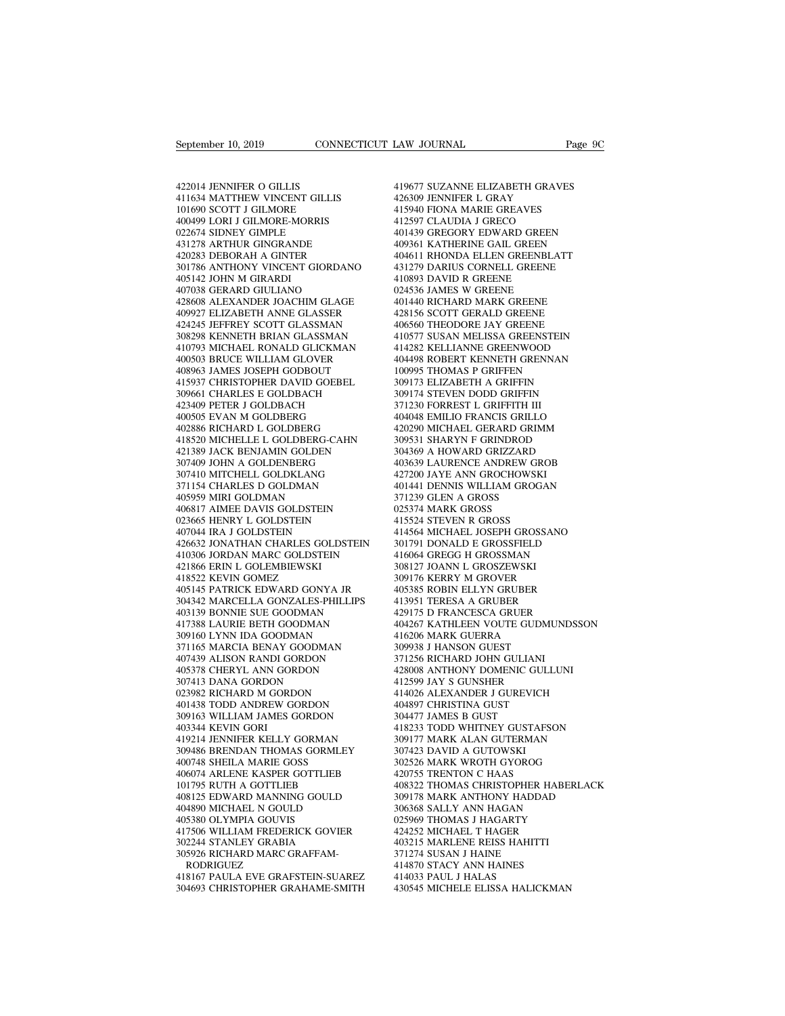September 10, 2019<br>422014 JENNIFER O GILLIS<br>411634 MATTHEW VINCENT GILLIS<br>101690 SCOTT J GILMORE September 10, 2019<br>422014 JENNIFER O GILLIS<br>411634 MATTHEW VINCENT GILLIS<br>101690 SCOTT J GILMORE<br>400499 LORI J GILMORE-MORRIS September 10, 2019<br>
101690 SCOTT JOURNAL<br>
101691 SCOTT JOURNAL SANCENT GILLIS<br>
101690 SCOTT JOURNORE<br>
100499 LORI JOULMORE-MORRIS<br>
1022674 SIDNEY GIMPLE 422014 JENNIFER O GILLIS<br>411634 MATTHEW VINCENT GILLIS<br>101690 SCOTT J GILMORE<br>400499 LORI J GILMORE-MORRIS<br>022674 SIDNEY GIMPLE<br>431278 ARTHUR GINGRANDE 422014 JENNIFER O GILLIS<br>411634 MATTHEW VINCENT GILLIS<br>101690 SCOTT J GILMORE-MORRIS<br>400499 LORI J GILMORE-MORRIS<br>022674 SIDNEY GIMPLE<br>431278 ARTHUR GINGRANDE<br>420283 DEBORAH A GINTER 422014 JENNIFER O GILLIS<br>411634 MATTHEW VINCENT GILLIS<br>101690 SCOTT J GILMORE<br>400499 LORI J GILMORE-MORRIS<br>022674 SIDNEY GIMPLE<br>431278 ARTHUR GINGRANDE<br>420283 DEBORAH A GINTER<br>301786 ANTHONY VINCENT GIORDANO 422014 JENNIFER O GILLIS<br>411634 MATTHEW VINCENT GILLIS<br>101690 SCOTT J GILMORE<br>400499 LORI J GILMORE-MORRIS<br>022674 SINNEY GIMPLE<br>431278 ARTHUR GINGRANDE<br>402283 DEBORAH A GINTER<br>301786 ANTHONY VINCENT GIORDANO<br>405142 JOHN M  $\begin{tabular}{llllllllll} 411634 MATHEW VINCENT GILLIS & 426309 \cr 101690 SCOTT J GLMORE & 415940 \cr 400499 LORI J GLIMOREMORRIS & 412597 \cr 022674 SIDNE Y GIMPLE & 401439 \cr 431278 ARTHUR GINGRANDE & 40981 \cr 420283 DEBORAH A GINTER & 404611 \cr 301786 ANTHONY INCENT GIORDANO & 431279 \cr 405142 JOHN M GIRARD & 410893 \cr 407038 GERARD$ 101690 SCOTT J GILMORE<br>400499 LORI J GILMORE-MORR<br>022674 SIDNEY GIMPLE<br>431278 ARTHUR GINGRANDE<br>420283 DEBORAH A GINTER<br>301786 ANTHONY VINCENT GI(<br>405142 JOHN M GIRARDI<br>407038 GERARD GIULIANO<br>428608 ALEXANDER JOACHIM 400499 LORI J GILMORE-MORRIS<br>022674 SIDNEY GIMPLE<br>431278 ARTHUR GINGRANDE<br>420283 DEBORAH A GINTER<br>40283 DEBORAH A GINTER<br>405142 JOHN M GIRARDI<br>447038 GERARD GIULIANO<br>428608 ALEXANDER JOACHIM GLAGE<br>409927 ELIZABETH ANNE GLA  $\begin{tabular}{llllll} 022674 \text{ SIDNEY GIMPLE} & 401 \\ 431278 \text{ ARTHUR GINGRANDE} & 409 \\ 420283 \text{ DEBORAH A GINTER} & 404 \\ 301786 \text{ ANTHONY VINCENT GIORDANO} & 431 \\ 405142 \text{ JCHNN M GIRARDI} & 410 \\ 407038 \text{ GERARD GULIANO} & 024 \\ 428608 \text{ ALEXANDER IOACHIM GLAGE} & 401 \\ 409927 \text{ ELIZABETH ANNE GLASSER} & 428 \\ 424245 \$  $\begin{tabular}{llllll} 431278 & \text{ARTHUR GINGRANDE} & & 4( \\ 420283 & \text{DEBORAH A GINTER} & & 4( \\ 301786 & \text{ANTHONY VINCENT GIORDANO} & & 43 \\ 405142 & \text{JOHN M GIRARDI} & & 41 \\ 407038 & \text{GERARD GULLAND} & & 02 \\ 62428608 & \text{ALEXAND GFLIANG CLAGE} & & 4( \\ 409927 & \text{ELIZABETH ANNE GLASSER} & & 42 \\ 424245 & \text{IEFFREV SCOTT GLASSMAN} & & 4( \\$ 420283 DEBORAH A GINTER 404<br>
301786 ANTHONY VINCENT GIORDANO 431<br>
405142 JOHN M GIRARDI 410<br>
407038 GERARD GIULIANO 624<br>
428608 ALEXANDER JOACHIM GLAGE 401<br>
409927 ELIZABETH ANNE GLASSMAN 402<br>
424245 JEFFREY SCOTT GLASSMAN 301786 ANTHONY VINCENT GIORDANO 4312<br>405142 JOHN M GIRARDI 4108<br>407038 GERARD GIULIANO 6245<br>428608 ALEXANDER JOACHIM GLAGE 4014<br>409927 ELIZABETH ANNE GLASSMAN 4105<br>308298 KENNETH BRIAN GLASSMAN 4105<br>410793 MICHAEL RONALD G 410793 MICHAEL RONALD GLICKMAN 407038 GERARD GIULIANO<br>428608 ALEXANDER JOACHIM GLAGE<br>409927 ELIZABETH ANNE GLASSER<br>424245 JEFFREY SCOTT GLASSMAN<br>308298 KENNETH BRIAN GLASSMAN<br>410793 MICHAEL RONALD GLICKMAN<br>400503 BRUCE WILLIAM GLOVER<br>408963 JAMES JOSEPH 428608 ALEXANDER JOACHIM GLAGE<br>409927 ELIZABETH ANNE GLASSER<br>424245 JEFFREY SCOTT GLASSMAN<br>308298 KENNETH BRIAN GLASSMAN<br>410793 MICHER RONALD GLICKMAN<br>400503 BRUCE WILLIAM GLOVER<br>408963 JAMES JOSEPH GODBOUT<br>415937 CHRISTOP 409927 ELIZABETH ANNE GLASSER 428<br>424245 JEFFREY SCOTT GLASSMAN 406<br>308298 KENNETH BRIAN GLASSMAN 410<br>410793 MICHAEL RONALD GLICKMAN 414<br>400503 BRUCE WILLIAM GLOVER 404<br>408963 JAMES JOSEPH GODBOUT 100<br>415937 CHRISTOPHER DA 424245 JEFFREY SCOTT GLASSMAN<br>308298 KENNETH BRIAN GLASSMAN<br>410793 MICHAEL RONALD GLICKMAN<br>400503 BRUCE WILLIAM GLOVER<br>408963 JAMES JOSEPH GODBOUT<br>415937 CHRISTOPHER DAVID GOEBEL<br>309661 CHARLES E GOLDBACH<br>423409 PETER J GO 308298 KENNETH BRIAN GLASSMAN<br>410793 MICHAEL RONALD GLICKMAN<br>400503 BRUCE WILLIAM GLOVER<br>408963 JAMES JOSEPH GODBOUT<br>415937 CHRISTOPHER DAVID GOEBEL<br>309661 CHARLES E GOLDBACH<br>423409 PETER J GOLDBACH<br>400505 EVAN M GOLDBERG<br> 410793 MICHAEL RONALD GLICKMAN<br>400503 BRUCE WILLIAM GLOVER<br>408963 JAMES JOSEPH GODBOUT<br>415937 CHRISTOPHER DAVID GOEBEL<br>309661 CHARLES E GOLDBACH<br>423409 PETER J GOLDBACH<br>400505 EVAN M GOLDBERG<br>402886 RICHARD L GOLDBERG<br>4185 400503 BRUCE WILLIAM GLOVER<br>408963 JAMES JOSEPH GODBOUT<br>415937 CHRISTOPHER DAVID GOEBEL<br>309661 CHARLES E GOLDBACH<br>423409 PETER J GOLDBACH<br>400505 EVAN M GOLDBERG<br>402886 RICHARD L GOLDBERG<br>418520 MICHELLE L GOLDBERG-CAHN<br>421  $\begin{tabular}{lllllllllllllllllllllll} & & & & & & & 100995 \\ 415937 CHRISTOPHER DAVID GOEBEL & & & & 309173 \\ 309661 CHARLES E GOLDBACH & & & 309174 \\ 423409 PETER J GOLDBACH & & & 371230 \\ 403505 EVAN MOLDBERG & & & 400486 \\ 402886 RICHARD L GOLDBERG & & & 420290 \\ 418520 MICHELLE L GOLDBERG-CAHN & & & 309531 \\ 421389 JACK BENIAMIN GOLDEN & & & 3043$ 415937 CHRISTOPHER DAVID GOEBEL<br>309661 CHARLES E GOLDBACH<br>423409 PETER J GOLDBACH<br>400505 EVAN M GOLDBERG<br>400505 EVAN M GOLDBERG<br>418820 MICHELLE L GOLDBERG-CAHN<br>421389 JACK BENJAMIN GOLDEN<br>307409 JOHN A GOLDENBERG<br>307409 JO 309661 CHARLES E GOLDBACH<br>423409 PETER J GOLDBACH<br>400505 EVAN M GOLDBERG<br>402886 RICHARD L GOLDBERG<br>412880 MICHELLE L GOLDBERG-CAHN<br>421389 JACK BENJAMIN GOLDEN<br>307409 JOHN A GOLDENBERG<br>307410 MITCHELL GOLDKLANG<br>371154 CHARL 423409 PETER J GOLDBACH<br>400505 EVAN M GOLDBERG<br>402886 RICHARD L GOLDBERG<br>418520 MICHELLE L GOLDBERG-CAHN<br>421389 JACK BENJAMIN GOLDEN<br>307410 MITCHELL GOLDRIBRERG<br>307410 MITCHELL GOLDRIANG<br>371154 CHARLES D GOLDMAN<br>405959 MIR 400505 EVAN M GOLDBERG<br>402886 RICHARD L GOLDBERG-CAHN<br>418520 MICHELLE L GOLDBERG-CAHN<br>421389 JACK BENJAMIN GOLDEN<br>307490 JOHN A GOLDENBERG<br>371154 CHARLES D GOLDMAN<br>405959 MIRI GOLDMAN<br>405959 MIRI GOLDMAN<br>406817 AIMEE DAVIS 402886 RICHARD L GOLDBERG<br>418520 MICHELLE L GOLDBERG-CAHN<br>421389 JACK BENJAMIN GOLDEN<br>307409 JOHN A GOLDENBERG<br>307409 JOHN A GOLDENBERG<br>40410 MITCHELL GOLDMAN<br>406817 AIMEE DAVIS GOLDSTEIN<br>023665 HENRY L GOLDSTEIN<br>023665 HE 418520 MICHELLE L GOLDBERG-CAHN<br>421389 JACK BENJAMIN GOLDEN<br>307409 JOHN A GOLDENBERG<br>407410 MITCHELL GOLDKLANG<br>415454 CHARLES D GOLDMAN<br>405959 MIRI GOLDMAN<br>406817 AIMEE DAVIS GOLDSTEIN<br>023665 HENRY L GOLDSTEIN<br>407044 IRA J 421389 JACK BENJAMIN GOLDEN<br>307409 JOHN A GOLDENBERG<br>307410 MITCHELL GOLDKLANG<br>371154 CHARLES D GOLDMAN<br>405859 MIRI GOLDMAN<br>406817 AIMEE DAVIS GOLDSTEIN<br>023665 HENRY L GOLDSTEIN<br>407044 IRA J GOLDSTEIN<br>426632 JONATHAN CHARL 307409 JOHN A GOLDENBERG<br>307410 MITCHELL GOLDKLANG<br>371154 CHARLES D GOLDMAN<br>405959 MIRI GOLDMAN<br>406817 AIMEE DAVIS GOLDSTEIN<br>023665 HENRY L GOLDSTEIN<br>407044 IRA J GOLDSTEIN<br>426632 JONATHAN CHARLES GOLDSTE<br>410306 JORDAN MAR 107410 MITCHELL GOLDKLANG (427200 18<br>
371154 CHARLES D GOLDMAN (401441 D<br>
405959 MIRI GOLDMAN (401441 D<br>
406817 AIMEE DAVIS GOLDSTEIN (22365 HENRY L GOLDSTEIN 415544 S<br>
427044 IRA J GOLDSTEIN (414564 M<br>
41664 G<br>
416064 G A 4019959 MIRI GOLDMAN 405959 MIRI GOLDMAN 405959 MIRI GOLDMAN 406817 AIMEE DAVIS GOLDSTEIN 02.<br>023665 HENRY L GOLDSTEIN 41.<br>417044 IRA J GOLDSTEIN 41.<br>426632 JONATHAN CHARLES GOLDSTEIN 30<br>4186623 JONATHAN CHARLES GOLDSTEIN 405959 MIRI GOLDMAN<br>406817 AIMEE DAVIS GOLDSTEIN<br>023665 HENRY L GOLDSTEIN<br>407044 IRA J GOLDSTEIN<br>426632 JONATHAN CHARLES GOLDST<br>410306 JORDAN MARC GOLDSTEIN<br>421866 ERIN L GOLEMBIEWSKI<br>418522 KEVIN GOMEZ<br>405145 PATRICK EDWA 406817 AIMEE DAVIS GOLDSTEIN<br>023665 HENRY L GOLDSTEIN<br>407044 IRA J GOLDSTEIN<br>426632 JONATHAN CHARLES GOL<br>410306 JORDAN MARC GOLDSTEI<br>421866 ERIN L GOLEMBIEWSKI<br>418522 KEVIN GOMEZ<br>405145 PATRICK EDWARD GONY.<br>304342 MARCELLA 405145 PATRICK EDWARD GONYA JR 407044 IRA J GOLDSTEIN 41450<br>426632 JONATHAN CHARLES GOLDSTEIN 30179<br>410306 JORDAN MARC GOLDSTEIN 41600<br>421866 ERIN L GOLEMBIEWSKI 3081:<br>405145 PATRICK EDWARD GONYA JR 40531<br>304342 MARCELLA GONZALES-PHILLIPS 4139:<br>403139 B 426632 JONATHAN CHARLES GOLDSTEIN<br>410306 JORDAN MARC GOLDSTEIN<br>421866 ERIN L GOLEMBIEWSKI<br>418522 KEVIN GOMEZ<br>405145 PATRICK EDWARD GONYA JR<br>304342 MARCELLA GONZALES-PHILLIPS<br>403139 BONNIE SUE GOODMAN<br>417388 LAURIE BETH GOO 410306 JORDAN MARC GOLDSTEIN<br>421866 ERIN L GOLEMBIEWSKI<br>418522 KEVIN GOMEZ<br>405145 PATRICK EDWARD GONYA JR<br>304342 MARCELLA GONZALES-PHILLIPS<br>403139 BONNE SUE GOODMAN<br>417388 LAURIE BETH GOODMAN<br>309160 LYNN IDA GOODMAN<br>371165 421866 ERIN L GOLEMBIEWSKI<br>418522 KEVIN GOMEZ<br>405145 PATRICK EDWARD GONYA JR<br>304342 MARCELLA GONZALES-PHILLIPS<br>403139 BONNE SUE GOODMAN<br>417388 LAURIE BETH GOODMAN<br>309160 LYNN IDA GOODMAN<br>371165 MARCIA BENAY GOODMAN<br>407439 371165 MARCIA BENAY GOODMAN 405145 PATRICK EDWARD GONYA JR<br>304342 MARCELLA GONZALES-PHILLIPS<br>403139 BONNIE SUE GOODMAN<br>417388 LAURIE BETH GOODMAN<br>309160 LYNN IDA GOODMAN<br>371165 MARCIA BENAY GOODMAN<br>407439 ALISON RANDI GORDON<br>405378 CHERYL ANN GORDON<br> 304342 MARCELLA GONZALES-PHILLIPS<br>403139 BONNIE SUE GOODMAN<br>417388 LAURIE BETH GOODMAN<br>309160 LYNN IDA GOODMAN<br>407439 ALISON RANDI GORDON<br>407439 ALISON RANDI GORDON<br>405378 CHERYL ANN GORDON<br>307413 DANA GORDON<br>023982 RICHAR 403139 BONNIE SUE GOODMAN<br>417388 LAURIE BETH GOODMAN<br>309160 LYNN IDA GOODMAN<br>371165 MARCIA BENAY GOODMAN<br>407439 ALISON RANDI GORDON<br>405378 CHERYL ANN GORDON<br>307413 DANA GORDON<br>023982 RICHARD M GORDON<br>401438 TODD ANDREW GOR 417388 LAURIE BETH GOODMAN<br>309160 LYNN IDA GOODMAN<br>371165 MARCIA BENAY GOODMAN<br>407439 ALISON RANDI GORDON<br>405378 CHERYL ANN GORDON<br>307413 DANA GORDON<br>023982 RICHARD M GORDON<br>401438 TODD ANDREW GORDON<br>309163 WILLIAM JAMES G 309160 LYNN IDA GOODMAN<br>371165 MARCIA BENAY GOODMAN<br>407439 ALISON RANDI GORDON<br>405378 CHERYL ANN GORDON<br>307413 DANA GORDON<br>023982 RICHARD M GORDON<br>401438 TODD ANDREW GORDON<br>309163 WILLIAM JAMES GORDON<br>403344 KEVIN GORI 371165 MARCIA BENAY GOODMAN<br>
407439 ALISON RANDI GORDON<br>
405378 CHERYL ANN GORDON<br>
307413 DANA GORDON<br>
23982 RICHARD M GORDON<br>
401438 TODD ANDREW GORDON<br>
309163 WILLIAM JAMES GORDON<br>
403344 KEVIN GORI<br>
403344 KEVIN GORI<br>
4 405378 CHERYL ANN GORDON<br>307413 DANA GORDON<br>023982 RICHARD M GORDON<br>401438 TODD ANDREW GORDON<br>309163 WILLIAM JAMES GORDON<br>403344 KEVIN GORI<br>419214 JENNIFER KELLY GORMAN<br>309486 BRENDAN THOMAS GORMLEY 405378 CHERYL ANN GORDON 4037413 DANA GORDON 41<br>023982 RICHARD M GORDON 41<br>401438 TODD ANDREW GORDON 40<br>40344 KEVIN GORDON 3096163 VILLIAM JAMES GORDON 30<br>403344 KEVIN GORI 41<br>419214 JENNIFER KELLY GORMAN 30<br>309486 BRENDAN 309486 BRENDAN THOMAS GORMLEY 023982 RICHARD M GORDON<br>401438 TODD ANDREW GORDON<br>309163 WILLIAM JAMES GORDON<br>403344 KEVIN GORI<br>419214 JENNIFER KELLY GORMAN<br>309486 BRENDAN THOMAS GORMLEY<br>400748 SHEILA MARIE GOSS<br>406074 ARLENE KASPER GOTTLIEB<br>101795 RUTH 401438 TODD ANDREW GORDON<br>
309163 WILLIAM JAMES GORDON<br>
403344 KEVIN GORI<br>
419214 JENNIFER KELLY GORMAN<br>
309486 BRENDAN THOMAS GORMLEY<br>
400748 SHEILA MARIE GOSS<br>
406074 ARLENE KASPER GOTTLIEB<br>
4106074 ARLENE KASPER GOTTLIE 309163 WILLIAM JAMES GORDON<br>403344 KEVIN GORI<br>419214 JENNIFER KELLY GORMAN<br>309486 BRENDAN THOMAS GORMLEY<br>400748 SHEILA MARIE GOSS<br>406074 ARLENE KASPER GOTTLIEB<br>101795 RUTH A GOTTLIEB<br>408125 EDWARD MANNING GOULD<br>404890 MICH 408125 EDWARD MANNING GOULD 419214 JENNIFER KELLY GORMAN<br>309486 BRENDAN THOMAS GORMLEY<br>400748 SHEILA MARIE GOSS<br>406074 ARLENE KASPER GOTTLIEB<br>101795 RUTH A GOTTLIEB<br>408125 EDWARD MANNING GOULD<br>408125 EDWARD MANNING GOULD<br>405380 OLYMPIA GOUVIS<br>417506 309486 BRENDAN THOMAS GORMLE<br>400748 SHEILA MARIE GOSS<br>406074 ARLENE KASPER GOTTLIEB<br>101795 RUTH A GOTTLIEB<br>408125 EDWARD MANNING GOULD<br>404890 MICHAEL N GOULD<br>405380 OLYMPIA GOUVIS<br>417506 WILLIAM FREDERICK GOVIE<br>302244 STAN 417506 WILLIAM FREDERICK GOVIER 406074 ARLENE KASPER GOTTLIEB<br>101795 RUTH A GOTTLIEB<br>408125 EDWARD MANNING GOULD<br>404890 MICHAEL N GOULD<br>405380 OLYMPIA GOUVIS<br>417506 WILLIAM FREDERICK GOVIER<br>302244 STANLEY GRABIA<br>305926 RICHARD MARC GRAFFAM-<br>RODRIGUEZ 101795 RUTH A GOTTLIEB<br>408125 EDWARD MANNING GOULI<br>404890 MICHAEL N GOULD<br>405380 OLYMPIA GOUVIS<br>417506 WILLIAM FREDERICK GOVI<br>302244 STANLEY GRABIA<br>302244 SICHARD MARC GRAFFAM-<br>RODRIGUEZ<br>418167 PAULA EVE GRAFSTEIN-SU RODRIGUEZ<br>418167 PAULA EVE GRAFSTEIN-SUAREZ 404890 MICHAEL N GOULD 30636<br>405380 OLYMPIA GOUVIS 302596<br>417506 WILLIAM FREDERICK GOVIER 42425<br>302244 STANLEY GRABIA 40321<br>800BIGUEZ 100RIGUEZ 41487<br>RODRIGUEZ 41487<br>418167 PAULA EVE GRAFSTEIN-SUAREZ 41403.<br>304693 CHRISTOP %405380 OLYMPIA GOUVIS<br>
417506 WILLIAM FREDERICK GOVIER 424252 I<br>
302244 STANLEY GRABIA 403215 1<br>
303926 RICHARD MARC GRAFFAM- 371274 5<br>
RODRIGUEZ 41870 5<br>
418167 PAULA EVE GRAFSTEIN-SUAREZ 414033 I<br>
304693 CHRISTOPHER GRA

LAW JOURNAL Page 9C<br>419677 SUZANNE ELIZABETH GRAVES<br>426309 JENNIFER L GRAY<br>415940 FIONA MARIE GREAVES LAW JOURNAL<br>419677 SUZANNE ELIZABETH GRAVES<br>426309 JENNIFER L GRAY<br>415940 FIONA MARIE GREAVES<br>412597 CLAUDIA J GRECO EXAW JOURNAL Page<br>
19677 SUZANNE ELIZABETH GRAVES<br>
415940 FIONA MARIE GREAVES<br>
415940 FIONA MARIE GREAVES<br>
412597 CLAUDIA J GRECO<br>
401439 GREGORY EDWARD GREEN 419677 SUZANNE ELIZABETH GRAVES<br>426309 JENNIFER L GRAY<br>415940 FINNE ARRE GREAVES<br>412597 CLAUDIA J GRECO<br>401439 GREGORY EDWARD GREEN<br>409361 KATHERINE GAIL GREEN 419677 SUZANNE ELIZABETH GRAVES<br>426309 JENNIFER L GRAY<br>415940 FIONA MARIE GREAVES<br>412597 CLAUDIA J GRECO<br>401439 GREGORY EDWARD GREEN<br>409361 KATHERINE GAIL GREEN<br>404611 RHONDA ELLEN GREENBLATT 419677 SUZANNE ELIZABETH GRAVES<br>426309 JENNIFER L GRAY<br>415940 FIONA MARIE GREAVES<br>412597 CLAUDIA J GRECO<br>401439 GREGORY EDWARD GREEN<br>404611 RHONDA ELLEN GREENBLATT<br>431279 DARIUS CORNELL GREENE 419677 SUZANNE ELIZABETH GRAVES<br>426309 JENNIFER L GRAY<br>415940 FIONA MARIE GREAVES<br>412597 CLAUDIA J GRECO<br>401439 GREGORY EDWARD GREEN<br>409361 KATHERINE GAIL GREENBLATT<br>431279 DARIUS CORNELL GREENBLATT<br>431279 DARIUS CORNELL G 426309 JENNIFER L GRAY<br>415940 FIONA MARIE GREAVES<br>412597 CLAUDIA J GRECO<br>401439 GREGORY EDWARD GREEN<br>409361 KATHERINE GAIL GREEN<br>404611 RHONDA ELLEN GREENBLATT<br>431279 DARIUS CORNELL GREENE<br>410893 DAVID R GREENE<br>024536 JAME 415940 FIONA MARIE GREAVES<br>412597 CLAUDIA J GRECO<br>401439 GREGORY EDWARD GREEN<br>409361 KATHERINE GAIL GREEN<br>404611 RHONDA ELLEN GREENBLAT<br>431279 DARIUS CORNELL GREENE<br>024536 JAMES W GREENE<br>024536 JAMES W GREENE<br>401440 RICHAR 412597 CLAUDIA J GRECO<br>401439 GREGORY EDWARD GREEN<br>409361 KATHERINE GAIL GREEN<br>404611 RHONDA ELLEN GREENBLAT<br>431279 DARIUS CORNELL GREENE<br>410893 DAVID R GREENE<br>024536 JAMES W GREENE<br>401440 RICHARD MARK GREENE<br>428156 SCOTT 401439 GREGORY EDWARD GREEN<br>409361 KATHERINE GAIL GREEN<br>404611 RHONDA ELLEN GREENBLATT<br>431279 DARIUS CORNELL GREENE<br>410893 DAVID R GREENE<br>024536 JAMES W GREENE<br>401440 RICHARD MARK GREENE<br>428156 SCOTT GERALD GREENE<br>406560 T 409361 KATHERINE GAIL GREEN<br>404611 RHONDA ELLEN GREENBLATT<br>431279 DARIUS CORNELL GREENE<br>410893 DAVID R GREENE<br>024536 JAMES W GREENE<br>401440 RICHARD MARK GREENE<br>428156 SCOTT GERALD GREENE<br>406560 THEODORE JAY GREENE<br>410577 SU 404611 RHONDA ELLEN GREENBLATT<br>431279 DARIUS CORNELL GREENE<br>410893 DAVID R GREENE<br>024536 JAMES W GREENE<br>401440 RICHARD MARK GREENE<br>428156 SCOTT GERALD GREENE<br>406560 THEODORE JAY GREENE<br>410577 SUSAN MELISSA GREENSTEIN<br>41428 431279 DARIUS CORNELL GREENE<br>410893 DAVID R GREENE<br>024536 JAMES W GREENE<br>401440 RICHARD MARK GREENE<br>428156 SCOTT GERALD GREENE<br>406560 THEODORE JAY GREENE<br>410577 SUSAN MELISSA GREENSTEIN<br>414282 KELLIANNE GREENWOOD<br>404498 RO 410893 DAVID R GREENE<br>024536 JAMES W GREENE<br>401440 RICHARD MARK GREENE<br>428156 SCOTT GERALD GREENE<br>405560 THEODORE JAY GREENE<br>410577 SUSAN MELISSA GREENSTEIN<br>414282 KELLIANNE GREENWOOD<br>404498 ROBERT KENNETH GRENNAN<br>100995 T 024536 JAMES W GREENE<br>401440 RICHARD MARK GREENE<br>428156 SCOTT GERALD GREENE<br>406560 THEODORE JAY GREENE<br>410577 SUSAN MELISSA GREENSTEIN<br>414282 KELLIANNE GREENWOOD<br>404498 ROBERT KENNETH GRENNAN<br>100995 THOMAS P GRIFFEN<br>309173 401440 RICHARD MARK GREENE<br>428156 SCOTT GERALD GREENE<br>406560 THEODORE JAY GREENE<br>410577 SUSAN MELISSA GREENSTEIN<br>414282 KELLIANNE GREENWOOD<br>104498 ROBERT KENNETH GRENNAN<br>100995 THOMAS P GRIFFEN<br>309173 ELIZABETH A GRIFFIN<br>3 428156 SCOTT GERALD GREENE<br>406560 THEODORE JAY GREENE<br>410577 SUSAN MELISSA GREENSTEIN<br>414282 KELLIANNE GREENWOOD<br>404498 ROBERT KENNETH GREENNAN<br>100995 THOMAS P GRIFFEN<br>309173 ELIZABETH A GRIFFIN<br>309174 STEVEN DODD GRIFFIN<br> 406560 THEODORE JAY GREENE<br>410577 SUSAN MELISSA GREENSTEIN<br>414282 KELLIANNE GREENWOOD<br>404498 ROBERT KENNETH GRENNAN<br>100995 THOMAS P GRIFFEN<br>309173 ELIZABETH A GRIFFIN<br>309174 STEVEN DODD GRIFFIN<br>371230 FORREST L GRIFFITH II 410577 SUSAN MELISSA GREENSTEIN<br>414282 KELLIANNE GREENWOOD<br>404498 ROBERT KENNETH GRENNAN<br>100995 THOMAS P GRIFFEN<br>309173 ELIZABETH A GRIFFIN<br>309174 STEVEN DODD GRIFFIN<br>471230 FORREST L GRIFFITH III<br>404048 EMILIO FRANCIS GR 414282 KELLIANNE GREENWOOD<br>404498 ROBERT KENNETH GRENNAN<br>100995 THOMAS P GRIFFEN<br>309173 ELIZABETH A GRIFFIN<br>309174 STEVEN DODD GRIFFIN<br>371230 FORREST L GRIFFITH III<br>404048 EMILIO FRANCIS GRILLO<br>420290 MICHAEL GERARD GRIMM<br> 404498 ROBERT KENNETH GRENNAN<br>100995 THOMAS P GRIFFEN<br>309173 ELIZABETH A GRIFFIN<br>309174 STEVEN DODD GRIFFIN<br>4704048 EMILIO FRANCIS GRILLO<br>404048 EMILIO FRANCIS GRILLO<br>420290 MICHAEL GERARD GRIMM<br>309531 SHARYN F GRINDROD<br>30 100995 THOMAS P GRIFFEN<br>309173 ELIZABETH A GRIFFIN<br>309174 STEVEN DODD GRIFFIN<br>371230 FORREST L GRIFFITH III<br>404048 EMILIO FRANCIS GRILLO<br>420290 MICHAEL GERARD GRIMM<br>309531 SHARYN F GRINDROD<br>304369 A HOWARD GRIZZARD<br>403639 309173 ELIZABETH A GRIFFIN<br>309174 STEVEN DODD GRIFFIN<br>371230 FORREST L GRIFFITH III<br>404048 EMILIO FRANCIS GRILLO<br>420290 MICHAEL GERARD GRIMM<br>309531 SHARYN F GRINDROD<br>304369 A HOWARD GRIZZARD<br>403639 LAURENCE ANDREW GROB<br>427 309174 STEVEN DODD GRIFFIN<br>371230 FORREST L GRIFFITH III<br>404048 EMILIO FRANCIS GRILLO<br>420290 MICHAEL GERARD GRIMM<br>309531 SHARYN F GRINDROD<br>304369 A HOWARD GRIZZARD<br>403639 LAURENCE ANDREW GROB<br>427200 JAYE ANN GROCHOWSKI<br>401 371230 FORREST L GRIFFITH III<br>404048 EMILIO FRANCIS GRILLO<br>420290 MICHAEL GERARD GRIMM<br>309531 SHARYN F GRINDROD<br>304369 A HOWARD GRIZZARD<br>403639 LAURENCE ANDREW GROB<br>427200 JAYE ANN GROCHOWSKI<br>401441 DENNIS WILLIAM GROGAN<br>3 404048 EMILIO FRANCIS GRILLO<br>420290 MICHAEL GERARD GRIMM<br>309531 SHARYN F GRINDROD<br>304369 A HOWARD GRIZZARD<br>403639 LAURENCE ANDREW GROB<br>427200 JAYE ANN GROCHOWSKI<br>401441 DENNIS WILLIAM GROGAN<br>371239 GLEN A GROSS<br>025374 MARK 420290 MICHAEL GERARD GRIMN<br>309531 SHARYN F GRINDROD<br>304369 A HOWARD GRIZZARD<br>403639 LAURENCE ANDREW GRC<br>427200 JAYE ANN GROCHOWSKI<br>401441 DENNIS WILLIAM GROGA<br>371239 GLEN A GROSS<br>025374 MARK GROSS<br>415524 STEVEN R GROSS 309531 SHARYN F GRINDROD<br>304369 A HOWARD GRIZZARD<br>403639 LAURENCE ANDREW GR<br>427200 JAYE ANN GROCHOWSK<br>401441 DENNIS WILLIAM GROG<br>371239 GLEN A GROSS<br>025374 MARK GROSS<br>415524 STEVEN R GROSS<br>415524 STEVEN R GROSS 403639 LAURENCE ANDREW GROB<br>427200 JAYE ANN GROCHOWSKI<br>401441 DENNIS WILLIAM GROGAN<br>371239 GLEN A GROSS<br>025374 MARK GROSS<br>415524 STEVEN R GROSS<br>414564 MICHAEL JOSEPH GROSSANO<br>301791 DONALD E GROSSFIELD 403639 LAURENCE ANDREW GROB<br>427200 JAYE ANN GROCHOWSKI<br>401441 DENNIS WILLIAM GROGAN<br>371239 GLEN A GROSS<br>415524 STEVEN R GROSS<br>415524 STEVEN R GROSS<br>414564 MICHAEL JOSEPH GROSSANO<br>301791 DONALD E GROSSFIELD<br>416064 GREGG H G 427200 JAYE ANN GROCHOWSKI<br>401441 DENNIS WILLIAM GROGAN<br>371239 GLEN A GROSS<br>025374 MARK GROSS<br>414564 MICHAEL JOSEPH GROSSANO<br>301791 DONALD E GROSSFIELD<br>416064 GREGG H GROSSMAN<br>308127 JOANN L GROSZEWSKI 401441 DENNIS WILLIAM GROGAN<br>371239 GLEN A GROSS<br>025374 MARK GROSS<br>415524 STEVEN R GROSS<br>41654 MICHAEL JOSEPH GROSSANO<br>301791 DONALD E GROSSMAN<br>416064 GREGG H GROSSMAN<br>308127 JOANN L GROSZEWSKI<br>309176 KERRY M GROVER 371239 GLEN A GROSS<br>025374 MARK GROSS<br>415524 STEVEN R GROSS<br>414564 MICHAEL JOSEPH GROSSANC<br>301791 DONALD E GROSSFIELD<br>416064 GREGG H GROSSMAN<br>308127 JOANN L GROSZEWSKI<br>309176 KERRY M GROVER<br>405385 ROBIN ELLYN GRUBER 025374 MARK GROSS<br>415524 STEVEN R GROSS<br>414564 MICHAEL JOSEPH GROSSANO<br>301791 DONALD E GROSSFIELD<br>416064 GREGG H GROSSMAN<br>308127 JOANN L GROSZEWSKI<br>309176 KERRY M GROVER<br>405385 ROBIN ELLYN GRUBER<br>413951 TERESA A GRUBER 415524 STEVEN R GROSS<br>414564 MICHAEL JOSEPH GROSSANO<br>301791 DONALD E GROSSFIELD<br>416064 GREGG H GROSSMAN<br>308127 JOANN L GROSZEWSKI<br>309176 KERRY M GROVER<br>405385 ROBIN ELLYN GRUBER<br>413951 TERESA A GRUBER<br>429175 D FRANCESCA GR 414564 MICHAEL JOSEPH GROSSANO<br>301791 DONALD E GROSSFIELD<br>416064 GREGG H GROSSMAN<br>308127 JOANN L GROSZEWSKI<br>309176 KERRY M GROVER<br>405385 ROBIN ELLYN GRUBER<br>413951 TERESA A GRUBER<br>429175 D FRANCESCA GRUER<br>404267 KATHLEEN VO 301791 DONALD E GROSSFIELD<br>416064 GREGG H GROSSMAN<br>308127 JOANN L GROSZEWSKI<br>309176 KERRY M GROVER<br>413953 ROBIN ELLYN GRUBER<br>413951 TERESA A GRUBER<br>429175 D FRANCESCA GRUER<br>404267 KATHLEEN VOUTE GUDMUNDSSOI<br>416206 MARK GUE 416064 GREGG H GROSSMAN<br>308127 JOANN L GROSZEWSKI<br>309176 KERRY M GROVER<br>405385 ROBIN ELLYN GRUBER<br>413951 TERESA A GRUBER<br>429175 D FRANCESCA GRUER<br>404267 KATHLEEN VOUTE GUDMUNDSSON<br>416206 MARK GUERRA<br>309938 J HANSON GUEST 308127 JOANN L GROSZEWSKI<br>309176 KERRY M GROVER<br>405385 ROBIN ELLYN GRUBER<br>413951 TERESA A GRUBER<br>429175 D FRANCESCA GRUER<br>404267 KATHLEEN VOUTE GUDMUN<br>416206 MARK GUERRA<br>309938 J HANSON GUEST<br>371256 RICHARD JOHN GULIANI 309176 KERRY M GROVER<br>405385 ROBIN ELLYN GRUBER<br>413951 TERESA A GRUBER<br>429175 D FRANCESCA GRUER<br>404267 KATHLEEN VOUTE GUDMUN<br>416206 MARK GUERRA<br>309938 J HANSON GUEST<br>371256 RICHARD JOHN GULIANI<br>428008 ANTHONY DOMENIC GULLU 405385 ROBIN ELLYN GRUBER<br>413951 TERESA A GRUBER<br>429175 D FRANCESCA GRUER<br>404267 KATHLEEN VOUTE GUDMUNDS<br>416206 MARK GUERRA<br>30938 J HANSON GUEST<br>371256 RICHARD JOHN GULIANI<br>428008 ANTHONY DOMENIC GULLUNI<br>412599 JAY S GUNSH 413951 TERESA A GRUBER<br>429175 D FRANCESCA GRUER<br>404267 KATHLEEN VOUTE GUDMUNDSSON<br>416206 MARK GUERRA<br>309938 J HANSON GUEST<br>371256 RICHARD JOHN GULIANI<br>428008 ANTHONY DOMENIC GULLUNI<br>412599 JAY S GUNSHER<br>414026 ALEXANDER J 429175 D FRANCESCA GRUER<br>404267 KATHLEEN VOUTE GUDMUN<br>416206 MARK GUERRA<br>309938 J HANSON GUEST<br>371256 RICHARD JOHN GULIANI<br>428008 ANTHONY DOMENIC GULLUI<br>412599 JAY S GUNSHER<br>414026 ALEXANDER J GUREVICH<br>404897 CHRISTINA GUS 404267 KATHLEEN VOUTE GUDMUNDSSON<br>416206 MARK GUERRA<br>309938 J HANSON GUEST<br>371256 RICHARD JOHN GULIANI<br>428008 ANTHONY DOMENIC GULLUNI<br>412599 JAY S GUNSHER<br>414026 ALEXANDER J GUREVICH<br>404897 CHRISTINA GUST<br>304477 JAMES B GU 416206 MARK GUERRA<br>309938 J HANSON GUEST<br>371256 RICHARD JOHN GULIANI<br>428008 ANTHONY DOMENIC GULLUI<br>412599 JAY S GUNSHER<br>414026 ALEXANDER J GUREVICH<br>404897 CHRISTINA GUST<br>304477 JAMES B GUST<br>418233 TODD WHITNEY GUSTAFSON 309938 J HANSON GUEST<br>371256 RICHARD JOHN GULIANI<br>428008 ANTHONY DOMENIC GULI<br>412599 JAY S GUNSHER<br>414026 ALEXANDER J GUREVICH<br>404897 CHRISTINA GUST<br>304477 JAMES B GUST<br>418233 TODD WHITNEY GUSTAFS<br>309177 MARK ALAN GUTERMAN 371256 RICHARD JOHN GULIANI<br>428008 ANTHONY DOMENIC GULLUNI<br>412599 JAY S GUNSHER<br>414026 ALEXANDER J GUREVICH<br>404897 CHRISTINA GUST<br>304477 JAMES B GUST<br>418233 TODD WHITNEY GUSTAFSON<br>309177 MARK ALAN GUTERMAN<br>307423 DAVID A G 428008 ANTHONY DOMENIC GULLUNI<br>412599 JAY S GUNSHER<br>414026 ALEXANDER J GUREVICH<br>404897 CHRISTINA GUST<br>304477 JAMES B GUST<br>418233 TODD WHITNEY GUSTAFSON<br>309177 MARK ALAN GUTERMAN<br>307423 DAVID A GUTOWSKI<br>302526 MARK WROTH GY 412599 JAY S GUNSHER<br>414026 ALEXANDER J GUREVICH<br>404897 CHRISTINA GUST<br>304477 JAMES B GUST<br>418233 TODD WHITNEY GUSTAFSC<br>309177 MARK ALAN GUTOWSKI<br>307423 DAVID A GUTOWSKI<br>302526 MARK WROTH GYOROG<br>420755 TRENTON C HAAS 414026 ALEXANDER J GUREVICH<br>404897 CHRISTINA GUST<br>304477 JAMES B GUST<br>418233 TODD WHITNEY GUSTAFSON<br>309177 MARK ALAN GUTERMAN<br>307423 DAVID A GUTOWSKI<br>302526 MARK WROTH GYOROG<br>420755 TRENTON C HAAS<br>408322 THOMAS CHRISTOPHER 404897 CHRISTINA GUST<br>304477 JAMES B GUST<br>418233 TODD WHITNEY GUSTAFSON<br>309177 MARK ALAN GUTERMAN<br>307423 DAVID A GUTOWSKI<br>302226 MARK WROTH GYOROG<br>420755 TRENTON C HAAS<br>408322 THOMAS CHRISTOPHER HAB<br>309178 MARK ANTHONY HAD 304477 JAMES B GUST<br>418233 TODD WHITNEY GUSTAFSON<br>309177 MARK ALAN GUTERMAN<br>307423 DAVID A GUTOWSKI<br>420755 TRENTON C HAAS<br>408322 THOMAS CHRISTOPHER HABERLACK<br>309178 MARK ANTHONY HADDAD<br>306368 SALLY ANN HAGAN 418233 TODD WHITNEY GUSTAFSON<br>309177 MARK ALAN GUTERMAN<br>307423 DAVID A GUTOWSKI<br>302526 MARK WROTH GYOROG<br>420755 TRENTON C HAAS<br>408322 THOMAS CHRISTOPHER HABERLACK<br>309178 MARK ANTHONY HADDAD<br>306368 SALLY ANN HAGAN<br>025969 TH 309177 MARK ALAN GUTERMAN<br>307423 DAVID A GUTOWSKI<br>302526 MARK WROTH GYOROG<br>420755 TRENTON C HAAS<br>408322 THOMAS CHRISTOPHER HABERLA<br>309178 MARK ANTHONY HADDAD<br>306368 SALLY ANN HAGAN<br>025969 THOMAS J HAGARTY<br>424252 MICHAEL T 307423 DAVID A GUTOWSKI<br>302526 MARK WROTH GYOROG<br>420755 TRENTON C HAAS<br>408322 THOMAS CHRISTOPHER HABERLAG<br>309178 MARK ANTHONY HADDAD<br>306368 SALLY ANN HAGARTY<br>025969 THOMAS J HAGARTY<br>424252 MICHAEL T HAGER<br>403215 MARLENE RE 302526 MARK WROTH GYOROG<br>420755 TRENTON C HAAS<br>408322 THOMAS CHRISTOPHER HABERI<br>309178 MARK ANTHONY HADDAD<br>306368 SALLY ANN HAGAN<br>025969 THOMAS J HAGARTY<br>424252 MICHAEL T HAGER<br>403215 MARLENE REISS HAHITTI<br>371274 SUSAN J H 420755 TRENTON C HAAS<br>408322 THOMAS CHRISTOPHER HABERI<br>309178 MARK ANTHONY HADDAD<br>306368 SALLY ANN HAGAN<br>025969 THOMAS J HAGARTY<br>424252 MICHAEL T HAGER<br>403215 MARLENE REISS HAHITTI<br>371274 SUSAN J HAINE<br>414870 STACY ANN HAI 309178 MARK ANTHONY HADDAD<br>306368 SALLY ANN HAGAN<br>025969 THOMAS J HAGARTY<br>424252 MICHAEL T HAGER<br>403215 MARLENE REISS HAHITTI<br>371274 SUSAN J HAINE<br>414870 STACY ANN HAINES<br>414033 PAUL J HALAS 309178 MARK ANTHONY HADDAD<br>306368 SALLY ANN HAGAN<br>025969 THOMAS J HAGARTY<br>424252 MICHAEL T HAGER<br>403215 MARLENE REISS HAHITTI<br>371274 SUSAN J HAINE<br>414870 STACY ANN HAINES<br>414870 STACY ANN HAINES<br>414033 PAUL J HALAS<br>430545 306368 SALLY ANN HAGAN<br>025969 THOMAS J HAGARTY<br>424252 MICHAEL T HAGER<br>403215 MARLENE REISS HAHITT<br>371274 SUSAN J HAINE<br>414870 STACY ANN HAINES<br>414033 PAUL J HALAS<br>430545 MICHELE ELISSA HALICK 025969 THOMAS J HAGARTY<br>424252 MICHAEL T HAGER<br>403215 MARLENE REISS HAHITTI<br>371274 SUSAN J HAINE<br>414870 STACY ANN HAINES<br>414033 PAUL J HALAS<br>430545 MICHELE ELISSA HALICKMAN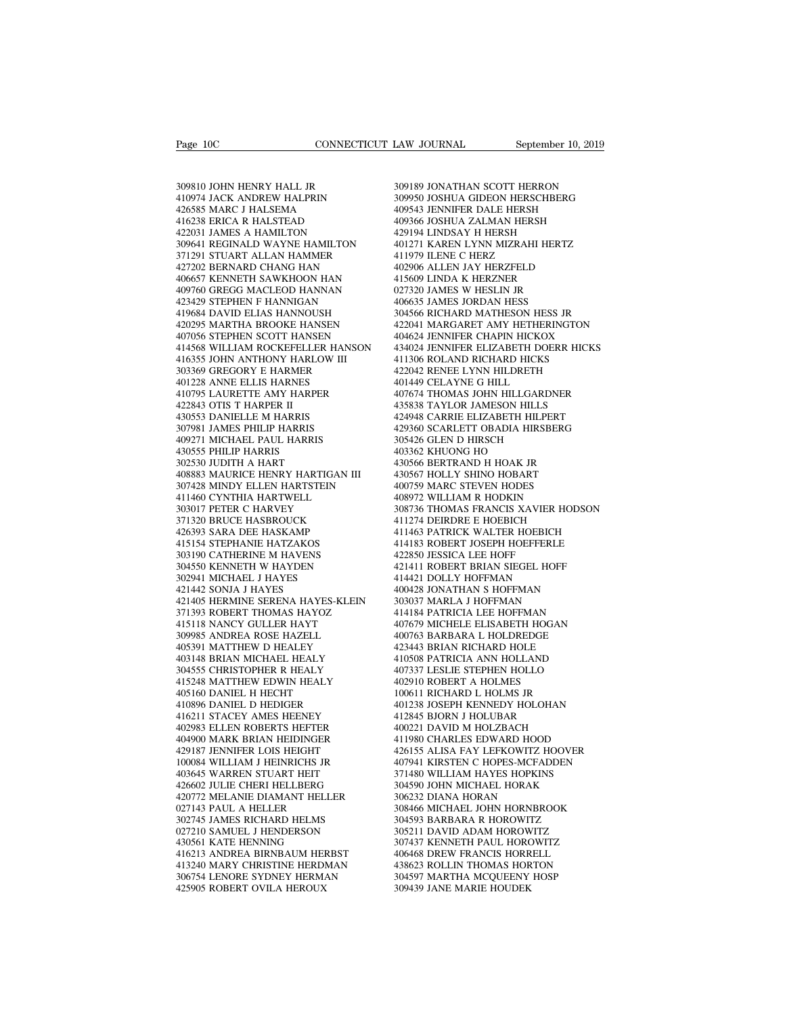Page 10C<br>309810 JOHN HENRY HALL JR<br>309810 JOHN HENRY HALL JR<br>410974 JACK ANDREW HALPRIN<br>426585 MARC J HALSEMA Page 10C<br>
109810 JOHN HENRY HALL JR<br>
410974 JACK ANDREW HALPRIN<br>
426585 MARC J HALSEMA<br>
416238 ERICA R HALSTEAD 426585 MARC J HALSEMA 309810 JOHN HENRY HALL JR<br>410974 JACK ANDREW HALPRIN<br>426585 MARC J HALSEMA<br>416238 ERICA R HALSTEAD<br>422031 JAMES A HAMILTON<br>309641 REGINALD WAYNE HAMILTON 309810 JOHN HENRY HALL JR<br>410974 JACK ANDREW HALPRIN<br>426585 MARC J HALSEMA<br>416238 ERICA R HALSTEAD<br>422031 JAMES A HAMILTON<br>309641 REGINALD WAYNE HAMILTON<br>371291 STUART ALLAN HAMMER 309810 JOHN HENRY HALL JR 309189<br>
410974 JACK ANDREW HALPRIN 309956<br>
426585 MARC J HALSEMA 409343<br>
416238 ERICA R HAMILTON 429194<br>
422031 JAMES A HAMILTON 429194<br>
309641 REGINALD WAYNE HAMILTON 401271<br>
371291 STUART ALLAN 309810 JOHN HENRY HALL JR<br>410974 JACK ANDREW HALPRIN<br>426585 MARC J HALSEMA<br>416238 ERICA R HALSTEAD<br>422031 JAMES A HAMILTON<br>309641 REGINALD WAYNE HAMILTON<br>371291 STUART ALLAN HAMMER<br>427202 BERNARD CHANG HAN<br>406657 KENNETH S 410974 JACK ANDREW HALPRIN<br>426585 MARC J HALSEMA<br>416238 ERICA R HALSTEAD<br>422031 JAMES A HAMILTON<br>309641 REGINALD WAYNE HAMILTON<br>371291 STUART ALLAN HAMMER<br>427202 BERNARD CHANG HAN<br>406657 KENNETH SAWKHOON HAN<br>406657 KENNETH 426585 MARC J HALSEMA 416238<br>
416238 ERICA R HALSTEAD 409<br>
422031 JAMES A HAMILTON 4225<br>
309641 REGINALD WAYNE HAMILTON 401<br>
371291 STUART ALLAN HAMMER 411<br>
406657 KENNETH SAWKHOON HAN 415<br>
409760 GREGG MACLEOD HANNAN 415<br> 416238 ERICA R HALSTEAD 409<br>422031 JAMES A HAMILTON 425<br>309641 REGINALD WAYNE HAMILTON 401<br>371291 STUART ALLAN HAMMER 411<br>427202 BERNARD CHANG HAN 402<br>406657 KENNETH SAWKHOON HAN 415<br>400560 GREGG MACLEOD HANNAN 027<br>423429 422031 JAMES A HAMILTON<br>309641 REGINALD WAYNE HAMILTON<br>371291 STUART ALLAN HAMMER<br>427202 BERNARD CHANG HAN<br>406657 KENNETH SAWKHOON HAN<br>409760 GREGG MACLEOD HANNIA<br>423429 STEPHEN F HANNIGAN<br>419684 DAVID ELIAS HANNOUSH<br>42029 309641 REGINALD WAYNE HAMILTON<br>371291 STUART ALLAN HAMMER<br>427202 BERNARD CHANG HAN<br>406657 KENNETH SAWKHOON HAN<br>409760 GREGG MACLEOD HANNAN<br>423429 STEPHEN F HANNIGAN<br>419684 DAVID ELIAS HANNOUSH<br>420295 MARTHA BROOKE HANSEN<br>4 427202 BERNARD CHANG HAMMER<br>427202 BERNARD CHANG HAN 40<br>406657 KENNETH SAWKHOON HAN 41<br>409760 GREGG MACLEOD HANNAN 410<br>423429 STEPHEN F HANNIGAN 400295 MARTHA BROOKE HANSEN 42<br>419684 DAVID ELIAS HANNOUSH 402025 MARTHA BROO 427202 BERNARD CHANG HAN<br>406657 KENNETH SAWKHOON HAN 409760 GREGG MACLEOD HANNAN 423429 STEPHEN F HANNIGAN 419684 DAVID ELIAS HANNOUSH<br>410684 DAVID ELIAS HANNIGAN<br>420295 MARTHA BROOKE HANSEN 420295 MARTHA BROOKE HANSEN 407  $\begin{tabular}{llllllllllll} 406657 \; \text{KENNETH SAWKHOON HAN} & & 415609 \; \text{LI} \\ 409760 \; \text{GREGG MACLEOD HANNAN} & & 027320 \; \text{JA} \\ 423429 \; \text{STEPHEN F HANNIGAN} & & 406635 \; \text{JA} \\ 419684 \; \text{DAVID ELIAS HANNOUSH} & & 304566 \; \text{RI} \\ 420295 \; \text{MARTHA BROCKE FHANSEN} & & 4204624 \; \text{JE} \\ 407056 \;$ 409760 GREGG MACLEOD HANNAN<br>423429 STEPHEN F HANNIGAN<br>419684 DAVID ELIAS HANNOUSH<br>420295 MARTHA BROOKE HANSEN<br>407056 STEPHEN SCOTT HANSEN<br>414568 WILLIAM ROCKEFELLER HANSON<br>416355 JOHN ANTHONY HARLOW III<br>303369 GREGORY E HA 423429 STEPHEN F HANNIGAN<br>419684 DAVID ELIAS HANNOUSH<br>420295 MARTHA BROOKE HANSEN<br>407056 STEPHEN SCOTT HANSEN<br>414568 WILLIAM ROCKEFELLER HANSON<br>416355 JOHN ANTHONY HARLOW III<br>303369 GREGORY E HARMER<br>401228 ANNE ELLIS HARNE 419684 DAVID ELIAS HANNOUSH<br>420295 MARTHA BROOKE HANSEN<br>407056 STEPHEN SCOTT HANSEN<br>414568 WILLIAM ROCKEFELLER HANS6<br>416355 JOHN ANTHONY HARLOW III<br>303369 GREGORY E HARMER<br>401228 ANNE ELLIS HARMES<br>410795 LAURETTE AMY HARPE 420295 MARTHA BROOKE HANSEN<br>407056 STEPHEN SCOTT HANSEN<br>414568 WILLIAM ROCKEFELLER HANSON<br>416355 JOHN ANTHONY HARLOW III<br>403139 OREGORY E HARMER<br>401228 ANNE ELLIS HARNES<br>410795 LAURETTE AMY HARPER<br>422843 OTIS T HARPER II<br>4 407056 STEPHEN SCOTT HANSEN<br>414568 WILLIAM ROCKEFELLER HANSON<br>416355 JOHN ANTHONY HARLOW III<br>303369 GREGORY E HARMER<br>401228 ANNE ELLIS HARMES<br>422843 OTIS T HARPER II<br>422843 OTIS T HARPER II<br>430553 DANIELLE M HARRIS<br>307981 414568 WILLIAM ROCKEFELLER HANSO<br>416355 JOHN ANTHONY HARLOW III<br>303369 GREGORY E HARMER<br>401228 ANNE ELLIS HARNES<br>410795 LAURETTE AMY HARPER<br>422843 OTIS T HARPER II<br>403553 DANIELLE M HARRIS<br>307981 JAMES PHILIP HARRIS<br>409271 416355 JOHN ANTHONY HARLOW III<br>303369 GREGORY E HARMER<br>401228 ANNE ELLIS HARNES<br>410795 LAURETTE AMY HARPER<br>422843 OTIS T HARPER II<br>430553 DANIELLE M HARRIS<br>307981 JAMES PHILIP HARRIS<br>409271 MICHAEL PAUL HARRIS<br>430555 PHILI 303369 GREGORY E HARMER<br>401228 ANNE ELLIS HARNES<br>410795 LAURETTE AMY HARPER<br>422843 OTIS T HARPER II<br>430553 DANIELLE M HARRIS<br>307981 JAMES PHILIP HARRIS<br>409271 MICHAEL PAUL HARRIS<br>430555 PHILIP HARRIS<br>302530 JUDITH A HART 401228 ANNE ELLIS HARNES<br>410795 LAURETTE AMY HARPER<br>422843 OTIS T HARPER II<br>430553 DANIELLE M HARRIS<br>307981 JAMES PHILIP HARRIS<br>409271 MICHAEL PAUL HARRIS<br>430555 PHILIP HARRIS<br>302530 JUDITH A HART<br>408883 MAURICE HENRY HART 410795 LAURETTE AMY HARPER<br>422843 OTIS T HARPER II<br>430553 DANIELLE M HARRIS<br>307981 JAMES PHILIP HARRIS<br>409271 MICHAEL PAUL HARRIS<br>430555 PHILIP HARRIS<br>302530 JUDITH A HART<br>408883 MAURICE HENRY HARTIGA<br>307428 MINDY ELLEN HA 422843 OTIS T HARPER II<br>430553 DANIELLE M HARRIS<br>307981 JAMES PHILIP HARRIS<br>409271 MICHAEL PAUL HARRIS<br>403555 PHILIP HARRIS<br>302530 JUDITH A HART<br>408883 MAURICE HENRY HARTIGAN III<br>307428 MINDY ELLEN HARTSTEIN<br>411460 CYNTHIA 307428 MINDY ELLEN HARTSTEIN 307981 JAMES PHILIP HARRIS<br>409271 MICHAEL PAUL HARRIS<br>430555 PHILIP HARRIS<br>302530 JUDITH A HART<br>40883 MAURICE HENRY HARTIGAN III<br>40883 MAURICE HENRY HARTSTEIN<br>411460 CYNTHIA HARTWELL<br>303017 PETER C HARVEY<br>371320 BRUCE HASB 409271 MICHAEL PAUL HARRIS<br>430555 PHILIP HARRIS<br>302530 JUDITH A HART<br>408883 MAURICE HENRY HARTIGAN II<br>307428 MINDY ELLEN HARTSTEIN<br>411460 CYNTHIA HARTWELL<br>303017 PETER C HARVEY<br>371320 BRUCE HASBROUCK<br>426393 SARA DEE HASKAM 430555 PHILIP HARRIS<br>302530 JUDITH A HART<br>408883 MAURICE HENRY HARTIGAN III<br>307428 MINDY ELLEN HARTSTEIN<br>411460 CYNTHIA HARTWELL<br>303017 PETER C HARVEY<br>371320 BRUCE HASBROUCK<br>426393 SARA DEE HASKAMP<br>415154 STEPHANIE HATZAKO 302530 JUDITH A HART<br>408883 MAURICE HENRY HARTIGAN III<br>307428 MINDY ELLEN HARTSTEIN<br>411460 CYNTHIA HARTWELL<br>303017 PETER C HARRVEY<br>371320 BRUCE HASBROUCK<br>426393 SARA DEE HASKAMP<br>415154 STEPHANIE HATZAKOS<br>303190 CATHERINE M 408883 MAURICE HENRY HARTIGAN III<br>307428 MINDY ELLEN HARTSTEIN<br>411460 CYNTHIA HARTWELL<br>303017 PETER C HARVEY<br>371320 BRUCE HASBROUCK<br>426393 SARA DEE HASKAMP<br>415154 STEPHANIE HATZAKOS<br>303190 CATHERINE M HAVENS<br>304550 KENNETH 307428 MINDY ELLEN HARTSTEIN<br>411460 CYNTHIA HARTWELL<br>303017 PETER C HARVEY<br>371320 BRUCE HASBROUCK<br>426393 SARA DEE HATZAKOS<br>415154 STEPHANIE HATZAKOS<br>303190 CATHERINE M HAVENS<br>304550 KENNETH W HAYDEN<br>302941 MICHAEL J HAYES 411460 CYNTHIA HARTWELL<br>303017 PETER C HARVEY<br>371320 BRUCE HASBROUCK<br>426393 SARA DEE HASKAMP<br>415154 STEPHANIE HATZAKOS<br>303190 CATHERINE M HAYENS<br>302941 MICHAEL J HAYES<br>421442 SONJA J HAYES 303017 PETER C HARVEY<br>371320 BRUCE HASBROUCK<br>426393 SARA DEE HASKAMP<br>415154 STEPHANIE HATZAKOS<br>303190 CATHERINE M HAVENS<br>304550 KENNETH W HAYDEN<br>302941 MICHAEL J HAYES<br>421442 SONJA J HAYES<br>421442 SONJA J HAYES<br>421405 HERMI 371320 BRUCE HASBROUCK<br>426393 SARA DEE HASKAMP<br>415154 STEPHANIE HATZAKOS<br>303190 CATHERINE M HAVENS<br>304550 KENNETH W HAYDEN<br>302941 MICHAEL J HAYES<br>421442 SONJA J HAYES<br>421405 HERMINE SERENA HAYES<br>371393 ROBERT THOMAS HAYOZ 421405 HERMINE SERENA HAYES-KLEIN 415154 STEPHANIE HATZAKOS<br>303190 CATHERINE M HAVENS<br>304550 KENNETH W HAYDEN<br>302941 MICHAEL J HAYES<br>421442 SONJA J HAYES<br>421405 HERMINE SERENA HAYES-KLEIN<br>371393 ROBERT THOMAS HAYOZ<br>415118 NANCY GULLER HAYT<br>309985 ANDREA RO 303190 CATHERINE M HAVENS<br>304550 KENNETH W HAYDEN<br>302941 MICHAEL J HAYES<br>421442 SONJA J HAYES<br>421405 HERMINE SERENA HAYES-KLEIN<br>371393 ROBERT THOMAS HAYOZ<br>415118 NANCY GULLER HAYT<br>309985 ANDREA ROSE HAZELL<br>405391 MATTHEW D 304550 KENNETH W HAYDEN<br>302941 MICHAEL J HAYES<br>421442 SONJA J HAYES<br>421405 HERMINE SERENA HAYES-KLEIN<br>371393 ROBERT THOMAS HAYOZ<br>415118 NANCY GULLER HAYT<br>309985 ANDREA ROSE HAZELL<br>405391 MATTHEW D HEALEY<br>403148 BRIAN MICHA 302941 MICHAEL J HAYES<br>421442 SONJA J HAYES<br>421405 HERMINE SERENA HAYES-KLEIN<br>371393 ROBERT THOMAS HAYOZ<br>415118 NANCY GULLER HAYT<br>309985 ANDREA ROSE HAZELL<br>405391 MATTHEW D HEALEY<br>403148 BRIAN MICHAEL HEALY<br>304555 CHRISTOP 421442 SONJA J HAYES<br>421405 HERMINE SERENA HAYES-KLEIN<br>371393 ROBERT THOMAS HAYOZ<br>415118 NANCY GULLER HAYT<br>309985 ANDREA ROSE HAZELL<br>403591 MATTHEW D HEALEY<br>403148 BRIAN MICHAEL HEALY<br>304555 CHRISTOPHER R HEALY<br>415248 MATT 421405 HERMINE SERENA HAYES-KLEIN<br>371393 ROBERT THOMAS HAYOZ<br>415118 NANCY GULLER HAYT<br>309985 ANDREA ROSE HAZELL<br>405391 MATTHEW D HEALEY<br>403148 BRIAN MICHAEL HEALY<br>304555 CHRISTOPHER R HEALY<br>415248 MATTHEW EDWIN HEALY<br>40516 371393 ROBERT THOMAS HAYOZ<br>
415118 NANCY GULLER HAYT<br>
309985 ANDREA ROSE HAZELL<br>
405391 MATTHEW D HEALEY<br>
403148 BRIAN MICHAEL HEALY<br>
4031455 CHRISTOPHER R HEALY<br>
415248 MATTHEW EDWIN HEALY<br>
415248 MATTHEW EDWIN HEALY<br>
405 415118 NANCY GULLER HAYT<br>309985 ANDREA ROSE HAZELL<br>405391 MATTHEW D HEALEY<br>403148 BRIAN MICHAEL HEALY<br>304555 CHRISTOPHER R HEALY<br>415248 MATTHEW EDWIN HEALY<br>405160 DANIEL H HECHT<br>410896 DANIEL D HEDIGER<br>416211 STACEY AMES H 309985 ANDREA ROSE HAZELL<br>405391 MATTHEW D HEALEY<br>403148 BRIAN MICHAEL HEALY<br>304555 CHRISTOPHER R HEALY<br>415248 MATTHEW EDWIN HEALY<br>405160 DANIEL D HEOHT<br>416896 DANIEL D HEOHGER<br>416211 STACEY AMES HEENEY<br>402983 ELLEN ROBERT 405391 MATTHEW D HEALEY<br>403148 BRIAN MICHAEL HEALY<br>304555 CHRISTOPHER R HEALY<br>415248 MATTHEW EDWIN HEALY<br>405160 DANIEL H HECHT<br>410896 DANIEL D HEDIGER<br>416211 STACEY AMES HEENEY<br>402983 ELLEN ROBERTS HEFTER<br>404900 MARK BRIAN 403148 BRIAN MICHAEL HEALY<br>304555 CHRISTOPHER R HEALY<br>415248 MATTHEW EDWIN HEALY<br>405160 DANIEL H HECHT<br>410896 DANIEL D HEDIGER<br>416211 STACEY AMES HEENEY<br>402983 ELLEN ROBERTS HEFTER<br>404900 MARK BRIAN HEIDINGER<br>429187 JENNIF 304555 CHRISTOPHER R HEALY<br>415248 MATTHEW EDWIN HEALY<br>405160 DANIEL H HECHT<br>410896 DANIEL D HEDIGER<br>4102983 ELLEN ROBERTS HEFTER<br>402983 ELLEN ROBERTS HEFTER<br>4204900 MARK BRIAN HEIDINGER<br>429187 JENNIFER LOIS HEIGHT<br>100084 W 415248 MATTHEW EDWIN HEALY<br>405160 DANIEL H HECHT<br>410896 DANIEL D HEDIGER<br>416211 STACEY AMES HEENEY<br>402983 ELLEN ROBERTS HEFTER<br>404900 MARK BRIAN HEIDINGER<br>429187 JENNIFER LOIS HEIGHT<br>100084 WILLIAM J HEINRICHS JR<br>403645 WA 405160 DANIEL H HECHT<br>410896 DANIEL D HEDIGER<br>416211 STACEY AMES HEENEY<br>402983 ELLEN ROBERTS HEFTER<br>429187 JENNIFER LOIS HEIOINGER<br>429187 JENNIFER LOIS HEIGHT<br>100084 WILLIAM J HEINRICHS JR<br>403645 WARREN STUART HEIT<br>426602 410896 DANIEL D HEDIGER<br>416211 STACEY AMES HEENEY<br>402983 ELLEN ROBERTS HEFTER<br>404900 MARK BRIAN HEIDINGER<br>429187 JENNIFER LOIS HEIGHT<br>100084 WILIAM J HEINRICHS JR<br>403645 WARREN STUART HEIT<br>426602 JULIE CHERI HELLBERG<br>42077 416211 STACEY AMES HEENEY<br>402983 ELLEN ROBERTS HEFTER<br>404900 MARK BRIAN HEIDINGER<br>429187 JENNIFER LOIS HEIGHT<br>100084 WILIAM J HEINRICHS JR<br>403645 WARREN STUART HEIT<br>426602 JULIE CHERI HELLBERG<br>420772 MELANIE DIAMANT HELLER 420772 MELANIE DIAMANT HELLER 404900 MARK BRIAN HEIDINGER<br>429187 JENNIFER LOIS HEIGHT<br>100084 WILLIAM J HEINRICHS JR<br>403645 WARREN STUART HEIT<br>426602 JULIE CHERI HELLBERG<br>62712 MELANIE DIAMANT HELLER<br>027143 JAMES RICHARD HELMS<br>027210 SAMUEL J HENDERSON 429187 JENNIFER LOIS HEIGHT<br>100084 WILLIAM J HEINRICHS JR<br>403645 WARREN STUART HEIT<br>426602 JULIE CHERI HELLBERG<br>20772 MELANIE DIAMANT HELLER<br>027143 PAUL A HELLER<br>302745 JAMES RICHARD HELMS<br>027210 SAMUEL J HENDERSON<br>430561 100084 WILLIAM J HEINRICHS JR<br>403645 WARREN STUART HEIT<br>426602 JULIE CHERI HELLBERG<br>420772 MELANIE DIAMANT HELLER<br>027143 PAUL A HELLER<br>302745 JAMES RICHARD HELMS<br>027210 SAMUEL J HENDERSON<br>430561 KATE HENNING<br>416213 ANDREA 430561 KATE HENNING<br>416213 ANDREA BIRNBAUM HERBST<br>413240 MARY CHRISTINE HERDMAN 426602 JULIE CHERI HELLBERG 30<br>
420772 MELANIE DIAMANT HELLER 30<br>
027143 PAUL A HELLER 30<br>
302745 JAMES RICHARD HELMS 30<br>
416213 ANDREA BIRNBAUM HERBST 30<br>
416213 ANDREA BIRNBAUM HERBST 40<br>
413240 MARY CHRISTINE HERDMAN 43 420772 MELANIE DIAMANT HELLER 027143 PAUL A HELLER 3084<br>302745 JAMES RICHARD HELMS 3045<br>3027210 SAMUEL J HENDERSON 3052<br>430561 KATE HENNING<br>416213 ANDREA BIRNBAUM HERBST 40566<br>416213 ANDREA BIRNBAUM HERBST 4036<br>306754 LENO 027143 PAUL A HELLER<br>
302745 JAMES RICHARD HELMS<br>
027210 SAMUEL J HENDERSON<br>
430561 KATE HENNING<br>
430561 KATE HENNING<br>
416213 ANDREA BIRNBAUM HERBST<br>
413240 MARY CHRISTINE HERDMAN<br>
43306754 LENORE SYDNEY HERMAN<br>
425905 ROB 302745 JAMES RICHARD HELMS<br>027210 SAMUEL J HENDERSON<br>430561 KATE HENNING<br>416213 ANDREA BIRNBAUM HERBST<br>413240 MARY CHRISTINE HERDMAN<br>306754 LENORE SYDNEY HERMAN<br>425905 ROBERT OVILA HEROUX

LAW JOURNAL September 10, 2019<br>309189 JONATHAN SCOTT HERRON<br>309950 JOSHUA GIDEON HERSCHBERG<br>409543 JENNIFER DALE HERSH 309950 JOSHUA GIDEON HERSCHBERG LAW JOURNAL September 10, 2019<br>309189 JONATHAN SCOTT HERRON<br>309950 JOSHUA GIDEON HERSCHBERG<br>409543 JENNIFER DALE HERSH<br>409366 JOSHUA ZALMAN HERSH<br>429194 LINDSAY H HERSH 409189 JONATHAN SCOTT HERRON<br>309950 JOSHUA GIDEON HERSCHBERG<br>409543 JENNIFER DALE HERSH<br>409366 JOSHUA ZALMAN HERSH<br>429194 LINDSAY H HERSH<br>401271 KAREN LYNN MIZRAHI HERTZ 309189 JONATHAN SCOTT HERRON<br>309950 JOSHUA GIDEON HERSCHBERG<br>409543 JENNIFER DALE HERSH<br>409166 JOSHUA ZALMAN HERSH<br>429194 LINDSAY H HERSH<br>401271 KAREN LYNN MIZRAHI HERTZ<br>411979 ILENE C HERZ 309189 JONATHAN SCOTT HERRON<br>309950 JOSHUA GIDEON HERSCHBERG<br>409543 JENNIFER DALE HERSH<br>409366 JOSHUA ZALMAN HERSH<br>429194 LINDSAY H HERSH<br>401271 KAREN LYNN MIZRAHI HERTZ<br>411979 ILENE C HERZ<br>402906 ALLEN JAY HERZFELD 309189 JONATHAN SCOTT HERRC<br>309950 JOSHUA GIDEON HERSCH<br>409543 JENNIFER DALE HERSH<br>409366 JOSHUA ZALMAN HERSH<br>429194 LINDSAY H HERSH<br>401271 KAREN LYNN MIZRAHI HI<br>411979 ILENE C HERZ<br>402906 ALLEN JAY HERZFELD<br>415609 LINDA K 309950 JOSHUA GIDEON HERSCHBERG<br>409543 JENNIFER DALE HERSH<br>409366 JOSHUA ZALMAN HERSH<br>429194 LINDSAY H HERSH<br>401271 KAREN LYNN MIZRAHI HERTZ<br>411979 ILENE C HERZ<br>402906 ALLEN JAY HERZFELD<br>415609 LINDA K HERZNER<br>027320 JAMES 409543 JENNIFER DALE HERSH<br>409366 JOSHUA ZALMAN HERSH<br>429194 LINDSAY H HERSH<br>401271 KAREN LYNN MIZRAHI HERTZ<br>411979 LENER C HERZ<br>402906 ALLEN JAY HERZFELD<br>415609 LINDA K HERZNER<br>027320 JAMES W HESLIN JR<br>406635 JAMES JORDAN 409366 JOSHUA ZALMAN HERSH<br>429194 LINDSAY H HERSH<br>401271 KAREN LYNN MIZRAHI HERTZ<br>411979 ILENE C HERZ<br>402906 ALLEN JAY HERZFELD<br>40509 LINDA K HERZNER<br>027320 JAMES W HESLIN JR<br>406635 JAMES JORDAN HESS<br>304566 RICHARD MATHESO 429194 LINDSAY H HERSH<br>401271 KAREN LYNN MIZRAHI HERTZ<br>411979 ILENE C HERZ<br>402906 ALLEN JAY HERZFELD<br>415609 LINDA K HERZNER<br>027320 JAMES W HESLIN JR<br>406635 JAMES JORDAN HESS<br>304566 RICHARD MATHESON HESS JR<br>422041 MARGARET 401271 KAREN LYNN MIZRAHI HERTZ<br>411979 ILENE C HERZ<br>402906 ALLEN JAY HERZFELD<br>415609 LINDA K HERZNER<br>027320 JAMES JORDAN HESS<br>406635 JAMES JORDAN HESS<br>304566 RICHARD MATHESON HESS JR<br>422041 MARGARET AMY HETHERINGTON<br>404624 411979 ILENE C HERZ<br>402906 ALLEN JAY HERZFELD<br>415609 LINDA K HERZNER<br>027320 JAMES W HESLIN JR<br>406635 JAMES JORDAN HESS<br>304566 RICHARD MATHESON HESS JR<br>422041 MARGARET AMY HETHERINGTON<br>404624 JENNIFER CHAPIN HICKOX<br>434024 J 402906 ALLEN JAY HERZFELD<br>415609 LINDA K HERZNER<br>027320 JAMES W HESLIN JR<br>406635 JAMES JORDAN HESS<br>304566 RICHARD MATHESON HESS JR<br>422041 MARGARET AMY HETHERINGTON<br>404624 JENNIFER CHAPIN HICKOX<br>434024 JENNIFER ELIZABETH DO 415609 LINDA K HERZNER<br>027320 JAMES W HESLIN JR<br>406635 JAMES JORDAN HESS<br>304566 RICHARD MATHESON HESS JR<br>422041 MARGARET AMY HETHERINGTON<br>404624 JENNIFER ELIZABETH DOERR HICKS<br>413024 JENNIFER ELIZABETH DOERR HICKS<br>411306 R 027320 JAMES W HESLIN JR<br>406635 JAMES JORDAN HESS<br>304566 RICHARD MATHESON HESS JR<br>422041 MARGARET AMY HETHERINGTON<br>404624 JENNIFER CHAPIN HICKOX<br>434024 JENNIFER ELIZABETH DOERR HICKS<br>411306 ROLAND RICHARD HICKS<br>422042 RENE 406635 JAMES JORDAN HESS<br>304566 RICHARD MATHESON HESS JR<br>422041 MARGARET AMY HETHERINGTON<br>404624 JENNIFER CHAPIN HICKOX<br>434024 BENNIFER ELIZABETH DOERR HICKS<br>411306 ROLAND RICHARD HICKS<br>422042 RENEE LYNN HILDRETH<br>401449 CE 304566 RICHARD MATHESON HESS J<br>422041 MARGARET AMY HETHERING<br>404624 JENNIFER CHAPIN HICKOX<br>434024 JENNIFER ELIZABETH DOERF<br>411306 ROLAND RICHARD HICKS<br>422042 RENEE LYNN HILDRETH<br>401449 CELAYNE G HILL<br>407674 THOMAS JOHN HIL 422041 MARGARET AMY HETHERINGTON<br>404624 JENNIFER CHAPIN HICKOX<br>434024 JENNIFER ELIZABETH DOERR HICKS<br>411306 ROLAND RICHARD HICKS<br>421042 RENEE LYNN HILDRETH<br>401449 CELAYNE G HILL<br>407674 THOMAS JOHN HILLGARDNER<br>435838 TAYLOR 404624 JENNIFER CHAPIN HICKOX<br>434024 JENNIFER ELIZABETH DOERR HICK:<br>411306 ROLAND RICHARD HICKS<br>422042 RENEE LYNN HILDRETH<br>401449 CELAYNE G HILL<br>417674 THOMAS JOHN HILLGARDNER<br>435838 TAYLOR JAMESON HILLS<br>424948 CARRIE ELIZ 434024 JENNIFER ELIZABETH DOERR HICKS<br>411306 ROLAND RICHARD HICKS<br>422042 RENEE LYNN HILDRETH<br>401449 CELAYNE G HILL<br>407674 THOMAS JOHN HILLGARDNER<br>435838 TAYLOR JAMESON HILLS<br>424948 CARRIE ELIZABETH HILPERT<br>429360 SCARLETT 411306 ROLAND RICHARD HICKS<br>422042 RENEE LYNN HILDRETH<br>401449 CELAYNE G HILL<br>407674 THOMAS JOHN HILLGARDNER<br>435838 TAYLOR JAMESON HILLS<br>424948 CARLETT OBADIA HIRSBERG<br>305426 GLEN D HIRSCH<br>403362 KHUONG HO 422042 RENEE LYNN HILDRETH<br>401449 CELAYNE G HILL<br>407674 THOMAS JOHN HILLGARDNEF<br>435838 TAYLOR JAMESON HILLS<br>424948 CARRIE ELIZABETH HILPERT<br>429360 SCARLETT OBADIA HIRSBERC<br>305426 GLEN D HIRSCH<br>403362 KHUONG HO<br>430362 KHUON 401449 CELAYNE G HILL<br>407674 THOMAS JOHN HILLGARD<br>435838 TAYLOR JAMESON HILLS<br>424948 CARRIE ELIZABETH HILPE<br>429360 SCARLETT OBADIA HIRSB<br>305426 GLEN D HIRSCH<br>403362 KHUONG HO<br>430566 BERTRAND H HOAK JR<br>430566 BERTRAND H HOA 407674 THOMAS JOHN HILLGARDNER<br>435838 TAYLOR JAMESON HILLS<br>424948 CARRIE ELIZABETH HILPERT<br>429360 SCARLETT OBADIA HIRSBERG<br>403564 GLEN D HIRSCH<br>430362 KHUONG HO<br>430566 BERTRAND H HOAK JR<br>430567 HOLLY SHINO HOBART<br>400759 MA 435838 TAYLOR JAMESON HILLS<br>424948 CARRIE ELIZABETH HILPERT<br>429360 SCARLETT OBADIA HIRSBERG<br>305426 GLEN D HIRSCH<br>403362 KHUONG HO<br>430566 BERTRAND H HOAK JR<br>430567 HOLLY SHINO HOBART<br>400759 MARC STEVEN HODES<br>408972 WILLIAM 424948 CARRIE ELIZABETH HILPERT<br>429360 SCARLETT OBADIA HIRSBERG<br>305426 GLEN D HIRSCH<br>403362 KHUONG HO<br>430566 BERTRAND H HOAK JR<br>430566 HOLLY SHINO HOAK JR<br>400759 MARC STEVEN HODES<br>408972 WILLIAM R HODKIN<br>308736 THOMAS FRAN 429360 SCARLETT OBADIA HIRSBERG<br>305426 GLEN D HIRSCH<br>403362 KHUONG HO<br>430566 BERTRAND H HOAK JR<br>430567 HOLLY SHINO HOBART<br>400759 MARC STEVEN HODES<br>400759 MARC STEVEN HODES<br>408972 WILLIAM R HODKIN<br>308736 THOMAS FRANCIS XAVI 305426 GLEN D HIRSCH<br>403362 KHUONG HO<br>430566 BERTRAND H HOAK JR<br>430567 HOLLY SHINO HOBART<br>400759 MARC STEVEN HODES<br>608972 WILLIAM R HODKIN<br>308736 THOMAS FRANCIS XAVIER HODSON<br>411274 DEIRDRE E HOEBICH<br>411274 DEIRDRE E HOEBI 403362 KHUONG HO<br>430566 BERTRAND H HOAK JR<br>430567 HOLLY SHINO HOBART<br>400759 MARC STEVEN HODES<br>408972 WILLIAM R HODKIN<br>308736 THOMAS FRANCIS XAVIER HODSO<br>411274 DEIRDRE E HOEBICH<br>411274 DEIRDRE E HOEBICH<br>411463 PATRICK WALT 430566 BERTRAND H HOAK JR<br>430567 HOLLY SHINO HOBART<br>400759 MARC STEVEN HODES<br>408972 WILLIAM R HODKIN<br>308736 THOMAS FRANCIS XAVIER HODSON<br>411274 DEIRDRE E HOEBICH<br>411463 PATRICK WALTER HOEBICH<br>414183 ROBERT JOSEPH HOEFFERLE 430567 HOLLY SHINO HOBART<br>400759 MARC STEVEN HODES<br>408972 WILLIAM R HODKIN<br>308736 THOMAS FRANCIS XAVIER HODSON<br>411274 DEIRDRE E HOEBICH<br>411463 PATRICK WALTER HOEBICH<br>414183 ROBERT JOSEPH HOEFFERLE<br>422850 JESSICA LEE HOFF<br>4 400759 MARC STEVEN HODES<br>408972 WILLIAM R HODKIN<br>308736 THOMAS FRANCIS XAVIER H<br>411274 DEIRDRE E HOEBICH<br>411463 PATRICK WALTER HOEBICH<br>414483 ROBERT JOSEPH HOEFFERLE<br>422850 JESSICA LEE HOFF<br>421411 ROBERT BRIAN SIEGEL HOFF<br> 408972 WILLIAM R HODKIN<br>308736 THOMAS FRANCIS XAVIER HODSON<br>411274 DEIRDRE E HOEBICH<br>411463 PATRICK WALTER HOEBICH<br>414183 ROBERT JOSEPH HOEFFERLE<br>4221810 IESSICA LEE HOFF<br>414421 DOLLY HOFFMAN<br>400428 JONATHAN S HOFFMAN<br>4004 308736 THOMAS FRANCIS XAVIER HOL<br>411274 DEIRDRE E HOEBICH<br>411463 PATRICK WALTER HOEBICH<br>414183 ROBERT JOSEPH HOEFFERLE<br>422850 IESSICA LEE HOFF<br>421411 ROBERT BRIAN SIEGEL HOFF<br>414421 DOLLY HOFFMAN<br>400428 JONATHAN S HOFFMAN<br> 411274 DEIRDRE E HOEBICH<br>411463 PATRICK WALTER HOEBICH<br>414183 ROBERT JOSEPH HOEFFERLE<br>422850 JESSICA LEE HOFF<br>421411 ROBERT BRIAN SIEGEL HOFF<br>414421 DOLLY HOFFMAN<br>400428 JONATHAN S HOFFMAN<br>303037 MARLA J HOFFMAN<br>414184 PAT 411463 PATRICK WALTER HOEBICH<br>414183 ROBERT JOSEPH HOEFFERLE<br>422850 JESSICA LEE HOFF<br>421411 ROBERT BRIAN SIEGEL HOFF<br>414421 DOLLY HOFFMAN<br>400428 JONATHAN S HOFFMAN<br>303037 MARLA J HOFFMAN<br>414184 PATRICIA LEE HOFFMAN<br>407679 414183 ROBERT JOSEPH HOEFFERLE<br>422850 JESSICA LEE HOFF<br>421411 ROBERT BRIAN SIEGEL HOFF<br>414421 DOLLY HOFFMAN<br>400428 JONATHAN S HOFFMAN<br>303037 MARLA J HOFFMAN<br>414184 PATRICIA LEE HOFFMAN<br>407679 MICHELE ELISABETH HOGAN<br>400763 422850 JESSICA LEE HOFF<br>421411 ROBERT BRIAN SIEGEL HOFF<br>414421 DOLLY HOFFMAN<br>400428 JONATHAN S HOFFMAN<br>403037 MARLA J HOFFMAN<br>414184 PATRICIA LEE HOFFMAN<br>407679 MICHELE ELISABETH HOGAN<br>400763 BARBARA L HOLDREDGE<br>423443 BRI 421411 ROBERT BRIAN SIEGEL HOFF<br>414421 DOLLY HOFFMAN<br>400428 JONATHAN S HOFFMAN<br>303037 MARLA J HOFFMAN<br>414184 PATRICIA LEE HOFFMAN<br>407679 MICHELE ELISABETH HOGAN<br>407673 BARBARA L HOLDREDGE<br>423443 BRIAN RICHARD HOLE<br>4123443 414421 DOLLY HOFFMAN<br>400428 JONATHAN S HOFFMAN<br>303037 MARLA J HOFFMAN<br>414184 PATRICIA LEE HOFFMAN<br>407679 MICHELE ELISABETH HOGAN<br>400763 BARBARA L HOLDREDGE<br>423443 BRIAN RICHARD HOLE<br>410508 PATRICIA ANN HOLLAND<br>407337 LESLI 400428 JONATHAN S HOFFMAN<br>303037 MARLA J HOFFMAN<br>414184 PATRICIA LEE HOFFMAN<br>407679 MICHELE ELISABETH HOGAN<br>400763 BARBARA L HOLDREDGE<br>423443 BRIAN RICHARD HOLLAND<br>407337 LESLIE STEPHEN HOLLAND<br>407337 LESLIE STEPHEN HOLLO<br> 303037 MARLA J HOFFMAN<br>414184 PATRICIA LEE HOFFMAN<br>407679 MICHELE ELISABETH HOGAN<br>400763 BARBARA L HOLDREDGE<br>423443 BRIAN RICHARD HOLLAND<br>410508 PATRICIA ANN HOLLAND<br>407337 LESLIE STEPHEN HOLLO<br>402910 ROBERT A HOLMES<br>10061 414184 PATRICIA LEE HOFFMAN<br>407679 MICHELE ELISABETH HOGAN<br>400763 BARBARA L HOLDREDGE<br>423443 BRIAN RICHARD HOLE<br>410508 PATRICIA ANN HOLLAND<br>407337 LESLIE STEPHEN HOLLO<br>402910 ROBERT A HOLMES<br>100611 RICHARD L HOLMS JR<br>4012 407679 MICHELE ELISABETH HOGAN<br>400763 BARBARA L HOLDREDGE<br>423443 BRIAN RICHARD HOLE<br>410508 PATRICIA ANN HOLLAND<br>407337 LESLIE STEPHEN HOLLO<br>402910 ROBERT A HOLMES<br>100611 RICHARD L HOLMS JR<br>401238 JOSEPH KENNEDY HOLOHAN<br>412 400763 BARBARA L HOLDREDGE<br>423443 BRIAN RICHARD HOLE<br>410508 PATRICIA ANN HOLLAND<br>407337 LESLIE STEPHEN HOLLO<br>402910 ROBERT A HOLMES<br>100611 RICHARD L HOLMS JR<br>401238 JOSEPH KENNEDY HOLOHAN<br>412845 BJORN J HOLUBAR<br>400221 DAVI 423443 BRIAN RICHARD HOLE<br>410508 PATRICIA ANN HOLLAND<br>407337 LESLIE STEPHEN HOLLO<br>402910 ROBERT A HOLMES<br>100611 RICHARD L HOLMS JR<br>401238 JOSEPH KENNEDY HOLOHAN<br>412845 BJORN J HOLUBAR<br>400221 DAVID M HOLZBACH<br>411980 CHARLES 410508 PATRICIA ANN HOLLAND<br>407337 LESLIE STEPHEN HOLLO<br>402910 ROBERT A HOLMES<br>100611 RICHARD L HOLMS JR<br>401238 JOSEPH KENNEDY HOLOHAN<br>412845 BJORN J HOLUBAR<br>400221 DAVID M HOLZBACH<br>411980 CHARLES EDWARD HOOD<br>426155 ALISA 407337 LESLIE STEPHEN HOLLO<br>402910 ROBERT A HOLMES<br>100611 RICHARD L HOLMS JR<br>401238 JOSEPH KENNEDY HOLOHAN<br>412845 BJORN J HOLUBAR<br>400221 DAVID M HOLZBACH<br>411980 CHARLES EDWARD HOOD<br>426155 ALISA FAY LEFKOWITZ HOOVER<br>407941 402910 ROBERT A HOLMES<br>100611 RICHARD L HOLMS JR<br>401238 JOSEPH KENNEDY HOLOHAN<br>412845 BJORN J HOLUBAR<br>400221 DAVID M HOLZBACH<br>411980 CHARLES EDWARD HOOD<br>426155 ALISA FAY LEFKOWITZ HOOVER<br>407941 KIRSTEN C HOPES-MCFADDEN<br>371 100611 RICHARD L HOLMS JR<br>401238 JOSEPH KENNEDY HOLOHAN<br>412845 BJORN J HOLUBAR<br>400221 DAVID M HOLZBACH<br>411980 CHARLES EDWARD HOOD<br>426155 ALISA FAY LEFKOWITZ HOOVER<br>407941 KIRSTEN C HOPES-MCFADDEN<br>371480 WILLIAM HAYES HOPKI 401238 JOSEPH KENNEDY HOLOHAN<br>412845 BJORN J HOLUBAR<br>400221 DAVID M HOLZBACH<br>411980 CHARLES EDWARD HOOD<br>426155 ALISA FAY LEFKOWITZ HOOVER<br>407941 KIRSTEN C HOPES-MCFADDEN<br>371480 WILLIAM HAYES HOPKINS<br>304590 JOHN MICHAEL HOR 412845 BJORN J HOLUBAR<br>400221 DAVID M HOLZBACH<br>411980 CHARLES EDWARD HOOD<br>426155 ALISA FAY LEFKOWITZ HOOVER<br>407941 KIRSTEN C HOPES-MCFADDEN<br>371480 WILLIAM HAYES HOPKINS<br>304590 JOHN MICHAEL HORAK<br>306232 DIANA HORAN<br>308232 D 400221 DAVID M HOLZBACH<br>411980 CHARLES EDWARD HOOD<br>426155 ALISA FAY LEFKOWITZ HOOVER<br>407941 KIRSTEN C HOPES-MCFADDEN<br>371480 WILLIAM HAYES HOPKINS<br>304590 JOHN MICHAEL HORAK<br>306232 DIANA HORAN<br>308466 MICHAEL JOHN HORNBROOK<br> 411980 CHARLES EDWARD HOOD<br>426155 ALISA FAY LEFKOWITZ HOOVER<br>407941 KIRSTEN C HOPES-MCFADDEN<br>371480 WILLIAM HAYES HOPKINS<br>304590 JOHN MICHAEL HORAK<br>306232 DIANA HORAN<br>308466 MICHAEL JOHN HORNBROOK<br>304593 BARBARA R HOROWITZ 426155 ALISA FAY LEFKOWITZ HOOVER<br>407941 KIRSTEN C HOPES-MCFADDEN<br>371480 WILLIAM HAYES HOPKINS<br>304590 JOHN MICHAEL HORAK<br>306232 DIANA HORAN<br>306456 MICHAEL JOHN HORNBROOK<br>3044593 BARBARA R HOROWITZ<br>305211 DAVID ADAM HOROWIT 407941 KIRSTEN C HOPES-MCFADDEN<br>371480 WILLIAM HAYES HOPKINS<br>304590 JOHN MICHAEL HORAK<br>306232 DIANA HORAN<br>308466 MICHAEL JOHN HORNBROOK<br>304593 BARBARA R HOROWITZ<br>307437 KENNETH PAUL HOROWITZ<br>406468 DREW FRANCIS HORRELL 371480 WILLIAM HAYES HOPKINS<br>304590 JOHN MICHAEL HORAK<br>306232 DIANA HORAN<br>308466 MICHAEL JOHN HORNBROOK<br>304593 BARBARA R HOROWITZ<br>307211 DAVID ADAM HOROWITZ<br>307437 KENNETH PAUL HOROWITZ<br>406468 DREW FRANCIS HORRELL<br>438623 R 304590 JOHN MICHAEL HORAK<br>306232 DIANA HORAN<br>308466 MICHAEL JOHN HORNBROOK<br>304593 BARBARA R HOROWITZ<br>305211 DAVID ADAM HOROWITZ<br>307437 KENNETH PAUL HOROWITZ<br>406468 DREW FRANCIS HORRELL<br>438623 ROLLIN THOMAS HORTON<br>304597 MA 306232 DIANA HORAN<br>308466 MICHAEL JOHN HORNBROOK<br>304593 BARBARA R HOROWITZ<br>305211 DAVID ADAM HOROWITZ<br>307437 KENNETH PAUL HOROWITZ<br>408648 DREW FRANCIS HORRELL<br>438623 ROLLIN THOMAS HORTON<br>304597 MARTHA MCQUEENY HOSP<br>309439 308466 MICHAEL JOHN HORNBROOK<br>304593 BARBARA R HOROWITZ<br>305211 DAVID ADAM HOROWITZ<br>307437 KENNETH PAUL HOROWITZ<br>406488 DREW FRANCIS HORRELL<br>438623 ROLLIN THOMAS HORTON<br>304597 MARTHA MCQUEENY HOSP<br>309439 JANE MARIE HOUDEK 305211 DAVID ADAM HOROWITZ<br>307437 KENNETH PAUL HOROWITZ<br>406468 DREW FRANCIS HORRELL<br>438623 ROLLIN THOMAS HORTON<br>304597 MARTHA MCQUEENY HOSP<br>309439 JANE MARIE HOUDEK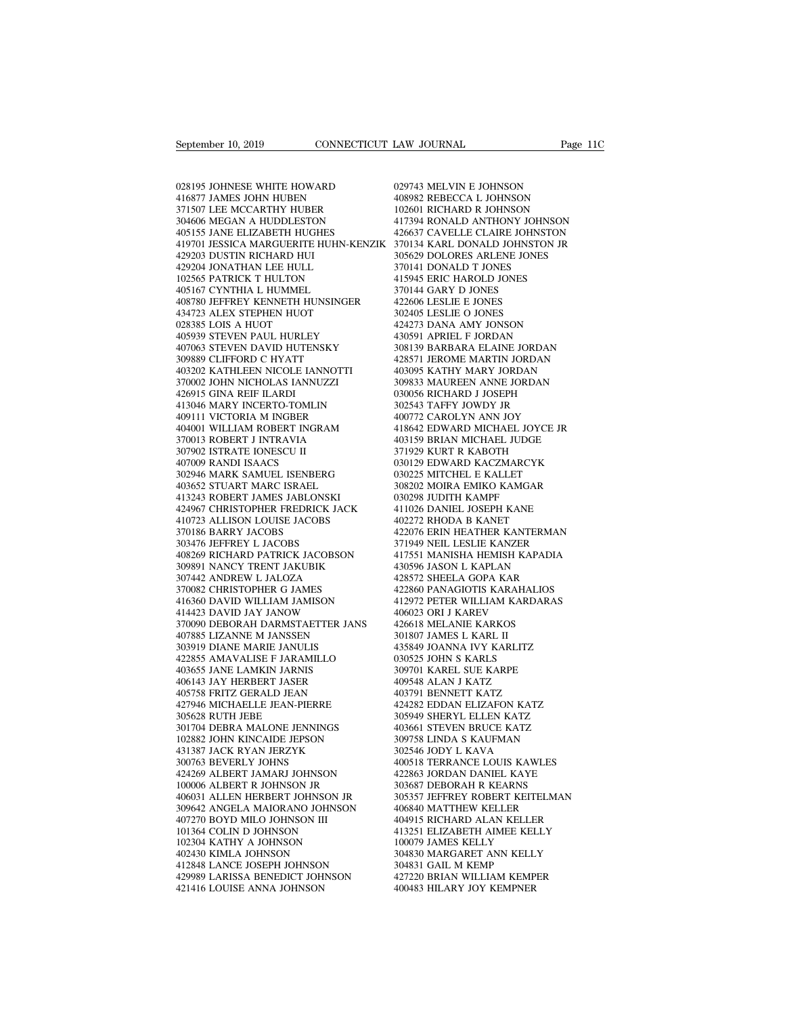028195 JOHNESE WHITE HOWARD September 10, 2019<br>
028195 JOHNESE WHITE HOWARD<br>
416877 JAMES JOHN HUBEN<br>
371507 LEE MCCARTHY HUBER<br>
304606 MEGAN A HUDDLESTON September 10, 2019<br>
028195 JOHNESE WHITE HOWARD<br>
416877 JAMES JOHN HUBEN<br>
371507 LEE MCCARTHY HUBER<br>
304606 MEGAN A HUDDLESTON<br>
405155 JANE ELIZABETH HUGHES 304606 MEGAN A HUDDLESTON 028195 JOHNESE WHITE HOWARD<br>416877 JAMES JOHN HUBEN<br>371507 LEE MCCARTHY HUBER<br>304606 MEGAN A HUDDLESTON<br>405155 JANE ELIZABETH HUGHES<br>419701 JESSICA MARGUERITE HUHN-KENZIK<br>429203 DUSTIN RICHARD HUI 028195 JOHNESE WHITE HOWARD<br>416877 JAMES JOHN HUBEN 408982 REBE<br>371507 LEE MCCARTHY HUBER 102601 RICH<br>404666 MEGAN A HUDDLESTON 417394 RON<br>405155 JANE ELIZABETH HUHR-KENZIK 426637 CAV<br>419701 IESSICA MARGUERITE HUHN-KENZIK 028195 JOHNESE WHITE HOWARD<br>416877 JAMES JOHN HUBEN<br>371507 LEE MCCARTHY HUBER<br>304606 MEGAN A HUDDLESTON<br>405155 JANE ELIZABETH HUGHES<br>419701 JESSICA MARGUERITE HUHN-KENZIK<br>429203 DUSTIN RICHARD HUL<br>102565 PATRICK T HULTON 416877 JAMES JOHN HUBEN<br>371507 LEE MCCARTHY HUBER<br>304606 MEGAN A HUDDLESTON<br>405155 JANE ELIZABETH HUGHES<br>419701 IESSICA MARGUERITE HUHN-KEN<br>429203 DUSTIN RICHARD HULL<br>4029204 JONATHAN LEE HULL<br>102565 PATRICK T HULTON<br>40516 371507 LEE MCCARTHY HUBER<br>304606 MEGAN A HUDDLESTON<br>405155 JANE ELIZABETH HUGHES<br>419701 JESSICA MARGUERITE HUHN-KEN.<br>429203 DUSTIN RICHARD HUI<br>402904 JONATHAN LEE HULL<br>102565 PATRICK T HULTON<br>405167 CYNTHIA L HUMMEL<br>408780 304606 MEGAN A HUDDLESTON<br>405155 JANE ELIZABETH HUGHES<br>419701 JESSICA MARGUERITE HUHN-KEI<br>429203 DUSTIN RICHARD HUI<br>429204 JONATHAN LEE HULL<br>102565 PATRICK T HULTON<br>405167 CYNTHIA L HUMMEL<br>408780 JEFFREY KENNETH HUNSINGER<br>  $\begin{tabular}{llllllllll} 405155\text{ JANE ELIZABETH HUGHES} & & 426637\!\!\\ 419701\text{ IESSICA MARGUERITE HUHN-KENZIK} & 370134\!\!\\ 29203\text{ DUSTIN RICHARD HUI} & & 305629\!\!\\ 429204\text{ JONATHAN LEE HULL} & & 370141\!\!\\ 102565\text{ PARTRICK T HULTON} & & 41594\!\!\\ 405167\text{ CYNTHHA L HUMMEL} & & 370144\!\!\\ 408780\$ 419701 JESSICA MARGUERITE HUHN-KEN<br>429203 DUSTIN RICHARD HUI<br>429204 JONATHAN LEE HULL<br>102565 PATRICK T HULTON<br>405167 CYNTHIA L HUMMEL<br>408780 JEFREY KENNETH HUNSINGER<br>434723 ALEX STEPHEN HUOT<br>028385 LOIS A HUOT<br>405939 STEVE 429203 DUSTIN RICHARD HUI<br>429204 JONATHAN LEE HULL<br>102565 PATRICK T HULTON<br>405167 CYNTHIA L HUMMEL<br>408780 IEFREY KENNETH HUNS<br>434723 ALEX STEPHEN HUOT<br>028385 LOIS A HUOT<br>405939 STEVEN PAUL HURLEY<br>407063 STEVEN DAVID HUTENS 429204 JONATHAN LEE HULL<br>102565 PATRICK T HULTON<br>405167 CYNTHIA L HUMMEL<br>408780 JEFFREY KENNETH HUNSINGER<br>434723 ALEX STEPHEN HUOT<br>028385 LOIS A HUOT<br>405939 STEVEN PAUL HURLEY<br>407063 STEVEN DAVID HUTENSKY<br>309889 CLIFFORD C 102565 PATRICK T HULTON 405167 CYNTHIA L HUMMEL 408780 JEFFREY KENNETH HUNSINGER 42<br>408780 JEFFREY KENNETH HUNSINGER 42<br>434723 ALEX STEPHEN HUOT 30<br>405939 STEVEN PAUL HURLEY 43<br>405939 STEVEN DAVID HUTENSKY 4037063 STEVEN D 405167 CYNTHIA L HUMMEL<br>408780 JEFFREY KENNETH HUNSINGER<br>434723 ALEX STEPHEN HUOT<br>028385 LOIS A HUOT<br>405939 STEVEN PAUL HURLEY<br>403793 STEVEN DAVID HUTENSKY<br>309889 CLIFFORD C HYATT<br>403202 KATHLEEN NICOLE IANNOTTI<br>370002 JOH 408780 JEFFREY KENNETH HUNSINGER<br>434723 ALEX STEPHEN HUOT<br>028385 LOIS A HUOT<br>405939 STEVEN PAUL HURLEY<br>407063 STEVEN DAVID HUTENSKY<br>309889 CLIFFORD C HYATT<br>403202 KATHLEEN NICOLE IANNOTTI<br>370002 JOHN NICHOLAS IANNUZZI<br>4269 434723 ALEX STEPHEN HUOT<br>028385 LOIS A HUOT<br>405939 STEVEN PAUL HURLEY<br>407063 STEVEN DAVID HUTENSKY<br>309889 CLIFFORD C HYATT<br>403202 KATHLEEN NICOLE IANNOTTI<br>370002 JOHN NICHOLAS IANNUZZI<br>426915 GINA REIF ILARDI<br>413046 MARY I 028385 LOIS A HUOT<br>405939 STEVEN PAUL HURLEY<br>407063 STEVEN DAVID HUTENS<br>309889 CLIFFORD C HYATT<br>403202 KATHLEEN NICOLE IANI<br>370002 JOHN NICHOLAS IANNUZ<br>426915 GINA REIF ILARDI<br>413046 MARY INCERTO-TOMLIN<br>409111 VICTORIA M I 405939 STEVEN PAUL HURLEY<br>407063 STEVEN DAVID HUTENSKY<br>309889 CLIFFORD C HYATT<br>403202 KATHLEEN NICOLE IANNOTTI<br>370002 JOHN NICHOLAS IANNUZZI<br>426915 GINA REIF ILARDI<br>413046 MARY INCERTO-TOMLIN<br>409111 VICTORIA M INGBER<br>40400 407063 STEVEN DAVID HUTENSKY<br>309889 CLIFFORD C HYATT<br>403202 KATHLEEN NICOLE IANNOTTI<br>370002 JOHN NICHOLAS IANNUZZI<br>426915 GINA REIF ILARDI<br>419146 MARY INCERTO-TOMLIN<br>409111 VICTORIA M INGBER<br>404001 WILLIAM ROBERT INGRAM<br>37 309889 CLIFFORD C HYATT 42857<br>
403202 KATHLEEN NICOLE IANNOTTI 40309<br>
370002 JOHN NICHOLAS IANNUZZI 30983<br>
426915 GINA REIF ILARDI 03005<br>
413046 MARY INCERTO-TOMLIN 30254<br>
409111 VICTORIA M INGBER<br>
404001 WILLIAM ROBERT IN 403202 KATHLEEN NICOLE IANNOTTI<br>370002 JOHN NICHOLAS IANNUZZI<br>426915 GINA REIF ILARDI<br>413046 MARY INCERTO-TOMLIN<br>409111 VICTORIA M INGBER<br>70013 ROBERT J INTRAVIA<br>370013 ROBERT J INTRAVIA<br>307902 ISTRATE IONESCU II<br>407009 RA 370002 JOHN NICHOLAS IANNUZZ<br>426915 GINA REIF ILARDI<br>413046 MARY INCERTO-TOMLIN<br>409111 VICTORIA M INGBER<br>404001 WILLIAM ROBERT INCRAN<br>370013 ROBERT J INTRAVIA<br>307902 ISTRATE IONESCU II<br>407009 RANDI ISAACS<br>302946 MARK SAMUE 426915 GINA REIF ILARDI<br>413046 MARY INCERTO-TOMLIN<br>409111 VICTORIA M INGBER<br>404001 WILLIAM ROBERT INGRA<br>370013 ROBERT J INTRAVIA<br>307902 ISTRATE IONESCU II<br>407009 RANDI ISAACS<br>302946 MARK SAMUEL ISENBER<br>403652 STUART MARC I 302946 MARK SAMUEL ISENBERG 409111 VICTORIA M INGBER<br>404001 WILLIAM ROBERT INGRAM<br>370013 ROBERT J INTRAVIA<br>307902 ISTRATE IONESCU II<br>407009 RANDI ISAACS<br>302946 MARK SAMUEL ISENBERG<br>403652 STUART MARC ISRAEL<br>413243 ROBERT JAMES JABLONSKI<br>424967 CHRIST 404001 WILLIAM ROBERT INGRAM<br>370013 ROBERT J INTRAVIA<br>307902 ISTRATE IONESCU II<br>407009 RANDI ISAACS<br>302946 MARK SAMUEL ISENBERG<br>403652 STUART MARC ISRAEL<br>413243 ROBERT JAMES JABLONSKI<br>424967 CHRISTOPHER FREDRICK JACK<br>41072 3070013 ROBERT J INTRAVIA (403159)<br>
407009 RANDI ISAACS (302946 MARK SAMUEL ISENBERG (302946 MARK SAMUEL ISENBERG (3030225<br>
413243 ROBERT JAMES JABLONSKI (30820225<br>
413243 ROBERT JAMES JABLONSKI (302928<br>
424967 CHRISTOPHER 307902 ISTRATE IONESCU II<br>407009 RANDI ISAACS<br>302946 MARK SAMUEL ISENBERG<br>403652 STUART MARC ISRAEL<br>413243 ROBERT JAMES JABLONSKI<br>424967 CHRISTOPHER FREDRICK JACK<br>410723 ALLISON LOUISE JACOBS<br>303476 JEFFREY L JACOBS 407009 RANDI ISAACS<br>
302946 MARK SAMUEL ISENBERG<br>
403652 STUART MARC ISRAEL<br>
413243 ROBERT JAMES JABLONSKI<br>
424967 CHRISTOPHER FREDRICK JACK<br>
410723 ALLISON LOUISE JACOBS<br>
37018 BARRY JACOBS<br>
303476 JEFFREY L JACOBS<br>
40826 302946 MARK SAMUEL ISENBERG<br>403652 STUART MARC ISRAEL<br>413243 ROBERT JAMES JABLONSKI<br>424967 CHRISTOPHER FREDRICK JAC<br>410723 ALLISON LOUISE JACOBS<br>303476 JEFFREY L JACOBS<br>408269 RICHARD PATRICK JACOBSOI<br>408269 RICHARD PATRIC 403652 STUART MARC ISRAEL 413243 ROBERT JAMES JABLONSKI 424967 CHRISTOPHER FREDRICK JACK 41102<br>419723 ALLISON LOUISE JACOBS 40227<br>370186 BARRY JACOBS 40227<br>370186 BARRY JACOBS 42207<br>403269 RICHARD PATRICK JACOBS 37194<br>4082 413243 ROBERT JAMES JABLONSKI<br>424967 CHRISTOPHER FREDRICK JACK<br>410723 ALLISON LOUISE JACOBS<br>370186 BARRY JACOBS<br>303476 JEFFREY L JACOBS<br>40826 RICHARD PATRICK JACOBSON<br>309891 NANCY TRENT JAKUBIK<br>307442 ANDREW L JALOZA<br>37008 424967 CHRISTOPHER FREDRICK JACK<br>410723 ALLISON LOUISE JACOBS<br>370186 BARRY JACOBS<br>303476 JEFFREY L JACOBS<br>408269 RICHARD PATRICK JACOBSON<br>309891 NANCY TRENT JALOZA<br>370482 ANDREW L JALOZA<br>370082 CHRISTOPHER G JAMES<br>416360 D 410723 ALLISON LOUISE JACOBS<br>370186 BARRY JACOBS<br>303476 JEFFREY L JACOBS<br>408269 RICHARD PATRICK JACOBSON<br>309891 NANCY TRENT JAKUBIK<br>307442 ANDREW L JALOZA<br>370082 CHRISTOPHER G JAMES<br>416360 DAVID WILLIAM JAMISON<br>414423 DAVI 416360 DAVID WILLIAM JAMISON 303476 JEFFREY L JACOBS<br>408269 RICHARD PATRICK JACOBSON<br>309891 NANCY TRENT JAKUBIK<br>307442 ANDREW L JALOZA<br>370082 CHRISTOPHER G JAMES<br>416360 DAVID WILLIAM JAMISON<br>414423 DAVID JAY JANOW<br>370090 DEBORAH DARMSTAETTER JANS<br>4078 408269 RICHARD PATRICK JACOBSON 41755<br>
309891 NANCY TRENT JAKUBIK 43055<br>
307442 ANDREW L JALOZA 42857<br>
370082 CHRISTOPHER G JAMES 42286<br>
416430 DAVID JAY JANOW 410602<br>
470493 370090 DEBORAH DARMSTAETTER JANS 42661<br>
4067885 309891 NANCY TRENT JAKUBIK<br>307442 ANDREW L JALOZA<br>370082 CHRISTOPHER G JAMES<br>416360 DAVID WILLIAM JAMISON<br>370090 DEBORAH DARMSTAETTER JANS<br>370090 DEBORAH DARMSTAETTER JANS<br>407885 LIZANNE M JANSSEN<br>303919 DIANE MARIE JANULI 307442 ANDREW L JALOZA<br>370082 CHRISTOPHER G JAMES<br>416360 DAVID WILLIAM JAMISON<br>414423 DAVID JAY JANOW<br>370090 DEBORAH DARMSTAETTER JANS<br>407885 LIZANNE M JANSSEN<br>303919 DIANE MARIE JANULIS<br>422855 AMAVALISE F JARAMILLO<br>403655 422855 AMAVALISE F JARAMILLO 416360 DAVID WILLIAM JAMISON<br>414423 DAVID JAY JANOW<br>370090 DEBORAH DARMSTAETTER JAN:<br>407885 LIZANNE M JANSSEN<br>303919 DIANE MARIE JANULIS<br>422855 AMAVALISE F JARAMILLO<br>403655 JANE LAMKIN JARNIS<br>406143 JAY HERBERT JASER<br>40614 414423 DAVID JAY JANOW<br>370090 DEBORAH DARMSTAETTER JANS<br>407885 LIZANNE M JANSSEN<br>303919 DIANE MARIE JANULIS<br>422855 AMAVALISE F JARAMILLO<br>403655 JANE LAMKIN JARNIS<br>403655 JANE LAMKIN JARNIS<br>406143 JAY HERBERT JASER<br>405758 F 370090 DEBORAH DARMSTAETTER JANS<br>407885 LIZANNE M JANSSEN<br>303919 DIANE MARIE JANULIS<br>422855 AMAVALISE F JARAMILLO<br>403655 JANE LAMKIN JARNIS<br>406143 JAY HERBERT JASER<br>405758 FRITZ GERALD JEAN<br>427946 MICHAELLE JEAN-PIERRE<br>305 407885 LIZANNE M JANSSEN<br>303919 DIANE MARIE JANULIS<br>422855 AMAVALISE F JARAMILLO<br>403655 JANE LAMKIN JARNIS<br>406143 JAY HERBERT JASER<br>405758 FRITZ GERALD JEAN<br>427946 MICHAELLE JEAN-PIERRE<br>305628 RUTH JEBE<br>301704 DEBRA MALONE 303919 DIANE MARIE JANULIS<br>422855 AMAVALISE F JARAMI<br>403655 JANE LAMKIN JARNIS<br>406143 JAY HERBERT JASER<br>405758 FRITZ GERALD JEAN<br>427946 MICHAELLE JEAN-PIER<br>305628 RUTH JEBE<br>301704 DEBRA MALONE JENN<br>102882 JOHN KINCAIDE JEP 422855 AMAVALISE F JARAMILLO<br>403655 JANE LAMKIN JARNIS<br>406143 JAY HERBERT JASER<br>405758 FRITZ GERALD JEAN<br>427946 MICHAELLE JEAN-PIERRE<br>301628 RUTH JEBE<br>301704 DEBRA MALONE JENNINGS<br>102882 JOHN KINCAIDE JEPSON<br>431387 JACK RY 403655 JANE LAMKIN JARNIS<br>406143 JAY HERBERT JASER<br>405758 FRITZ GERALD JEAN<br>427946 MICHAELLE JEAN-PIERRE<br>305628 RUTH JEBE<br>301704 DEBRA MALONE JENNINGS<br>102882 JOHN KINCAIDE JEPSON<br>431387 JACK RYAN JERZYK<br>300763 BEVERLY JOHN 406143 JAY HERBERT JASER<br>405758 FRITZ GERALD JEAN<br>427946 MICHAELLE JEAN-PIERRE<br>305628 RUTH JEBE<br>501704 DEBRA MALONE JENNINGS<br>102882 JOHN KINCAIDE JEPSON<br>431387 JACK RYAN JERZYK<br>300763 BEVERLY JOHNS<br>424269 ALBERT JAMARJ JOH 405758 FRITZ GERALD JEAN<br>427946 MICHAELLE JEAN-PIERRE<br>305628 RUTH JEBE<br>301704 DEBRA MALONE JENNINGS<br>102882 JOHN KINCAIDE JEPSON<br>424387 JACK RYAN JERZYK<br>300763 BEVERLY JOHNS<br>424269 ALBERT JAMARJ JOHNSON<br>100006 ALBERT R JOHN 424269 ALBERT JAMARJ JOHNSON 305628 RUTH JEBE<br>301704 DEBRA MALONE JENNINGS<br>102882 JOHN KINCAIDE JEPSON<br>431387 JACK RYAN JERZYK<br>300763 BEVERLY JOHNS<br>424269 ALBERT JAMARJ JOHNSON<br>100006 ALBERT R JOHNSON JR<br>406031 ALLEN HERBERT JOHNSON JR<br>309642 ANGELA M 406031 ALLEN HERBERT JOHNSON JR 102882 JOHN KINCAIDE JEPSON 309758<br>
431387 JACK RYAN JERZYK 302544<br>
300763 BEVERLY JOHNS<br>
424269 ALBERT JAMARJ JOHNSON 422863<br>
100006 ALBERT R JOHNSON JR 305367<br>
406031 ALLEN HERBERT JOHNSON JR 305357<br>
309642 ANGELA MAIORA 431387 JACK RYAN JERZYK<br>300763 BEVERLY JOHNS<br>424269 ALBERT JAMARJ JOHNSON<br>100006 ALBERT R JOHNSON JR<br>406031 ALLEN HERBERT JOHNSON JR<br>309642 ANGELA MAIORANO JOHNSON<br>101364 COLIN D JOHNSON III<br>101364 COLIN D JOHNSON<br>102304 K 300763 BEVERLY JOHNS<br>424269 ALBERT JAMARJ JOHNSON<br>100006 ALBERT R JOHNSON JR<br>406031 ALLEN HERBERT JOHNSON JR<br>309642 ANGELA MAIORANO JOHNSON<br>407270 BOYD MILO JOHNSON III<br>101364 COLIN D JOHNSON<br>102304 KATHY A JOHNSON<br>402430 424269 ALBERT JAMARJ JOHNSON<br>100006 ALBERT R JOHNSON JR<br>406031 ALLEN HERBERT JOHNSON JR<br>309642 ANGELA MAIORANO JOHNSON<br>407270 BOYD MILO JOHNSON III<br>101364 COLIN D JOHNSON<br>402430 KIMLA JOHNSON<br>412430 KIMLA JOHNSON<br>412848 LA 100006 ALBERT R JOHNSON JR<br>406031 ALLEN HERBERT JOHNSON JR<br>309642 ANGELA MAIORANO JOHNSON<br>407270 BOYD MILO JOHNSON III<br>101364 COLIN D JOHNSON<br>402304 KIMLA JOHNSON<br>412343 KIMLA JOHNSON<br>412848 LANCE JOSEPH JOHNSON<br>429989 LAR 406031 ALLEN HERBERT JOHNSON JR<br>309642 ANGELA MAIORANO JOHNSON<br>407270 BOYD MILO JOHNSON III<br>101364 COLIN D JOHNSON<br>10230 KATHY A JOHNSON<br>402430 KIMLA JOHNSON<br>412848 LANCE JOSEPH JOHNSON<br>429989 LARISSA BENEDICT JOHNSON<br>4219 %109642 ANGELA MAIORANO JOHNSON 40684<br>
407270 BOYD MILO JOHNSON 11<br>
101364 COLIN D JOHNSON 4132:<br>
102304 KATHY A JOHNSON 412848 LANCE JOHNSON 30483<br>
422430 KIMLA JOHNSON 30483<br>
4229989 LARISSA BENEDICT JOHNSON 42722<br>
42141

407270 BOYD MILO JOHNSON III<br>101364 COLIN D JOHNSON<br>102304 KATHY A JOHNSON<br>402430 KIMLA JOHNSON<br>412848 LANCE JOSEPH JOHNSON<br>429989 LARISSA BENEDICT JOHNSON<br>421416 LOUISE ANNA JOHNSON

EAW JOURNAL Page<br>029743 MELVIN E JOHNSON<br>408982 REBECCA L JOHNSON<br>102601 RICHARD R JOHNSON LAW JOURNAL Page 11<br>
029743 MELVIN E JOHNSON<br>
408982 REBECCA L JOHNSON<br>
102601 RICHARD R JOHNSON<br>
417394 RONALD ANTHONY JOHNSON EXAW JOURNAL Page 11<br>
1029743 MELVIN E JOHNSON<br>
102601 RICHARD R JOHNSON<br>
102601 RICHARD R JOHNSON<br>
117394 RONALD ANTHONY JOHNSON<br>
426637 CAVELLE CLAIRE JOHNSTON 029743 MELVIN E JOHNSON<br>408982 REBECCA L JOHNSON<br>102601 RICHARD R JOHNSON<br>117394 RONALD ANTHONY JOHNSON<br>426637 CAVELLE CLAIRE JOHNSTON<br>370134 KARL DONALD JOHNSTON JR 029743 MELVIN E JOHNSON<br>408982 REBECCA L JOHNSON<br>102601 RICHARD R JOHNSON<br>426637 CAVELLE CLAIRE JOHNSTON<br>370134 KARL DONALD JOHNSTON JR<br>305629 DOLORES ARLENE JONES 029743 MELVIN E JOHNSON<br>408982 REBECCA L JOHNSON<br>102601 RICHARD R JOHNSON<br>417394 RONALD ANTHONY JOHNSON<br>426637 CAVELLE CLAIRE JOHNSTON<br>370134 KARL DONALD JOHNSTON JR<br>305629 DOLORES ARLENE JONES<br>370141 DONALD T JONES 029743 MELVIN E JOHNSON<br>408982 REBECCA L JOHNSON<br>102601 RICHARD R JOHNSON<br>417394 RONALD ANTHONY JOHNSON<br>426637 CAVELLE CLARE JOHNSTON<br>370134 KARL DONALD JOHNSTON JR<br>305629 DOLORES ARLENE JONES<br>370141 DONALD T JONES<br>415945 408982 REBECCA L JOHNSON<br>102601 RICHARD R JOHNSON<br>417394 RONALD ANTHONY JOHNSO<br>426637 CAVELLE CLAIRE JOHNSTON<br>370134 KARL DONALD JOHNSTON J<br>305629 DOLORES ARLENE JONES<br>370141 DONALD T JONES<br>415945 ERIC HAROLD JONES<br>370144 102601 RICHARD R JOHNSON<br>417394 RONALD ANTHONY JOHNSON<br>426637 CAVELLE CLAIRE JOHNSTON<br>370134 KARL DONALD JOHNSTON JR<br>305629 DOLORES ARLENE JONES<br>370141 DONALD T JONES<br>415945 ERIC HAROLD JONES<br>370144 GARY D JONES<br>422606 LES 417394 RONALD ANTHONY JOHN<br>426637 CAVELLE CLAIRE JOHNST<br>370134 KARL DONALD JOHNSTOJ<br>305629 DOLORES ARLENE JONES<br>415945 ERIC HAROLD JONES<br>370144 GARY D JONES<br>422606 LESLIE E JONES<br>302405 LESLIE O JONES 426637 CAVELLE CLAIRE JOHNST<br>370134 KARL DONALD JOHNSTON<br>305629 DOLORES ARLENE JONES<br>370141 DONALD T JONES<br>415945 ERIC HAROLD JONES<br>370144 GARY D JONES<br>422606 LESLIE E JONES<br>302405 LESLIE O JONES<br>424273 DANA AMY JONSON 370134 KARL DONALD JOHNSTON<br>305629 DOLORES ARLENE JONES<br>370141 DONALD T JONES<br>415945 ERIC HAROLD JONES<br>370144 GARY D JONES<br>422606 LESLIE O JONES<br>302405 LESLIE O JONES<br>424273 DANA AMY JONSON<br>430591 APRIEL F JORDAN 305629 DOLORES ARLENE JONES<br>370141 DONALD T JONES<br>415945 ERIC HAROLD JONES<br>370144 GARY D JONES<br>422606 LESLIE E JONES<br>302405 LESLIE O JONES<br>424273 DANA AMY JONSON<br>430591 APRIEL F JORDAN<br>308139 BARBARA ELAINE JORDAN 370141 DONALD T JONES<br>415945 ERIC HAROLD JONES<br>370144 GARY D JONES<br>422606 LESLIE E JONES<br>422405 LESLIE O JONES<br>424273 DANA AMY JONSON<br>430591 APRIEL F JORDAN<br>308139 BARBARA ELAINE JORDAN<br>428571 JEROME MARTIN JORDAN 415945 ERIC HAROLD JONES<br>370144 GARY D JONES<br>422606 LESLIE E JONES<br>302405 LESLIE O JONES<br>42473 DANA AMY JONSON<br>430591 APRIEL F JORDAN<br>308139 BARBARA ELAINE JORDAN<br>428571 JEROME MARTIN JORDAN<br>403095 KATHY MARY JORDAN 370144 GARY D JONES<br>422606 LESLIE E JONES<br>302405 LESLIE O JONES<br>424273 DANA AMY JONSON<br>430591 APRIEL F JORDAN<br>308139 BARBARA ELAINE JORDAN<br>428571 JEROME MARTIN JORDAN<br>403095 KATHY MARY JORDAN<br>309833 MAUREEN ANNE JORDAN 422606 LESLIE E JONES<br>302405 LESLIE O JONES<br>424273 DANA AMY JONSON<br>430591 APRIEL F JORDAN<br>308139 BARBARA ELAINE JORDAN<br>428571 JEROME MARTIN JORDAN<br>403095 KATHY MARY JORDAN<br>309833 MAUREEN ANNE JORDAN<br>030956 RICHARD J JOSEPH 302405 LESLIE O JONES<br>424273 DANA AMY JONSON<br>430591 APRIEL F JORDAN<br>308139 BARBARA ELAINE JORDAN<br>428571 JEROME MARTIN JORDAN<br>403095 KATHY MARY JORDAN<br>309833 MAUREEN ANNE JORDAN<br>030056 RICHARD J JOSEPH<br>302543 TAFFY JOWDY JR 424273 DANA AMY JONSON<br>430591 APRIEL F JORDAN<br>308139 BARBARA ELAINE JORDAN<br>428571 JEROME MARTIN JORDAN<br>403095 KATHY MARY JORDAN<br>309833 MAUREEN ANNE JORDAN<br>302543 TAFFY JOWDY JR<br>400772 CAROLYN ANN JOY 430591 APRIEL F JORDAN<br>308139 BARBARA ELAINE JORDAN<br>428571 JEROME MARTIN JORDAN<br>403095 KATHY MARY JORDAN<br>309833 MAUREEN ANNE JORDAN<br>030056 RICHARD J JOSEPH<br>302543 TAFFY JOWDY JR<br>400772 CAROLYN ANN JOY<br>418642 EDWARD MICHAEL 308139 BARBARA ELAINE JORDAN<br>428571 JEROME MARTIN JORDAN<br>403095 KATHY MARY JORDAN<br>309833 MAUREEN ANNE JORDAN<br>03005 RICHARD J JOSEPH<br>302543 TAFFY JOWDY JR<br>400772 CAROLYN ANN JOY<br>418642 EDWARD MICHAEL JOYCE JR<br>403159 BRIAN M 428571 JEROME MARTIN JORDAN<br>403095 KATHY MARY JORDAN<br>309833 MAUREEN ANNE JORDAN<br>030056 RICHARD J JOSEPH<br>302543 TAFFY JOWDY JR<br>400772 CAROLYN ANN JOY<br>418642 EDWARD MICHAEL JOYCE JR<br>403159 BRIAN MICHAEL JUDGE<br>371929 KURT R K 403095 KATHY MARY JORDAN<br>309833 MAUREEN ANNE JORDAN<br>030056 RICHARD J JOSEPH<br>302543 TAFFY JOWDY JR<br>400772 CAROLYN ANN JOY<br>418642 EDWARD MICHAEL JOYCE JR<br>403159 BRIAN MICHAEL JUDGE<br>371929 KURT R KABOTH<br>030129 EDWARD KACZMARC 309833 MAUREEN ANNE JORDAN<br>030056 RICHARD J JOSEPH<br>302543 TAFFY JOWDY JR<br>400772 CAROLYN ANN JOY<br>418642 EDWARD MICHAEL JOYCE JR<br>403159 BRIAN MICHAEL JUDGE<br>371929 KURT R KABOTH<br>030129 EDWARD KACZMARCYK<br>030129 EDWARD KACZMARC 030056 RICHARD J JOSEPH<br>302543 TAFFY JOWDY JR<br>400772 CAROLYN ANN JOY<br>418642 EDWARD MICHAEL JOYCE JR<br>403159 BRIAN MICHAEL JUDGE<br>371929 KURT R KABOTH<br>030129 EDWARD KACZMARCYK<br>030225 MITCHEL E KALLET<br>308202 MOIRA EMIKO KAMGAR 302543 TAFFY JOWDY JR<br>400772 CAROLYN ANN JOY<br>418642 EDWARD MICHAEL JOYCE JR<br>403159 BRIAN MICHAEL JUDGE<br>371929 KURT R KABOTH<br>030129 EDWARD KACZMARCYK<br>030225 MITCHEL E KALLET<br>308202 MOIRA EMIKO KAMGAR<br>030298 JUDITH KAMPF 400772 CAROLYN ANN JOY<br>418642 EDWARD MICHAEL JOYCE JR<br>403159 BRIAN MICHAEL JUDGE<br>371929 KURT R KABOTH<br>030129 EDWARD KACZMARCYK<br>030225 MITCHEL E KALLET<br>308202 MOIRA EMIKO KAMGAR<br>030298 JUDITH KAMPF<br>411026 DANIEL JOSEPH KANE 403159 BRIAN MICHAEL JUDGE<br>371929 KURT R KABOTH<br>030129 EDWARD KACZMARCYK<br>030225 MITCHEL E KALLET<br>308202 MOIRA EMIKO KAMGAR<br>030298 JUDITH KAMPF<br>411026 DANIEL JOSEPH KANE<br>4102272 RHODA B KANET 403159 BRIAN MICHAEL JUDGE<br>371929 KURT R KABOTH<br>030129 EDWARD KACZMARCYK<br>030225 MITCHEL E KALLET<br>308202 MOIRA EMIKO KAMGAR<br>030298 JUDITH KAMPF<br>411026 DANIEL JOSEPH KANE<br>402272 RHODA B KANET<br>422076 ERIN HEATHER KANTERMAN 371929 KURT R KABOTH<br>030129 EDWARD KACZMARCYK<br>030225 MITCHEL E KALLET<br>308202 MOIRA EMIKO KAMGAR<br>030298 JUDITH KAMPF<br>41026 DANIEL JOSEPH KANE<br>402272 RHODA B KANET<br>422076 ERIN HEATHER KANTERMAN<br>371949 NEIL LESLIE KANZER 030129 EDWARD KACZMARCYK<br>030225 MITCHEL E KALLET<br>308202 MOIRA EMIKO KAMGAR<br>030298 JUDITH KAMPF<br>411026 DANIEL JOSEPH KANE<br>402272 RHODA B KANET<br>422076 ERIN HEATHER KANTERMAN<br>371949 NEIL LESLIE KANZER<br>417551 MANISHA HEMISH KA 030225 MITCHEL E KALLET<br>308202 MOIRA EMIKO KAMGAR<br>030298 JUDITH KAMPF<br>411026 DANIEL JOSEPH KANE<br>402272 RHODA B KANET<br>422076 ERIN HEATHER KANTERMAN<br>371949 NEIL LESLIE KANZER<br>417551 MANISHA HEMISH KAPADIA<br>430596 JASON L KAPL 308202 MOIRA EMIKO KAMGAR<br>030298 JUDITH KAMPF<br>411026 DANIEL JOSEPH KANE<br>402272 RHODA B KANET<br>32076 ERIN HEATHER KANTERMAN<br>371949 NEIL LESLIE KANZER<br>417551 MANISHA HEMISH KAPADIA<br>430596 JASON L KAPLAN<br>428572 SHEELA GOPA KAR 030298 JUDITH KAMPF<br>411026 DANIEL JOSEPH KANE<br>402272 RHODA B KANET<br>422076 ERIN HEATHER KANTERMAN<br>371949 NEIL LESLIE KANZER<br>417551 MANISHA HEMISH KAPADIA<br>430596 JASON L KAPLAN<br>428572 SHEELA GOPA KAR<br>422850 PANAGIOTIS KARAHA 411026 DANIEL JOSEPH KANE<br>402272 RHODA B KANET<br>422076 ERIN HEATHER KANTERMAN<br>371949 NEIL LESLIE KANZER<br>417551 MANISHA HEMISH KAPADIA<br>430596 JASON L KAPLAN<br>428572 SHEELA GOPA KAR<br>422860 PANAGIOTIS KARAHALIOS<br>412972 PETER WI 402272 RHODA B KANET<br>422076 ERIN HEATHER KANTERMAN<br>371949 NEIL LESLIE KANZER<br>417551 MANISHA HEMISH KAPADIA<br>430596 JASON L KAPLAN<br>428572 SHEELA GOPA KAR<br>422860 PANAGIOTIS KARAHALIOS<br>412972 PETER WILLIAM KARDARAS<br>406023 ORI 422076 ERIN HEATHER KANTERMAN<br>371949 NEIL LESLIE KANZER<br>417551 MANISHA HEMISH KAPADIA<br>430596 JASON L KAPLAN<br>428572 SHEELA GOPA KAR<br>422860 PANAGIOTIS KARAHALIOS<br>412972 PETER WILLIAM KARDARAS<br>406023 ORI J KAREV<br>426618 MELANI 371949 NEIL LESLIE KANZER<br>417551 MANISHA HEMISH KAPAD!<br>430596 JASON L KAPLAN<br>428572 SHEELA GOPA KAR<br>422860 PANAGIOTIS KARAHALIOS<br>416023 ORI J KAREV<br>426618 MELANIE KARKOS<br>301807 JAMES L KARL II 417551 MANISHA HEMISH KAPADIA<br>430596 JASON L KAPLAN<br>428572 SHEELA GOPA KAR<br>422860 PANAGIOTIS KARAHALIOS<br>412972 PETER WILLIAM KARDARAS<br>406023 ORI J KAREV<br>426618 MELANIE KARKOS<br>301807 JAMES L KARL II<br>435849 JOANNA IVY KARLIT 430596 JASON L KAPLAN<br>428572 SHEELA GOPA KAR<br>422860 PANAGIOTIS KARAHAL<br>412972 PETER WILLIAM KARD,<br>406023 ORI J KAREV<br>426618 MELANIE KARKOS<br>301807 JAMES L KARL II<br>435849 JOANNA IVY KARLITZ<br>030525 JOHN S KARLS 428572 SHEELA GOPA KAR<br>422860 PANAGIOTIS KARAHALIOS<br>412972 PETER WILLIAM KARDARAS<br>406023 ORI J KAREV<br>426618 MELANIE KARKOS<br>301807 JAMES L KARL II<br>435849 JOANNA IVY KARLITZ<br>030525 JOHN S KARLS<br>309701 KAREL SUE KARPE 422860 PANAGIOTIS KARAHALIC<br>412972 PETER WILLIAM KARDAF<br>406023 ORI J KAREV<br>426618 MELANIE KARKOS<br>301807 JAMES L KARL II<br>435849 JOANNA IVY KARLITZ<br>030525 JOHN S KARLS<br>309701 KAREL SUE KARPE<br>409548 ALAN J KATZ 412972 PETER WILLIAM KARDARAS<br>406023 ORI J KAREV<br>426618 MELANIE KARKOS<br>301807 JAMES L KARL II<br>435849 JOANNA IVY KARLITZ<br>030525 JOHN S KARLS<br>309701 KAREL SUE KARPE<br>409548 ALAN J KATZ<br>403791 BENNETT KATZ 406023 ORI J KAREV<br>426618 MELANIE KARKOS<br>301807 JAMES L KARL II<br>435849 JOANNA IVY KARLITZ<br>030525 JOHN S KARLS<br>309701 KAREL SUE KARPE<br>409548 ALAN J KATZ<br>403791 BENNETT KATZ<br>424282 EDDAN ELIZAFON KATZ 426618 MELANIE KARKOS<br>301807 JAMES L KARL II<br>435849 JOANNA IVY KARLITZ<br>030525 JOHN S KARLS<br>309701 KAREL SUE KARPE<br>409548 ALAN J KATZ<br>40348 ALAN J KATZ<br>424282 EDDAN ELIZAFON KATZ<br>305949 SHERYL ELLEN KATZ 301807 JAMES L KARL II<br>435849 JOANNA IVY KARLITZ<br>030525 JOHN S KARLS<br>309701 KAREL SUE KARPE<br>409548 ALAN J KATZ<br>403791 BENNETT KATZ<br>424282 EDDAN ELIZAFON KATZ<br>305949 SHERYL ELLEN KATZ<br>403661 STEVEN BRUCE KATZ 435849 JOANNA IVY KARLITZ<br>030525 JOHN S KARLS<br>309701 KAREL SUE KARPE<br>409548 ALAN J KATZ<br>403791 BENNETT KATZ<br>424282 EDDAN ELLEN KATZ<br>305949 SHERYL ELLEN KATZ<br>403661 STEVEN BRUCE KATZ<br>309758 LINDA S KAUFMAN 030525 JOHN S KARLS<br>309701 KAREL SUE KARPE<br>409548 ALAN J KATZ<br>403791 BENNETT KATZ<br>424282 EDDAN ELIZEN NATZ<br>305949 SHERYL ELLEN KATZ<br>403661 STEVEN BRUCE KATZ<br>309758 LINDA S KAUFMAN<br>302546 JODY L KAVA 309701 KAREL SUE KARPE<br>409548 ALAN J KATZ<br>403791 BENNETT KATZ<br>424282 EDDAN ELIZAFON KATZ<br>305949 SHERYL ELLEN KATZ<br>403661 STEVEN BRUCE KATZ<br>309758 LINDA S KAUFMAN<br>302546 JODY L KAVA<br>400518 TERRANCE LOUIS KAWLES 305949 SHERYL ELLEN KATZ<br>403661 STEVEN BRUCE KATZ<br>309758 LINDA S KAUFMAN<br>302546 JODY L KAVA<br>400518 TERRANCE LOUIS KAWLES<br>422863 JORDAN DANIEL KAYE 403791 BENNETT KATZ<br>424282 EDDAN ELIZAFON KATZ<br>305949 SHERYL ELLEN KATZ<br>403661 STEVEN BRUCE KATZ<br>309758 LINDA S KAUFMAN<br>302546 JODY L KAVA<br>400518 TERRANCE LOUIS KAWLES<br>422863 JORDAN DANIEL KAYE<br>303687 DEBORAH R KEARNS 424282 EDDAN ELIZAFON KATZ<br>305949 SHERYL ELLEN KATZ<br>403661 STEVEN BRUCE KATZ<br>309758 LINDA S KAUFMAN<br>402546 JODY L KAVA<br>400518 TERRANCE LOUIS KAWLES<br>422863 JORDAN DANIEL KAYE<br>303687 DEBORAH R KEARNS<br>305357 JEFFREY ROBERT KE 305949 SHERYL ELLEN KATZ<br>403661 STEVEN BRUCE KATZ<br>309758 LINDA S KAUFMAN<br>302546 JODY L KAVA<br>400518 TERRANCE LOUIS KAWLES<br>402363 JORDAN DANIEL KAYE<br>303687 DEBORAH R KEARNS<br>305357 JEFFREY ROBERT KEITELMAN<br>406840 MATTHEW KELL 403661 STEVEN BRUCE KATZ<br>309758 LINDA S KAUFMAN<br>302546 JODY L KAVA<br>400518 TERRANCE LOUIS KAWLES<br>422863 JORDAN DANIEL KAYE<br>303687 DEBORAH R KEARNS<br>305357 JEFFREY ROBERT KEITELMAN<br>406840 MATTHEW KELLER<br>404915 RICHARD ALAN KE 309758 LINDA S KAUFMAN<br>302546 JODY L KAVA<br>400518 TERRANCE LOUIS KAWLES<br>422863 JORDAN DANIEL KAYE<br>303687 DEBORAH R KEARNS<br>303637 JEFFREY ROBERT KEITELMAN<br>406840 MATTHEW KELLER<br>404915 RICHARD ALAN KELLER<br>413251 ELIZABETH AIM 302546 JODY L KAVA<br>400518 TERRANCE LOUIS KAWLES<br>422863 JORDAN DANIEL KAYE<br>303687 DEBORAH R KEARNS<br>305357 JEFFREY ROBERT KEITELMAN<br>406840 MATTHEW KELLER<br>4404915 RICHARD ALAN KELLER<br>413251 ELIZABETH AIMEE KELLY<br>100079 JAMES 400518 TERRANCE LOUIS KAWLES<br>422863 JORDAN DANIEL KAYE<br>303687 DEBORAH R KEARNS<br>305357 JEFFREY ROBERT KEITELMAN<br>406840 MATTHEW KELLER<br>414915 RICHARD ALAN KELLER<br>413251 ELIZABETH AIMEE KELLY<br>100079 JAMES KELLY<br>304830 MARGARE 422863 JORDAN DANIEL KAYE<br>303687 DEBORAH R KEARNS<br>305357 JEFFREY ROBERT KEITELM.<br>406840 MATTHEW KELLER<br>404915 RICHARD ALAN KELLER<br>413251 ELIZABETH AIMEE KELLY<br>100079 JAMES KELLY<br>304830 MARGARET ANN KELLY<br>304830 MARGARET AN 303687 DEBORAH R KEARNS<br>305357 JEFFREY ROBERT KEITELMAN<br>406840 MATTHEW KELLER<br>404915 RICHARD ALAN KELLER<br>413251 ELIZABETH AMEE KELLY<br>100079 JAMES KELLY<br>304830 MARGARET ANN KELLY<br>304831 GAIL M KEMP<br>427220 BRIAN WILLIAM KEMP 406840 MATTHEW KELLER<br>404915 RICHARD ALAN KELLER<br>413251 ELIZABETH AIMEE KELLY<br>100079 JAMES KELLY<br>304831 GAIL M KEMP<br>427220 BRIAN WILLIAM KEMPER<br>400483 HILARY JOY KEMPNER 406840 MATTHEW KELLER<br>404915 RICHARD ALAN KELLER<br>413251 ELIZABETH AIMEE KELLY<br>100079 JAMES KELLY<br>304831 GAIL M KEMP<br>304831 GAIL M KEMP<br>427220 BRIAN WILLIAM KEMPER<br>400483 HILARY JOY KEMPNER 304830 MARGARET ANN KELLY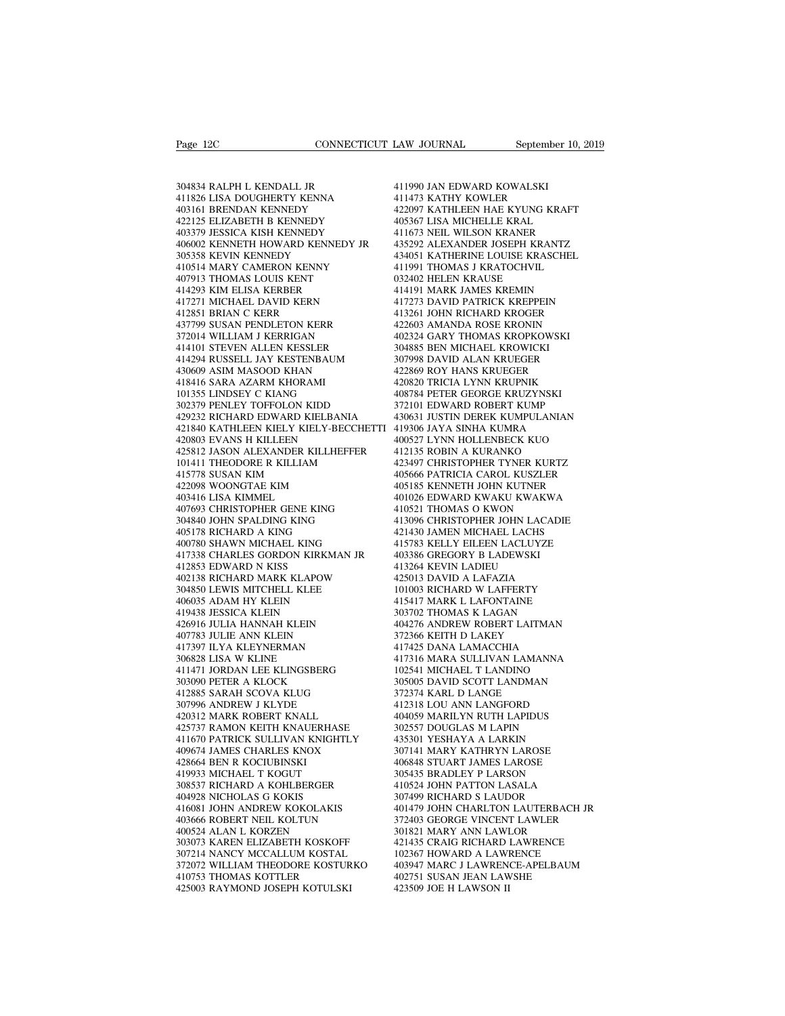Page 12C<br>304834 RALPH L KENDALL JR<br>411826 LISA DOUGHERTY KENNA<br>403161 BRENDAN KENNEDY Page 12C<br>
CONNECTICUT L<br>
304834 RALPH L KENDALL JR<br>
411826 LISA DOUGHERTY KENNA<br>
403161 BRENDAN KENNEDY<br>
422125 ELIZABETH B KENNEDY<br>
4 Page 12C<br>
104834 RALPH L KENDALL JR<br>
304834 RALPH L KENDALL JR<br>
411826 LISA DOUGHERTY KENNA<br>
403161 BRENDAN KENNEDY<br>
422125 ELIZABETH B KENNEDY<br>
403379 JESSICA KISH KENNEDY 304834 RALPH L KENDALL JR<br>411826 LISA DOUGHERTY KENNA<br>403161 BRENDAN KENNEDY<br>422125 ELIZABETH B KENNEDY<br>403379 JESSICA KISH KENNEDY<br>406002 KENNETH HOWARD KENNEDY JR 304834 RALPH L KENDALL JR<br>411826 LISA DOUGHERTY KENNA<br>403161 BRENDAN KENNEDY<br>422125 ELIZABETH B KENNEDY<br>403379 JESSICA KISH KENNEDY<br>406002 KENNETH HOWARD KENNEDY JR<br>305358 KEVIN KENNEDY 11826 LISA DOUGHERTY KENNA (11826 LISA DOUGHERTY KENNA (11821)<br>
403161 BRENDAN KENNEDY (11822)<br>
422097 1422125 ELIZABETH B KENNEDY (118379 JESSICA KISH KENNEDY (11873 1406367 11873)<br>
406002 KENNETH HOWARD KENNEDY JR (11673 304834 RALPH L KENDALL JR<br>411826 LISA DOUGHERTY KENNA<br>403161 BRENDAN KENNEDY<br>422125 ELIZABETH B KENNEDY<br>403379 JESSICA KISH KENNEDY<br>406002 KENNETH HOWARD KENNEDY<br>305358 KEVIN KENNEDY<br>410514 MARY CAMERON KENNY<br>407913 THOMAS 411826 LISA DOUGHERTY KENNA<br>403161 BRENDAN KENNEDY<br>422125 ELIZABETH B KENNEDY<br>403379 JESSICA KISH KENNEDY<br>406002 KENNETH HOWARD KENNEDY JR<br>305358 KEVIN KENNEDY KENNEDY JR<br>410514 MARY CAMERON KENNY<br>407913 THOMAS LOUIS KENT<br> 403161 BRENDAN KENNEDY<br>422125 ELIZABETH B KENNEDY<br>403379 JESSICA KISH KENNEDY<br>406002 KENNETH HOWARD KENNEDY JR<br>305338 KEVIN KENNEDY<br>410514 MARY CAMERON KENNY<br>407913 THOMAS LOUIS KENT<br>414293 KIM ELISA KERBER<br>417271 MICHAEL 422125 ELIZABETH B KENNEDY<br>403379 JESSICA KISH KENNEDY<br>406002 KENNETH HOWARD KENNEDY J<br>305358 KEVIN KENNEDY<br>410514 MARY CAMERON KENNY<br>407913 THOMAS LOUIS KENT<br>414293 KIM ELISA KERBER<br>417271 MICHAEL DAVID KERN<br>412851 BRIAN 403379 JESSICA KISH KENNEDY<br>406002 KENNETH HOWARD KENNEDY JR<br>305358 KEVIN KENNEDY<br>410514 MARY CAMERON KENNY<br>407913 THOMAS LOUIS KENT<br>414293 KIM ELISA KERBER<br>417271 MICHAEL DAVID KERN<br>412851 BRIAN C KERR<br>437799 SUSAN PENDLE 406002 KENNETH HOWARD KENNEDY JR<br>305358 KEVIN KENNEDY<br>410514 MARY CAMERON KENNY<br>407913 THOMAS LOUIS KENT<br>414293 KIM ELISA KERBER<br>412871 MICHAEL DAVID KERN<br>412851 BRIAN C KERR<br>437799 SUSAN PENDLETON KERR<br>372014 WILLIAM I KE 305358 KEVIN KENNEDY<br>410514 MARY CAMERON KENNY<br>407913 THOMAS LOUIS KENT<br>414293 KIM ELISA KERBER<br>417271 MICHAEL DAVID KERN<br>412851 BRIAN C KERR<br>372014 WILLIAM J KERRIGAN<br>372014 WILLIAM J KERRIGAN<br>414101 STEVEN ALLEN KESSLER 410514 MARY CAMERON KENNY<br>407913 THOMAS LOUIS KENT<br>414293 KIM ELISA KERBER<br>417271 MICHAEL DAVID KERN<br>412851 BRIAN C KERR<br>437799 SUSAN PENDLETON KERR<br>372014 WILLIAM J KERRIGAN<br>414101 STEVEN ALLEN KESSLER<br>414294 RUSSELL JAY 407913 THOMAS LOUIS KENT<br>414293 KIM ELISA KERBER<br>417271 MICHAEL DAVID KERN<br>412851 BRIAN C KERR<br>37709 SUSAN PENDLETON KERR<br>372014 WILLIAM J KERRIGAN<br>414101 STEVEN ALLEN KESSLER<br>414294 RUSSELL JAY KESTENBAUM<br>430609 ASIM MASO 414294 RUSSELL JAY KESTENBAUM 417271 MICHAEL DAVID KERN<br>412851 BRIAN C KERR<br>437799 SUSAN PENDLETON KERR<br>372014 WILLIAM J KERRIGAN<br>41401 STEVEN ALLEN KESSLER<br>414294 RUSSELL JAY KESTENBAUM<br>436609 ASIM MASOOD KHAN<br>418416 SARA AZARM KHORAMI<br>101355 LINDSEY 414101 STEVEN ALLEN KESSLER<br>414294 RUSSELL JAY KESTENBAUM<br>430609 ASIM MASOOD KHAN<br>418416 SARA AZARM KHORAMI<br>101355 LINDSEY C KIANG<br>302379 PENLEY TOFFOLON KIDD 437799 SUSAN PENDLETON KERR<br>372014 WILLIAM J KERRIGAN<br>414101 STEVEN ALLEN KESSLER<br>414294 RUSSELL JAY KESTENBAUM<br>430609 ASIM MASOOD KHAN<br>418416 SARA AZARM KHORAMI<br>101355 LINDSEY C KIANG<br>302379 PENLEY TOFFOLON KIDD<br>429232 RI 372014 WILLIAM J KERRIGAN<br>414101 STEVEN ALLEN KESSLER (1994)<br>430609 ASIM MASOOD KHAN (1996)<br>430609 ASIM MASOOD KHAN (1996)<br>101355 LINDSEY C KIANG (1992)<br>302379 PENLEY TOFFOLON KIDD (199232 RICHARD EDWARD KIELBANIA (199232  $\begin{tabular}{llllllll} 414101 STEVEN & ALLEN KESSLER & 304885 \\ 414294 & RUSSELL & JAY KESTENBAUM & 307998 \\ 430609 & ASIM MASOOD KHAN & 422869 \\ 418416 & SARA & AZARM KHORAMI & 420820 \\ 101355 & LINDSEY TOFFOLON KIDD & 372101 \\ 302379 & PENLEY TOFFOLON KIDD & 372101 \\ 429232 & RICHARD EDWARD KIELBANIA & 430631 \\ 421840 & KATHILEEN KIELY KIELY-BEC$  $\begin{tabular}{llllll} 414294 \; \text{RUSSELJAY} \; \text{KESTENBAUM} & 30799 \; \text{0.42286} \; \text{0.42869} & 42286 \; \text{0.42861} & 42286 \; \text{0.42861} & 42286 \; \text{0.42861} & 42286 \; \text{0.42871} & 42286 \; \text{0.42932} \; \text{RINDSEY C KIANG} & 40878 \; \text{0.429322 RICHARD EDWARD WARD KIELBANIA$ 430609 ASIM MASOOD KHAN<br>418416 SARA AZARM KHORAMI<br>101355 LINDSEY C KIANG<br>302379 PENLEY TOFFOLON KIDD<br>429232 RICHARD EDWARD KIELBANIA<br>421840 KATHLEEN KIELY KIELY-BECCH<br>425812 JASON ALEXANDER KILLHEFFEI<br>101411 THEODORE R KIL 425812 JASON ALEXANDER KILLHEFFER 101355 LINDSEY C KIANG<br>
302379 PENLEY TOFFOLON KIDD<br>
429232 RICHARD EDWARD KIELBANIA 4<br>
421840 KATHLEEN KIELY KIELY-BECCHETTI 4<br>
420803 EVANS H KILLEEN<br>
101411 THEODORE R KILLIAM<br>
 302379 PENLEY TOFFOLON KIDD<br>429232 RICHARD EDWARD KIELBAN<br>421840 KATHLEEN KIELY KIELY-BE<br>420803 EVANS H KILLEEN<br>425812 JASON ALEXANDER KILLHE<br>101411 THEODORE R KILLIAM<br>415778 SUSAN KIM<br>422098 WOONGTAE KIM<br>403416 LISA KIMME 429232 RICHARD EDWARD KIELBANIA<br>421840 KATHLEEN KIELY KIELY-BECCHE<br>420803 EVANS H KILLEEN<br>425812 JASON ALEXANDER KILLHEFFER<br>101411 THEODORE R KILLIAM<br>415778 SUSAN KIM<br>422098 WOONGTAE KIM<br>403416 LISA KIMMEL<br>407693 CHRISTOPH 421840 KATHLEEN KIELY KIELY<br>420803 EVANS H KILLEEN<br>425812 JASON ALEXANDER KILL<br>101411 THEODORE R KILLIAM<br>415778 SUSAN KIM<br>422098 WOONGTAE KIM<br>403416 LISA KIMMEL<br>407693 CHRISTOPHER GENE KIN<br>304840 JOHN SPALDING KING 407693 CHRISTOPHER GENE KING 425812 JASON ALEXANDER KILLIHEFFER<br>101411 THEODORE R KILLIAM<br>415778 SUSAN KIM<br>422098 WOONGTAE KIM<br>403416 LISA KIMMEL<br>407693 CHRISTOPHER GENE KING<br>304840 JOHN SPALDING KING<br>405178 RICHARD A KING<br>406178 RICHARD A KING<br>400780 101411 THEODORE R KILLIAM<br>415778 SUSAN KIM<br>422098 WOONGTAE KIM<br>403416 LISA KIMMEL<br>407693 CHRISTOPHER GENE KING<br>304840 JOHN SPALDING KING<br>405178 RICHARD A KING<br>406780 SHAWN MICHAEL KING<br>410780 SHAWN MICHAEL KING<br>417338 CHAR 415778 SUSAN KIM<br>422098 WOONGTAE KIM<br>403416 LISA KIMMEL<br>407693 CHRISTOPHER GENE KING<br>304840 JOHN SPALDING KING<br>405178 RICHARD A KING<br>400780 SHAWN MICHAEL KING<br>417338 CHARLES GORDON KIRKMAN JR<br>412853 EDWARD N KISS  $\begin{tabular}{llllllll} 422098 & \text{WONGTAE KIM} & 405185 \\ 403416 & \text{LISA KIMMEL} & 401026 \\ 407693 & \text{CHRISTOPHER GENE KING} & 410521 \\ 304840 & \text{JOHM SPALDING KING} & 413096 \\ 405178 & \text{RICHARD A KING} & 413783 \\ 400780 & \text{SHAWN MICHAEL KING} & 415783 \\ 417338 & \text{CHARLES GORDON KIRKMAN JR} & 403386 \\ 4128$ 403416 LISA KIMMEL<br>407693 CHRISTOPHER GENE KING<br>304840 JOHN SPALDING KING<br>405178 RICHARD A KING<br>400780 SHAWN MICHAEL KING<br>417338 CHARLES GORDON KIRKM.<br>412853 EDWARD N KISS<br>402138 RICHARD MARK KLAPOW<br>304850 LEWIS MITCHELL K 407693 CHRISTOPHER GENE KING<br>
304840 JOHN SPALDING KING<br>
405178 RICHARD A KING<br>
400780 SHAWN MICHAEL KING<br>
417338 CHARLES GORDON KIRKMAN JR<br>
412853 EDWARD N KISS<br>
402138 RICHARD MARK KLAPOW<br>
406035 ADAM HY KLEIN<br>
406035 AD 304840 JOHN SPALDING KING<br>405178 RICHARD A KING<br>400780 SHAWN MICHAEL KING<br>417338 CHARLES GORDON KIRKMAN JR<br>412853 EDWARD N KISS<br>402138 RICHARD MARK KLAPOW<br>304850 LEWIS MITCHELL KLEE<br>406035 ADAM HY KLEIN<br>419438 JESSICA KLEI 405178 RICHARD A KING<br>400780 SHAWN MICHAEL KING<br>417338 CHARLES GORDON KIRKMAN<br>412853 EDWARD N KISS<br>402138 RICHARD MARK KLAPOW<br>304850 LEWIS MITCHELL KLEE<br>406035 ADAM HY KLEIN<br>419438 JESSICA KLEIN<br>426916 JULIA HANNAH KLEIN 400780 SHAWN MICHAEL KING<br>417338 CHARLES GORDON KIRKMAI<br>412853 EDWARD N KISS<br>402138 RICHARD MARK KLAPOW<br>304850 LEWIS MITCHELL KLEE<br>406035 ADAM HY KLEIN<br>419438 IESSICA KLEIN<br>426916 JULIA HANNAH KLEIN<br>407783 JULIE ANN KLEIN 417338 CHARLES GORDON KIRKMAN JR<br>412853 EDWARD N KISS<br>402138 RICHARD MARK KLAPOW<br>304850 LEWIS MITCHELL KLEE<br>416035 ADAM HY KLEIN<br>419438 JESSICA KLEIN<br>426916 JULIA HANNAH KLEIN<br>407783 JULIE ANN KLEIN<br>417397 ILYA KLEYNERMAN 412853 EDWARD N KISS<br>402138 RICHARD MARK KLAPOW<br>304850 LEWIS MITCHELL KLEE<br>406035 ADAM HY KLEIN<br>419438 IESSICA KLEIN<br>426916 JULIA HANNAH KLEIN<br>407783 JULIE ANN KLEIN<br>417397 ILYA KLEYNERMAN<br>306828 LISA W KLINE 402138 RICHARD MARK KLAPOW<br>304850 LEWIS MITCHELL KLEE<br>406035 ADAM HY KLEIN<br>419438 JESSICA KLEIN<br>426916 JULIA HANNAH KLEIN<br>407783 JULIE ANN KLEIN<br>417397 ILYA KLEYNERMAN<br>306828 LISA W KLINE<br>411471 JORDAN LEE KLINGSBERG 304850 LEWIS MITCHELL KLEE<br>406035 ADAM HY KLEIN<br>419438 JESSICA KLEIN<br>426916 JULIA HANNAH KLEIN<br>407783 JULIE ANN KLEIN<br>417397 ILYA KLEYNERMAN<br>306828 LISA W KLINE<br>411471 JORDAN LEE KLINGSBERG<br>303090 PETER A KLOCK 406035 ADAM HY KLEIN 419438 JESSICA KLEIN 426916 JULIA HANNAH KLEIN 44<br>407783 JULIE ANN KLEIN 44<br>407783 JULIE ANN KLEIN 37<br>417397 ILYA KLEYNERMAN 417<br>411471 JORDAN LEE KLINGSBERG 41<br>411471 JORDAN LEE KLINGSBERG 30<br>303090 P 419438 JESSICA KLEIN<br>426916 JULIA HANNAH KLEIN<br>407783 JULIE ANN KLEIN<br>417397 ILYA KLEYNERMAN<br>306828 LISA W KLINE<br>411471 JORDAN LEE KLINGSBERG<br>303090 PETER A KLOCK<br>412885 SARAH SCOVA KLUG<br>307996 ANDREW J KLYDE 426916 JULIA HANNAH KLEIN<br>407783 JULIE ANN KLEIN<br>417397 ILYA KLEYNERMAN<br>306828 LISA W KLINE<br>411471 JORDAN LEE KLINGSBERG<br>303090 PETER A KLOCK<br>407996 ANDREW J KLYDE<br>420312 MARK ROBERT KNALL 407783 JULIE ANN KLEIN<br>417397 ILYA KLEYNERMAN<br>306828 LISA W KLINE<br>411471 JORDAN LEE KLINGSBERG<br>303090 PETER A KLOCK<br>412885 SARAH SCOVA KLUG<br>307996 ANDREW J KLYDE<br>420312 MARK ROBERT KNALL<br>425737 RAMON KEITH KNAUERHASE 417397 ILYA KLEYNERMAN<br>306828 LISA W KLINE<br>411471 JORDAN LEE KLINGSBERG<br>303090 PETER A KLOCK<br>412885 SARAH SCOVA KLUG<br>307996 ANDREW J KLYDE<br>420312 MARK ROBERT KNALL<br>425737 RAMON KEITH KNAUERHASE<br>411670 PATRICK SULLIVAN KNIG 417 JORDAN LEE KLINGSBERG<br>411471 JORDAN LEE KLINGSBERG 10<br>303090 PETER A KLOCK 30<br>412885 SARAH SCOVA KLUG 377<br>472966 ANDREW J KLYDE<br>420312 MARK ROBERT KNALL 40<br>425737 RAMON KEITH KNAUERHASE 30<br>411670 PATRICK SULLIVAN KNIGH 411670 PATRICK SULLIVAN KNIGHTLY 303090 PETER A KLOCK<br>412885 SARAH SCOVA KLUG<br>307996 ANDREW J KLYDE<br>420312 MARK ROBERT KNALL<br>425737 RAMON KEITH KNAUERHASE<br>411670 PATRICK SULLIVAN KNIGHTLY<br>409674 JAMES CHARLES KNOX<br>428664 BEN R KOCIUBINSKI<br>419933 MICHAEL T 412885 SARAH SCOVA KLUG<br>307996 ANDREW J KLYDE<br>420312 MARK ROBERT KNALL<br>425737 RAMON KEITH KNAUERHA<br>411670 PATRICK SULLIVAN KNGH<br>409674 JAMES CHARLES KNOX<br>428664 BEN R KOCIUBINSKI<br>419933 MICHAEL T KOGUT<br>308537 RICHARD A KOH 307996 ANDREW J KLYDE<br>420312 MARK ROBERT KNALL<br>425737 RAMON KEITH KNAUERHASE<br>411670 PATRICK SULLIVAN KNIGHTLY<br>409674 JAMES CHARLES KNOX<br>428664 BEN R KOCIUBINSKI<br>419933 MICHAEL T KOGUT<br>308537 RICHARD A KOHLBERGER<br>404928 NIC 420312 MARK ROBERT KNALL<br>425737 RAMON KEITH KNAUERHASE<br>411670 PATRICK SULLIVAN KNIGHTLY<br>409674 JAMES CHARLES KNOX<br>428664 BEN R KOCIUBINSKI<br>419933 MICHAEL T KOGUT<br>308537 RICHARD A KOHLBERGER<br>404928 NICHOLAS G KOKIS<br>416081 J 425737 RAMON KEITH KNAUERHASE<br>411670 PATRICK SULLIVAN KNIGHTL<br>409674 JAMES CHARLES KNOX<br>428664 BEN R KOCIUBINSKI<br>419933 MICHARD A KOHLBERGER<br>308337 RICHARD A KOHLBERGER<br>404928 NICHOLAS G KOKIS<br>416081 JOHN ANDREW KOKOLAKIS<br> 411670 PATRICK SULLIVAN KNIGHTLY<br>409674 JAMES CHARLES KNOX<br>428664 BEN R KOCIUBINSKI<br>419933 MICHAEL T KOGUT<br>308537 RICHARD A KOHLBERGER<br>404928 NICHOLAS G KOKIS<br>416081 JOHN ANDREW KOKOLAKIS<br>403666 ROBERT NEIL KOLTUN<br>400524 A 409674 JAMES CHARLES KNOX<br>428664 BEN R KOCIUBINSKI<br>419933 MICHAEL T KOGUT<br>308537 RICHARD A KOHLBERGER<br>404928 NICHOLAS G KOKIS<br>416081 JOHN ANDREW KOKOLAKIS<br>403666 ROBERT NEIL KOLTUN<br>400524 ALAN L KORZEN<br>303073 KAREN ELIZABE 428664 BEN R KOCIUBINSKI<br>419933 MICHAEL T KOGUT<br>308537 RICHARD A KOHLBERGER<br>404928 NICHOLAS G KOKIS<br>416081 JOHN ANDREW KOKOLAKIS<br>403666 ROBERT NEIL KOLTUN<br>400524 ALAN L KORZEN<br>303073 KAREN ELIZABETH KOSKOFF<br>307214 NANCY MC 303073 KAREN ELIZABETH KOSKOFF 308537 RICHARD A KOHLBERGER 404928 NICHOLAS G KOKIS 30<br>416081 JOHN ANDREW KOKOLAKIS 40<br>403666 ROBERT NEIL KOLTUN 37<br>400524 ALAN L KORZEN KOKOLAKIS 30<br>303073 KAREN ELIZABETH KOSKOFF 40<br>307214 NANCY MCCALLUM KOSTAL 10<br>372072 372072 WILLIAM THEODORE KOSTURKO 416081 JOHN ANDREW KOKOLAKIS<br>403666 ROBERT NEIL KOLTUN<br>400524 ALAN L KORZEN<br>303073 KAREN ELIZABETH KOSKOFF<br>303073 KAREN ELIZABETH KOSKOFF<br>372072 WILLIAM THEODORE KOSTURK<br>410753 THOMAS KOTTLER<br>425003 RAYMOND JOSEPH KOTULSKI 403666 ROBERT NEIL KOLTUN<br>400524 ALAN L KORZEN<br>303073 KAREN ELIZABETH KOSKOFF<br>307214 NANCY MCCALLUM KOSTAL<br>372072 WILLIAM THEODORE KOSTURKO<br>410753 THOMAS KOTTLER<br>425003 RAYMOND JOSEPH KOTULSKI

411990 JAN EDWARD KOWALSKI LAW JOURNAL September<br>411990 JAN EDWARD KOWALSKI<br>411473 KATHY KOWLER<br>422097 KATHLEEN HAE KYUNG KRA<br>405367 LISA MICHELLE KRAL LAW JOURNAL September 10, 2019<br>411990 JAN EDWARD KOWALSKI<br>411973 KATHY KOWLER<br>422097 KATHLEEN HAE KYUNG KRAFT<br>405367 LISA MICHELLE KRAL<br>411673 NEIL WILSON KRANER 411990 JAN EDWARD KOWALSKI<br>411473 KATHY KOWLER<br>422097 KATHLEEN HAE KYUNG KRAFT<br>405367 LISA MICHELLE KRAL<br>411673 NEIL WILSON KRANER<br>435292 ALEXANDER JOSEPH KRANTZ 411990 JAN EDWARD KOWALSKI<br>411473 KATHY KOWLER<br>422097 KATHLEEN HAE KYUNG KRAFT<br>405367 LISA MICHELLE KRAL<br>411673 NEIL WILSON KRANER<br>435292 ALEXANDER JOSEPH KRANTZ<br>434051 KATHERINE LOUISE KRASCHEL 411990 JAN EDWARD KOWALSKI<br>411473 KATHY KOWLER<br>422097 KATHLEEN HAE KYUNG KRAFT<br>405367 LISA MICHELLE KRAL<br>411673 NEL WILSON KRANER<br>435292 ALEXANDER JOSEPH KRANTZ<br>434051 KATHERINE LOUISE KRASCHEL<br>411991 THOMAS J KRATOCHVIL 411990 JAN EDWARD KOWALSKI<br>411473 KATHY KOWLER<br>422097 KATHLEEN HAE KYUNG KRAFT<br>405367 LISA MICHELLE KRAL<br>411673 NEIL WILSON KRANER<br>435292 ALEXANDER JOSEPH KRANTZ<br>434051 KATHERINE LOUISE KRASCHEL<br>411991 THOMAS J KRATOCHVIL<br> 411473 KATHY KOWLER<br>422097 KATHLEEN HAE KYUNG KRAFT<br>405367 LISA MICHELLE KRAL<br>411673 NEIL WILSON KRANER<br>435292 ALEXANDER JOSEPH KRANTZ<br>434051 KATHERINE LOUISE KRASCHEL<br>411991 THOMAS J KRATOCHVIL<br>032402 HELEN KRAUSE<br>414191 405367 LISA MICHELLE KRAL<br>411673 NEIL WILSON KRANER<br>435292 ALEXANDER JOSEPH KRANTZ<br>434051 KATHERINE LOUISE KRASCHEL<br>41191 THOMAS J KRAUSE<br>414191 MARK JAMES KREMIN<br>417273 DAVID PATRICK KREPPEIN 405367 LISA MICHELLE KRAL<br>411673 NEIL WILSON KRANER<br>435292 ALEXANDER JOSEPH KRANTZ<br>434051 KATHERINE LOUISE KRASCHEL<br>411991 THOMAS J KRATOCHVIL<br>032402 HELEN KRAUSE<br>414191 MARK JAMES KREMIN<br>417273 DAVID PATRICK KREPPEIN<br>4132 411673 NEIL WILSON KRANER<br>435292 ALEXANDER JOSEPH KRANTZ<br>434051 KATHERINE LOUISE KRASCHEL<br>411991 THOMAS J KRATOCHVIL<br>032402 HELEN KRAUSE<br>KRANER<br>417273 DAVID PATRICK KREPPEIN<br>413261 JOHN RICHARD KROGER<br>422603 AMANDA ROSE KR 435292 ALEXANDER JOSEPH KRANTZ<br>434051 KATHERINE LOUISE KRASCHEL<br>411991 THOMAS J KRATOCHVIL<br>032402 HELEN KRAUSE<br>414191 MARK JAMES KREMIN<br>417273 DAVID PATRICK KREPPEIN<br>413261 JOHN RICHARD KROGER<br>422603 AMANDA ROSE KRONIN<br>402 434051 KATHERINE LOUISE KRASCHEL<br>411991 THOMAS J KRATOCHVIL<br>032402 HELEN KRAUSE<br>414191 MARK JAMES KREMIN<br>417273 DAVID PATRICK KREPPEIN<br>412361 JOHN RICHARD KROGER<br>422603 AMANDA ROSE KRONIN<br>402324 GARY THOMAS KROPKOWSKI<br>3048 411991 THOMAS J KRATOCHVIL<br>032402 HELEN KRAUSE<br>414191 MARK JAMES KREMIN<br>417273 DAVID PATRICK KREPPEIN<br>413261 JOHN RICHARD KROGER<br>422603 AMANDA ROSE KRONIN<br>402324 GARY THOMAS KROPKOWSKI<br>304885 BEN MICHAEL KROWICKI<br>307998 DA 032402 HELEN KRAUSE<br>414191 MARK JAMES KREMIN<br>417273 DAVID PATRICK KREPPEIN<br>413261 JOHN RICHARD KROGER<br>422603 AMANDA ROSE KRONIN<br>402324 GARY THOMAS KROPKOWSKI<br>304885 BEN MICHAEL KROWICKI<br>307998 DAVID ALAN KRUEGER<br>422869 ROY 414191 MARK JAMES KREMIN<br>417273 DAVID PATRICK KREPPEIN<br>413261 JOHN RICHARD KROGER<br>422603 AMANDA ROSE KRONIN<br>402324 GARY THOMAS KROPKOWSKI<br>307998 DAVID ALAN KRUEGER<br>422869 ROY HANS KRUEGER<br>422869 ROY HANS KRUEGER<br>420820 TRI 417273 DAVID PATRICK KREPPEIN<br>413261 JOHN RICHARD KROGER<br>422603 AMANDA ROSE KRONIN<br>402324 GARY THOMAS KROPKOWSKI<br>304885 BEN MICHAEL KROWICKI<br>307998 DAVID ALAN KRUEGER<br>422869 ROY HANS KRUEGER<br>420820 TRICIA LYNN KRUPNIK<br>4087 413261 JOHN RICHARD KROGER<br>422603 AMANDA ROSE KRONIN<br>402324 GARY THOMAS KROPKOWSKI<br>304885 BEN MICHAEL KROWICKI<br>307998 DAVID ALAN KRUEGER<br>422869 ROY HANS KRUEGER<br>408784 PETER GEORGE KRUZYNSKI<br>408784 PETER GEORGE KRUZYNSKI<br>3 422603 AMANDA ROSE KRONIN<br>402324 GARY THOMAS KROPKOWSKI<br>304885 BEN MICHAEL KROWICKI<br>307998 DAVID ALAN KRUEGER<br>422869 ROY HANS KRUEGER<br>408784 PETER GEORGE KRUZYNSKI<br>372101 EDWARD ROBERT KUMP<br>430631 JUSTIN DEREK KUMPULANIAN 402324 GARY THOMAS KROPKOWSKI<br>304885 BEN MICHAEL KROWICKI<br>307998 DAVID ALAN KRUEGER<br>422869 ROY HANS KRUEGER<br>420820 TRICIA LYNN KRUPNIK<br>408784 PETER GEORGE KRUZYNSKI<br>372101 EDWARD ROBERT KUMP<br>430631 JUSTIN DEREK KUMPULANIAN 304885 BEN MICHAEL KROWICKI<br>307998 DAVID ALAN KRUEGER<br>422869 ROY HANS KRUEGER<br>420820 TRICIA LYNN KRUPNIK<br>408784 PETER GEORGE KRUZYNSKI<br>372101 EDWARD ROBERT KUMP<br>430631 JUSTIN DEREK KUMPULANIAN<br>419306 JAYA SINHA KUMRA<br>40052 307998 DAVID ALAN KRUEGER<br>422869 ROY HANS KRUEGER<br>420820 TRICIA LYNN KRUPNIK<br>408784 PETER GEORGE KRUZYNSKI<br>372101 EDWARD ROBERT KUMPULANIAN<br>430631 JUSTIN DEREK KUMPULANIAN<br>401527 LYNN HOLLENBECK KUO<br>412135 ROBIN A KURANKO 422869 ROY HANS KRUEGER<br>420820 TRICIA LYNN KRUPNIK<br>408784 PETER GEORGE KRUZYNSKI<br>372101 EDWARD ROBERT KUMP<br>430631 JUSTIN DEREK KUMPULANIAN<br>41936 JAYA SINHA KUMRA<br>400527 LYNN HOLLENBECK KUO<br>412135 ROBIN A KURANKO<br>423497 CHR 420820 TRICIA LYNN KRUPNIK<br>408784 PETER GEORGE KRUZYNSKI<br>372101 EDWARD ROBERT KUMP<br>430631 JUSTIN DEREK KUMPULANIAN<br>419306 JAYA SINHA KUMRA<br>400527 LYNN HOLLENBECK KUO<br>401257 ROBIN A KURANKO<br>423497 CHRISTOPHER TYNER KURTZ<br>40 408784 PETER GEORGE KRUZYNSKI<br>372101 EDWARD ROBERT KUMP<br>430631 JUSTIN DEREK KUMPULANIAN<br>419306 JAYA SINHA KUMRA<br>400527 LYNN HOLLENBECK KUO<br>412135 ROBIN A KURANKO<br>423497 CHRISTOPHER TYNER KURTZ<br>405666 PATRICIA CAROL KUSZLER 372101 EDWARD ROBERT KUMP<br>430631 JUSTIN DEREK KUMPULANIAN<br>419306 JAYA SINHA KUMRA<br>400527 LYNN HOLLENBECK KUO<br>412135 ROBIN A KURANKO<br>423497 CHRISTOPHER TYNER KURTZ<br>405666 PATRICIA CAROL KUSZLER<br>405185 KENNETH JOHN KUTNER<br>40 430631 JUSTIN DEREK KUMPULANIAN<br>419306 JAYA SINHA KUMRA<br>400527 LYNN HOLLENBECK KUO<br>412135 ROBIN A KURANKO<br>423497 CHRISTOPHER TYNER KURTZ<br>405666 PATRICIA CAROL KUSZLER<br>405185 KENNETH JOHN KUTNER<br>401026 EDWARD KWAKU KWAKWA<br>4 419306 JAYA SINHA KUMRA<br>400527 LYNN HOLLENBECK KUO<br>412135 ROBIN A KURANKO<br>423497 CHRISTOPHER TYNER KURTZ<br>40566 PATRICIA CAROL KUSZLER<br>405185 KENNETH JOHN KUTNER<br>401026 EDWARD KWAKU KWAKWA<br>410521 THOMAS O KWON<br>413096 CHRIST 400527 LYNN HOLLENBECK KUO<br>412135 ROBIN A KURANKO<br>423497 CHRISTOPHER TYNER KURTZ<br>405666 PATRICIA CAROL KUSZLER<br>405185 KENNETH JOHN KUTNER<br>401026 EDWARD KWAKU KWAKWA<br>413096 CHRISTOPHER JOHN LACADIE<br>421430 JAMEN MICHAEL LACH 412135 ROBIN A KURANKO<br>423497 CHRISTOPHER TYNER KURTZ<br>405666 PATRICIA CAROL KUSZLER<br>405185 KENNETH JOHN KUTNER<br>401026 EDWARD KWAKU KWAKWA<br>410521 THOMAS O KWON<br>413096 CHRISTOPHER JOHN LACADIE<br>421430 JAMEN MICHAEL LACHS<br>4157 423497 CHRISTOPHER TYNER KURTZ<br>405666 PATRICIA CAROL KUSZLER<br>405185 KENNETH JOHN KUTNER<br>401026 EDWARD KWAKU KWAKWA<br>413091 THOMAS O KWON<br>413096 CHRISTOPHER JOHN LACADIE<br>421430 JAMEN MICHAEL LACHS<br>415783 KELLY EILEEN LACLUYZ 405666 PATRICIA CAROL KUSZLER<br>405185 KENNETH JOHN KUTNER<br>401026 EDWARD KWAKU KWAKWA<br>410521 THOMAS O KWON<br>413096 CHRISTOPHER JOHN LACADIE<br>413430 JAMEN MICHAEL LACHS<br>415783 KELLY EILEEN LACLUYZE<br>403386 GREGORY B LADEWSKI<br>413 405185 KENNETH JOHN KUTNER<br>401026 EDWARD KWAKU KWAKWA<br>410521 THOMAS O KWON<br>413096 CHRISTOPHER JOHN LACADIE<br>421430 JAMEN MICHAEL LACHS<br>415783 KELLY EILEEN LACLUYZE<br>403386 GREGORY B LADEWSKI<br>413264 KEVIN LADIEU<br>425013 DAVID 401026 EDWARD KWAKU KWAKWA<br>410521 THOMAS O KWON<br>413096 CHRISTOPHER JOHN LACADI<br>421430 JAMEN MICHAEL LACHS<br>415783 KELLY EILEEN LACLUYZE<br>403386 GREGORY B LADEWSKI<br>413264 KEVIN LADIEU<br>425013 DAVID A LAFAZIA<br>101003 RICHARD W L 410521 THOMAS O KWON<br>413096 CHRISTOPHER JOHN LACADIE<br>421430 JAMEN MICHAEL LACHS<br>415783 KELLY EILEEN LACLUYZE<br>403386 GREGORY B LADEWSKI<br>413264 KEVIN LADIEU<br>425013 DAVID A LAFAZIA<br>101003 RICHARD W LAFFERTY<br>415417 MARK L LAFO 413096 CHRISTOPHER JOHN LACADIE<br>421430 JAMEN MICHAEL LACHS<br>415783 KELLY EILEEN LACLUYZE<br>403386 GREGORY B LADEWSKI<br>413264 KEVIN LADIEU<br>425013 DAVID A LAFAZIA<br>101003 RICHARD W LAFFERTY<br>415417 MARK L LAFONTAINE<br>303702 THOMAS 421430 JAMEN MICHAEL LACHS<br>415783 KELLY EILEEN LACLUYZE<br>403386 GREGORY B LADEWSKI<br>413264 KEVIN LADIEU<br>425013 DAVID A LAFAZIA<br>101003 RICHARD W LAFFERTY<br>415417 MARK L LAFONTAINE<br>303702 THOMAS K LAGAN<br>404276 ANDREW ROBERT LAI 415783 KELLY EILEEN LACLUYZE<br>403386 GREGORY B LADEWSKI<br>413264 KEVIN LADIEU<br>425013 DAVID A LAFAZIA<br>101003 RICHARD W LAFFERTY<br>415417 MARK L LAFONTAINE<br>303702 THOMAS K LAGAN<br>404276 ANDREW ROBERT LAITMAN<br>372366 KEITH D LAKEY 403386 GREGORY B LADEWSKI<br>413264 KEVIN LADIEU<br>425013 DAVID A LAFAZIA<br>101003 RICHARD W LAFFERTY<br>415417 MARK L LAFONTAINE<br>303702 THOMAS K LAGAN<br>404276 ANDREW ROBERT LAITMAN<br>372366 KEITH D LAKEY<br>417425 DANA LAMACCHIA 413264 KEVIN LADIEU<br>425013 DAVID A LAFAZIA<br>101003 RICHARD W LAFFERTY<br>415417 MARK L LAFONTAINE<br>303702 THOMAS K LAGAN<br>404276 ANDREW ROBERT LAITMAN<br>372366 KEITH D LAKEY<br>417425 DANA LAMACCHIA<br>417425 DANA LAMACCHIA<br>417316 MARA 425013 DAVID A LAFAZIA<br>101003 RICHARD W LAFFERTY<br>415417 MARK L LAFONTAINE<br>303702 THOMAS K LAGAN<br>404276 ANDREW ROBERT LAITMAN<br>372366 KEITH D LAKEY<br>417425 DANA LAMACCHIA<br>417316 MARA SULLIVAN LAMANNA<br>102541 MICHAEL T LANDINO 101003 RICHARD W LAFFERTY<br>415417 MARK L LAFONTAINE<br>303702 THOMAS K LAGAN<br>404276 ANDREW ROBERT LAITMAN<br>372366 KEITH D LAKEY<br>417316 MARA SULLIVAN LAMANNA<br>102541 MICHAEL T LANDINO<br>305005 DAVID SCOTT LANDMAN 415417 MARK L LAFONTAINE<br>303702 THOMAS K LAGAN<br>404276 ANDREW ROBERT LAITMAN<br>372366 KEITH D LAKEY<br>417425 DANA LAMACCHIA<br>417316 MARA SULLIVAN LAMANNA<br>102541 MICHAEL T LANDINO<br>305005 DAVID SCOTT LANDMAN<br>372374 KARL D LANGE 303702 THOMAS K LAGAN<br>404276 ANDREW ROBERT LAITMAN<br>372366 KEITH D LAKEY<br>417425 DANA LAMACCHIA<br>417316 MARA SULLIVAN LAMANNA<br>102541 MICHAEL T LANDINO<br>305005 DAVID SCOTT LANDMAN<br>372374 KARL D LANGE<br>412318 LOU ANN LANGFORD 404276 ANDREW ROBERT LAITMAl<br>372366 KEITH D LAKEY<br>417425 DANA LAMACCHIA<br>417316 MARA SULLIVAN LAMANN<br>102541 MICHAEL T LANDINO<br>305005 DAVID SCOTT LANDMAN<br>372374 KARL D LANGE<br>412318 LOU ANN LANGFORD<br>404059 MARILYN RUTH LAPIDU 372366 KEITH D LAKEY<br>417425 DANA LAMACCHIA<br>417316 MARA SULLIVAN LAMANNA<br>102541 MICHAEL T LANDINO<br>305005 DAVID SCOTT LANDMAN<br>372374 KARL D LANGE<br>412318 LOU ANN LANGFORD<br>404059 MARILYN RUTH LAPIDUS<br>302557 DOUGLAS M LAPIN 417425 DANA LAMACCHIA<br>417316 MARA SULLIVAN LAMANNA<br>102541 MICHAEL T LANDINO<br>305005 DAVID SCOTT LANDMAN<br>372374 KARL D LANGE<br>412318 LOU ANN LANGFORD<br>404059 MARILYN RUTH LAPIDUS<br>302557 DOUGLAS M LAPIN<br>435301 YESHAYA A LARKIN 417316 MARA SULLIVAN LAMANNA<br>102541 MICHAEL T LANDINO<br>305005 DAVID SCOTT LANDMAN<br>372374 KARL D LANGE<br>412318 LOU ANN LANGFORD<br>404059 MARILYN RUTH LAPIDUS<br>302557 DOUGLAS M LAPIN<br>435301 YESHAYA A LARKIN<br>307141 MARY KATHRYN LA 102541 MICHAEL T LANDINO<br>305005 DAVID SCOTT LANDMAN<br>372374 KARL D LANGE<br>412318 LOU ANN LANGFORD<br>404059 MARILYN RUTH LAPIDUS<br>302557 DOUGLAS M LAPIN<br>435301 YESHAYA A LARKIN<br>307141 MARY KATHRYN LAROSE<br>406848 STUART JAMES LARO 305005 DAVID SCOTT LANDMAN<br>372374 KARL D LANGE<br>412318 LOU ANN LANGFORD<br>404059 MARILYN RUTH LAPIDUS<br>302557 DOUGLAS M LARIN<br>435301 YESHAYA A LARKIN<br>307141 MARY KATHRYN LAROSE<br>406848 STUART JAMES LAROSE<br>305435 BRADLEY P LARSO 372374 KARL D LANGE<br>412318 LOU ANN LANGFORD<br>404059 MARILYN RUTH LAPIDUS<br>302557 DOUGLAS M LAPIN<br>435301 YESHAYA A LARKIN<br>307141 MARY KATHRYN LAROSE<br>406848 STUART JAMES LAROSE<br>305435 BRADLEY P LARSON<br>410524 JOHN PATTON LASALA 412318 LOU ANN LANGFORD<br>404059 MARILYN RUTH LAPIDUS<br>302557 DOUGLAS M LAPIN<br>435301 YESHAYA A LARKIN<br>40548 STUART JAMES LAROSE<br>406848 STUART JAMES LAROSE<br>305435 BRADLEY P LARSON<br>410524 JOHN PATTON LASALA<br>407499 RICHARD S LAU 404059 MARILYN RUTH LAPIDUS<br>302557 DOUGLAS M LAPIN<br>435301 YESHAYA A LARKIN<br>307141 MARY KATHRYN LAROSE<br>406848 STUART JAMES LAROSE<br>305435 BRADLEY P LARSON<br>410524 JOHN PATTON LASALA<br>307499 RICHARD S LAUDOR<br>401479 JOHN CHARLTO 302557 DOUGLAS M LAPIN<br>435301 YESHAYA A LARKIN<br>307141 MARY KATHRYN LAROSE<br>406848 STUART JAMES LAROSE<br>305435 BRADLEY P LARSON<br>411524 JOHN PATTON LASALA<br>401479 JOHN CHARLTON LAUTERBACH J<br>401479 JOHN CHARLTON LAUTERBACH J<br>372 435301 YESHAYA A LARKIN<br>307141 MARY KATHRYN LAROSE<br>406848 STUART JAMES LAROSE<br>305435 BRADLEY P LARSON<br>410524 JOHN PATTON LASALA<br>307499 RICHARD S LAUDOR<br>401479 JOHN CHARLTON LAUTERBACH JR<br>372403 GEORGE VINCENT LAWLER<br>301821 307141 MARY KATHRYN LAROSE<br>406848 STUART JAMES LAROSE<br>305435 BRADLEY P LARSON<br>410524 JOHN PATTON LASALA<br>401749 RICHARD S LAUDOR<br>377403 GEORGE VINCENT LAWLER<br>301821 MARY ANN LAWLOR<br>421435 CRAIG RICHARD LAWRENCE 406848 STUART JAMES LAROSE<br>305435 BRADLEY P LARSON<br>410524 JOHN PATTON LASALA<br>307499 RICHARD S LAUDOR<br>401479 JOHN CHARLTON LAUTERBACH J<br>372403 GEORGE VINCENT LAWLOR<br>301821 MARY ANN LAWLOR<br>421435 CRAIG RICHARD LAWRENCE<br>10236 305435 BRADLEY P LARSON<br>410524 JOHN PATTON LASALA<br>307499 RICHARD S LAUDOR<br>401479 JOHN CHARLTON LAUTERBACH JR<br>372403 GEORGE VINCENT LAWLER<br>301821 MARY ANN LAWLOR<br>421435 CRAIG RICHARD LAWRENCE<br>102367 HOWARD A LAWRENCE<br>403947 410524 JOHN PATTON LASALA<br>307499 RICHARD S LAUDOR<br>401479 JOHN CHARLTON LAUTERBACH JR<br>372403 GEORGE VINCENT LAWLER<br>401821 MARY ANN LAWLOR<br>421435 CRAIG RICHARD LAWRENCE<br>102367 HOWARD A LAWRENCE<br>403947 MARC J LAWRENCE-APELBAU 307499 RICHARD S LAUDOR<br>401479 JOHN CHARLTON LAUTERBACH JR<br>372403 GEORGE VINCENT LAWLER<br>301821 MARY ANN LAWLOR<br>421435 CRAIG RICHARD LAWRENCE<br>102367 HOWARD A LAWRENCE-APELBAUM<br>402751 SUSAN JEAN LAWSHE<br>423509 JOE H LAWSON II 401479 JOHN CHARLTON LAUTERBACH J<br>372403 GEORGE VINCENT LAWLER<br>301821 MARY ANN LAWLOR<br>421435 CRAIG RICHARD LAWRENCE<br>102367 HOWARD A LAWRENCE<br>403947 MARC J LAWRENCE-APELBAUM<br>402751 SUSAN JEAN LAWSHE<br>423509 JOE H LAWSON II 372403 GEORGE VINCENT LAWLER<br>301821 MARY ANN LAWLOR<br>421435 CRAIG RICHARD LAWRENCE<br>102367 HOWARD A LAWRENCE-<br>403947 MARC J LAWRENCE-APELBAUM<br>402751 SUSAN JEAN LAWSHE<br>423509 JOE H LAWSON II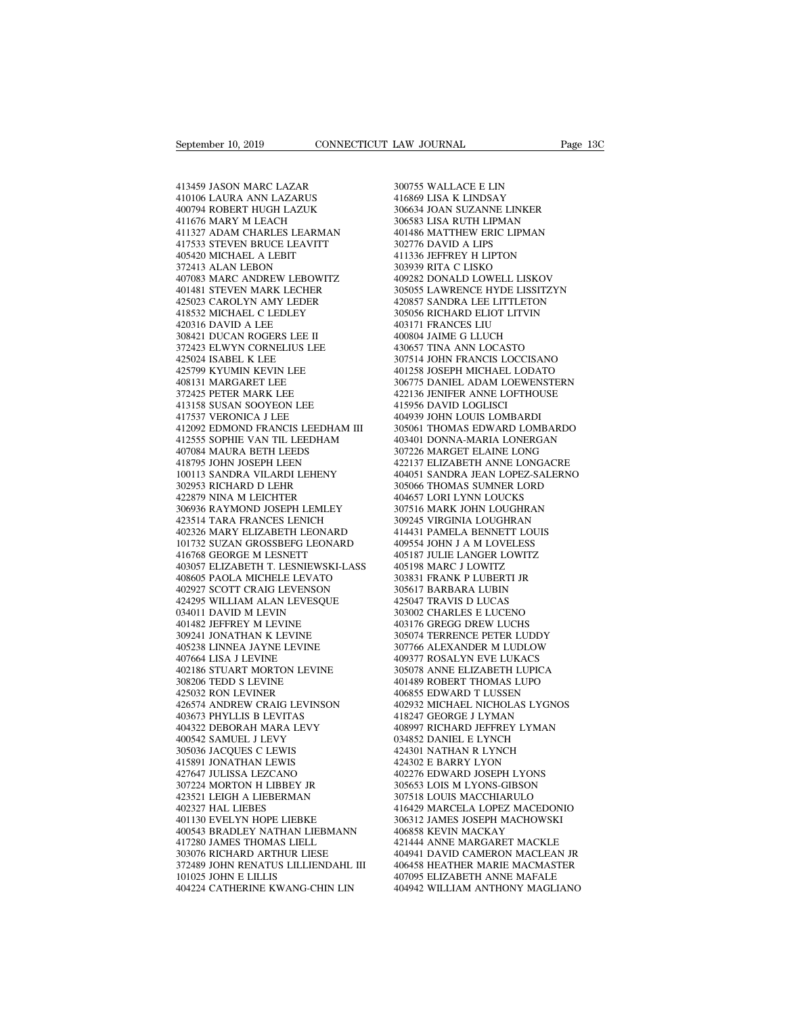September 10, 2019<br>413459 JASON MARC LAZAR<br>410106 LAURA ANN LAZARUS<br>400794 ROBERT HUGH LAZUK September 10, 2019<br>413459 JASON MARC LAZAR<br>410106 LAURA ANN LAZARUS<br>400794 ROBERT HUGH LAZUK<br>411676 MARY M LEACH September 10, 2019<br>413459 JASON MARC LAZAR<br>413459 JASON MARC LAZAR<br>400794 ROBERT HUGH LAZUK<br>411676 MARY M LEACH<br>411676 MARY M LEACH<br>411327 ADAM CHARLES LEARMAN 413459 JASON MARC LAZAR<br>410106 LAURA ANN LAZARUS<br>400794 ROBERT HUGH LAZUK<br>411676 MARY M LEACH<br>411327 ADAM CHARLES LEARMAN<br>417533 STEVEN BRUCE LEAVITT 413459 JASON MARC LAZAR<br>410106 LAURA ANN LAZARUS 414<br>400794 ROBERT HUGH LAZUK 30<br>411676 MARY M LEACH<br>411327 ADAM CHARLES LEARMAN 40<br>417533 STEVEN BRUCE LEAVITT 30:<br>405420 MICHAEL A LEBIT 41 413459 JASON MARC LAZAR<br>410106 LAURA ANN LAZARUS<br>400794 ROBERT HUGH LAZUK<br>411676 MARY M LEACH<br>411327 ADAM CHARLES LEARMAN<br>417533 STEVEN BRUCE LEAVITT<br>405420 MICHAEL A LEBIT<br>372413 ALAN LEBON 413459 JASON MARC LAZAR<br>410106 LAURA ANN LAZARUS<br>400794 ROBERT HUGH LAZUK<br>411676 MARY M LEACH<br>411327 ADAM CHARLES LEARMAN<br>417533 STEVEN BRUCE LEAVITT<br>405420 MICHAEL A LEBIT<br>372413 ALAN LEBON<br>407083 MARC ANDREW LEBOWITZ 410106 LAURA ANN LAZARUS<br>400794 ROBERT HUGH LAZUK<br>411676 MARY M LEACH<br>411327 ADAM CHARLES LEARMAN<br>417533 STEVEN BRUCE LEAVITT<br>405420 MICHAEL A LEBIT<br>372413 ALAN LEBON<br>407083 MARC ANDREW LEBOWITZ<br>401481 STEVEN MARK LECHER 400794 ROBERT HUGH LAZUK<br>411676 MARY M LEACH<br>411327 ADAM CHARLES LEARMAN<br>417533 STEVEN BRUCE LEAVITT<br>405420 MICHAEL A LEBIT<br>372413 ALAN LEBON<br>407083 MARC ANDREW LEBOWITZ<br>401481 STEVEN MARK LECHER<br>425023 CAROLYN AMY LEDER 411676 MARY M LEACH<br>411327 ADAM CHARLES LEARMAN<br>417533 STEVEN BRUCE LEAVITT<br>405420 MICHAEL A LEBIT<br>372413 ALAN LEBON<br>407083 MARC ANDREW LEBOWITZ<br>401481 STEVEN MARK LECHER<br>425023 CAROLYN AMY LEDER<br>418532 MICHAEL C LEDLEY 411327 ADAM CHARLES LEARMAN<br>417533 STEVEN BRUCE LEAVITT<br>405420 MICHAEL A LEBIT<br>372413 ALAN LEBON<br>407083 MARC ANDREW LEBOWITZ<br>401481 STEVEN MARK LECHER<br>425023 CAROLYN AMY LEDER<br>418532 MICHAEL C LEDLEY<br>420316 DAVID A LEE 417533 STEVEN BRUCE LEAVITT<br>405420 MICHAEL A LEBIT<br>372413 ALAN LEBON<br>407083 MARC ANDREW LEBOWITZ<br>401481 STEVEN MARK LECHER<br>425023 CAROLYN AMY LEDER<br>418532 MICHAEL C LEDLEY<br>420316 DAVID A LEE<br>308421 DUCAN ROGERS LEE II 405420 MICHAEL A LEBIT<br>
372413 ALAN LEBON<br>
407083 MARC ANDREW LEBOWITZ<br>
401481 STEVEN MARK LECHER<br>
425023 CAROLYN AMY LEDER<br>
418532 MICHAEL C LEDLEY<br>
426316 DAVID A LEE<br>
308421 DUCAN ROGERS LEE II<br>
372423 ELWYN CORNELIUS L 372413 ALAN LEBON<br>407083 MARC ANDREW LEBOWITZ<br>401481 STEVEN MARK LECHER<br>425023 CAROLYN AMY LEDER<br>418532 MICHAEL C LEDLEY<br>420316 DAVID A LEE<br>308421 DUCAN ROGERS LEE II<br>372423 ELWYN CORNELIUS LEE<br>425024 ISABEL K LEE 407083 MARC ANDREW LEBOWITZ<br>401481 STEVEN MARK LECHER<br>425023 CAROLYN AMY LEDER<br>418532 MICHAEL C LEDLEY<br>420316 DAVID A LEE<br>308421 DUCAN ROGERS LEE II<br>372423 ELWYN CORNELIUS LEE<br>425024 ISABEL K LEE<br>425024 ISABEL K LEE<br>425799 401481 STEVEN MARK LECHER<br>425023 CAROLYN AMY LEDER<br>418532 MICHAEL C LEDLEY<br>420316 DAVID A LEE<br>3034421 DUCAN ROGERS LEE II<br>372423 ELWYN CORNELIUS LEE<br>425024 ISABEL K LEE<br>425799 KYUMIN KEVIN LEE<br>408131 MARGARET LEE 425023 CAROLYN AMY LEDER<br>418532 MICHAEL C LEDLEY<br>420316 DAVID A LEE<br>308421 DUCAN ROGERS LEE II<br>372423 ELWYN CORNELIUS LEE<br>425799 KYUMIN KEVIN LEE<br>408131 MARGARET LEE<br>372425 PETER MARK LEE 418532 MICHAEL C LEDLEY<br>420316 DAVID A LEE<br>308421 DUCAN ROGERS LEE II<br>372423 ELWYN CORNELIUS LEE<br>425024 ISABEL K LEE<br>425799 KYUMIN KEVIN LEE<br>408131 MARGARET LEE<br>372425 PETER MARK LEE<br>413158 SUSAN SOOYEON LEE 420316 DAVID A LEE<br>308421 DUCAN ROGERS LEE II<br>372423 ELWYN CORNELIUS LEE<br>425024 ISABEL K LEE<br>425799 KYUMIN KEVIN LEE<br>408131 MARGARET LEE<br>372425 PETER MARK LEE<br>413158 SUSAN SOOYEON LEE<br>417537 VERONICA J LEE 308421 DUCAN ROGERS LEE II<br>372423 ELWYN CORNELIUS LEE<br>425024 ISABEL K LEE<br>425799 KYUMIN KEVIN LEE<br>408131 MARGARET LEE<br>372425 PETER MARK LEE<br>413158 SUSAN SOOYEON LEE<br>417537 VERONICA J LEE<br>412692 EDMOND FRANCIS LEEDHAM III 372423 ELWYN CORNELIUS LEE<br>425024 ISABEL K LEE<br>425799 KYUMIN KEVIN LEE<br>408131 MARGARET LEE<br>572425 PETER MARK LEE<br>413158 SUSAN SOOYEON LEE<br>417537 VERONICA J LEE<br>412092 EDMOND FRANCIS LEEDHAN<br>412555 SOPHIE VAN TIL LEEDHAM 425024 ISABEL K LEE<br>425799 KYUMIN KEVIN LEE<br>408131 MARGARET LEE<br>572425 PETER MARK LEE<br>413158 SUSAN SOOYEON LEE<br>417537 VERONICA J LEE<br>412092 EDMOND FRANCIS LEEDHAM III<br>412555 SOPHIE VAN TIL LEEDHAM<br>407084 MAURA BETH LEEDS 425799 KYUMIN KEVIN LEE 40125<br>
408131 MARGARET LEE 30677<br>
372425 PETER MARK LEE 42213<br>
413158 SUSAN SOOYEON LEE 41595<br>
412092 EDMOND FRANCIS LEEDHAM III 30506<br>
412052 EDMOND FRANCIS LEEDHAM 403606<br>
412555 SOPHIE VAN TIL LE 408131 MARGARET LEE<br>372425 PETER MARK LEE<br>413158 SUSAN SOOYEON LEE<br>417537 VERONICA J LEE<br>412092 EDMOND FRANCIS LEEDHAM II<br>412555 SOPHIE VAN TIL LEEDHAM<br>407084 MAURA BETH LEEDS<br>418795 JOHN JOSEPH LEEN<br>100113 SANDRA VILARDI 372425 PETER MARK LEE<br>413158 SUSAN SOOYEON LEE<br>417537 VERONICA J LEE<br>412092 EDMOND FRANCIS LEEDHAM III<br>412555 SOPHIE VAN TIL LEEDHAM<br>407084 MAURA BETH LEEDS<br>418795 JOHN JOSEPH LEEN<br>100113 SANDRA VILARDI LEHENY<br>302953 RICHA 413158 SUSAN SOOYEON LEE 412092 EDMOND FRANCIS LEEDHAM III 30<br>412092 EDMOND FRANCIS LEEDHAM III 30<br>412555 SOPHIE VAN TIL LEEDHAM 40<br>407084 MAURA BETH LEEDS 30<br>418795 JOHN JOSEPH LEEN 418795 JOHN JOSEPH LEEN 422979 NINA WLE 417537 VERONICA J LEE<br>412092 EDMOND FRANCIS LEEDHAM<br>412555 SOPHIE VAN TIL LEEDHAM<br>407084 MAURA BETH LEEDS<br>418795 JOHN JOSEPH LEEN<br>100113 SANDRA VILARDI LEHENY<br>302953 RICHARD D LEHR<br>422879 NINA M LEICHTER<br>306936 RAYMOND JOS 412092 EDMOND FRANCIS LEEDHAM I<br>412555 SOPHIE VAN TIL LEEDHAM<br>407084 MAURA BETH LEEDS<br>418795 JOHN JOSEPH LEEN<br>100113 SANDRA VILARD LEHENY<br>302953 RICHARD D LEHR<br>422879 NINA M LEICHTER<br>306936 RAYMOND JOSEPH LEMLEY<br>423514 TAR 412555 SOPHIE VAN TIL LEEDHAM<br>407084 MAURA BETH LEEDS 307<br>418795 JOHN JOSEPH LEEN 422<br>100113 SANDRA VILARDI LEHENY 404<br>4022953 RICHARD D LEHR<br>422879 NINA M LEICHTER 404<br>306936 RAYMOND JOSEPH LEMLEY 307<br>423514 TARA FRANCES 407084 MAURA BETH LEEDS<br>418795 JOHN JOSEPH LEEN<br>100113 SANDRA VILARDI LEHENY<br>302953 RICHARD D LEHR<br>422879 NINA M LEICHTER<br>306936 RAYMOND JOSEPH LEMLEY<br>422514 TARA FRANCES LENICH<br>402326 MARY ELIZABETH LEONARD<br>101732 SUZAN G 418795 JOHN JOSEPH LEEN 4221<br>
100113 SANDRA VILARDI LEHENY 4040<br>
302953 RICHARD D LEHR 3050<br>
422879 NINA M LEICHTER 4046<br>
422879 NINA M LEICHTER 4076<br>
402314 TARA FRANCES LENICH 3072<br>
402326 MARY ELIZABETH LEONARD 4144<br>
10 100113 SANDRA VILARDI LEHENY 40405<br>
302953 RICHARD D LEHR 30506<br>
422879 NINA M LEICHTER 40465<br>
306936 RAYMOND JOSEPH LEMLEY 30751<br>
423514 TARA FRANCES LENICH<br>
4012326 MARY ELIZABETH LEONARD 41443<br>
101732 SUZAN GROSSBEFG LE 302953 RICHARD D LEHR<br>422879 NINA M LEICHTER<br>306936 RAYMOND JOSEPH LEMLEY<br>423514 TARA FRANCES LENICH<br>40236 MARY ELIZABETH LEONARD<br>101732 SUZAN GROSSBEFG LEONARD<br>416768 GEORGE M LESNETT<br>403057 ELIZABETH T. LESNIEWSKI-LASS<br>4 402879 NINA M LEICHTER 4046:<br>
306936 RAYMOND JOSEPH LEMLEY 30751<br>
423514 TARA FRANCES LENICH 30924<br>
402326 MARY ELIZABETH LEONARD 4144:<br>
101732 SUZAN GROSSBEFG LEONARD 40955<br>
416768 GEORGE M LESNEWSKI-LASS 40519<br>
405057 EL 306936 RAYMOND JOSEPH LEMLEY<br>423514 TARA FRANCES LENICH<br>402326 MARY ELIZABETH LEONARD<br>101732 SUZAN GROSSBEFG LEONARD<br>416768 GEORGE M LESNETT<br>403057 ELIZABETH T. LESNIEWSKI-LASS<br>408605 PAOLA MICHELE LEVATO<br>402927 SCOTT CRAI 423514 TARA FRANCES LENICH<br>402326 MARY ELIZABETH LEONARD<br>101732 SUZAN GROSSBEFG LEONARD<br>416768 GEORGE M LESNETT<br>403057 ELIZABETH T. LESNIEWSKI-LASS<br>408605 PAOLA MICHELE LEVATO<br>402927 SCOTT CRAIG LEVENSON<br>424295 WILLIAM ALA 402326 MARY ELIZABETH LEONARD<br>101732 SUZAN GROSSBEFG LEONARD<br>416768 GEORGE M LESNETT<br>403057 ELIZABETH T. LESNIEWSKI-LASS<br>408605 PAOLA MICHELE LEVATO<br>402927 SCOTT CRAIG LEVENSON<br>424295 WILLIAM ALAN LEVESQUE<br>034011 DAVID M L 101732 SUZAN GROSSBEFG LEONARL<br>416768 GEORGE M LESNETT<br>403057 ELIZABETH T. LESNIEWSKI-L/<br>408605 PAOLA MICHELE LEVATO<br>402927 SCOTT CRAIG LEVENSON<br>424295 WILLIAM ALAN LEVESQUE<br>034011 DAVID M LEVIN<br>401482 JEFFREY M LEVINE<br>309 416768 GEORGE M LESNETT<br>403057 ELIZABETH T. LESNIEWSKI-LA:<br>408605 PAOLA MICHELE LEVATO<br>402927 SCOTT CRAIG LEVENSON<br>424295 WILLIAM ALAN LEVESQUE<br>034011 DAVID M LEVIN<br>401482 JEFFREY M LEVINE<br>309241 JONATHAN K LEVINE<br>405238 L 403057 ELIZABETH T. LESNIEWSKI-LASS<br>408605 PAOLA MICHELE LEVATO<br>402927 SCOTT CRAIG LEVENSON<br>424295 WILLIAM ALAN LEVESQUE<br>034011 DAVID M LEVIN<br>401482 JEFREY M LEVINE<br>405238 LINNEA JAYNE LEVINE<br>405238 LINNEA JAYNE LEVINE<br>407 408605 PAOLA MICHELE LEVATO<br>402927 SCOTT CRAIG LEVENSON<br>424295 WILLIAM ALAN LEVESQUE<br>034011 DAVID M LEVIN<br>401482 JEFFREY M LEVINE<br>309241 JONATHAN K LEVINE<br>405238 LINNEA JAYNE LEVINE<br>407664 LISA J LEVINE<br>407664 LISA J LEVIN 402927 SCOTT CRAIG LEVENSON<br>424295 WILLIAM ALAN LEVESQU<br>034011 DAVID M LEVIN<br>401482 JEFFREY M LEVINE<br>309241 JONATHAN K LEVINE<br>405238 LINNEA JAYNE LEVINE<br>407664 LISA J LEVINE<br>402186 STUART MORTON LEVINE<br>308206 TEDD S LEVINE 424295 WILLIAM ALAN LEVESQUE<br>034011 DAVID M LEVIN<br>401482 JEFFREY M LEVINE<br>309241 JONATHAN K LEVINE<br>405238 LINNEA JAYNE LEVINE<br>407664 LISA J LEVINE<br>402186 STUART MORTON LEVINE<br>308206 TEDD S LEVINE<br>425032 RON LEVINER 034011 DAVID M LEVIN<br>401482 JEFFREY M LEVINE<br>309241 JONATHAN K LEVINE<br>405238 LINNEA JAYNE LEVINE<br>407664 LISA J LEVINE<br>402186 STUART MORTON LEVINE<br>308206 TEDD S LEVINE<br>425032 RON LEVINER<br>426574 ANDREW CRAIG LEVINSON 401482 JEFFREY M LEVINE<br>309241 JONATHAN K LEVINE<br>405238 LINNEA JAYNE LEVINE<br>407664 LISA J LEVINE<br>402186 STUART MORTON LEVINE<br>308206 TEDD S LEVINE<br>425032 RON LEVINER<br>426574 ANDREW CRAIG LEVINSON<br>403673 PHYLLIS B LEVITAS 405238 LINNEA JAYNE LEVINE 405238 LINNEA JAYNE LEVINE 407664 LISA J LEVINE 407664 LISA J LEVINE 400<br>407664 LISA J LEVINE 402<br>402186 STUART MORTON LEVINE 40<br>308206 TEDD S LEVINE 40<br>403673 PAYLLIS B LEVITAS 4043673 PHYLLIS B 405238 LINNEA JAYNE LEVINE<br>407664 LISA J LEVINE<br>402186 STUART MORTON LEVINE<br>508206 TEDD S LEVINE<br>425032 RON LEVINER<br>425674 ANDREW CRAIG LEVINSON<br>403673 PHYLLIS B LEVITAS<br>404322 DEBORAH MARA LEVY<br>400542 SAMUEL J LEVY 407664 LISA J LEVINE<br>402186 STUART MORTON LEVINE<br>308206 TEDD S LEVINE<br>425032 RON LEVINER<br>426574 ANDREW CRAIG LEVINSON<br>403673 PHYLLIS B LEVITAS<br>404322 DEBORAH MARA LEVY<br>400542 SAMUEL J LEVY<br>305036 JACQUES C LEWIS 402186 STUART MORTON LEVINE<br>308206 TEDD S LEVINE<br>425032 RON LEVINER<br>426574 ANDREW CRAIG LEVINSON<br>403673 PHYLLIS B LEVITAS<br>404322 DEBORAH MARA LEVY<br>400542 SAMUEL J LEVY<br>305036 JACQUES C LEWIS<br>415891 JONATHAN LEWIS 308206 TEDD S LEVINE<br>425032 RON LEVINER<br>426574 ANDREW CRAIG LEVINSON<br>403673 PHYLLIS B LEVITAS<br>404322 DEBORAH MARA LEVY<br>400542 SAMUEL J LEVY<br>305036 JACQUES C LEWIS<br>415891 JONATHAN LEWIS<br>427647 JULISSA LEZCANO 425032 RON LEVINER<br>426574 ANDREW CRAIG LEVINSON<br>403673 PHYLLIS B LEVITAS<br>404322 DEBORAH MARA LEVY<br>400542 SAMUEL J LEVY<br>305036 JACQUES C LEWIS<br>415891 JONATHAN LEWIS<br>427647 JULISSA LEZCANO<br>307224 MORTON H LIBBEY JR 426574 ANDREW CRAIG LEVINSON<br>403673 PHYLLIS B LEVITAS<br>404322 DEBORAH MARA LEVY<br>400542 SAMUEL J LEVY<br>3155036 JACQUES C LEWIS<br>415891 JONATHAN LEWIS<br>427647 JULISSA LEZCANO<br>307224 MORTON H LIBBEY JR<br>423521 LEIGH A LIEBERMAN 403673 PHYLLIS B LEVITAS<br>404322 DEBORAH MARA LEVY<br>400542 SAMUEL J LEVY<br>305036 JACQUES C LEWIS<br>417647 JULISSA LEZCANO<br>407224 MORTON H LIBBEY JR<br>423521 LEIGH A LIEBERMAN<br>402327 HAL LIEBES 404322 DEBORAH MARA LEVY<br>400542 SAMUEL J LEVY<br>305036 JACQUES C LEWIS<br>415891 JONATHAN LEWIS<br>307224 MORTON H LIBBEY JR<br>307224 MORTON H LIBBEY JR<br>423521 LEIGH A LIEBERMAN<br>402327 HAL LIEBES<br>401130 EVELYN HOPE LIEBKE 400542 SAMUEL J LEVY<br>305036 JACQUES C LEWIS<br>415891 JONATHAN LEWIS<br>427647 JULISSA LEZCANO<br>307224 MORTON H LIBBEY JR<br>423521 LEIGH A LIEBERMAN<br>402327 HAL LIEBES<br>401130 EVELYN HOPE LIEBKE<br>400543 RRADI FY NATHAN LIEBMANN 305036 JACQUES C LEWIS<br>415891 JONATHAN LEWIS<br>427647 JULISSA LEZCANO<br>307224 MORTON H LIBBEY JR<br>403321 LEIGH A LIEBERMAN<br>401130 EVELYN HOPE LIEBKE<br>400543 BRADLEY NATHAN LIEBMANN<br>417280 JAMES THOMAS LIELL 400543 BRADLEY NATHAN LIEBMANN 427647 JULISSA LEZCANO<br>307224 MORTON H LIBBEY JR<br>423521 LEIGH A LIEBERMAN<br>402327 HAL LIEBES<br>40130 EVELYN HOPE LIEBKE<br>400543 BRADLEY NATHAN LIEBMANN<br>417280 JAMES THOMAS LIELL<br>303076 RICHARD ARTHUR LIESE<br>372489 JOHN RENATUS 307224 MORTON H LIBBEY JR<br>423521 LEIGH A LIEBERMAN<br>402327 HAL LIEBES<br>401130 EVELYN HOPE LIEBKE<br>400543 BRADLEY NATHAN LIEBMANN<br>417280 JAMES THOMAS LIELL<br>303076 RICHARD ARTHUR LIESE<br>372489 JOHN RENATUS LILLIENDAHL III<br>101025 423521 LEIGH A LIEBERMAN<br>402327 HAL LIEBES<br>401130 EVELYN HOPE LIEBKE<br>400543 BRADLEY NATHAN LIEBMANN<br>417280 JAMES THOMAS LIELL<br>303076 RICHARD ARTHUR LIESE<br>372489 JOHN RENATUS LILLIENDAHL III<br>101025 JOHN E LILLIS<br>404224 CATH 417280 JAMES THOMAS LIELL<br>303076 RICHARD ARTHUR LIESE<br>372489 JOHN RENATUS LILLIENDAHL III<br>101025 JOHN E LILLIS<br>404224 CATHERINE KWANG-CHIN LIN 401130 EVELYN HOPE LIEBKE 30631<br>400543 BRADLEY NATHAN LIEBMANN 40685<br>417280 JAMES THOMAS LIELL 42144<br>303076 RICHARD ARTHUR LIESE 40494<br>372489 JOHN RENATUS LILLIENDAHL III 40645<br>101025 JOHN E LILLIS 40709<br>404224 CATHERINE K

EAW JOURNAL<br>300755 WALLACE E LIN<br>416869 LISA K LINDSAY<br>306634 JOAN SUZANNE LINKER LAW JOURNAL<br>300755 WALLACE E LIN<br>416869 LISA K LINDSAY<br>306634 JOAN SUZANNE LINKER<br>306583 LISA RUTH LIPMAN EXAM JOURNAL Page 130<br>300755 WALLACE E LIN<br>416869 LISA K LINDSAY<br>306634 JOAN SUZANNE LINKER<br>306583 LISA RUTH LIPMAN<br>401486 MATTHEW ERIC LIPMAN 300755 WALLACE E LIN<br>416869 LISA K LINDSAY<br>306634 JOAN SUZANNE LINKER<br>306583 LISA RUTH LIPMAN<br>401486 MATTHEW ERIC LIPMAN<br>302776 DAVID A LIPS 300755 WALLACE E LIN<br>416869 LISA K LINDSAY<br>306634 JOAN SUZANNE LINKER<br>306583 LISA RUTH LIPMAN<br>401486 MATTHEW ERIC LIPMAN<br>302776 DAVID A LIPS<br>411336 JEFFREY H LIPTON 300755 WALLACE E LIN<br>416869 LISA K LINDSAY<br>306634 JOAN SUZANNE LINKER<br>306583 LISA RUTH LIPMAN<br>401486 MATTHEW ERIC LIPMAN<br>302776 DAVID A LIPS<br>411336 JEFFREY H LIPTON<br>303939 RITA C LISKO 300755 WALLACE E LIN<br>416869 LISA K LINDSAY<br>306634 JOAN SUZANNE LINKER<br>306583 LISA RUTH LIPMAN<br>401486 MATTHEW ERIC LIPMAN<br>302776 DAVID A LIPS<br>411336 JEFFREY H LIPTON<br>303939 RITA C LISKO<br>409282 DONALD LOWELL LISKOV 416869 LISA K LINDSAY<br>306634 JOAN SUZANNE LINKER<br>306583 LISA RUTH LIPMAN<br>401486 MATTHEW ERIC LIPMAN<br>302776 DAVID A LIPS<br>411336 JEFFREY H LIPTON<br>303939 RITA C LISKO<br>409282 DONALD LOWELL LISKOV<br>305055 LAWRENCE HYDE LISSITZY 306634 JOAN SUZANNE LINKER<br>306583 LISA RUTH LIPMAN<br>401486 MATTHEW ERIC LIPMAN<br>302776 DAVID A LIPS<br>411336 JEFFREY H LIPTON<br>303939 RITA C LISKO<br>409282 DONALD LOWELL LISKOV<br>305055 LAWRENCE HYDE LISSITZYN<br>420857 SANDRA LEE LIT 306583 LISA RUTH LIPMAN<br>401486 MATTHEW ERIC LIPMAN<br>302776 DAVID A LIPS<br>411336 JEFFREY H LIPTON<br>303939 RITA C LISKO<br>409282 DONALD LOWELL LISKOV<br>305055 LAWRENCE HYDE LISSITZYN<br>420857 SANDRA LEE LITTLETON<br>305056 RICHARD ELIOT 401486 MATTHEW ERIC LIPMAN<br>302776 DAVID A LIPS<br>411336 JEFFREY H LIPTON<br>303939 RITA C LISKO<br>409282 DONALD LOWELL LISKOV<br>305055 LAWRENCE HYDE LISSITZYN<br>420857 SANDRA LEE LITTLETON<br>305056 RICHARD ELIOT LITVIN<br>403171 FRANCES L 302776 DAVID A LIPS<br>411336 JEFFREY H LIPTON<br>303939 RITA C LISKO<br>409282 DONALD LOWELL LISKOV<br>305055 LAWRENCE HYDE LISSITZYN<br>420857 SANDRA LEE LITTLETON<br>305056 RICHARD ELIOT LITVIN<br>403171 FRANCES LIU<br>400804 JAIME G LLUCH 411336 JEFFREY H LIPTON<br>303939 RITA C LISKO<br>409282 DONALD LOWELL LISKOV<br>305055 LAWRENCE HYDE LISSITZY<br>420857 SANDRA LEE LITTLETON<br>305056 RICHARD ELIOT LITVIN<br>403171 FRANCES LIU<br>400804 JAIME G LLUCH<br>430657 TINA ANN LOCASTO 303939 RITA C LISKO<br>409282 DONALD LOWELL LISKOV<br>305055 LAWRENCE HYDE LISSITZYN<br>420857 SANDRA LEE LITTLETON<br>305056 RICHARD ELIOT LITVIN<br>400804 JAIME G LLUCH<br>430657 TINA ANN LOCASTO<br>307514 JOHN FRANCIS LOCCISANO 409282 DONALD LOWELL LISKOV<br>305055 LAWRENCE HYDE LISSITZYN<br>420857 SANDRA LEE LITTLETON<br>305056 RICHARD ELIOT LITVIN<br>40311 FRANCES LIU<br>400804 JAIME G LLUCH<br>430657 TINA ANN LOCASTO<br>307514 JOHN FRANCIS LOCCISANO<br>401258 JOSEPH 305055 LAWRENCE HYDE LISSITZYN<br>420857 SANDRA LEE LITTLETON<br>305056 RICHARD ELIOT LITVIN<br>403171 FRANCES LIU<br>400804 JAIME G LLUCH<br>430657 TINA ANN LOCASTO<br>307514 JOHN FRANCIS LOCCISANO<br>401258 JOSEPH MICHAEL LODATO<br>306775 DANIE 420857 SANDRA LEE LITTLETON<br>305056 RICHARD ELIOT LITVIN<br>403171 FRANCES LIU<br>400804 JAIME G LLUCH<br>430657 TINA ANN LOCASTO<br>307514 JOHN FRANCIS LOCCISANO<br>401258 JOSEPH MICHAEL LODATO<br>306775 DANIEL ADAM LOEWENSTERN<br>422136 JENIF 305056 RICHARD ELIOT LITVIN<br>403171 FRANCES LIU<br>400804 JAIME G LLUCH<br>430657 TINA ANN LOCASTO<br>307514 JOHN FRANCIS LOCCISANO<br>401258 JOSEPH MICHAEL LODATO<br>306775 DANIEL ADAM LOEWENSTERN<br>422136 JENIFER ANNE LOFTHOUSE<br>415956 DAV 403171 FRANCES LIU<br>400804 JAIME G LLUCH<br>430657 TINA ANN LOCASTO<br>307514 JOHN FRANCIS LOCCISANO<br>401258 JOSEPH MICHAEL LODATO<br>306775 DANIEL ADAM LOEWENSTERN<br>422136 JENIFER ANNE LOFTHOUSE<br>415956 DAVID LOGLISCI<br>404939 JOHN LOUI 400804 JAIME G LLUCH<br>430657 TINA ANN LOCASTO<br>307514 JOHN FRANCIS LOCCIS.<br>401258 JOSEPH MICHAEL LODA<br>306775 DANIEL ADAM LOEWE!<br>422136 JENIFER ANNE LOFTHC<br>414939 JOHN LOUIS LOMBARD<br>305061 THOMAS EDWARD LON 430657 TINA ANN LOCASTO<br>307514 JOHN FRANCIS LOCCISANO<br>401258 JOSEPH MICHAEL LODATO<br>306775 DANIEL ADAM LOEWENSTERN<br>422136 JENIFER ANNE LOFTHOUSE<br>404939 JOHN LOUIS LOMBARDI<br>305061 THOMAS EDWARD LOMBARD<br>403401 DONNA-MARIA LON 307514 JOHN FRANCIS LOCCISANO<br>401258 JOSEPH MICHAEL LODATO<br>306775 DANIEL ADAM LOEWENSTERN<br>422136 JENIFER ANNE LOFTHOUSE<br>415956 DAVID LOGLISCI<br>404939 JOHN LOUIS LOMBARDI<br>305061 THOMAS EDWARD LOMBARDO<br>403401 DONNA-MARIA LONE 401258 JOSEPH MICHAEL LODATO<br>306775 DANIEL ADAM LOEWENSTERN<br>422136 JENIFER ANNE LOFTHOUSE<br>415956 DAVID LOGLISCI<br>404939 JOHN LOUIS LOMBARDI<br>305061 THOMAS EDWARD LOMBARDO<br>403401 DONNA-MARIA LONERGAN<br>307226 MARGET ELAINE LONG 306775 DANIEL ADAM LOEWENSTERN<br>422136 JENIFER ANNE LOFTHOUSE<br>415956 DAVID LOGLISCI<br>404939 JOHN LOUIS LOMBARDI<br>305061 THOMAS EDWARD LOMBARDO<br>403401 DONNA-MARIA LONGGAN<br>307226 MARGET ELAINE LONG<br>422137 ELIZABETH ANNE LONG<br>42 422136 JENIFER ANNE LOFTHOUSE<br>415956 DAVID LOGLISCI<br>404939 JOHN LOUIS LOMBARDI<br>305061 THOMAS EDWARD LOMBARDO<br>403401 DONNA-MARIA LONGREGAN<br>307226 MARGET ELAINE LONG<br>422137 ELIZABETH ANNE LONGACRE<br>404051 SANDRA JEAN LOPEZ-SA 415956 DAVID LOGLISCI<br>404939 JOHN LOUIS LOMBARDI<br>305061 THOMAS EDWARD LOMBARDO<br>403401 DONNA-MARIA LONERGAN<br>4022137 ELIZABET ELAINE LONG<br>422137 ELIZABETH ANNE LONGACRE<br>404051 SANDRA JEAN LOPEZ-SALERNO<br>305066 THOMAS SUMNER L 404939 JOHN LOUIS LOMBARDI<br>305061 THOMAS EDWARD LOMBARDO<br>403401 DONNA-MARIA LONERGAN<br>307226 MARGET ELAINE LONG<br>422137 ELIZABETH ANNE LONGACRE<br>404051 SANDRA JEAN LOPEZ-SALERNO<br>305066 THOMAS SUMNER LORD<br>404657 LORI LYNN LOUC 403401 DONNA-MARIA LONERGAN<br>307226 MARGET ELAINE LONG<br>422137 ELIZABETH ANNE LONGACRE<br>404051 SANDRA JEAN LOPEZ-SALERNO<br>305066 THOMAS SUMNER LORD<br>404657 LORI LYNN LOUCKS<br>307516 MARK JOHN LOUGHRAN<br>309245 VIRGINIA LOUGHRAN 403401 DONNA-MARIA LONERGAN<br>307226 MARGET ELAINE LONG<br>422137 ELIZABETH ANNE LONGACRE<br>404051 SANDRA JEAN LOPEZ-SALERNO<br>305066 THOMAS SUMNER LORD<br>404657 LORI LYNN LOUCKS<br>307516 MARK JOHN LOUGHRAN<br>309245 VIRGINIA LOUGHRAN<br>414 307226 MARGET ELAINE LONG<br>422137 ELIZABETH ANNE LONGACRE<br>404051 SANDRA JEAN LOPEZ-SALERNO<br>305066 THOMAS SUMNER LORD<br>404657 LORI LYNN LOUGKS<br>307516 MARK JOHN LOUGHRAN<br>309245 VIRGINIA LOUGHRAN<br>414431 PAMELA BENNETT LOUIS<br>409 422137 ELIZABETH ANNE LONGACRE<br>404051 SANDRA JEAN LOPEZ-SALERNO<br>305066 THOMAS SUMNER LORD<br>404657 LORI LYNN LOUCKS<br>307516 MARK JOHN LOUGHRAN<br>309245 VIRGINIA LOUGHRAN<br>414431 PAMELA BENNETT LOUIS<br>409554 JOHN J A M LOVELESS<br>40 404051 SANDRA JEAN LOPEZ-SALERNO<br>305066 THOMAS SUMNER LORD<br>404657 LORI LYNN LOUCKS<br>307516 MARK JOHN LOUGHRAN<br>309245 VIRGINIA LOUGHRAN<br>414431 PAMELA BENNETT LOUIS<br>409554 JOHN J A M LOVELESS<br>405187 JULIE LANGER LOWITZ<br>405198 305066 THOMAS SUMNER LORD<br>404657 LORI LYNN LOUGHRAN<br>307516 MARK JOHN LOUGHRAN<br>309245 VIRGINIA LOUGHRAN<br>414431 PAMELA BENNETT LOUIS<br>405154 JOHN J A M LOVELESS<br>405187 JULIE LANGER LOWITZ<br>405198 MARC J LOWITZ<br>303831 FRANK P L 404657 LORI LYNN LOUCKS<br>307516 MARK JOHN LOUGHRAN<br>309245 VIRGINIA LOUGHRAN<br>414431 PAMELA BENNETT LOUIS<br>409554 JOHN J A M LOVELESS<br>405187 JULIE LANGER LOWITZ<br>405198 MARC J LOWITZ<br>303831 FRANK P LUBERTI JR<br>305617 BARBARA LUB 307516 MARK JOHN LOUGHRAN<br>309245 VIRGINIA LOUGHRAN<br>414431 PAMELA BENNETT LOUIS<br>409554 JOHN J A M LOVELESS<br>405187 JULIE LANGER LOWITZ<br>405198 MARC J LOWITZ<br>303831 FRANK P LUBERTI JR<br>305617 BARBARA LUBIN<br>425047 TRAVIS D LUCAS 309245 VIRGINIA LOUGHRAN<br>414431 PAMELA BENNETT LOUIS<br>409554 JOHN J A M LOVELESS<br>405187 JULIE LANGER LOWITZ<br>405198 MARC J LOWITZ<br>303831 FRANK P LUBERTI JR<br>305617 BARBARA LUBIN<br>425047 TRAVIS D LUCAS<br>303002 CHARLES E LUCENO 414431 PAMELA BENNETT LOUIS<br>409554 JOHN J A M LOVELESS<br>405187 JULIE LANGER LOWITZ<br>405198 MARC J LOWITZ<br>303831 FRANK P LUBERTI JR<br>305617 BARBARA LUBIN<br>425047 TRAVIS D LUCAS<br>303002 CHARLES E LUCENO<br>403176 GREGG DREW LUCHS 409554 JOHN J A M LOVELESS<br>405187 JULIE LANGER LOWITZ<br>405198 MARC J LOWITZ<br>303831 FRANK P LUBERTI JR<br>303617 BARBARA LUBIN<br>425047 TRAVIS D LUCAS<br>303002 CHARLES E LUCENO<br>403176 GREGG DREW LUCHS<br>305074 TERRENCE PETER LUDDY 405187 JULIE LANGER LOWITZ<br>405198 MARC J LOWITZ<br>303831 FRANK P LUBERTI JR<br>305617 BARBARA LUBIN<br>425047 TRAVIS D LUCAS<br>303002 CHARLES E LUCENO<br>403176 GREGG DREW LUCHS<br>305074 TERRENCE PETER LUDDY<br>307766 ALEXANDER M LUDLOW 405198 MARC J LOWITZ<br>303831 FRANK P LUBERTI JR<br>305617 BARBARA LUBIN<br>425047 TRAVIS D LUCAS<br>303002 CHARLES E LUCENO<br>403176 GREGG DREW LUCHS<br>305074 TERRENCE PETER LUDDY<br>307766 ALEXANDER M LUDLOW<br>409377 ROSALYN EVE LUKACS 303831 FRANK P LUBERTI JR<br>305617 BARBARA LUBIN<br>425047 TRAVIS D LUCAS<br>303002 CHARLES E LUCENO<br>403176 GREGG DREW LUCHS<br>305074 TERRENCE PETER LUDDY<br>307766 ALEXANDER M LUDLOW<br>409377 ROSALYN EVE LUKACS<br>305078 ANNE ELIZABETH LUP 305617 BARBARA LUBIN<br>425047 TRAVIS D LUCAS<br>303002 CHARLES E LUCENO<br>403176 GREGG DREW LUCHS<br>305074 TERRENCE PETER LUDDY<br>307766 ALEXANDER M LUDLOW<br>409377 ROSALYN EVE LUKACS<br>305078 ANNE ELIZABETH LUPICA<br>401489 ROBERT THOMAS L 425047 TRAVIS D LUCAS<br>303002 CHARLES E LUCENO<br>403176 GREGG DREW LUCHS<br>305074 TERRENCE PETER LUDDY<br>307766 ALEXANDER M LUDLOW<br>409377 ROSALYN EVE LUKACS<br>305078 ANNE ELIZABETH LUPICA<br>401489 ROBERT THOMAS LUPO<br>406855 EDWARD T L 303002 CHARLES E LUCENO<br>403176 GREGG DREW LUCHS<br>305074 TERRENCE PETER LUDDY<br>307766 ALEXANDER M LUDLOW<br>409377 ROSALYN EVE LUKACS<br>305078 ANNE ELIZABETH LUPICA<br>401489 ROBERT THOMAS LUPO<br>406855 EDWARD T LUSSEN<br>402932 MICHAEL N 403176 GREGG DREW LUCHS<br>305074 TERRENCE PETER LUDDY<br>307766 ALEXANDER M LUDLOW<br>409377 ROSALYN EVE LUKACS<br>409377 ROSALYN EVE LUKACS<br>401489 ROBERT THOMAS LUPO<br>406855 EDWARD T LUSSEN<br>402932 MICHAEL NICHOLAS LYGNOS<br>418247 GEORG 305074 TERRENCE PETER LUDDY<br>307766 ALEXANDER M LUDLOW<br>409377 ROSALYN EVE LUKACS<br>305078 ANNE ELIZABETH LUPICA<br>401489 ROBERT THOMAS LUPO<br>406855 EDWARD T LUSSEN<br>4402932 MICHAEL NICHOLAS LYGNOS<br>418247 GEORGE J LYMAN<br>408997 RIC 307766 ALEXANDER M LUDLOW<br>409377 ROSALYN EVE LUKACS<br>305078 ANNE ELIZABETH LUPICA<br>401489 ROBERT THOMAS LUPO<br>406855 EDWARD T LUSSEN<br>402932 MICHAEL NICHOLAS LYGNOS<br>418247 GEORGE J LYMAN<br>408997 RICHARD JEFFREY LYMAN<br>034852 DAN 409377 ROSALYN EVE LUKACS<br>305078 ANNE ELIZABETH LUPICA<br>401489 ROBERT THOMAS LUPO<br>406855 EDWARD T LUSSEN<br>402932 MICHAEL NICHOLAS LYGNOS<br>418247 GEORGE J LYMAN<br>408997 RICHARD JEFFREY LYMAN<br>034852 DANIEL E LYNCH<br>424301 NATHAN 305078 ANNE ELIZABETH LUPICA<br>401489 ROBERT THOMAS LUPO<br>406855 EDWARD T LUSSEN<br>402932 MICHAEL NICHOLAS LYGNOS<br>418247 GEORGE J LYMAN<br>408997 RICHARD JEFFREY LYMAN<br>034852 DANIEL E LYNCH<br>424301 NATHAN R LYNCH<br>424301 NATHAN R LY 401489 ROBERT THOMAS LUPO<br>406855 EDWARD T LUSSEN<br>402932 MICHAEL NICHOLAS LYGNOS<br>418247 GEORGE J LYMAN<br>408997 RICHARD JEFFREY LYMAN<br>034852 DANIEL E LYNCH<br>424301 NATHAN R LYNCH<br>424302 E BARRY LYON<br>402276 EDWARD JOSEPH LYONS 406855 EDWARD T LUSSEN<br>402932 MICHAEL NICHOLAS LYGNOS<br>418247 GEORGE J LYMAN<br>408997 RICHARD JEFFREY LYMAN<br>034852 DANIEL E LYNCH<br>424301 NATHAN R LYNCH<br>424302 E BARRY LYON<br>402276 EDWARD JOSEPH LYONS<br>305653 LOIS M LYONS-GIBSON 402932 MICHAEL NICHOLAS LYGNOS<br>418247 GEORGE J LYMAN<br>408997 RICHARD JEFFREY LYMAN<br>034852 DANIEL E LYNCH<br>424301 NATHAN R LYNCH<br>442302 E BARRY LYON<br>402276 EDWARD JOSEPH LYONS<br>305653 LOIS M LYONS-GIBSON<br>307518 LOUIS MACCHIARU 418247 GEORGE J LYMAN<br>408997 RICHARD JEFFREY LYMAN<br>034852 DANIEL E LYNCH<br>424301 NATHAN R LYNCH<br>424302 E BARRY LYON<br>402276 EDWARD JOSEPH LYONS<br>305653 LOIS M LYONS-GIBSON<br>307518 LOUIS MACCHIARULO<br>416429 MARCELA LOPEZ MACEDON 408997 RICHARD JEFFREY LYMAN<br>034852 DANIEL E LYNCH<br>424301 NATHAN R LYNCH<br>424302 E BARRY LYON<br>402276 EDWARD JOSEPH LYONS<br>305653 LOUIS MACCHIARULO<br>306518 LOUIS MACCHIARULO<br>416429 MARCELA LOPEZ MACEDONIO<br>306312 JAMES JOSEPH M 034852 DANIEL E LYNCH<br>424301 NATHAN R LYNCH<br>424302 E BARRY LYON<br>402276 EDWARD JOSEPH LYONS<br>305633 LOIS MACCHIARULO<br>305631 LOUIS MACCHIARULO<br>416429 MARCELA LOPEZ MACEDONIO<br>306312 JAMES JOSEPH MACHOWSKI<br>406858 KEVIN MACKAY 424301 NATHAN R LYNCH<br>424302 E BARRY LYON<br>402276 EDWARD JOSEPH LYONS<br>305653 LOIS M LYONS-GIBSON<br>307518 LOUIS MACCHIARULO<br>416429 MARCELA LOPEZ MACEDONIO<br>306312 JAMES JOSEPH MACHOWSKI<br>406858 KEVIN MACKAY<br>421444 ANNE MARGARET 424302 E BARRY LYON<br>402276 EDWARD JOSEPH LYONS<br>305653 LOIS M LYONS-GIBSON<br>307518 LOUIS MACCHIARULO<br>416429 MARCELA LOPEZ MACEDONIO<br>306312 JAMES JOSEPH MACHOWSKI<br>408688 KEVIN MACKAY<br>421444 ANNE MARGARET MACKLE<br>404941 DAVID C 402276 EDWARD JOSEPH LYONS<br>305653 LOIS M LYONS-GIBSON<br>307518 LOUIS MACCHIARULO<br>416429 MARCELA LOPEZ MACEDONIO<br>306312 JAMES JOSEPH MACHOWSKI<br>406858 KEVIN MACKARET MACKLE<br>404941 DAVID CAMERON MACLEAN JR<br>406458 HEATHER MARIE 305653 LOIS M LYONS-GIBSON<br>307518 LOUIS MACCHIARULO<br>416429 MARCELA LOPEZ MACEDONIO<br>306312 JAMES JOSEPH MACHOWSKI<br>406858 KEVIN MACKAY<br>41444 ANNE MARGARET MACKLE<br>404941 DAVID CAMERON MACLEAN JR<br>406458 HEATHER MARIE MACMASTER 307518 LOUIS MACCHIARULO<br>416429 MARCELA LOPEZ MACEDONIO<br>306312 JAMES JOSEPH MACHOWSKI<br>406858 KEVIN MACKAY<br>421444 ANNE MARGARET MACKLE<br>404941 DAVID CAMERON MACLEAN JR<br>406458 HEATHER MARIE MACMASTER<br>407095 ELIZABETH ANNE MAF 416429 MARCELA LOPEZ MACEDONIO<br>306312 JAMES JOSEPH MACHOWSKI<br>406858 KEVIN MACKAY<br>421444 ANNE MARGARET MACKLE<br>404941 DAVID CAMERON MACLEAN JR<br>406458 HEATHER MARIE MACMASTER<br>407095 ELIZABETH ANNE MAFALE<br>404942 WILLIAM ANTHON 406458 HEATHER MARIE MACMASTER<br>407095 ELIZABETH ANNE MAFALE<br>404942 WILLIAM ANTHONY MAGLIANO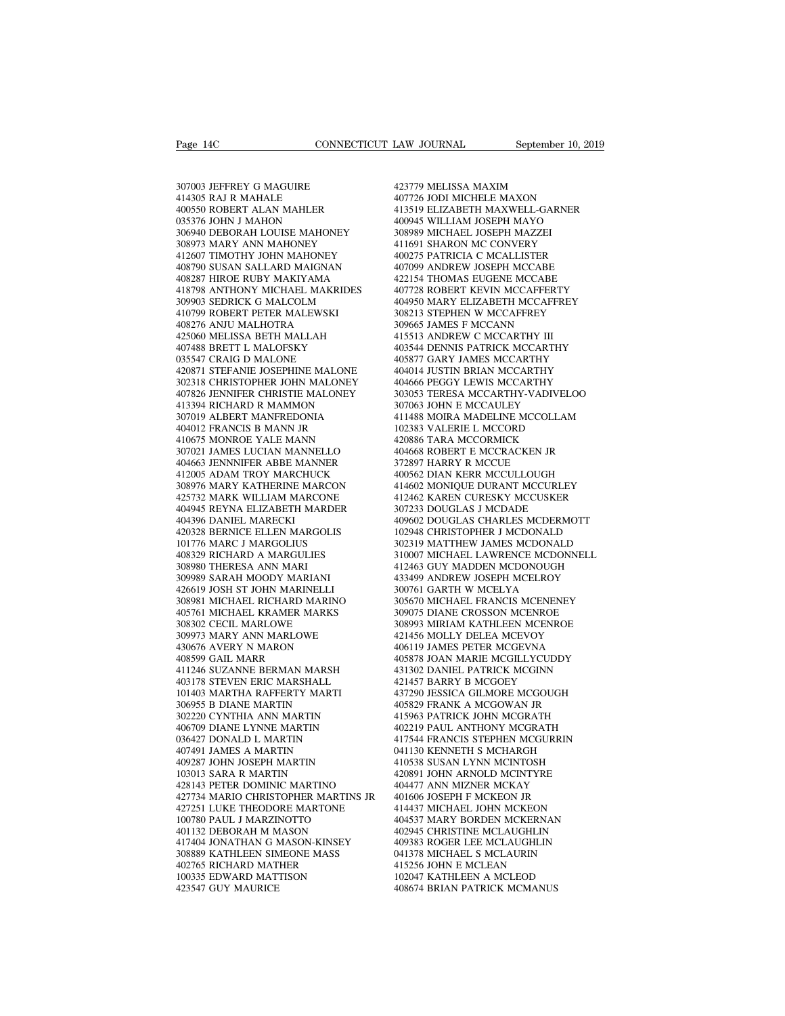Page 14C<br>307003 JEFFREY G MAGUIRE<br>414305 RAJ R MAHALE<br>400550 ROBERT ALAN MAHLER Page 14C<br>307003 JEFFREY G MAGUIRE<br>414305 RAJ R MAHALE<br>400550 ROBERT ALAN MAHLER<br>035376 JOHN J MAHON Page 14C<br>307003 JEFFREY G MAGUIRE<br>414305 RAJ R MAHALE<br>400550 ROBERT ALAN MAHLER<br>035376 JOHN J MAHON<br>306940 DEBORAH LOUISE MAHONEY  $[{\bf \texttt{Page 14C}}$ \begin{tabular}{l} \bf{Page 14C} \end{tabular} \begin{tabular}{l} \bf{CONNECTICUT LAW JOURNAL} \end{tabular} \end{tabular} \begin{tabular}{l} \bf{307003 IEFFREV G MAGUIRE} \end{tabular} \begin{tabular}{l} \bf{423779 MELISSA} \end{tabular} \end{tabular} \begin{tabular}{l} \bf{43519 ELLSBA} \end{tabular} \end{tabular} \begin{tabular}{l} \bf{4359 CLZABE} \end{tabular} \begin{tabular}{l} \bf{43519 ELLZABE} \end{$ 307003 JEFFREY G MAGUIRE<br>
41305 RAJ R MAHALE<br>
400550 ROBERT ALAN MAHLER<br>
3035376 JOHN J MAHON<br>
306940 DEBORAH LOUISE MAHONEY<br>
308973 MARY ANN MAHONEY<br>
411607 TIMOTHY JOHN MAHONEY<br>
4002 307003 JEFFREY G MAGUIRE<br>414305 RAJ R MAHALE<br>400550 ROBERT ALAN MAHLER<br>035376 JOHN J MAHON<br>306940 DEBORAH LOUISE MAHONEY<br>308973 MARY ANN MAHONEY<br>412607 TIMOTHY JOHN MAHONEY<br>408790 SUSAN SALLARD MAIGNAN 307003 JEFFREY G MAGUIRE 414305 RAJ R MAHALE 400550 ROBERT ALAN MAHLER 41<br>400550 ROBERT ALAN MAHLER 41<br>305376 JOHN J MAHON<br>306940 DEBORAH LOUISE MAHONEY 30<br>308973 MARY ANN MAHONEY 41<br>412607 TIMOTHY JOHN MAHONEY 40<br>408790 S 414305 RAJ R MAHALE 400550 ROBERT ALAN MAHLER 4113<br>035376 JOHN J MAHON 400<br>306940 DEBORAH LOUISE MAHONEY 308<br>408973 MARY ANN MAHONEY 414<br>412607 TIMOTHY JOHN MAHONEY 404<br>408790 SUSAN SALLARD MAIGNAN 407<br>408287 HIROE RUBY MA 400550 ROBERT ALAN MAHLER<br>035376 JOHN J MAHON<br>306940 DEBORAH LOUISE MAHONEY<br>308973 MARY ANN MAHONEY<br>412607 TIMOTHY JOHN MAHONEY<br>408790 SUSAN SALLARD MAHONEY<br>408287 HIROE RUBY MAKIYAMA<br>418798 ANTHONY MICHAEL MAKRIDES<br>309903 % 035376 JOHN J MAHON<br>
306940 DEBORAH LOUISE MAHONEY 308973 MARY ANN MAHONEY 411667 TIMOTHY JOHN MAHONEY 4002<br>
412607 TIMOTHY JOHN MAHONEY 4002<br>
40828790 SUSAN SALLARD MAIGNAN 4077<br>
408287 HIROE RUBY MAKIYAMA 4221<br>
418798 306940 DEBORAH LOUISE MAHONEY<br>
308973 MARY ANN MAHONEY<br>
412607 TIMOTHY JOHN MAHONEY<br>
408790 SUSAN SALLARD MAIGNAN<br>
408287 HIROE RUBY MAKIYAMA<br>
418798 ANTHONY MICHAEL MAKRIDES<br>
309903 SEDRICK G MALCOLM<br>
410799 ROBERT PETER 308973 MARY ANN MAHONEY<br>412607 TIMOTHY JOHN MAHONEY<br>408790 SUSAN SALLARD MAIGNAN<br>408287 HIROE RUBY MAKIYAMA<br>418798 ANTHONY MICHAEL MAKRIDES<br>309903 SEDRICK G MALCOLM<br>410799 ROBERT PETER MALEWSKI<br>408276 ANJU MALHOTRA<br>425060 412607 TIMOTHY JOHN MAHONEY<br>408790 SUSAN SALLARD MAIGNAN<br>408287 HIROE RUBY MAKIYAMA<br>418798 ANTHONY MICHAEL MAKRIDES<br>309903 SEDRICK G MALCOLM<br>410799 ROBERT PETER MALEWSKI<br>408276 ANJU MALHOTRA<br>425060 MELISSA BETH MALLAH<br>4074 408790 SUSAN SALLARD MAIGNAN<br>408287 HIROE RUBY MAKIYAMA<br>418798 ANTHONY MICHAEL MAKRIDES<br>309903 SEDRICK G MALCOLM<br>410799 ROBERT PETER MALEWSKI<br>408276 ANJU MALHOTRA<br>425060 MELISSA BETH MALLAH<br>407488 BRETT L MALOFSKY<br>035547 C 408287 HIROE RUBY MAKIYAMA<br>418798 ANTHONY MICHAEL MAKRIDES<br>309903 SEDRICK G MALCOLM<br>410799 ROBERT PETER MALEWSKI<br>408276 ANIU MALHOTRA<br>425060 MELISSA BETH MALLAH<br>407488 BRETT L MALOFSKY<br>035547 CRAIG D MALONE<br>420871 STEFANIE 418798 ANTHONY MICHAEL MAKRID.<br>309903 SEDRICK G MALCOLM<br>410799 ROBERT PETER MALEWSKI<br>408276 ANJU MALHOTRA<br>425060 MELISSA BETH MALLAH<br>407488 BRETT L MALONE<br>035547 CRAIG D MALONE<br>420871 STEFANIE JOSEPHINE MALON<br>302318 CHRIST %309903 SEDRICK G MALCOLM 410799 ROBERT PETER MALEWSKI 408276 ANJU MALHOTRA 3096<br>408276 ANJU MALHOTRA 3096<br>425060 MELISSA BETH MALLAH 4155<br>407488 BRETT L MALONE 4035<br>035547 CRAIG D MALONE 4058<br>420871 STEFANIE JOSEPHINE MAL 410799 ROBERT PETER MALEWSKI († 10799 ROBERT PETER MALLAH († 1030665)<br>123060 MELISSA BETH MALLAH († 115513)<br>1035547 CRAIG D MALONEY († 103877 130871 STEFANIE JOSEPHINE MALONE († 1038771 STEFANIE JOSEPHINE MALONEY († 104066  $\begin{tabular}{llllllll} 408276 &\text{ANIU MALHOTRA} & 309663 \\ 425060 &\text{MELISSA BETH MALLAH} & 415513 \\ 407488 &\text{BRETT L MALOFSKY} & 403544 \\ 035547 &\text{CRAIG D MALONE} & 408877 \\ 420871 & \text{STEFANIE JGENPHINE MALONE} & 404014 \\ 302318 & \text{CHRISTOPIER JOHN MALONEY} & 404666 \\ 407826 & \text{IENNIFER CHRISTIE MALONEY} & 303055 \\$ 425060 MELISSA BETH MALLAH<br>407488 BRETT L MALOFSKY<br>035547 CRAIG D MALONE<br>420871 STEFANIE JOSEPHINE MALONE<br>302318 CHRISTOPHER JOHN MALONEY<br>407826 JENNIFER CHRISTIE MALONEY<br>413394 RICHARD R MAMMON<br>307019 ALBERT MANFREDONIA<br>4 407488 BRETT L MALOFSKY<br>035547 CRAIG D MALONE<br>420871 STEFANIE JOSEPHINE MALONE<br>302318 CHRISTOPHER JOHN MALONEY<br>407826 JENNIFER CHRISTIE MALONEY<br>413394 RICHARD R MAMMON<br>307019 ALBERT MANFREDONIA<br>404012 FRANCIS B MANN JR<br>410 035547 CRAIG D MALONE<br>420871 STEFANIE JOSEPHINE MALONE<br>302318 CHRISTOPHER JOHN MALONEY<br>407826 JENNIFER CHRISTIE MALONEY<br>413394 RICHARD R MANMON<br>307019 ALBERT MANFREDONIA<br>4104012 FRANCIS B MANN JR<br>410675 MONROE YALE MANN<br>30 420871 STEFANIE JOSEPHINE MALONE<br>302318 CHRISTOPHER JOHN MALONEY<br>407826 JENNIFER CHRISTIE MALONEY<br>413394 RICHARD R MAMMON<br>307019 ALBERT MANFREDONIA<br>404012 FRANCIS B MANN JR<br>410675 MONROE YALE MANN<br>307021 JAMES LUCIAN MANNE 302318 CHRISTOPHER JOHN MALONEY 40-407826 JENNIFER CHRISTIE MALONEY 30:<br>413394 RICHARD R MAMMON 307<br>307019 ALBERT MANFREDONIA 41<br>404012 FRANCIS B MANN JR 102<br>401027 MONROE YALE MANNELLO 40-404663 JENNIFER ABBE MANNELLO 40-404663 JENNNIFER ABBE MANNER 413394 RICHARD R MAMMON<br>307019 ALBERT MANFREDONIA<br>404012 FRANCIS B MANN JR<br>410675 MONROE YALE MANN<br>307021 JAMES LUCIAN MANNELLO<br>404663 JENNNIFER ABBE MANNER<br>412005 ADAM TROY MARCHUCK<br>308976 MARY KATHERINE MARCON<br>425732 MAR 307019 ALBERT MANFREDONIA 404012 FRANCIS B MANN JR<br>410675 MONROE YALE MANN 4208<br>307021 JAMES LUCIAN MANNELLO 40464<br>404663 JENNNIFER ABBE MANNER 412005 ADAM TROY MARCHUCK 4005<br>308976 MARY KATHERINE MARCON 4001<br>4025732 MARK 404012 FRANCIS B MANN JR<br>410675 MONROE YALE MANN<br>307021 JAMES LUCIAN MANNELLO<br>404663 JENNNIFER ABBE MANNER<br>412005 ADAM TROY MARCHUCK<br>308976 MARY KATHERINE MARCON<br>425732 MARK WILLIAM MARCONE<br>404945 REYNA ELIZABETH MARDER<br>40 404945 REYNA ELIZABETH MARDER 307021 JAMES LUCIAN MANNELLO<br>404663 JENNNIFER ABBE MANNER<br>412005 ADAM TROY MARCHUCK<br>308976 MARY KATHERINE MARCON<br>425732 MARK WILLIAM MARCONE<br>404396 DANIEL MARECKI<br>404396 DANIEL MARGOLIN<br>420328 BERNICE ELLEN MARGOLIS<br>101776 404663 JENNNIFER ABBE MANNER<br>412005 ADAM TROY MARCHUCK<br>308976 MARY KATHERINE MARCON<br>425732 MARK WILLIAM MARCONE<br>404945 REYNA ELIZABETH MARDER<br>404396 DANIEL MARECKI<br>420328 BERNICE ELLEN MARGOLIS<br>101776 MARC J MARGOLIUS<br>4083 412005 ADAM TROY MARCHUCK<br>308976 MARY KATHERINE MARCON<br>425732 MARK WILLIAM MARCONE<br>404945 REYNA ELIZABETH MARDER<br>404366 DANIEL MARECKI<br>420328 BERNICE ELLEN MARGOLIS<br>101776 MARC J MARGOLIUS<br>408329 RICHARD A MARGULIES<br>308980 308976 MARY KATHERINE MARCON<br>425732 MARK WILLIAM MARCONE<br>404945 REYNA ELIZABETH MARDER<br>404396 DANIEL MARECKI<br>420328 BERNICE ELLEN MARGOLIS<br>101776 MARC J MARGOLIUS<br>408329 RICHARD A MARGULIES<br>308980 THERESA ANN MARI<br>309989 S 408329 RICHARD A MARGULIES<br>308980 THERESA ANN MARI<br>309989 SARAH MOODY MARIANI<br>426619 JOSH ST JOHN MARINELLI 404945 REYNA ELIZABETH MARDER<br>404396 DANIEL MARECKI<br>420328 BERNICE ELLEN MARGOLIS<br>101776 MARC J MARGOLIUS<br>408329 RICHARD A MARGULIES<br>309980 THERESA ANN MARI<br>309989 SARAH MOODY MARIANI<br>426619 JOSH ST JOHN MARINELLI<br>308981 M 404396 DANIEL MARECKI<br>420328 BERNICE ELLEN MARGOLIS<br>101776 MARC J MARGOLIUS<br>408329 RICHARD A MARGULIES<br>308980 THERESA ANN MARI<br>309989 SARAH MOODY MARIANI<br>426619 JOSH ST JOHN MARINELLI<br>308981 MICHAEL RICHARD MARINO<br>405761 M 308981 MICHAEL RICHARD MARINO 101776 MARC J MARGOLIUS<br>408329 RICHARD A MARGULIES<br>308980 THERESA ANN MARI<br>309989 SARAH MOODY MARIANI<br>426619 JOSH ST JOHN MARINELLI<br>308981 MICHAEL RICHARD MARINO<br>405761 MICHAEL KRAMER MARKS<br>308302 CECIL MARLOWE<br>309973 MARY 408329 RICHARD A MARGULIES<br>308980 THERESA ANN MARI<br>309989 SARAH MOODY MARIANI<br>426619 JOSH ST JOHN MARINELLI<br>308981 MICHAEL RICHARD MARINO<br>405761 MICHAEL KRAMER MARKS<br>308302 CECIL MARLOWE<br>309973 MARY ANN MARLOWE<br>430676 AVER 308980 THERESA ANN MARI<br>309989 SARAH MOODY MARIANI<br>426619 JOSH ST JOHN MARINELLI<br>308981 MICHAEL RICHARD MARINO<br>405761 MICHAEL KRAMER MARKS<br>308302 CECIL MARLOWE<br>309973 MARY ANN MARLOWE<br>430676 AVERY N MARON<br>408599 GAIL MARR 309989 SARAH MOODY MARIANI<br>426619 JOSH ST JOHN MARINELLI<br>308981 MICHAEL RICHARD MARINO<br>405761 MICHAEL KRAMER MARKS<br>308302 CECIL MARLOWE<br>309973 MARY ANN MARLOWE<br>430676 AVERY N MARON<br>408599 GAIL MARR<br>411246 SUZANNE BERMAN MA 426619 JOSH ST JOHN MARINEL<br>308981 MICHAEL RICHARD MAF<br>405761 MICHAEL KRAMER MAR<br>308302 CECIL MARLOWE<br>309973 MARY ANN MARLOWE<br>430676 AVERY N MARON<br>408599 GAIL MARR<br>411246 SUZANNE BERMAN MAR<br>403178 STEVEN ERIC MARSHAL 405761 MICHAEL RICHARD MARINO 30<br>405761 MICHAEL KRAMER MARKS 30<br>308302 CECIL MARLOWE 30<br>309973 MARY ANN MARLOWE 42<br>42<br>40676 AVERY N MARON 400<br>408599 GAIL MAR<br>411246 SUZANNE BERMAN MARSH 43<br>403178 STEVEN ERIC MARSHALL 42<br>10 405761 MICHAEL KRAMER MARKS<br>308302 CECIL MARLOWE<br>309973 MARY ANN MARLOWE<br>430676 AVERY N MARON<br>408599 GAIL MARR<br>411246 SUZANNE BERMAN MARSH<br>403178 STEVEN ERIC MARSHALL<br>101403 MARTHA RAFFERTY MARTI<br>306955 B DIANE MARTIN 308302 CECIL MARLOWE<br>309973 MARY ANN MARLOWE<br>430676 AVERY N MARON<br>408599 GAIL MARR<br>411246 SUZANNE BERMAN MARSH<br>403178 STEVEN ERIC MARSHALL<br>101403 MARTHA RAFFERTY MARTI<br>306955 B DIANE MARTIN<br>302220 CYNTHIA ANN MARTIN 309973 MARY ANN MARLOWE<br>430676 AVERY N MARON<br>408599 GAIL MARR<br>411246 SUZANNE BERMAN MARSH<br>403178 STEVEN ERIC MARSHALL<br>101403 MARTHA RAFFERTY MARTI<br>306955 B DIANE MARTIN<br>302220 CYNTHIA ANN MARTIN<br>406709 DIANE LYNNE MARTIN 430676 AVERY N MARON<br>408599 GAIL MARR<br>411246 SUZANNE BERMAN MARSH<br>403178 STEVEN ERIC MARSHALL<br>101403 MARTHA RAFFERTY MARTI<br>306955 B DIANE MARTIN<br>302220 CYNTHIA ANN MARTIN<br>406709 DIANE LYNNE MARTIN<br>036427 DONALD L MARTIN 408599 GAIL MARR<br>411246 SUZANNE BERMAN MARSH<br>403178 STEVEN ERIC MARSHALL<br>101403 MARTHA RAFFERTY MARTI<br>306955 B DIANE MARTIN<br>302220 CYNTHIA ANN MARTIN<br>406709 DIANE LYNNE MARTIN<br>036427 DONALD L MARTIN<br>407491 JAMES A MARTIN 411246 SUZANNE BERMAN MARSH<br>403178 STEVEN ERIC MARSHALL<br>101403 MARTHA RAFFERTY MARTI<br>306955 B DIANE MARTIN<br>302220 CYNTHIA ANN MARTIN<br>406709 DIANE LYNNE MARTIN<br>036427 DONALD L MARTIN<br>407491 JAMES A MARTIN<br>409287 JOHN JOSEPH 403178 STEVEN ERIC MARSHALL<br>101403 MARTHA RAFFERTY MARTI<br>306955 B DIANE MARTIN<br>302220 CYNTHIA ANN MARTIN<br>406709 DIANE LYNNE MARTIN<br>036427 DONALD L MARTIN<br>407491 JAMES A MARTIN<br>409287 JOHN JOSEPH MARTIN<br>103013 SARA R MARTIN 101403 MARTHA RAFFERTY MARTI<br>306955 B DIANE MARTIN<br>302220 CYNTHIA ANN MARTIN<br>406709 DIANE LYNNE MARTIN<br>036427 DONALD L MARTIN<br>409287 JOHN JOSEPH MARTIN<br>103013 SARA R MARTIN<br>103013 SARA R MARTIN<br>428143 PETER DOMINIC MARTINO 306955 B DIANE MARTIN<br>302220 CYNTHIA ANN MARTIN<br>406709 DIANE LYNNE MARTIN<br>036427 DONALD L MARTIN<br>407491 JAMES A MARTIN<br>409287 JOHN JOSEPH MARTIN<br>103013 SARA R MARTIN<br>428143 PETER DOMINIC MARTINO<br>427734 MARIO CHRISTOPHER MA 406709 DIANE LYNNE MARTIN 4406709 DIANE LYNNE MARTIN 4403427 DONALD L MARTIN 4407491 JAMES A MARTIN 4540287 JOHN JOSEPH MARTIN 4474913 ARARTIN 4427531 LUKE THEODORE MARTING 4427251 LUKE THEODORE MARTONE 4427251 LUKE THEODO 406709 DIANE LYNNE MARTIN 402219 P,<br>036427 DONALD L MARTIN 417544 FI<br>407491 JAMES A MARTIN 417544 FI<br>409287 JOHN JOSEPH MARTIN 410538 SI<br>428143 PETER DOMINIC MARTINO 404477 A<br>428143 PETER DOMINIC MARTINO 404477 A<br>427734 MA 036427 DONALD L MARTIN 00<br>407491 JAMES A MARTIN 00<br>409287 JOHN JOSEPH MARTIN 42<br>103013 SARA R MARTIN 0428143 PETER DOMINIC MARTINO 427734 MARIO CHRISTOPHER MARTINS JR 44<br>427734 MARIO CHRISTOPHER MARTINS JR 44<br>427251 LUKE T 407491 JAMES A MARTIN<br>409287 JOHN JOSEPH MARTIN<br>103013 SARA R MARTIN<br>428143 PETER DOMINIC MARTINO<br>427734 MARIO CHRISTOPHER MARTINS JR<br>427251 LUKE THEODORE MARTONE<br>100780 PAUL J MARZINOTTO<br>401132 DEBORAH M MASON<br>417404 JONA 409287 JOHN JOSEPH MARTIN<br>103013 SARA R MARTIN<br>428143 PETER DOMINIC MARTINO<br>427734 MARIO CHRISTOPHER MARTINS JR<br>427251 LUKE THEODORE MARTINO<br>100780 PAUL J MARZINOTTO<br>401132 DEBORAH M MASON<br>417404 JONATHAN G MASON-KINSEY<br>30  $\begin{tabular}{llllll} 103013 SARA R MARTIN & & & 42089 \\ 428143 PETER DOMINC MARTINO & & 40447 \\ 427734 MARIO CHRISTOPHER MARTINS JR & & 40160 \\ 427251 LUKE THEODORE MARTONE & & 41443 \\ 100780 PAUL J MARZINOTTO & & 40452 \\ 401132 DEDRAH M MASON & & 40294 \\ 417404 JONATHAN G MASON-KINSEY & & 40938 \\ 308889 KATHLEEN SIMEONE MASS & & 04137 \\ 402765 RICHARD M$ 428143 PETER DOMINIC MARTINO<br>427734 MARIO CHRISTOPHER MARTINS JR<br>427251 LUKE THEODORE MARTONE<br>100780 PAUL J MARZINOTTO<br>401132 DEBORAH M MASON<br>417404 JONATHAN G MASON-KINSEY<br>308889 KATHLEEN SIMEONE MASS<br>402765 RICHARD MATHE 427734 MARIO CHRISTOPHER MARTINS<br>427251 LUKE THEODORE MARTONE<br>100780 PAUL J MARZINOTTO<br>401132 DEBORAH M MASON<br>417404 JONATHAN G MASON-KINSEY<br>308889 KATHLEEN SIMEONE MASS<br>402765 RICHARD MATHER<br>100335 EDWARD MATTISON<br>423547 427251 LUKE THEODORE MARTONE<br>100780 PAUL J MARZINOTTO<br>401132 DEBORAH M MASON<br>417404 JONATHAN G MASON-KINSEY<br>308889 KATHLEEN SIMEONE MASS<br>402765 RICHARD MATHER<br>100335 EDWARD MATTISON<br>423547 GUY MAURICE 100780 PAUL J MARZINOTTO<br>401132 DEBORAH M MASON<br>417404 JONATHAN G MASON-KINSEY<br>308889 KATHLEEN SIMEONE MASS<br>402765 RICHARD MATHER<br>100335 EDWARD MATHISON<br>423547 GUY MAURICE

423779 MELISSA MAXIM 407726 JODI MICHELE MAXON 413519 ELIZABETH MAXWELL-GARNER 423779 MELISSA MAXIM<br>407726 JODI MICHELE MAXON<br>417519 ELIZABETH MAXWELL-GARNER<br>400945 WILLIAM JOSEPH MAYO<br>308989 MICHAEL JOSEPH MAZZEI<br>411691 SHARON MC CONVERY 423779 MELISSA MAXIM<br>407726 JODI MICHELE MAXON<br>413519 ELIZABETH MAXWELL-GARNER<br>400945 WILLIAM JOSEPH MAYO<br>308989 MICHAEL JOSEPH MAZZEI<br>411691 SHARON MC CONVERY<br>400275 PATRICIA C MCALLISTER 423779 MELISSA MAXIM<br>407726 JODI MICHELE MAXON<br>413519 ELIZABETH MAXWELL-GARNER<br>400945 WILLIAM JOSEPH MAZZEI<br>308989 MICHAEL JOSEPH MAZZEI<br>411691 SHARON MC CONVERY<br>400275 PATRICIA C MCALLISTER<br>407099 ANDREW JOSEPH MCCABE 423779 MELISSA MAXIM<br>407726 JODI MICHELE MAXON<br>413519 ELIZABETH MAXWELL-GARNER<br>400945 WILLIAM JOSEPH MAYO<br>308989 MICHAEL JOSEPH MAZZEI<br>411691 SHARON MC CONVERY<br>400275 PATRICIA C MCALLISTER<br>407099 ANDREW JOSEPH MCCABE<br>42215 407726 JODI MICHELE MAXON<br>413519 ELIZABETH MAXWELL-GARNER<br>400945 WILLIAM JOSEPH MAYO<br>308989 MICHAEL JOSEPH MAZZEI<br>411691 SHARON MC CONVERY<br>400275 PATRICIA C MCALLISTER<br>407099 ANDREW JOSEPH MCCABE<br>422154 THOMAS EUGENE MCCAB 413519 ELIZABETH MAXWELL-GARNER<br>400945 WILLIAM JOSEPH MAYO<br>308989 MICHAEL JOSEPH MAZZEI<br>411691 SHARON MC CONVERY<br>400275 PATRICIA C MCALLISTER<br>407099 ANDREW JOSEPH MCCABE<br>422154 THOMAS EUGENE MCCABE<br>407728 ROBERT KEVIN MCCA 400945 WILLIAM JOSEPH MAYO<br>308989 MICHAEL JOSEPH MAZZEI<br>411691 SHARON MC CONVERY<br>400275 PATRICIA C MCALLISTER<br>407099 ANDREW JOSEPH MCCABE<br>422154 THOMAS EUGENE MCCABE<br>407728 ROBERT KEVIN MCCAFFERTY<br>404950 MARY ELIZABETH MCC 308989 MICHAEL JOSEPH MAZZEI<br>411691 SHARON MC CONVERY<br>400275 PATRICIA C MCALLISTER<br>407099 ANDREW JOSEPH MCCABE<br>422154 THOMAS EUGENE MCCAFFERTY<br>404950 MARY ELIZABETH MCCAFFERTY<br>308213 STEPHEN W MCCAFFREY<br>309213 STEPHEN W MC 411691 SHARON MC CONVERY<br>400275 PATRICIA C MCALLISTER<br>407099 ANDREW JOSEPH MCCABE<br>422154 THOMAS EUGENE MCCABE<br>407728 ROBERT KEVIN MCCAFFREY<br>404950 MARY ELIZABETH MCCAFFREY<br>308213 STEPHEN W MCCAFFREY<br>309665 JAMES F MCCANN<br>4 400275 PATRICIA C MCALLISTER<br>407099 ANDREW JOSEPH MCCABE<br>422154 THOMAS EUGENE MCCABE<br>407728 ROBERT KEVIN MCCAFFERTY<br>404950 MARY ELIZABETH MCCAFFREY<br>308213 STEPHEN W MCCAFFREY<br>309665 JAMES F MCCANN<br>415513 ANDREW C MCCARTHY 407099 ANDREW JOSEPH MCCABE<br>422154 THOMAS EUGENE MCCABE<br>407728 ROBERT KEVIN MCCAFFERTY<br>404950 MARY ELIZABETH MCCAFFREY<br>308213 STEPHEN W MCCAFFREY<br>309665 JAMES F MCCANN<br>415513 ANDREW C MCCARTHY III<br>403544 DENNIS PATRICK MCC 422154 THOMAS EUGENE MCCABE<br>407728 ROBERT KEVIN MCCAFFERTY<br>404950 MARY ELIZABETH MCCAFFREY<br>308213 STEPHEN W MCCAFFREY<br>403665 JAMES F MCCARTHY III<br>415513 ANDREW C MCCARTHY III<br>403544 DENNIS PATRICK MCCARTHY<br>406877 GARY JAME 407728 ROBERT KEVIN MCCAFFERTY<br>404950 MARY ELIZABETH MCCAFFREY<br>308213 STEPHEN W MCCAFFREY<br>309665 JAMES F MCCANN<br>415513 ANDREW C MCCARTHY III<br>403344 DENNIS PATRICK MCCARTHY<br>403877 GARY JAMES MCCARTHY<br>404014 JUSTIN BRIAN MCC 404950 MARY ELIZABETH MCCAFFREY<br>308213 STEPHEN W MCCAFFREY<br>309665 JAMES F MCCANN<br>415513 ANDREW C MCCARTHY III<br>403544 DENNIS PATRICK MCCARTHY<br>404614 JUSTIN BRIAN MCCARTHY<br>404014 JUSTIN BRIAN MCCARTHY<br>404666 PEGGY LEWIS MCCA 308213 STEPHEN W MCCAFFREY<br>309665 JAMES F MCCANN<br>415513 ANDREW C MCCARTHY III<br>403544 DENNIS PATRICK MCCARTHY<br>405877 GARY JAMES MCCARTHY<br>404066 PEGGY LEWIS MCCARTHY<br>303053 TERESA MCCARTHY-VADIVELOO<br>307063 JOHN E MCCAULEY 309665 JAMES F MCCANN<br>415513 ANDREW C MCCARTHY III<br>403544 DENNIS PATRICK MCCARTHY<br>405877 GARY JAMES MCCARTHY<br>404066 PEGGY LEWIS MCCARTHY<br>303053 TERESA MCCARTHY-VADIVELOO<br>307063 JOHN E MCCAULEY<br>411488 MOIRA MADELINE MCCOLLA 415513 ANDREW C MCCARTHY III<br>403544 DENNIS PATRICK MCCARTHY<br>405877 GARY JAMES MCCARTHY<br>404014 JUSTIN BRIAN MCCARTHY<br>40466 PEGGY LEWIS MCCARTHY<br>303053 TERESA MCCARTHY-VADIVELOO<br>307063 JOHN E MCCAULEY<br>411488 MOIRA MADELINE M 403544 DENNIS PATRICK MCCARTHY<br>405877 GARY JAMES MCCARTHY<br>404014 JUSTIN BRIAN MCCARTHY<br>404666 PEGGY LEWIS MCCARTHY<br>303053 TERESA MCCARTHY-VADIVELOO<br>307063 JOHN E MCCAULEY<br>411488 MOIRA MADELINE MCCOLLAM<br>102383 VALERIE L MCC 405877 GARY JAMES MCCARTHY<br>404014 JUSTIN BRIAN MCCARTHY<br>404666 PEGGY LEWIS MCCARTHY<br>303053 TERESA MCCARTHY-VADIVELOO<br>307063 JOHN E MCCAULEY<br>411488 MOIRA MADELINE MCCOLLAM<br>102383 VALERIE L MCCORD<br>420886 TARA MCCORMICK<br>40466 404014 JUSTIN BRIAN MCCARTHY<br>404666 PEGGY LEWIS MCCARTHY<br>303053 TERESA MCCARTHY-VADIVELOC<br>307063 JOHN E MCCAULEY<br>411488 MOIRA MADELINE MCCOLLAM<br>102383 VALERIE L MCCORDI<br>420886 TARA MCCORMICK<br>404668 ROBERT E MCCRACKEN JR<br>37 404666 PEGGY LEWIS MCCARTHY<br>303053 TERESA MCCARTHY-VADIVELOO<br>307063 JOHN E MCCAULEY<br>411488 MOIRA MADELINE MCCOLLAM<br>102383 VALERIE L MCCORMICK<br>420886 TARA MCCORMICK<br>404668 ROBERT E MCCRACKEN JR<br>372897 HARRY R MCCUE<br>400562 D 303053 TERESA MCCARTHY-VADIVE<br>307063 JOHN E MCCAULEY<br>411488 MOIRA MADELINE MCCOLLA<br>102383 VALERIE L MCCORD<br>420886 TARA MCCORMICK<br>404668 ROBERT E MCCRACKEN JR<br>372897 HARRY R MCCUE<br>400562 DIAN KERR MCCULLOUGH<br>414602 MONIQUE 307063 JOHN E MCCAULEY<br>411488 MOIRA MADELINE MCCOLLAM<br>102383 VALERIE L MCCORD<br>420886 TARA MCCORMICK<br>404668 ROBERT E MCCRACKEN JR<br>372897 HARRY R MCCULE<br>403562 DIAN KERR MCCULLOUGH<br>414602 MONIQUE DURANT MCCURLEY<br>412462 KAREN 411488 MOIRA MADELINE MCCOLLAM<br>102383 VALERIE L MCCORD<br>420886 TARA MCCORMICK<br>404668 ROBERT E MCCRACKEN JR<br>372897 HARRY R MCCUE<br>400562 DIAN KERR MCCULLOUGH<br>414602 MONIQUE DURANT MCCURLEY<br>412462 KAREN CURESKY MCCUSKER<br>307233 102383 VALERIE L MCCORD<br>420886 TARA MCCORMICK<br>404668 ROBERT E MCCRACKEN JR<br>400562 DIAN KERR MCCUE<br>401662 DIAN KERR MCCULLOUGH<br>414602 MONIQUE DURANT MCCURLEY<br>412462 KAREN CURESKY MCCUSKER<br>307233 DOUGLAS J MCDADE<br>409602 DOUG 420886 TARA MCCORMICK<br>404668 ROBERT E MCCRACKEN JR<br>372897 HARRY R MCCUE<br>400562 DIAN KERR MCCULLOUGH<br>414602 MONIQUE DURANT MCCURLEY<br>412462 KAREN CURESKY MCCUSKER<br>307233 DOUGLAS J MCDADE<br>409602 DOUGLAS CHARLES MCDERMOTT<br>1029 404668 ROBERT E MCCRACKEN JR<br>372897 HARRY R MCCUE<br>400562 DIAN KERR MCCULLOUGH<br>414602 MONIQUE DURANT MCCURLEY<br>412462 KAREN CURESKY MCCUSKER<br>307233 DOUGLAS J MCDADE<br>409602 DOUGLAS CHARLES MCDERMOTT<br>102948 CHRISTOPHER J MCDON 372897 HARRY R MCCUE<br>400562 DIAN KERR MCCULLOUGH<br>414602 MONIQUE DURANT MCCURLEY<br>412462 KAREN CURESKY MCCUSKER<br>307233 DOUGLAS J MCDADE<br>409602 DOUGLAS CHARLES MCDERMOTT<br>102948 CHRISTOPHER J MCDONALD<br>302319 MATTHEW JAMES MCDO 400562 DIAN KERR MCCULLOUGH<br>414602 MONIQUE DURANT MCCURLEY<br>412462 KAREN CURESKY MCCUSKER<br>307233 DOUGLAS J MCDADE<br>409602 DOUGLAS CHARLES MCDERMOTT<br>102948 CHRISTOPHER J MCDONALD<br>302319 MATTHEW JAMES MCDONALD<br>310007 MICHAEL L 414602 MONIQUE DURANT MCCURLEY<br>412462 KAREN CURESKY MCCUSKER<br>307233 DOUGLAS J MCDADE<br>409602 DOUGLAS CHARLES MCDERMOTT<br>102948 CHRISTOPHER J MCDONALD<br>302319 MATTHEW JAMES MCDONALD<br>310007 MICHAEL LAWRENCE MCDONNELL<br>412463 GUY 412462 KAREN CURESKY MCCUSKER<br>307233 DOUGLAS J MCDADE<br>409602 DOUGLAS CHARLES MCDERMOTT<br>102948 CHRISTOPHER J MCDONALD<br>302319 MATTHEW JAMES MCDONALD<br>310007 MICHAEL LAWRENCE MCDONOUGH<br>412463 GUY MADDEN MCDONOUGH<br>433499 ANDREW 307233 DOUGLAS J MCDADE<br>409602 DOUGLAS CHARLES MCDERMOTT<br>102948 CHRISTOPHER J MCDONALD<br>302319 MATTHEW JAMES MCDONALD<br>310007 MICHAEL LAWRENCE MCDONALD<br>413443 GUY MADDEN MCDONOUGH<br>433499 ANDREW JOSEPH MCELROY<br>300761 GARTH W 302319 MATTHEW JAMES MCDONALD<br>310007 MICHAEL LAWRENCE MCDONNELL<br>412463 GUY MADDEN MCDONOUGH<br>433499 ANDREW JOSEPH MCELROY<br>300761 GARTH W MCELYA<br>305670 MICHAEL FRANCIS MCENENEY<br>309075 DIANE CROSSON MCENROE 102948 CHRISTOPHER J MCDONALD<br>302319 MATTHEW JAMES MCDONALD<br>310007 MICHAEL LAWRENCE MCDONNELL<br>412463 GUY MADDEN MCDONOUGH<br>433499 ANDREW JOSEPH MCELROY<br>300761 GARTH W MCELYA<br>305670 MICHAEL FRANCIS MCENENEY<br>309075 DIANE CROS 302319 MATTHEW JAMES MCDONALD<br>310007 MICHAEL LAWRENCE MCDONNELL<br>412463 GUY MADDEN MCDONOUGH<br>433499 ANDREW JOSEPH MCELROY<br>300761 GARTH W MCELYA<br>305670 MICHAEL FRANCIS MCENENEY<br>309075 DIANE CROSSON MCENROE<br>308993 MIRIAM KATH 310007 MICHAEL LAWRENCE MCDONNELL<br>412463 GUY MADDEN MCDONOUGH<br>433499 ANDREW JOSEPH MCELROY<br>300761 GARTH W MCELYA<br>305670 MICHAEL FRANCIS MCENENEY<br>309075 DIANE CROSSON MCENROE<br>308993 MIRIAM KATHLEEN MCENROE<br>421456 MOLLY DELE 412463 GUY MADDEN MCDONOUGH<br>433499 ANDREW JOSEPH MCELROY<br>300761 GARTH W MCELYA<br>305670 MICHAEL FRANCIS MCENENEY<br>309075 DIANE CROSSON MCENROE<br>308993 MIRIAM KATHLEEN MCENROE<br>421456 MOLLY DELEA MCEVOY<br>406119 JAMES PETER MCGEVN 433499 ANDREW JOSEPH MCELROY<br>300761 GARTH W MCELYA<br>305670 MICHAEL FRANCIS MCENENEY<br>309075 DIANE CROSSON MCENROE<br>308993 MIRIAM KATHLEEN MCENROE<br>421456 MOLLY DELEA MCGUVNA<br>406119 JAMES PETER MCGEVNA<br>405878 JOAN MARIE MCGILLY 300761 GARTH W MCELYA<br>305670 MICHAEL FRANCIS MCENENEY<br>309075 DIANE CROSSON MCENROE<br>308993 MIRIAM KATHLEEN MCENROE<br>421456 MOLLY DELEA MCEVOY<br>406119 JAMES PETER MCGEVNA<br>405878 JOAN MARIE MCGILLYCUDDY<br>431302 DANIEL PATRICK MC 305670 MICHAEL FRANCIS MCENENEY<br>309075 DIANE CROSSON MCENROE<br>308993 MIRIAM KATHLEEN MCENROE<br>421456 MOLLY DELEA MCEVOY<br>406119 JAMES PETER MCGILLYCUDDY<br>405878 JOAN MARIE MCGILLYCUDDY<br>431302 DANIEL PATRICK MCGINN<br>421457 BARRY 309075 DIANE CROSSON MCENROE<br>308993 MIRIAM KATHLEEN MCENROE<br>421456 MOLLY DELEA MCEVOY<br>406119 JAMES PETER MCGEVNA<br>405878 JOAN MARIE MCGILYCUDDY<br>431302 DANIEL PATRICK MCGINN<br>421457 BARRY B MCGOEY<br>437290 JESSICA GILMORE MCGOU 308993 MIRIAM KATHLEEN MCENROE<br>421456 MOLLY DELEA MCEVOY<br>406119 JAMES PETER MCGEVNA<br>405878 JOAN MARIE MCGILLYCUDDY<br>431302 DANIEL PATRICK MCGINN<br>421457 BARRY B MCGOEY<br>437290 JESSICA GILMORE MCGOUGH<br>405829 FRANK A MCGOWAN JR 421456 MOLLY DELEA MCEVOY<br>406119 JAMES PETER MCGEVNA<br>405878 JOAN MARIE MCGILLYCUDDY<br>431302 DANIEL PATRICK MCGINN<br>421457 BARRY B MCGOEY<br>405829 JESSICA GILMORE MCGOUGH<br>405829 FRANK A MCGOWAN JR<br>415963 PATRICK JOHN MCGRATH<br>40 406119 JAMES PETER MCGEVNA<br>405878 JOAN MARIE MCGILLYCUDDY<br>431302 DANIEL PATRICK MCGINN<br>421457 BARRY B MCGOEY<br>437290 JESSICA GILMORE MCGOUGH<br>405829 FRANK A MCGOWAN JR<br>415963 PATRICK JOHN MCGRATH<br>402219 PAUL ANTHONY MCGRATH<br> 405878 JOAN MARIE MCGILLYCUDDY<br>431302 DANIEL PATRICK MCGINN<br>421457 BARRY B MCGOEY<br>437290 JESSICA GILMORE MCGOUGH<br>405829 FRANK A MCGOWAN JR<br>415963 PATRICK JOHN MCGRATH<br>402219 PAUL ANTHONY MCGRATH<br>417544 FRANCIS STEPHEN MCGU 431302 DANIEL PATRICK MCGINN<br>421457 BARRY B MCGOEY<br>437290 JESSICA GILMORE MCGOUGH<br>405829 FRANK A MCGOWAN JR<br>415963 PATRICK JOHN MCGRATH<br>402219 PAUL ANTHONY MCGRATH<br>417544 FRANCIS STEPHEN MCGURRIN<br>041130 KENNETH S MCHARGH<br>4 421457 BARRY B MCGOEY<br>437290 JESSICA GILMORE MCGOUGH<br>405829 FRANK A MCGOWAN JR<br>415963 PATRICK JOHN MCGRATH<br>412219 PAUL ANTHONY MCGRATH<br>417544 FRANCIS STEPHEN MCGURRIN<br>041130 KENNETH S MCHARGH<br>410538 SUSAN LYNN MCINTOSH<br>420 437290 JESSICA GILMORE MCGOUGH<br>405829 FRANK A MCGOWAN JR<br>415963 PATRICK JOHN MCGRATH<br>402219 PAUL ANTHONY MCGRATH<br>417544 FRANCIS STEPHEN MCGURRIN<br>041130 KENNETH S MCHARGH<br>410538 SUSAN LYNN MCINTOSH<br>420891 JOHN ARNOLD MCINTY 405829 FRANK A MCGOWAN JR<br>415963 PATRICK JOHN MCGRATH<br>402219 PAUL ANTHONY MCGRATH<br>417544 FRANCIS STEPHEN MCGURRIN<br>041130 KENNETH S MCHARGH<br>410538 SUSAN LYNN MCINTOSH<br>420891 JOHN ARNOLD MCINTYRE<br>404477 ANN MIZNER MCKAY<br>4016 415963 PATRICK JOHN MCGRATH<br>402219 PAUL ANTHONY MCGRATH<br>417544 FRANCIS STEPHEN MCGURRIN<br>041130 KENNETH S MCHARGH<br>410538 SUSAN LYNN MCINTOSH<br>420891 JOHN ARNOLD MCINTYRE<br>404477 ANN MIZNER MCKAY<br>401606 JOSEPH F MCKEON JR<br>4144 402219 PAUL ANTHONY MCGRATH<br>417544 FRANCIS STEPHEN MCGURRIN<br>041130 KENNETH S MCHARGH<br>410538 SUSAN LYNN MCINTOSH<br>420891 JOHN ARNOLD MCINTYRE<br>404477 ANN MIZNER MCKAY<br>401606 JOSEPH F MCKEON JR<br>414437 MICHAEL JOHN MCKEON<br>40453 417544 FRANCIS STEPHEN MCGURRIN<br>041130 KENNETH S MCHARGH<br>410538 SUSAN LYNN MCINTOSH<br>420891 JOHN ARNOLD MCINTYRE<br>404477 ANN MIZNER MCKAY<br>411666 JOSEPH F MCKEON JR<br>414437 MICHAEL JOHN MCKEON<br>404537 MARY BORDEN MCKERNAN<br>40294 041130 KENNETH S MCHARGH<br>410538 SUSAN LYNN MCINTOSH<br>420891 JOHN ARNOLD MCINTYRE<br>404477 ANN MIZNER MCKAY<br>401606 JOSEPH F MCKEON JR<br>414437 MICHAEL JOHN MCKEON<br>404537 MARY BORDEN MCKERNAN<br>402945 CHRISTINE MCLAUGHLIN<br>409383 RO 410538 SUSAN LYNN MCINTOSH<br>420891 JOHN ARNOLD MCINTYRE<br>404477 ANN MIZNER MCKAY<br>401606 JOSEPH F MCKEON JR<br>414437 MICHAEL JOHN MCKEON<br>404537 MARY BORDEN MCKERNAN<br>402945 CHRISTINE MCLAUGHLIN<br>409383 ROGER LEE MCLAUGHLIN<br>041378 420891 JOHN ARNOLD MCINTYRE<br>404477 ANN MIZNER MCKAY<br>401606 JOSEPH F MCKEON JR<br>414437 MICHAEL JOHN MCKEON<br>404537 MARY BORDEN MCKERNAN<br>402945 CHRISTINE MCLAUGHLIN<br>409383 ROGER LEE MCLAUGHLIN<br>041378 MICHAEL S MCLAURIN<br>415256 404477 ANN MIZNER MCKAY<br>401606 JOSEPH F MCKEON JR<br>414437 MICHAEL JOHN MCKEON<br>404537 MARY BORDEN MCKERNAN<br>402945 CHRISTINE MCLAUGHLIN<br>409383 ROGER LEE MCLAUGHLIN<br>041378 MICHAEL S MCLAURIN<br>415256 JOHN E MCLEAN<br>102047 KATHLEE 401606 JOSEPH F MCKEON JR<br>414437 MICHAEL JOHN MCKEON<br>404537 MARY BORDEN MCKERNAN<br>402945 CHRISTINE MCLAUGHLIN<br>409383 ROGER LEE MCLAUGHLIN<br>041378 MICHAEL S MCLAURIN<br>415256 JOHN E MCLEAN<br>102047 KATHLEEN A MCLEOD<br>408674 BRIAN 414437 MICHAEL JOHN MCKEON<br>404537 MARY BORDEN MCKERNAN<br>402945 CHRISTINE MCLAUGHLIN<br>409383 ROGER LEE MCLAUGHLIN<br>041378 MICHAEL S MCLAURIN<br>11525 JOHN E MCLEON<br>102047 KATHLEEN A MCLEOD<br>408674 BRIAN PATRICK MCMANUS 404537 MARY BORDEN MCKERNAN<br>402945 CHRISTINE MCLAUGHLIN<br>409383 ROGER LEE MCLAUGHLIN<br>041378 MICHAEL S MCLAURIN<br>415256 JOHN E MCLEAN<br>102047 KATHLEEN A MCLEOD<br>408674 BRIAN PATRICK MCMANUS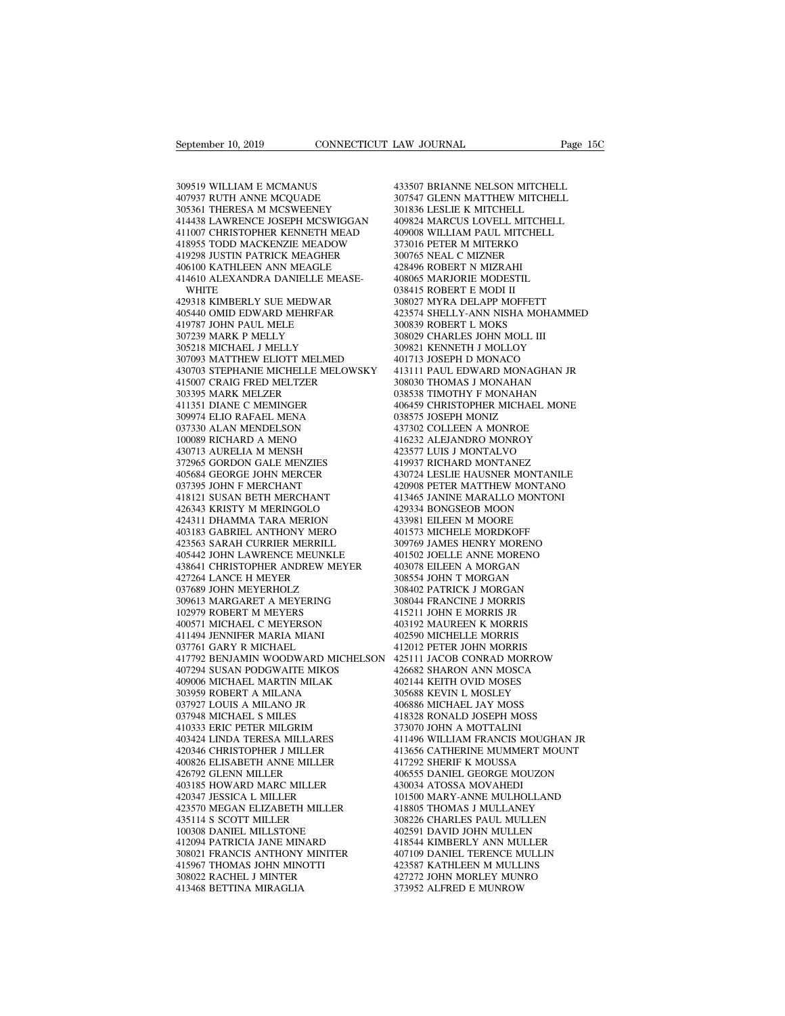September 10, 2019<br>309519 WILLIAM E MCMANUS<br>407937 RUTH ANNE MCQUADE<br>305361 THERESA M MCSWEENEY September 10, 2019<br>
309519 WILLIAM E MCMANUS<br>
407937 RUTH ANNE MCQUADE<br>
305361 THERESA M MCSWEENEY<br>
414438 LAWRENCE JOSEPH MCSWIGGAN September 10, 2019<br>
309519 WILLIAM E MCMANUS<br>
309519 WILLIAM E MCMANUS<br>
407937 RUTH ANNE MCQUADE<br>
305361 THERESA M MCSWEENEY<br>
414438 LAWRENCE JOSEPH MCSWIGGAN<br>
411007 CHRISTOPHER KENNETH MEAD 433507 B<br>
407937 RUTH ANNE MCQUADE<br>
407937 RUTH ANNE MCQUADE<br>
407937 HERESA M MCSWEENEY<br>
414438 LAWRENCE JOSEPH MCSWIGGAN<br>
411007 CHRISTOPHER KENNETH MEAD<br>
409008 WACKENZIE MEADOW<br>
418955 TODD MACKENZIE MEADOW<br>
473016 P 409519 WILLIAM E MCMANUS<br>407937 RUTH ANNE MCQUADE 307547<br>305361 THERESA M MCSWEENEY 301836<br>414438 LAWRENCE JOSEPH MCSWIGGAN 409824<br>411007 CHRISTOPHER KENNETH MEAD 409008<br>418955 TODD MACKENZIE MEADOW 373016<br>419298 JUSTIN PA 309519 WILLIAM E MCMANUS<br>
407937 RUTH ANNE MCQUADE 307547 C<br>
305361 THERESA M MCSWEENEY 301836 L<br>
4144385 TODD MACKENZIE MEADOW 409824 A<br>
411007 CHRISTOPHER KENNETH MEAD 409008 V<br>
418955 TODD MACKENZIE MEADOW 373016 P<br>
419 309519 WILLIAM E MCMANUS<br>
407937 RUTH ANNE MCQUADE<br>
305361 THERESA M MCSWEENEY<br>
414438 LAWRENCE JOSEPH MCSWIGGAN<br>
411007 CHRISTOPHER KENNETH MEAD<br>
418955 TODD MACKENZIE MEADOW<br>
419298 JUSTIN PATRICK MEAGHER<br>
406100 KATHLEE 407937 RUTH ANNE MCQUADE<br>305361 THERESA M MCSWEENEY<br>414438 LAWRENCE JOSEPH MCSWIGGAN<br>411007 CHRISTOPHER KENNETH MEAD<br>418955 TODD MACKENZIE MEAGHER<br>419298 JUSTIN PATRICK MEAGHER<br>406100 KATHLEEN ANN MEAGLE<br>414610 ALEXANDRA D 305361 THERESA M MCSWEENEY<br>414438 LAWRENCE JOSEPH MCSWIGGAN<br>411007 CHRISTOPHER KENNETH MEAD<br>418955 TODD MACKENZIE MEADOW<br>419298 JUSTIN PATRICK MEAGHER<br>406100 KATHLEEN ANN MEAGLE<br>414610 ALEXANDRA DANIELLE MEASE-<br>WHITE<br>42931 **WHITE** 411007 CHRISTOPHER KENNETH MEAD<br>418955 TODD MACKENZIE MEADOW<br>419298 JUSTIN PATRICK MEAGHER<br>406100 KATHLEEN ANN MEAGLE<br>414610 ALEXANDRA DANIELLE MEASE-<br>WHITE<br>429318 KIMBERLY SUE MEDWAR<br>405440 OMID EDWARD MEHRFAR<br>419787 JOHN 418955 TODD MACKENZIE MEADOW<br>419298 JUSTIN PATRICK MEAGHER<br>406100 KATHLEEN ANN MEAGLE<br>414610 ALEXANDRA DANIELLE MEASE-<br>WHITE<br>429318 KIMBERLY SUE MEDWAR<br>405440 OMID EDWARD MEHRFAR<br>419787 JOHN PAUL MELE<br>307239 MARK P MELLY 419298 JUSTIN PATRICK MEAGHER<br>406100 KATHLEEN ANN MEAGLE<br>414610 ALEXANDRA DANIELLE MEA<br>wHITE<br>429318 KIMBERLY SUE MEDWAR<br>405440 OMID EDWARD MEHRFAR<br>419787 JOHN PAUL MELE<br>307239 MARK P MELLY<br>305218 MICHAEL J MELLY 406100 KATHLEEN ANN MEAGLE<br>414610 ALEXANDRA DANIELLE MEA:<br>429318 KIMBERLY SUE MEDWAR<br>429318 KIMBERLY SUE MEDWAR<br>419787 JOHN PAUL MELE<br>419787 JOHN PAUL MELE<br>307239 MARK P MELLY<br>307239 MARK P MELLY<br>307093 MATTHEW ELIOTT MELM 414610 ALEXANDRA DANIELLE MEASE-<br>WHITE<br>429318 KIMBERLY SUE MEDWAR<br>405440 OMID EDWARD MEHRFAR<br>419787 JOHN PAUL MELE<br>307239 MARK P MELLY<br>307231 MICHAEL J MELLY<br>307093 MATTHEW ELIOTT MELMED<br>430703 STEPHANIE MICHELLE MELOWS WHITE 038<br>
429318 KIMBERLY SUE MEDWAR 308<br>
405440 OMID EDWARD MEHRFAR 423<br>
419787 JOHN PAUL MELE 300<br>
307239 MARK P MELLY 509<br>
307093 MATTHEW ELIOTT MELMED 401<br>
430703 STEPHANIE MICHELLE MELOWSKY 413<br>
415007 CRAIG FRED MEL 430703 STEPHANIE MICHELLE MELOWSKY 405440 OMID EDWARD MEHRFAR<br>419787 JOHN PAUL MELE<br>307239 MARK P MELLY<br>305218 MICHAEL J MELLY<br>4307093 MATTHEW ELIOTT MELMED<br>430703 STEPHANIE MICHELLE MELOWSKY<br>415007 CRAIG FRED MELTZER<br>303395 MARK MELZER<br>411351 DIANE C MEMIN 419787 JOHN PAUL MELE<br>307239 MARK P MELLY<br>305218 MICHAEL J MELLY<br>307093 MATTHEW ELIOTT MELMED<br>430703 STEPHANIE MICHELLE MELOWSKY<br>415007 CRAIG FRED MELTZER<br>303395 MARK MELZER<br>411351 DIANE C MEMINGER<br>309974 ELIO RAFAEL MENA 307239 MARK P MELLY<br>305218 MICHAEL J MELLY<br>307093 MATTHEW ELIOTT MELMED<br>430703 STEPHANIE MICHELLE MELOWSK<br>415007 CRAIG FRED MELTZER<br>303395 MARK MELZER<br>411351 DIANE C MEMINGER<br>309974 ELIO RAFAEL MENA<br>037330 ALAN MENDELSON 305218 MICHAEL J MELLY<br>307093 MATTHEW ELIOTT MELMED<br>430703 STEPHANIE MICHELLE MELOWSK<br>415007 CRAIG FRED MELTZER<br>303395 MARK MELZER<br>4111351 DIANE C MEMINGER<br>309974 ELIO RAFAEL MENA<br>037330 ALAN MENDELSON<br>100089 RICHARD A MEN 307093 MATTHEW ELIOTT MELMED<br>430703 STEPHANIE MICHELLE MELOWSF<br>415007 CRAIG FRED MELTZER<br>303395 MARK MELZER<br>411351 DIANE C MEMINGER<br>609974 ELIO RAFAEL MENA<br>037330 ALAN MENDELSON<br>100089 RICHARD A MENO<br>430713 AURELIA M MENSH 430703 STEPHANIE MICHELLE MELOWS<br>415007 CRAIG FRED MELTZER<br>303395 MARK MELZER<br>411351 DIANE C MEMINGER<br>309974 ELIO RAFAEL MENA<br>0037330 ALAN MENDELSON<br>100089 RICHARD A MENO<br>430713 AURELIA M MENSH<br>372965 GORDON GALE MENZIES 415007 CRAIG FRED MELTZER<br>303395 MARK MELZER<br>411351 DIANE C MEMINGER<br>309974 ELIO RAFAEL MENA<br>037330 ALAN MENDELSON<br>100089 RICHARD A MENO<br>430713 AURELIA M MENSH<br>372965 GORDON GALE MENZIES<br>405684 GEORGE JOHN MERCER 303395 MARK MELZER<br>411351 DIANE C MEMINGER<br>309974 ELIO RAFAEL MENA<br>037330 ALAN MENDELSON<br>100089 RICHARD A MENO<br>430713 AURELIA M MENSH<br>372965 GORDON GALE MENZIES<br>405684 GEORGE JOHN MERCER<br>037395 JOHN F MERCHANT 411351 DIANE C MEMINGER<br>309974 ELIO RAFAEL MENA<br>037330 ALAN MENDELSON<br>100089 RICHARD A MENO<br>430713 AURELIA M MENSH<br>372965 GORDON GALE MENZIES<br>405684 GEORGE JOHN MERCER<br>037395 JOHN F MERCHANT<br>418121 SUSAN BETH MERCHANT 309974 ELIO RAFAEL MENA<br>037330 ALAN MENDELSON<br>100089 RICHARD A MENO<br>430713 AURELIA M MENSH<br>372965 GORDON GALE MENZIES<br>405684 GEORGE JOHN MERCER<br>037395 JOHN F MERCHANT<br>418121 SUSAN BETH MERCHANT<br>426343 KRISTY M MERINGOLO 037330 ALAN MENDELSON<br>100089 RICHARD A MENO<br>430713 AURELIA M MENSH<br>372965 GORDON GALE MENZIES<br>05584 GEORGE JOHN MERCER<br>037395 JOHN F MERCHANT<br>418121 SUSAN BETH MERCHANT<br>426343 KRISTY M MERINGOLO<br>424311 DHAMMA TARA MERION 100089 RICHARD A MENO<br>430713 AURELIA M MENSH<br>372965 GORDON GALE MENZIES<br>405684 GEORGE JOHN MERCER<br>037395 JOHN F MERCHANT<br>418121 SUSAN BETH MERCHANT<br>426343 KRISTY M MERINGOLO<br>424311 DHAMMA TARA MERION<br>403183 GABRIEL ANTHONY 430713 AURELIA M MENSH<br>372965 GORDON GALE MENZIES<br>405684 GEORGE JOHN MERCER<br>037395 JOHN F MERCHANT<br>418121 SUSAN BETH MERCHANT<br>426343 KRISTY M MERINGOLO<br>424311 DHAMMA TARA MERION<br>403183 GABRIEL ANTHONY MERO<br>423563 SARAH CUR 403183 GABRIEL ANTHONY MERO 405684 GEORGE JOHN MERCER<br>037395 JOHN F MERCHANT<br>418121 SUSAN BETH MERCHANT<br>426343 KRISTY M MERINGOLO<br>403183 GABRIEL ANTHONY MERO<br>403183 GABRIEL ANTHONY MERO<br>423563 SARAH CURRIER MERRILL<br>405442 JOHN LAWRENCE MEUNKLE<br>438641 037395 JOHN F MERCHANT 418121 SUSAN BETH MERCHANT 426343 KRISTY M MERINGOLO 44<br>426343 KRISTY M MERINGOLO 44<br>424311 DHAMMA TARA MERION 44<br>403183 GARAHE ANTHONY MERO 4433563 SARAH CURRIER MERRILL 4465442 JOHN LAWRENCE MEUNKL 438641 CHRISTOPHER ANDREW MEYER 426343 KRISTY M MERINGOLO<br>424311 DHAMMA TARA MERION<br>403183 GABRIEL ANTHONY MERO<br>423563 SARAH CURRIER MERRILL<br>405442 JOHN LAWRENCE MEUNKLE<br>438641 CHRISTOPHER ANDREW MEYI<br>427264 LANCE H MEYER<br>037689 JOHN MEYERHOLZ<br>309613 MAR 424311 DHAMMA TARA MERION<br>403183 GABRIEL ANTHONY MERO<br>423563 SARAH CURRIER MERRILL<br>405442 JOHN LAWRENCE MEUNKLE<br>438641 CHRISTOPHER ANDREW MEYE<br>427264 LANCE H MEYER<br>037689 JOHN MEYERHOLZ<br>309613 MARGARET A MEYERING<br>102979 RO 403183 GABRIEL ANTHONY MERO<br>423563 SARAH CURRIER MERRILL<br>405442 JOHN LAWRENCE MEUNKLE<br>438641 CHRISTOPHER ANDREW MEYER<br>427268 LANCE H MEYER<br>037689 JOHN MEYERHOLZ<br>309613 MARGARET A MEYERING<br>102979 ROBERT M MEYERS<br>400571 MICH 423563 SARAH CURRIER MERRILL<br>405442 JOHN LAWRENCE MEUNKLE<br>438641 CHRISTOPHER ANDREW MEYE<br>427264 LANCE H MEYER<br>37089 JOHN MEYERHOLZ<br>309613 MARGARET A MEYERING<br>102979 ROBERT M MEYERS<br>400571 MICHAEL C MEYERSON<br>411494 JENNIFER 405442 JOHN LAWRENCE MEUNKLE<br>438641 CHRISTOPHER ANDREW MEYER<br>427264 LANCE H MEYER<br>037689 JOHN MEYERHOLZ<br>309613 MARGARET A MEYERING<br>102979 ROBERT M MEYERS<br>400571 MICHAEL C MEYERSON<br>411494 JENNIFER MARIA MIANI<br>037761 GARY R 438641 CHRISTOPHER ANDREW MEYE<br>427264 LANCE H MEYER<br>037689 JOHN MEYERHOLZ<br>309613 MARGARET A MEYERING<br>102979 ROBERT M MEYERS<br>400571 MICHAEL C MEYERSON<br>411494 JENNIFER MARIA MIANI<br>037761 GARY R MICHAEL<br>417792 BENJAMIN WOODWA 427264 LANCE H MEYER<br>037689 JOHN MEYERHOLZ<br>309613 MARGARET A MEYERING<br>102979 ROBERT M MEYERS<br>400571 MICHAEL C MEYERSON<br>411494 JENNIFER MARIA MIANI<br>037761 GARY R MICHAEL<br>417792 BENJAMIN WOODWARD MICH<br>407294 SUSAN PODGWAITE 417792 BENJAMIN WOODWARD MICHELSON 309613 MARGARET A MEYERING<br>102979 ROBERT M MEYERS<br>400571 MICHAEL C MEYERSON<br>411494 JENNIFER MARIA MIANI<br>037761 GARY R MICHAEL<br>417792 BENJAMIN WOODWARD MICHELSON<br>407294 SUSAN PODGWAITE MIKOS<br>409006 MICHAEL MARTIN MILAK<br>3039 102979 ROBERT M MEYERS<br>400571 MICHAEL C MEYERSON<br>411494 JENNIFER MARIA MIANI<br>037761 GARY R MICHAEL<br>417792 BENJAMIN WOODWARD MICHELSON<br>409006 MICHAEL MARTIN MILAK<br>409006 MICHAEL MARTIN MILAK<br>303959 ROBERT A MILANA<br>037927 LO 400571 MICHAEL C MEYERSON<br>411494 JENNIFER MARIA MIANI<br>037761 GARY R MICHAEL<br>417792 BENJAMIN WOODWARD MICHEL:<br>407294 SUSAN PODGWAITE MIKOS<br>409006 MICHAEL MARTIN MILAK<br>303959 ROBERT A MILANA<br>037927 LOUIS A MILANO JR<br>037927 L 411494 JENNIFER MARIA MIANI<br>037761 GARY R MICHAEL<br>417792 BENJAMIN WOODWARD MICHEL<br>407294 SUSAN PODGWAITE MIKOS<br>409006 MICHAEL MARTIN MILAK<br>303959 ROBERT A MILANA<br>037927 LOUIS A MILANO JR<br>037948 MICHAEL S MILES<br>410333 ERIC 037761 GARY R MICHAEL<br>417792 BENJAMIN WOODWARD MIC<br>407294 SUSAN PODGWAITE MIKOS<br>409006 MICHAEL MARTIN MILAK<br>303959 ROBERT A MILANO JR<br>037927 LOUIS A MILANO JR<br>037948 MICHAEL S MILANO JR<br>403424 LINDA TERESA MILLARES<br>403424 417792 BENJAMIN WOODWARD MICHELSON<br>407294 SUSAN PODGWAITE MIKOS<br>409006 MICHAEL MARTIN MILAK<br>303959 ROBERT A MILANA<br>037927 LOUIS A MILANO JR<br>037948 MICHAEL S MILES<br>410333 ERIC PETER MILGRIM<br>403424 LINDA TERESA MILLARES<br>4203 407294 SUSAN PODGWAITE MIKOS<br>409006 MICHAEL MARTIN MILAK<br>303959 ROBERT A MILANA<br>037927 LOUIS A MILANO JR<br>037948 MICHAEL S MILES<br>410333 ERIC PETER MILGRIM<br>403424 LINDA TERESA MILLARES<br>420346 CHRISTOPHER J MILLER<br>400826 ELIS 409006 MICHAEL MARTIN MILAK<br>303959 ROBERT A MILANA<br>037927 LOUIS A MILANO JR<br>037948 MICHAEL S MILES<br>410333 ERIC PETER MILGRIM<br>403424 LINDA TERESA MILLARES<br>420346 CHRISTOPHER J MILLER<br>400826 ELISABETH ANNE MILLER<br>426792 GLEN 303959 ROBERT A MILANA<br>037927 LOUIS A MILANO JR<br>037948 MICHAEL S MILES<br>410333 ERIC PETER MILGRIM<br>403424 LINDA TERESA MILLARES<br>420346 CHRISTOPHER J MILLER<br>400826 ELISABETH ANNE MILLER<br>426792 GLENN MILLER<br>403185 HOWARD MARC 037927 LOUIS A MILANO JR<br>037948 MICHAEL S MILES<br>410333 ERIC PETER MILGRIM<br>403424 LINDA TERESA MILLARES<br>420346 CHRISTOPHER J MILLER<br>400826 ELISABETH ANNE MILLER<br>426792 GLENN MILLER<br>403185 HOWARD MARC MILLER<br>420347 JESSICA L 037948 MICHAEL S MILES<br>410333 ERIC PETER MILGRIM<br>403424 LINDA TERESA MILLARES<br>420346 CHRISTOPHER J MILLER<br>400826 ELISABETH ANNE MILLER<br>426792 GLENN MILLER<br>403185 HOWARD MARC MILLER<br>420347 JESSICA L MILLER<br>423570 MEGAN ELIZ 410333 ERIC PETER MILGRIM<br>403424 LINDA TERESA MILLARES<br>420346 CHRISTOPHER J MILLER<br>400826 ELISABETH ANNE MILLER<br>426792 GLENN MILLER<br>403185 HOWARD MARC MILLER<br>420347 IESSICA L MILLER<br>423570 MEGAN ELIZABETH MILLER<br>435114 S S 403424 LINDA TERESA MILLARES<br>
420346 CHRISTOPHER J MILLER 400826 ELISABETH ANNE MILLER 41<br>
426792 GLENN MILLER 41<br>
423185 HOWARD MARC MILLER 423347 IESSICA L MILLER 42<br>
423570 MEGAN ELIZABETH MILLER 41<br>
423570 MEGAN ELIZAB 420346 CHRISTOPHER J MILLER<br>400826 ELISABETH ANNE MILLER<br>426792 GLENN MILLER<br>403185 HOWARD MARC MILLER<br>423370 MEGAN LEIZABETH MILLER<br>435114 S SCOTT MILLER<br>100308 DANIEL MILLSTONE<br>412094 PATRICIA JANE MINARD 400826 ELISABETH ANNE MILLER<br>426792 GLENN MILLER<br>403185 HOWARD MARC MILLER<br>420347 JESSICA L MILLER<br>423570 MEGAN ELIZABETH MILLER<br>435114 S SCOTT MILLER<br>100308 DANIEL MILLERONE<br>412094 PATRICIA JANE MINARD<br>308021 FRANCIS ANTH 426792 GLENN MILLER<br>403185 HOWARD MARC MILLER<br>420347 JESSICA L MILLER<br>423570 MEGAN ELIZABETH MILLER<br>435114 S SCOTT MILLER<br>100308 DANIEL MILLSTONE<br>412094 PATRICIA JANE MINARD<br>308021 FRANCIS ANTHONY MINITER<br>415967 THOMAS JOH 403185 HOWARD MARC MILLER 420347 JESSICA L MILLER 101<br>423570 MEGAN ELIZABETH MILLER 418<br>435114 S SCOTT MILLER 418<br>435114 S SCOTT MILLER 308<br>40209 DANIEL MILLSTONE 402<br>308021 PRANCIS ANTHONY MINITER 415967 THOMAS JOHN MINOT 420347 JESSICA L MILLER<br>423570 MEGAN ELIZABETH MILLER<br>435114 S SCOTT MILLER<br>100308 DANIEL MILLSTONE<br>412094 PATRICIA JANE MINARD<br>308021 FRANCIS ANTHONY MINITER<br>415967 THOMAS JOHN MINOTTI<br>308022 RACHEL J MINTER<br>413468 BETTIN 423570 MEGAN ELIZABETH MILLER<br>435114 S SCOTT MILLER<br>100308 DANIEL MILLSTONE<br>412094 PATRICIA JANE MINARD<br>308021 FRANCIS ANTHONY MINITER<br>415967 THOMAS JOHN MINOTTI<br>308022 RACHEL J MINTER<br>413468 BETTINA MIRAGLIA 435114 S SCOTT MILLER<br>100308 DANIEL MILLSTONE<br>412094 PATRICIA JANE MINARD<br>308021 FRANCIS ANTHONY MINITER<br>415967 THOMAS JOHN MINOTTI<br>308022 RACHEL J MINTER<br>413468 BETTINA MIRAGLIA

EAW JOURNAL<br>
1433507 BRIANNE NELSON MITCHELL<br>
1433507 BRIANNE NELSON MITCHELL<br>
1901836 LESLIE K MITCHELL<br>
191836 LESLIE K MITCHELL LAW JOURNAL Page 15C<br>433507 BRIANNE NELSON MITCHELL<br>307547 GLENN MATTHEW MITCHELL<br>301836 LESLIE K MITCHELL<br>409824 MARCUS LOVELL MITCHELL EXAW JOURNAL Page<br>
193507 BRIANNE NELSON MITCHELL<br>
307547 GLENN MATTHEW MITCHELL<br>
301836 LESLIE K MITCHELL<br>
409824 MARCUS LOVELL MITCHELL<br>
409008 WILLIAM PAUL MITCHELL 433507 BRIANNE NELSON MITCHELL<br>307547 GLENN MATTHEW MITCHELL<br>301836 LESLIE K MITCHELL<br>409824 MARCUS LOVELL MITCHELL<br>409008 WILLIAM PAUL MITCHELL<br>373016 PETER M MITERKO 433507 BRIANNE NELSON MITCHELL<br>307547 GLENN MATTHEW MITCHELL<br>301836 LESLIE K MITCHELL<br>409824 MARCUS LOVELL MITCHELL<br>409008 WILLIAM PAUL MITCHELL<br>373016 PETER M MITERKO<br>300765 NEAL C MIZNER 433507 BRIANNE NELSON MITCHELL<br>307547 GLENN MATTHEW MITCHELL<br>301836 LESLIE K MITCHELL<br>409824 MARCUS LOVELL MITCHELL<br>409008 WILLIAM PAUL MITCHELL<br>373016 PETER M MITERKO<br>300765 NEAL C MIZNER<br>428496 ROBERT N MIZRAHI 433507 BRIANNE NELSON MITCHELL<br>307547 GLENN MATTHEW MITCHELL<br>301836 LESLIE K MITCHELL<br>409824 MARCUS LOVELL MITCHELL<br>409008 WILLIAM PAUL MITCHELL<br>373016 PETER M MITERKO<br>300765 NEAL C MIZNER<br>428496 ROBERT N MIZRAHI<br>408065 MA 307547 GLENN MATTHEW MITCHI<br>301836 LESLIE K MITCHELL<br>409824 MARCUS LOVELL MITCHEL<br>409008 WILLIAM PAUL MITCHELL<br>373016 PETER M MITERKO<br>300765 NEAL C MIZNER<br>428496 ROBERT N MIZRAHI<br>408065 MARJORIE MODESTIL<br>038415 ROBERT E MO 301836 LESLIE K MITCHELL<br>409824 MARCUS LOVELL MITCHELL<br>409008 WILLIAM PAUL MITCHELL<br>373016 PETER M MITERKO<br>300765 NEAL C MIZNER<br>428496 ROBERT N MIZRAHI<br>408065 MARJORIE MODESTIL<br>038415 ROBERT E MODI II<br>308027 MYRA DELAPP MO 409824 MARCUS LOVELL MITCH<br>409008 WILLIAM PAUL MITCHEI<br>373016 PETER M MITERKO<br>300765 NEAL C MIZNER<br>428496 ROBERT N MIZRAHI<br>408065 MARJORIE MODESTIL<br>038415 ROBERT E MODI II<br>308027 MYRA DELAPP MOFFETT<br>423574 SHELLY-ANN NISHA 409008 WILLIAM PAUL MITCHELL<br>373016 PETER M MITERKO<br>300765 NEAL C MIZNER<br>428496 ROBERT N MIZRAHI<br>408065 MARJORIE MODESTIL<br>038415 ROBERT E MODI II<br>308027 MYRA DELAPP MOFFETT<br>423574 SHELLY-ANN NISHA MOHAMMED<br>300839 ROBERT L 373016 PETER M MITERKO<br>300765 NEAL C MIZNER<br>428496 ROBERT N MIZRAHI<br>408065 MARJORIE MODESTIL<br>038415 ROBERT E MODI II<br>308027 MYRA DELAPP MOFFETT<br>423574 SHELLY-ANN NISHA MOHAMMED<br>300839 ROBERT L MOKS<br>308029 CHARLES JOHN MOLL 300765 NEAL C MIZNER<br>428496 ROBERT N MIZRAHI<br>408065 MARJORIE MODESTIL<br>038415 ROBERT E MODI II<br>308027 MYRA DELAPP MOFFETT<br>423574 SHELLY-ANN NISHA MOHA<br>300839 ROBERT L MOKS<br>308029 CHARLES JOHN MOLL III<br>309821 KENNETH J MOLLO 428496 ROBERT N MIZRAHI<br>408065 MARJORIE MODESTIL<br>038415 ROBERT E MODI II<br>308027 MYRA DELAPP MOFFETT<br>423574 SHELLY-ANN NISHA MOHAMM<br>300839 ROBERT L MOKS<br>308029 CHARLES JOHN MOLL III<br>309821 KENNETH J MOLLOY<br>401713 JOSEPH D M 408065 MARJORIE MODESTIL<br>038415 ROBERT E MODI II<br>308027 MYRA DELAPP MOFFETT<br>423574 SHELLY-ANN NISHA MOHAMMED<br>300839 ROBERT L MOKS<br>30829 CHARLES JOHN MOLL III<br>309821 KENNETH J MOLLOY<br>401713 JOSEPH D MONACO<br>413111 PAUL EDWAR 038415 ROBERT E MODI II<br>308027 MYRA DELAPP MOFFETT<br>423574 SHELLY-ANN NISHA MOHAMMEI<br>300839 ROBERT L MOKS<br>30829 CHARLES JOHN MOLL III<br>30921 KENNETH J MOLLOY<br>401713 JOSEPH D MONACO<br>413111 PAUL EDWARD MONAGHAN JR<br>308030 THOMA 308027 MYRA DELAPP MOFFETT<br>423574 SHELLY-ANN NISHA MOHAMMED<br>300839 ROBERT L MOKS<br>308029 CHARLES JOHN MOLL III<br>409821 KENNETH J MOLLOY<br>401713 JOSEPH D MONACO<br>413111 PAUL EDWARD MONAGHAN JR<br>308030 THOMAS J MONAHAN<br>038538 TIM 423574 SHELLY-ANN NISHA MOHAMMED<br>300839 ROBERT L MOKS<br>308029 CHARLES JOHN MOLL III<br>309821 KENNETH J MOLLOY<br>413111 PAUL EDWARD MONAGHAN JR<br>308030 THOMAS J MONAHAN<br>038538 TIMOTHY F MONAHAN<br>406459 CHRISTOPHER MICHAEL MONE 308839 ROBERT L MOKS<br>308029 CHARLES JOHN MOLL III<br>309821 KENNETH J MOLLOY<br>401713 JOSEPH D MONACO<br>413111 PAUL EDWARD MONAGHAN JR<br>308030 THOMAS J MONAHAN<br>038538 TIMOTHY F MONAHAN<br>406459 CHRISTOPHER MICHAEL MONE<br>038575 JOSEPH 308029 CHARLES JOHN MOLL III<br>309821 KENNETH J MOLLOY<br>401713 JOSEPH D MONACO<br>413111 PAUL EDWARD MONAGHAN JR<br>308030 THOMAS J MONAHAN<br>038538 TIMOTHY F MONAHAN<br>406459 CHRISTOPHER MICHAEL MONE<br>038575 JOSEPH MONIZ<br>437302 COLLEEN 309821 KENNETH J MOLLOY<br>401713 JOSEPH D MONACO<br>413111 PAUL EDWARD MONAGHAN JR<br>308030 THOMAS J MONAHAN<br>038538 TIMOTHY F MONAHAN<br>406459 CHRISTOPHER MICHAEL MONE<br>03875 JOSEPH MONIZ<br>437302 COLLEEN A MONROE<br>416232 ALEJANDRO MON 401713 JOSEPH D MONACO<br>413111 PAUL EDWARD MONAGHAN JR<br>308030 THOMAS J MONAHAN<br>038538 TIMOTHY F MONAHAN<br>406459 CHRISTOPHER MICHAEL MONE<br>038575 JOSEPH MONIZ<br>437302 COLLEEN A MONROE<br>416232 ALEJANDRO MONROY<br>423577 LUIS J MONTA 413111 PAUL EDWARD MONAGHAN JR<br>308030 THOMAS J MONAHAN<br>038538 TIMOTHY F MONAHAN<br>406459 CHRISTOPHER MICHAEL MONE<br>038575 JOSEPH MONIZ<br>437302 COLLEEN A MONROE<br>416232 ALEJANDRO MONROY<br>423577 LUIS J MONTALVO<br>419937 RICHARD MONT 308030 THOMAS J MONAHAN<br>038538 TIMOTHY F MONAHAN<br>406459 CHRISTOPHER MICHAEL MONE<br>038575 JOSEPH MONIZ<br>437302 COLLEEN A MONROE<br>410232 ALEJANDRO MONROY<br>423577 LUIS J MONTALVO<br>419937 RICHARD MONTANEZ<br>430724 LESLIE HAUSNER MONT 038538 TIMOTHY F MONAHAN<br>406459 CHRISTOPHER MICHAEL MONE<br>038575 JOSEPH MONIZ<br>437302 COLLEEN A MONROE<br>416232 ALESIANDRO MONROY<br>423577 LUIS J MONTALVO<br>419937 RICHARD MONTANEZ<br>430724 LESLIE HAUSNER MONTANILE<br>420908 PETER MATT 406459 CHRISTOPHER MICHAEL MONE<br>038575 JOSEPH MONIZ<br>437302 COLLEEN A MONROE<br>416232 ALEJANDRO MONROY<br>423577 LUIS J MONTALVO<br>419937 RICHARD MONTANEZ<br>430724 LESLIE HAUSNER MONTANILE<br>420908 PETER MATTHEW MONTANO<br>413465 JANINE 038575 JOSEPH MONIZ<br>437302 COLLEEN A MONROE<br>416232 ALEJANDRO MONROY<br>423577 LUIS J MONTALVO<br>419937 RICHARD MONTANEZ<br>430724 LESLIE HAUSNER MONTANILE<br>420908 PETER MATTHEW MONTANO<br>413465 JANINE MARALLO MONTONI<br>429334 BONGSEOB 437302 COLLEEN A MONROE<br>416232 ALEJANDRO MONROY<br>423577 LUIS J MONTALVO<br>419937 RICHARD MONTANEZ<br>430724 LESLIE HAUSNER MONTANILE<br>420908 PETER MATTHEW MONTANO<br>413465 JANINE MARALLO MONTONI<br>429334 BONGSEOB MOON<br>433981 EILEEN M 416232 ALEJANDRO MONROY<br>423577 LUIS J MONTALVO<br>419937 RICHARD MONTANEZ<br>430724 LESLIE HAUSNER MONTANILE<br>420908 PETER MATTHEW MONTANO<br>413465 JANINE MARALLO MONTONI<br>429334 BONGSEOB MOON<br>433981 EILEEN M MOORE<br>401573 MICHELE MO 423577 LUIS J MONTALVO<br>419937 RICHARD MONTANEZ<br>430724 LESLIE HAUSNER MONTANIL<br>420908 PETER MATTHEW MONTANO<br>413465 JANINE MARALLO MONTONI<br>423934 BONGSEOB MOON<br>433981 EILEEN M MOORE<br>401573 MICHELE MORDKOFF<br>309769 JAMES HENRY 419937 RICHARD MONTANEZ<br>430724 LESLIE HAUSNER MONTANILE<br>420908 PETER MATTHEW MONTANO<br>413465 JANINE MARALLO MONTONI<br>429334 BONGSEOB MOONE<br>4413981 EILEEN MOORE<br>401573 MICHELE MORDKOFF<br>309769 JAMES HENRY MORENO<br>401502 JOELLE 430724 LESLIE HAUSNER MONTANILE<br>420908 PETER MATTHEW MONTANO<br>413465 JANINE MARALLO MONTONI<br>429334 BONGSEOB MOON<br>433981 EILEEN M MOORE<br>601573 MICHELE MORDORE<br>309769 JAMES HENRY MORENO<br>401502 JOELLE ANNE MORENO<br>403078 EILEEN 420908 PETER MATTHEW MONTANO<br>413465 JANINE MARALLO MONTONI<br>429334 BONGSEOB MOON<br>433981 EILEEN M MOORE<br>401573 MICHELE MORDKOFF<br>309769 JAMES HENRY MORENO<br>403078 EILEEN A MORGAN<br>403078 EILEEN A MORGAN<br>308554 JOHN T MORGAN 413465 JANINE MARALLO MONTONI<br>429334 BONGSEOB MOON<br>433981 EILEEN M MOORE<br>401573 MICHELE MORDKOFF<br>401502 JOELLE ANNE MORENO<br>403078 EILEEN A MORGAN<br>308554 JOHN T MORGAN<br>308554 JOHN T MORGAN<br>308554 JOHN T MORGAN<br>308402 PATRIC 429334 BONGSEOB MOON<br>433981 EILEEN M MOORE<br>401573 MICHELE MORDKOFF<br>309769 JAMES HENRY MORENO<br>401502 JOELLE ANNE MORENO<br>403078 EILEEN A MORGAN<br>308554 JOHN T MORGAN<br>308402 PATRICK J MORGAN<br>308402 PATRICK J MORGAN<br>308044 FRAN 433981 EILEEN M MOORE<br>401573 MICHELE MORDKOFF<br>309769 JAMES HENRY MORENO<br>401502 JOELLE ANNE MORENO<br>403078 EILEEN A MORGAN<br>308554 JOHN T MORGAN<br>308402 PATRICK J MORGAN<br>308044 FRANCINE J MORRIS<br>415211 JOHN E MORRIS JR 401573 MICHELE MORDKOFF<br>309769 JAMES HENRY MORENO<br>401502 JOELLE ANNE MORENO<br>403078 EILEEN A MORGAN<br>308543 JOHN T MORGAN<br>308402 PATRICK J MORGAN<br>308044 FRANCINE J MORRIS<br>415211 JOHN E MORRIS JR<br>403192 MAUREEN K MORRIS 309769 JAMES HENRY MORENO<br>401502 JOELLE ANNE MORENO<br>403078 EILEEN A MORGAN<br>308554 JOHN T MORGAN<br>308402 PATRICK J MORGAN<br>308044 FRANCINE J MORGAN<br>415211 JOHN E MORRIS JR<br>403192 MAUREEN K MORRIS<br>402590 MICHELLE MORRIS 401502 JOELLE ANNE MORENO<br>403078 EILEEN A MORGAN<br>308554 JOHN T MORGAN<br>308402 PATRICK J MORGAN<br>308044 FRANCINE J MORRIS<br>415211 JOHN E MORRIS<br>403192 MAUREEN K MORRIS<br>402590 MICHELLE MORRIS<br>412590 MICHELLE MORRIS<br>412012 PETER 403078 EILEEN A MORGAN<br>308554 JOHN T MORGAN<br>308402 PATRICK J MORGAN<br>308044 FRANCINE J MORRIS<br>415211 JOHN E MORRIS JR<br>403192 MAUREEN K MORRIS<br>412590 MICHELLE MORRIS<br>412012 PETER JOHN MORRIS<br>425111 JACOB CONRAD MORROW 308554 JOHN T MORGAN<br>308402 PATRICK J MORGAN<br>308044 FRANCINE J MORRIS<br>415211 JOHN E MORRIS JR<br>403192 MAUREEN K MORRIS<br>402590 MICHELLE MORRIS<br>412012 PETER JOHN MORRIS<br>425111 JACOB CONRAD MORROW<br>426682 SHARON ANN MOSCA 308402 PATRICK J MORGAN<br>308044 FRANCINE J MORRIS<br>415211 JOHN E MORRIS JR<br>402590 MICHELLE MORRIS<br>42250 MICHELLE MORRIS<br>412012 PETER JOHN MORRIS<br>425111 JACOB CONRAD MORROW<br>426682 SHARON ANN MOSCA<br>402144 KEITH OVID MOSES 308044 FRANCINE J MORRIS<br>415211 JOHN E MORRIS JR<br>403192 MAUREEN K MORRIS<br>402590 MICHELLE MORRIS<br>425111 JACOB CONRAD MORROW<br>426682 SHARON ANN MOSCA<br>402144 KEITH OVID MOSES<br>305688 KEVIN L MOSLEY 415211 JOHN E MORRIS JR<br>403192 MAUREEN K MORRIS<br>402590 MICHELLE MORRIS<br>412012 PETER JOHN MORRIS<br>425111 JACOB CONRAD MORROW<br>426682 SHARON ANN MOSCA<br>402144 KEITH OVID MOSES<br>305688 KEVIN L MOSLEY<br>406886 MICHAEL JAY MOSS 403192 MAUREEN K MORRIS<br>402590 MICHELLE MORRIS<br>412012 PETER JOHN MORRIS<br>425111 JACOB CONRAD MORROW<br>426622 SHARON ANN MOSCA<br>402144 KEITH OVID MOSES<br>305688 KEVIN L MOSLEY<br>406886 MICHAEL JAY MOSS<br>418328 RONALD JOSEPH MOSS 402590 MICHELLE MORRIS<br>412012 PETER JOHN MORRIS<br>425111 JACOB CONRAD MORROW<br>426682 SHARON ANN MOSCA<br>402144 KEITH OVID MOSES<br>305688 KEVIN L MOSLEY<br>406886 MICHAEL JAY MOSS<br>418328 RONALD JOSEPH MOSS<br>373070 JOHN A MOTTALINI 412012 PETER JOHN MORRIS<br>425111 JACOB CONRAD MORROW<br>426682 SHARON ANN MOSCA<br>402144 KEITH OVID MOSES<br>305688 KEVIN L MOSLEY<br>406886 MICHAEL JAY MOSS<br>418328 RONALD JOSEPH MOSS<br>373070 JOHN A MOTTALINI<br>411496 WILLIAM FRANCIS MOU 425111 JACOB CONRAD MORROW<br>426682 SHARON ANN MOSCA<br>402144 KEITH OVID MOSES<br>305688 KEVIN L MOSLEY<br>406886 MICHAEL JAY MOSS<br>418328 RONALD JOSEPH MOSS<br>373070 JOHN A MOTTALINI<br>411496 WILLIAM FRANCIS MOUG<br>413656 CATHERINE MUMMER 426682 SHARON ANN MOSCA<br>402144 KEITH OVID MOSES<br>305688 KEVIN L MOSLEY<br>406886 MICHAEL JAY MOSS<br>418328 RONALD JOSEPH MOSS<br>373070 JOHN A MOTTALINI<br>411496 WILLIAM FRANCIS MOUGHAN JR<br>413656 CATHERINE MUMMERT MOUNT<br>417292 SHERIF 402144 KEITH OVID MOSES<br>305688 KEVIN L MOSLEY<br>406886 MICHAEL JAY MOSS<br>418328 RONALD JOSEPH MOSS<br>373070 JOHN A MOTTALINI<br>411496 WILLIAM FRANCIS MOUGHAN JR<br>413656 CATHERINE MUMMERT MOUNT<br>417292 SHERIF K MOUSSA<br>406555 DANIEL 305688 KEVIN L MOSLEY<br>406886 MICHAEL JAY MOSS<br>418328 RONALD JOSEPH MOSS<br>373070 JOHN A MOTTALINI<br>411496 WILLIAM FRANCIS MOUGHAN JI<br>413656 CATHERINE MUMMERT MOUNT<br>417292 SHERIF K MOUSSA<br>406555 DANIEL GEORGE MOUZON<br>430034 ATO 406886 MICHAEL JAY MOSS<br>418328 RONALD JOSEPH MOSS<br>373070 JOHN A MOTTALINI<br>411496 WILLIAM FRANCIS MOUGHAN JR<br>413656 CATHERINE MUMMERT MOUNT<br>417292 SHERIF K MOUSSA<br>406555 DANIEL GEORGE MOUZON<br>430034 ATOSSA MOVAHEDI<br>101500 MA 418328 RONALD JOSEPH MOSS<br>373070 JOHN A MOTTALINI<br>411496 WILLIAM FRANCIS MOUGHAN JR<br>413656 CATHERINE MUMMERT MOUNT<br>417292 SHERIF K MOUSSA<br>406555 DANIEL GEORGE MOUZON<br>430034 ATOSSA MOVAHEDI<br>101500 MARY-ANNE MULHOLLAND<br>41880 373070 JOHN A MOTTALINI<br>411496 WILLIAM FRANCIS MOUGHAN JR<br>413656 CATHERINE MUMMERT MOUNT<br>417292 SHERIF K MOUSSA<br>406555 DANIEL GEORGE MOUZON<br>430034 ATOSSA MOVAHEDI<br>101500 MARY-ANNE MULHOLLAND<br>418805 THOMAS J MULLANEY<br>308226 411496 WILLIAM FRANCIS MOUGHAN JR<br>413656 CATHERINE MUMMERT MOUNT<br>417292 SHERIF K MOUSSA<br>406555 DANIEL GEORGE MOUZON<br>430034 ATOSSA MOVAHEDI<br>101500 MARY-ANNE MULHOLLAND<br>418805 THOMAS J MULLANEY<br>308226 CHARLES PAUL MULLEN<br>402 413656 CATHERINE MUMMERT MOUNT<br>417292 SHERIF K MOUSSA<br>406555 DANIEL GEORGE MOUZON<br>430034 ATOSSA MOVAHEDI<br>101500 MARY-ANNE MULHOLLAND<br>418805 THOMAS J MULLANEY<br>308226 CHARLES PAUL MULLEN<br>402591 DAVID JOHN MULLEN<br>418544 KIMBE 417292 SHERIF K MOUSSA<br>406555 DANIEL GEORGE MOUZON<br>430034 ATOSSA MOVAHEDI<br>101500 MARY-ANNE MULHOLLAND<br>418805 THOMAS J MULLANEY<br>308226 CHARLES PAUL MULLEN<br>402591 DAVID JOHN MULLEN<br>418544 KIMBERLY ANN MULLEN<br>407109 DANIEL TE 406555 DANIEL GEORGE MOUZON<br>430034 ATOSSA MOVAHEDI<br>101500 MARY-ANNE MULHOLLAND<br>418805 THOMAS J MULLANEY<br>308226 CHARLES PAUL MULLEN<br>402591 DAVID JOHN MULLEN<br>418544 KIMBERLY ANN MULLER<br>407109 DANIEL TERENCE MULLIN<br>423587 KAT 430034 ATOSSA MOVAHEDI<br>101500 MARY-ANNE MULHOLLAND<br>418805 THOMAS J MULLANEY<br>308226 CHARLES PAUL MULLEN<br>402591 DAVID JOHN MULLEN<br>418544 KIMBERLY ANN MULLER<br>407109 DANIEL TERENCE MULLIN<br>423587 KATHLEEN M MULLINS<br>427272 JOHN 101500 MARY-ANNE MULHOLLAND<br>418805 THOMAS J MULLANEY<br>308226 CHARLES PAUL MULLEN<br>402591 DAVID JOHN MULLEN<br>418544 KIMBERLY ANN MULLER<br>407109 DANIEL TERENCE MULLIN<br>423587 KATHLEEN M MULLINS<br>427272 JOHN MORLEY MUNRO<br>373952 ALF 418805 THOMAS J MULLANEY<br>308226 CHARLES PAUL MULLEN<br>402591 DAVID JOHN MULLEN<br>418544 KIMBERLY ANN MULLER<br>407109 DANIEL TERENCE MULLIN<br>42357 KATHLEEN M MULLINS<br>427272 JOHN MORLEY MUNRO<br>373952 ALFRED E MUNROW 308226 CHARLES PAUL MULLEN<br>402591 DAVID JOHN MULLEN<br>418544 KIMBERLY ANN MULLER<br>407109 DANIEL TERENCE MULLIN<br>423387 KATHLEEN M MULLINS<br>427272 JOHN MORLEY MUNRO<br>373952 ALFRED E MUNROW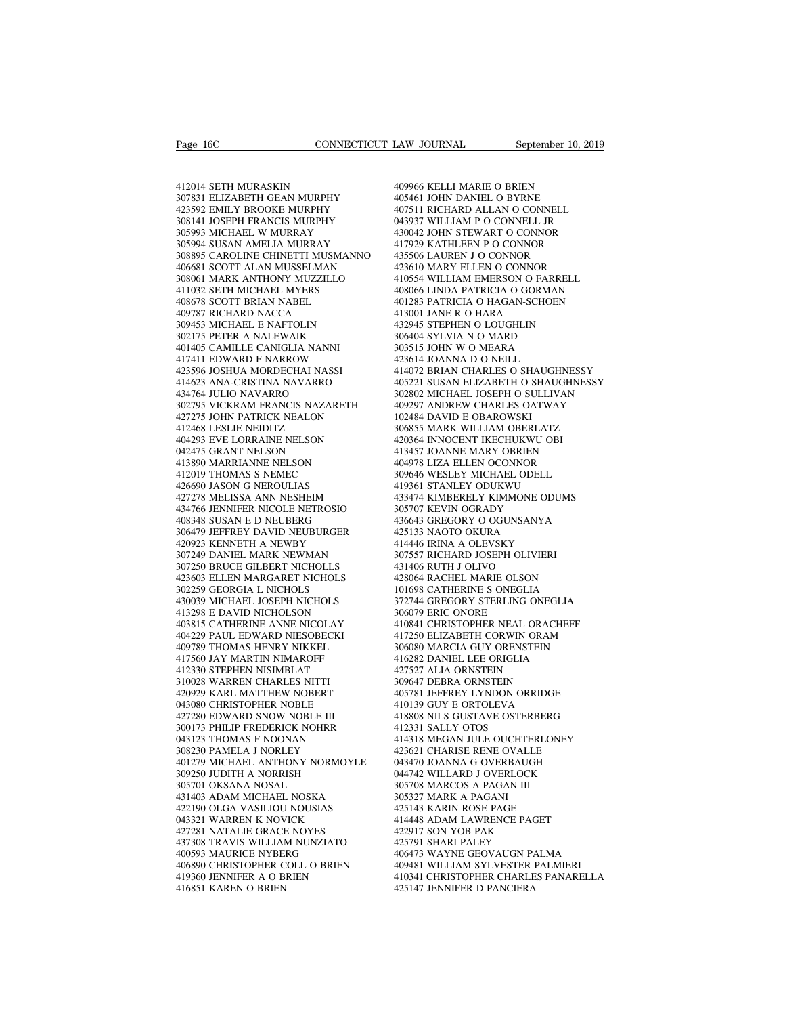Page 16C<br>412014 SETH MURASKIN<br>307831 ELIZABETH GEAN MURPHY<br>423592 EMILY BROOKE MURPHY Page 16C<br>
2000 CONNECTICUT LA<br>
307831 ELIZABETH GEAN MURPHY<br>
307831 ELIZABETH GEAN MURPHY<br>
403592 EMILY BROOKE MURPHY<br>
308141 JOSEPH FRANCIS MURPHY<br>
308141 JOSEPH FRANCIS MURPHY 423592 EMILY BROOKE MURPHY 412014 SETH MURASKIN<br>307831 ELIZABETH GEAN MURPHY<br>423592 EMILY BROOKE MURPHY<br>308141 JOSEPH FRANCIS MURPHY<br>305993 MICHAEL W MURRAY 4:<br>305994 SUSAN AMELIA MURRAY 4: 412014 SETH MURASKIN<br>307831 ELIZABETH GEAN MURPHY<br>423592 EMILY BROOKE MURPHY<br>308141 JOSEPH FRANCIS MURPHY<br>305993 MICHAEL W MURRAY<br>305994 SUSAN AMELIA MURRAY<br>308895 CAROLINE CHINETTI MUSMANNO 412014 SETH MURASKIN<br>307831 ELIZABETH GEAN MURPHY<br>423592 EMILY BROOKE MURPHY<br>308141 JOSEPH FRANCIS MURPHY<br>305993 MICHAEL W MURRAY<br>305994 SUSAN AMELIA MURRAY<br>308895 CAROLINE CHINETTI MUSMANNO<br>406681 SCOTT ALAN MUSSELMAN 308895 CAROLINE CHINETTI MUSMANNO 307831 ELIZABETH GEAN MURPHY<br>
423592 EMILY BROOKE MURPHY<br>
308141 JOSEPH FRANCIS MURPHY<br>
305993 MICHAEL W MURRAY<br>
305993 MICHAEL W MURRAY<br>
4306881 SCAROLINE CHINETTI MUSMANNO<br>
4308895 CAROLINE CHINETTI MUSMANNO<br>
4308061 MAR 423592 EMILY BROOKE MURPHY<br>
308141 JOSEPH FRANCIS MURPHY 0439<br>
305993 MICHAEL W MURRAY 4300<br>
305994 SUSAN AMELIA MURRAY 417!<br>
406681 SCOTI ALAN MUSSELMAN 4233<br>
406681 SCOTI ALAN MUSSELMAN 4233<br>
308061 MARK ANTHONY MUZZILLO 308141 JOSEPH FRANCIS MURPHY<br>305993 MICHAEL W MURRAY<br>305994 SUSAN AMELIA MURRAY<br>308895 CAROLINE CHINETTI MUSMANNO<br>406681 SCOTT ALAN MUSSELMAN<br>308061 MARK ANTHONY MUZZILLO<br>411032 SETH MICHAEL MYERS<br>408678 SCOTT BRIAN NABEL<br> 305993 MICHAEL W MURRAY<br>305994 SUSAN AMELIA MURRAY<br>308895 CAROLINE CHINETTI MUSMANN<br>406681 SCOTT ALAN MUSSELMAN<br>406681 SCOTT ALAN MUSSELMAN<br>41032 SETH MICHAEL MYERS<br>408678 SCOTT BRIAN NABEL<br>409787 RICHARD NACCA<br>309453 MICH 305994 SUSAN AMELIA MURRAY<br>308895 CAROLINE CHINETTI MUSMAN<br>406681 SCOTT ALAN MUSSELMAN<br>308061 MARK ANTHONY MUZZILLO<br>411032 SETH MICHAEL MYERS<br>409678 SCOTT BRIAN NABEL<br>409787 RICHARD NACCA<br>309453 MICHAEL E NAFTOLIN<br>302175 P 308895 CAROLINE CHINETTI MUSMANNO<br>406681 SCOTT ALAN MUSSELMAN<br>308061 MARK ANTHONY MUZZILLO<br>411032 SETH MICHAEL MYERS<br>408678 SCOTT BRIAN NABEL<br>409787 RICHAEL E NAFTOLIN<br>302175 PETER A NALEWAIK<br>401405 CAMILLE CANIGLIA NANNI 406681 SCOTT ALAN MUSSELMAN<br>308061 MARK ANTHONY MUZZILLO<br>411032 SETH MICHAEL MYERS<br>408678 SCOTT BRIAN NABEL<br>409787 RICHARD NACCA<br>309453 MICHAEL E NAFTOLIN<br>302175 PETER A NALEWAIK<br>401405 CAMILLE CANIGLIA NANNI<br>417411 EDWARD 308061 MARK ANTHONY MUZZILLO<br>411032 SETH MICHAEL MYERS<br>408678 SCOTT BRIAN NABEL<br>409787 RICHARD NACCA<br>309453 MICHAEL E NAFTOLIN<br>302175 PETER A NALEWAIK<br>401405 CAMILLE CANIGLIA NANNI<br>417411 EDWARD F NARROW<br>423596 JOSHUA MORD 411032 SETH MICHAEL MYERS<br>408678 SCOTT BRIAN NABEL<br>409787 RICHARD NACCA<br>309453 MICHAEL E NAFTOLIN<br>302175 PETER A NALEWAIK<br>401405 CAMILLE CANIGLIA NANNI<br>417411 EDWARD F NARROW<br>423596 JOSHUA MORDECHAI NASSI<br>414623 ANA-CRISTI 408678 SCOTT BRIAN NABEL<br>409787 RICHARD NACCA<br>309453 MICHAEL E NAFTOLIN<br>302175 PETER A NALEWAIK<br>411405 CAMILLE CANIGLIA NANNI<br>417411 EDWARD F NARROW<br>423596 JOSHUA MORDECHAI NASSI<br>414623 ANA-CRISTINA NAVARRO<br>434764 JULIO NA 409787 RICHARD NACCA<br>
309453 MICHAEL E NAFTOLIN<br>
302175 PETER A NALEWAIK<br>
401405 CAMILLE CANIGLIA NANNI<br>
417411 EDWARD F NARROW<br>
423596 JOSHUA MORDECHAI NASSI<br>
414623 ANA-CRISTINA NAVARRO<br>
434764 JULIO NAVARRO<br>
302795 VICK 309453 MICHAEL E NAFTOLIN<br>302175 PETER A NALEWAIK<br>401405 CAMILLE CANIGLIA NANNI<br>417411 EDWARD F NARROW<br>423596 JOSHUA MORDECHAI NASSI<br>414623 ANA-CRISTINA NAVARRO<br>302795 VICKRAM FRANCIS NAZARETI<br>427275 JOHN PATRICK NEALON 302175 PETER A NALEWAIK 306404<br>
401405 CAMILLE CANIGLIA NANNI 303515<br>
417411 EDWARD F NARROW 423596 JOSHUA MORDECHAI NASSI 414672<br>
423596 JOSHUA MORDECHAI NASSI 414672<br>
434764 JULO NAVARRO 405221<br>
434764 JULO NAVARRO 40528 401405 CAMILLE CANIGLIA NANNI<br>417411 EDWARD F NARROW<br>423596 JOSHUA MORDECHAI NASSI<br>414623 ANA-CRISTINA NAVARRO<br>307295 VICKRAM FRANCIS NAZARETH<br>302795 VICKRAM FRANCIS NAZARETH<br>427275 JOHN PATRICK NEALON<br>412468 LESLIE NEIDIT 417411 EDWARD F NARROW<br>423596 JOSHUA MORDECHAI NASS<br>414623 ANA-CRISTINA NAVARRO<br>434764 JULIO NAVARRO<br>302795 VICKRAM FRANCIS NAZAR<br>427275 JOHN PATRICK NEALON<br>414268 LESLIE NEIDITZ<br>404293 EVE LORRAINE NELSON<br>042475 GRANT NEL 423596 JOSHUA MORDECHAI NASSI<br>414623 ANA-CRISTINA NAVARRO<br>434764 JULIO NAVARRO<br>302795 VICKRAM FRANCIS NAZARETH<br>427275 JOHN PATRICK NEALON<br>412468 LESLIE NEIDITZ<br>404293 EVE LORRAINE NELSON<br>042475 GRANT NELSON<br>413890 MARRIANN 414623 ANA-CRISTINA NAVARRO<br>434764 JULIO NAVARRO<br>302795 VICKRAM FRANCIS NAZARET<br>427275 JOHN PATRICK NEALON<br>412468 LESLIE NEIDITZ<br>604293 EVE LORRAINE NELSON<br>042475 GRANT NELSON<br>413890 MARRIANNE NELSON<br>412019 THOMAS S NEMEC 434764 JULIO NAVARRO<br>302795 VICKRAM FRANCIS NAZARETH<br>427275 JOHN PATRICK NEALON<br>412468 LESLIE NEIDITZ<br>404293 EVE LORRAINE NELSON<br>042475 GRANT NELSON<br>413890 MARRIANNE NELSON<br>412019 THOMAS S NEMEC<br>426690 JASON G NEROULIAS 302795 VICKRAM FRANCIS NAZARETH<br>427275 JOHN PATRICK NEALON<br>412468 LESLIE NEIDITZ<br>404293 EVE LORRAINE NELSON<br>042475 GRANT NELSON<br>41380 MARRIANNE NELSON<br>41300 MARRIANNE NELSON<br>42009 THOMAS S NEMEC<br>426690 JASON G NEROULIAS<br>42 427275 JOHN PATRICK NEALON<br>412468 LESLIE NEIDITZ<br>404293 EVE LORRAINE NELSON<br>042475 GRANT NELSON<br>413890 MARRIANNE NELSON<br>412019 THOMAS S NEMEC<br>426690 JASON G NEROULIAS<br>427278 MELISSA ANN NESHEIM<br>434766 JENNIFER NICOLE NETRO 412468 LESLIE NEIDITZ 404293 EVE LORRAINE NELSON 42<br>042475 GRANT NELSON 42<br>42475 GRANT NELSON 41<br>413890 MARRIANNE NELSON 40<br>426690 JASON G NEROULIAS 42<br>426690 JASON G NEROULIAS 42<br>427278 MELISSA ANN NESHEIM 43<br>434766 JENNI  $\begin{tabular}{llllllll} 404293 \; \text{EVE LORRAINE NELSON} & 4203 \\ 042475 \; \text{GRANT NELSON} & 4134 \\ 413890 \; \text{MARRIANNE NELSON} & 4049 \\ 412019 \; \text{THOMAS S NEMEC} & 3096 \\ 426690 \; \text{JASON G NERUSIA} & 43497 \\ 427278 \; \text{MELISSA ANN NESHEM} & 4334 \\ 434766 \; \text{ENNIFER NICOLE NETROSIO} & 3057 \\ 408348 \; \text{S$ 042475 GRANT NELSON<br>413890 MARRIANNE NELSON<br>412019 THOMAS S NEMEC<br>426690 JASON G NEROULIAS<br>427278 MELISSA ANN NESHEIM<br>434766 JENNIFER NICOLE NETROSIO<br>408348 SUSAN E D NEUBERG<br>306479 JEFFREY DAVID NEUBURGER<br>420923 KENNETH A  $\begin{tabular}{llllll} 413890&MARRIANNE NELSON & 404 \\ 412019&THOMAS & S NEMEC & 309 \\ 426690&JASON & G NEROULIAS & 419 \\ 427278&MELISSA & ANN NESHEIM & 433 \\ 434766&JENNIFER NICOLERREG & 305 \\ 408348& SUSAN & E D NEUBERGG & 436 \\ 306479& JEFFREY DAVID NEUBURGER & 425 \\ 420923& KENNETH & A NEWBY & 414 \\ 307249&DANIEL MARK NEWMAN & 307 \\ \end{tabular}$ 412019 THOMAS S NEMEC<br>426690 JASON G NEROULIAS<br>427278 MELISSA ANN NESHEIM<br>434766 JENNIFER NICOLE NETROSIO<br>408348 SUSAN E D NEUBERG<br>306479 JEFFREY DAVID NEUBURGER<br>420923 KENNETH A NEWBY<br>307249 DANIEL MARK NEWMAN<br>307250 BRUC 426690 JASON G NEROULIAS<br>427278 MELISSA ANN NESHEIM<br>434766 JENNIFER NICOLE NETROSIO<br>408348 SUSAN E D NEUBERG<br>306479 JEFFREY DAVID NEUBURGER<br>420923 KENNETH A NEWBY<br>307249 DANIEL MARK NEWMAN<br>307250 BRUCE GILBERT NICHOLLS<br>423 427278 MELISSA ANN NESHEIM<br>434766 JENNIFER NICOLE NETROSIO<br>408348 SUSAN E D NEUBERG<br>306479 JEFFREY DAVID NEUBURGER<br>420923 KENNETH A NEWBY<br>307249 DANIEL MARK NEWMAN<br>307250 BRUCE GILBERT NICHOLLS<br>423603 ELLEN MARGARET NICHOL 434766 JENNIFER NICOLE NETROSIO<br>408348 SUSAN E D NEUBERG<br>306479 JEFFREY DAVID NEUBURGER<br>420923 KENNETH A NEWBY<br>307249 DANIEL MARK NEWMAN<br>302250 BRUCE GILBERT NICHOLS<br>423603 ELLEN MARGARET NICHOLS<br>302259 GEORGIA L NICHOLS<br>4 408348 SUSAN E D NEUBERG<br>306479 JEFFREY DAVID NEUBURGER<br>420923 KENNETH A NEWBY<br>307249 DANIEL MARK NEWMAN<br>307250 BRUCE GILBERT NICHOLS<br>423603 ELLEN MARGARET NICHOLS<br>302259 GEORGIA L NICHOLS<br>430039 MICHAEL JOSEPH NICHOLS<br>413 306479 JEFFREY DAVID NEUBURGER<br>420923 KENNETH A NEWBY<br>307249 DANIEL MARK NEWMAN<br>307250 BRUCE GILBERT NICHOLLS<br>423603 ELLEN MARGARET NICHOLS<br>302259 GEORGIA L NICHOLS<br>430039 MICHAEL JOSEPH NICHOLS<br>413298 E DAVID NICHOLSON<br>40 420923 KENNETH A NEWBY<br>307249 DANIEL MARK NEWMAN<br>307250 BRUCE GILBERT NICHOLLS<br>423603 ELLEN MARGARET NICHOLS<br>302259 GEORGIA L NICHOLS<br>43039 MICHAEL JOSEPH NICHOLS<br>413298 E DAVID NICHOLSON<br>403815 CATHERINE ANNE NICOLAY<br>4042 %10229 DANIEL MARK NEWMAN 307250 BRUCE GILBERT NICHOLLS 431<br>423603 ELLEN MARGARET NICHOLS 428<br>302259 GEORGIA L NICHOLS 428<br>430039 MICHAEL JOSEPH NICHOLS 3772<br>413298 E DAVID NICHOLSON 306<br>403815 CATHERINE ANNE NICOLAY 410<br>4 307250 BRUCE GILBERT NICHOLLS<br>423603 ELLEN MARGARET NICHOLS<br>302259 GEORGIA L NICHOLS<br>430039 MICHAEL JOSEPH NICHOLS<br>413298 E DAVID NICHOLSON<br>403815 CATHERINE ANNE NICOLAY<br>404229 PAUL EDWARD NIESOBECKI<br>409789 THOMAS HENRY NI 423603 ELLEN MARGARET NICHOLS<br>302259 GEORGIA L NICHOLS<br>430039 MICHAEL JOSEPH NICHOLS<br>413298 E DAVID NICHOLSON<br>403815 CATHERINE ANNE NICOLAY<br>404229 PAUL EDWARD NIESOBECKI<br>409789 THOMAS HENRY NIKKEL<br>417560 JAY MARTIN NIMAROF 302259 GEORGIA L NICHOLS<br>430039 MICHAEL JOSEPH NICHOLS<br>413298 E DAVID NICHOLSON<br>403815 CATHERINE ANNE NICOLAY<br>404229 PAUL EDWARD NIESOBECKI<br>407789 THOMAS HENRY NIKKEL<br>417560 JAY MARTIN NIMAROFF<br>412330 STEPHEN NISIMBLAT<br>310 430039 MICHAEL JOSEPH NICHOLS<br>413298 E DAVID NICHOLSON<br>403815 CATHERINE ANNE NICOLAY<br>404229 PAUL EDWARD NIESOBECKI<br>409789 THOMAS HENRY NIKKEL<br>417560 JAY MARTIN NIMAROFF<br>412330 STEPHEN NISIMBLAT<br>310028 WARREN CHARLES NITTI<br> 413298 E DAVID NICHOLSON<br>403815 CATHERINE ANNE NICOLAY<br>404229 PAUL EDWARD NIESOBECKI<br>409789 THOMAS HENRY NIKKEL<br>417560 JAY MARTIN NIMAROFF<br>412330 STEPHEN NISIMBLAT<br>310028 WARREN CHARLES NITTI<br>420929 KARL MATTHEW NOBERT<br>043 403815 CATHERINE ANNE NICOLAY<br>404229 PAUL EDWARD NIESOBECKI<br>409789 THOMAS HENRY NIKKEL<br>417560 JAY MARTIN NIMAROFF<br>412330 STEPHEN NISIMBLAT<br>310028 WARREN CHARLES NITTI<br>420929 KARL MATTHEW NOBERT<br>043080 CHRISTOPHER NOBLE<br>427 404229 PAUL EDWARD NIESOBECKI<br>409789 THOMAS HENRY NIKKEL<br>417560 JAY MARTIN NIMAROFF<br>412330 STEPHEN NISIMBLAT<br>310028 WARREN CHARLES NITTI<br>420929 KARL MATTHEW NOBERT<br>043080 CHRISTOPHER NOBLE III<br>427280 EDWARD SNOW NOBLE III<br> 409789 THOMAS HENRY NIKKEL<br>417560 JAY MARTIN NIMAROFF<br>412330 STEPHEN NISIMBLAT<br>310028 WARREN CHARLES NITTI<br>420929 KARL MATTHEW NOBERT<br>043080 CHRISTOPHER NOBLE III<br>427280 EDWARD SNOW NOBLE III<br>300173 PHILIP FREDERICK NOHRR<br> 417560 JAY MARTIN NIMAROFF<br>412330 STEPHEN NISIMBLAT<br>310028 WARREN CHARLES NITTI<br>420929 KARL MATTHEW NOBERT<br>043080 CHRISTOPHER NOBLE III<br>427280 EDWARD SNOW NOBLE III<br>300173 PHILIP FREDERICK NOHRR<br>043123 THOMAS F NOONAN<br>3082 412330 STEPHEN NISIMBLAT<br>310028 WARREN CHARLES NITTI<br>420929 KARL MATTHEW NOBERT<br>043080 CHRISTOPHER NOBLE<br>37280 EDWARD SNOW NOBLE III<br>300173 PHILIP FREDERICK NOHRR<br>043123 THOMAS F NOONAN<br>308230 PAMELA J NORLEY<br>401279 MICHAE 310028 WARREN CHARLES NITTI<br>420929 KARL MATTHEW NOBERT<br>043080 CHRISTOPHER NOBLE III<br>427280 EDWARD SNOW NOBLE III<br>300173 PHILIP FREDERICK NOHRR<br>043123 THOMAS F NOONAN<br>308230 PAMELA J NORLEY<br>401279 MICHAEL ANTHONY NORMOYLE<br>3 401279 MICHAEL ANTHONY NORMOYLE 043080 CHRISTOPHER NOBLE<br>427280 EDWARD SNOW NOBLE III<br>300173 PHILIP FREDERICK NOHRR<br>043123 THOMAS F NOONAN<br>401279 MICHAEL ANTHONY NORMOYLE<br>401279 MICHAEL ANTHONY NORMOYLE<br>309250 JUDITH A NORRISH<br>305701 OKSANA NOSAL<br>431403 427280 EDWARD SNOW NOBLE III<br>300173 PHILIP FREDERICK NOHRR<br>043123 THOMAS F NOONAN<br>308230 PAMELA J NORLEY<br>401279 MICHAEL ANTHONY NORM<br>309250 JUDITH A NORRISH<br>309250 JUDITH A NORRISH<br>431403 ADAM MICHAEL NOSKA<br>42190 OLGA VASI 300173 PHILIP FREDERICK NOHRR<br>043123 THOMAS F NOONAN<br>308230 PAMELA J NORLEY<br>401279 MICHAEL ANTHONY NORMOYLE<br>309250 JUDITH A NORRISH<br>303570 IOKSANA NOSAL<br>431403 ADAM MICHAEL NOSKA<br>422190 OLGA VASILIOU NOUSIAS<br>043321 WARREN 043123 THOMAS F NOONAN<br>308230 PAMELA J NORLEY<br>401279 MICHAEL ANTHONY NORMOYLE<br>309250 JUDITH A NORRISH<br>431403 ADAM MICHAEL NOSKA<br>421403 ADAM MICHAEL NOSKA<br>043321 WARREN K NOVICK<br>427281 NATALIE GRACE NOYES 308230 PAMELA J NORLEY<br>401279 MICHAEL ANTHONY NORMOYLE<br>309250 JUDITH A NORRISH<br>305701 OKSANA NOSAL<br>421403 ADAM MICHAEL NOSKA<br>422190 OLGA VASILIOU NOUSIAS<br>043321 WARREN K NOVICK<br>427281 NATALIE GRACE NOYES<br>437308 TRAVIS WILL 401279 MICHAEL ANTHONY NORMOYLE<br>309250 JUDITH A NORRISH<br>305701 OKSANA NOSAL<br>431403 ADAM MICHAEL NOSKA<br>422190 OLGA VASILIOU NOUSIAS<br>043321 WARREN K NOVICK<br>427281 NATALIE GRACE NOYES<br>437308 TRAVIS WILLIAM NUNZIATO<br>400593 MAU 309250 JUDITH A NORRISH 0447<br>
305701 OKSANA NOSAL 3057<br>
431403 ADAM MICHAEL NOSKA 3053<br>
422190 OLGA VASILIOU NOUSIAS 4251<br>
43321 WARREN K NOVICK 414427281 NATALIE GRACE NOYES 4225<br>
437308 TRAVIS WILLIAM NUNZIATO 4257<br>
4005 305701 OKSANA NOSAL<br>431403 ADAM MICHAEL NOSKA<br>422190 OLGA VASILIOU NOUSIAS<br>043321 WARREN K NOVICK<br>427281 NATALIE GRACE NOYES<br>437308 TRAVIS WILLIAM NUNZIATO<br>400593 MAURICE NYBERG<br>406890 CHRISTOPHER COLL O BRIEN<br>419360 JENNI  $\begin{tabular}{llllllll} 431403&{\text{ADAM}}&{\text{MICHAEL NOSKA}} & 3053 \text{\small{\texttt{.}}} & 3053 \text{\small{\texttt{.}}} & 3053 \text{\small{\texttt{.}}} & 3053 \text{\small{\texttt{.}}} & 3053 \text{\small{\texttt{.}}} & 3053 \text{\small{\texttt{.}}} & 3053 \text{\small{\texttt{.}}} & 3053 \text{\small{\texttt{.}}} & 3053 \text{\small{\texttt{.}}} & 3053 \text{\small{\texttt{.}}} & 3053 \text{\small{\texttt{.}}} & 3053 \$ 422190 OLGA VASILIOU NOUSIAS<br>043321 WARREN K NOVICK<br>427281 NATALIE GRACE NOYES<br>437308 TRAVIS WILLIAM NUNZIATO<br>400593 MAURICE NYBERG<br>406890 CHRISTOPHER COLL O BRIEN<br>419360 JENNIFER A O BRIEN<br>416851 KAREN O BRIEN 043321 WARREN K NOVICK<br>427281 NATALIE GRACE NOYES<br>437308 TRAVIS WILLIAM NUNZIATO<br>400593 MAURICE NYBERG<br>406890 CHRISTOPHER COLL O BRIEN<br>419360 JENNIFER A O BRIEN<br>416851 KAREN O BRIEN

LAW JOURNAL September 10, 2019<br>409966 KELLI MARIE O BRIEN<br>405461 JOHN DANIEL O BYRNE<br>407511 RICHARD ALLAN O CONNELL LAW JOURNAL September 10, 20<br>409966 KELLI MARIE O BRIEN<br>405461 JOHN DANIEL O BYRNE<br>407511 RICHARD ALLAN O CONNELL<br>043937 WILLIAM P O CONNELL JR LAW JOURNAL September 10, 2019<br>409966 KELLI MARIE O BRIEN<br>405461 JOHN DANIEL O BYRNE<br>407511 RICHARD ALLAN O CONNELL<br>043937 WILLIAM P O CONNELL JR<br>430042 JOHN STEWART O CONNOR 409966 KELLI MARIE O BRIEN<br>405461 JOHN DANIEL O BYRNE<br>407511 RICHARD ALLAN O CONNELL<br>043937 WILLIAM P O CONNELL JR<br>430042 JOHN STEWART O CONNOR<br>417929 KATHLEEN P O CONNOR 409966 KELLI MARIE O BRIEN<br>405461 JOHN DANIEL O BYRNE<br>407511 RICHARD ALLAN O CONNELL<br>043937 WILLIAM P O CONNELL JR<br>430042 JOHN STEWART O CONNOR<br>417929 KATHLEEN P O CONNOR<br>435506 LAUREN J O CONNOR 409966 KELLI MARIE O BRIEN<br>405461 JOHN DANIEL O BYRNE<br>407511 RICHARD ALLAN O CONNELL<br>043937 WILLIAM P O CONNELL JR<br>430042 JOHN STEWART O CONNOR<br>417929 KATHLEEN P O CONNOR<br>435506 LAUREN J O CONNOR<br>423610 MARY ELLEN O CONNOR 409966 KELLI MARIE O BRIEN<br>405461 JOHN DANIEL O BYRNE<br>407511 RICHARD ALLAN O CONNELL<br>043937 WILLIAM P O CONNELL JR<br>430042 JOHN STEWART O CONNOR<br>417929 KATHLEEN P O CONNOR<br>423506 LAUREN J O CONNOR<br>423610 MARY ELLEN O CONNOR 405461 JOHN DANIEL O BYRNE<br>407511 RICHARD ALLAN O CONNELL<br>043937 WILLIAM P O CONNELL JR<br>430042 JOHN STEWART O CONNOR<br>417929 KATHLEEN P O CONNOR<br>423506 LAUREN J O CONNOR<br>423610 MARY ELLEN O CONNOR<br>410554 WILLIAM EMERSON O F 407511 RICHARD ALLAN O CONNELL<br>043937 WILLIAM P O CONNELL JR<br>430042 JOHN STEWART O CONNOR<br>417929 KATHLEEN P O CONNOR<br>435506 LAUREN J O CONNOR<br>423610 MARY ELLEN O CONNOR<br>410554 WILLIAM EMERSON O FARRELL<br>408066 LINDA PATRICI 043937 WILLIAM P O CONNELL JR<br>430042 JOHN STEWART O CONNOR<br>417929 KATHLEEN P O CONNOR<br>435506 LAUREN J O CONNOR<br>423610 MARY ELLEN O CONNOR<br>410554 WILLIAM EMERSON O FARRELL<br>408066 LINDA PATRICIA O GORMAN<br>401283 PATRICIA O HA 430042 JOHN STEWART O CONNOR<br>417929 KATHLEEN P O CONNOR<br>435506 LAUREN J O CONNOR<br>423610 MARY ELLEN O CONNOR<br>410554 WILLIAM EMERSON O FARRELL<br>408066 LINDA PATRICIA O HAGAN-SCHOEN<br>410283 PATRICIA O HAGAN-SCHOEN<br>413001 JANE R 417929 KATHLEEN P O CONNOR<br>435506 LAUREN J O CONNOR<br>423610 MARY ELLEN O CONNOR<br>410554 WILLIAM EMERSON O FARRELL<br>408066 LINDA PATRICIA O GORMAN<br>401283 PATRICIA O HAGAN-SCHOEN<br>413001 JANE R O HARA<br>432945 STEPHEN O LOUGHLIN<br>3 435506 LAUREN J O CONNOR<br>423610 MARY ELLEN O CONNOR<br>410554 WILLIAM EMERSON O FARRELL<br>408066 LINDA PATRICIA O GORMAN<br>401283 PATRICIA O HAGAN-SCHOEN<br>413001 JANE R O HARA<br>432945 STEPHEN O LOUGHLIN<br>306404 SYLVIA N O MARD<br>30351 423610 MARY ELLEN O CONNOR<br>410554 WILLIAM EMERSON O FARRELL<br>408066 LINDA PATRICIA O GORMAN<br>401283 PATRICIA O HAGAN-SCHOEN<br>413001 JANE R O HARA<br>43245 STEPHEN O LOUGHLIN<br>306404 SYLVIA N O MARD<br>303515 JOHN W O MEARA<br>423614 JO 303515 JOHN W O MEARA<br>423614 JOANNA D O NEILL<br>414072 BRIAN CHARLES O SHAUGHNESSY 408066 LINDA PATRICIA O GORMAN<br>401283 PATRICIA O HAGAN-SCHOEN<br>413001 JANE R O HARA<br>432945 STEPHEN O LOUGHLIN<br>306404 SYLVIA N O MARD<br>303315 JOHN W O MEARA<br>423614 JOANNA D O NEILL<br>414072 BRIAN CHARLES O SHAUGHNE<br>405221 SUSAN 401283 PATRICIA O HAGAN-SCHOEN<br>413001 JANE R O HARA<br>432945 STEPHEN O LOUGHLIN<br>306404 SYLVIA N O MARD<br>403515 JOHN W O MEARA<br>423614 JOANNA D O NEILL<br>414072 BRIAN CHARLES O SHAUGHNESSY<br>405221 SUSAN ELIZABETH O SHAUGHNESSY<br>302 413001 JANE R O HARA<br>432945 STEPHEN O LOUGHLIN<br>306404 SYLVIA N O MARD<br>303515 JOHN W O MEARA<br>423614 JOANNA D O NEILL<br>414072 BRIAN CHARLES O SHAUGHNESSY<br>405221 SUSAN ELIZABETH O SHAUGHNESSY<br>302802 MICHAEL JOSEPH O SULLIVAN<br>4 432945 STEPHEN O LOUGHLIN<br>306404 SYLVIA N O MARD<br>303515 JOHN W O MEARA<br>423614 JOANNA D O NEILL<br>414072 BRIAN CHARLES O SHAUGHNESSY<br>405221 SUSAN ELIZABETH O SHAUGHNESSY<br>302802 MICHAEL JOSEPH O SULLIVAN<br>409297 ANDREW CHARLES 306404 SYLVIA N O MARD<br>303515 JOHN W O MEARA<br>423614 JOANNA D O NEILL<br>414072 BRIAN CHARLES O SHAUGHNESSY<br>405221 SUSAN ELIZABETH O SHAUGHNESSY<br>302802 MICHAEL JOSEPH O SULLIVAN<br>409297 ANDREW CHARLES OATWAY<br>102484 DAVID E OBAR 303515 JOHN W O MEARA<br>423614 JOANNA D O NEILL<br>414072 BRIAN CHARLES O SHAUGH<br>405221 SUSAN ELIZABETH O SHAUG<br>302802 MICHAEL JOSEPH O SULLIV.<br>409297 ANDREW CHARLES OATWA'<br>102484 DAVID E OBAROWSKI<br>306855 MARK WILLIAM OBERLATZ<br> 423614 JOANNA D O NEILL<br>414072 BRIAN CHARLES O SHAUGHNESSY<br>405221 SUSAN ELIZABETH O SHAUGHNESSY<br>302802 MICHAEL JOSEPH O SULLIVAN<br>409297 ANDREW CHARLES OATWAY<br>102484 DAVID E OBAROWSKI<br>306855 MARK WILLIAM OBERLATZ<br>420364 INN 414072 BRIAN CHARLES O SHAUGHNESSY<br>405221 SUSAN ELIZABETH O SHAUGHNES:<br>302802 MICHAEL JOSEPH O SULLIVAN<br>409297 ANDREW CHARLES OATWAY<br>102484 DAVID E OBAROWSKI<br>306855 MARK WILLIAM OBERLATZ<br>420364 INNOCENT IKECHUKWU OBI<br>41345 405221 SUSAN ELIZABETH O SHAUGHNESSY<br>302802 MICHAEL JOSEPH O SULLIVAN<br>409297 ANDREW CHARLES OATWAY<br>102484 DAVID E OBAROWSKI<br>306855 MARK WILLIAM OBERLATZ<br>420364 INNOCENT IKECHUKWU OBI<br>413457 JOANNE MARY OBRIEN<br>404978 LIZA E 302802 MICHAEL JOSEPH O SULLIVAN<br>409297 ANDREW CHARLES OATWAY<br>102484 DAVID E OBAROWSKI<br>306855 MARK WILLIAM OBERLATZ<br>420364 INNOCENT IKECHUKWU OBI<br>413457 JOANNE MARY OBRIEN<br>404978 LIZA ELLEN OCONNOR<br>309646 WESLEY MICHAEL OD 409297 ANDREW CHARLES OATWAY<br>102484 DAVID E OBAROWSKI<br>306855 MARK WILLIAM OBERLATZ<br>420364 INNOCENT IKECHUKWU OBI<br>413457 JOANNE MARY OBRIEN<br>404978 LIZA ELLEN OCONNOR<br>309646 WESLEY MICHAEL ODELL<br>419361 STANLEY ODUKWU<br>433474 102484 DAVID E OBAROWSKI<br>306855 MARK WILLIAM OBERLATZ<br>420364 INNOCENT IKECHUKWU OBI<br>413457 JOANNE MARY OBRIEN<br>404978 LIZA ELLEN OCONNOR<br>309646 WESLEY MICHAEL ODELL<br>419361 STANLEY ODUKWU<br>433474 KIMBERELY KIMMONE ODUMS<br>30570 306855 MARK WILLIAM OBERLATZ<br>420364 INNOCENT IKECHUKWU OBI<br>413457 JOANNE MARY OBRIEN<br>404978 LIZA ELLEN OCONNOR<br>309646 WESLEY MICHAEL ODELL<br>419361 STANLEY ODUKWU<br>433474 KIMBERELY KIMMONE ODUMS<br>305707 KEVIN OGRADY<br>436643 GRE 420364 INNOCENT IKECHUKWU OBI<br>413457 JOANNE MARY OBRIEN<br>404978 LIZA ELLEN OCONNOR<br>309646 WESLEY MICHAEL ODELL<br>419361 STANLEY ODUKWU<br>433474 KIMBERELY KIMMONE ODUM<br>305707 KEVIN OGRADY<br>436643 GREGORY O OGUNSANYA<br>425133 NAOTO 413457 JOANNE MARY OBRIEN<br>404978 LIZA ELLEN OCONNOR<br>309646 WESLEY MICHAEL ODELL<br>419361 STANLEY ODUKWU<br>433474 KIMBERELY KIMMONE ODUMS<br>305707 KEVIN OGRADY<br>436643 GREGORY O OGUNSANYA<br>425133 NAOTO OKURA<br>414446 IRINA A OLEVSKY 404978 LIZA ELLEN OCONNOR<br>309646 WESLEY MICHAEL ODELL<br>419361 STANLEY ODUKWU<br>433474 KIMBERELY KIMMONE ODUN<br>305707 KEVIN OGRADY<br>436643 GREGORY O OGUNSANYA<br>425133 NAOTO OKURA<br>414446 IRINA A OLEVSKY<br>307557 RICHARD JOSEPH OLIVI 309646 WESLEY MICHAEL ODELL<br>419361 STANLEY ODUKWU<br>433474 KIMBERELY KIMMONE ODUMS<br>305707 KEVIN OGRADY<br>436643 GREGORY O OGUNSANYA<br>425133 NAOTO OKURA<br>414446 IRINA A OLEVSKY<br>307557 RICHARD JOSEPH OLIVIERI<br>431406 RUTH J OLIVO 419361 STANLEY ODUKWU<br>433474 KIMBERELY KIMMONE ODUMS<br>305707 KEVIN OGRADY<br>436643 GREGORY O OGUNSANYA<br>425133 NAOTO OKURA<br>414446 IRINA A OLEVSKY<br>307557 RICHARD JOSEPH OLIVIERI<br>431406 RUTH J OLIVO<br>428064 RACHEL MARIE OLSON 433474 KIMBERELY KIMMONE ODU<br>305707 KEVIN OGRADY<br>436643 GREGORY O OGUNSANYA<br>425133 NAOTO OKURA<br>41446 RINA A OLEVSKY<br>307557 RICHARD JOSEPH OLIVIERI<br>431406 RUTH J OLIVO<br>428064 RACHEL MARIE OLSON<br>101698 CATHERINE S ONEGLIA 305707 KEVIN OGRADY<br>436643 GREGORY O OGUNSANYA<br>425133 NAOTO OKURA<br>414446 IRINA A OLEVSKY<br>431406 RUTH J OLIVO<br>431406 RUTH J OLIVO<br>428064 RACHEL MARIE OLSON<br>101698 CATHERINE S ONEGLIA<br>372744 GREGORY STERLING ONEGLIA 436643 GREGORY O OGUNSANYA<br>425133 NAOTO OKURA<br>414446 IRINA A OLEVSKY<br>307557 RICHARD JOSEPH OLIVIERI<br>431406 RUTH J OLIVO<br>42804 RACHEL MARIE OLSON<br>101698 CATHERINE S ONEGLIA<br>372744 GREGORY STERLING ONEGLIA<br>306079 ERIC ONORE 425133 NAOTO OKURA<br>414446 IRINA A OLEVSKY<br>307557 RICHARD JOSEPH OLIVIERI<br>431406 RUTH J OLIVO<br>428064 RACHEL MARIE OLSON<br>101698 CATHERINE S ONEGLIA<br>372744 GREGORY STERLING ONEGLIA<br>306079 ERIC ONORE<br>410841 CHRISTOPHER NEAL OR 414446 IRINA A OLEVSKY<br>307557 RICHARD JOSEPH OLIVI<br>431406 RUTH J OLIVO<br>428064 RACHEL MARIE OLSON<br>101698 CATHERINE S ONEGLIA<br>372744 GREGORY STERLING ON<br>306079 ERIC ONORE<br>410841 CHRISTOPHER NEAL OR<br>417250 ELIZABETH CORWIN OR 307557 RICHARD JOSEPH OLIVIERI<br>431406 RUTH J OLIVO<br>428064 RACHEL MARIE OLSON<br>101698 CATHERINE S ONEGLIA<br>372744 GREGORY STERLING ONEGLIA<br>306079 ERIC ONORE<br>410841 CHRISTOPHER NEAL ORACHEFF<br>417250 ELIZABETH CORWIN ORAM<br>306080 431406 RUTH J OLIVO<br>428064 RACHEL MARIE OLSON<br>101698 CATHERINE S ONEGLIA<br>372744 GREGORY STERLING ONEGLIA<br>406079 ERIC ONORE<br>410841 CHRISTOPHER NEAL ORACHEFF<br>417250 ELIZABETH CORWIN ORAM<br>306080 MARCIA GUY ORENSTEIN<br>416282 DA 428064 RACHEL MARIE OLSON<br>101698 CATHERINE S ONEGLIA<br>372744 GREGORY STERLING ONEGLIA<br>306079 ERIC ONORE<br>410841 CHRISTOPHER NEAL ORACHEFF<br>417250 ELIZABETH CORWIN ORAM<br>306080 MARCIA GUY ORENSTEIN<br>416282 DANIEL LEE ORIGLIA<br>427 101698 CATHERINE S ONEGLIA<br>372744 GREGORY STERLING ONEGLIA<br>306079 ERIC ONORE<br>410841 CHRISTOPHER NEAL ORACHEFF<br>417250 ELIZABETH CORWIN ORAM<br>306080 MARCIA GUY ORENSTEIN<br>416282 DANIEL LEE ORIGLIA<br>427527 ALIA ORNSTEIN<br>309647 D 372744 GREGORY STERLING ONEGLIA<br>
306079 ERIC ONORE<br>
410841 CHRISTOPHER NEAL ORACHEFF<br>
417250 ELIZABETH CORWIN ORAM<br>
306080 MARCIA GUY ORENSTEIN<br>
416282 DANIEL LEE ORIGLIA<br>
427527 ALIA ORNSTEIN<br>
309647 DEBRA ORNSTEIN 306079 ERIC ONORE<br>410841 CHRISTOPHER NEAL ORACHEFF<br>417250 ELIZABETH CORWIN ORAM<br>306080 MARCIA GUY ORENSTEIN<br>416282 DANIEL LEE ORIGLIA<br>427527 ALIA ORNSTEIN<br>309647 DEBRA ORNSTEIN<br>405781 JEFFREY LYNDON ORRIDGE<br>410139 GUY E OR 410841 CHRISTOPHER NEAL ORACHEFF<br>417250 ELIZABETH CORWIN ORAM<br>306080 MARCIA GUY ORENSTEIN<br>416282 DANIEL LEE ORIGLIA<br>427527 ALIA ORNSTEIN<br>309647 DEBRA ORNSTEIN<br>405781 IEFFREY LYNDON ORRIDGE<br>410139 GUY E ORTOLEVA<br>418808 NILS 417250 ELIZABETH CORWIN ORAM<br>306080 MARCIA GUY ORENSTEIN<br>416282 DANIEL LEE ORIGLIA<br>427527 ALIA ORNSTEIN<br>309647 DEBRA ORNSTEIN<br>405781 JEFFREY LYNDON ORRIDGE<br>410139 GUY E ORTOLEVA<br>418808 NILS GUSTAVE OSTERBERG<br>412331 SALLY O 306080 MARCIA GUY ORENSTEIN<br>416282 DANIEL LEE ORIGLIA<br>427527 ALIA ORNSTEIN<br>309647 DEBRA ORNSTEIN<br>405781 JEFFREY LYNDON ORRIDGE<br>410139 GUY E ORTOLEVA<br>418808 NILS GUSTAVE OSTERBERG<br>412331 SALLY OTOS<br>414318 MEGAN JULE OUCHTER 405781 JEFFREY LYNDON ORRIDGE<br>410139 GUY E ORTOLEVA<br>418808 NILS GUSTAVE OSTERBERG<br>412331 SALLY OTOS<br>414318 MEGAN JULE OUCHTERLONI<br>423621 CHARISE RENE OVALLE 427527 ALIA ORNSTEIN<br>309647 DEBRA ORNSTEIN<br>405781 JEFFREY LYNDON ORRIDGE<br>410139 GUY E ORTOLEVA<br>418808 NILS GUSTAVE OSTERBERG<br>412331 SALLY OTOS<br>414318 MEGAN JULE OUCHTERLONEY<br>423621 CHARISE RENE OVALLE<br>043470 JOANNA G OVERB 309647 DEBRA ORNSTEIN<br>405781 JEFFREY LYNDON ORRIDGE<br>410139 GUY E ORTOLEVA<br>418808 NILS GUSTAVE OSTERBERG<br>412331 SALLY OTOS<br>414318 MEGAN JULE OUCHTERLONEY<br>423621 CHARISE RENE OVALLE<br>043470 JOANNA G OVERBAUGH<br>044742 WILLARD J 405781 JEFFREY LYNDON ORRIDGE<br>410139 GUY E ORTOLEVA<br>418808 NILS GUSTAVE OSTERBERG<br>412331 SALLY OTOS<br>414318 MEGAN JULE OUCHTERLONEY<br>423621 CHARISE RENE OVALLE<br>043470 JOANNA G OVERBAUGH<br>044742 WILLARD J OVERLOCK<br>305708 MARCO 410139 GUY E ORTOLEVA<br>418808 NILS GUSTAVE OSTERBERG<br>412331 SALLY OTOS<br>414318 MEGAN JULE OUCHTERLONEY<br>423621 CHARISE RENE OVALLE<br>043470 JOANNA G OVERBAUGH<br>044742 WILLARD J OVERLOCK<br>305708 MARCOS A PAGAN III<br>305327 MARK A PA 414318 MEGAN JULE OUCHTERLONEY<br>423621 CHARISE RENE OVALLE<br>043470 JOANNA G OVERBAUGH<br>044742 WILLARD J OVERLOCK<br>305308 MARCOS A PAGAN III<br>305327 MARK A PAGANI<br>425143 KARIN ROSE PAGE 412331 SALLY OTOS<br>414318 MEGAN JULE OUCHTER<br>423621 CHARISE RENE OVALLI<br>043470 JOANNA G OVERBAUGI<br>044742 WILLARD J OVERLOCK<br>305708 MARCOS A PAGANI<br>425143 KARIN ROSE PAGE<br>414448 ADAM LAWRENCE PAG 414318 MEGAN JULE OUCHTERLONEY<br>423621 CHARISE RENE OVALLE<br>043470 JOANNA G OVERBAUGH<br>044742 WILLARD J OVERLOCK<br>305708 MARK A PAGAN III<br>305327 MARK A PAGAN<br>425143 KARIN ROSE PAGE<br>414448 ADAM LAWRENCE PAGET<br>422917 SON YOB PAK 423621 CHARISE RENE OVALLE<br>043470 JOANNA G OVERBAUGH<br>044742 WILLARD J OVERLOCK<br>305708 MARCOS A PAGAN III<br>405143 KARIN ROSE PAGE<br>414448 ADAM LAWRENCE PAGET<br>422917 SON YOB PAK<br>425791 SHARI PALEY 043470 JOANNA G OVERBAUGH<br>044742 WILLARD J OVERLOCK<br>305708 MARCOS A PAGAN III<br>305327 MARK A PAGANI<br>425143 KARIN ROSE PAGE<br>414448 ADAM LAWRENCE PAGET<br>422917 SON YOB PAK<br>425791 SHARI PALEY<br>406473 WAYNE GEOVAUGN PALMA 044742 WILLARD J OVERLOCK<br>305708 MARCOS A PAGAN III<br>305327 MARK A PAGANI<br>425143 KARIN ROSE PAGE<br>414448 ADAM LAWRENCE PAGET<br>422917 SHARI PALEY<br>406473 WAYNE GEOVAUGN PALM.<br>409481 WILLIAM SYLVESTER PALM 305708 MARCOS A PAGAN III<br>305327 MARK A PAGANI<br>425143 KARIN ROSE PAGE<br>414448 ADAM LAWRENCE PAGET<br>422917 SINARI PALEY<br>406473 WAYNE GEOVAUGN PALMA<br>409481 WILLIAM SYLVESTER PALMIERI<br>4109481 WILLIAM SYLVESTER PALMIERI<br>410341 C 422917 SON YOB PAK<br>425791 SHARI PALEY<br>406473 WAYNE GEOVAUGN PALMA<br>409481 WILLIAM SYLVESTER PALMIERI<br>410341 CHRISTOPHER CHARLES PANARELLA<br>425147 JENNIFER D PANCIERA 425143 KARIN ROSE PAGE<br>414448 ADAM LAWRENCE PAGET<br>422917 SON YOB PAK<br>425791 SHARI PALEY<br>406473 WAYNE GEOVAUGN PALMA<br>409481 WILLIAM SYLVESTER PALMIERI<br>410341 CHRISTOPHER CHARLES PANARELLA<br>425147 JENNIFER D PANCIERA 406473 WAYNE GEOVAUGN PALMA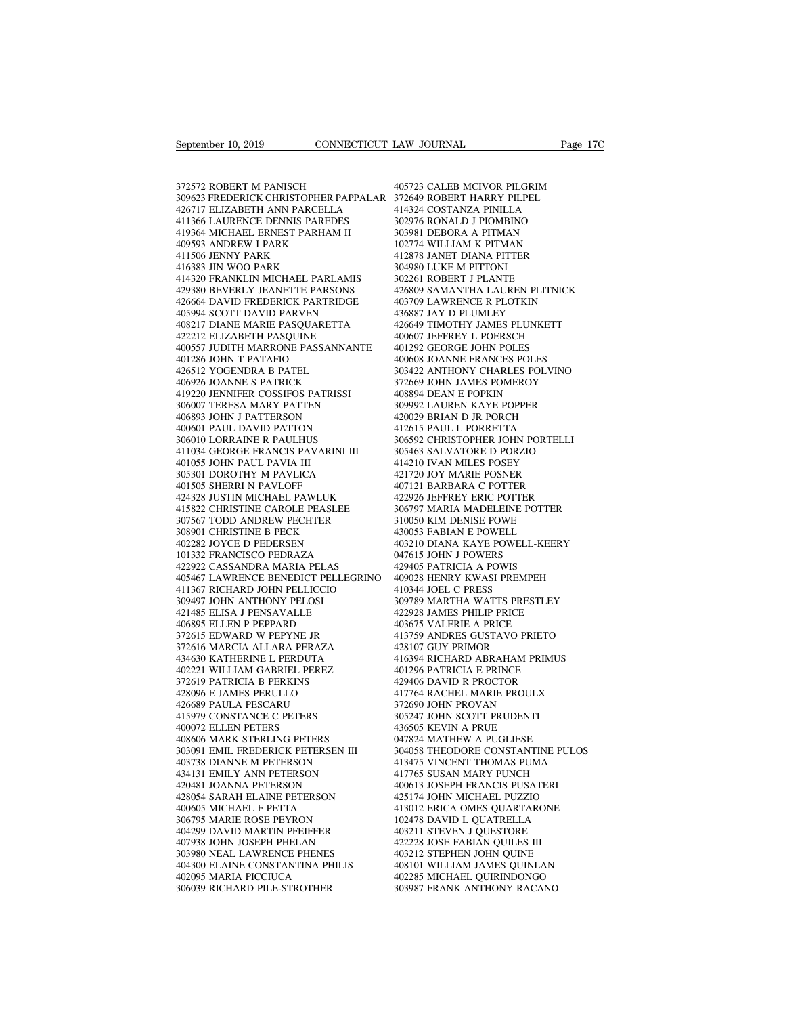September 10, 2019<br>372572 ROBERT M PANISCH<br>309623 FREDERICK CHRISTOPHER PAPPAL<br>426717 ELIZABETH ANN PARCELLA 309623 FREDERICK CHRISTOPHER PAPPALAR September 10, 2019<br>
CONNECTICUT LAN<br>
372572 ROBERT M PANISCH<br>
309623 FREDERICK CHRISTOPHER PAPPALAR<br>
426717 ELIZABETH ANN PARCELLA<br>
411366 LAURENCE DENNIS PAREDES<br>
419364 MICHAEL ERNEST PARHAM II 4<br>192572 ROBERT M PANISCH<br>190623 FREDERICK CHRISTOPHER PAPPALAR<br>1426717 ELIZABETH ANN PARCELLA<br>1411366 LAURENCE DENNIS PAREDES<br>149364 MICHAEL ERNEST PARHAM II<br>19593 ANDREW I PARK 372572 ROBERT M PANISCH<br>309623 FREDERICK CHRISTOPHER PAPPALA<br>426717 ELIZABETH ANN PARCELLA<br>411366 LAURENCE DENNIS PAREDES<br>419364 MICHAEL ERNEST PARHAM II<br>409593 ANDREW I PARK<br>411506 JENNY PARK 372572 ROBERT M PANISCH<br>309623 FREDERICK CHRISTOPHER PAP<br>426717 ELIZABETH ANN PARCELLA<br>411366 LAURENCE DENNIS PAREDES<br>409593 ANDREW I PARK<br>409593 ANDREW I PARK<br>411506 JENNY PARK<br>416383 JIN WOO PARK 372572 ROBERT M PANISCH<br>309623 FREDERICK CHRISTOPHER<br>426717 ELIZABETH ANN PARCELL<br>411366 LAURENCE DENNIS PAREL<br>419364 MICHAEL ERNEST PARHA1<br>409593 ANDREW I PARK<br>416383 JIN WOO PARK<br>416383 JIN WOO PARK<br>416383 JIN WOO PARK 426717 ELIZABETH ANN PARCELLA<br>411366 LAURENCE DENNIS PAREDES<br>419364 MICHAEL ERNEST PARHAM II<br>409593 ANDREW I PARK<br>411506 JENNY PARK<br>416383 JIN WOO PARK<br>414320 FRANKLIN MICHAEL PARLAMIS<br>429380 BEVERLY JEANETTE PARSONS 426717 ELIZABETH ANN PARCELLA 411366<br>
419364 MICHAEL ERNEST PARHAM II 3039<br>
409593 ANDREW I PARK 422<br>
409593 ANDREW I PARK 4125<br>
411506 ENNY PARK 414320<br>
414320 IR WOO PARK 414320 FRANKLIN MICHAEL PARLAMIS 3022<br>
429380 BEV 429380 BEVERLY JEANETTE PARSONS 419364 MICHAEL ERNEST PARHAM II 409593 ANDREW I PARK 4128<br>41506 JENNY PARK 4128<br>416383 JIN WOO PARK 4128<br>414320 FRANKLIN MICHAEL PARLAMIS 3022<br>429380 BEVERLY JEANETTE PARSONS 4268<br>425664 DAVID FREDERICK PARTRIDGE 4037<br>4059 409593 ANDREW I PARK<br>411506 JENNY PARK<br>416383 JIN WOO PARK<br>414320 FRANKLIN MICHAEL PARLAMIS<br>429380 BEVERLY JEANETTE PARSONS<br>426664 DAVID FREDERICK PARTRIDGE<br>405994 SCOTT DAVID PARVEN<br>408217 DIANE MARIE PASQUARETTA<br>422212 E  $\begin{tabular}{llllllll} 411506 \text{ JENNY} \text{ PARK} & & & 4128^\circ \\\hline 416383 \text{ JIN} \text{ WOO} \text{ PARK} & & 3049 \text{;} \\ 41320 \text{ FRANKLIN} \text{ MICHAEL} \text{ PARLAMIS} & & 3022 \text{;} \\ 429380 \text{ BEVERLY} \text{ JEANETTE} \text{ PARSONS} & & 4268 \text{;} \\ 406594 \text{ SCOTT} \text{ DAVID} \text{ PARKTIDGE} & & 4037 \text{;} \\ 40594 \text{ SCOTT} \text{$ 416383 JIN WOO PARK<br>414320 FRANKLIN MICHAEL PARLAMIS<br>429380 BEVERLY JEANETTE PARSONS<br>426664 DAVID FREDERICK PARTRIDGE<br>405994 SCOTT DAVID PARVEN<br>4008217 DIANE MARIE PASQUARETTA<br>422212 ELIZABETH PASQUINE<br>400557 JUDITH MARRON 400557 JUDITH MARRONE PASSANNANTE 429380 BEVERLY JEANETTE PARSONS<br>426664 DAVID FREDERICK PARTRIDG!<br>405994 SCOTT DAVID PARVEN<br>408217 DIANE MARIE PASQUARETTA<br>422212 ELIZABETH PASQUINE<br>400557 JUDITH MARRONE PASSANNA!<br>401286 JOHN T PATAFIO<br>426512 YOGENDRA B PA 426664 DAVID FREDERICK PARTRIDGE<br>405994 SCOTT DAVID PARVEN<br>408217 DIANE MARIE PASQUARETTA<br>422212 ELIZABETH PASQUINE<br>400557 JUDITH MARRONE PASSANNANT<br>401286 JOHN T PATAFIO<br>426512 YOGENDRA B PATEL<br>406926 JOANNE S PATRICK<br>419 405994 SCOTT DAVID PARVEN<br>408217 DIANE MARIE PASQUARETTA<br>422212 ELIZABETH PASQUINE<br>400557 JUDITH MARRONE PASSANNANTI<br>401286 JOHN T PATAFIO<br>426512 YOGENDRA B PATEL<br>406926 JOANNE S PATRICK<br>419220 JENNIFER COSSIFOS PATRISSI<br>3 408217 DIANE MARIE PASQUARETTA<br>422212 ELIZABETH PASQUINE<br>400557 JUDITH MARRONE PASSANNANTE<br>401286 JOHN T PATAFIO<br>426512 YOGENDRA B PATEL<br>406926 JOANNE S PATRICK<br>419220 JENNIFER COSSIFOS PATRISSI<br>306007 TERESA MARY PATTEN<br>4 422212 ELIZABETH PASQUINE<br>400557 JUDITH MARRONE PASSANNANTE<br>401286 JOHN T PATAFIO<br>426512 YOGENDRA B PATEL<br>406926 JOANNE S PATRICK<br>419220 JENNIFER COSSIFOS PATRISSI<br>306007 TERESA MARY PATTEN<br>406893 JOHN J PATTERSON<br>400601 P 400557 JUDITH MARRONE PASSANNANT!<br>401286 JOHN T PATAFIO<br>426512 YOGENDRA B PATEL<br>406926 JOANNE S PATRICK<br>419220 JENNIFER COSSIFOS PATRISSI<br>306007 TERESA MARY PATTEN<br>406893 JOHN J PATTERSON<br>400601 PAUL DAVID PATTON<br>306010 LO 401286 JOHN T PATAFIO<br>426512 YOGENDRA B PATEL<br>406926 JOANNE S PATRICK<br>419220 JENNIFER COSSIFOS PATRISSI<br>306007 TERESA MARY PATTEN<br>406893 JOHN J PATTERSON<br>400601 PAUL DAVID PATTON<br>306010 LORRAINE R PAULHUS<br>411034 GEORGE FRA 426512 YOGENDRA B PATEL<br>406926 JOANNE S PATRICK<br>419220 JENNIFER COSSIFOS PATRISSI<br>306007 TERESA MARY PATTEN<br>406893 JOHN J PATTERSON<br>400601 PAUL DAVID PATTON<br>306010 LORRAINE R PAULHUS<br>411034 GEORGE FRANCIS PAVARINI III<br>4010 406926 JOANNE S PATRICK<br>419220 JENNIFER COSSIFOS PATRISSI<br>306007 TERESA MARY PATTEN<br>406893 JOHN J PATTERSON<br>400601 PAUL DAVID PATTON<br>306010 LORRAINE R PAULHUS<br>411034 GEORGE FRANCIS PAVARINI III<br>401055 JOHN PAUL PAVIA III<br>3 419220 JENNIFER COSSIFOS PATRIS<br>306007 TERESA MARY PATTEN<br>406893 JOHN J PATTERSON<br>400601 PAUL DAVID PATTON<br>306010 LORRAINE R PAULHUS<br>411034 GEORGE FRANCIS PAVARIN<br>401055 JOHN PAUL PAVIA III<br>305301 DOROTHY M PAVLICA<br>401505 306007 TERESA MARY PATTEN<br>406893 JOHN J PATTERSON<br>400601 PAUL DAVID PATTON<br>306010 LORRAINE R PAULHUS<br>411034 GEORGE FRANCIS PAVARINI III<br>401055 JOHN PAUL PAVIA III<br>305301 DOROTHY M PAVLICA<br>401505 SHERRI N PAVLOFF<br>424328 JUS 406893 JOHN J PATTERSON<br>400601 PAUL DAVID PATTON<br>306010 LORRAINE R PAULHUS<br>411034 GEORGE FRANCIS PAVARINI I<br>401055 JOHN PAUL PAVIA III<br>305301 DOROTHY M PAVLICA<br>401505 SHERRI N PAVLOFF<br>424328 JUSTIN MICHAEL PAWLUK<br>415822 CH 400601 PAUL DAVID PATTON 41<br>
306010 LORRAINE R PAULHUS 411034 GEORGE FRANCIS PAVARINI III 41<br>
401055 JOHN PAUL PAVIA III 41<br>
4035301 DOROTHY M PAVLICA 42<br>
424328 JUSTIN MICHAEL PAWLUK 42<br>
424328 JUSTIN MICHAEL PAWLUK 42<br>
4 41034 GEORGE FRANCIS PAVARINI III 30<br>401055 JOHN PAUL PAVIA III 41-41055 JOHN PAUL PAVIA III 41-42<br>402155 JOHN PAUL PAVIA III 41-42<br>40156 SHERRI N PAVLOFF 40<br>40256 SHERRI N PAVLOFF 42<br>424328 JUSTIN MICHAEL PAWLUK 42<br>415822 411034 GEORGE FRANCIS PAVARINI III<br>401055 JOHN PAUL PAVIA III<br>305301 DOROTHY M PAVLICA<br>401505 SHERRI N PAVLOFF<br>41328 JUSTIN MICHAEL PAWLUK<br>415822 CHRISTINE CAROLE PEASLEE<br>307567 TODD ANDREW PECHTER<br>308901 CHRISTINE B PECK<br> 401055 JOHN PAUL PAVIA III<br>305301 DOROTHY M PAVLICA<br>401505 SHERRI N PAVLOFF<br>424328 JUSTIN MICHAEL PAWLUK<br>415822 CHRISTINE CAROLE PEASLEE<br>307567 TODD ANDREW PECHTER<br>308901 CHRISTINE B PECK<br>402282 JOYCE D PEDERSEN<br>101332 FRA 305301 DOROTHY M PAVLICA<br>401505 SHERRI N PAVLOFF<br>424328 JUSTIN MICHAEL PAWLUK<br>415822 CHRISTINE CAROLE PEASLEE<br>307567 TODD ANDREW PECHTER<br>308901 CHRISTINE B PECK<br>402282 JOYCE D PEDERSEN<br>101332 FRANCISCO PEDRAZA<br>422922 CASSA 401505 SHERRI N PAVLOFF<br>424328 JUSTIN MICHAEL PAWLUK<br>415822 CHRISTINE CAROLE PEASLEE<br>307567 TODD ANDREW PECHTER<br>408901 CHRISTINE B PECK<br>402282 JOYCE D PEDERSEN<br>101332 FRANCISCO PEDRAZA<br>422922 CASSANDRA MARIA PELAS<br>405467 L 424328 JUSTIN MICHAEL PAWLUK<br>415822 CHRISTINE CAROLE PEASLEE<br>307567 TODD ANDREW PECHTER<br>308901 CHRISTINE B PECK<br>402282 JOYCE D PEDERSEN<br>101332 FRANCISCO PEDRAZA<br>422922 CASSANDRA MARIA PELAS<br>405467 LAWRENCE BENEDICT PELLEGR 415822 CHRISTINE CAROLE PEASLEE 306797 MAI<br>307567 TODD ANDREW PECHTER 310050 KIM<br>402282 JOYCE D PEDERSEN 403210 DIA!<br>402282 JOYCE D PEDERSEN 403210 DIA!<br>402922 CASSANDRA MARIA PELAS 429405 PAT<br>405467 LAWRENCE BENEDICT PELL 307567 TODD ANDREW PECHTER<br>
308901 CHRISTINE B PECK 43<br>
402282 JOYCE D PEDERSEN 40232 CASSANDRA MARIA PELAS<br>
422922 CASSANDRA MARIA PELAS<br>
405467 LAWRENCE BENEDICT PELLEGRINO 44<br>
405467 LAWRENCE BENEDICT PELLICCIO 41<br>
3094 308901 CHRISTINE B PECK<br>402282 JOYCE D PEDERSEN<br>101332 FRANCISCO PEDRAZA<br>422922 CASSANDRA MARIA PELAS<br>405467 LAWRENCE BENEDICT PELLEC<br>411367 RICHARD JOHN PELLICCIO<br>309497 JOHN ANTHONY PELOSI<br>421485 ELISA J PENSAVALLE<br>40689 402282 JOYCE D PEDERSEN<br>101332 FRANCISCO PEDRAZA<br>422922 CASSANDRA MARIA PELAS<br>405467 LAWRENCE BENEDICT PELLEGRI<br>411367 RICHARD JOHN NELLICCIO<br>309497 JOHN ANTHONY PELOSI<br>421485 ELISA J PENSAVALLE<br>406895 ELLEN P PEPPARD<br>3726 101332 FRANCISCO PEDRAZA<br>422922 CASSANDRA MARIA PELAS<br>405467 LAWRENCE BENEDICT PELLEGF<br>411367 RICHARD JOHN PELLICCIO<br>309497 JOHN ANTHONY PELOSI<br>421485 ELISA J PENSAVALLE<br>406895 ELLEN P PEPPARD<br>372615 EDWARD W PEPYNE JR<br>372 422922 CASSANDRA MARIA PELAS<br>405467 LAWRENCE BENEDICT PELLEGRINO<br>411367 RICHARD JOHN PELLICCIO<br>309497 JOHN ANTHONY PELOSI<br>421485 ELISA J PENSAVALLE<br>406895 ELLEN P PEPPARD<br>372615 EDWARD W PEPYNE JR<br>372616 MARCIA ALLARA PERA 405467 LAWRENCE BENEDICT PELLEGRINO 4<br>411367 RICHARD JOHN PELLICCIO 4<br>309497 JOHN ANTHONY PELOSI 3<br>421485 ELISA J PENSAVALLE 4<br>406895 ELLEN P PEPPARD D<br>372615 EDWARD W PEPYNE JR<br>372615 EDWARD W PEPYNE JR<br>402221 WILLIAM GAB 411367 RICHARD JOHN PELLICCIO<br>309497 JOHN ANTHONY PELOSI<br>421485 ELISA J PENSAVALLE<br>406895 ELLEN P PEPPARD<br>372615 EDWARD W PEPYNE JR<br>372616 MARCIA ALLARA PERAZA<br>432616 MARCIA ALLARA PERAZA<br>432221 WILLIAM GABRIEL PEREZ<br>37261 309497 JOHN ANTHONY PELOSI<br>421485 ELISA J PENSAVALLE<br>406895 ELLEN P PEPPARD<br>372615 EDWARD W PEPYNE JR<br>372616 MARCIA ALLARA PERAZA<br>434630 KATHERINE L PERDUTA<br>402221 WILLIAM GABRIEL PEREZ<br>372619 PATRICIA B PERKINS<br>428096 E J 421485 ELISA J PENSAVALLE<br>406895 ELLEN P PEPPARD<br>372615 EDWARD W PEPYNE JR<br>372616 MARCIA ALLARA PERAZA<br>434630 KATHERINE L PERDUTA<br>40221 WILLIAM GABRIEL PEREZ<br>372619 PATRICIA B PERKINS<br>428096 E JAMES PERULLO<br>426689 PAULA PE 406895 ELLEN P PEPPARD<br>372615 EDWARD W PEPYNE JR<br>372616 MARCIA ALLARA PERAZA<br>434630 KATHERINE L PERDUTA<br>402221 WILLIAM GABRIEL PEREZ<br>372619 PATRICIA B PERKINS<br>426689 PAULA PESCARU<br>426689 PAULA PESCARU<br>416689 PAULA PESCARU<br> 372615 EDWARD W PEPYNE JR<br>372616 MARCIA ALLARA PERAZA<br>434630 KATHERINE L PERDUTA<br>402221 WILLIAM GABRIEL PEREZ<br>372619 PATRICIA B PERKINS<br>428096 E JAMES PERULLO<br>4426689 PAULA PESCARU<br>415979 CONSTANCE C PETERS<br>400072 ELLEN PE 372616 MARCIA ALLARA PERAZA<br>434630 KATHERINE L PERDUTA<br>402221 WILLIAM GABRIEL PEREZ<br>372619 PATRICIA B PERKINS<br>428096 E JAMES PERULLO<br>416689 PAULA PESCARU<br>415979 CONSTANCE C PETERS<br>400072 ELLEN PETERS<br>408606 MARK STERLING P 434630 KATHERINE L PERDUTA<br>402221 WILLIAM GABRIEL PEREZ<br>372619 PATRICIA B PERKINS<br>428096 E JAMES PERULLO<br>426689 PAULA PESCARU<br>415979 CONSTANCE C PETERS<br>400072 ELLEN PETERS<br>408606 MARK STERLING PETERS<br>303091 EMIL FREDERICK 402221 WILLIAM GABRIEL PEREZ<br>372619 PATRICIA B PERKINS<br>428096 E JAMES PERULLO<br>426689 PAULA PESCARU<br>415979 CONSTANCE C PETERS<br>408006 MARK STERLING PETERS<br>303091 EMIL FREDERICK PETERS<br>303091 EMIL FREDERICK PETERSEN III<br>40373 372619 PATRICIA B PERKINS<br>428096 E JAMES PERULLO<br>426689 PAULA PESCARU<br>415979 CONSTANCE C PETERS<br>400072 ELLEN PETERS<br>40086 MARK STERLING PETERS<br>303091 EMIL FREDERICK PETERSEN III<br>403738 DIANNE M PETERSON<br>434131 EMILY ANN PE 428096 E JAMES PERULLO<br>426689 PAULA PESCARU<br>415979 CONSTANCE C PETERS<br>400072 ELLEN PETERS<br>403666 MARK STERLING PETERS<br>303091 EMIL FREDERICK PETERSEN III<br>403738 DIANNE M PETERSON<br>434131 EMILY ANN PETERSON<br>420481 JOANNA PETE 426689 PAULA PESCARU<br>415979 CONSTANCE C PETERS<br>400072 ELLEN PETERS<br>408606 MARK STERLING PETERS<br>303091 EMIL FREDERICK PETERSEN III<br>403738 DIANNE M PETERSON<br>4434131 EMILY ANN PETERSON<br>420481 JOANNA PETERSON<br>420481 JOANNA PET 415979 CONSTANCE C PETERS<br>400072 ELLEN PETERS<br>408606 MARK STERLING PETERS<br>303091 EMIL FREDERICK PETERSEN III<br>403738 DIANNE M PETERSON<br>424431 JOANNA PETERSON<br>420481 JOANNA PETERSON<br>428054 SARAH ELAINE PETERSON<br>400605 MICHAE 428054 SARAH ELAINE PETERSON 408606 MARK STERLING PETERS<br>303091 EMIL FREDERICK PETERSEN III<br>403738 DIANNE M PETERSON<br>434131 EMILY ANN PETERSON<br>420481 JOANNA PETERSON<br>420854 SARAH ELAINE PETERSON<br>40605 MICHAEL F PETTA<br>306795 MARIE ROSE PEYRON<br>404299 DA 303091 EMIL FREDERICK PETERSEN III<br>403738 DIANNE M PETERSON<br>434131 EMILY ANN PETERSON<br>420481 JOANNA PETERSON<br>428054 SARAH ELAINE PETERSON<br>400605 MICHAEL F PETTA<br>306795 MARIE ROSE PEYRON<br>404299 DAVID MARTIN PFEIFFER<br>407938 403738 DIANNE M PETERSON<br>434131 EMILY ANN PETERSON<br>420481 JOANNA PETERSON<br>428054 SARAH ELAINE PETERSON<br>400605 MICHAEL F PETTA<br>306795 MARIE ROSE PEYRON<br>404299 DAVID MARTIN PFEIFFER<br>407938 JOHN JOSEPH PHELAN<br>303980 NEAL LAWR 434131 EMILY ANN PETERSON<br>420481 JOANNA PETERSON<br>428054 SARAH ELAINE PETERSON<br>400605 MICHAEL F PETTA<br>40793 DAVID MARTIN PFEIFFER<br>404299 DAVID MARTIN PFEIFFER<br>303980 NEAL LAWRENCE PHENES<br>303980 NEAL LAWRENCE PHENES<br>404300 E 420481 JOANNA PETERSON<br>428054 SARAH ELAINE PETERSON<br>400605 MICHAEL F PETTA<br>306795 MARIE ROSE PEYRON<br>404299 DAVID MARTIN PFEIFFER<br>407938 JOHN JOSEPH PHELAN<br>303980 NEAL LAWRENCE PHENES<br>404300 ELAINE CONSTANTINA PHILIS<br>402095 404300 ELAINE CONSTANTINA PHILIS 400605 MICHAEL F PETTA<br>306795 MARIE ROSE PEYRON<br>404299 DAVID MARTIN PFEIFFER<br>407938 JOHN JOSEPH PHELAN<br>303980 NEAL LAWRENCE PHENES<br>404300 ELAINE CONSTANTINA PHILIS<br>402095 MARIA PICCIUCA<br>306039 RICHARD PILE-STROTHER 306795 MARIE ROSE PEYRON<br>404299 DAVID MARTIN PFEIFFER<br>407938 JOHN JOSEPH PHELAN<br>303980 NEAL LAWRENCE PHENES<br>404300 ELAINE CONSTANTINA PHILIS<br>402095 MARIA PICCIUCA<br>306039 RICHARD PILE-STROTHER

405723 CALEB MCIVOR PILGRIM LAW JOURNAL<br>405723 CALEB MCIVOR PILGRIM<br>372649 ROBERT HARRY PILPEL<br>414324 COSTANZA PINILLA<br>302976 RONALD J PIOMBINO EXAM JOURNAL Page<br>
195723 CALEB MCIVOR PILGRIM<br>
372649 ROBERT HARRY PILPEL<br>
414324 COSTANZA PINILLA<br>
302976 RONALD J PIOMBINO<br>
303981 DEBORA A PITMAN 405723 CALEB MCIVOR PILGRIM<br>372649 ROBERT HARRY PILPEL<br>414324 COSTANZA PINILLA<br>302976 RONALD J PIOMBINO<br>303981 DEBORA A PITMAN<br>102774 WILLIAM K PITMAN 405723 CALEB MCIVOR PILGRIM<br>372649 ROBERT HARRY PILPEL<br>414324 COSTANZA PINILLA<br>302976 RONALD J PIOMBINO<br>303981 DEBORA A PITMAN<br>102774 WILLIAM K PITMAN<br>412878 JANET DIANA PITTER 405723 CALEB MCIVOR PILGRIM<br>372649 ROBERT HARRY PILPEL<br>414324 COSTANZA PINILLA<br>302976 RONALD J PIOMBINO<br>303981 DEBORA A PITMAN<br>102774 WILLIAM K PITMAN<br>412878 JANET DIANA PITTER<br>304980 LUKE M PITTONI 405723 CALEB MCIVOR PILGRIM<br>372649 ROBERT HARRY PILPEL<br>414324 COSTANZA PINILLA<br>302976 RONALD J PIOMBINO<br>303981 DEBORA A PITMAN<br>102774 WILLIAM K PITMAN<br>412878 JANET DIANA PITTER<br>304980 LUKE M PITTONI<br>302261 ROBERT J PLANTE 414324 COSTANZA PINILLA<br>302976 RONALD J PIOMBINO<br>303981 DEBORA A PITMAN<br>102774 WILLIAM K PITMAN<br>412878 JANET DIANA PITTER<br>304980 LUKE M PITTONI<br>302261 ROBERT J PLANTE 414324 COSTANZA PINILLA<br>302976 RONALD J PIOMBINO<br>303981 DEBORA A PITMAN<br>102774 WILLIAM K PITMAN<br>412878 JANET DIANA PITTER<br>302261 ROBERT J PLANTE<br>426809 SAMANTHA LAUREN PLITNIC!<br>403709 LAWRENCE R PLOTKIN 302976 RONALD J PIOMBINO<br>303981 DEBORA A PITMAN<br>102774 WILLIAM K PITMAN<br>412878 JANET DIANA PITTER<br>304980 LUKE M PITTONI<br>302261 ROBERT J PLANTE<br>426809 SAMANTHA LAUREN PLITNICK<br>403709 LAWRENCE R PLOTKIN<br>436887 JAY D PLUMLEY 303981 DEBORA A PITMAN<br>102774 WILLIAM K PITMAN<br>412878 JANET DIANA PITTER<br>304980 LUKE M PITTONI<br>302261 ROBERT J PLANTE<br>426809 SAMANTHA LAUREN PLITNICK<br>403709 LAWRENCE R PLOTKIN<br>436887 JAY D PLUMLEY<br>426649 TIMOTHY JAMES PLUN 102774 WILLIAM K PITMAN<br>412878 JANET DIANA PITTER<br>304980 LUKE M PITTONI<br>302261 ROBERT J PLANTE<br>426809 SAMANTHA LAUREN PLITNICI<br>403709 LAWRENCE R PLOTKIN<br>436887 JAY D PLUMLEY<br>426649 TIMOTHY JAMES PLUNKETT<br>400607 JEFFREY L P 412878 JANET DIANA PITTER<br>304980 LUKE M PITTONI<br>302261 ROBERT J PLANTE<br>426809 SAMANTHA LAUREN PLITNICK<br>403709 LAWRENCE R PLOTKIN<br>436887 JAY D PLUMLEY<br>426649 TIMOTHY JAMES PLUNKETT<br>400607 JEFFREY L POERSCH<br>401292 GEORGE JOH 304980 LUKE M PITTONI<br>302261 ROBERT J PLANTE<br>426809 SAMANTHA LAUREN PLITNICK<br>403709 LAWRENCE R PLOTKIN<br>43687 JAY D PLUMLEY<br>426649 TIMOTHY JAMES PLUNKETT<br>400607 JEFFREY L POERSCH<br>401292 GEORGE JOHN POLES<br>400608 JOANNE FRANC 302261 ROBERT J PLANTE<br>426809 SAMANTHA LAUREN PLITNICK<br>403709 LAWRENCE R PLOTKIN<br>436887 JAY D PLUMLEY<br>426649 TIMOTHY JAMES PLUNKETT<br>400607 JEFFREY L POERSCH<br>401292 GEORGE JOHN POLES<br>400608 JOANNE FRANCES POLES<br>303422 ANTHO 426809 SAMANTHA LAUREN PLITNICK<br>403709 LAWRENCE R PLOTKIN<br>436887 JAY D PLUMLEY<br>426649 TIMOTHY JAMES PLUNKETT<br>400607 JEFREY L POERSCH<br>400607 JEFREY L POERSCH<br>400608 JOANNE FRANCES POLES<br>303422 ANTHONY CHARLES POLVINO<br>372669 403709 LAWRENCE R PLOTKIN<br>436887 JAY D PLUMLEY<br>426649 TIMOTHY JAMES PLUNKETT<br>400607 JEFFREY L POERSCH<br>401292 GEORGE JOHN POLES<br>4010608 JOANNE FRANCES POLES<br>303422 ANTHONY CHARLES POLVINO<br>372669 JOHN JAMES POMEROY<br>408894 DE 436887 JAY D PLUMLEY<br>426649 TIMOTHY JAMES PLUNKETT<br>400607 JEFFREY L POERSCH<br>401292 GEORGE JOHN POLES<br>400608 JOANNE FRANCES POLES<br>303422 ANTHONY CHARLES POLVINO<br>372669 JOHN JAMES POMEROY<br>408894 DEAN E POPKIN<br>309992 LAUREN K 426649 TIMOTHY JAMES PLUNKETT<br>400607 JEFFREY L POERSCH<br>401292 GEORGE JOHN POLES<br>400608 JOANNE FRANCES POLES<br>303422 ANTHONY CHARLES POLVINC<br>372669 JOHN JAMES POMEROY<br>408894 DEAN E POPKIN<br>309992 LAUREN KAYE POPPER<br>420029 BRI 400607 JEFFREY L POERSCH<br>401292 GEORGE JOHN POLES<br>400608 JOANNE FRANCES POLES<br>303422 ANTHONY CHARLES POLVINO<br>372669 JOHN JAMES POMEROY<br>408894 DEAN E POPKIN<br>309992 LAUREN KAYE POPPER<br>420029 BRIAN D JR PORCH<br>412615 PAUL L PO 401292 GEORGE JOHN POLES<br>400608 JOANNE FRANCES POLES<br>303422 ANTHONY CHARLES POLVINO<br>372669 JOHN JAMES POMEROY<br>408894 DEAN E POPKIN<br>309992 LAUREN KAYE POPPER<br>420029 BRIAN D JR PORCH<br>412615 PAUL L PORRETTA<br>306592 CHRISTOPHER 400608 JOANNE FRANCES POLES<br>303422 ANTHONY CHARLES POLVINO<br>372669 JOHN JAMES POMEROY<br>408894 DEAN E POPKIN<br>40029 BRIAN D JR PORPER<br>420029 BRIAN D JR PORCH<br>412615 PAUL L PORRETTA<br>306592 CHRISTOPHER JOHN PORTELLI<br>305463 SALVA 303422 ANTHONY CHARLES POLVINO<br>372669 JOHN JAMES POMEROY<br>408894 DEAN E POPKIN<br>309992 LAUREN KAYE POPPER<br>420029 BRIAN D JR PORCH<br>412615 PAUL L PORRETTA<br>306592 CHRISTOPHER JOHN PORTELLI<br>305463 SALVATORE D PORZIO<br>414210 IVAN 372669 JOHN JAMES POMEROY<br>408894 DEAN E POPKIN<br>309992 LAUREN KAYE POPPER<br>420029 BRIAN D JR PORCH<br>412615 PAUL L PORRETTA<br>305592 CHRISTOPHER JOHN PORTELLI<br>305463 SALVATORE D PORZIO<br>414210 IVAN MILES POSEY<br>421720 JOY MARIE PO 408894 DEAN E POPKIN<br>309992 LAUREN KAYE POPPER<br>420029 BRIAN D JR PORCH<br>412615 PAUL L PORRETTA<br>306592 CHRISTOPHER JOHN PORTELLI<br>305463 SALVATORE D PORZIO<br>414210 IVAN MILES POSEY<br>421720 JOY MARIE POSNER<br>407121 BARBARA C POTT 309992 LAUREN KAYE POPPER<br>420029 BRIAN D JR PORCH<br>412615 PAUL L PORRETTA<br>306592 CHRISTOPHER JOHN PORTELLI<br>305463 SALVATORE D PORZIO<br>414210 IVAN MILES POSEY<br>421720 JOY MARIE POSNER<br>407121 BARBARA C POTTER<br>422926 JEFFREY ERI 420029 BRIAN D JR PORCH<br>412615 PAUL L PORRETTA<br>306592 CHRISTOPHER JOHN PORTELLI<br>305463 SALVATORE D PORZIO<br>414210 IVAN MILES POSEY<br>421720 JOY MARIE POSNER<br>407121 BARBARA C POTTER<br>422926 JEFFREY ERIC POTTER<br>306797 MARIA MADE 412615 PAUL L PORRETTA<br>306592 CHRISTOPHER JOHN PORTELLI<br>305463 SALVATORE D PORZIO<br>414210 IVAN MILES POSEY<br>421720 JOY MARIE POSNER<br>407121 BARBARA C POTTER<br>422926 JEFFREY ERIC POTTER<br>306797 MARIA MADELEINE POTTER<br>3106707 MAR 306592 CHRISTOPHER JOHN PORTELLI<br>305463 SALVATORE D PORZIO<br>414210 IVAN MILES POSEY<br>421720 JOY MARIE POSNER<br>407121 BARBARA C POTTER<br>422926 JEFFREY ERIC POTTER<br>306797 MARIA MADELEINE POTTER<br>310050 KIM DENISE POWE<br>430053 FABI 305463 SALVATORE D PORZIO<br>414210 IVAN MILES POSEY<br>421720 JOY MARIE POSNER<br>407121 BARBARA C POTTER<br>422926 IEFREY ERIC POTTER<br>306797 MARIA MADELEINE POTTER<br>310050 KIM DENISE POWE<br>430053 FABIAN E POWELL<br>403210 DIANA KAYE POWE 414210 IVAN MILES POSEY<br>421720 JOY MARIE POSNER<br>407121 BARBARA C POTTER<br>422926 JEFFREY ERIC POTTER<br>306797 MARIA MADELEINE POTTER<br>310053 KABIAN E POWELL<br>403210 DIANA KAYE POWELL-KEERY<br>047615 JOHN J POWERS 421720 JOY MARIE POSNER<br>407121 BARBARA C POTTER<br>422926 JEFFREY ERIC POTTER<br>306797 MARIA MADELEINE POTTER<br>31005 KIM DENISE POWEL<br>430053 FABIAN E POWELL<br>403210 DIANA KAYE POWELL-KEERY<br>047615 JOHN J POWERS<br>429405 PATRICIA A P 407121 BARBARA C POTTER<br>422926 JEFFREY ERIC POTTER<br>306797 MARIA MADELEINE POTTER<br>310050 KIM DENISE POWEL<br>430053 FABIAN E POWELL<br>403210 DIANA KAYE POWELL-KEER<br>047615 JOHN J POWERS<br>429405 PATRICIA A POWIS<br>409028 HENRY KWASI 422926 JEFFREY ERIC POTTER<br>306797 MARIA MADELEINE POTTER<br>310050 KIM DENISE POWEL<br>430053 FABIAN E POWELL<br>403210 DIANA KAYE POWELL-KEERY<br>047615 JOHN J POWERS<br>429405 PATRICIA A POWIS<br>409028 HENRY KWASI PREMPEH<br>410344 JOEL C P 306797 MARIA MADELEINE POTTER<br>310050 KIM DENISE POWELL<br>403053 FABIAN E POWELL<br>403210 DIANA KAYE POWELL-KEERY<br>047615 JOHN J POWERS<br>429405 PATRICIA A POWIS<br>409028 HENRY KWASI PREMPEH<br>410344 JOEL C PRESS<br>309789 MARTHA WATTS P 310050 KIM DENISE POWE<br>430053 FABIAN E POWELL<br>403210 DIANA KAYE POWELL-K<br>047615 JOHN J POWERS<br>429405 PATRICIA A POWIS<br>409028 HENRY KWASI PREMPEI<br>410344 JOEL C PRESS<br>309789 MARTHA WATTS PRESTI<br>422928 JAMES PHILIP PRICE 430053 FABIAN E POWELL<br>403210 DIANA KAYE POWELL-KEERY<br>047615 JOHN J POWERS<br>429405 PATRICIA A POWIS<br>409028 HENRY KWASI PREMPEH<br>410344 JOEL C PRESS<br>309789 MARTHA WATTS PRESTLEY<br>422928 JAMES PHILIP PRICE<br>403675 VALERIE A PRIC 403210 DIANA KAYE POWELL-KEERY<br>047615 JOHN J POWERS<br>429405 PATRICIA A POWIS<br>409028 HENRY KWASI PREMPEH<br>410344 JOEL C PRESS<br>309789 MARTHA WATTS PRESTLEY<br>422928 JAMES PHILIP PRICE<br>403675 VALERIE A PRICE<br>413675 VALERIE A PRIC 047615 JOHN J POWERS<br>429405 PATRICIA A POWIS<br>409028 HENRY KWASI PREMPEH<br>410344 JOEL C PRESS<br>309789 MARTHA WATTS PRESTLEY<br>422928 JAMES PHILIP PRICE<br>403675 VALERIE A PRICE<br>413759 ANDRES GUSTAVO PRIETO<br>428107 GUY PRIMOR 429405 PATRICIA A POWIS<br>409028 HENRY KWASI PREMPEH<br>410344 JOEL C PRESS<br>309789 MARTHA WATTS PRESTLEY<br>422928 JAMES PHILIP PRICE<br>403675 VALERIE A PRICE<br>413759 ANDRES GUSTAVO PRIETO<br>428107 GUY PRIMOR<br>416394 RICHARD ABRAHAM PRI 409028 HENRY KWASI PREMPEH<br>410344 JOEL C PRESS<br>309789 MARTHA WATTS PRESTLI<br>422928 JAMES PHILIP PRICE<br>403675 VALERIE A PRICE<br>413759 ANDRES GUSTAVO PRIET<br>428107 GUY PRIMOR<br>416394 RICHARD ABRAHAM PRIN<br>401296 PATRICIA E PRINCE 410344 JOEL C PRESS<br>309789 MARTHA WATTS PRESTLEY<br>422928 JAMES PHILIP PRICE<br>403675 VALERIE A PRICE<br>413759 ANDRES GUSTAVO PRIETO<br>428107 GUY PRIMOR<br>401296 PATRICIA E PRINCE<br>401296 PATRICIA E PRINCE<br>429406 DAVID R PROCTOR 309789 MARTHA WATTS PRESTLEY<br>422928 JAMES PHILIP PRICE<br>403675 VALERIE A PRICE<br>413759 ANDRES GUSTAVO PRIETO<br>428107 GUY PRIMOR<br>416394 RICHARD ABRAHAM PRIMUS<br>401296 PATRICIA E PRINCE<br>429406 DAVID R PROCTOR<br>417764 RACHEL MARIE 422928 JAMES PHILIP PRICE<br>403675 VALERIE A PRICE<br>413759 ANDRES GUSTAVO PRIETO<br>428107 GUY PRIMOR<br>416394 RICHARD ABRAHAM PRIMUS<br>401296 PATRICIA E PRINCE<br>429406 DAVID R PROCTOR<br>417764 RACHEL MARIE PROULX<br>372690 JOHN PROVAN 403675 VALERIE A PRICE<br>413759 ANDRES GUSTAVO PRIETO<br>428107 GUY PRIMOR<br>416394 RICHARD ABRAHAM PRIMUS<br>401296 PATRICIA E PRINCE<br>429406 DAVID R PROCTOR<br>417764 RACHEL MARIE PROULX<br>372690 JOHN PROVAN<br>305247 JOHN SCOTT PRUDENTI 413759 ANDRES GUSTAVO PRIETO<br>428107 GUY PRIMOR<br>416394 RICHARD ABRAHAM PRIMU<br>401296 PATRICIA E PRINCE<br>429406 DAVID R PROCTOR<br>417764 RACHEL MARIE PROULX<br>372690 JOHN PROVAN<br>305247 JOHN SCOTT PRUDENTI<br>436505 KEVIN A PRUE 428107 GUY PRIMOR<br>416394 RICHARD ABRAHAM PRIMUS<br>401296 PATRICIA E PRINCE<br>429406 DAVID R PROCTOR<br>417764 RACHEL MARIE PROULX<br>372690 JOHN PROVAN<br>305247 JOHN SCOTT PRUDENTI<br>436505 KEVIN A PRUE<br>047824 MATHEW A PUGLIESE 401296 PATRICIA E PRINCE<br>429406 DAVID R PROCTOR<br>417764 RACHEL MARIE PROULX<br>372690 JOHN PROVAN<br>436505 KEVIN A PRUE PRUDENTI<br>047824 MATHEW A PUGLIESE<br>304058 THEODORE CONSTANTINE PULOS 401296 PATRICIA E PRINCE<br>429406 DAVID R PROCTOR<br>417764 RACHEL MARIE PROULX<br>372690 JOHN PROVAN<br>436505 KEVIN A PRUE<br>4436505 KEVIN A PRUE<br>047824 MATHEW A PUGLIESE<br>304058 THEODORE CONSTANTINE PULOS<br>413475 VINCENT THOMAS PUMA 429406 DAVID R PROCTOR<br>417764 RACHEL MARIE PROULX<br>372690 JOHN PROVAN<br>436505 KEVIN A PRUE<br>436505 KEVIN A PRUE<br>047824 MATHEW A PUGLIESE<br>304058 THEODORE CONSTANTINE PULOS<br>413475 VINCENT THOMAS PUMA<br>417765 SUSAN MARY PUNCH 417764 RACHEL MARIE PROULX<br>372690 JOHN PROVAN<br>305247 JOHN SCOTT PRUDENTI<br>436505 KEVIN A PRUE<br>047824 MATHEW A PUGLIESE<br>304058 THEODORE CONSTANTINE PULOS<br>413475 VINCENT THOMAS PUMA<br>417765 SUSAN MARY PUNCH<br>400613 JOSEPH FRANC 372690 JOHN PROVAN<br>305247 JOHN SCOTT PRUDENTI<br>436505 KEVIN A PRUE<br>047824 MATHEW A PUGLIESE<br>304058 THEODORE CONSTANTINE PULOS<br>413475 VINCENT THOMAS PUMA<br>417765 SUSAN MARY PUNCH<br>400613 JOSEPH FRANCIS PUSATERI<br>425174 JOHN MIC 305247 JOHN SCOTT PRUDENTI<br>436505 KEVIN A PRUE<br>047824 MATHEW A PUGLIESE<br>304058 THEODORE CONSTANTINE PULOS<br>413475 VINCENT THOMAS PUNCH<br>417765 SUSAN MARY PUNCH<br>400613 JOSEPH FRANCIS PUSATERI<br>425174 JOHN MICHAEL PUZZIO<br>413012 436505 KEVIN A PRUE<br>047824 MATHEW A PUGLIESE<br>304058 THEODORE CONSTANTINE PULOS<br>413475 VINCENT THOMAS PUMA<br>417765 SUSAN MARY PUNCH<br>400613 JOSEPH FRANCIS PUSATERI<br>425174 JOHN MICHAEL PUZZIO<br>413012 ERICA OMES QUARTARONE<br>10247 047824 MATHEW A PUGLIESE<br>304058 THEODORE CONSTANTINE PULOS<br>413475 VINCENT THOMAS PUMA<br>417765 SUSAN MARY PUNCH<br>400613 JOSEPH FRANCIS PUSATERI<br>425174 JOHN MICHAEL PUZZIO<br>413012 ERICA OMES QUARTARONE<br>102478 DAVID L QUATRELLA<br> 304058 THEODORE CONSTANTINE PULOS<br>413475 VINCENT THOMAS PUMA<br>417765 SUSAN MARY PUNCH<br>400613 JOSEPH FRANCIS PUSATERI<br>425174 JOHN MICHAEL PUZZIO<br>413012 ERICA OMES QUARTARONE<br>102478 DAVID L QUATRELLA<br>403211 STEVEN J QUESTORE<br> 413475 VINCENT THOMAS PUMA<br>417765 SUSAN MARY PUNCH<br>400613 JOSEPH FRANCIS PUSATERI<br>425174 JOHN MICHAEL PUZZIO<br>413012 ERICA OMES QUARTARONE<br>102478 DAVID L QUATRELLA<br>403211 STEVEN J QUESTORE<br>422228 JOSE FABIAN QUILES III<br>4032 417765 SUSAN MARY PUNCH<br>400613 JOSEPH FRANCIS PUSATERI<br>425174 JOHN MICHAEL PUZZIO<br>413012 ERICA OMES QUARTARONE<br>102478 DAVID L QUATRELLA<br>403211 STEVEN J QUIESTORE<br>402228 JOSE FABIAN QUILES III<br>403212 STEPHEN JOHN QUINE<br>4081 400613 JOSEPH FRANCIS PUSATERI<br>425174 JOHN MICHAEL PUZZIO<br>413012 ERICA OMES QUARTARONE<br>102478 DAVID L QUATRELLA<br>403211 STEVEN J QUESTORE<br>422228 JOSE FABIAN QUINE<br>403212 STEPHEN JOHN QUINE<br>408101 WILLIAM JAMES QUINLAN<br>40228 425174 JOHN MICHAEL PUZZIO<br>413012 ERICA OMES QUARTARONE<br>102478 DAVID L QUATRELLA<br>403211 STEVEN J QUESTORE<br>422228 JOSE FABIAN QUILES III<br>403121 STEPHEN JOHN QUINE<br>408101 WILLIAM JAMES QUINLAN<br>402285 MICHAEL QUIRINDONGO<br>3039 413012 ERICA OMES QUARTARONE<br>102478 DAVID L QUATRELLA<br>403211 STEVEN J QUESTORE<br>422228 JOSE FABIAN QUILES III<br>403212 STEPHEN JOHN QUINE<br>408101 WILLIAM JAMES QUINLAN<br>402285 MICHAEL QUIRINDONGO<br>303987 FRANK ANTHONY RACANO 102478 DAVID L QUATRELLA<br>403211 STEVEN J QUESTORE<br>422228 JOSE FABIAN QUILES III<br>403212 STEPHEN JOHN QUINE<br>408101 WILLIAM JAMES QUINDONGO<br>303987 FRANK ANTHONY RACANO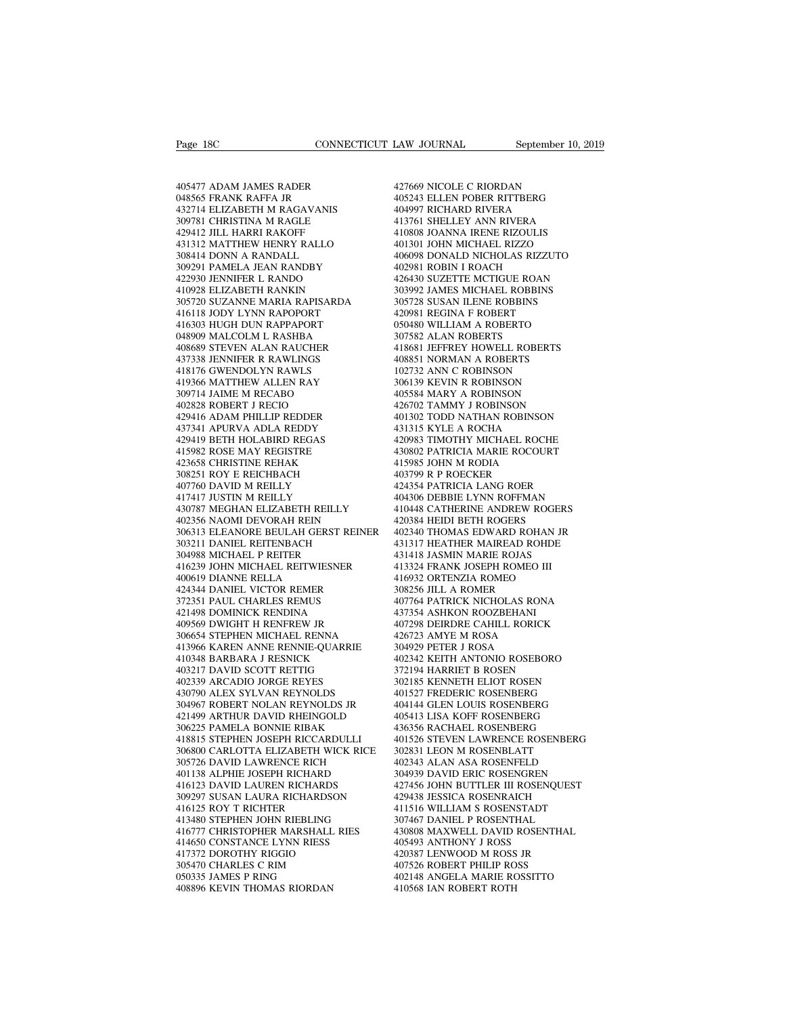Page 18C<br>405477 ADAM JAMES RADER<br>048565 FRANK RAFFA JR<br>432714 ELIZABETH M RAGAVANIS Page 18C<br>405477 ADAM JAMES RADER<br>048565 FRANK RAFFA JR<br>432714 ELIZABETH M RAGAVANIS<br>309781 CHRISTINA M RAGLE Page 18C<br>405477 ADAM JAMES RADER<br>405477 ADAM JAMES RADER<br>048565 FRANK RAFFA JR<br>432714 ELIZABETH M RAGAVANIS<br>309781 CHRISTINA M RAGLE<br>429412 JILL HARRI RAKOFF 30977<br>405477 ADAM JAMES RADER<br>048565 FRANK RAFFA JR<br>432714 ELIZABETH M RAGAVANIS<br>309781 CHRISTINA M RAGLE<br>429412 JILL HARRI RAKOFF<br>431312 MATTHEW HENRY RALLO 405477 ADAM JAMES RADER<br>048565 FRANK RAFFA JR<br>432714 ELIZABETH M RAGAVANIS<br>309781 CHRISTINA M RAGLE<br>429412 JILL HARRI RAKOFF<br>431312 MATTHEW HENRY RALLO<br>308414 DONN A RANDALL 405477 ADAM JAMES RADER<br>
048565 FRANK RAFFA JR<br>
432714 ELIZABETH M RAGAVANIS<br>
429781 CHRISTINA M RAGER<br>
429412 JILL HARRI RAKOFF<br>
431312 MATTHEW HENRY RALLO<br>
308414 DONN A RANDALL<br>
4309291 PAMELA JEAN RANDBY<br>
4 405477 ADAM JAMES RADER<br>048565 FRANK RAFFA JR<br>432714 ELIZABETH M RAGAVANIS<br>309781 CHRISTINA M RAGLE<br>429412 JILL HARRI RAKOFF<br>431312 MATTHEW HENRY RALLO<br>308414 DONN A RANDALL<br>309291 PAMELA JEAN RANDBY<br>422930 JENNIFER L RAND 048565 FRANK RAFFA JR<br>432714 ELIZABETH M RAGAVANIS<br>309781 CHRISTINA M RAGLE<br>429412 JILL HARRI RAKOFF<br>431312 MATTHEW HENRY RALLO<br>309291 PAMELA JEAN RANDBY<br>422930 JENNIFER L RANDO<br>410928 ELIZABETH RANKIN 432714 ELIZABETH M RAGAVANIS<br>309781 CHRISTINA M RAGLE<br>429412 JILL HARRI RAKOFF<br>431312 MATTHEW HENRY RALLO<br>308414 DONN A RANDALL<br>309291 PAMELA JEAN RANDBY<br>422930 JENNIFER L RANDO<br>410928 ELIZABETH RANKIN<br>305720 SUZANNE MARIA 309781 CHRISTINA M RAGLE<br>429412 JILL HARRI RAKOFF<br>431312 MATTHEW HENRY RALLO<br>308414 DONN A RANDALL<br>402930 JENNIFER L RANKO<br>422930 JENNIFER L RANKIN<br>410928 ELIZABETH RANKIN<br>305720 SUZANNE MARIA RAPISARDA<br>416118 JODY LYNN RA 429412 JILL HARRI RAKOFF 41080<br>
431312 MATTHEW HENRY RALLO 40130<br>
308414 DONN A RANDALL 40609<br>
309291 PAMELA JEAN RANDBY 42293<br>
422930 JENNIFER L RANNO 4264:<br>
42642<br>
42098 ELIZABETH RANKIN 30399<br>
30392 SLIZANNE MARIA RAPIS 431312 MATTHEW HENRY RALLO<br>308414 DONN A RANDALL<br>309291 PAMELA JEAN RANDBY<br>422930 JENNIFER L RANDO<br>410928 ELIZABETH RANKIN<br>305720 SUZANNE MARIA RAPISARDA<br>416118 JODY LYNN RAPOPORT<br>416303 HUGH DUN RAPPAPORT<br>048909 MALCOLM L 308414 DONN A RANDALL<br>309291 PAMELA JEAN RANDBY<br>422930 JENNIFER L RANDO<br>410928 ELIZABETH RANKIN<br>305720 SUZANNE MARIA RAPISARDA<br>416303 HUGH DUN RAPPAPORT<br>048909 MALCOLM L RASHBA<br>048909 MALCOLM L RASHBA<br>408689 STEVEN ALAN RA 309291 PAMELA JEAN RANDBY<br>422930 JENNIFER L RANDO<br>410928 ELIZABETH RANKIN<br>305720 SUZANNE MARIA RAPISARDA<br>41618 JODY LYNN RAPOPORT<br>416303 HUGH DUN RAPPAPORT<br>048909 MALCOLM L RASHBA<br>408689 STEVEN ALAN RAUCHER<br>437338 JENNIFER 422930 JENNIFER L RANDO<br>410928 ELIZABETH RANKIN<br>305720 SUZANNE MARIA RAPISARDA<br>416118 JODY LYNN RAPOPORT<br>416303 HUGH DUN RAPPAPORT<br>048909 MALCOLM L RASHBA<br>408689 STEVEN ALAN RAUCHER<br>437338 JENNIFER R RAWLINGS<br>418176 GWENDO 410928 ELIZABETH RANKIN<br>305720 SUZANNE MARIA RAPISARDA<br>416118 JODY LYNN RAPOPORT<br>416303 HUGH DUN RAPPAPORT<br>04889 MALCOLM L RASHBA<br>408689 STEVEN ALAN RAUCHER<br>437338 JENNIFER R RAWLINGS<br>418176 GWENDOLYN RAWLS<br>419366 MATTHEW 305720 SUZANNE MARIA RAPISARDA<br>416118 JODY LYNN RAPOPORT<br>416303 HUGH DUN RAPPAPORT<br>048909 MALCOLM L RASHBA<br>408689 STEVEN ALAN RAUCHER<br>417338 JENNIFER R RAWLINGS<br>418176 GWENDOLYN RAWLIS<br>419366 MATTHEW ALLEN RAY<br>309714 JAIME 416118 JODY LYNN RAPOPORT<br>416303 HUGH DUN RAPPAPORT<br>048909 MALCOLM L RASHBA<br>408689 STEVEN ALAN RAUCHER<br>437338 ENNIFER RAWLINGS<br>418176 GWENDOLYN RAWLS<br>4039714 JAIME M RECABO<br>009714 JAIME M RECABO<br>402828 ROBERT J RECIO 416303 HUGH DUN RAPPAPORT<br>048909 MALCOLM L RASHBA<br>408689 STEVEN ALAN RAUCHER<br>437338 JENNIFER R RAWLINGS<br>418176 GWENDOLYN RAWLS<br>419366 MATTHEW ALLEN RAY<br>309714 JAIME M RECABO<br>402828 ROBERT J RECIO<br>429416 ADAM PHILLIP REDDER 048909 MALCOLM L RASHBA<br>408689 STEVEN ALAN RAUCHER<br>437338 JENNIFER R RAWLINGS<br>418176 GWENDOLYN RAWLS<br>419366 MATTHEW ALLEN RAY<br>309714 JAIME M RECABO<br>402828 ROBERT J RECIO<br>429416 ADAM PHILLIP REDDER<br>437341 APURVA ADLA REDDY 408689 STEVEN ALAN RAUCHER<br>437338 JENNIFER R RAWLINGS<br>418176 GWENDOLYN RAWLS<br>419366 MATTHEW ALLEN RAY<br>4092828 ROBERT J RECIO<br>429416 ADAM PHILLIP REDDER<br>437341 APURVA ADLA REDDY<br>429416 ADAM PHILLIP REDDER<br>429419 BETH HOLABI 437338 JENNIFER R RAWLINGS<br>418176 GWENDOLYN RAWLS<br>419366 MATTHEW ALLEN RAY<br>309714 JAIME M RECABO<br>402828 ROBERT J RECIO<br>429416 ADAM PHILLIP REDDR<br>429419 BETH HOLABIRD REGAS<br>415982 ROSE MAY REGISTRE<br>415982 ROSE MAY REGISTRE 418176 GWENDOLYN RAWLS<br>419366 MATTHEW ALLEN RAY<br>309714 JAIME M RECABO<br>402828 ROBERT J RECIO<br>429416 ADAM PHILLIP REDDER<br>437341 APURVA ADLA REDDY<br>429419 BETH HOLABIRD REGAS<br>415982 ROSE MAY REGISTRE<br>423658 CHRISTINE REHAK 419366 MATTHEW ALLEN RAY<br>309714 JAIME M RECABO<br>402828 ROBERT J RECIO<br>429416 ADAM PHILLIP REDDER<br>437341 APURVA ADLA REDDY<br>429419 BETH HOLABIRD REGAS<br>415982 ROSE MAY REGISTRE<br>423658 CHRISTINE REHAK<br>308251 ROY E REICHBACH 309714 JAIME M RECABO<br>402828 ROBERT J RECIO<br>429416 ADAM PHILLIP REDDER<br>437341 APURVA ADLA REDDY<br>429419 BETH HOLABIRD REGAS<br>413582 ROSE MAY REGISTRE<br>423658 CHRISTINE REHAK<br>308251 ROY E REICHBACH<br>407760 DAVID M REILLY 402828 ROBERT J RECIO<br>429416 ADAM PHILLIP REDDER<br>437341 APURVA ADLA REDDY<br>429419 BETH HOLABIRD REGAS<br>415982 ROSE MAY REGISTRE<br>413658 CHRISTINE REHAK<br>308251 ROY E REICHBACH<br>407760 DAVID M REILLY<br>417417 JUSTIN M REILLY 429416 ADAM PHILLIP REDDER<br>437341 APURVA ADLA REDDY<br>429419 BETH HOLABIRD REGAS<br>415982 ROSE MAY REGISTRE<br>423638 CHRISTINE REHAK<br>308251 ROY E REICHBACH<br>407760 DAVID M REILLY<br>417417 JUSTIN M REILLY<br>430787 MEGHAN ELIZABETH REI 437341 APURVA ADLA REDDY<br>429419 BETH HOLABIRD REGAS<br>415982 ROSE MAY REGISTRE<br>423658 CHRISTINE REHAK<br>308251 ROY E REICHBACH<br>407760 DAVID M REILLY<br>417417 JUSTIN M REILLY<br>430787 MEGHAN ELIZABETH REILLY<br>402356 NAOMI DEVORAH RE  $\begin{tabular}{llllllllll} 429419 \text{ BETH HOLABIRD REGAS} & & 4209 \\ 415982 \text{ ROSE MAY REGISTRE} & & 4308 \\ 423658 \text{ CHRISTINE REHAK} & & 4159 \\ 308251 \text{ ROY E REICHBACH} & & 4037 \\ 407760 \text{ DAVID M REILLY} & & 4243 \\ 417417 \text{ JUSTIN M REILLY} & & 4043 \\ 430787 \text{ MEGHAN ELLZABETH REILLY} & & 4104 \\ 402356 \text{ NAOMI DEVORAH REIN} & &$ 415982 ROSE MAY REGISTRE<br>423658 CHRISTINE REHAK<br>308251 ROY E REICHBACH<br>407760 DAVID M REILLY<br>417417 JUSTIN M REILLY<br>430787 MEGHAN ELIZABETH REILLY<br>402356 NAOMI DEVORAH REIN<br>306313 ELEANORE BEULAH GERST REINER<br>303211 DANIEL 306313 ELEANORE BEULAH GERST REINER 308251 ROY E REICHBACH<br>407760 DAVID M REILLY<br>417417 JUSTIN M REILLY<br>430787 MEGHAN ELIZABETH REILLY<br>402356 NAOMI DEVORAH REIN<br>303613 ELEANORE BEULAH GERST REINER<br>303211 DANIEL REITENBACH<br>304988 MICHAEL P REITER<br>416239 JOHN 407760 DAVID M REILLY<br>417417 JUSTIN M REILLY<br>430787 MEGHAN ELIZABETH REILLY<br>402356 NAOMI DEVORAH REIN<br>306313 ELEANORE BEULAH GERST REII<br>303211 DANIEL REITENBACH<br>304988 MICHAEL P REITEN A416239 JOHN MICHAEL REITWIESNER<br>4062  $\begin{tabular}{llllll} 417417 \text{ JUSTIN M RELLY} & 4043 \\ 430787 \text{ MEGHAN ELIZABETH RELLY} & 4104 \\ 402356 \text{ NAOMI DEVORAH REN} & 4203 \\ 306313 \text{ ELEANORE BEULAH GERST REINER} & 4023 \\ 303211 \text{ DANIEL REITENBACH} & 4313 \\ 304988 \text{ MICHAEL P REITENESNER} & 4314 \\ 416239 \text{ JOHN MICHELE RETWIESNER} & 4163 \\ 406619 \text{ DIANNE RELLA} &$ 430787 MEGHAN ELIZABETH REILLY<br>402356 NAOMI DEVORAH REIN<br>306313 ELEANORE BEULAH GERST F<br>303211 DANIEL REITENBACH<br>404988 MICHAEL P REITER<br>410639 DIANNE RELLA<br>400619 DIANNE RELLA<br>424344 DANIEL VICTOR REMER<br>372351 PAUL CHARLE 402356 NAOMI DEVORAH REIN<br>306313 ELEANORE BEULAH GERST REINER<br>303211 DANIEL REITENBACH<br>304988 MICHAEL P REITER<br>416239 JOHN MICHAEL REITWIESNER<br>400619 DIANNE RELLA<br>424344 DANIEL VICTOR REMER<br>372351 PAUL CHARLES REMUS<br>421498 306313 ELEANORE BEULAH GERST REINE<br>303211 DANIEL REITENBACH<br>304988 MICHAEL P REITER<br>416239 JOHN MICHAEL REITWIESNER<br>400619 DIANNE RELLA<br>424344 DANIEL VICTOR REMER<br>372351 PAUL CHARLES REMUS<br>421498 DOMINICK RENDINA<br>409569 DW 303211 DANIEL REITENBACH<br>304988 MICHAEL P REITER<br>416239 JOHN MICHAEL REITWIESNER<br>400619 DIANNE RELLA<br>372351 PAUL CHARLES REMER<br>372351 PAUL CHARLES REMUS<br>401569 DWIGHT H RENFREW JR<br>409569 DWIGHT H RENFREW JR<br>306654 STEPHEN 304988 MICHAEL P REITER<br>416239 JOHN MICHAEL REITWIESNER<br>400619 DIANNE RELLA<br>424344 DANIEL VICTOR REMER<br>372351 PAUL CHARLES REMUS<br>421498 DOMINICK RENDINA<br>409569 DWIGHT H RENFREW JR<br>306654 STEPHEN MICHAEL RENNA<br>413966 KAREN 306654 STEPHEN MICHAEL RENNA 400619 DIANNE RELLA at a 41693<br>424344 DANIEL VICTOR REMER 30823<br>572351 PAUL CHARLES REMUS 40776<br>421498 DOMINICK RENDINA 43733<br>40556 BUNIGHT H RENNE-RENNIA 40723<br>306654 STEPHEN MICHAEL RENNA 42677<br>413966 KAREN ANNE RENNIE-Q 424344 DANIEL VICTOR REMER<br>372351 PAUL CHARLES REMUS<br>421498 DOMINICK RENDINA<br>409569 DWIGHT H RENFREW JR<br>306654 STEPHEN MICHAEL RENNA<br>413966 KAREN ANNE RENNIE-QUARRIE<br>403217 DAVID SCOTT RETTIG<br>402339 ARCADIO JORGE REYES 372351 PAUL CHARLES REMUS<br>421498 DOMINICK RENDINA<br>409569 DWIGHT H RENFREW JR<br>306654 STEPHEN MICHAEL RENNA<br>413966 KAREN ANNE RENNIE-QUARRIE<br>410348 BARBARA J RESNICK<br>403217 DAVID SCOTT RETTIG<br>402339 ARCADIO JORGE REYES<br>43079 421498 DOMINICK RENDINA<br>409569 DWIGHT H RENFREW JR<br>306654 STEPHEN MICHAEL RENNA<br>413966 KAREN ANNE RENNIE-QUARRIE<br>410348 BARBARA J RESNICK<br>403217 DAVID SCOTT RETTIG<br>402339 ARCADIO JORGE REYES<br>430790 ALEX SYLVAN REYNOLDS<br>304 409569 DWIGHT H RENFREW JR<br>306654 STEPHEN MICHAEL RENNA<br>413966 KAREN ANNE RENNIE-QUARRIE<br>410348 BARBARA J RESNICK<br>403217 DAVID SCOTT RETTIG<br>402339 ARCADIO JORGE REYES<br>430790 ALEX SYLVAN REYNOLDS<br>304967 ROBERT NOLAN REYNOLD 306654 STEPHEN MICHAEL RENNA 42672<br>413966 KAREN ANNE RENNIE-QUARRIE 30492<br>410348 BARBARA J RESNICK 40234<br>403217 DAVID SCOTT RETTIG 37219<br>402339 ARCADIO JORGE REYES 30218<br>430790 ALEX SYLVAN REYNOLDS JR 40152<br>304967 ROBERT N 413966 KAREN ANNE RENNIE-QUARRIE<br>
403217 DAVID SCOTT RETTIG (402339 ARCADIO JORGE REYES (402339 ARCADIO JORGE REYES (402339 ARCADIO JORGE REYES (4021)<br>
402339 ARCADIO JORGE REYES (4021)<br>
4041497 ARTHUR DAVID RHEINGOLD (404 410348 BARBARA J RESNICK<br>403217 DAVID SCOTT RETTIG<br>402339 ARCADIO JORGE REYES<br>430790 ALEX SYLVAN REYNOLDS<br>304967 ROBERT NOLAN REYNOLDS JR<br>421499 ARTHUR DAVID RHEINGOLD<br>306225 PAMELA BONNIE RIBAK<br>418815 STEPHEN JOSEPH RICCA 403217 DAVID SCOTT RETTIG<br>402339 ARCADIO JORGE REYES<br>430790 ALEX SYLVAN REYNOLDS<br>304967 ROBERT NOLAN REYNOLDS JR<br>421499 ARTHUR DAVID RHEINGOLD<br>306225 PAMELA BONNIE RIBAK<br>418815 STEPHEN JOSEPH RICCARDULLI<br>306800 CARLOTTA EL 306800 CARLOTTA ELIZABETH WICK RICE 430790 ALEX SYLVAN REYNOLDS<br>304967 ROBERT NOLAN REYNOLDS JR<br>421499 ARTHUR DAVID RHEINGOLD<br>306225 PAMELA BONNIE RIBAK<br>418815 STEPHEN JOSEPH RICCARDULLI<br>306800 CARLOTTA ELIZABETH WICK RICE<br>305726 DAVID LAWRENCE RICH<br>401138 A 304967 ROBERT NOLAN REYNOLDS JR<br>421499 ARTHUR DAVID RHEINGOLD<br>306225 PAMELA BONNIE RIBAK<br>418815 STEPHEN JOSEPH RICCARDULLI<br>306800 CARLOTTA ELIZABETH WICK RICE<br>305726 DAVID LAWRENCE RICH<br>401138 ALPHIE JOSEPH RICHARD<br>416123 421499 ARTHUR DAVID RHEINGOLD<br>306225 PAMELA BONNIE RIBAK<br>418815 STEPHEN JOSEPH RICCARDULLI<br>306800 CARLOTTA ELIZABETH WICK RICE<br>305726 DAVID LAWRENCE RICH<br>416123 DAVID LAUREN RICHARDS<br>309297 SUSAN LAURA RICHARDS<br>309297 SUSA 309297 SUSAN LAURA RICHARDSON 418815 STEPHEN JOSEPH RICCARDULLI<br>
306800 CARLOTTA ELIZABETH WICK RICE<br>
305726 DAVID LAWRENCE RICH<br>
401138 ALPHIE JOSEPH RICHARD<br>
416123 DAVID LAUREN RICHARDS<br>
309297 SUSAN LAURA RICHARDSON<br>
416125 ROY T RICHTER<br>
414480 ST 306800 CARLOTTA ELIZABETH WICK RICE<br>
305726 DAVID LAWRENCE RICH<br>
401138 ALPHIE JOSEPH RICHARD<br>
416123 DAVID LAUREN RICHARDS<br>
416123 DAVID LAURA RICHARDSON<br>
416125 ROY T RICHTER<br>
41413480 STEPHEN JOHN RIEBLING<br>
416777 CHRIS %10776 DAVID LAWRENCE RICH at 402.<br>401138 ALPHIE JOSEPH RICHARD 3044<br>416123 DAVID LAUREN RICHARDS 427-<br>309297 SUSAN LAURA RICHARDSON 429-<br>41677 CHRISTOPHER MARSHALL RIES 410:<br>414650 STEPHEN JOHN RIEBLING 416777 CHRISTOPHER 401138 ALPHIE JOSEPH RICHARD<br>416123 DAVID LAUREN RICHARDS<br>309297 SUSAN LAURA RICHARDSON<br>416125 ROY T RICHTER<br>413480 STEPHEN JOHN RIEBLING<br>41677 CHRISTOPHER MARSHALL RIES<br>414650 CONSTANCE LYNN RIESS<br>417372 DOROTHY RIGGIO<br>30 416123 DAVID LAUREN RICHARDS<br>309297 SUSAN LAURA RICHARDSON<br>416125 ROY T RICHTER<br>413480 STEPHEN JOHN RIEBLING<br>416777 CHRISTOPHER MARSHALL RIES<br>414550 CONSTANCE LYNN RIESS<br>305470 CHARLES C RIM<br>050335 JAMES P RING 309297 SUSAN LAURA RICHARDSON<br>416125 ROY T RICHTER<br>413480 STEPHEN JOHN RIEBLING<br>416777 CHRISTOPHER MARSHALL RIES<br>414650 CONSTANCE LYNN RIESS<br>417372 DOROTHY RIGGIO<br>305470 CHARLES C RIM<br>050335 JAMES P RING<br>408896 KEVIN THOMA 414650 CONSTANCE LYNN RIESS<br>417372 DOROTHY RIGGIO<br>305470 CHARLES C RIM<br>050335 JAMES P RING<br>408896 KEVIN THOMAS RIORDAN 413480 STEPHEN JOHN RIEBLING<br>416777 CHRISTOPHER MARSHALL RIES<br>414650 CONSTANCE LYNN RIESS<br>417372 DOROTHY RIGGIO<br>40896470 CHARLES CRIM<br>050335 JAMES PRING<br>408896 KEVIN THOMAS RIORDAN<br>4

427669 NICOLE C RIORDAN LAW JOURNAL September 10, 2019<br>427669 NICOLE C RIORDAN<br>405243 ELLEN POBER RITTBERG<br>404997 RICHARD RIVERA<br>413761 SHELLEY ANN RIVERA LAW JOURNAL<br>427669 NICOLE C RIORDAN<br>405243 ELLEN POBER RITTBERG<br>404997 RICHARD RIVERA<br>413761 SHELLEY ANN RIVERA<br>413761 SHELLEY ANN RIVERA<br>410808 JOANNA IRENE RIZOULIS 427669 NICOLE C RIORDAN<br>405243 ELLEN POBER RITTBERG<br>404997 RICHARD RIVERA<br>413761 SHELLEY ANN RIVERA<br>410808 JOANNA IRENE RIZOULIS<br>401301 JOHN MICHAEL RIZZO 427669 NICOLE C RIORDAN<br>405243 ELLEN POBER RITTBERG<br>404997 RICHARD RIVERA<br>413761 SHELLEY ANN RIVERA<br>401301 JOHN MICHAEL RIZZO<br>406098 DONALD NICHOLAS RIZZUTO 427669 NICOLE C RIORDAN<br>405243 ELLEN POBER RITTBERG<br>404997 RICHARD RIVERA<br>413761 SHELLEY ANN RIVERA<br>410808 JOANNA IRENE RIZZO<br>401301 JOHN MICHAEL RIZZO<br>406098 DONALD NICHOLAS RIZZUTO<br>402981 ROBIN I ROACH 427669 NICOLE C RIORDAN<br>405243 ELLEN POBER RITTBERG<br>404997 RICHARD RIVERA<br>413761 SHELLEY ANN RIVERA<br>410808 DONALD NICHAEL RIZZO<br>406098 DONALD NICHOLAS RIZZUTO<br>402981 ROBIN I ROACH<br>402981 ROBIN I ROACH<br>426430 SUZETTE MCTIGU 405243 ELLEN POBER RITTBERG<br>404997 RICHARD RIVERA<br>413761 SHELLEY ANN RIVERA<br>410808 JOANNA IRENE RIZOULIS<br>401301 JOHN MICHAEL RIZZO<br>406098 DONALD NICHOLAS RIZZUTO<br>402981 ROBIN I ROACH<br>426430 SUZETTE MCTIGUE ROAN 404997 RICHARD RIVERA<br>413761 SHELLEY ANN RIVERA<br>401808 JOANNA IRENE RIZZOULIS<br>401301 JOHN MICHAEL RIZZO<br>406098 DONALD NICHOLAS RIZZUTO<br>402981 ROBIN I ROACH<br>426430 SUZETTE MCTIGUE ROAN<br>303992 JAMES MICHAEL ROBBINS<br>305728 SU 413761 SHELLEY ANN RIVERA<br>410808 JOANNA IRENE RIZOULIS<br>401301 JOHN MICHAEL RIZZO<br>406098 DONALD NICHOLAS RIZZUTO<br>402981 ROBIN I ROACH<br>426430 SUZETTE MCTIGUE ROAN<br>303992 JAMES MICHAEL ROBBINS<br>305728 SUSAN ILENE ROBBINS<br>42098 410808 JOANNA IRENE RIZOULIS<br>401301 JOHN MICHAEL RIZZO<br>406098 DONALD NICHOLAS RIZZUTO<br>402981 ROBIN I ROACH<br>426430 SUZETTE MCTIGUE ROAN<br>30392 JAMES MICHAEL ROBBINS<br>305728 SUSAN ILENE ROBBINS<br>420981 REGINA F ROBERT<br>050480 WI 401301 JOHN MICHAEL RIZZO<br>406098 DONALD NICHOLAS RIZZUTO<br>402981 ROBIN I ROACH<br>426430 SUZETTE MCTIGUE ROAN<br>303992 JAMES MICHAEL ROBBINS<br>305728 SUSAN ILENE ROBBINS<br>420981 REGINA F ROBERT<br>050480 WILLIAM A ROBERTO<br>307582 ALAN 406098 DONALD NICHOLAS RIZZUTO<br>402981 ROBIN I ROACH<br>426430 SUZETTE MCTIGUE ROAN<br>303992 JAMES MICHAEL ROBBINS<br>303728 SUSAN ILENE ROBBINS<br>420981 REGINA F ROBERTO<br>050480 WILLIAM A ROBERTO<br>307582 ALAN ROBERTS<br>418681 JEFFREY HO 303992 JAMES MICHAEL ROBBINS<br>305728 SUSAN ILENE ROBBINS<br>420981 REGINA F ROBERT<br>307582 ALAN ROBERTO<br>307582 ALAN ROBERTS<br>418681 JEFFREY HOWELL ROBERTS<br>408851 NORMAN A ROBERTS 426430 SUZETTE MCTIGUE ROAN<br>303992 JAMES MICHAEL ROBBINS<br>305728 SUSAN ILENE ROBBINS<br>420981 REGINA F ROBERT<br>050480 WILLIAM A ROBERTO<br>307582 ALAN ROBERTS<br>418681 IEFFREY HOWELL ROBERTS<br>408851 NORMAN A ROBERTS<br>102732 ANN C ROB 303992 JAMES MICHAEL ROBBINS<br>305728 SUSAN ILENE ROBEINS<br>420981 REGINA F ROBERT<br>050480 WILLIAM A ROBERTO<br>307582 ALAN ROBERTS<br>418881 IEFFREY HOWELL ROBERTS<br>408851 NORMAN A ROBERTS<br>102732 ANN C ROBINSON<br>306139 KEVIN R ROBINSO 305728 SUSAN ILENE ROBBINS<br>420981 REGINA F ROBERT<br>050480 WILLIAM A ROBERTO<br>307582 ALAN ROBERTS<br>418681 IEFFREY HOWELL ROBERTS<br>408851 NORMAN A ROBERTS<br>102732 ANN C ROBINSON<br>306139 KEVIN R ROBINSON<br>405584 MARY A ROBINSON 420981 REGINA F ROBERT<br>050480 WILLIAM A ROBERTO<br>307582 ALAN ROBERTS<br>418681 JEFFREY HOWELL ROBERTS<br>408851 NORMAN A ROBERTS<br>102732 ANN C ROBINSON<br>306139 KEVIN R ROBINSON<br>405584 MARY A ROBINSON<br>426702 TAMMY J ROBINSON 050480 WILLIAM A ROBERTO<br>307582 ALAN ROBERTS<br>418681 JEFFREY HOWELL ROBERTS<br>408851 NORMAN A ROBERTS<br>102732 ANN C ROBINSON<br>306139 KEVIN R ROBINSON<br>405584 MARY A ROBINSON<br>426702 TAMMY J ROBINSON<br>401302 TODD NATHAN ROBINSON 307582 ALAN ROBERTS<br>418681 JEFFREY HOWELL ROBERTS<br>408851 NORMAN A ROBERTS<br>102732 ANN C ROBINSON<br>306139 KEVIN R ROBINSON<br>405584 MARY A ROBINSON<br>426702 TAMMY J ROBINSON<br>401302 TODD NATHAN ROBINSON<br>431315 KYLE A ROCHA 418681 JEFFREY HOWELL ROBERTS<br>408851 NORMAN A ROBERTS<br>102732 ANN C ROBINSON<br>306139 KEVIN R ROBINSON<br>405584 MARY A ROBINSON<br>426702 TAMMY J ROBINSON<br>401302 TODD NATHAN ROBINSON<br>431315 KYLE A ROCHA<br>420983 TIMOTHY MICHAEL ROCH 408851 NORMAN A ROBERTS<br>102732 ANN C ROBINSON<br>306139 KEVIN R ROBINSON<br>405584 MARY A ROBINSON<br>426702 TAMMY J ROBINSON<br>401302 TODD NATHAN ROBINSON<br>431315 KYLE A ROCHA<br>420983 TIMOTHY MICHAEL ROCHE<br>430802 PATRICIA MARIE ROCOUR 102732 ANN C ROBINSON<br>306139 KEVIN R ROBINSON<br>405584 MARY A ROBINSON<br>426702 TAMMY J ROBINSON<br>401302 TODD NATHAN ROBINSON<br>431315 KYLE A ROCHA<br>420983 TIMOTHY MICHAEL ROCHE<br>430802 PATRICIA MARIE ROCOURT<br>415985 JOHN M RODIA 306139 KEVIN R ROBINSON<br>405584 MARY A ROBINSON<br>426702 TAMMY J ROBINSON<br>401302 TODD NATHAN ROBINSON<br>431315 KYLE A ROCHA<br>420983 TIMOTHY MICHAEL ROCHE<br>430802 PATRICIA MARIE ROCOURT<br>415985 JOHN M RODIA<br>403799 R P ROECKER 405584 MARY A ROBINSON<br>426702 TAMMY J ROBINSON<br>401302 TODD NATHAN ROBINSON<br>431315 KYLE A ROCHA<br>420983 TIMOTHY MICHAEL ROCHE<br>430802 PATRICIA MARIE ROCOURT<br>413595 JOHN M RODIA<br>403799 R P ROECKER<br>424354 PATRICIA LANG ROER 426702 TAMMY J ROBINSON<br>401302 TODD NATHAN ROBINSON<br>431315 KYLE A ROCHA<br>420983 TIMOTHY MICHAEL ROCHE<br>430802 PATRICIA MARIE ROCOURT<br>403799 R P ROECKER<br>424354 PATRICIA LANG ROER<br>403799 R P ROECKER<br>404306 DEBBIE LYNN ROFFMAN 401302 TODD NATHAN ROBINSON<br>431315 KYLE A ROCHA<br>420983 TIMOTHY MICHAEL ROCHE<br>430802 PATRICIA MARIE ROCOURT<br>415985 JOHN M RODIA<br>403799 R P ROECKER<br>424354 PATRICIA LANG ROER<br>404306 DEBBIE LYNN ROFFMAN<br>410448 CATHERINE ANDREW 431315 KYLE A ROCHA<br>420983 TIMOTHY MICHAEL ROCHE<br>430802 PATRICIA MARIE ROCOURT<br>415985 JOHN M RODIA<br>403799 R P ROECKER<br>424354 PATRICIA LANG ROER<br>404306 DEBBIE LYNN ROFFMAN<br>410448 CATHERINE ANDREW ROGERS<br>420384 HEIDI BETH RO 420983 TIMOTHY MICHAEL ROCHE<br>430802 PATRICIA MARIE ROCOURT<br>415985 JOHN M RODIA<br>403799 R P ROECKER<br>424354 PATRICIA LANG ROER<br>404306 DEBBIE LYNN ROFFMAN<br>410448 CATHERINE ANDREW ROGERS<br>420384 HEIDI BETH ROGERS<br>402340 THOMAS E 430802 PATRICIA MARIE ROCOURT<br>415985 JOHN M RODIA<br>403799 R P ROECKER<br>424354 PATRICIA LANG ROER<br>404306 DEBBIE LYNN ROFFMAN<br>410448 CATHERINE ANDREW ROGERS<br>402340 THOMAS EDWARD ROHAN JR<br>431317 HEATHER MAIREAD ROHDE 415985 JOHN M RODIA<br>403799 R P ROECKER<br>424354 PATRICIA LANG ROER<br>404306 DEBBIE LYNN ROFFMAN<br>410448 CATHERINE ANDREW ROGERS<br>420384 HEIDI BETH ROGERS<br>402340 THOMAS EDWARD ROHAN JR<br>431317 HEATHER MAIREAD ROHDE<br>431317 HEATHER 403799 R P ROECKER<br>424354 PATRICIA LANG ROER<br>404306 DEBBIE LYNN ROFFMAN<br>410448 CATHERINE ANDREW ROGERS<br>420384 HEIDI BETH ROGERS<br>402340 THOMAS EDWARD ROHAN JR<br>431317 HEATHER MAIREAD ROHDE<br>431418 JASMIN MARIE ROJAS<br>4131418 J 424354 PATRICIA LANG ROER<br>404306 DEBBIE LYNN ROFFMAN<br>410448 CATHERINE ANDREW ROGERS<br>420384 HEIDI BETH ROGERS<br>402340 THOMAS EDWARD ROHAN JR<br>431317 HEATHER MAIREAD ROHDE<br>413324 FRANK JOSEPH ROMEO III<br>416932 ORTENZIA ROMEO 404306 DEBBIE LYNN ROFFMAN<br>410448 CATHERINE ANDREW ROGERS<br>420384 HEIDI BETH ROGERS<br>402340 THOMAS EDWARD ROHAN JR<br>431317 HEATHER MAIREAD ROHDE<br>414148 JASMIN MARIE ROJAS<br>413324 FRANK JOSEPH ROMEO III<br>416932 ORTENZIA ROMEO<br>30 410448 CATHERINE ANDREW ROGERS<br>420384 HEIDI BETH ROGERS<br>402340 THOMAS EDWARD ROHAN JR<br>431317 HEATHER MAIREAD ROHDE<br>431418 JASMIN MARIE ROJAS<br>414324 FRANK JOSEPH ROMEO III<br>416932 GRTENZIA ROMEO<br>308256 JILL A ROMER<br>407764 PA 420384 HEIDI BETH ROGERS<br>402340 THOMAS EDWARD ROHAN JR<br>431317 HEATHER MAIREAD ROHDE<br>431418 JASMIN MARIE ROJAS<br>413324 FRANK JOSEPH ROMEO III<br>416932 ORTENZIA ROMEO<br>30256 JILL A ROMER<br>407764 PATRICK NICHOLAS RONA<br>437354 ASHKO 402340 THOMAS EDWARD ROHAN JR<br>431317 HEATHER MAIREAD ROHDE<br>431418 JASMIN MARIE ROJAS<br>413324 FRANK JOSEPH ROMEO III<br>416932 ORTENZIA ROMEO<br>308256 JILL A ROMER<br>407764 PATRICK NICHOLAS RONA<br>437354 ASHKON ROOZBEHANI<br>407298 DEIR 431317 HEATHER MAIREAD ROHDE<br>431418 JASMIN MARIE ROJAS<br>413324 FRANK JOSEPH ROMEO III<br>416932 ORTENZIA ROMEO<br>308256 JILL A ROMER<br>407764 PATRICK NICHOLAS RONA<br>437354 ASHKON ROOZBEHANI<br>407298 DEIRDRE CAHILL RORICK<br>426723 AMYE 431418 JASMIN MARIE ROJAS<br>413324 FRANK JOSEPH ROMEO III<br>416932 ORTENZIA ROMEO<br>308256 JILL A ROMER<br>407764 PATRICK NICHOLAS RONA<br>437354 ASHKON ROOZBEHANI<br>407298 DEIRDRE CAHILL RORICK<br>426723 AMYE M ROSA<br>304929 PETER J ROSA 413324 FRANK JOSEPH ROMEO III<br>416932 ORTENZIA ROMEO<br>308256 JILL A ROMER<br>407764 PATRICK NICHOLAS RONA<br>437354 ASHKON ROOZBEHANI<br>407298 DEIRDRE CAHILL RORICK<br>426723 AMYE M ROSA<br>304929 PETER J ROSA<br>402342 KEITH ANTONIO ROSEBOR 416932 ORTENZIA ROMEO<br>308256 JILL A ROMER<br>407764 PATRICK NICHOLAS RONA<br>437354 ASHKON ROOZBEHANI<br>407298 DEIRDRE CAHILL RORICK<br>426723 AMYE M ROSA<br>304929 PETER J ROSA<br>402342 KEITH ANTONIO ROSEBORC<br>372194 HARRIET B ROSEN 308256 JILL A ROMER<br>407764 PATRICK NICHOLAS RONA<br>437354 ASHKON ROOZBEHANI<br>407298 DEIRDRE CAHILL RORICK<br>206723 AMYE M ROSA<br>304929 PETER J ROSA<br>402342 KEITH ANTONIO ROSEBORO<br>372194 HARRIET B ROSEN<br>302185 KENNETH ELIOT ROSEN 407764 PATRICK NICHOLAS RONA<br>437354 ASHKON ROOZBEHANI<br>407298 DEIRDRE CAHILL RORICK<br>426723 AMYE M ROSA<br>304929 PETER J ROSA<br>402342 KEITH ANTONIO ROSEBORO<br>372194 HARRIET B ROSEN<br>302185 KENNETH ELIOT ROSEN<br>401527 FREDERIC ROSE 437354 ASHKON ROOZBEHANI<br>407298 DEIRDRE CAHILL RORICK<br>304929 PETER J ROSA<br>304929 PETER J ROSA<br>402342 KEITH ANTONIO ROSEBORO<br>372194 HARRIET B ROSEN<br>302185 KENNETH ELIOT ROSEN<br>401527 FREDERIC ROSENBERG<br>404144 GLEN LOUIS ROSE 407298 DEIRDRE CAHILL RORICK<br>426723 AMYE M ROSA<br>304929 PETER J ROSA<br>402342 KEITH ANTONIO ROSEBORO<br>372194 HARRIET B ROSEN<br>302185 KENNETH ELIOT ROSEN<br>401527 FREDERIC ROSENBERG<br>404144 GLEN LOUIS ROSENBERG<br>405413 LISA KOFF ROS 426723 AMYE M ROSA<br>304929 PETER J ROSA<br>402342 KEITH ANTONIO ROSEBORO<br>372194 HARRIET B ROSEN<br>302185 KENDETH ELIOT ROSEN<br>401427 FREDERIC ROSENBERG<br>404144 GLEN LOUIS ROSENBERG<br>405413 LISA KOFF ROSENBERG<br>436356 RACHAEL ROSENBE 304929 PETER J ROSA<br>402342 KEITH ANTONIO ROSEBORO<br>372194 HARRIET B ROSEN<br>302185 KENNETH ELIOT ROSEN<br>401527 FREDERIC ROSENBERG<br>404144 GLEN LOUIS ROSENBERG<br>405413 LISA KOFF ROSENBERG<br>436356 RACHAEL ROSENBERG<br>401526 STEVEN LA 402342 KEITH ANTONIO ROSEBORO<br>372194 HARRIET B ROSEN<br>302185 KENNETH ELIOT ROSEN<br>401527 FREDERIC ROSENBERG<br>404144 GLEN LOUIS ROSENBERG<br>405413 LISA KOFF ROSENBERG<br>436356 RACHAEL ROSENBERG<br>401526 STEVEN LAWRENCE ROSENBERG<br>302 372194 HARRIET B ROSEN<br>302185 KENNETH ELIOT ROSEN<br>401527 FREDERIC ROSENBERG<br>404144 GLEN LOUIS ROSENBERG<br>436356 RACHAEL ROSENBERG<br>416356 RACHAEL ROSENBERG<br>401526 STEVEN LAWRENCE ROSENBERG<br>302831 LEON M ROSENBLATT<br>402343 ALA 302185 KENNETH ELIOT ROSEN<br>401527 FREDERIC ROSENBERG<br>404144 GLEN LOUIS ROSENBERG<br>405413 LISA KOFF ROSENBERG<br>436356 RACHAEL ROSENBERG<br>401526 STEVEN LAWRENCE ROSENBERG<br>302831 LEON M ROSENBLATT<br>402343 ALAN ASA ROSENFELD<br>30493 401527 FREDERIC ROSENBERG<br>404144 GLEN LOUIS ROSENBERG<br>405413 LISA KOFF ROSENBERG<br>436356 RACHAEL ROSENBERG<br>401526 STEVEN LAWRENCE ROSENBERG<br>302831 LEON M ROSENBLATT<br>402343 ALAN ASA ROSENFELD<br>304939 DAVID ERIC ROSENGREN<br>4274 404144 GLEN LOUIS ROSENBERG<br>405413 LISA KOFF ROSENBERG<br>436356 RACHAEL ROSENBERG<br>401526 STEVEN LAWRENCE ROSENBERG<br>302831 LEON M ROSENBLATT<br>402343 ALAN ASA ROSENFELD<br>304939 DAVID ERIC ROSENFELD<br>427456 JOHN BUTTLER III ROSENQ 405413 LISA KOFF ROSENBERG<br>436356 RACHAEL ROSENBERG<br>401526 STEVEN LAWRENCE ROSENBERG<br>302831 LEON M ROSENBLATT<br>402343 ALAN ASA ROSENFELD<br>304939 DAVID ERIC ROSENGEN<br>427456 JOHN BUTTLER III ROSENQUEST<br>429438 JESSICA ROSENRAIC 436356 RACHAEL ROSENBERG<br>401526 STEVEN LAWRENCE ROSENBERG<br>302831 LEON M ROSENBLATT<br>402343 ALAN ASA ROSENFELD<br>304939 DAVID ERIC ROSENGREN<br>427456 JOHN BUTTLER III ROSENQUEST<br>429438 JESSICA ROSENRAICH<br>411516 WILLIAM S ROSENST 401526 STEVEN LAWRENCE ROSENBERG<br>302831 LEON M ROSENBLATT<br>402343 ALAN ASA ROSENFELD<br>304939 DAVID ERIC ROSENGREN<br>427456 JOHN BUTTLER III ROSENQUEST<br>429438 JESSICA ROSENRAICH<br>411516 WILLIAM S ROSENSTADT<br>307467 DANIEL P ROSEN 302831 LEON M ROSENBLATT<br>402343 ALAN ASA ROSENFELD<br>304939 DAVID ERIC ROSENGREN<br>427456 JOHN BUTTLER III ROSENQUEST<br>429438 JESSICA ROSENRAICH<br>411516 WILLIAM S ROSENSTADT<br>307467 DANIEL P ROSENTHAL<br>430808 MAXWELL DAVID ROSENTH 402343 ALAN ASA ROSENFELD<br>304939 DAVID ERIC ROSENGREN<br>427456 JOHN BUTTLER III ROSENQUEST<br>429438 JESSICA ROSENRAICH<br>411516 WILLIAM S ROSENSTADT<br>307467 DANIEL P ROSENTHAL<br>43808 MAXWELL DAVID ROSENTHAL<br>405493 ANTHONY J ROSS<br>4 411516 WILLIAM S ROSENSTADT<br>307467 DANIEL P ROSENTHAL<br>430808 MAXWELL DAVID ROSEN<br>405493 ANTHONY J ROSS<br>420387 LENWOOD M ROSS JR<br>407526 ROBERT PHILIP ROSS 427456 JOHN BUTTLER III ROSENQUEST<br>429438 JESSICA ROSENRAICH<br>411516 WILLIAM S ROSENSTADT<br>307467 DANIEL P ROSENTHAL<br>430808 MAXWELL DAVID ROSENTHAL<br>405493 ANTHONY J ROSS<br>420387 LENWOOD M ROSS JR<br>407526 ROBERT PHILIP ROSS<br>402 429438 JESSICA ROSENRAICH<br>411516 WILLIAM S ROSENSTADT<br>307467 DANIEL P ROSENTHAL<br>430808 MAXWELL DAVID ROSENTHAL<br>405493 ANTHONY J ROSS<br>4021387 LENWOOD M ROSS JR<br>407526 ROBERT PHILIP ROSS<br>402148 ANGELA MARIE ROSSITTO<br>410568 I 411516 WILLIAM S ROSENSTADT<br>307467 DANIEL P ROSENTHAL<br>430808 MAXWELL DAVID ROSENTHAL<br>405493 ANTHONY J ROSS<br>420387 LENWOOD M ROSS JR<br>407526 ROBERT PHILIP ROSS<br>402148 ANGELA MARIE ROSSITTO<br>410568 IAN ROBERT ROTH 307467 DANIEL P ROSENTI<br>430808 MAXWELL DAVID |<br>405493 ANTHONY J ROSS<br>420387 LENWOOD M ROSS<br>407526 ROBERT PHILIP RO<br>402148 ANGELA MARIE RC<br>410568 IAN ROBERT ROTH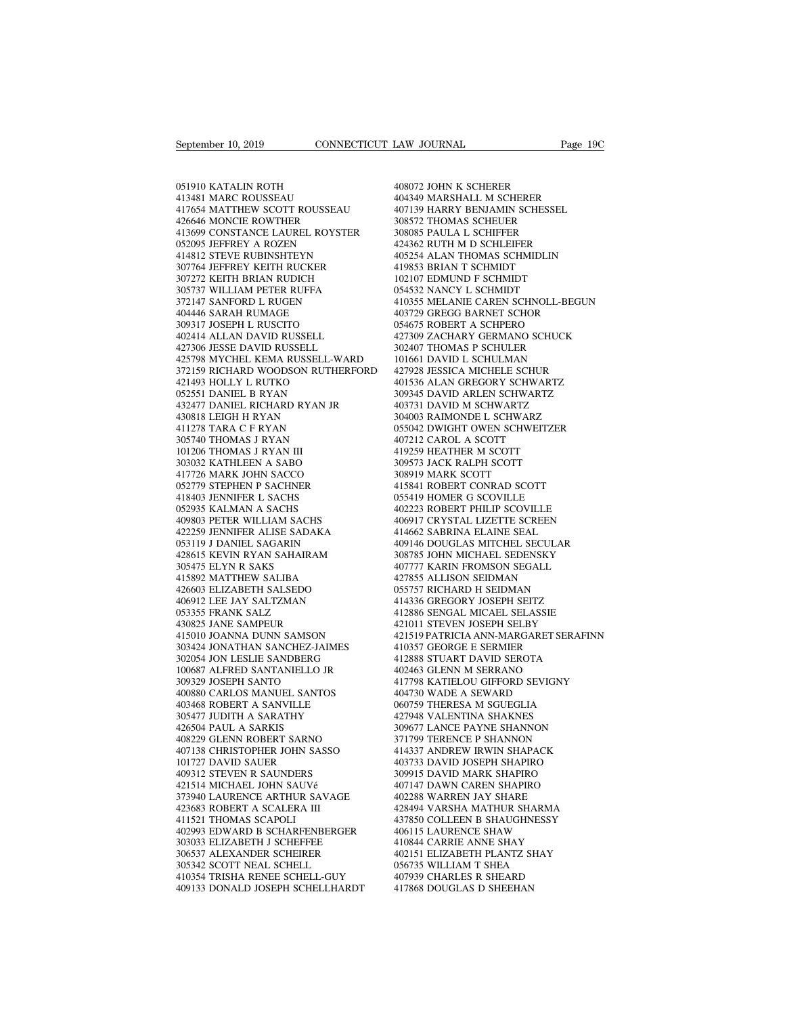September 10, 2019<br>051910 KATALIN ROTH<br>413481 MARC ROUSSEAU<br>417654 MATTHEW SCOTT ROUSSEAU September 10, 2019<br>051910 KATALIN ROTH<br>413481 MARC ROUSSEAU<br>417654 MATTHEW SCOTT ROUSSEAU<br>426646 MONCIE ROWTHER Exptember 10, 2019<br>
051910 KATALIN ROTH<br>
413481 MARC ROUSSEAU<br>
417654 MATTHEW SCOTT ROUSSEAU<br>
426646 MONCIE ROWTHER<br>
413699 CONSTANCE LAUREL ROYSTER<br>
413699 CONSTANCE LAUREL ROYSTER<br>
4080 426646 MONCIE ROWTHER 051910 KATALIN ROTH<br>
413481 MARC ROUSSEAU 40434<br>
417654 MATTHEW SCOTT ROUSSEAU 40713<br>
426646 MONCIE ROWTHER 30857:<br>
413699 CONSTANCE LAUREL ROYSTER 30808<br>
052095 JEFFREY A ROZEN 42436<br>
414812 STEVE RUBINSHTEYN 40525 051910 KATALIN ROTH<br>413481 MARC ROUSSEAU<br>417654 MATTHEW SCOTT ROUSSEAU<br>426646 MONCIE ROWTHER<br>413699 CONSTANCE LAUREL ROYSTER<br>052095 JEFFREY A ROZEN<br>414812 STEVE RUBINSHTEYN<br>307764 JEFFREY KEITH RUCKER 051910 KATALIN ROTH<br>413481 MARC ROUSSEAU<br>417654 MATTHEW SCOTT ROUSSEAU<br>426646 MONCIE ROWTHER<br>413699 CONSTANCE LAUREL ROYSTER<br>052095 JEFFREY A ROZEN<br>414812 STEVE RUBINSHTEYN<br>307764 JEFFREY KEITH RUCKER<br>307272 KEITH BRIAN RU 413481 MARC ROUSSEAU<br>417654 MATTHEW SCOTT ROUSSEAU<br>426646 MONCIE ROWTHER<br>413699 CONSTANCE LAUREL ROYSTER<br>652095 JEFFREY A ROZEN<br>414812 STEVE RUBINSHTEYN<br>307764 JEFFREY KEITH RUCKER<br>307272 KEITH BRIAN RUDICH<br>305737 WILLIAM 417654 MATTHEW SCOTT ROUSSEAU<br>426646 MONCIE ROWTHER<br>413699 CONSTANCE LAUREL ROYSTER<br>052095 JEFFREY A ROZEN<br>414812 STEVE RUBINSHTEYN<br>307764 JEFFREY KEITH RUCKER<br>307272 KEITH BRIAN RUDICH<br>305737 WILLIAM PETER RUFFA<br>372147 SA 426646 MONCIE ROWTHER<br>413699 CONSTANCE LAUREL ROYSTER<br>052095 JEFFREY A ROZEN<br>414812 STEVE RUBINSHTEYN<br>307764 JEFFREY KEITH RUCKER<br>307272 KEITH BRIAN RUDICH<br>372717 WILLIAM PETER RUFFA<br>372147 SANFORD L RUGEN<br>404446 SARAH RUM 413699 CONSTANCE LAUREL ROYSTER<br>052095 JEFFREY A ROZEN<br>414812 STEVE RUBINSHTEYN<br>307764 JEFFREY KEITH RUCKER<br>307272 KEITH BRIAN RUDICH<br>305737 WILLIAM PETER RUFFA<br>372147 SANFORD L RUGEN<br>404446 SARAH RUMAGE<br>309317 JOSEPH L RU 052095 JEFFREY A ROZEN<br>414812 STEVE RUBINSHTEYN<br>307764 JEFFREY KEITH RUCKER<br>307272 KEITH BRIAN RUDICH<br>305737 WILLIAM PETER RUFFA<br>3037147 SARAH RUMAGE<br>309317 JOSEPH L RUSCITO<br>402414 ALLAN DAVID RUSSELL 414812 STEVE RUBINSHTEYN<br>307764 JEFFREY KEITH RUCKER<br>307272 KEITH BRIAN RUDICH<br>305737 WILLIAM PETER RUFFA<br>372147 SANFORD L RUGEN<br>404446 SARAH RUMAGE<br>309317 JOSEPH L RUSCITO<br>402414 ALLAN DAVID RUSSELL<br>427306 JESSE DAVID RUS 307764 JEFFREY KEITH RUCKER<br>307272 KEITH BRIAN RUDICH<br>305737 WILLIAM PETER RUFFA<br>372147 SANFORD L RUGEN<br>404446 SARAH RUMAGE<br>309317 JOSEPH L RUSCITO<br>402414 ALLAN DAVID RUSSELL<br>427306 JESSE DAVID RUSSELL<br>425798 MYCHEL KEMA R 307272 KEITH BRIAN RUDICH<br>305737 WILLIAM PETER RUFFA<br>372147 SANFORD L RUGEN<br>404446 SARAH RUMAGE<br>309317 JOSEPH L RUSCITO<br>402414 ALLAN DAVID RUSSELL<br>427306 JESSE DAVID RUSSELL<br>425798 MYCHEL KEMA RUSSELL-WARD<br>372159 RICHARD W 305737 WILLIAM PETER RUFFA<br>
372147 SANFORD L RUGEN<br>
404446 SARAH RUMAGE<br>
403729 (404446 SARAH RUMAGE<br>
403729 (427306 JESSELL 427306 JESSE DAVID RUSSELL 427306 JESSE DAVID RUSSELL 427306<br>
427306 JESSE DAVID RUSSELL 427309<br> 372159 RICHARD WOODSON RUTHERFORD 404446 SARAH RUMAGE<br>309317 JOSEPH L RUSCITO<br>402414 ALLAN DAVID RUSSELL<br>427306 JESSE DAVID RUSSELL<br>427308 MYCHEL KEMA RUSSELL-WAR<br>372159 RICHARD WOODSON RUTHERF<br>421493 HOLLY L RUTKO<br>052551 DANIEL B RYAN<br>432477 DANIEL RICHAR 309317 JOSEPH L RUSCITO<br>402414 ALLAN DAVID RUSSELL<br>427306 JESSE DAVID RUSSELL<br>425798 MYCHEL KEMA RUSSELL-WAI<br>372159 RICHARD WOODSON RUTHER<br>421493 HOLLY L RUTKO<br>052551 DANIEL B RYAN<br>432477 DANIEL RICHARD RYAN JR<br>430818 LEIG 402414 ALLAN DAVID RUSSELL<br>427306 JESSE DAVID RUSSELL<br>425798 MYCHEL KEMA RUSSELL-WARD<br>572159 RICHARD WOODSON RUTHERFORD<br>421493 HOLLY L RICHARD<br>62551 DANIEL RICHARD RYAN<br>432477 DANIEL RICHARD RYAN JR<br>430818 LEIGH H RYAN<br>410 427306 JESSE DAVID RUSSELL<br>425798 MYCHEL KEMA RUSSELL-W/<br>372159 RICHARD WOODSON RUTHE!<br>421493 HOLLY L RUTKO<br>052551 DANIEL B RYAN<br>432477 DANIEL RICHARD RYAN JR<br>430818 LEIGH H RYAN<br>411278 TARA C F RYAN<br>305740 THOMAS J RYAN 425798 MYCHEL KEMA RUSSELL-WAI<br>372159 RICHARD WOODSON RUTHER<br>421493 HOLLY L RUTKO<br>052551 DANIEL B RYAN<br>432477 DANIEL RICHARD RYAN JR<br>430818 LEIGH H RYAN<br>411278 TARA C F RYAN<br>305740 THOMAS J RYAN<br>101206 THOMAS J RYAN III 372159 RICHARD WOODSON RUTHERF<br>421493 HOLLY L RUTKO<br>052551 DANIEL B RYAN<br>432477 DANIEL RICHARD RYAN JR<br>430818 LEIGH H RYAN<br>411278 TARA C F RYAN<br>305740 THOMAS J RYAN<br>101206 THOMAS J RYAN III<br>303032 KATHLEEN A SABO 421493 HOLLY L RUTKO<br>052551 DANIEL B RYAN<br>432477 DANIEL RICHARD RYAN J<br>430818 LEIGH H RYAN<br>411278 TARA C F RYAN<br>101206 THOMAS J RYAN III<br>303032 KATHLEEN A SABO<br>417726 MARK JOHN SACCO 052551 DANIEL B RYAN<br>432477 DANIEL RICHARD RYAN JR<br>430818 LEIGH H RYAN<br>411278 TARA C F RYAN<br>505740 THOMAS J RYAN<br>101206 THOMAS J RYAN III<br>303032 KATHLEEN A SABO<br>417726 MARK JOHN SACCO<br>052779 STEPHEN P SACHNER 432477 DANIEL RICHARD RYAN JR<br>430818 LEIGH H RYAN<br>411278 TARA C F RYAN<br>305740 THOMAS J RYAN<br>101206 THOMAS J RYAN III<br>303032 KATHLEEN A SABO<br>417726 MARK JOHN SACCO<br>052779 STEPHEN P SACHNER<br>418403 JENNIFER L SACHS 430818 LEIGH H RYAN<br>411278 TARA C F RYAN<br>305740 THOMAS J RYAN<br>101206 THOMAS J RYAN III<br>417726 MARK JOHN SACCO<br>052779 STEPHEN P SACHNER<br>418403 JENNIFER L SACHS<br>052935 KALMAN A SACHS 411278 TARA C F RYAN<br>305740 THOMAS J RYAN<br>101206 THOMAS J RYAN III<br>303032 KATHLEEN A SABO<br>417726 MARK JOHN SACCO<br>052779 STEPHEN P SACHNER<br>418403 JENNIFER L SACHS<br>052935 KALMAN A SACHS<br>409803 PETER WILLIAM SACHS 305740 THOMAS J RYAN<br>101206 THOMAS J RYAN III<br>303032 KATHLEEN A SABO<br>417726 MARK JOHN SACCO<br>052779 STEPHEN P SACHNER<br>418403 JENNIFER L SACHS<br>052935 KALMAN A SACHS<br>409803 PETER WILLIAM SACHS<br>422259 JENNIFER ALISE SADAKA 101206 THOMAS J RYAN III<br>303032 KATHLEEN A SABO<br>417726 MARK JOHN SACCO<br>052779 STEPHEN P SACHNER<br>418403 BENNIFER L SACHS<br>052935 KALMAN A SACHS<br>4029803 PETER WILLIAM SACHS<br>422259 JENNIFER ALISE SADAKA<br>053119 J DANIEL SAGARIN 303032 KATHLEEN A SABO<br>
417726 MARK JOHN SACCO<br>
652779 STEPHEN P SACHNER<br>
418403 JENNIFER L SACHS<br>
652935 KALMAN A SACHS<br>
409803 PETER WILLIAM SACHS<br>
422259 JENNIFER ALISE SADAKA<br>
633119 J DANIEL SAGARIN<br>
428615 KEVIN RYAN 417726 MARK JOHN SACCO<br>052779 STEPHEN P SACHNER<br>418403 JENNIFER L SACHS<br>052935 KALMAN A SACHS<br>409803 PETER WILLIAM SACHS<br>422259 JENNIFER ALISE SADAKA<br>053119 J DANIEL SAGARIN<br>428615 KEVIN RYAN SAHAIRAM<br>305475 ELYN R SAKS 052779 STEPHEN P SACHNER (18403 JENNIFER L SACHS (1852)<br>052935 KALMAN A SACHS (1862)<br>409803 PETER WILLIAM SACHS (1864)<br>422259 JENNIFER ALISE SADAKA (1842)<br>053119 J DANIEL SAGARIN (1840)<br>428615 KEVIN R SAKS (1973)<br>308475 EL 418403 JENNIFER L SACHS<br>052935 KALMAN A SACHS<br>409803 PETER WILLIAM SACHS<br>422259 JENNIFER ALISE SADAKA<br>053119 J DANIEL SAGARIN<br>428615 KEVIN RYAN SAHAIRAM<br>415892 MATTHEW SALIBA<br>426603 ELIZABETH SALSEDO 052935 KALMAN A SACHS<br>409803 PETER WILLIAM SACHS<br>422259 JENNIFER ALISE SADAKA<br>053119 J DANIEL SAGARIN<br>428615 KEVIN RYAN SAHAIRAM<br>305475 ELYN R SAKS<br>415892 MATTHEW SALIBA<br>426603 ELIZABETH SALSEDO<br>406912 LEE JAY SALTZMAN 409803 PETER WILLIAM SACHS<br>422259 JENNIFER ALISE SADAKA<br>053119 J DANIEL SAGARIN<br>428615 KEVIN RYAN SAHAIRAM<br>415892 MATTHEW SALIBA<br>415603 ELIZABETH SALSEDO<br>406912 LEE JAY SALTZMAN<br>053355 FRANK SALZ 422259 JENNIFER ALISE SADAKA<br>053119 J DANIEL SAGARIN<br>428615 KEVIN RYAN SAHAIRAM<br>305475 ELYN R SAKS<br>415892 MATTHEW SALIBA<br>426603 ELIZABETH SALSEDO<br>406912 LEE JAY SALTZMAN<br>053355 FRANK SALZ<br>430825 JANE SAMPEUR 053119 J DANIEL SAGARIN<br>428615 KEVIN RYAN SAHAIRAM<br>305475 ELYN R SAKS<br>415892 MATTHEW SALIBA<br>426603 ELIZABETH SALSEDO<br>406912 LEE JAY SALTZMAN<br>053355 FRANK SALZ<br>430825 JANE SAMPEUR<br>415010 JOANNA DUNN SAMSON 428615 KEVIN RYAN SAHAIRAM<br>305475 ELYN R SAKS<br>415892 MATTHEW SALIBA<br>426603 ELIZABETH SALSEDO<br>069312 LEE JAY SALTZMAN<br>053355 FRANK SALZ<br>430825 JANE SAMPEUR<br>415010 JOANNA DUNN SAMSON<br>303424 JONATHAN SANCHEZ-JAIME 305475 ELYN R SAKS<br>415892 MATTHEW SALIBA<br>426603 ELIZABETH SALSEDO<br>406912 LEE JAY SALTZMAN<br>633355 FRANK SALZ<br>4130825 JANE SAMPEUR<br>415010 JOANNA DUNN SAMSON<br>303424 JONATHAN SANCHEZ-JAIMES<br>302054 JON LESLIE SANDBERG 415892 MATTHEW SALIBA 426603 ELIZABETH SALSEDO 0<br>406912 LEE JAY SALTZMAN 4<br>633355 FRANK SALZ 4<br>430825 JANE SAMPEUR 4430825 JANE SAMPEUR 4415010 JOANNA DUNN SAMSON 4<br>303424 JONATHAN SANCHEZ-JAIMES 4<br>302054 JON LESLIE SANDBE 426603 ELIZABETH SALSEDO<br>406912 LEE JAY SALTZMAN<br>053355 FRANK SALZ<br>430825 JANE SAMPEUR<br>415010 JOANNA DUNN SAMSON<br>303424 JON LESLIE SANDBERG<br>302054 JON LESLIE SANDBERG<br>100687 ALFRED SANTANIELLO JR<br>309329 JOSEPH SANTO 406912 LEE JAY SALTZMAN<br>053355 FRANK SALZ<br>430825 JANE SAMPEUR<br>415010 JOANNA DUNN SAMSON<br>303424 JON LESLIE SANCHEZ-JAIMES<br>302054 JON LESLIE SANTANIELLO JR<br>309329 JOSEPH SANTO<br>400880 CARLOS MANUEL SANTOS 053355 FRANK SALZ<br>430825 JANE SAMPEUR<br>415010 JOANNA DUNN SAMSON<br>303424 JONATHAN SANCHEZ-JAIME:<br>302054 JON LESLIE SANDBERG<br>100687 ALFRED SANTANIELLO JR<br>309329 JOSEPH SANTO<br>400880 CARLOS MANUEL SANTOS<br>403468 ROBERT A SANVILL 430825 JANE SAMPEUR<br>415010 JOANNA DUNN SAMSON<br>303424 JONATHAN SANCHEZ-JAIMES<br>302054 JON LESLIE SANDBERG<br>100687 ALFRED SANTANIELLO JR<br>309329 JOSEPH SANTO<br>403880 CARLOS MANUEL SANTOS<br>403468 ROBERT A SANVILLE<br>305477 JUDITH A 415010 JOANNA DUNN SAMSON<br>303424 JONATHAN SANCHEZ-JAIMES<br>302054 JON LESLIE SANDBERG<br>100687 ALFRED SANTANIELLO JR<br>309329 JOSEPH SANTO<br>400880 CARLOS MANUEL SANTOS<br>403468 ROBERT A SANVILLE<br>305477 JUDITH A SARATHY<br>426504 PAUL 303424 JONATHAN SANCHEZ-JAIMES<br>302054 JON LESLIE SANDBERG<br>100687 ALFRED SANTANIELLO JR<br>309329 JOSEPH SANTO<br>400880 CARLOS MANUEL SANTOS<br>403468 ROBERT A SARVILLE<br>305477 JUDITH A SARATHY<br>426504 PAUL A SARKIS<br>408229 GLENN ROBE 302054 JON LESLIE SANDBERG<br>100687 ALFRED SANTANIELLO JR<br>309329 JOSEPH SANTO<br>400880 CARLOS MANUEL SANTOS<br>403468 ROBERT A SANVILLE<br>305477 JUDITH A SARATHY<br>426504 PAUL A SARKIS<br>408229 GLENN ROBERT SARNO<br>407138 CHRISTOPHER JOH 100687 ALFRED SANTANIELLO JR<br>309329 JOSEPH SANTO<br>400880 CARLOS MANUEL SANTOS<br>403468 ROBERT A SANVILLE<br>305477 JUDITH A SARATHY<br>426504 PAUL A SARKIS<br>408229 GLENN ROBERT SARNO<br>407138 CHRISTOPHER JOHN SASSO<br>101727 DAVID SAUER 417 400880 CARLOS MANUEL SANTOS<br>
40388 CARLOS MANUEL SANTOS<br>
403468 ROBERT A SANVILLE do 06<br>
305477 JUDITH A SARATHY 42<br>
426504 PAUL A SARKIS<br>
408229 GLENN ROBERT SARNO 37<br>
407138 CHRISTOPHER JOHN SASSO 41-<br>
101727 DAVID S 400880 CARLOS MANUEL SANTOS<br>403468 ROBERT A SANVILLE<br>305477 JUDITH A SARATHY<br>426504 PAUL A SARKIS<br>408229 GLENN ROBERT SARNO<br>407138 CHRISTOPHER JOHN SASSC<br>101727 DAVID SAUER<br>409312 STEVEN R SAUNDERS<br>421514 MICHAEL JOHN SAUV 403468 ROBERT A SANVILLE<br>305477 JUDITH A SARATHY<br>426504 PAUL A SARKIS<br>408229 GLENN ROBERT SARNO<br>407138 CHRISTOPHER JOHN SASSO<br>101727 DAVID SAUE<br>409312 STEVEN R SAUNDERS<br>421514 MICHAEL JOHN SAUVé<br>373940 LAURENCE ARTHUR SAVA 426504 PAUL A SARATHY<br>
4226504 PAUL A SARKIS 30<br>
408229 GLENN ROBERT SARNO 37<br>
407138 CHRISTOPHER JOHN SASSO 41-<br>
410312 STEVEN R SAUNDERS 400<br>
421514 MICHAEL JOHN SAUVé 40<br>
373940 LAURENCE ARTHUR SAVAGE 40<br>
423683 ROBERT 408229 GLENN ROBERT SARNO<br>407138 CHRISTOPHER JOHN SASSO<br>101727 DAVID SAUER<br>409312 STEVEN R SAUNDERS<br>373940 LAURENCE ARTHUR SAVAGE<br>373940 LAURENCE ARTHUR SAVAGE<br>422683 ROBERT A SCALERA III<br>411521 THOMAS SCAPOLI<br>402993 EDWAR 407138 CHRISTOPHER JOHN SAS<br>101727 DAVID SAUER<br>409312 STEVEN R SAUNDERS<br>421514 MICHAEL JOHN SAUVé<br>373940 LAURENCE ARTHUR SAY<br>423683 ROBERT A SCALERA III<br>412503 THOMAS SCAPOLI<br>402993 EDWARD B SCHARFENB<br>303033 ELIZABETH J SC  $\begin{tabular}{llllllllll} 40372 & \text{PAVID SAUER} & 40373 \\ 409312 & \text{STEVEN R SAUNDERS} & 30991 \\ 421514 & \text{MICHAEL JOHN SAUVé} & 40714 \\ 373940 & \text{LAURENCE ARTHUR SAVAGE} & 40228 \\ 423683 & \text{ROBERT A SCALEA III} & 4284785 \\ 40293 & \text{EDWARD B SCHEIRENBERGER} & 40611 \\ 303033 & \text{ELIZABETH J SCHEFFEE} & 41084 \\ 306537 & \text{$ 409312 STEVEN R SAUNDERS<br>421514 MICHAEL JOHN SAUVé<br>373940 LAURENCE ARTHUR SAVAGE<br>423683 ROBERT A SCALERA III<br>411521 THOMAS SCAPOLI<br>602993 EDIZABETH J SCHERFEER<br>303033 ELIZABETH J SCHEFFEE<br>306537 ALEXANDER SCHEIRER<br>305342 S 421514 MICHAEL JOHN SAUVé<br>373940 LAURENCE ARTHUR SAVAGE<br>423683 ROBERT A SCALERA III<br>411521 THOMAS SCAPOLI<br>402993 EDWARD B SCHARFENBERGER<br>303033 ELIZABREH J SCHEIFFEE<br>306537 ALEXANDER SCHEIRER<br>306537 ALEXANDER SCHEIRER<br>4103 423683 ROBERT A SCALERA III<br>411521 THOMAS SCAPOLI<br>402993 EDWARD B SCHARFENBERGER<br>303033 ELIZABETH J SCHEFFEE<br>306537 ALEXANDER SCHEIRER<br>305342 SCOTT NEAL SCHELL<br>410354 TRISHA RENEE SCHELL-GUY<br>409133 DONALD JOSEPH SCHELLHARD 423683 ROBERT A SCALERA III 4284<br>411521 THOMAS SCAPOLI 4377<br>402993 EDWARD B SCHARFENBERGER 406<br>503033 ELIZABETH J SCHEFFEE 4108<br>306537 ALEXANDER SCHEIRER 402<br>4053424 SCOTT NEAL SCHELL GUY 4079<br>409133 DONALD JOSEPH SCHELLHA 411521 THOMAS SCAPOLI 43785<br>
402993 EDWARD B SCHARFENBERGER 40611<br>
303033 ELIZABETH J SCHEFFEE 41084<br>
306537 ALEXANDER SCHEIRER 40215<br>
305342 SCOTT NEAL SCHELL<br>
40543<br>
409133 DONALD JOSEPH SCHELLHARDT 41786

EAW JOURNAL<br>408072 JOHN K SCHERER<br>404349 MARSHALL M SCHERER<br>407139 HARRY BENJAMIN SCHESSEL LAW JOURNAL Page 190<br>408072 JOHN K SCHERER<br>404349 MARSHALL M SCHERER<br>407139 HARRY BENJAMIN SCHESSEL<br>308572 THOMAS SCHEUER EAW JOURNAL Page 19C<br>
408072 JOHN K SCHERER<br>
404349 MARSHALL M SCHERER<br>
407139 HARRY BENJAMIN SCHESSEL<br>
308572 THOMAS SCHEUER<br>
308085 PAULA L SCHIFFER MASO72 JOHN K SCHERER<br>104349 MARSHALL M SCHERER<br>104349 MARSHALL M SCHERER<br>107139 HARRY BENJAMIN SCHESSEL<br>308572 THOMAS SCHEUER<br>308085 PAULA L SCHIFFER<br>124362 RUTH M D SCHLEIFER 408072 JOHN K SCHERER<br>404349 MARSHALL M SCHERER<br>407139 HARRY BENJAMIN SCHESSEL<br>308572 THOMAS SCHEUER<br>308085 PAULA L SCHIFFER<br>424362 RUTH M D SCHLEIFER<br>405254 ALAN THOMAS SCHMIDLIN 408072 JOHN K SCHERER<br>404349 MARSHALL M SCHERER<br>407139 HARRY BENJAMIN SCHESSEL<br>308572 THOMAS SCHEUER<br>308085 PAULA L SCHIFFER<br>424362 RUTH M D SCHLEIFER<br>405254 ALAN THOMAS SCHMIDLIN<br>419853 BRIAN T SCHMIDT 408072 JOHN K SCHERER<br>404349 MARSHALL M SCHERER<br>407139 HARRY BENJAMIN SCHESSEL<br>308572 THOMAS SCHEUER<br>408085 PAULA L SCHIFFER<br>424362 RUTH M D SCHLEIFER<br>405254 ALAN THOMAS SCHMIDLIN<br>419853 BRIAN T SCHMIDT<br>102107 EDMUND F SCH 404349 MARSHALL M SCHERER<br>407139 HARRY BENJAMIN SCHESSEL<br>308572 THOMAS SCHEUER<br>308085 PAULA L SCHIFFER<br>424362 RUTH M D SCHLEIFER<br>405254 ALAN THOMAS SCHMIDLIN<br>419853 BRIAN T SCHMIDT<br>102107 EDMUND F SCHMIDT<br>054532 NANCY L SC 407139 HARRY BENJAMIN SCHESSEL<br>308572 THOMAS SCHEUER<br>308085 PAULA L SCHIFFER<br>424362 RUTH M D SCHLEIFER<br>405254 ALAN THOMAS SCHMIDLIN<br>419853 BRIAN T SCHMIDT<br>102107 EDMUND F SCHMIDT<br>054532 NANCY L SCHMIDT<br>410355 MELANIE CAREN 308572 THOMAS SCHEUER<br>308085 PAULA L SCHIFFER<br>424362 RUTH M D SCHLEIFER<br>405254 ALAN THOMAS SCHMIDLIN<br>419853 BRIAN T SCHMIDT<br>102107 EDMUND F SCHMIDT<br>054532 NANCY L SCHMIDT<br>410355 MELANIE CAREN SCHNOLL-BE<br>403729 GREGG BARNET 308085 PAULA L SCHIFFER<br>424362 RUTH M D SCHLEIFER<br>405254 ALAN THOMAS SCHMIDLIN<br>419853 BRIAN T SCHMIDT<br>102107 EDMUND F SCHMIDT<br>054532 NANCY L SCHMIDT<br>410355 MELANIE CAREN SCHNOLL-BEGUN<br>403729 GREGG BARNET SCHOR<br>054675 ROBER 424362 RUTH M D SCHLEIFER<br>405254 ALAN THOMAS SCHMIDLIN<br>419853 BRIAN T SCHMIDT<br>102107 EDMUND F SCHMIDT<br>054532 NANCY L SCHMIDT<br>410355 MELANIE CAREN SCHNOLL-BEGUN<br>403729 GREGG BARNET SCHOR<br>054675 ROBERT A SCHPERO<br>427309 ZACHA 405254 ALAN THOMAS SCHMIDLIN<br>419853 BRIAN T SCHMIDT<br>102107 EDMUND F SCHMIDT<br>054532 NANCY L SCHMIDT<br>410355 MELANIE CAREN SCHNOLL-BEGUI<br>403729 GREGG BARNET SCHOR<br>054675 ROBERT A SCHPERO<br>427309 ZACHARY GERMANO SCHUCK<br>302407 T 419853 BRIAN T SCHMIDT<br>102107 EDMUND F SCHMIDT<br>054532 NANCY L SCHMIDT<br>410355 MELANIE CAREN SCHNOLL-BEGUN<br>05379 GREGG BARNET SCHOR<br>054675 ROBERT A SCHPERO<br>427309 ZACHARY GERMANO SCHUCK<br>302407 THOMAS P SCHULER<br>101661 DAVID L 102107 EDMUND F SCHMIDT<br>054532 NANCY L SCHMIDT<br>410355 MELANIE CAREN SCHNOLL-BEGU<br>403729 GREGG BARNET SCHOR<br>054675 ROBERT A SCHPERO<br>427309 ZACHARY GERMANO SCHUCK<br>302407 THOMAS P SCHULER<br>101661 DAVID L SCHULMAN<br>427928 JESSIC 054532 NANCY L SCHMIDT<br>410355 MELANIE CAREN SCHNOLL-BEGUN<br>403729 GREGG BARNET SCHOR<br>054675 ROBERT A SCHPERO<br>427309 ZACHARY GERMANO SCHUCK<br>302407 THOMAS P SCHULER<br>101661 DAVID L SCHULMAN<br>427928 JESSICA MICHELE SCHUR<br>401536 410355 MELANIE CAREN SCHNOLL-BEGUN<br>403729 GREGG BARNET SCHOR<br>054675 ROBERT A SCHPERO<br>427309 ZACHARY GERMANO SCHUCK<br>302407 THOMAS P SCHULER<br>101661 DAVID L SCHULMAN<br>427928 IESSICA MICHELE SCHUR<br>401536 ALAN GREGORY SCHWARTZ<br>3 403729 GREGG BARNET SCHOR<br>054675 ROBERT A SCHPERO<br>427309 ZACHARY GERMANO SCHUCK<br>302407 THOMAS P SCHULER<br>101661 DAVID L SCHULMAN<br>427928 IESSICA MICHELE SCHUR<br>401536 ALAN GREGORY SCHWARTZ<br>309345 DAVID ARLEN SCHWARTZ<br>403731 D 054675 ROBERT A SCHPERO<br>427309 ZACHARY GERMANO SCHUCK<br>302407 THOMAS P SCHULER<br>101661 DAVID L SCHULMAN<br>427928 IESSICA MICHELE SCHUR<br>401536 ALAN GREGORY SCHWARTZ<br>309345 DAVID ARLEN SCHWARTZ<br>403731 DAVID M SCHWARTZ<br>304003 RAI 427309 ZACHARY GERMANO SCHUCK<br>302407 THOMAS P SCHULER<br>101661 DAVID L SCHULMAN<br>427928 JESSICA MICHELE SCHUR<br>401536 ALAN GREGORY SCHWARTZ<br>309345 DAVID ARLEN SCHWARTZ<br>403731 DAVID M SCHWARTZ<br>304003 RAIMONDE L SCHWARZ<br>055042 D 302407 THOMAS P SCHULER<br>101661 DAVID L SCHULMAN<br>427928 JESSICA MICHELE SCHUR<br>401536 ALAN GREGORY SCHWARTZ<br>309345 DAVID ARLEN SCHWARTZ<br>403731 DAVID M SCHWARTZ<br>304003 RAIMONDE L SCHWARZ<br>055042 DWIGHT OWEN SCHWEITZER<br>407212 C 101661 DAVID L SCHULMAN<br>427928 JESSICA MICHELE SCHUR<br>401536 ALAN GREGORY SCHWARTZ<br>309345 DAVID ARLEN SCHWARTZ<br>403731 DAVID M SCHWARTZ<br>304003 RAIMONDE L SCHWARZ<br>055042 DWIGHT OWEN SCHWEITZER<br>407212 CAROL A SCOTT<br>419259 HEAT 427928 JESSICA MICHELE SCHUR<br>401536 ALAN GREGORY SCHWARTZ<br>309345 DAVID ARLEN SCHWARTZ<br>403731 DAVID M SCHWARTZ<br>403731 DAVID M SCHWARTZ<br>055042 DWIGHT OWEN SCHWEITZE<br>407212 CAROL A SCOTT<br>419259 HEATHER M SCOTT<br>309573 JACK RAL 401536 ALAN GREGORY SCHWARTZ<br>309345 DAVID ARLEN SCHWARTZ<br>403731 DAVID M SCHWARTZ<br>304003 RAIMONDE L SCHWARZ<br>055042 DWIGHT OWEN SCHWEITZER<br>407212 CAROL A SCOTT<br>419259 HEATHER M SCOTT<br>309573 JACK RALPH SCOTT<br>309573 JACK RALPH 309345 DAVID ARLEN SCHWARTZ<br>403731 DAVID M SCHWARTZ<br>304003 RAIMONDE L SCHWARZ<br>055042 DWIGHT OWEN SCHWEITZER<br>407212 CAROL A SCOTT<br>319259 HEATHER M SCOTT<br>309573 JACK RALPH SCOTT<br>308919 MARK SCOTT<br>415841 ROBERT CONRAD SCOTT 403731 DAVID M SCHWARTZ<br>304003 RAIMONDE L SCHWARZ<br>055042 DWIGHT OWEN SCHWEIT<br>407212 CAROL A SCOTT<br>419259 HEATHER M SCOTT<br>309573 JACK RALPH SCOTT<br>308919 MARK SCOTT<br>415841 ROBERT CONRAD SCOTT<br>055419 HOMER G SCOVILLE 304003 RAIMONDE L SCHWARZ<br>055042 DWIGHT OWEN SCHWEITZER<br>407212 CAROL A SCOTT<br>419259 HEATHER M SCOTT<br>309573 JACK RALPH SCOTT<br>308919 MARK SCOTT<br>415841 ROBERT CONRAD SCOTT<br>055419 HOMER G SCOVILLE<br>402223 ROBERT PHILIP SCOVILLE 055042 DWIGHT OWEN SCHWEITZER<br>407212 CAROL A SCOTT<br>419259 HEATHER M SCOTT<br>309573 JACK RALPH SCOTT<br>309519 MARK SCOTT<br>415841 ROBERT CONRAD SCOTT<br>055419 HOMER G SCOVILLE<br>402223 ROBERT PHILIP SCOVILLE<br>406917 CRYSTAL LIZETTE SC 407212 CAROL A SCOTT<br>419259 HEATHER M SCOTT<br>309573 JACK RALPH SCOTT<br>308919 MARK SCOTT<br>415841 ROBERT CONRAD SCOTT<br>055419 HOMER G SCOVILLE<br>406917 CRYSTAL LIZETTE SCREEN<br>4166917 CRYSTAL LIZETTE SCREEN<br>414662 SABRINA ELAINE SE 419259 HEATHER M SCOTT<br>309573 JACK RALPH SCOTT<br>308919 MARK SCOTT<br>415841 ROBERT CONRAD SCOTT<br>055419 HOMER G SCOVILLE<br>406917 CRYSTAL LIZETTE SCREEN<br>414662 SABRINA ELAINE SEAL<br>409146 DOUGLAS MITCHEL SECULAR 309573 JACK RALPH SCOTT<br>308919 MARK SCOTT<br>415841 ROBERT CONRAD SCOTT<br>055419 HOMER G SCOVILLE<br>402223 ROBERT PHILIP SCOVILLE<br>406917 CRYSTAL LIZETTE SCREEN<br>414662 SABRINA ELAINE SEAL<br>409146 DOUGLAS MITCHEL SECULAR<br>308785 JOHN 308919 MARK SCOTT<br>415841 ROBERT CONRAD SCOTT<br>055419 HOMER G SCOVILLE<br>402223 ROBERT PHILIP SCOVILLE<br>406917 CRYSTAL LIZETTE SCREEN<br>414662 SABRINA ELAINE SEAL<br>409146 DOUGLAS MITCHEL SECULAR<br>308785 JOHN MICHAEL SEDENSKY<br>407777 415841 ROBERT CONRAD SCOTT<br>055419 HOMER G SCOVILLE<br>402223 ROBERT PHILIP SCOVILLE<br>406917 CRYSTAL LIZETTE SCREEN<br>414662 SABRINA ELAINE SEAL<br>5109146 DOUGLAS MITCHEL SECULAR<br>308785 JOHN MICHAEL SEDENSKY<br>407777 KARIN FROMSON SE 055419 HOMER G SCOVILLE<br>402223 ROBERT PHILIP SCOVILLE<br>406917 CRYSTAL LIZETTE SCREEN<br>414662 SABRINA ELAINE SEAL<br>409146 DOUGLAS MITCHEL SECULAR<br>308785 JOHN MICHAEL SEDENSKY<br>407777 KARIN FROMSON SEGALL<br>427855 ALLISON SEIDMAN<br> 402223 ROBERT PHILIP SCOVILLE<br>406917 CRYSTAL LIZETTE SCREEN<br>414662 SABRINA ELAINE SEAL<br>409146 DOUGLAS MITCHEL SECULAR<br>308785 JOHN MICHAEL SEDENSKY<br>407777 KARIN FROMSON SEGALL<br>427855 ALLISON SEIDMAN<br>055757 RICHARD H SEIDMAN 406917 CRYSTAL LIZETTE SCREEN<br>414662 SABRINA ELAINE SEAL<br>409146 DOUGLAS MITCHEL SECULAR<br>308785 JOHN MICHAEL SEDENSKY<br>407777 KARIN FROMSON SEGALL<br>427855 ALLISON SEIDMAN<br>055757 RICHARD H SEIDMAN<br>414336 GREGORY JOSEPH SEITZ<br>4 414662 SABRINA ELAINE SEAL<br>409146 DOUGLAS MITCHEL SECULAR<br>308785 JOHN MICHAEL SEDENSKY<br>407777 KARIN FROMSON SEGALL<br>427855 ALLISON SEIDMAN<br>055757 RICHARD H SEIDMAN<br>414336 GREGORY JOSEPH SEITZ<br>412886 SENGAL MICAEL SELASSIE<br>4 409146 DOUGLAS MITCHEL SECULAR<br>308785 JOHN MICHAEL SEDENSKY<br>407777 KARIN FROMSON SEGALL<br>427855 ALLISON SEIDMAN<br>055757 RICHARD H SEIDMAN<br>414336 GREGORY JOSEPH SEITZ<br>412886 SENGAL MICAEL SELASSIE<br>421011 STEVEN JOSEPH SELBY<br>4 308785 JOHN MICHAEL SEDENSKY<br>407777 KARIN FROMSON SEGALL<br>427855 ALLISON SEIDMAN<br>055757 RICHARD H SEIDMAN<br>414336 GREGORY JOSEPH SELASSIE<br>421011 STEVEN JOSEPH SELBY<br>421519 PATRICIA ANN-MARGARET SERAFINN<br>410357 GEORGE E SERMI 407777 KARIN FROMSON SEGALL<br>427855 ALLISON SEIDMAN<br>055757 RICHARD H SEIDMAN<br>414336 GREGORY JOSEPH SEITZ<br>421806 SENGAL MICAEL SELASSIE<br>421011 STEVEN JOSEPH SELBY<br>421519 PATRICIA ANN-MARGARET SERAFINN<br>410357 GEORGE E SERMIER 427855 ALLISON SEIDMAN<br>055757 RICHARD H SEIDMAN<br>414336 GREGORY JOSEPH SEITZ<br>412886 SENGAL MICAEL SELASSIE<br>421011 STEVEN JOSEPH SELBY<br>421519 PATRICIA ANN-MARGARET SERAI<br>410357 GEORGE E SERMIER<br>412888 STUART DAVID SEROTA<br>402 055757 RICHARD H SEIDMAN<br>414336 GREGORY JOSEPH SEITZ<br>412886 SENGAL MICAEL SELASSIE<br>421011 STEVEN JOSEPH SELBY<br>421519 PATRICIA ANN-MARGARET SERAFINN<br>410357 GEORGE E SERMIER<br>412888 STUART DAVID SEROTA<br>402463 GLENN M SERRANO<br> 414336 GREGORY JOSEPH SEITZ<br>412886 SENGAL MICAEL SELASSIE<br>421011 STEVEN JOSEPH SELBY<br>421519 PATRICIA ANN-MARGARET SERAF<br>410357 GEORGE E SERMIER<br>412888 STUART DAVID SEROTA<br>402463 GLENN M SERRANO<br>417798 KATIELOU GIFFORD SEVI 412886 SENGAL MICAEL SELASSIE<br>421011 STEVEN JOSEPH SELBY<br>421519 PATRICIA ANN-MARGARET SERAFINN<br>410357 GEORGE E SERMIER<br>412888 STUART DAVID SEROTA<br>402463 GLENN M SERRANO<br>417798 KATIELOU GIFFORD SEVIGNY<br>404730 WADE A SEWARD<br> 421011 STEVEN JOSEPH SELBY<br>421519 PATRICIA ANN-MARGARET SER4<br>410357 GEORGE E SERMIER<br>412888 STUART DAVID SEROTA<br>402463 GLENN M SERRANO<br>417798 KATIELOU GIFFORD SEVIGNY<br>404730 WADE A SEWARD<br>060759 THERESA M SGUEGLIA<br>427948 V 421519 PATRICIA ANN-MARGARET SERAFINN<br>410357 GEORGE E SERMIER<br>412888 STUART DAVID SEROTA<br>402463 GLENN M SERRANO<br>407463 GLENN M SERRANO<br>404730 WADE A SEWARD<br>060759 THERESA M SGUEGLIA<br>427948 VALENTINA SHAKNES<br>309677 LANCE PA 410357 GEORGE E SERMIER<br>412888 STUART DAVID SEROTA<br>402463 GLENN M SERRANO<br>417798 KATIELOU GIFFORD SEVIGNY<br>404730 WADE A SEWARD<br>060759 THERESA M SGUEGLIA<br>427948 VALENTINA SHAKNES<br>309677 LANCE PAYNE SHANNON<br>371799 TERENCE P 412888 STUART DAVID SEROTA<br>402463 GLENN M SERRANO<br>417798 KATIELOU GIFFORD SEVIGNY<br>404730 WADE A SEWARD<br>060759 THERESA M SGUEGLIA<br>427948 VALENTINA SHAKNES<br>309677 LANCE PAYNE SHANNON<br>371799 TERENCE P SHANNON<br>414337 ANDREW IR 402463 GLENN M SERRANO<br>417798 KATIELOU GIFFORD SEVIGNY<br>404730 WADE A SEWARD<br>060759 THERESA M SGUEGLIA<br>427948 VALENTINA SHAKNES<br>309677 LANCE PAYNE SHANNON<br>371799 TERENCE P SHANNON<br>414337 ANDREW IRWIN SHAPACK<br>403733 DAVID JO 417798 KATIELOU GIFFORD SEVIGNY<br>404730 WADE A SEWARD<br>060759 THERESA M SGUEGLIA<br>427948 VALENTINA SHAKNES<br>309677 LANCE PAYNE SHANNON<br>371799 TERENCE P SHANNON<br>414337 ANDREW IRWIN SHAPACK<br>403733 DAVID JOSEPH SHAPIRO<br>309915 DAV 404730 WADE A SEWARD<br>060759 THERESA M SGUEGLIA<br>427948 VALENTINA SHAKNES<br>309677 LANCE PAYNE SHANNON<br>311799 TERENCE P SHANNON<br>414337 ANDREW IRWIN SHAPIRO<br>403733 DAVID JOSEPH SHAPIRO<br>309915 DAVID MARK SHAPIRO<br>407147 DAWN CARE 060759 THERESA M SGUEGLIA<br>427948 VALENTINA SHAKNES<br>309677 LANCE PAYNE SHANNON<br>371799 TERENCE P SHANNON<br>414337 ANDREW IRWIN SHAPACK<br>403733 DAVID JOSEPH SHAPIRO<br>309915 DAVID MARK SHAPIRO<br>407147 DAWN CAREN SHAPIRO<br>402188 WARR 427948 VALENTINA SHAKNES<br>309677 LANCE PAYNE SHANNON<br>371799 TERENCE P SHANNON<br>414337 ANDREW IRWIN SHAPACK<br>403733 DAVID JOSEPH SHAPIRO<br>309915 DAVID MARK SHAPIRO<br>407147 DAWN CAREN SHAPIRO<br>402288 WARREN JAY SHARE<br>428494 VARSHA 309677 LANCE PAYNE SHANNON<br>371799 TERENCE P SHANNON<br>414337 ANDREW IRWIN SHAPACK<br>403733 DAVID JOSEPH SHAPIRO<br>309915 DAVID MARK SHAPIRO<br>407147 DAWN CAREN SHAPIRO<br>402288 WARREN JAY SHARE<br>428494 VARSHA MATHUR SHARMA<br>437850 COL 371799 TERENCE P SHANNON<br>414337 ANDREW IRWIN SHAPACK<br>403733 DAVID JOSEPH SHAPIRO<br>309915 DAVID MARK SHAPIRO<br>407147 DAWN CAREN JAY SHARIRO<br>402288 WARREN JAY SHARE<br>428494 VARSHA MATHUR SHARMA<br>437850 COLLEEN B SHAUGHNESSY<br>4061 414337 ANDREW IRWIN SHAPACK<br>403733 DAVID JOSEPH SHAPIRO<br>309915 DAVID MARK SHAPIRO<br>407147 DAWN CAREN SHAPIRO<br>402288 WARREN JAY SHARE<br>428494 VARSHA MATHUR SHARMA<br>437850 COLLEEN B SHAUGHNESSY<br>406115 LAURENCE SHAW<br>410844 CARRI 403733 DAVID JOSEPH SHAPIRO<br>309915 DAVID MARK SHAPIRO<br>407147 DAWN CAREN SHAPIRO<br>402288 WARREN JAY SHARE<br>428494 VARSHA MATHUR SHARMA<br>417850 COLLEEN B SHAUGHNESSY<br>406115 LAURENCE SHAW<br>410844 CARRIE ANNE SHAY<br>402151 ELIZABETH 309915 DAVID MARK SHAPIRO<br>407147 DAWN CAREN SHAPIRO<br>402288 WARREN JAY SHARE<br>428494 VARSHA MATHUR SHARMA<br>437850 COLLEEN B SHAUGHNESSY<br>406115 LAURENCE SHAW<br>410844 CARRIE ANNE SHAY<br>402151 ELIZABETH PLANTZ SHAY<br>056735 WILLIAM 407147 DAWN CAREN SHAPIRO<br>402288 WARREN JAY SHARE<br>428494 VARSHA MATHUR SHARMA<br>437850 COLLEEN B SHAUGHNESSY<br>406115 LAURENCE SHAW<br>410844 CARRIE ANNE SHAY<br>402151 ELIZABETH PLANTZ SHAY<br>056735 WILLIAM T SHEA<br>407939 CHARLES R SH 402288 WARREN JAY SHARE<br>428494 VARSHA MATHUR SHARMA<br>437850 COLLEEN B SHAUGHNESSY<br>406115 LAURENCE SHAW<br>410844 CARRIE ANNE SHAY<br>402151 ELIZABETH PLANTZ SHAY<br>056735 WILLIAM T SHEA<br>407939 CHARLES R SHEARD<br>417868 DOUGLAS D SHEE 428494 VARSHA MATHUR SHARMA<br>437850 COLLEEN B SHAUGHNESSY<br>406115 LAURENCE SHAW<br>410844 CARRIE ANNE SHAY<br>402151 ELIZABETH PLANTZ SHAY<br>056735 WILLIAM T SHEARD<br>407939 CHARLES R SHEARD<br>417868 DOUGLAS D SHEEHAN 437850 COLLEEN B SHAUGHNESSY<br>406115 LAURENCE SHAW<br>410844 CARRIE ANNE SHAY<br>402151 ELIZABETH PLANTZ SHAY<br>056735 WILLIAM T SHEAR<br>407939 CHARLES R SHEARD<br>417868 DOUGLAS D SHEEHAN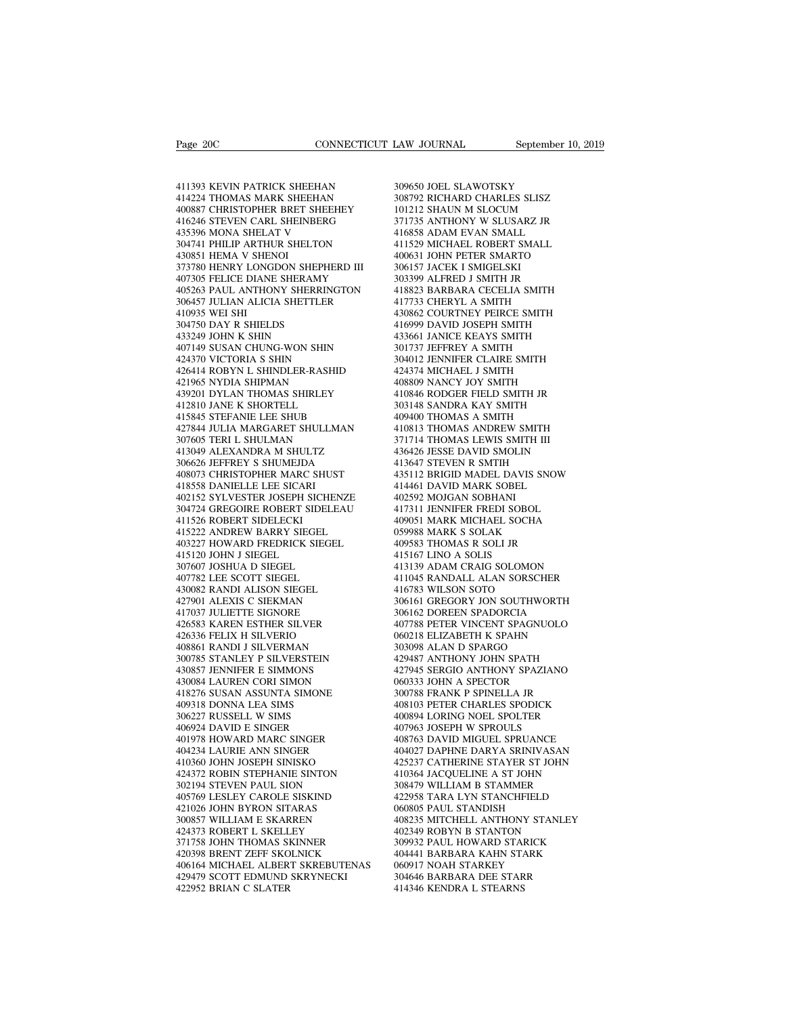411393 KEVIN PATRICK SHEEHAN 414224 THOMAS MARK SHEEHAN 400887 CHRISTOPHER BRET SHEEHEY 411393 KEVIN PATRICK SHEEHAN<br>414224 THOMAS MARK SHEEHAN 34<br>40887 CHRISTOPHER BRET SHEEHEY 10<br>406846 STEVEN CARL SHEINBERG 37<br>435396 MONA SHELAT V 41<br>304741 PHILIP ARTHUR SHELTON 41 411393 KEVIN PATRICK SHEEHAN 414224 THOMAS MARK SHEEHAN 400887 CHRISTOPHER BRET SHEEHEY 416246 STEVEN CARL SHENBERG 435396 MONA SHELAT V<br>304741 PHILIP ARTHUR SHELON 304741 PHILIP ARTHUR SHELTON 430851 HEMA V SHENOI 411393 KEVIN PATRICK SHEEHAN<br>414224 THOMAS MARK SHEEHAN<br>400887 CHRISTOPHER BRET SHEEHEY<br>416246 STEVEN CARL SHEINBERG<br>435396 MONA SHELAT V<br>304741 PHILIP ARTHUR SHELTON<br>430851 HEMA V SHENOI 4<br>373780 HENRY LONGDON SHEPHERD II 414224 THOMAS MARK SHEEHAN<br>400887 CHRISTOPHER BRET SHEEHEY<br>416246 STEVEN CARL SHEINBERG<br>435396 MONA SHELAT V<br>430851 HEMA V SHENOIR SHELTON<br>430851 HEMA V SHENOI<br>37780 HENRY LONGDON SHEPHERD III<br>407305 FELICE DIANE SHERAMY 414224 THOMAS MARK SHEEHAN<br>400887 CHRISTOPHER BRET SHEEHEY<br>416246 STEVEN CARL SHEINBERG<br>435396 MONA SHELAT V<br>304741 PHILIP ARTHUR SHELTON<br>430851 HEMA V SHENOI<br>373780 HENRY LONGDON SHEPHERD III<br>407305 FELICE DIANE SHERAMY<br>4 400887 CHRISTOPHER BRET SHEEHEY<br>416246 STEVEN CARL SHEINBERG<br>435396 MONA SHELAT V<br>504741 PHILIP ARTHUR SHELTON<br>430851 HEMA V SHENOI<br>373780 HENRY LONGDON SHEPHERD III<br>407305 FELICE DIANE SHERAMY<br>405263 PAUL ANTHONY SHERRING  $\begin{tabular}{llllllllll} \textbf{416246 STEVEN CARL SHEINBERG} & \textbf{371735} \\ \textbf{435396 MONA SHELAT V} & \textbf{416858} \\ \textbf{304741 PHILIP ARTHUR SHELTON} & \textbf{411529} \\ \textbf{430851 HEMA V SHENOI} & \textbf{400631} \\ \textbf{473035 FELLCE DIANE SHERAMY} & \textbf{303399} \\ \textbf{407305 FELLC NATHONY SHEERANTGTON} & \textbf{418823} \\ \textbf{405263 PAUL ANTHONY SHE$ 435396 MONA SHELAT V<br>304741 PHILIP ARTHUR SHELTON<br>430851 HEMA V SHENOI<br>373780 HENRY LONGDON SHEPHERD III<br>407305 FELICE DIANE SHERAMY<br>405263 PAUL ANTHONY SHERRINGTON<br>306457 JULIAN ALICIA SHETTLER<br>410935 WEI SHI<br>304750 DAY R 304741 PHILIP ARTHU<br>430851 HEMA V SHEN<br>373780 HENRY LONGI<br>407305 FELICE DIANE<br>405263 PAUL ANTHON<br>306457 JULIAN ALICI*I*<br>410935 WEI SHI<br>304750 DAY R SHIELL<br>433249 JOHN K SHIN 430851 HEMA V SHENOI<br>373780 HENRY LONGDON SHEPHE<br>407305 FELICE DIANE SHERAMY<br>405263 PAUL ANTHONY SHERRIN<br>306457 JULIAN ALICIA SHETTLER<br>410935 WEI SHI<br>304750 DAY R SHIELDS<br>433249 JOHN K SHIN<br>407149 SUSAN CHUNG-WON SHIN 373780 HENRY LONGDON SHEPHE<br>407305 FELICE DIANE SHERAMY<br>405263 PAUL ANTHONY SHERRING<br>306457 JULIAN ALICIA SHETTLER<br>410935 WEI SHI<br>304750 DAY R SHIELDS<br>433249 JOHN K SHIN<br>407149 SUSAN CHUNG-WON SHIN<br>424370 VICTORIA S SHIN 407305 FELICE DIANE SHERAMY<br>
405263 PAUL ANTHONY SHERRINGTON 4<br>
306457 JULIAN ALICIA SHETTLER 4<br>
410935 WEI SHI<br>
410935 WEI SHI<br>
433249 JOHN K SHIN 407149 SUSAN CHUNG-WON SHIN 3<br>
424370 VICTORIA S SHIN 3<br>
424370 VICTORIA S 405263 PAUL ANTHONY SHERRINGTOM<br>306457 JULIAN ALICIA SHETTLER<br>410935 WEI SHI<br>304750 DAY R SHIELDS<br>433249 JOHN K SHIN<br>407149 SUSAN CHUNG-WON SHIN<br>424370 VICTORIA S SHIN<br>426414 ROBYN L SHINDLER-RASHID<br>421965 NYDIA SHIPMAN 306457 JULIAN ALICIA SHETTLER 410935 WEI SHI 4308<br>410935 WEI SHI 4308<br>433249 JOHN K SHIN 433249 JOHN K SHIN 433249 JOHN K SHIN 433344<br>424370 VICTORIA S SHIN 3044<br>424370 VICTORIA S SHIN<br>426414 ROBYN L SHINDLER-RASHID 4244<br>4 410935 WEI SHI<br>304750 DAY R SHIELDS<br>433249 JOHN K SHIN<br>407149 SUSAN CHUNG-WON SHIN<br>424370 VICTORIA S SHIN<br>426414 ROBYN L SHINDLER-RASHID<br>421965 NYDIA SHIPMAN<br>439201 DYLAN THOMAS SHIRLEY<br>412810 JANE K SHORTELL 433249 JOHN K SHIELDS<br>
433249 JOHN K SHIN<br>
407149 SUSAN CHUNG-WON SHIN<br>
424370 VICTORIA S SHIN<br>
426414 ROBYN L SHINDLER-RASHID<br>
421965 NYDIA SHIPMAN<br>
439201 DYLAN THOMAS SHIRLEY<br>
412810 JANE K SHORTELL<br>
415845 STEFANIE LEE 433249 JOHN K SHIN<br>407149 SUSAN CHUNG-WON SHIN<br>424370 VICTORIA S SHIN<br>426414 ROBYN L SHINDLER-RASHID<br>421965 NYDIA SHIPMAN<br>439201 DYLAN THOMAS SHIRLEY<br>412810 JANE K SHORTELL<br>415845 STEFANIE LEE SHUB<br>427844 JULIA MARGARET SH 407149 SUSAN CHUNG-WON SHIN<br>424370 VICTORIA S SHIN<br>426414 ROBYN L SHINDLER-RASHID<br>421965 NYDIA SHIPMAN<br>439201 DYLAN THOMAS SHIRLEY<br>412810 JANE K SHORTELL<br>417844 JULIA MARGARET SHULLMAN<br>427844 JULIA MARGARET SHULLMAN<br>307605 427844 JULIA MARGARET SHULLMAN 426414 ROBYN L SHINDLER-RASHID<br>421965 NYDIA SHIPMAN<br>439201 DYLAN THOMAS SHIRLEY<br>412810 JANE K SHORTELL<br>415844 JULIA MARGARET SHULMAN<br>427844 JULIA MARGARET SHULLMAN<br>307605 TERI L SHULMAN<br>413049 ALEXANDRA M SHULTZ<br>306626 JEF 421965 NYDIA SHIPMAN<br>439201 DYLAN THOMAS SHIRLEY<br>412810 JANE K SHORTELL<br>415845 STEFANIE LEE SHUB<br>427844 JULIA MARGARET SHULLMAN<br>307605 TERI L SHULLMAN<br>413049 ALEXANDRA M SHULTZ<br>306626 JEFFREY S SHUMEJDA<br>408073 CHRISTOPHER 439201 DYLAN THOMAS SHIRLEY<br>412810 JANE K SHORTELL<br>415845 STEFANIE LEE SHUB<br>427844 JULIA MARGARET SHULLMAN<br>307605 TERI L SHULMAN<br>413049 ALEXANDRA M SHULTZ<br>306626 IEFFREY S SHUMEJDA<br>408073 CHRISTOPHER MARC SHUST<br>418558 DANI 412810 JANE K SHORTELL 415845 STEFANIE LEE SHUB 427844 JULIA MARGARET SHULLMAN 4307605 TERI L SHULMAN 44<br>307605 TERI L SHULMAN 44<br>413049 ALEXANDRA M SHULTZ 44<br>408626 JEFFREY S SHUMEJDA 44<br>408073 CHRISTOPHER MARC SHUST 44<br>4 415845 STEFANIE LEE SHUB<br>427844 JULIA MARGARET SHULLMA<br>307605 TERI L SHULMAN<br>413049 ALEXANDRA M SHULTZ<br>306626 IEFREY S SHUMEJDA<br>408073 CHRISTOPHER MARC SHUST<br>418558 DANIELLE LEE SICARI<br>402152 SYLVESTER JOSEPH SICHENZ<br>30472 427844 JULIA MARGARET SHULLMAN 4103<br>
307605 TERI L SHULMAN 371'<br>
413049 ALEXANDRA M SHULTZ 4366<br>
306626 JEFFREY S SHUMEJDA 4134<br>
408073 CHRISTOPHER MARC SHUST 4353<br>
418558 DANIELLE LEE SICARI 4144<br>
402152 SYLVESTER JOSEPH 307605 TERI L SHULMAN and the compared of the compare of the compare of the compare of the compare of the compare of the compare of the compare of the compare of the compare of the compare of the compare of the compare of 413049 ALEXANDRA M SHULTZ<br>306626 JEFFREY S SHUMEJDA<br>408073 CHRISTOPHER MARC SHU<br>418558 DANIELLE LEE SICARI<br>402152 SYLVESTER JOSEPH SICHI<br>304724 GREGOIRE ROBERT SIDEL<br>411526 ROBERT SIDELECKI<br>415222 ANDREW BARRY SIEGEL<br>40322 306626 JEFFREY S SHUMEJDA<br>408073 CHRISTOPHER MARC SHUST<br>418558 DANIELLE LEE SICARI<br>402152 SYLVESTER JOSEPH SICHENZE<br>304724 GREGOIRE ROBERT SIDELEAU<br>4111526 ROBERT SIDELECKI<br>415222 ANDREW BARRY SIEGEL<br>403227 HOWARD FREDRICK 408073 CHRISTOPHER MARC SHUST<br>418558 DANIELLE LEE SICARI<br>402152 SYLVESTER JOSEPH SICHENZE<br>504724 GREGOIRE ROBERT SIDELEAU<br>411522 ANDREW BARRY SIEGEL<br>415222 ANDREW BARRY SIEGEL<br>403227 HOWARD FREDRICK SIEGEL<br>415120 JOHN J SI 418558 DANIELLE LEE SICARI<br>402152 SYLVESTER JOSEPH SICHE<br>304724 GREGOIRE ROBERT SIDEL<br>411526 ROBERT SIDELECKI<br>415222 ANDREW BARRY SIEGEL<br>403227 HOWARD FREDRICK SIEGI<br>415120 JOHN J SIEGEL<br>307607 JOSHUA D SIEGEL<br>407782 LEE S 402152 SYLVESTER JOSEPH SICHENZ<br>304724 GREGOIRE ROBERT SIDELEAL<br>411526 ROBERT SIDELECKI<br>415222 ANDREW BARRY SIEGEL<br>403227 HOWARD FREDRICK SIEGEL<br>415120 JOHN J SIEGEL<br>307607 JOSHUA D SIEGEL<br>407782 LEE SCOTT SIEGEL<br>430082 RA 411526 ROBERT SIDELECKI<br>415222 ANDREW BARRY SIEGEL<br>403227 HOWARD FREDRICK SIEGEL<br>415120 JOHN J SIEGEL<br>307607 JOSHUA D SIEGEL<br>407782 LEE SCOTT SIEGEL<br>430082 RANDI ALISON SIEGEL<br>427901 ALEXIS C SIEKMAN 411526 ROBERT SIDELECKI<br>415222 ANDREW BARRY SIEGEL<br>403227 HOWARD FREDRICK SIEGEL<br>415120 JOHN J SIEGEL<br>407782 LEE SCOTT SIEGEL<br>407782 LEE SCOTT SIEGEL<br>430082 RANDI ALISON SIEGEL<br>427901 ALEXIS C SIEKMAN<br>417037 JULIETTE SIGNO 415222 ANDREW BARRY SIEGEL<br>403227 HOWARD FREDRICK SIEGEL<br>415120 JOHN J SIEGEL<br>307607 JOSHUA D SIEGEL<br>407782 LEE SCOTT SIEGEL<br>430082 RANDI ALISON SIEGEL<br>427901 ALEXIS C SIEKMAN<br>417037 JULIETTE SIGNORE<br>426583 KAREN ESTHER SI 403227 HOWARD FREDRICK SIEGEL<br>415120 JOHN J SIEGEL<br>307607 JOSHUA D SIEGEL<br>407782 LEE SCOTT SIEGEL<br>430082 RANDI ALISON SIEGEL<br>427901 ALEXIS C SIEKMAN<br>417037 JULIETTE SIGNORE<br>426583 KAREN ESTHER SILVER<br>426583 KAREN ESTHER SI 415120 JOHN J SIEGEL<br>307607 JOSHUA D SIEGEL<br>407782 LEE SCOTT SIEGEL<br>430082 RANDI ALISON SIEGEL<br>42090 ALEXIS C SIEKMAN<br>417037 JULIETTE SIGNORE<br>426583 KAREN ESTHER SILVER<br>426336 FELIX H SILVERIO<br>408861 RANDI J SILVERMAN 307607 JOSHUA D SIEGEL<br>407782 LEE SCOTT SIEGEL<br>430082 RANDI ALISON SIEGEL<br>427901 ALEXIS C SIEKMAN<br>417037 JULIETTE SIGNORE<br>426583 KAREN ESTHER SILVER<br>426336 FELIX H SILVERIO<br>408861 RANDI J SILVERMAN<br>300785 STANLEY P SILVERS 407782 LEE SCOTT SIEGEL<br>430082 RANDI ALISON SIEGEL<br>427901 ALEXIS C SIEKMAN<br>417037 JULIETTE SIGNORE<br>426536 KAREN ESTIHER SILVER<br>406861 RANDI J SILVERMAN<br>300785 STANLEY P SILVERSTEIN<br>430857 JENNIFER E SIMMONS 430082 RANDI ALISON SIEGEL<br>427901 ALEXIS C SIEKMAN<br>417037 JULIETTE SIGNORE<br>426583 KAREN ESTHER SILVER<br>426336 FELIX H SILVERMAN<br>408861 RAND J SILVERMAN<br>300785 STANLEY P SILVERSTEIN<br>430857 JENNIFER E SIMMONS<br>430834 LAUREN CO 427901 ALEXIS C SIEKMAN<br>417037 JULIETTE SIGNORE<br>426583 KAREN ESTHER SILVER<br>426336 FELIX H SILVERIO<br>408861 RANDI J SILVERMAN<br>300785 STANLEY P SILVERSTEIN<br>430857 JENNIFER E SIMMONS<br>430834 LAUREN CORI SIMON<br>418276 SUSAN ASSUN 417037 JULIETTE SIGNORE<br>426583 KAREN ESTHER SILVER<br>426336 FELIX H SILVERIO<br>408861 RANDI J SILVERMAN<br>300785 STANLEY P SILVERSTEIN<br>430857 JENNIFER E SIMMONS<br>418276 SUSAN ASSUNTA SIMON<br>418276 SUSAN ASSUNTA SIMONE<br>409318 DONNA 426583 KAREN ESTHER SILVER<br>426336 FELIX H SILVERIO<br>408861 RANDI J SILVERMAN<br>300785 STANLEY P SILVERSTEIN<br>430857 JENNIFER E SIMMONS<br>43084 LAUREN CORI SIMON<br>418276 SUSAN ASSUNTA SIMONE<br>409318 DONNA LEA SIMS<br>306227 RUSSELL W 426336 FELIX H SILVERIO<br>408861 RANDI J SILVERMAN<br>300785 STANLEY P SILVERSTEIN<br>430857 JENNIFER E SIMMONS<br>430084 LAUREN CORI SIMON<br>410276 SUSAN ASSUNTA SIMONE<br>409318 DONNA LEA SIMS<br>306227 RUSSELL W SIMS<br>406924 DAVID E SINGER 408861 RANDI J SILVERMAN<br>300785 STANLEY P SILVERSTEIN<br>430857 JENNIFER E SIMMONS<br>430084 LAUREN CORI SIMON<br>418276 SUSAN ASSUNTA SIMONE<br>409318 DONNA LEA SIMS<br>306227 RUSSELL W SIMS<br>400924 DAVID E SINGER<br>401978 HOWARD MARC SING 300785 STANLEY P SILVERSTEIN<br>430857 JENNIFER E SIMMONS<br>430084 LAUREN CORI SIMON<br>418276 SUSAN ASSUNTA SIMONE<br>409318 DONNA LEA SIMS<br>306227 RUSSELL W SIMS<br>406924 DAVID E SINGER<br>401978 HOWARD MARC SINGER<br>401978 HOWARD MARC SIN 430857 JENNIFER E SIMMONS<br>430084 LAUREN CORI SIMON<br>418276 SUSAN ASSUNTA SIMONE<br>409318 DONNA LEA SIMS<br>306227 RUSSELL W SIMS<br>401978 HOWARD MARC SINGER<br>401978 HOWARD MARC SINGER<br>404234 LAURIE ANN SINGER<br>410360 JOHN JOSEPH SIN 430084 LAUREN CORI SIMON<br>418276 SUSAN ASSUNTA SIMONE<br>409318 DONNA LEA SIMS<br>306227 RUSSELL W SIMS<br>406924 DAVID E SINGER<br>400978 HOWARD MARC SINGER<br>4404234 LAURIE ANN SINGER<br>410360 JOHN JOSEPH SINISKO<br>424372 ROBIN STEPHANIE S 418276 SUSAN ASSUNTA SIMONE<br>409318 DONNA LEA SIMS<br>306227 RUSSELL W SIMS<br>406924 DAVID E SINGER<br>401978 HOWARD MARC SINGER<br>404234 LAURIE ANN SINGER<br>414330 JOHN JOSEPH SINISKO<br>424372 ROBIN STEPHANIE SINTON<br>302194 STEVEN PAUL S 409318 DONNA LEA SIMS<br>
306227 RUSSELL W SIMS<br>
406924 DAVID E SINGER<br>
401978 HOWARD MARC SINGER<br>
4104234 LAURE ANN SINGER<br>
414334 LAURE ANN SINGER<br>
4110360 JOHN JOSEPH SINISKO<br>
424372 ROBIN STEPHANIE SINTON<br>
302194 STEVEN P 306227 RUSSELL W SIMS<br>406924 DAVID E SINGER<br>401978 HOWARD MARC SINGER<br>404234 LAURIE ANN SINGER<br>410360 JOHN JOSEPH SINISKO<br>424372 ROBIN STEPHANIE SINTON<br>302194 STEVEN PAUL SION<br>405769 LESLEY CAROLE SISKIND<br>421026 JOHN BYRON 406924 DAVID E SINGER<br>
401978 HOWARD MARC SINGER<br>
404234 LAURIE ANN SINGER<br>
410360 JOHN JOSEPH SINISKO<br>
424372 ROBIN STEPHANIE SINTON<br>
424772 ROBIN STEVEN PAUL SION<br>
405769 LESLEY CAROLE SISKIND<br>
421026 JOHN BYRON SITARAS<br> 401978 HOWARD MARC SINGER<br>404234 LAURIE ANN SINGER<br>410360 JOHN JOSEPH SINISKO<br>424372 ROBIN STEPHANIE SINTON<br>302194 STEVEN PAUL SION<br>405769 LESLEY CAROLE SISKIND<br>421026 JOHN BYRON SITARAS<br>300857 WILLIAM E SKARREN<br>424373 ROB 404234 LAURIE ANN SINGER<br>410360 JOHN JOSEPH SINISKO<br>424372 ROBIN STEPHANIE SINTON<br>302194 STEVEN PAUL SION<br>403769 LESLEY CAROLE SISKIND<br>421026 JOHN BYRON SITARAS<br>300857 WILLIAM E SKARREN<br>424373 ROBERT L SKELLEY<br>371758 JOHN 410360 JOHN JOSEPH SINISKO<br>424372 ROBIN STEPHANIE SINTON<br>302194 STEVEN PAUL SION<br>405769 LESLEY CAROLE SISKIND<br>421026 JOHN BYRON SITARAS<br>300857 WILLIAM E SKARREN<br>424373 ROBERT L SKELLEY<br>371758 JOHN THOMAS SKINNER<br>420398 BRE 424372 ROBIN STEPHANIE SINTON<br>302194 STEVEN PAUL SION<br>405769 LESLEY CAROLE SISKIND<br>421026 JOHN BYRON SITARAS<br>300837 WILLIAM E SKARREN<br>424373 ROBERT L SKELLEY<br>371758 JOHN THOMAS SKINNER<br>420398 BRENT ZEFF SKOLNICK<br>406164 MIC 302194 STEVEN PAUL SION<br>405769 LESLEY CAROLE SISKIND<br>421026 JOHN BYRON SITARAS<br>300857 WILLIAM E SKARREN<br>424373 ROBERT L SKELLEY<br>371758 JOHN THOMAS SKINNER<br>420398 BRENT ZEFF SKOLNICK<br>406164 MICHAEL ALBERT SKREBUTENAS<br>429479 406164 MICHAEL ALBERT SKREBUTENAS 421026 JOHN BYRON SITARAS<br>300857 WILLIAM E SKARREN<br>424373 ROBERT L SKELLEY<br>371758 JOHN THOMAS SKINNER<br>420398 BRENT ZEFF SKOLNICK<br>406164 MICHAEL ALBERT SKREBUTENAS<br>429479 SCOTT EDMUND SKRYNECKI<br>422952 BRIAN C SLATER 300857 WILLIAM E SKARREN<br>424373 ROBERT L SKELLEY<br>371758 JOHN THOMAS SKINNER<br>420398 BRENT ZEFF SKOLNICK<br>406164 MICHAEL ALBERT SKREBUTE<br>429479 SCOTT EDMUND SKRYNECKI<br>422952 BRIAN C SLATER

309650 JOEL SLAWOTSKY LAW JOURNAL September 10, 2019<br>309650 JOEL SLAWOTSKY<br>308792 RICHARD CHARLES SLISZ<br>101212 SHAUN M SLOCUM<br>371735 ANTHONY W SLUSARZ JR LAW JOURNAL September 10, 201<br>
309650 JOEL SLAWOTSKY<br>
308792 RICHARD CHARLES SLISZ<br>
101212 SHAUN M SLOCUM<br>
371735 ANTHONY W SLUSARZ JR<br>
416858 ADAM EVAN SMALL 309650 JOEL SLAWOTSKY<br>308792 RICHARD CHARLES SLISZ<br>101212 SHAUN M SLOCUM<br>371735 ANTHONY W SLUSARZ JR<br>416858 ADAM EVAN SMALL<br>411529 MICHAEL ROBERT SMALL 309650 JOEL SLAWOTSKY<br>308792 RICHARD CHARLES SLISZ<br>101212 SHAUN M SLOCUM<br>371735 ANTHONY W SLUSARZ JR<br>416858 ADAM EVAN SMALL<br>411529 MICHAEL ROBERT SMALL<br>400631 JOHN PETER SMARTO 309650 JOEL SLAWOTSKY<br>308792 RICHARD CHARLES SLISZ<br>101212 SHAUN M SLOCUM<br>371735 ANTHONY W SLUSARZ JR<br>416858 ADAM EVAN SMALL<br>411529 MICHAEL ROBERT SMALL<br>400631 JOHN PETER SMARTO<br>306157 JACEK I SMIGELSKI 309650 JOEL SLAWOTSKY<br>308792 RICHARD CHARLES SLISZ<br>101212 SHAUN M SLOCUM<br>371735 ANTHONY W SLUSARZ JR<br>416838 ADAM EVAN SMALL<br>411529 MICHAEL ROBERT SMALL<br>400631 JOHN PETER SMARTO<br>306157 JACEK I SMIGELSKI<br>303399 ALFRED J SMIT 308792 RICHARD CHARLES SLISZ<br>101212 SHAUN M SLOCUM<br>371735 ANTHONY W SLUSARZ JR<br>416858 ADAM EVAN SMALL<br>411529 MICHAEL ROBERT SMALL<br>400631 JOHN PETER SMARTO<br>306157 JACEK I SMIGELSKI<br>303399 ALFRED J SMITH JR<br>418823 BARBARA CE 101212 SHAUN M SLOCUM<br>371735 ANTHONY W SLUSARZ JR<br>416858 ADAM EVAN SMALL<br>411529 MICHAEL ROBERT SMALL<br>400631 JOHN PETER SMARTO<br>303199 ALFRED J SMITH JR<br>418823 BARBARA CECELIA SMITH<br>418823 BARBARA CECELIA SMITH<br>417733 CHERYL 371735 ANTHONY W SLUSARZ JR<br>416858 ADAM EVAN SMALL<br>411529 MICHAEL ROBERT SMALL<br>400631 JOHN PETER SMARTO<br>306157 JACEK I SMIGELSKI<br>303399 ALFRED J SMITH JR<br>418823 BARBARA CECELIA SMITH<br>417733 CHERYL A SMITH<br>430862 COURTNEY P 416858 ADAM EVAN SMALL<br>411529 MICHAEL ROBERT SMALL<br>400631 JOHN PETER SMARTO<br>306157 JACEK I SMIGELSKI<br>303399 ALFRED J SMITH JR<br>418823 BARBARA CECELIA SMITH<br>417733 CHERYL A SMITH<br>430862 COURTNEY PEIRCE SMITH<br>416999 DAVID JOS 411529 MICHAEL ROBERT SMALL<br>400631 JOHN PETER SMARTO<br>306157 JACEK I SMIGELSKI<br>303399 ALFRED J SMITH JR<br>418823 BARBARA CECELIA SMITH<br>417733 CHERYL A SMITH<br>430862 COURTNEY PEIRCE SMITH<br>416999 DAVID JOSEPH SMITH<br>433661 JANICE 400631 JOHN PETER SMARTO<br>306157 JACEK 1 SMIGELSKI<br>303399 ALFRED J SMITH JR<br>418823 BARBARA CECELIA SMITH<br>417733 CHERYL A SMITH<br>430862 COURTNEY PEIRECE SMITH<br>416999 DAVID JOSEPH SMITH<br>433661 JANICE KEAYS SMITH<br>301737 JEFFREY 306157 JACEK I SMIGELSKI<br>303399 ALFRED J SMITH JR<br>418823 BARBARA CECELIA SMITH<br>417733 CHERYL A SMITH<br>430862 COURTNEY PEIRCE SMITH<br>416999 DAVID JOSEPH SMITH<br>433661 JANICE KEAYS SMITH<br>301737 JEFFREY A SMITH<br>304012 JENNIFER C 303399 ALFRED J SMITH JR<br>418823 BARBARA CECELIA SMITH<br>417733 CHERYL A SMITH<br>430862 COURTNEY PEIRCE SMITH<br>430862 COURTNEY PEIRCE SMITH<br>433661 JANICE KEAYS SMITH<br>301737 JEFFREY A SMITH<br>304012 JENNIFER CLAIRE SMITH<br>424374 MIC 418823 BARBARA CECELIA SMITH<br>417733 CHERYL A SMITH<br>430862 COURTNEY PEIRCE SMITH<br>416999 DAVID JOSEPH SMITH<br>433661 JANICE KEAYS SMITH<br>304012 JENNIFER CLAIRE SMITH<br>424374 MICHAEL J SMITH<br>424374 MICHAEL J SMITH<br>408809 NANCY JO 417733 CHERYL A SMITH<br>430862 COURTNEY PEIRCE SMITH<br>416999 DAVID JOSEPH SMITH<br>433661 JANICE KEAYS SMITH<br>301737 JEFFREY A SMITH<br>304012 JENNIFER CLAIRE SMITH<br>424374 MICHAEL J SMITH<br>408809 NANCY JOY SMITH<br>410846 RODGER FIELD S 430862 COURTNEY PEIRCE SMITH<br>416999 DAVID JOSEPH SMITH<br>433661 JANICE KEAYS SMITH<br>301737 JEFFREY A SMITH<br>304012 JENNIFER CLAIRE SMITH<br>443374 MICHAEL J SMITH<br>408809 NANCY JOY SMITH<br>410846 RODGER FIELD SMITH JR<br>303148 SANDRA 416999 DAVID JOSEPH SMITH<br>433661 JANICE KEAYS SMITH<br>301737 JEFFREY A SMITH<br>304012 JENNIFER CLAIRE SMITH<br>424374 MICHAEL J SMITH<br>408809 NANCY JOY SMITH<br>410846 RODGER FIELD SMITH JR<br>303148 SANDRA KAY SMITH<br>409400 THOMAS A SMI 433661 JANICE KEAYS SMITH<br>301737 JEFFREY A SMITH<br>304012 JENNIFER CLAIRE SMITH<br>424374 MICHAEL J SMITH<br>408809 NANCY JOY SMITH<br>410846 RODGER FIELD SMITH<br>303148 SANDRA KAY SMITH<br>409400 THOMAS A SMITH<br>410813 THOMAS ANDREW SMITH 301737 JEFFREY A SMITH<br>304012 JENNIFER CLAIRE SMITH<br>424374 MICHAEL J SMITH<br>408809 NANCY JOY SMITH<br>410846 RODGER FIELD SMITH JR<br>303148 SANDRA KAY SMITH<br>409400 THOMAS A SMITH<br>410813 THOMAS ANDREW SMITH<br>371714 THOMAS LEWIS SM 304012 JENNIFER CLAIRE SMITH<br>424374 MICHAEL J SMITH<br>408809 NANCY JOY SMITH<br>410846 RODGER FIELD SMITH JR<br>409400 THOMAS A SMITH<br>40910 THOMAS ANDREW SMITH<br>371714 THOMAS LEWIS SMITH III<br>436426 JESSE DAVID SMOLIN 424374 MICHAEL J SMITH<br>408809 NANCY JOY SMITH<br>410846 RODGER FIELD SMITH JR<br>303148 SANDRA KAY SMITH<br>409400 THOMAS A SMITH<br>410813 THOMAS LEWIS SMITH III<br>371714 THOMAS LEWIS SMITH III<br>436426 JESSE DAVID SMOLIN<br>413647 STEVEN R 408809 NANCY JOY SMITH<br>410846 RODGER FIELD SMITH JR<br>303148 SANDRA KAY SMITH<br>409400 THOMAS A SMITH<br>410813 THOMAS ANDREW SMITH<br>371714 THOMAS LEWIS SMITH III<br>436426 JESSE DAVID SMOLIN<br>413647 STEVEN R SMTIH<br>435417 STEVEN R SMT 410846 RODGER FIELD SMITH JR<br>303148 SANDRA KAY SMITH<br>409400 THOMAS A SMITH<br>410813 THOMAS ANDREW SMITH<br>371714 THOMAS LEWIS SMITH III<br>436426 JESSE DAVID SMOLIN<br>413647 STEVEN R SMTIH<br>435112 BRIGID MADEL DAVIS SNOW<br>414461 DAVI 303148 SANDRA KAY SMITH<br>409400 THOMAS A SMITH<br>410813 THOMAS ANDREW SMITH<br>371714 THOMAS LEWIS SMITH III<br>436426 IESSE DAVID SMOLIN<br>413647 STEVEN R SMITH<br>435112 BRIGID MADEL DAVIS SNOW<br>414461 DAVID MARK SOBEL<br>402592 MOJGAN SO 409400 THOMAS A SMITH<br>410813 THOMAS ANDREW SMITH<br>371714 THOMAS LEWIS SMITH III<br>436426 JESSE DAVID SMOLIN<br>413647 STEVEN R SMITH<br>435112 BRIGID MADEL DAVIS SNOW<br>414461 DAVID MARK SOBEL<br>402592 MOJGAN SOBHANI<br>417311 JENNIFER FR 410813 THOMAS ANDREW SMITH<br>371714 THOMAS LEWIS SMITH II<br>436426 JESSE DAVID SMOLIN<br>413647 STEVEN R SMTIH<br>435112 BRIGID MADEL DAVIS SN<br>4042592 MOJGAN SOBHANI<br>417311 JENNIFER FREDI SOBOL<br>409051 MARK MICHAEL SOCHA 371714 THOMAS LEWIS SMITH III<br>436426 JESSE DAVID SMOLIN<br>413647 STEVEN R SMTIH<br>435112 BRIGID MADEL DAVIS SNOW<br>414461 DAVID MARK SOBEL<br>402592 MOJGAN SOBHANI<br>417311 JENNIFER FREDI SOBOL<br>409051 MARK MICHAEL SOCHA<br>059988 MARK S 436426 JESSE DAVID SMOLIN<br>413647 STEVEN R SMTIH<br>435112 BRIGID MADEL DAVIS SNOW<br>414461 DAVID MARK SOBEL<br>402592 MOIGAN SOBHANI<br>417311 JENNIFER FREDI SOBOL<br>409051 MARK MICHAEL SOCHA<br>059988 MARK S SOLAK<br>409583 THOMAS R SOLI JR 413647 STEVEN R SMTIH<br>435112 BRIGID MADEL DAVIS SNOW<br>414461 DAVID MARK SOBEL<br>402592 MOJGAN SOBHANI<br>417311 JENNIFER FREDI SOBOL<br>409051 MARK MCHAEL SOCHA<br>059988 MARK S SOLAK<br>409583 THOMAS R SOLI JR<br>415167 LINO A SOLIS 435112 BRIGID MADEL DAVIS SNOW<br>414461 DAVID MARK SOBEL<br>402592 MOJGAN SOBHANI<br>417311 JENNIFER FREDI SOBOL<br>409051 MARK MCHAEL SOCHA<br>059988 MARK S SOLAK<br>409583 THOMAS R SOLI JR<br>415167 LINO A SOLIS<br>413139 ADAM CRAIG SOLOMON 413139 ADAM CRAIG SOLOMON<br>411045 RANDALL ALAN SORSCHER 402592 MOJGAN SOBHANI<br>417311 JENNIFER FREDI SOBOL<br>409051 MARK MICHAEL SOCHA<br>059988 MARK S SOLAK<br>409583 THOMAS R SOLI JR<br>415167 LINO A SOLIS<br>411133 ADAM CRAIG SOLOMON<br>411045 RANDALL ALAN SORSCHER<br>416783 WILSON SOTO 417311 JENNIFER FREDI SOBOL<br>409051 MARK MICHAEL SOCHA<br>059988 MARK S SOLAK<br>409583 THOMAS R SOLI JR<br>415167 LINO A SOLIS<br>411545 RANDALL ALAN SORSCHER<br>416783 WILSON SOTO<br>306161 GREGORY JON SOUTHWORTH 409051 MARK MICHAEL SOCHA<br>059988 MARK S SOLAK<br>409583 THOMAS R SOLI JR<br>415167 LINO A SOLIS<br>413139 ADAM CRAIG SOLOMON<br>411045 RANDALL ALAN SORSCHER<br>416783 WILSON SOTO<br>306161 GREGORY JON SOUTHWORT<br>306161 GREGORY JON SOUTHWORT<br> 059988 MARK S SOLAK<br>409583 THOMAS R SOLI JR<br>415167 LINO A SOLIS<br>413139 ADAM CRAIG SOLOMON<br>411045 RANDALL ALAN SORSCHER<br>416783 WILSON SOTO<br>306161 GREGORY JON SOUTHWORTH<br>306162 DOREEN SPADORCIA<br>407788 PETER VINCENT SPAGNUOLO 409583 THOMAS R SOLI JR<br>415167 LINO A SOLIS<br>413139 ADAM CRAIG SOLOMON<br>411045 RANDALL ALAN SORSCHER<br>416783 WILSON SOTO<br>306161 GREGORY JON SOUTHWORTH<br>306162 DOREEN SPADORCIA<br>407788 PETER VINCENT SPAGNUOLO<br>060218 ELIZABETH K 415167 LINO A SOLIS<br>413139 ADAM CRAIG SOLOMON<br>411045 RANDALL ALAN SORSCHER<br>416783 WILSON SOTO<br>30616 GREGORY JON SOUTHWORTH<br>306162 DOREEN SPADORCIA<br>407788 PETER VINCENT SPAGNUOLO<br>060218 ELIZABETH K SPAHN<br>303098 ALAN D SPARG 413139 ADAM CRAIG SOLOMON<br>411045 RANDALL ALAN SORSCHER<br>416783 WILSON SOTO<br>306161 GREGORY JON SOUTHWORTH<br>406728 PETER VINCENT SPAGNUOLO<br>407788 PETER VINCENT SPAGNUOLO<br>060218 ELIZABETH K SPAHN<br>303098 ALAN D SPARGO<br>429487 ANT 411045 RANDALL ALAN SORSCHER<br>416783 WILSON SOTO<br>306161 GREGORY JON SOUTHWORTH<br>306162 DOREEN SPADORCIA<br>407788 PETER VINCENT SPAGNUOLO<br>060218 ELIZABETH K SPAHN<br>303098 ALAN D SPARGO<br>429487 ANTHONY JOHN SPATH<br>427945 SERGIO ANT 416783 WILSON SOTO<br>306161 GREGORY JON SOUTHWORTH<br>306162 DOREEN SPADORCIA<br>407788 PETER VINCENT SPAGNUOLO<br>060218 ELIZABETH K SPAHN<br>303098 ALAN D SPARGO<br>429487 ANTHONY JOHN SPATH<br>427945 SERGIO ANTHONY SPAZIANO<br>060333 JOHN A S 306161 GREGORY JON SOUTHWORTH<br>306162 DOREEN SPADORCIA<br>407788 PETER VINCENT SPAGNUOLO<br>060218 ELIZABETH K SPAHN<br>429487 ANTHONY JOHN SPATH<br>427945 SERGIO ANTHONY SPAZIANO<br>060333 JOHN A SPECTOR<br>300788 FRANK P SPINELLA JR 306162 DOREEN SPADORCIA<br>407788 PETER VINCENT SPAGNUOLO<br>060218 ELIZABETH K SPAHN<br>303098 ALAN D SPARGO<br>429487 ANTHONY JOHN SPATH<br>427945 SERGIO ANTHONY SPAZIANO<br>060333 JOHN A SPECTOR<br>300788 FRANK P SPINELLA JR<br>408103 PETER CH 407788 PETER VINCENT SPAGNUOLO<br>060218 ELIZABETH K SPAHN<br>303098 ALAN D SPARGO<br>429487 ANTHONY JOHN SPATH<br>4279453 SERGIO ANTHONY SPAZIANO<br>060333 JOHN A SPECTOR<br>300788 FRANK P SPINELLA JR<br>408103 PETER CHARLES SPODICK<br>400894 LO 060218 ELIZABETH K SPAHN<br>303098 ALAN D SPARGO<br>429487 ANTHONY JOHN SPATH<br>427945 SERGIO ANTHONY SPAZIANO<br>060333 JOHN A SPECTOR<br>300788 FRANK P SPINELLA JR<br>408103 PETER CHARLES SPODICK<br>400894 LORING NOEL SPOLTER<br>407963 JOSEPH 303098 ALAN D SPARGO<br>429487 ANTHONY JOHN SPATH<br>427945 SERGIO ANTHONY SPAZIANO<br>060333 JOHN A SPECTOR<br>300788 FRANK P SPINELLA JR<br>408103 PETER CHARLES SPODICK<br>40804 LORING NOEL SPOLTER<br>407963 JOSEPH W SPROULS<br>408763 DAVID MIG 429487 ANTHONY JOHN SPATH<br>427945 SERGIO ANTHONY SPAZIANO<br>060333 JOHN A SPECTOR<br>300788 FRANK P SPINELLA JR<br>40894 LORNG NOEL SPODICK<br>400894 LORNG NOEL SPOLTER<br>407963 JOSEPH W SPROULS<br>408763 DAVID MIGUEL SPRUANCE<br>404027 DAPHN 427945 SERGIO ANTHONY SPAZIANO<br>060333 JOHN A SPECTOR<br>300788 FRANK P SPINELLA JR<br>408103 PETER CHARLES SPODICK<br>400894 LORING NOEL SPOLTER<br>407963 JOSEPH W SPROULS<br>408763 DAVID MIGUEL SPRUANCE<br>404027 DAPHNE DARYA SRINIVASAN<br>42 060333 JOHN A SPECTOR<br>300788 FRANK P SPINELLA JR<br>408103 PETER CHARLES SPODICK<br>400894 LORING NOEL SPOLTER<br>407963 JOSEPH W SPROULS<br>408763 DAVID MIGUEL SPRUANCE<br>404027 DAPHNE DARYA SRINIVASAN<br>425237 CATHERINE STAYER ST JOHN<br>4 300788 FRANK P SPINELLA JR<br>408103 PETER CHARLES SPODICK<br>400894 LORING NOEL SPOLTER<br>407963 JOSEPH W SPROULS<br>408763 DAVID MIGUEL SPRUANCE<br>404027 DAPHNE DARYA SRINIVASAN<br>425237 CATHERINE STAYER ST JOHN<br>410364 JACQUELINE A ST 408103 PETER CHARLES SPODICK<br>400894 LORING NOEL SPOLTER<br>407963 JOSEPH W SPROULS<br>408763 DAVID MIGUEL SPRUANCE<br>404027 DAPHNE DARYA SRINIVASAN<br>425237 CATHERINE STAYER ST JOHN<br>410364 JACQUELINE A ST JOHN<br>308479 WILLIAM B STAMM 400894 LORING NOEL SPOLTER<br>407963 JOSEPH W SPROULS<br>408763 DAVID MIGUEL SPRUANCE<br>404027 DAPHNE DARYA SRINIVASAN<br>425237 CATHERINE STAYER ST JOHN<br>410364 JACQUELINE A ST JOHN<br>308479 WILLIAM B STAMMER<br>422958 TARA LYN STANCHFIEL 407963 JOSEPH W SPROULS<br>408763 DAVID MIGUEL SPRUANCE<br>404027 DAPHNE DARYA SRINIVASAN<br>425237 CATHERINE STAYER ST JOHN<br>410364 JACQUELINE A ST JOHN<br>308479 WILLIAM B STAMMER<br>422958 TARA LYN STANCHFIELD<br>060805 PAUL STANDISH<br>4082 408763 DAVID MIGUEL SPRUANCE<br>404027 DAPHNE DARYA SRINIVASAN<br>425237 CATHERINE STAYER ST JOHN<br>410364 JACQUELINE A ST JOHN<br>308479 WILLIAM B STAMMER<br>422958 TARA LYN STANCHFIELD<br>060805 PAUL STANDISH<br>408235 MITCHELL ANTHONY STAN 404027 DAPHNE DARYA SRINIVASAN<br>425237 CATHERINE STAYER ST JOHN<br>410364 JACQUELINE A ST JOHN<br>308479 WILLIAM B STAMMER<br>422958 TARA LYN STANCHFIELD<br>06805 PAUL STANDISH<br>408235 MITCHELL ANTHONY STANLEY<br>402349 ROBYN B STANTON<br>309 425237 CATHERINE STAYER ST JOHN<br>410364 JACQUELINE A ST JOHN<br>308479 WILLIAM B STAMMER<br>422958 TARA LYN STANCHFIELD<br>060805 PAUL STANDISH<br>402335 MITCHELL ANTHONY STANLEY<br>402349 ROBYN B STANTON<br>309932 PAUL HOWARD STARICK<br>404441 410364 JACQUELINE A ST JOHN<br>308479 WILLIAM B STAMMER<br>422958 TARA LYN STANCHFIELD<br>060805 PAUL STANDISH<br>408235 MITCHELL ANTHONY STANLEY<br>402349 ROBYN B STANTON<br>309932 PAUL HOWARD STARICK<br>404441 BARBARA KAHN STARK<br>060917 NOAH 308479 WILLIAM B STAMMER<br>422958 TARA LYN STANCHFIELD<br>060805 PAUL STANDISH<br>408235 MITCHELL ANTHONY STANLEY<br>402349 ROBYN B STANTON<br>309932 PAUL HOWARD STARK<br>404441 BARBARA KAHN STARK<br>060917 NOAH STARKEY<br>304646 BARBARA DEE STA 422958 TARA LYN STANCHFIELD<br>060805 PAUL STANDISH<br>408235 MITCHELL ANTHONY STANLE<br>402349 ROBYN B STANTON<br>309932 PAUL HOWARD STARICK<br>404441 BARBARA KAHN STARK<br>060917 NOAH STARKEY<br>304646 BARBARA DEE STARR<br>414346 KENDRA L STEAR 060805 PAUL STANDISH<br>408235 MITCHELL ANTHONY STANLEY<br>402349 ROBYN B STANTON<br>309932 PAUL HOWARD STARICK<br>404441 BARBARA KAHN STARK<br>060917 NOAH STARKEY<br>304646 BARBARA DEE STARR<br>414346 KENDRA L STEARNS 402349 ROBYN B STANTON<br>309932 PAUL HOWARD STARICK<br>404441 BARBARA KAHN STARK<br>060917 NOAH STARKEY<br>304646 BARBARA DEE STARR<br>414346 KENDRA L STEARNS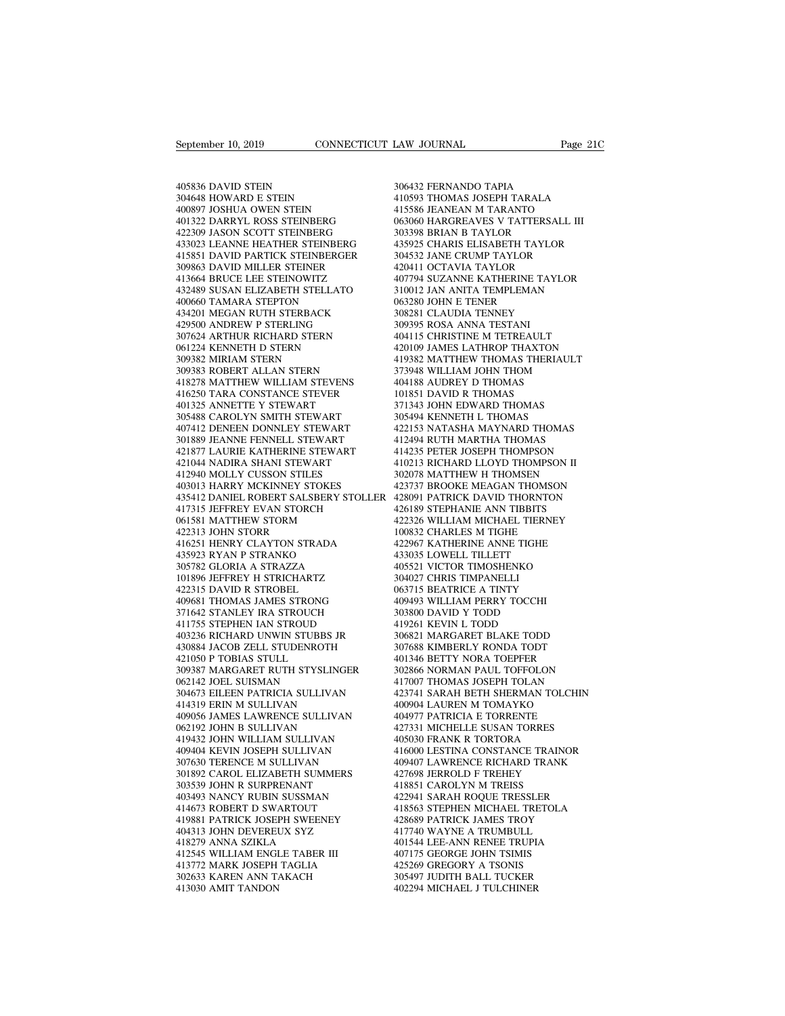September 10, 2019<br>405836 DAVID STEIN<br>304648 HOWARD E STEIN<br>400897 JOSHUA OWEN STEIN September 10, 2019<br>
405836 DAVID STEIN<br>
304648 HOWARD E STEIN<br>
400897 JOSHUA OWEN STEIN<br>
401322 DARRYL ROSS STEINBERG September 10, 2019<br>
405836 DAVID STEIN<br>
405836 DAVID STEIN<br>
304648 HOWARD E STEIN<br>
400897 JOSHUA OWEN STEIN<br>
401322 DARRYL ROSS STEINBERG<br>
422309 JASON SCOTT STEINBERG 405836 DAVID STEIN<br>
304648 HOWARD E STEIN<br>
400897 JOSHUA OWEN STEIN<br>
401322 DARRYL ROSS STEINBERG<br>
422309 JASON SCOTT STEINBERG<br>
433023 LEANNE HEATHER STEINBERG<br>
433023 LEANNE HEATHER STEINBERG 405836 DAVID STEIN<br>
304648 HOWARD E STEIN<br>
400897 JOSHUA OWEN STEIN<br>
401322 DARRYL ROSS STEINBERG<br>
422309 JASON SCOTT STEINBERG<br>
433023 LEANNE HEATHER STEINBERG<br>
415851 DAVID PARTICK STEINBERGER<br>
3 405836 DAVID STEIN 306432<br>
304648 HOWARD E STEIN 410593<br>
400897 JOSHUA OWEN STEIN 415586<br>
401322 DARRYL ROSS STEINBERG 463306<br>
423309 JASON SCOTT STEINBERG 303398<br>
433023 LEANNE HEATHER STEINBERG 435925<br>
415851 DAVID PARTI 405836 DAVID STEIN 30643<br>
304648 HOWARD E STEIN 41059<br>
400897 JOSHUA OWEN STEIN 41558<br>
401322 DARRYL ROSS STEINBERG 30339<br>
42309 JASON SCOTT STEINBERG 30339<br>
415851 DAVID PARTICK STEINBERG 43592<br>
415851 DAVID PARTICK STEIN 304648 HOWARD E STEIN<br>400897 JOSHUA OWEN STEIN<br>401322 DARRYL ROSS STEINBERG<br>422309 JASON SCOTT STEINBERG<br>433023 LEANNE HEATHER STEINBERG<br>415851 DAVID PARTICK STEINBERGER<br>309863 DAVID MILLER STEINER<br>413664 BRUCE LEE STEINOW 400897 JOSHUA OWEN STEIN<br>401322 DARRYL ROSS STEINBERG<br>422309 JASON SCOTT STEINBERG<br>433023 LEANNE HEATHER STEINBERG<br>415851 DAVID MILLER STEINBERGER<br>309863 DAVID MILLER STEINER<br>413664 BRUCE LEE STEINOWITZ<br>432489 SUSAN ELIZAB  $\begin{tabular}{llllllllll} 401322\text{ DARRYL ROSS STEINBERG} & 06306\text{ } \\ 422309\text{ JASON SCOTT STEINBERG} & 30339\text{ } \\ 433023\text{ LEANNE HEATHER STEINBERG} & 43592\text{ } \\ 415851\text{ DAVID MILLER STEINBERGER} & 30453\text{ } \\ 309863\text{ DAVID MILLER STEINBERGER} & 42041\text{ } \\ 413664\text{ BRUCE LEE STEINWITZ} & 40779\text{ } \\ 432489\text{ SUSAN EL$ 422309 JASON SCOTT STEINBERG<br>433023 LEANNE HEATHER STEINBERG<br>415851 DAVID PARTICK STEINBERGER<br>309863 DAVID MILLER STEINER<br>430464 BRUCE LEE STEINOWITZ<br>432489 SUSAN ELIZABETH STELLATO<br>400660 TAMARA STEPTON<br>434201 MEGAN RUTH 433023 LEANNE HEATHER STEINBERG<br>415851 DAVID PARTICK STEINBERGER<br>309863 DAVID MILLER STEINER<br>413664 BRUCE LEE STEINOWITZ<br>432489 SUSAN ELIZABETH STELLATO<br>400660 TAMARA STEPTON<br>434201 MEGAN RUTH STERBACK<br>429500 ANDREW P STER 415851 DAVID PARTICK STEINBERGER<br>309863 DAVID MILLER STEINER<br>413664 BRUCE LEE STEINOWITZ<br>432489 SUSAN ELIZABETH STELLATO<br>400660 TAMARA STEPTON<br>434201 MEGAN RUTH STERBACK<br>429500 ANDREW P STERLING<br>307624 ARTHUR RICHARD STERN 309863 DAVID MILLER STEINER<br>413664 BRUCE LEE STEINOWITZ 432489 SUSAN ELIZABETH STELLATO 3<br>400660 TAMARA STEPTON 6<br>4034201 MEGAN RUTH STERBACK 3<br>429500 ANDREW P STERLING 3<br>307624 ARTHUR RICHARD STERN 4<br>061224 KENNETH D STER 413664 BRUCE LEE STEINOWITZ<br>432489 SUSAN ELIZABETH STELLATO<br>400660 TAMARA STEPTON<br>434201 MEGAN RUTH STERBACK<br>429500 ANDREW P STERLING<br>307624 ARTHUR RICHARD STERN<br>061224 KENNETH D STERN<br>309382 MIRIAM STERN<br>309382 MIRIAM STE 432489 SUSAN ELIZABETH STELLAT<br>400660 TAMARA STEPTON<br>434201 MEGAN RUTH STERBACK<br>429500 ANDREW P STERLING<br>307624 ARTHUR RICHARD STERN<br>061224 KENNETH D STERN<br>309382 MIRIAM STERN<br>309383 ROBERT ALLAN STERN<br>418278 MATTHEW WILLI 400660 TAMARA STEPTON<br>434201 MEGAN RUTH STERBACK<br>429500 ANDREW P STERLING<br>307624 ARTHUR RICHARD STERN<br>061224 KENNETH D STERN<br>309382 MIRIAM STERN<br>309383 ROBERT ALLAN STERN<br>418278 MATTHEW WILLIAM STEVENS<br>416250 TARA CONSTANC 434201 MEGAN RUTH STERBACK and the state of the state of the state of the state of the state of the state of the state of the state of the state of the state of the state of the state of the state of the state of the state 429500 ANDREW P STERLING 307624 ARTHUR RICHARD STERN 44<br>061224 KENNETH D STERN 44<br>309382 MIRIAM STERN 45<br>309383 ROBERT ALLAN STERN 44<br>418278 MATTHEW WILLIAM STEVENS 44<br>416250 TARA CONSTANCE STEVER 401325 ANNETTE Y STEWART 307624 ARTHUR RICHARD STERN<br>061224 KENNETH D STERN<br>309382 MIRIAM STERN<br>309383 ROBERT ALLAN STERN<br>416278 MATTHEW WILLIAM STEVENS<br>416250 TARA CONSTANCE STEVER<br>401325 ANNETTE Y STEWART<br>305488 CAROLYN SMITH STEWART<br>407412 DENE 061224 KENNETH D STERN<br>
309382 MIRIAM STERN<br>
309383 ROBERT ALLAN STERN<br>
418278 MATTHEW WILLIAM STEVENS<br>
416250 TARA CONSTANCE STEWART<br>
401325 ANNETTE Y STEWART<br>
305488 CAROLYN SMITH STEWART<br>
407412 DENEEN DONNLEY STEWART<br> 309382 MIRIAM STERN 419<br>
309383 ROBERT ALLAN STERN 418278 MATTHEW WILLIAM STEVENS 40-<br>
416250 TARA CONSTANCE STEVER 10<br>
401325 ANNETTE Y STEWART 370<br>
407412 DENEEN DONNLEY STEWART 42<br>
407412 DENEEN DONNLEY STEWART 42<br>
4018 309383 ROBERT ALLAN STERN<br>418278 MATTHEW WILLIAM STEVENS<br>416250 TARA CONSTANCE STEVER<br>401325 ANNETTE Y STEWART<br>305488 CAROLYN SMITH STEWART<br>407412 DENERN DONNLEY STEWART<br>301889 JEANNE FENNELL STEWART<br>421877 LAURIE KATHERIN 418278 MATTHEW WILLIAM STEVENS<br>4041325 ANNETTE Y STEWART<br>401325 ANNETTE Y STEWART<br>305488 CAROLYN SMITH STEWART<br>407412 DENEEN DONNLEY STEWART<br>4021889 JEANNE FENNELL STEWART<br>4121877 LAURIE KATHERINE STEWART<br>412044 NADIRA SHA 416250 TARA CONSTANCE STEVER<br>401325 ANNETTE Y STEWART<br>305488 CAROLYN SMITH STEWART<br>407412 DENEEN DONNLEY STEWART<br>301889 JEANNE FENNELL STEWART<br>421877 LAURIE KATHERINE STEWART<br>421044 NADIRA SHANI STEWART<br>412940 MOLLY CUSSON 401325 ANNETTE Y STEWART<br>305488 CAROLYN SMITH STEWART<br>407412 DENEEN DONNLEY STEWART<br>301889 JEANNE FENNELL STEWART<br>421877 LAURIE KATHERINE STEWART<br>412044 NADIRA SHANI STEWART<br>412940 MOLLY CUSSON STILES<br>403013 HARRY MCKINNEY 305488 CAROLYN SMITH STEWART<br>407412 DENEEN DONNLEY STEWART<br>301889 JEANNE FENNELL STEWART<br>421877 LAURIE KATHERINE STEWART<br>421044 NADIRA SHANI STEWART<br>403013 HARRY MCKINNEY STOKES<br>435412 DANIEL ROBERT SALSBERY STOLLER<br>417315 435412 DANIEL ROBERT SALSBERY STOLLER 301889 JEANNE FENNELL STEWART<br>421877 LAURIE KATHERINE STEWART<br>421044 NADIRA SHANI STEWART<br>412940 MOLLY CUSSON STILES<br>403013 HARRY MCKINNEY STOKES<br>435412 DANIEL ROBERT SALSBERY STOLLER<br>417315 JEFFREY EVAN STORCH<br>061581 MATT 421877 LAURIE KATHERINE STEWART<br>421044 NADIRA SHANI STEWART<br>412940 MOLLY CUSSON STILES<br>403013 HARRY MCKINNEY STOKES<br>433412 DANIEL ROBERT SALSBERY STOLLE<br>417315 JEFFREY EVAN STORCH<br>061581 MATTHEW STORM<br>422313 JOHN STORR<br>416 421044 NADIRA SHANI STEWART<br>412940 MOLLY CUSSON STILES<br>403013 HARRY MCKINNEY STOKES<br>435412 DANIEL ROBERT SALSBERY<br>417315 JEFFREY EVAN STORCH<br>61581 MATTHEW STORM<br>422313 JOHN STORR<br>416251 HENRY CLAYTON STRADA<br>435923 RYAN P S 412940 MOLLY CUSSON STILES<br>
403013 HARRY MCKINNEY STOKES<br>
435412 DANIEL ROBERT SALSBERY STOLLER<br>
42313 JEFFREY EVAN STORCH<br>
422313 JOHN STOR 422313 JOHN STORR<br>
422313 JOHN STORR<br>
416251 HENRY CLAYTON STRADA<br>
435923 RYAN P 403013 HARRY MCKINNEY STOKES<br>435412 DANIEL ROBERT SALSBERY STO<br>417315 JEFFREY EVAN STORCH<br>061581 MATTHEW STORM<br>422313 JOHN STORR<br>416251 HENRY CLAYTON STRADA<br>435923 RYAN P STRANKO<br>305782 GLORIA A STRAZZA<br>101896 JEFFREY H ST 435412 DANIEL ROBERT SALSBERY STOLI<br>417315 JEFFREY EVAN STORCH<br>061581 MATTHEW STORM<br>422313 JOHN STORR<br>435923 RYAN P STRANKO<br>635782 GLORIA A STRAZZA<br>101896 JEFFREY H STRICHARTZ<br>422315 DAVID R STROBEL 417315 JEFFREY EVAN STORCH<br>061581 MATTHEW STORM<br>422313 JOHN STORR<br>416251 HENRY CLAYTON STRADA<br>435923 RYAN P STRANKO<br>305782 GLORIA A STRAZZA<br>101896 JEFFREY H STRICHARTZ<br>422315 DAVID R STROBEL<br>409681 THOMAS JAMES STRONG 061581 MATTHEW STORM<br>422313 JOHN STORR<br>416251 HENRY CLAYTON STRADA<br>435923 RYAN P STRANKO<br>305782 GLORIA A STRAZZA<br>101896 JEFREY H STROBEL<br>422315 DAVID R STROBEL<br>409681 THOMAS JAMES STRONG<br>371642 STANLEY IRA STROUCH 422313 JOHN STORR<br>416251 HENRY CLAYTON STRADA<br>435923 RYAN P STRANKO<br>305782 GLORIA A STRAZZA<br>101896 JEFREY H STRICHARTZ<br>402315 DAVID R STROBEL<br>409681 THOMAS JAMES STRONG<br>371642 STANLEY IRA STROUCH<br>411755 STEPHEN IAN STROUD 416251 HENRY CLAYTON STRADA<br>435923 RYAN P STRANKO<br>305782 GLORIA A STRAZZA<br>101896 JEFFREY H STROBEL<br>422315 DAVID R STROBEL<br>409681 THOMAS JAMES STRONG<br>371642 STANLEY IRA STROUCH<br>411755 STEPHEN IAN STROUD<br>403236 RICHARD UNWIN 435923 RYAN P STRANKO<br>305782 GLORIA A STRAZZA<br>101896 JEFFREY H STRICHARTZ<br>422315 DAVID R STROBEL<br>409681 THOMAS JAMES STRONG<br>371642 STANLEY IRA STROUCH<br>411755 STEPHEN IAN STROUD<br>403236 RICHARD UNWIN STUBBS JR<br>430884 JACOB Z %10236 8 305782 GLORIA A STRAZZA 101896 JEFFREY H STRICHARTZ 30422315 DAVID R STROBEL 10632315 DAVID R STROBEL 1063236 RICHARD UNWIN STROUCH 11755 STEPHEN IAN STROUCH 11755 STEPHEN IAN STROUCH 403236 RICHARD UNWIN STUBBS J 101896 JEFFREY H STRICHARTZ 422315 DAVID R STROBEL 409681 THOMAS JAMES STRONG 40<br>409681 THOMAS JAMES STRONG 40<br>371642 STANLEY IRA STROUCH 411755 STEPHEN IAN STROUD 41<br>413236 RICHARD UNWIN STUBBS JR 430884 JACOB ZELL STUDEN 422315 DAVID R STROBEL<br>409681 THOMAS JAMES STRONG<br>371642 STANLEY IRA STROUCH<br>411755 STEPHEN IAN STROUD<br>403236 RICHARD UNWIN STUBES JF<br>430884 JACOB ZELL STUDENROTH<br>421050 P TOBIAS STULL<br>309387 MARGARET RUTH STYSLINC<br>062142 409681 THOMAS JAMES STRONG 40949<br>
371642 STANLEY IRA STROUCH 30380<br>
411755 STEPHEN IAN STROUD 41926<br>
403236 RICHARD UNWIN STUBBS JR 30682<br>
428084 JACOB ZELL STUDENROTH 30768<br>
421050 P TOBIAS STULL<br>
309387 MARGARET RUTH STY 371642 STANLEY IRA STROUCH<br>411755 STEPHEN IAN STROUD<br>403236 RICHARD UNWIN STUBBS JR<br>430884 JACOB ZELL STUDENROTH<br>421050 P TOBIAS STULL<br>309387 MARGARET RUTH STYSLING<br>062142 JOEL SUISMAN<br>304673 EILEEN PATRICIA SULLIVAN<br>41431  $\begin{tabular}{lllllllllllllllllll} \end{tabular} \begin{tabular}{lllllllllll} \multicolumn{4}{c}{4191} \multicolumn{4}{c}{4192} \multicolumn{4}{c}{4192} \multicolumn{4}{c}{4192} \multicolumn{4}{c}{4192} \multicolumn{4}{c}{4303884 \text{ JACOB ZELL STUDENROTH}} & \begin{tabular}{c}{3066} \multicolumn{4}{c}{3076} \multicolumn{4}{c}{421050 \text{ P TOBIAS STUDENROTH}} & \begin{tabular}{c}{3076} \multicolumn{4}{c}{3076} \mult$ 403236 RICHARD UNWIN STUBBS JR<br>430884 JACOB ZELL STUDENROTH<br>421050 P TOBIAS STULL<br>309387 MARGARET RUTH STYSLINGER<br>062142 JOEL SUISMAN<br>414319 ERIN M SULLIVAN<br>404056 JAMES LAWRENCE SULLIVAN<br>062192 JOHN B SULLIVAN 409056 JAMES LAWRENCE SULLIVAN 421050 P TOBIAS STULL<br>309387 MARGARET RUTH STYSLINGER<br>062142 JOEL SUISMAN<br>304673 EILEEN PATRICIA SULLIVAN<br>414319 ERIN M SULLIVAN<br>40905 JAMES LAWRENCE SULLIVAN<br>062192 JOHN B SULLIVAN<br>419432 JOHN WILLIAM SULLIVAN<br>409404 KEVI 419432 JOHN WILLIAM SULLIVAN 062142 JOEL SUISMAN<br>304673 EILEEN PATRICIA SULLIVAN<br>414319 ERIN M SULLIVAN<br>409056 JAMES LAWRENCE SULLIVAN<br>6062192 JOHN B SULLIVAN<br>419432 JOHN WILLIAM SULLIVAN<br>409404 KEVIN JOSEPH SULLIVAN<br>307630 TERENCE M SULLIVAN<br>301630 T 304673 EILEEN PATRICIA SULLIVAN<br>414319 ERIN M SULLIVAN<br>409056 JAMES LAWRENCE SULLIVAN<br>062192 JOHN B SULLIVAN<br>419432 JOHN WLLIAM SULLIVAN<br>409404 KEVIN JOSEPH SULLIVAN<br>307630 TERENCE M SULLIVAN<br>301630 TERENCE M SULLIVAN<br>3018 409056 JAMES LAWRENCE SULLIVAN 409056 JAMES LAWRENCE SULLIVAN 42<br>062192 JOHN B SULLIVAN 419432 JOHN WILLIAM SULLIVAN 40<br>409404 KEVIN JOSEPH SULLIVAN 410<br>307630 TERENCE M SULLIVAN 41<br>301892 CAROL ELIZABETH SUMMERS 42<br>303539 409056 JAMES LAWRENCE SULLIVAN<br>062192 JOHN B SULLIVAN<br>419432 JOHN WILLIAM SULLIVAN<br>409404 KEVIN JOSEPH SULLIVAN<br>307630 TERENCE M SULLIVAN<br>301892 CAROL ELIZABETH SUMMERS<br>303539 JOHN R SURPRENANT<br>403493 NANCY RUBIN SUSSMAN<br>4 062192 JOHN B SULLIVAN<br>419432 JOHN WILLIAM SULLIVAN<br>409404 KEVIN JOSEPH SULLIVAN<br>307630 TERENCE M SULLIVAN<br>301892 CAROL ELIZABETH SUMMERS<br>303339 JOHN R SURPRENANT<br>403493 NANCY RUBIN SUSSMAN<br>414673 ROBERT D SWARTOUT<br>419881 419432 JOHN WILLIAM SULLIVAN<br>409404 KEVIN JOSEPH SULLIVAN<br>307630 TERENCE M SULLIVAN<br>301892 CAROL ELIZABETH SUMMERS<br>303539 JOHN R SURPRENANT<br>403493 NANCY RUBIN SUSSMAN<br>414673 ROBERT D SWARTOUT<br>419881 PATRICK JOSEPH SWEENEY<br> 409404 KEVIN JOSEPH SULLIVAN 409<br>
307630 TERENCE M SULLIVAN 409<br>
301892 CAROL ELIZABETH SUMMERS 42?<br>
303539 JOHN R SURPRENANT 4114<br>
403493 NANCY RUBIN SUSSMAN 422<br>
414673 ROBERT D SWARTOUT 418<br>
414673 ROBERT D SWARTOUT 414 307630 TERENCE M SULLIVAN<br>301892 CAROL ELIZABETH SUMMERS<br>303539 JOHN R SURPRENANT<br>403493 NANCY RUBIN SUSSMAN<br>414673 ROBERT D SWARTOUT<br>419831 PATRICK JOSEPH SWEENEY<br>404313 JOHN DEVEREUX SYZ<br>418279 ANNA SZIKLA<br>412545 WILLIAM 301892 CAROL ELIZABETH SUMMERS<br>
303539 JOHN R SURPRENANT<br>
403493 NANCY RUBIN SUSSMAN<br>
414673 ROBERT D SWARTOUT<br>
419881 PATRICK JOSEPH SWEENEY<br>
404313 JOHN DEVEREUX SYZ<br>
412579 ANNA SZIKLA<br>
412545 WILLIAM ENGLE TABER III<br>
4 303539 JOHN R SURPRENANT<br>403493 NANCY RUBIN SUSSMAN<br>414673 ROBERT D SWARTOUT<br>419881 PATRICK JOSEPH SWEENEY<br>404313 JOHN DEVEREUX SYZ<br>418279 ANNA SZIKLA<br>412545 WILLIAM ENGLE TABER III<br>413772 MARK JOSEPH TAGLIA<br>302633 KAREN A 403493 NANCY RUBIN SUSSMAN<br>414673 ROBERT D SWARTOUT<br>419881 PATRICK JOSEPH SWEENEY<br>404313 JOHN DEVEREUX SYZ<br>418279 ANNA SZIKLA<br>412545 WILLIAM ENGLE TABER III<br>413772 MARK JOSEPH TAGLIA<br>302633 KAREN ANN TAKACH<br>413030 AMIT TAN 414673 ROBERT D SWARTOUT<br>419881 PATRICK JOSEPH SWEENEY<br>404313 JOHN DEVEREUX SYZ<br>418279 ANNA SZIKLA<br>412545 WILLIAM ENGLE TABER III<br>413772 MARK JOSEPH TAGLIA<br>302633 KAREN ANN TAKACH<br>413030 AMIT TANDON 412545 WILLIAM ENGLE TABER III<br>413772 MARK JOSEPH TAGLIA<br>302633 KAREN ANN TAKACH<br>413030 AMIT TANDON

LAW JOURNAL<br>306432 FERNANDO TAPIA<br>410593 THOMAS JOSEPH TARALA<br>415586 JEANEAN M TARANTO LAW JOURNAL Page 21C<br>306432 FERNANDO TAPIA<br>410593 THOMAS JOSEPH TARALA<br>415586 JEANEAN M TARANTO<br>063060 HARGREAVES V TATTERSALL III EXAM JOURNAL Page 210<br>
196432 FERNANDO TAPIA<br>
410593 THOMAS JOSEPH TARALA<br>
415586 JEANEAN M TARANTO<br>
063060 HARGREAVES V TATTERSALL III<br>
303398 BRIAN B TAYLOR 06432<br>106432 FERNANDO TAPIA<br>10593 THOMAS JOSEPH TARALA<br>115586 JEANEAN M TARANTO<br>063060 HARGREAVES V TATTERSALL III<br>303398 BRIAN B TAYLOR<br>435925 CHARIS ELISABETH TAYLOR 306432 FERNANDO TAPIA<br>410593 THOMAS JOSEPH TARALA<br>415586 JEANEAN M TARANTO<br>063060 HARGREAVES V TATTERSALL<br>303398 BRIAN B TAYLOR<br>435925 CHARIS ELISABETH TAYLOR<br>304532 JANE CRUMP TAYLOR 306432 FERNANDO TAPIA<br>410593 THOMAS JOSEPH TARALA<br>415586 JEANEAN M TARANTO<br>063060 HARGREAVES V TATTERSALL III<br>303398 BRIAN B TAYLOR<br>435925 CHARIS ELISABETH TAYLOR<br>304532 JANE CRUMP TAYLOR<br>420411 OCTAVIA TAYLOR 306432 FERNANDO TAPIA<br>410593 THOMAS JOSEPH TARALA<br>415586 JEANEAN M TARANTO<br>063060 HARGREAVES V TATTERSALL III<br>303398 BRIAN B TAYLOR<br>435925 CHARIS ELISABETH TAYLOR<br>304532 JANE CRUMP TAYLOR<br>420411 OCTAVIA TAYLOR<br>407794 SUZAN 410593 THOMAS JOSEPH TARALA<br>415586 JEANEAN M TARANTO<br>063060 HARGREAVES V TATTERSALL I<br>303398 BRIAN B TAYLOR<br>435925 CHARIS ELISABETH TAYLOR<br>304532 JANE CRUMP TAYLOR<br>420411 OCTAVIA TAYLOR<br>407794 SUZANNE KATHERINE TAYLOR<br>3100 415586 JEANEAN M TARANTO<br>063060 HARGREAVES V TATTERSALL III<br>303398 BRIAN B TAYLOR<br>435925 CHARIS ELISABETH TAYLOR<br>304532 JANE CRUMP TAYLOR<br>420411 OCTAVIA TAYLOR<br>407794 SUZANNE KATHERINE TAYLOR<br>310012 JAN ANITA TEMPLEMAN<br>063 063060 HARGREAVES V TATTERSALL III<br>303398 BRIAN B TAYLOR<br>435925 CHARIS ELISABETH TAYLOR<br>304532 JANE CRUMP TAYLOR<br>420411 OCTAVIA TAYLOR<br>407794 SUZANNE KATHERINE TAYLOR<br>310012 JAN ANITA TEMPLEMAN<br>063280 JOHN E TENER<br>308281 C 303398 BRIAN B TAYLOR<br>435925 CHARIS ELISABETH TAYLO<br>304532 JANE CRUMP TAYLOR<br>420411 OCTAVIA TAYLOR<br>407794 SUZANNE KATHERINE TAY<br>310012 JAN ANITA TEMPLEMAN<br>063280 JOHN E TENER<br>308281 CLAUDIA TENNEY<br>309395 ROSA ANNA TESTANI 435925 CHARIS ELISABETH TAYLOR<br>304532 JANE CRUMP TAYLOR<br>420411 OCTAVIA TAYLOR<br>407794 SUZANNE KATHERINE TAYLOR<br>310012 JAN ANITA TEMPLEMAN<br>063281 OLAUDIA TENREY<br>309295 ROSA ANNA TESTANI<br>404115 CHRISTINE M TETREAULT 304532 JANE CRUMP TAYLOR<br>420411 OCTAVIA TAYLOR<br>407794 SUZANNE KATHERINE TAYI<br>310012 JAN ANITA TEMPLEMAN<br>063280 JOHN E TENER<br>308281 CLAUDIA TENNEY<br>309395 ROSA ANNA TESTANI<br>404115 CHRISTINE M TETREAULT<br>420109 JAMES LATHROP T 420411 OCTAVIA TAYLOR<br>407794 SUZANNE KATHERINE TAYLOR<br>310012 JAN ANITA TEMPLEMAN<br>063280 JOHN E TENER<br>308281 CLAUDIA TENNEY<br>309395 ROSA ANNA TESTANI<br>404115 CHRISTINE M TETREAULT<br>420109 JAMES LATHROP THAXTON<br>419382 MATTHEW T 407794 SUZANNE KATHERINE TAYLOR<br>310012 JAN ANITA TEMPLEMAN<br>063280 JOHN E TENER<br>308281 CLAUDIA TENNEY<br>409395 ROSA ANNA TESTANI<br>404115 CHRISTINE M TETREAULT<br>420109 JAMES LATHROP THAXTON<br>419382 MATTHEW THOMAS THERIAULT<br>373948 310012 JAN ANITA TEMPLEMAN<br>063280 JOHN E TENER<br>308281 CLAUDIA TENNEY<br>404115 CHRISTNE M TESTANI<br>404115 CHRISTNE M TETREAULT<br>420109 JAMES LATHROP THAXTON<br>419382 MATTHEW THOMAS THERIAULT<br>373948 WILLIAM JOHN THOM<br>404188 AUDREY 063280 JOHN E TENER<br>308281 CLAUDIA TENNEY<br>309395 ROSA ANNA TESTANI<br>404115 CHRISTINE M TETREAULT<br>420109 JAMES LATHROP THAXTON<br>419382 MATTHEW THOMAS THERIAULT<br>373948 WILLIAM JOHN THOM<br>404188 AUDREY D THOMAS<br>101851 DAVID R TH 308281 CLAUDIA TENNEY<br>309395 ROSA ANNA TESTANI<br>404115 CHRISTINE M TETREAULT<br>420109 JAMES LATHROP THAXTON<br>419382 MATTHEW THOMAS THERIAUL<br>373948 WILLIAM JOHN THOM<br>404188 AUDREY D THOMAS<br>101851 DAVID R THOMAS<br>371343 JOHN EDWA 309395 ROSA ANNA TESTANI<br>404115 CHRISTINE M TETREAULT<br>420109 JAMES LATHROP THAXTON<br>419382 MATTHEW THOMAS THERIA!<br>373948 WILLIAM JOHN THOMA<br>404188 AUDREY D THOMAS<br>101851 DAVID R THOMAS<br>371343 JOHN EDWARD THOMAS<br>305494 KENNE 404115 CHRISTINE M TETREAULT<br>420109 JAMES LATHROP THAXTON<br>419382 MATTHEW THOMAS THERIAULT<br>373948 WILLIAM JOHN THOM<br>404188 AUDREY D THOMAS<br>101851 DAVID R THOMAS<br>371343 JOHN EDWARD THOMAS<br>305494 KENNETH L THOMAS<br>422153 NATAS 420109 JAMES LATHROP THAXTON<br>419382 MATTHEW THOMAS THERIAUL!<br>373948 WILLIAM JOHN THOM<br>404188 AUDREY D THOMAS<br>101851 DAVID R THOMAS<br>371343 JOHN EDWARD THOMAS<br>305494 KENNETH L THOMAS<br>422153 NATASHA MAYNARD THOMAS<br>412494 RUTH 419382 MATTHEW THOMAS THERIAULT<br>373948 WILLIAM JOHN THOM<br>404188 AUDREY D THOMAS<br>101851 DAVID R THOMAS<br>371343 JOHN EDWARD THOMAS<br>305494 KENNETH L THOMAS<br>422153 NATASHA MAYNARD THOMAS<br>412494 RUTH MARTHA THOMAS<br>414235 PETER J 373948 WILLIAM JOHN THOM<br>404188 AUDREY D THOMAS<br>101851 DAVID R THOMAS<br>371343 JOHN EDWARD THOMAS<br>305494 KENNETH L THOMAS<br>422153 NATASHA MAYNARD THOMAS<br>412494 RUTH MARTHA THOMPSON<br>414235 PETER JOSEPH THOMPSON<br>410213 RICHARD 404188 AUDREY D THOMAS<br>101851 DAVID R THOMAS<br>371343 JOHN EDWARD THOMAS<br>305494 KENNETH L THOMAS<br>422153 NATASHA MAYNARD THOMAS<br>412494 RUTH MARTHA THOMAS<br>414235 PETER JOSEPH THOMASON<br>410213 RICHARD LLOYD THOMPSON II<br>302078 MA 101851 DAVID R THOMAS<br>371343 JOHN EDWARD THOMAS<br>305494 KENNETH L THOMAS<br>422153 NATASHA MAYNARD THOMAS<br>412494 RUTH MARTHA THOMAS<br>414235 PETER JOSEPH THOMPSON<br>410213 RICHARD LLOYD THOMPSON II<br>302078 MATTHEW H THOMSEN<br>423737 371343 JOHN EDWARD THOMAS<br>305494 KENNETH L THOMAS<br>422153 NATASHA MAYNARD THOMAS<br>412494 RUTH MARTHA THOMAS<br>414235 PETER JOSEPH THOMPSON<br>410213 RICHARD LLOYD THOMPSON II<br>302078 MATTHEW H THOMSEN<br>423737 BROOKE MEAGAN THOMSON<br> 305494 KENNETH L THOMAS<br>422153 NATASHA MAYNARD THOMAS<br>412494 RUTH MARTHA THOMAS<br>414235 PETER JOSEPH THOMPSON<br>40213 RICHARD LLOYD THOMPSON II<br>302078 MATTHEW H THOMSEN<br>423737 BROOKE MEAGAN THOMSON<br>428091 PATRICK DAVID THORNT 422153 NATASHA MAYNARD THOMAS<br>412494 RUTH MARTHA THOMAS<br>414235 PETER JOSEPH THOMPSON<br>410213 RICHARD LLOYD THOMPSON II<br>302078 MATTHEW H THOMSEN<br>423737 BROOKE MEAGAN THOMSON<br>428091 PATRICK DAVID THORNTON<br>426189 STEPHANIE ANN 412494 RUTH MARTHA THOMAS<br>414235 PETER JOSEPH THOMPSON<br>410213 RICHARD LLOYD THOMPSON II<br>302078 MATTHEW H THOMSEN<br>423737 BROOKE MEAGAN THOMSON<br>426189 STEPHANIE ANN TIBBITS<br>422326 WILLIAM MICHAEL TIERNEY<br>100832 CHARLES M TIG 414235 PETER JOSEPH THOMPSON<br>410213 RICHARD LLOYD THOMPSON II<br>302078 MATTHEW H THOMSEN<br>423737 BROOKE MEAGAN THOMSON<br>426189 TEPHANIE ANN TIBBITS<br>426189 STEPHANIE ANN TIBBITS<br>422326 WILLIAM MICHAEL TIERNEY<br>100832 CHARLES M T 410213 RICHARD LLOYD THOMPSON 1<br>302078 MATTHEW H THOMSEN<br>423737 BROOKE MEAGAN THOMSON<br>428091 PATRICK DAVID THORNTON<br>426189 STEPHANIE ANN TIBBITS<br>426326 WILLIAM MICHAEL TIERNEY<br>100832 CHARLES M TIGHE<br>422967 KATHERINE ANNE T 302078 MATTHEW H THOMSEN<br>423737 BROOKE MEAGAN THOMSON<br>428091 PATRICK DAVID THORNTON<br>426189 STEPHANIE ANN TIBBITS<br>422366 WILLIAM MICHAEL TIERNEY<br>100832 CHARLES M TIGHE<br>422967 KATHERINE ANNE TIGHE<br>433035 LOWELL TILLETT<br>40552 423737 BROOKE MEAGAN THOMSON<br>428091 PATRICK DAVID THORNTON<br>426189 STEPHANIE ANN TIBBITS<br>422326 WILLIAM MICHAEL TIERNEY<br>100832 CHARLES M TIGHE<br>423035 LOWELL TILLETT<br>405521 VICTOR TIMOSHENKO<br>304027 CHRIS TIMPANELLI 428091 PATRICK DAVID THORNTON<br>426189 STEPHANIE ANN TIBBITS<br>422326 WILLIAM MICHAEL TIERNEY<br>100832 CHARLES M TIGHE<br>423967 KATHERINE ANNE TIGHE<br>433035 LOWELL TILLETT<br>405521 VICTOR TIMOSHENKO<br>304027 CHRIS TIMPANELLI<br>063715 BEA 426189 STEPHANIE ANN TIBBITS<br>422326 WILLIAM MICHAEL TIERN<br>100832 CHARLES M TIGHE<br>422967 KATHERINE ANNE TIGHE<br>433035 LOWELL TILLETT<br>409521 VICTOR TIMPANELLI<br>304027 CHRIS TIMPANELLI<br>063715 BEATRICE A TINTY<br>409493 WILLIAM PER 422326 WILLIAM MICHAEL TIERNEY<br>100832 CHARLES M TIGHE<br>422967 KATHERINE ANNE TIGHE<br>433035 LOWELL TILLETT<br>405521 VICTOR TIMOSHENKO<br>304027 CHRIS TIMPANELLI<br>063715 BEATRICE A TINTY<br>409493 WILLIAM PERRY TOCCHI<br>303800 DAVID Y TO 100832 CHARLES M TIGHE<br>422967 KATHERINE ANNE TIGHE<br>433035 LOWELL TILLETT<br>405521 VICTOR TIMOSHENKO<br>504027 CHRIS TIMPANELLI<br>063715 BEATRICE A TINTY<br>409493 WILLIAM PERRY TOCCHI<br>303800 DAVID Y TODD<br>419261 KEVIN L TODD 422967 KATHERINE ANNE TIGHE<br>433035 LOWELL TILLETT<br>405521 VICTOR TIMOSHENKO<br>304027 CHRIS TIMPANELLI<br>063715 BEATRICE A TINTY<br>409493 WILLIAM PERRY TOCCHI<br>303800 DAVID Y TODD<br>419261 KEVIN L TODD<br>306821 MARGARET BLAKE TODD 433035 LOWELL TILLETT<br>405521 VICTOR TIMOSHENKO<br>304027 CHRIS TIMPANELLI<br>063715 BEATRICE A TINTY<br>409493 WILLIAM PERRY TOCCHI<br>303800 DAVID Y TODD<br>419261 KEVIN L TODD<br>306821 MARGARET BLAKE TODD<br>307688 KIMBERLY RONDA TODT 405521 VICTOR TIMOSHENKO<br>304027 CHRIS TIMPANELLI<br>063715 BEATRICE A TINTY<br>409493 WILLIAM PERRY TOCCHI<br>419261 KEVIN L TODD<br>306821 MARGARET BLAKE TODD<br>307688 KIMBERLY RONDA TODT<br>307688 KIMBERLY RONDA TODT<br>401346 BETTY NORA TO 304027 CHRIS TIMPANELLI<br>063715 BEATRICE A TINTY<br>409493 WILLIAM PERRY TOCCHI<br>303800 DAVID Y TODD<br>419261 KEVIN L TODD<br>306821 MARGARET BLAKE TODD<br>307688 KIMBERLY RONDA TODT<br>401346 BETTY NORA TOEPFER<br>302866 NORMAN PAUL TOFFOLO 063715 BEATRICE A TINTY<br>409493 WILLIAM PERRY TOCCHI<br>303800 DAVID Y TODD<br>419261 KEVIN L TODD<br>306821 MARGARET BLAKE TODD<br>307688 KIMBERLY RONDA TODT<br>401346 BETTY NORA TOEPFER<br>302866 NORMAN PAUL TOFFOLON<br>417007 THOMAS JOSEPH T 409493 WILLIAM PERRY TOCCHI<br>303800 DAVID Y TODD<br>419261 KEVIN L TODD<br>306821 MARGARET BLAKE TODD<br>307688 KIMBERLY RONDA TODT<br>401346 BETTY NOR AUL TOFFOLON<br>302866 NORMAN PAUL TOFFOLON<br>417007 THOMAS JOSEPH TOLAN<br>423741 SARAH BE 303800 DAVID Y TODD<br>419261 KEVIN L TODD<br>306821 MARGARET BLAKE TODD<br>307688 KIMBERLY RONDA TODT<br>401346 BETTY NORA TOEPFER<br>302866 NORMAN PAUL TOFFOLON<br>417007 THOMAS JOSEPH TOLAN<br>423741 SARAH BETH SHERMAN TOLCHIN<br>400904 LAUREN 419261 KEVIN L TODD<br>306821 MARGARET BLAKE TODD<br>307688 KIMBERLY RONDA TODT<br>401346 BETTY NORA TOEPFER<br>403866 NORMAN PAUL TOFFOLON<br>417007 THOMAS JOSEPH TOLAN<br>423741 SARAH BETH SHERMAN TOLCHIN<br>400904 LAUREN M TOMAYKO<br>404977 PA 306821 MARGARET BLAKE TODD<br>307688 KIMBERLY RONDA TODT<br>401346 BETTY NORA TOEPFER<br>302866 NORMAN PAUL TOFFOLON<br>417007 THOMAS JOSEPH TOLAN<br>423741 SARAH BETH SHERMAN TOLCHIN<br>400904 LAUREN M TOMAYKO<br>404977 PATRICIA E TORRENTE<br>42 307688 KIMBERLY RONDA TODT<br>401346 BETTY NORA TOEPFER<br>302866 NORMAN PAUL TOFFOLON<br>417007 THOMAS JOSEPH TOLAN<br>423741 SARAH BETH SHERMAN TOLCHIN<br>400904 LAUREN M TOMAYKO<br>404977 PATRICIA E TORRENTE<br>427331 MICHELLE SUSAN TORRES<br> 401346 BETTY NORA TOEPFER<br>302866 NORMAN PAUL TOFFOLON<br>417007 THOMAS JOSEPH TOLAN<br>423741 SARAH BETH SHERMAN TOLCHIN<br>409904 LAUREN M TOMAYKO<br>404977 PATRICIA E TORRENTE<br>427331 MICHELLE SUSAN TORRES<br>405030 FRANK R TORTORA<br>4160 302866 NORMAN PAUL TOFFOLON<br>417007 THOMAS JOSEPH TOLAN<br>423741 SARAH BETH SHERMAN TOLCHIN<br>400904 LAUREN M TOMAYKO<br>404977 PATRICIA E TORRENTE<br>427331 MICHELLE SUSAN TORRES<br>405030 FRANK R TORTORA<br>416000 LESTINA CONSTANCE TRAIN 417007 THOMAS JOSEPH TOLAN<br>423741 SARAH BETH SHERMAN TOLCHIN<br>400904 LAUREN M TOMAYKO<br>404977 PATRICIA E TORRENTE<br>427331 MICHELLE SUSAN TORRES<br>405030 FRANK R TORTORA<br>416000 LESTINA CONSTANCE TRAINOR<br>409407 LAWRENCE RICHARD T 423741 SARAH BETH SHERMAN TOLCHIN<br>400904 LAUREN M TOMAYKO<br>404977 PATRICIA E TORRENTE<br>427331 MICHELLE SUSAN TORRES<br>405030 FRANK R TORTORA<br>416000 LESTINA CONSTANCE TRAINOR<br>409407 LAWRENCE RICHARD TRANK<br>427698 JERROLD F TREHE 400904 LAUREN M TOMAYKO<br>404977 PATRICIA E TORRENTE<br>427331 MICHELLE SUSAN TORRES<br>405030 FRANK R TORTORA<br>416000 LESTINA CONSTANCE TRAINOR<br>409407 LAWRENCE RICHARD TRANK<br>427698 JERROLD F TREHEY<br>418851 CAROLYN M TREISS<br>422941 S 404977 PATRICIA E TORRENTE<br>427331 MICHELLE SUSAN TORRES<br>405030 FRANK R TORTORA<br>416000 LESTINA CONSTANCE TRAINOR<br>409407 LAWRENCE RICHARD TRANK<br>427698 JERROLD F TREHEY<br>418851 CAROLYN M TREISS<br>422941 SARAH ROQUE TRESSLER<br>4185 427331 MICHELLE SUSAN TORRES<br>405030 FRANK R TORTORA<br>416000 LESTINA CONSTANCE TRAINOR<br>409407 LAWRENCE RICHARD TRANK<br>427698 JERROLD F TREHEY<br>418851 CAROLYN M TREISS<br>422941 SARAH ROQUE TRESSLER<br>418563 STEPHEN MICHAEL TRETOLA<br> 405030 FRANK R TORTORA<br>416000 LESTINA CONSTANCE TRAINOR<br>409407 LAWRENCE RICHARD TRANK<br>427698 JERROLD F TREHEY<br>418851 CAROLYN M TREISS<br>422941 SARAH ROQUE TRESSLER<br>418563 STEPHEN MICHAEL TRETOLA<br>428689 PATRICK JAMES TROY<br>417 416000 LESTINA CONSTANCE TRAINOR<br>409407 LAWRENCE RICHARD TRANK<br>427698 JERROLD F TREHEY<br>418851 CAROLYN M TREISS<br>428941 SARAH ROQUE TRESSLER<br>418563 STEPHEN MICHAEL TRETOLA<br>428689 PATRICK JAMES TROY<br>417740 WAYNE A TRUMBULL<br>40 409407 LAWRENCE RICHARD TRANK<br>427698 JERROLD F TREHEY<br>418851 CAROLYN M TREISS<br>422941 SARAH ROQUE TRESSLER<br>418563 STEPHEN MICHAEL TRETOLA<br>428689 PATRICK JAMES TROY<br>417740 WAYNE A TRUMBULL<br>401544 LEE-ANN RENEE TRUPIA<br>407175 427698 JERROLD F TREHEY<br>418851 CAROLYN M TREISS<br>422941 SARAH ROQUE TRESSLER<br>418563 STEPHEN MICHAEL TRETOLA<br>428689 PATRICK JAMES TROY<br>417740 WAYNE A TRUMBULL<br>401544 LEE-ANN RENEE TRUPIA<br>407175 GEORGE JOHN TSIMIS<br>425269 GREG 418851 CAROLYN M TREISS<br>422941 SARAH ROQUE TRESSLER<br>418563 STEPHEN MICHAEL TRETOLA<br>428689 PATRICK JAMES TROY<br>417740 WAYNE A TRUMBULL<br>401544 LEE-ANN RENEE TRUPIA<br>401715 GEORGE JOHN TSIMIS<br>425269 GREGORY A TSONIS<br>305497 JUDI 422941 SARAH ROQUE TRESSLER<br>418563 STEPHEN MICHAEL TRETOLA<br>428689 PATRICK JAMES TROY<br>417740 WAYNE A TRUMBULL<br>401544 LEE-ANN RENEE TRUPIA<br>401715 GEORGE JOHN TSIMIS<br>425269 GREGORY A TSONIS<br>305497 JUDITH BALL TUCKER<br>402294 MI 418563 STEPHEN MICHAEL TRETOLA<br>428689 PATRICK JAMES TROY<br>417740 WAYNE A TRUMBULL<br>401544 LEE-ANN RENEE TRUPIA<br>407175 GEORGE JOHN TSIMIS<br>425269 GREGORY A TSONIS<br>305497 JUDITH BALL TUCKER<br>402294 MICHAEL J TULCHINER 428689 PATRICK JAMES TROY<br>417740 WAYNE A TRUMBULL<br>401544 LEE-ANN RENEE TRUPIA<br>407175 GEORGE JOHN TSIMIS<br>425269 GREGORY A TSONIS<br>305497 JUDITH BALL TUCKER<br>402294 MICHAEL J TULCHINER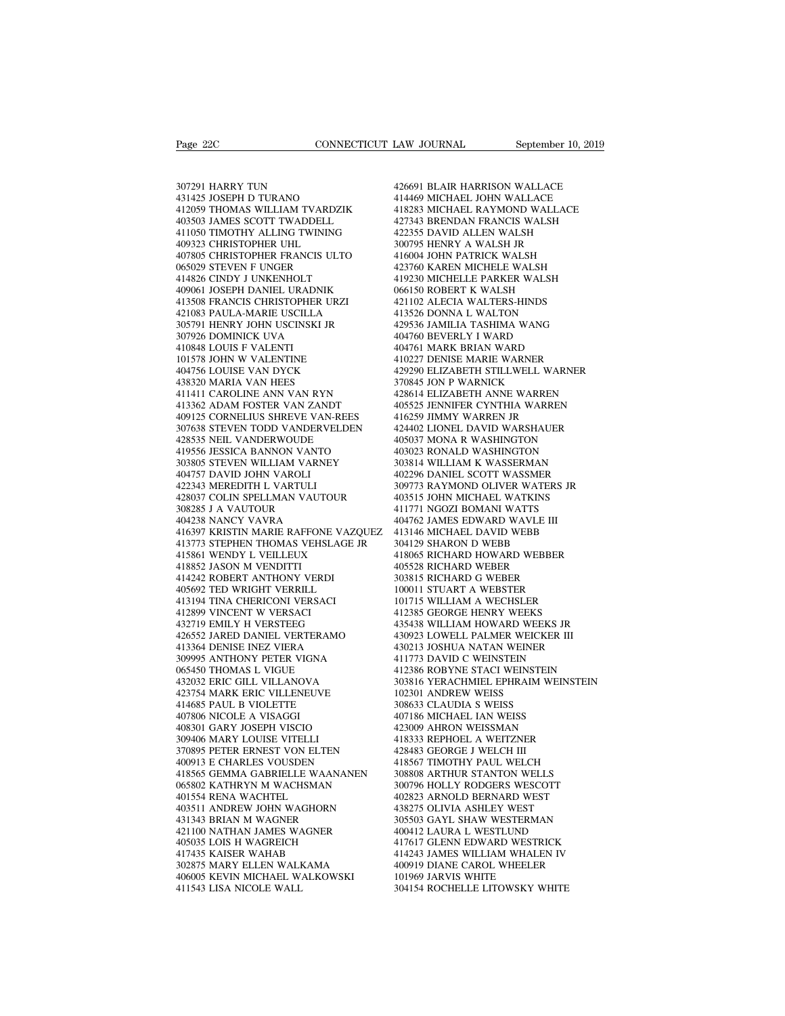Page 22C<br>307291 HARRY TUN<br>431425 JOSEPH D TURANO<br>412059 THOMAS WILLIAM TVARI Page 22C<br>
1307291 HARRY TUN<br>
431425 JOSEPH D TURANO<br>
412059 THOMAS WILLIAM TVARDZIK<br>
403503 JAMES SCOTT TWADDELL  $\begin{tabular}{lllllllllllll} \textbf{Page 22C} & & & & & & & & \textbf{COMRECTICUT LAW} \\ \hline 307291 HARRY TUN & & & & & 42669 \\ 431425 JOSEPH D TURANO & & & 41446 \\ 412059 THOMAS WILLIAM TVARDZIK & & 41828 \\ 403503 JAMES SCOTT TWADDELL & & & 42734 \\ 411050 TIMOTHY ALLING TWINING & & & 42235 \\ \end{tabular}$ 307291 HARRY TUN<br>431425 JOSEPH D TURANO<br>412059 THOMAS WILLIAM TVARDZIK<br>403503 JAMES SCOTT TWADDELL<br>411050 TIMOTHY ALLING TWINING<br>409323 CHRISTOPHER UHL 4201291 HARRY TUN 431425 JOSEPH D TURANO 4142059 THOMAS WILLIAM TVARDZIK 414<br>412059 THOMAS WILLIAM TVARDZIK 414<br>403503 JAMES SCOTT TWADDELL 427<br>411050 TIMOTHY ALLING TWINING 422<br>409323 CHRISTOPHER UHL 300<br>407805 CHRISTOPHE 307291 HARRY TUN<br>431425 JOSEPH D TURANO<br>412059 THOMAS WILLIAM TVARDZIK<br>403503 JAMES SCOTT TWADDELL<br>411050 TIMOTHY ALLING TWINING<br>409323 CHRISTOPHER UHL<br>407805 CHRISTOPHER FRANCIS ULTO<br>065029 STEVEN F UNGER  $\begin{tabular}{llllllllll} 307291 HARRY TUN & 42669 \\ 431425 JOSEPH D TURANO & 41446 \\ 412059 THOMAS WILLIAM TVARDZIK & 41828 \\ 403503 JAMES SCOTT TWADDELL & 42734 \\ 411050 TIMOTHY ALLING TWINING & 42235 \\ 409323 CHRISTOPHER UHL & 30075 \\ 407805 CHRISTOPHER FRANCIS ULTO & 41600 \\ 065029 STEVEN F UNDER FERNCIS ULTO & 41600 \\ 065029 STEVEN F UNDERHOLT & 41923 \\$ 431425 JOSEPH D TURANO<br>412059 THOMAS WILLIAM TVARDZIK<br>403503 JAMES SCOTT TWADDELL<br>411050 TIMOTHY ALLING TWINING<br>409323 CHRISTOPHER UHL<br>407805 CHRISTOPHER FRANCIS ULTO<br>065029 STEVEN F UNGER<br>414826 CINDY J UNKENHOLT<br>409061 J 412059 THOMAS WILLIAM TVARDZIK<br>403503 JAMES SCOTT TWADDELL<br>411050 TIMOTHY ALLING TWINING<br>409323 CHRISTOPHER UHL<br>407805 CHRISTOPHER FRANCIS ULTO<br>065029 STEVEN F UNGER<br>414826 CINDY J UNKENHOLT<br>409061 JOSEPH DANIEL URADNIK<br>41 403503 JAMES SCOTT TWADDELL<br>411050 TIMOTHY ALLING TWINING 409323 CHRISTOPHER UHL 3<br>407805 CHRISTOPHER FRANCIS ULTO 4<br>407805 CHRISTOPHER FRANCIS ULTO 4<br>414826 CINDY J UNKENHOLT 44148061 JOSEPH DANIEL URADNIK 40<br>409061 JOSEP 411050 TIMOTHY ALLING TWINING<br>409323 CHRISTOPHER UHL<br>407805 CHRISTOPHER FRANCIS ULTO<br>065029 STEVEN F UNGER<br>414826 CINDY J UNKENHOLT<br>409061 JOSEPH DANIEL URADNIK<br>413508 FRANCIS CHRISTOPHER URZI<br>421083 PAULA-MARIE USCILLA<br>30 409323 CHRISTOPHER UHL<br>407805 CHRISTOPHER FRANCIS ULTO<br>065029 STEVEN F UNGER<br>414826 CINDY J UNKENHOLT<br>409061 JOSEPH DANIEL URADNIK<br>413508 FRANCIS CHRISTOPHER URZI<br>421083 PAULA-MARIE USCILLA<br>305791 HENRY JOHN USCINSKI JR<br>30 407805 CHRISTOPHER FRANCIS ULTO<br>065029 STEVEN F UNGER<br>414826 CINDY J UNKENHOLT<br>409061 JOSEPH DANIEL URADNIK<br>413508 FRANCIS CHRISTOPHER URZI<br>421083 PAULA-MARIE USCILLA<br>305791 HENRY JOHN USCINSKI JR<br>307926 DOMINICK UVA<br>41084 065029 STEVEN F UNGER<br>414826 CINDY J UNKENHOLT<br>409061 JOSEPH DANIEL URADNIK<br>413508 FRANCIS CHRISTOPHER URZI<br>421083 PAULA-MARIE USCILLA<br>305791 HENRY JOHN USCINSKI JR<br>407926 DOMINICK UVA<br>410848 LOUIS F VALENTI<br>101578 JOHN W 421083 PAULA-MARIE USCILLA<br>305791 HENRY JOHN USCINSKI<br>307926 DOMINICK UVA<br>410848 LOUIS F VALENTI<br>101578 JOHN W VALENTINE<br>404756 LOUISE VAN DYCK<br>438320 MARIA VAN HEES 409061 JOSEPH DANIEL URADNIK<br>413508 FRANCIS CHRISTOPHER URZI<br>421083 PAULA-MARIE USCILLA<br>305791 HENRY JOHN USCINSKI JR<br>307926 DOMINICK UVA<br>410848 LOUIS F VALENTINE<br>101578 JOHN W VALENTINE<br>404756 LOUISE VAN DYCK<br>438320 MARIA 413508 FRANCIS CHRISTOPHER URZI<br>421083 PAULA-MARIE USCILLA<br>305791 HENRY JOHN USCINSKI JR<br>307926 DOMINICK UVA<br>410848 LOUIS F VALENTI<br>101578 JOHN W VALENTINE<br>404756 LOUISE VAN DYCK<br>438320 MARIA VAN HEES<br>411411 CAROLINE ANN V 421083 PAULA-MARIE USCILLA<br>305791 HENRY JOHN USCINSKI JR<br>307926 DOMINICK UVA<br>410848 LOUIS F VALENTI<br>101578 JOHN W VALENTINE<br>404756 LOUISE VAN DYCK<br>438320 MARIA VAN HEES<br>411411 CAROLINE ANN VAN RYN<br>413362 ADAM FOSTER VAN ZA 305791 HENRY JOHN USCINSKI JR<br>
307926 DOMINICK UVA<br>
410848 LOUIS F VALENTINE<br>
4047578 JOHN W VALENTINE<br>
44756 LOUISE VAN DYCK<br>
438320 MARIA VAN HEES<br>
413362 ADAM FOSTER VAN ZANDT<br>
413362 ADAM FOSTER VAN ZANDT<br>
409125 CORNE 307926 DOMINICK UVA<br>
410848 LOUIS F VALENTI<br>
101578 JOHN W VALENTINE<br>
404756 LOUISE VAN DYCK<br>
438320 MARIA VAN VAN RYN<br>
411411 CAROLINE ANN VAN RYN<br>
413362 ADAM FOSTER VAN ZANDT<br>
409125 CORNELIUS SHREVE VAN-REES<br>
307638 ST 404<br>
404 HOUSE VALENTINE 410<br>
404756 LOUISE VAN DYCK 429<br>
438320 MARIA VAN HEES 370<br>
41411 CAROLINE ANN VAN RYN 41342<br>
4143362 ADAM FOSTER VAN ZANDT 405<br>
409125 CORNELIUS SHREVE VAN-REES 416<br>
307638 STEVEN TODD VANDERVELDE  $\begin{tabular}{llllllllll} 101578 {\small\texttt{JOHN}} & \texttt{W VALENTINE} & & 410227 \\ 404756 {\small\texttt{LOUSE}} & \texttt{VAN DYCK} & & 429290 \\ 438320 {\small\texttt{MARIA}} & \texttt{VAN HEES} & & 370845 \\ 411411 {\small\texttt{CAROLINE} } {\small\texttt{ANDK} } {\small\texttt{ANDX} } & & 428614 \\ 40512 {\small\texttt{CORNELUS} } & {\small\texttt{HOS25}} & & 416259 \\ 307638 {\$ 411411 CAROLINE ANN VAN RYN<br>413362 ADAM FOSTER VAN ZANDT<br>409125 CORNELIUS SHREVE VAN-REES<br>307638 STEVEN TODD VANDERVELDEN<br>428535 NEIL VANDERWOUDE<br>419556 JESSICA BANNON VANTO<br>303805 STEVEN WILLIAM VARNEY 418320 MARIA VAN HEES<br>411411 CAROLINE ANN VAN RYN<br>413362 ADAM FOSTER VAN ZANDT<br>409125 CORNELIUS SHREVE VAN-REES<br>307638 STEVEN TODD VANDERVELDEN<br>42835 NEIL VANDERWOUDE<br>419556 JESSICA BANNON VANTO<br>303805 STEVEN WILLIAM VARNE 303805 STEVEN WILLIAM VARNEY 413362 ADAM FOSTER VAN ZANDT<br>409125 CORNELIUS SHREVE VAN-R<br>307638 STEVEN TODD VANDERVEL<br>428535 NEIL VANDERWOUDE<br>419556 IESSICA BANNON VARNEY<br>303805 STEVEN WILLIAM VARNEY<br>404757 DAVID JOHN VAROLI<br>422343 MEREDITH L VARTULI<br>4 409125 CORNELIUS SHREVE VAN-RE<br>307638 STEVEN TODD VANDERVELL<br>428535 NEIL VANDERWOUDE<br>419556 JESSICA BANNON VANTO<br>303805 STEVEN WILLIAM VARNEY<br>404757 DAVID JOHN VAROLI<br>422343 MEREDITH L VARTULI<br>428037 COLIN SPELLMAN VAUTOUR %107638 STEVEN TODD VANDERVELDEN 424<br>428535 NEIL VANDERWOUDE 405<br>419556 JESSICA BANNON VANTO 403<br>303805 STEVEN WILLIAM VARNEY 303<br>404757 DAVID JOHN VAROLI 402<br>422343 MEREDITH L VARTULI 305<br>428037 COLIN SPELLMAN VAUTOUR 403 428535 NEIL VANDERWOUDE<br>419556 JESSICA BANNON VANTO<br>303805 STEVEN WILLIAM VARNE<br>404757 DAVID JOHN VAROLI<br>422343 MEREDITH L VARTULI<br>428037 COLIN SPELLMAN VAUTOI<br>308285 J A VAUTOUR<br>404238 NANCY VAVRA<br>416397 KRISTIN MARIE RAF 419556 JESSICA BANNON VANTO<br>303805 STEVEN WILLIAM VARNEY<br>404757 DAVID JOHN VAROLI<br>422343 MEREDITH L VARTULI<br>428037 COLIN SPELLMAN VAUTOUR<br>308285 J A VAUTOUR<br>404238 NANCY VAVRA<br>416397 KRISTIN MARIE RAFFONE VA<br>413773 STEPHEN 416397 KRISTIN MARIE RAFFONE VAZQUEZ  $\begin{tabular}{llllll} 404757\text{ DAVID JOHN VAROLI} & 402296\cr 422343\text{ MEREDITH L VARTULI} & 309773\cr 428037\text{ COLIN SPELLMAN VAUTOUR} & 403515\cr 308285\text{ J A VAUTOUR} & 411771\cr 404238\text{ NANCV VAVRA} & 411771\cr 416397\text{ KRISTIN MARER AFFONE VAZQUEZ} & 413146\cr 413773\text{ STEPHEN THOMAS VEHSLAGE JR} & 304129\cr 41$ 422343 MEREDITH L VARTULI<br>428037 COLIN SPELLMAN VAUTOUR<br>308285 J A VAUTOUR<br>404238 NANCY VAVRA<br>41537 KRISTIN MARIE RAFFONE VAZQUI<br>413773 STEPHEN THOMAS VEHSLAGE JR<br>415861 WENDY L VEILLEUX<br>418852 JASON M VENDITTI<br>414242 ROBE 428037 COLIN SPELLMAN VAUTC<br>308285 J A VAUTOUR<br>404238 NANCY VAVRA<br>416397 KRISTIN MARIE RAFFONE<br>413773 STEPHEN THOMAS VEHSL<br>418861 WENDY L VEILLEUX<br>414822 IASON M VENDITTI<br>414242 ROBERT ANTHONY VERD<br>405692 TED WRIGHT VERRIL 308285 J A VAUTOUR<br>404238 NANCY VAVRA<br>416397 KRISTIN MARIE RAFFONE VAZQ<br>413773 STEPHEN THOMAS VEHSLAGE JF<br>415861 WENDY L VEILLEUX<br>418852 JASON M VENDITI<br>414242 ROBERT ANTHONY VERDI<br>405692 TED WRIGHT VERRILL<br>413194 TINA CHE 404238 NANCY VAVRA<br>416397 KRISTIN MARIE RAFFONE VAZQUI<br>413773 STEPHEN THOMAS VEHSLAGE JR<br>415861 WENDY L VEILLEUX<br>418852 JASON M VENDITTI<br>418422 ROBERT ANTHONY VERDI<br>405692 TED WRIGHT VERRILL<br>413194 TINA CHERICONI VERSACI<br>4 413773 STEPHEN THOMAS VEHSLAGE JR<br>415861 WENDY L VEILLEUX<br>418852 JASON M VENDITTI<br>414242 ROBERT ANTHONY VERDI<br>405692 TED WRIGHT VERRILL<br>413194 TINA CHERICONI VERSACI<br>412899 VINCENT W VERSACI<br>412719 EMILY H VERSTEEG 413773 STEPHEN THOMAS VEHSLA4<br>415861 WENDY L VEILLEUX<br>418852 JASON M VENDITTI<br>414242 ROBERT ANTHONY VERDI<br>405692 TED WRIGHT VERRILL<br>413194 TINA CHERICONI VERSACI<br>413194 TINA CHERICONI VERSACI<br>432719 EMILY H VERSTEEG<br>426552 415861 WENDY L VEILLEUX<br>418852 JASON M VENDITTI<br>414242 ROBERT ANTHONY VERDI<br>405692 TED WRIGHT VERRILL<br>413194 TINA CHERICONI VERSACI<br>412899 VINCENT W VERSACI<br>432719 EMILY H VERSTEEG<br>426552 JARED DANIEL VERTERAMO<br>413364 DENI 418852 JASON M VENDITTI 405:<br>414242 ROBERT ANTHONY VERDI 3033<br>405692 TED WRIGHT VERRILL 1000<br>413194 TINA CHERICONI VERSACI 101'<br>412899 VINCENT W VERSTEG 412<br>426552 JARED DANIEL VERTERAMO 4309<br>413364 DENISE INEZ VIERA 430:<br> 414242 ROBERT ANTHONY VERDI<br>405692 TED WRIGHT VERRILL<br>413194 TINA CHERICONI VERSACI<br>412899 VINCENT W VERSACI<br>432719 EMILY H VERSTEEG<br>426552 JARED DANIEL VERTERAMO<br>413364 DENISE INEZ VIERA<br>309995 ANTHONY PETER VIGNA<br>065450 405692 TED WRIGHT VERRILL<br>413194 TINA CHERICONI VERSACI<br>412899 VINCENT W VERSACI<br>432719 EMILY H VERSTEEG<br>426552 JARED DANIEL VERTERAMO<br>413364 DENISE INEZ VIERA<br>309995 ANTHONY PETER VIGNA<br>065450 THOMAS L VIGUE<br>432032 ERIC G 426552 JARED DANIEL VERTERAMO<br>413364 DENISE INEZ VIERA<br>309995 ANTHONY PETER VIGNA<br>065450 THOMAS L VIGUE<br>432032 ERIC GILL VILLANOVA 412899 VINCENT W VERSACI<br>432719 EMILY H VERSTEEG<br>426552 JARED DANIEL VERTERAMO<br>413364 DENISE INEZ VIERA<br>309995 ANTHONY PETER VIGNA<br>065450 THOMAS L VICUE<br>432032 ERIC GILL VILLANOVA<br>423754 MARK ERIC VILLENEUVE<br>414685 PAUL B 432719 EMILY H VERSTEEG<br>426552 JARED DANIEL VERTERAMO<br>413364 DENISE INEZ VIERA<br>309995 ANTHONY PETER VIGNA<br>665450 THOMAS L VIGUE<br>422032 ERIC GILL VILLENEUVE<br>4223754 MARK ERIC VILLENEUVE<br>414685 PAUL B VIOLETTE<br>407806 NICOLE 426552 JARED DANIEL VERTERAMO<br>413364 DENISE INEZ VIERA<br>309995 ANTHONY PETER VIGNA<br>065450 THOMAS L VIGUE<br>432032 ERIC GILL VILLANOVA<br>423754 MARK ERIC VILLENEUVE<br>414685 PAUL B VIOLETTE<br>407806 NICOLE A VISAGGI<br>408301 GARY JOSE 423754 MARK ERIC VILLENEUVE<br>414685 PAUL B VIOLETTE<br>407806 NICOLE A VISAGGI<br>408301 GARY JOSEPH VISCIO<br>309406 MARY LOUISE VITELLI 309995 ANTHONY PETER VIGNA<br>065450 THOMAS L VIGUE<br>432032 ERIC GILL VILLANOVA<br>423754 MARK ERIC VILLENEUVE<br>414685 PAUL B VIOLETTE<br>407806 NICOLE A VISAGGI<br>408301 GARY JOSEPH VISCIO<br>309406 MARY LOUISE VITELLI<br>370895 PETER ERNES 065450 THOMAS L VIGUE<br>432032 ERIC GILL VILLANOVA<br>423754 MARK ERIC VILLENEUVE<br>414685 PAUL B VIOLETTE<br>407860 NICOLE A VISAGGI<br>408301 GARY JOSEPH VISCIO<br>309406 MARY LOUISE VITELLI<br>370895 PETER ERNEST VON ELTEN<br>400913 E CHARLE 432032 ERIC GILL VILLANOVA<br>
423754 MARK ERIC VILLENEUVE<br>
414685 PAUL B VIOLETTE 30<br>
407806 NICOLE A VISAGGI 40<br>
407806 NICOLE A VISAGGI 40<br>
408331 GARY LOUISE VITELLI<br>
370895 PETER ERNEST VON ELTEN<br>
410913 E CHARLES VOUSDE 423754 MARK ERIC VILLENEUVE<br>414685 PAUL B VIOLETTE<br>407806 NICOLE A VISAGGI<br>408301 GARY JOSEPH VISCIO<br>309406 MARY JOSEPH VISCIO<br>370895 PETER ERNEST VON ELTEN<br>400913 E CHARLES VOUSDEN<br>418565 GEMMA GABRIELLE WAANANEN<br>065802 K 418565 GEMMA GABRIELLE WAANANEN 407806 NICOLE A VISAGGI<br>408301 GARY JOSEPH VISCIO<br>309406 MARY LOUISE VITELLI<br>370895 PETER ERNEST VON ELTEN<br>400913 E CHARLES VOUSDEN<br>418565 GEMMA GABRIELLE WAANANEN<br>065802 KATHRYN M WACHSMAN<br>401554 RENA WACHTEL<br>403511 ANDRE 408301 GARY JOSEPH VISCIO<br>309406 MARY LOUISE VITELLI<br>370895 PETER ERNEST VON ELTEN<br>400913 E CHARLES VOUSDEN<br>418565 GEMMA GABRIELLE WAAN<br>065802 KATHRYN M WACHSMAN<br>401554 RENA WACHTEL<br>403511 ANDREW JOHN WAGHORN<br>431343 BRIAN 309406 MARY LOUISE VITELLI<br>
370895 PETER ERNEST VON ELTEN 42<br>
400913 E CHARLES VOUSDEN 418565 GEMMA GABRIELLE WAANANEN 30<br>
065802 KATHRYN M WACHSMAN 30<br>
401554 RENA WACHTEL 403511 ANDREW JOHN WAGHORN 42<br>
403511 ANDREW JOHN 370895 PETER ERNEST VON ELTEN<br>400913 E CHARLES VOUSDEN<br>418565 GEMMA GABRIELLE WAANANE<br>065802 KATHRYN M WACHSMAN<br>401534 RENA WACHTEL<br>43311 ANDREW JOHN WAGHORN<br>431343 BRIAN M WAGNER<br>421100 NATHAN JAMES WAGNER<br>405035 LOIS H W 400913 E CHARLES VOUSDEN<br>418565 GEMMA GABRIELLE WAANANEN<br>065802 KATHRYN M WACHSMAN<br>401554 RENA WACHTEL<br>403511 ANDREW JOHN WAGHORN<br>431343 BRIAN M WAGNER<br>421100 NATHAN JAMES WAGNER<br>405035 LOIS H WAGREICH<br>417435 KAISER WAHAB 418565 GEMMA GABRIELLE WAANANEN<br>065802 KATHRYN M WACHSMAN<br>401554 RENA WACHTEL<br>403511 ANDREW JOHN WAGHORN<br>431343 BRIAN M WAGNER<br>421100 NATHAN JAMES WAGNER<br>405035 LOIS H WAGREICH<br>417435 KAISER WAHAB<br>302875 MARY ELLEN WALKAMA 065802 KATHRYN M WACHSMAN<br>401554 RENA WACHTEL<br>403511 ANDREW JOHN WAGHORN<br>431343 BRIAN M WAGNER<br>421100 NATHAN JAMES WAGNER<br>405035 LOIS H WAGREICH<br>417435 KAISER WAHAB<br>302875 MARY ELLEN WALKAMA<br>406005 KEVIN MICHAEL WALKOWSI 401554 RENA WACHTEL<br>403511 ANDREW JOHN WAGHORN<br>431343 BRIAN M WAGNER<br>421100 NATHAN JAMES WAGNER<br>405035 LOIS H WAGRECH<br>417435 KAISER WAHAB<br>302875 MARY ELLEN WALKAMA<br>406005 KEVIN MICHAEL WALKOWSKI<br>411543 LISA NICOLE WALL 403511 ANDREW JOHN WAGHORN<br>431343 BRIAN M WAGNER<br>421100 NATHAN JAMES WAGNER<br>405035 LOIS H WAGREICH<br>417435 KAISER WAHAB<br>302875 MARY ELLEN WALKAMA<br>406005 KEVIN MICHAEL WALKOWSKI<br>411543 LISA NICOLE WALL 431343 BRIAN M WAGNER<br>421100 NATHAN JAMES WAGNER<br>405035 LOIS H WAGREICH<br>417435 KAISER WAHAB<br>302875 MARY ELLEN WALKAMA<br>406005 KEVIN MICHAEL WALKOWSKI<br>411543 LISA NICOLE WALL

426691 BLAIR HARRISON WALLACE LAW JOURNAL September 10, 2019<br>426691 BLAIR HARRISON WALLACE<br>414469 MICHAEL JOHN WALLACE<br>418283 MICHAEL RAYMOND WALLACE<br>427343 BRENDAN FRANCIS WALSH LAW JOURNAL September 10, 2019<br>426691 BLAIR HARRISON WALLACE<br>414469 MICHAEL JOHN WALLACE<br>418283 MICHAEL RAYMOND WALLACE<br>427343 BRENDAN FRANCIS WALSH<br>422355 DAVID ALLEN WALSH 426691 BLAIR HARRISON WALLACE<br>414469 MICHAEL JOHN WALLACE<br>418283 MICHAEL RAYMOND WALLACE<br>427343 BRENDAN FRANCIS WALSH<br>422355 DAVID ALLEN WALSH<br>300795 HENRY A WALSH JR 426691 BLAIR HARRISON WALLACE<br>414469 MICHAEL JOHN WALLACE<br>418283 MICHAEL RAYMOND WALLACE<br>427343 BRENDAN FRANCIS WALSH<br>422355 DAVID ALLEN WALSH<br>300795 HENRY A WALSH JR<br>416004 JOHN PATRICK WALSH 426691 BLAIR HARRISON WALLACE<br>414469 MICHAEL JOHN WALLACE<br>418283 MICHAEL RAYMOND WALLACE<br>427343 BRENDAN FRANCIS WALSH<br>422355 DAVID ALLEN WALSH<br>300795 HENRY A WALSH JR<br>416004 JOHN PATRICK WALSH<br>423760 KAREN MICHELE WALSH 426691 BLAIR HARRISON WALLACE<br>414469 MICHAEL JOHN WALLACE<br>418283 MICHAEL RAYMOND WALLACE<br>427343 BRENDAN FRANCIS WALSH<br>422355 DAVID ALLEN WALSH<br>300795 HENRY A WALSH JR<br>416004 JOHN PATRICK WALSH<br>423760 KAREN MICHELE WALSH<br>41 414469 MICHAEL JOHN WALLACE<br>418283 MICHAEL RAYMOND WALLACE<br>427343 BRENDAN FRANCIS WALSH<br>422355 DAVID ALLEN WALSH<br>300795 HENRY A WALSH JR<br>416004 JOHN PATRICK WALSH<br>423760 KAREN MICHELE WALSH<br>419230 MICHELLE PARKER WALSH<br>066 418283 MICHAEL RAYMOND WALLACE<br>427343 BRENDAN FRANCIS WALSH<br>422355 DAVID ALLEN WALSH<br>300795 HENRY A WALSH JR<br>416004 JOHN PATRICK WALSH<br>423760 KAREN MICHELE WALSH<br>419230 MICHELLE PARKER WALSH<br>066150 ROBERT K WALSH<br>421102 AL 427343 BRENDAN FRANCIS WALSH<br>422355 DAVID ALLEN WALSH<br>300795 HENRY A WALSH JR<br>416004 JOHN PATRICK WALSH<br>423760 KAREN MICHELE WALSH<br>419230 MICHELLE PARKER WALSH<br>066150 ROBERT K WALTERS-HINDS<br>413102 ALECIA WALTERS-HINDS<br>4135 422355 DAVID ALLEN WALSH<br>300795 HENRY A WALSH JR<br>416004 JOHN PATRICK WALSH<br>423760 KAREN MICHELE WALSH<br>419230 MICHELLE PARKER WALSH<br>066150 ROBERT K WALSH<br>421102 ALECIA WALTERS-HINDS<br>413526 DONNA L WALTON<br>429536 JAMILIA TASH 300795 HENRY A WALSH JR<br>416004 JOHN PATRICK WALSH<br>423760 KAREN MICHELE WALSH<br>419230 MICHELLE PARKER WALSH<br>066150 ROBERT K WALSH<br>421102 ALECIA WALTERS-HINDS<br>413526 DONNA L WALTON<br>429536 JAMILIA TASHIMA WANG<br>404760 BEVERLY I 416004 JOHN PATRICK WALSH<br>423760 KAREN MICHELE WALSH<br>419230 MICHELLE PARKER WALSH<br>066150 ROBERT K WALSH<br>421102 ALECIA WALTERS-HINDS<br>413326 DONNA L WALTON<br>429536 JAMILIA TASHIMA WANG<br>404760 BEVERLY I WARD<br>404760 BEVERLY I W 423760 KAREN MICHELE WALSH<br>419230 MICHELLE PARKER WALSH<br>066150 ROBERT K WALSH<br>421102 ALECIA WALTERS-HINDS<br>413526 DONNA L WALTON<br>404760 BEVERLY I WARD<br>404761 MARK BRIAN WARD<br>404761 MARK BRIAN WARD<br>410227 DENISE MARIE WARNER 419230 MICHELLE PARKER WALSH<br>066150 ROBERT K WALSH<br>421102 ALECIA WALTERS-HINDS<br>413526 DONNA L WALTON<br>429536 JAMILIA TASHIMA WANG<br>404760 BEVERLY I WARD<br>404761 MARK BRIAN WARD<br>410227 DENISE MARIE WARNER<br>429290 ELIZABETH STIL 066150 ROBERT K WALSH<br>421102 ALECIA WALTERS-HINDS<br>413526 DONNA L WALTON<br>429536 JAMILIA TASHIMA WANG<br>404761 MARK BRIAN WARD<br>410727 DENISE MARIE WARNER<br>429290 ELIZABETH STILLWELL WARNER<br>370845 JON P WARNICK 421102 ALECIA WALTERS-HINDS<br>413526 DONNA L WALTON<br>429536 JAMILIA TASHIMA WANG<br>404760 BEVERLY I WARD<br>410761 MARK BRIAN WARD<br>410227 DENISE MARIE WARNER<br>429290 ELIZABETH STILLWELL WARNER<br>370845 JON P WARNICK<br>428614 ELIZABETH 413526 DONNA L WALTON<br>429536 JAMILIA TASHIMA WANG<br>404760 BEVERLY I WARD<br>404761 MARK BRIAN WARD<br>410227 DENISE MARIE WARNER<br>429290 ELIZABETH STILLWELL WAR?<br>370845 JON P WARNICK<br>428614 ELIZABETH ANNE WARREN<br>405525 JENNIFER CY 429536 JAMILIA TASHIMA WANG<br>404760 BEVERLY I WARD<br>404761 MARK BRIAN WARD<br>410227 DENISE MARIE WARNER<br>42920 ELIZABETH STILLWELL WARNER<br>370845 JON P WARNICK<br>428614 ELIZABETH ANNE WARREN<br>405525 JENNIFER CYNTHIA WARREN<br>416259 J 404761 MARK BRIAN WARD<br>404761 MARK BRIAN WARD<br>410227 DENISE MARIE WARNER<br>429290 ELIZABETH STILLWELL WARNER<br>370845 JON P WARNICK<br>428614 ELIZABETH ANNE WARREN<br>405525 JENNIFER CYNTHIA WARREN<br>416259 JIMMY WARREN JR<br>424402 LION 404761 MARK BRIAN WARD<br>410227 DENISE MARIE WARNER<br>429290 ELIZABETH STILLWELL WARNER<br>370845 JON P WARNICK<br>428614 ELIZABETH ANNE WARREN<br>405525 JENNIFER CYNTHIA WARREN<br>416259 JIMMY WARREN JR<br>424402 LIONEL DAVID WARSHAUER<br>4050 410227 DENISE MARIE WARNER<br>429290 ELIZABETH STILLWELL WARNER<br>370845 JON P WARNICK<br>428614 ELIZABETH ANNE WARREN<br>405525 JENNIFER CYNTHIA WARREN<br>416259 JIMMY WARREN JR<br>424402 LIONEL DAVID WARSHAUER<br>405037 MONA R WASHINGTON<br>40 429290 ELIZABETH STILLWELL WARNER<br>370845 JON P WARNICK<br>428614 ELIZABETH ANNE WARREN<br>405525 JENNIFER CYNTHIA WARREN<br>416259 JIMMY WARREN JR<br>424402 LIONEL DAVID WARSHAUER<br>405037 MONA R WASHINGTON<br>403023 RONALD WASHINGTON<br>3038 370845 JON P WARNICK<br>428614 ELIZABETH ANNE WARREN<br>405525 JENNIFER CYNTHIA WARREN<br>416259 JIMMY WARREN JR<br>424402 LIONEL DA WASHINGTON<br>403027 MONA R WASHINGTON<br>403023 RONALD WASHINGTON<br>303814 WILLIAM K WASSERMAN<br>402296 DANIEL 428614 ELIZABETH ANNE WARREN<br>405525 JENNIFER CYNTHIA WARREN<br>416259 JIMMY WARREN JR<br>424402 LIONEL DAVID WARSHAUER<br>403037 MONA R WASHINGTON<br>403023 RONALD WASHINGTON<br>303814 WILLIAM K WASSERMAN<br>402296 DANIEL SCOTT WASSMER<br>3097 405525 JENNIFER CYNTHIA WARREN<br>416259 JIMMY WARREN JR<br>424402 LIONEL DAVID WARSHAUER<br>405037 MONA R WASHINGTON<br>403023 RONALD WASHINGTON<br>303814 WILLIAM K WASSERMAN<br>402296 DANIEL SCOTT WASSMER<br>309773 RAYMOND OLIVER WATERS JR<br>4 416259 JIMMY WARREN JR<br>424402 LIONEL DAVID WARSHAUER<br>405037 MONA R WASHINGTON<br>403023 RONALD WASHINGTON<br>303814 WILLIAM K WASSERMAN<br>402296 DANIEL SCOTT WASSMER<br>309773 RAYMOND OLIVER WATERS JR<br>403515 JOHN MICHAEL WATKINS<br>4117 424402 LIONEL DAVID WARSHAUER<br>405037 MONA R WASHINGTON<br>403023 RONALD WASHINGTON<br>303814 WILLIAM K WASSERMAN<br>402296 DANIEL SCOTT WASSMER<br>309773 RAYMOND OLIVER WATERS JR<br>403515 JOHN MICHAEL WATKINS<br>411771 NGOZI BOMANI WATTS<br>4 405037 MONA R WASHINGTON<br>403023 RONALD WASHINGTON<br>303814 WILLIAM K WASSERMAN<br>402296 DANIEL SCOTT WASSMER<br>309773 RAYMOND OLIVER WATERS JR<br>403515 JOHN MICHAEL WATTIS<br>411771 NGOZI BOMANI WATTS<br>404762 JAMES EDWARD WAVLE III<br>41 403023 RONALD WASHINGTON<br>303814 WILLIAM K WASSERMAN<br>402296 DANIEL SCOTT WASSMER<br>309773 RAYMOND OLIVER WATERS JR<br>403515 JOHN MICHAEL WATKINS<br>411771 NGOZI BOMANI WATTS<br>404762 JAMES EDWARD WAVLE III<br>413146 MICHAEL DAVID WEBB<br> 303814 WILLIAM K WASSERMAN<br>402296 DANIEL SCOTT WASSMER<br>309773 RAYMOND OLIVER WATERS JR<br>403515 JOHN MICHAEL WATKINS<br>411771 NGOZI BOMANI WATTS<br>413146 MICHAEL DAVID WEBB<br>304129 SHARON D WEBB<br>418065 RICHARD HOWARD WEBBER<br>41806 402296 DANIEL SCOTT WASSMER<br>309773 RAYMOND OLIVER WATERS J<br>403515 JOHN MICHAEL WATKINS<br>411771 NGOZI BOMANI WATTS<br>414762 JAMES EDWARD WAVLE III<br>413146 MICHAEL DAVID WEBB<br>304129 SHARON D WEBB<br>418065 RICHARD HOWARD WEBBER<br>405 309773 RAYMOND OLIVER WATERS JR<br>403515 JOHN MICHAEL WATKINS<br>411771 NGOZI BOMANI WATTS<br>404762 JAMES EDWARD WAVLE III<br>413146 MICHAEL DAVID WEBB<br>304129 SHARON D WEBB<br>418065 RICHARD HOWARD WEBBER<br>405528 RICHARD WEBER<br>303815 RI 403515 JOHN MICHAEL WATKINS<br>411771 NGOZI BOMANI WATTS<br>404762 JAMES EDWARD WAVLE III<br>413146 MICHAEL DAVID WEBB<br>504129 SHARON D WEBB<br>418065 RICHARD HOWARD WEBBER<br>405528 RICHARD WEBER<br>503815 RICHARD G WEBER<br>503815 RICHARD G W 411771 NGOZI BOMANI WATTS<br>404762 JAMES EDWARD WAVLE III<br>413146 MICHAEL DAVID WEBB<br>304129 SHARON D WEBB<br>41806 RICHARD HOWARD WEBBER<br>405528 RICHARD G WEBER<br>303815 RICHARD G WEBER<br>100011 STUART A WEBSTER<br>101715 WILLIAM A WECH 404762 JAMES EDWARD WAVLE III<br>413146 MICHAEL DAVID WEBB<br>304129 SHARON D WEBB<br>418065 RICHARD HOWARD WEBBER<br>405528 RICHARD WEBER<br>303815 RICHARD G WEBER<br>100011 STUART A WEBSTER<br>101715 WILLIAM A WECHSLER<br>412385 GEORGE HENRY WE 413146 MICHAEL DAVID WEBB<br>304129 SHARON D WEBB<br>418065 RICHARD HOWARD WEBBER<br>405528 RICHARD WEBER<br>303815 RICHARD WEBER<br>100011 STUART A WEBSTER<br>101715 WILLIAM A WECHSLER<br>412385 GEORGE HENRY WEEKS<br>435438 WILLIAM HOWARD WEEKS 304129 SHARON D WEBB<br>418065 RICHARD HOWARD WEBBER<br>405528 RICHARD WEBER<br>503815 RICHARD G WEBER<br>100011 STUART A WEBSTER<br>101715 WILLIAM A WECHSLER<br>412385 GEORGE HENRY WEEKS<br>435438 WILLIAM HOWARD WEEKS JR<br>430923 LOWELL PALMER 418065 RICHARD HOWARD WEBBER<br>405528 RICHARD WEBER<br>303815 RICHARD G WEBER<br>100011 STUART A WEBSTER<br>101715 WILLIAM A WECHSLER<br>412385 GEORGE HENRY WEEKS<br>435438 WILLIAM HOWARD WEEKS JR<br>430923 LOWELL PALMER WEICKER III<br>430213 JO 405528 RICHARD WEBER<br>303815 RICHARD G WEBER<br>100011 STUART A WEBSTER<br>101715 WILLIAM A WECHSLER<br>412385 GEORGE HENRY WEEKS<br>435438 WILLIAM HOWARD WEEKS JR<br>430923 LOWELL PALMER WEICKER III<br>430213 JOSHUA NATAN WEINER<br>411773 DAVI 303815 RICHARD G WEBER<br>100011 STUART A WEBSTER<br>101715 WILLIAM A WECHSLER<br>412385 GEORGE HENRY WEEKS<br>435438 WILLIAM HOWARD WEEKS JR<br>430213 LOWELL PALMER WEICKER III<br>4430213 JOSHUA NATAN WEINER<br>411773 DAVID C WEINSTEIN<br>412386 100011 STUART A WEBSTER<br>101715 WILLIAM A WECHSLER<br>412385 GEORGE HENRY WEEKS<br>435438 WILLIAM HOWARD WEEKS JR<br>43023 LOWELL PALMER WEICKER<br>410213 JOSHUA NATAN WEINER<br>411773 DAVID C WEINSTEIN<br>412386 ROBYNE STACI WEINSTEIN<br>30381 101715 WILLIAM A WECHSLER<br>412385 GEORGE HENRY WEEKS<br>435438 WILLIAM HOWARD WEEKS JR<br>43023 LOWELL PALMER WEICKER III<br>410213 JOSHUA NATAN WEINER<br>411773 DAVID C WEINSTEIN<br>412386 ROBYNE STACI WEINSTEIN<br>303816 YERACHMIEL EPHRAIM 412385 GEORGE HENRY WEEKS<br>435438 WILLIAM HOWARD WEEKS JR<br>430923 LOWELL PALMER WEICKER III<br>430213 JOSHUA NATAN WEINER<br>411733 DAVID C WEINSTEIN<br>412386 ROBYNE STACI WEINSTEIN<br>303816 YERACHMIEL EPHRAIM WEINSTEIN<br>102301 ANDREW 435438 WILLIAM HOWARD WEEKS<br>430923 LOWELL PALMER WEICKE<br>430213 JOSHUA NATAN WEINER<br>411773 DAVID C WEINSTEIN<br>412386 ROBYNE STACI WEINSTEIN<br>303816 YERACHMIEL EPHRAIM W.<br>102301 ANDREW WEISS<br>308633 CLAUDIA S WEISS<br>407186 MICHA 430923 LOWELL PALMER WEICKER<br>430213 JOSHUA NATAN WEINER<br>411773 DAVID C WEINSTEIN<br>412386 ROBYNE STACI WEINSTEIN<br>303816 YERACHMIEL EPHRAIM WEII<br>102301 ANDREW WEISS<br>308633 CLAUDIA S WEISS<br>407186 MICHAEL IAN WEISS<br>423009 AHRON 430213 JOSHUA NATAN WEINER<br>411773 DAVID C WEINSTEIN<br>412386 ROBYNE STACI WEINSTEIN<br>303816 YERACHMIEL EPHRAIM WEINS<br>102301 ANDREW WEISS<br>408633 CLAUDIA S WEISS<br>407186 MICHAEL IAN WEISS<br>423009 AHRON WEISSMAN<br>418333 REPHOEL A W 411773 DAVID C WEINSTEIN<br>412386 ROBYNE STACI WEINSTEIN<br>303816 YERACHMIEL EPHRAIM WEINSTI<br>102301 ANDREW WEISS<br>408633 CLAUDIA S WEISS<br>407186 MICHAEL IAN WEISS<br>423009 AHRON WEISSMAN<br>418333 REPHOEL A WEITZNER<br>428483 GEORGE J W 412386 ROBYNE STACI WEINSTEIN<br>303816 YERACHMIEL EPHRAIM WEINSTEIN<br>102301 ANDREW WEISS<br>308633 CLAUDIA S WEISS<br>407186 MICHAEL IAN WEISS<br>423009 AHRON WEISSMAN<br>418333 REPHOEL A WEITZNER<br>428483 GEORGE J WELCH III<br>418567 TIMOTHY 303816 YERACHMIEL EPHRAIM WI<br>102301 ANDREW WEISS<br>308633 CLAUDIA S WEISS<br>407186 MICHAEL IAN WEISS<br>423009 AHRON WEISSMAN<br>418333 REPHOEL A WEITZNER<br>4183433 GEORGE J WELCH III<br>418567 TIMOTHY PAUL WELCH<br>308808 ARTHUR STANTON WE 102301 ANDREW WEISS<br>308633 CLAUDIA S WEISS<br>407186 MICHAEL IAN WEISS<br>423009 AHRON WEISSMAN<br>418333 REPHOEL A WEITZNER<br>418467 TIMOTHY PAUL WELCH<br>308808 ARTHUR STANTON WELLS<br>300796 HOLLY RODGERS WESCOTT 308633 CLAUDIA S WEISS<br>407186 MICHAEL IAN WEISS<br>423009 AHRON WEISSMAN<br>418333 REPHOEL A WEITZNER<br>428483 GEORGE J WELCH III<br>418567 TIMOTHY PAUL WELCH<br>308808 ARTHUR STANTON WELLS<br>300796 HOLLY RODGERS WESCOTT<br>402823 ARNOLD BER 407186 MICHAEL IAN WEISS<br>423009 AHRON WEISSMAN<br>418333 REPHOEL A WEITZNER<br>428483 GEORGE J WELCH III<br>418567 TIMOTHY PAUL WELCH<br>308808 ARTHUR STANTON WELLS<br>300796 HOLLY RODGERS WESCOTT<br>402823 ARNOLD BERNARD WEST<br>438275 OLIVIA 423009 AHRON WEISSMAN<br>418333 REPHOEL A WEITZNER<br>428483 GEORGE J WELCH III<br>418567 TIMOTHY PAUL WELCH<br>308808 ARTHUR STANTON WELLS<br>300796 HOLLY ROGERS WESCOTT<br>402823 ARNOLD BERNARD WEST<br>438275 OLIVIA ASHLEY WEST<br>305503 GAYL S 418333 REPHOEL A WEITZNER<br>428483 GEORGE J WELCH III<br>418567 TIMOTHY PAUL WELCH<br>308808 ARTHUR STANTON WELLS<br>300796 HOLLY RODGERS WESCOTT<br>402823 ARNOLD BERNARD WEST<br>438275 OLIVIA ASHLEY WEST<br>305503 GAYL SHAW WESTERMAN<br>400412 428483 GEORGE J WELCH III<br>418567 TIMOTHY PAUL WELCH<br>308808 ARTHUR STANTON WELLS<br>300796 HOLLY RODGERS WESCOTT<br>402823 ARNOLD BERNARD WEST<br>438275 OLIVIA ASHLEY WEST<br>305503 GAYL SHAW WESTERMAN<br>400412 LAURA L WESTLUND<br>417617 GL 418567 TIMOTHY PAUL WELCH<br>308808 ARTHUR STANTON WELLS<br>300796 HOLLY RODGERS WESCOTT<br>402823 ARNOLD BERNARD WEST<br>438275 OLIVIA ASHLEY WEST<br>305503 GAYL SHAW WESTERMAN<br>400412 LAURA L WESTLUND<br>417617 GLENN EDWARD WESTRICK<br>414243 308808 ARTHUR STANTON WELLS<br>300796 HOLLY RODGERS WESCOTT<br>402823 ARNOLD BERNARD WEST<br>438275 OLIVIA ASHLEY WEST<br>305503 GAYL SHAW WESTERMAN<br>400412 LAURA L WESTLUND<br>417617 GLENN EDWARD WESTRICK<br>414243 JAMES WILLIAM WHALEN IV<br>4 300796 HOLLY RODGERS WESCOTT<br>402823 ARNOLD BERNARD WEST<br>438275 OLIVIA ASHLEY WEST<br>305503 GAYL SHAW WESTERMAN<br>400412 LAURA L WESTLUND<br>417617 GLENN EDWARD WESTRICK<br>414243 JAMES WILLIAM WHALEN IV<br>400919 DIANE CAROL WHEELER<br>10 402823 ARNOLD BERNARD WEST<br>438275 OLIVIA ASHLEY WEST<br>305503 GAYL SHAW WESTERMAN<br>400412 LAURA L WESTLUND<br>417617 GLENN EDWARD WESTRICK<br>414243 JAMES WILLIAM WHALEN IV<br>400919 DIANE CAROL WHEELER<br>101969 JARVIS WHITE<br>304154 ROCH 438275 OLIVIA ASHLEY WEST<br>305503 GAYL SHAW WESTERMAN<br>400412 LAURA L WESTLUND<br>417617 GLENN EDWARD WESTRICK<br>414243 JAMES WILLIAM WHALEN IV<br>400919 DIANE CAROL WHEELER<br>101969 JARVIS WHITE 304154 ROCHELLE LITOWSKY WHITE